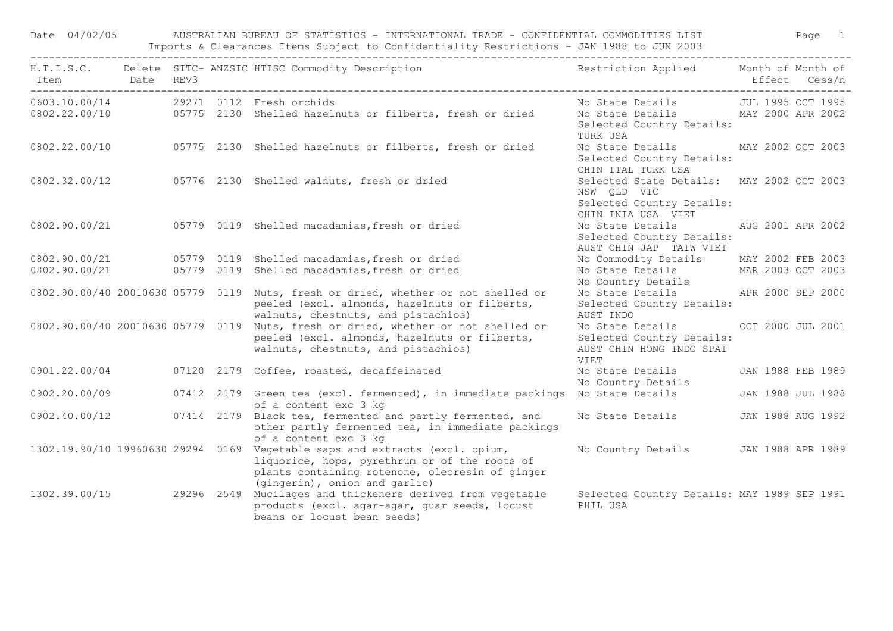|                                   |      |      |            | Imports & Clearances Items Subject to Confidentiality Restrictions - JAN 1988 to JUN 2003                                                                                                                        |                                                                                                                      |                   |
|-----------------------------------|------|------|------------|------------------------------------------------------------------------------------------------------------------------------------------------------------------------------------------------------------------|----------------------------------------------------------------------------------------------------------------------|-------------------|
| H.T.I.S.C.<br>Item                | Date | REV3 |            | Delete SITC- ANZSIC HTISC Commodity Description                                                                                                                                                                  | Restriction Applied Month of Month of                                                                                | Effect Cess/n     |
|                                   |      |      |            | 0603.10.00/14 29271 0112 Fresh orchids<br>0802.22.00/10 05775 2130 Shelled hazelnuts or filberts, fresh or dried                                                                                                 | No State Details 50 JUL 1995 OCT 1995<br>No State Details MAY 2000 APR 2002<br>Selected Country Details:<br>TURK USA |                   |
| 0802.22.00/10                     |      |      |            | 05775 2130 Shelled hazelnuts or filberts, fresh or dried                                                                                                                                                         | No State Details<br>Selected Country Details:<br>CHIN ITAL TURK USA                                                  | MAY 2002 OCT 2003 |
| 0802.32.00/12                     |      |      |            | 05776 2130 Shelled walnuts, fresh or dried                                                                                                                                                                       | Selected State Details: MAY 2002 OCT 2003<br>NSW OLD VIC<br>Selected Country Details:<br>CHIN INIA USA VIET          |                   |
| 0802.90.00/21                     |      |      |            | 05779 0119 Shelled macadamias, fresh or dried                                                                                                                                                                    | No State Details<br>Selected Country Details:<br>AUST CHIN JAP TAIW VIET                                             | AUG 2001 APR 2002 |
| 0802.90.00/21                     |      |      |            | 05779 0119 Shelled macadamias, fresh or dried                                                                                                                                                                    | No Commodity Details MAY 2002 FEB 2003                                                                               |                   |
| 0802.90.00/21                     |      |      |            | 05779 0119 Shelled macadamias, fresh or dried                                                                                                                                                                    | No State Details MAR 2003 OCT 2003<br>No Country Details                                                             |                   |
|                                   |      |      |            | 0802.90.00/40 20010630 05779 0119 Nuts, fresh or dried, whether or not shelled or<br>peeled (excl. almonds, hazelnuts or filberts,<br>walnuts, chestnuts, and pistachios)                                        | No State Details APR 2000 SEP 2000<br>Selected Country Details:<br>AUST INDO                                         |                   |
| 0802.90.00/40 20010630 05779 0119 |      |      |            | Nuts, fresh or dried, whether or not shelled or<br>peeled (excl. almonds, hazelnuts or filberts,<br>walnuts, chestnuts, and pistachios)                                                                          | No State Details<br>Selected Country Details:<br>AUST CHIN HONG INDO SPAI<br>VIET                                    | OCT 2000 JUL 2001 |
| 0901.22.00/04                     |      |      |            | 07120 2179 Coffee, roasted, decaffeinated                                                                                                                                                                        | No State Details<br>No Country Details                                                                               | JAN 1988 FEB 1989 |
| 0902.20.00/09                     |      |      |            | 07412 2179 Green tea (excl. fermented), in immediate packings No State Details<br>of a content exc 3 kg                                                                                                          |                                                                                                                      | JAN 1988 JUL 1988 |
| 0902.40.00/12                     |      |      |            | 07414 2179 Black tea, fermented and partly fermented, and<br>other partly fermented tea, in immediate packings<br>of a content exc 3 kg                                                                          | No State Details                                                                                                     | JAN 1988 AUG 1992 |
|                                   |      |      |            | 1302.19.90/10 19960630 29294 0169 Vegetable saps and extracts (excl. opium,<br>liquorice, hops, pyrethrum or of the roots of<br>plants containing rotenone, oleoresin of ginger<br>(gingerin), onion and garlic) | No Country Details                                                                                                   | JAN 1988 APR 1989 |
| 1302.39.00/15                     |      |      | 29296 2549 | Mucilages and thickeners derived from vegetable<br>products (excl. agar-agar, quar seeds, locust<br>beans or locust bean seeds)                                                                                  | Selected Country Details: MAY 1989 SEP 1991<br>PHIL USA                                                              |                   |

Date 04/02/05 AUSTRALIAN BUREAU OF STATISTICS - INTERNATIONAL TRADE - CONFIDENTIAL COMMODITIES LIST Page 1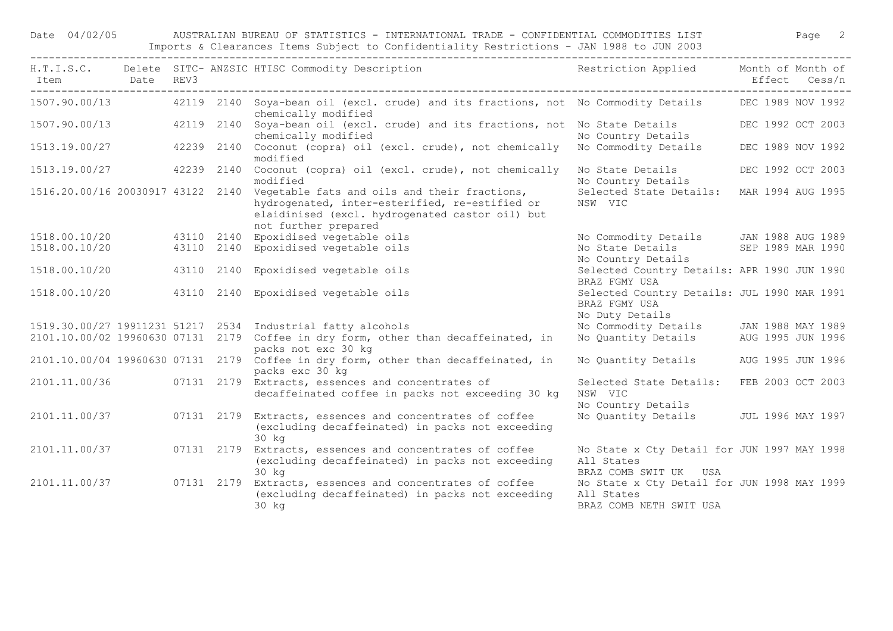Date 04/02/05 AUSTRALIAN BUREAU OF STATISTICS - INTERNATIONAL TRADE - CONFIDENTIAL COMMODITIES LIST Page 2 Imports & Clearances Items Subject to Confidentiality Restrictions - JAN 1988 to JUN 2003

| Item          | Date REV3 |            | H.T.I.S.C. Delete SITC-ANZSIC HTISC Commodity Description Nestriction Applied Month of Month of                                                                                                             |                                                                                      | Effect Cess/n     |
|---------------|-----------|------------|-------------------------------------------------------------------------------------------------------------------------------------------------------------------------------------------------------------|--------------------------------------------------------------------------------------|-------------------|
|               |           |            | 1507.90.00/13 42119 2140 Soya-bean oil (excl. crude) and its fractions, not No Commodity Details DEC 1989 NOV 1992<br>chemically modified                                                                   |                                                                                      |                   |
| 1507.90.00/13 |           |            | 42119 2140 Soya-bean oil (excl. crude) and its fractions, not No State Details<br>chemically modified                                                                                                       | No Country Details                                                                   | DEC 1992 OCT 2003 |
| 1513.19.00/27 |           |            | 42239 2140 Coconut (copra) oil (excl. crude), not chemically No Commodity Details<br>modified                                                                                                               |                                                                                      | DEC 1989 NOV 1992 |
| 1513.19.00/27 |           |            | 42239 2140 Coconut (copra) oil (excl. crude), not chemically<br>modified                                                                                                                                    | No State Details<br>No Country Details                                               | DEC 1992 OCT 2003 |
|               |           |            | 1516.20.00/16 20030917 43122 2140 Vegetable fats and oils and their fractions,<br>hydrogenated, inter-esterified, re-estified or<br>elaidinised (excl. hydrogenated castor oil) but<br>not further prepared | Selected State Details:<br>NSW VIC                                                   | MAR 1994 AUG 1995 |
| 1518.00.10/20 |           |            | 43110 2140 Epoxidised vegetable oils                                                                                                                                                                        | No Commodity Details JAN 1988 AUG 1989                                               |                   |
| 1518.00.10/20 |           |            | 43110 2140 Epoxidised vegetable oils                                                                                                                                                                        | No State Details SEP 1989 MAR 1990<br>No Country Details                             |                   |
| 1518.00.10/20 |           |            | 43110 2140 Epoxidised vegetable oils                                                                                                                                                                        | Selected Country Details: APR 1990 JUN 1990<br>BRAZ FGMY USA                         |                   |
| 1518.00.10/20 |           |            | 43110 2140 Epoxidised vegetable oils                                                                                                                                                                        | Selected Country Details: JUL 1990 MAR 1991<br>BRAZ FGMY USA<br>No Duty Details      |                   |
|               |           |            | 1519.30.00/27 19911231 51217 2534 Industrial fatty alcohols                                                                                                                                                 | No Commodity Details JAN 1988 MAY 1989                                               |                   |
|               |           |            | 2101.10.00/02 19960630 07131 2179 Coffee in dry form, other than decaffeinated, in<br>packs not exc 30 kg                                                                                                   | No Quantity Details                                                                  | AUG 1995 JUN 1996 |
|               |           |            | 2101.10.00/04 19960630 07131 2179 Coffee in dry form, other than decaffeinated, in<br>packs exc 30 kg                                                                                                       | No Quantity Details AUG 1995 JUN 1996                                                |                   |
|               |           |            | 2101.11.00/36 07131 2179 Extracts, essences and concentrates of<br>decaffeinated coffee in packs not exceeding 30 kg                                                                                        | Selected State Details: FEB 2003 OCT 2003<br>NSW VIC<br>No Country Details           |                   |
| 2101.11.00/37 |           |            | 07131 2179 Extracts, essences and concentrates of coffee<br>(excluding decaffeinated) in packs not exceeding<br>30 kg                                                                                       | No Quantity Details JUL 1996 MAY 1997                                                |                   |
| 2101.11.00/37 |           |            | 07131 2179 Extracts, essences and concentrates of coffee<br>(excluding decaffeinated) in packs not exceeding<br>$30$ $k\sigma$                                                                              | No State x Cty Detail for JUN 1997 MAY 1998<br>All States<br>BRAZ COMB SWIT UK USA   |                   |
| 2101.11.00/37 |           | 07131 2179 | Extracts, essences and concentrates of coffee<br>(excluding decaffeinated) in packs not exceeding<br>$30$ $kg$                                                                                              | No State x Cty Detail for JUN 1998 MAY 1999<br>All States<br>BRAZ COMB NETH SWIT USA |                   |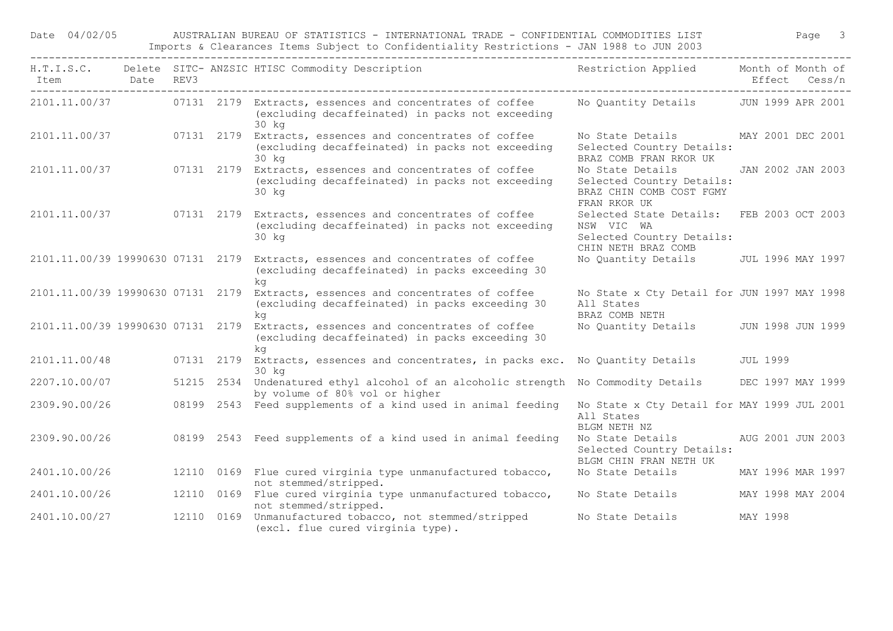Date 04/02/05 AUSTRALIAN BUREAU OF STATISTICS - INTERNATIONAL TRADE - CONFIDENTIAL COMMODITIES LIST Page 3 Imports & Clearances Items Subject to Confidentiality Restrictions - JAN 1988 to JUN 2003

| Item<br>____________________________ | Date REV3 |            | H.T.I.S.C. Delete SITC-ANZSIC HTISC Commodity Description Nestriction Applied Month of Month of                                          |                                                                                                             |          | Effect Cess/n     |
|--------------------------------------|-----------|------------|------------------------------------------------------------------------------------------------------------------------------------------|-------------------------------------------------------------------------------------------------------------|----------|-------------------|
|                                      |           |            | 2101.11.00/37 07131 2179 Extracts, essences and concentrates of coffee<br>(excluding decaffeinated) in packs not exceeding<br>30 kg      | No Quantity Details JUN 1999 APR 2001                                                                       |          |                   |
| 2101.11.00/37                        |           | 07131 2179 | Extracts, essences and concentrates of coffee<br>(excluding decaffeinated) in packs not exceeding<br>30 kg                               | No State Details MAY 2001 DEC 2001<br>Selected Country Details:<br>BRAZ COMB FRAN RKOR UK                   |          |                   |
| 2101.11.00/37                        |           | 07131 2179 | Extracts, essences and concentrates of coffee<br>(excluding decaffeinated) in packs not exceeding<br>30 kg                               | No State Details<br>Selected Country Details:<br>BRAZ CHIN COMB COST FGMY<br>FRAN RKOR UK                   |          | JAN 2002 JAN 2003 |
|                                      |           |            | 2101.11.00/37 07131 2179 Extracts, essences and concentrates of coffee<br>(excluding decaffeinated) in packs not exceeding<br>30 kg      | Selected State Details: FEB 2003 OCT 2003<br>NSW VIC WA<br>Selected Country Details:<br>CHIN NETH BRAZ COMB |          |                   |
|                                      |           |            | 2101.11.00/39 19990630 07131 2179 Extracts, essences and concentrates of coffee<br>(excluding decaffeinated) in packs exceeding 30<br>ka | No Quantity Details JUL 1996 MAY 1997                                                                       |          |                   |
| 2101.11.00/39 19990630 07131 2179    |           |            | Extracts, essences and concentrates of coffee<br>(excluding decaffeinated) in packs exceeding 30<br>ka                                   | No State x Cty Detail for JUN 1997 MAY 1998<br>All States<br>BRAZ COMB NETH                                 |          |                   |
| 2101.11.00/39 19990630 07131 2179    |           |            | Extracts, essences and concentrates of coffee<br>(excluding decaffeinated) in packs exceeding 30<br>ka                                   | No Quantity Details                                                                                         |          | JUN 1998 JUN 1999 |
| 2101.11.00/48                        |           |            | 07131 2179 Extracts, essences and concentrates, in packs exc. No Quantity Details<br>30 kg                                               |                                                                                                             | JUL 1999 |                   |
| 2207.10.00/07                        |           |            | 51215 2534 Undenatured ethyl alcohol of an alcoholic strength No Commodity Details<br>by volume of 80% vol or higher                     |                                                                                                             |          | DEC 1997 MAY 1999 |
| 2309.90.00/26                        |           |            | 08199 2543 Feed supplements of a kind used in animal feeding                                                                             | No State x Cty Detail for MAY 1999 JUL 2001<br>All States<br>BLGM NETH NZ                                   |          |                   |
| 2309.90.00/26                        |           |            | 08199 2543 Feed supplements of a kind used in animal feeding                                                                             | No State Details AUG 2001 JUN 2003<br>Selected Country Details:<br>BLGM CHIN FRAN NETH UK                   |          |                   |
| 2401.10.00/26                        |           |            | 12110 0169 Flue cured virginia type unmanufactured tobacco,<br>not stemmed/stripped.                                                     | No State Details                                                                                            |          | MAY 1996 MAR 1997 |
| 2401.10.00/26                        |           |            | 12110 0169 Flue cured virginia type unmanufactured tobacco,<br>not stemmed/stripped.                                                     | No State Details                                                                                            |          | MAY 1998 MAY 2004 |
| 2401.10.00/27                        |           |            | 12110 0169 Unmanufactured tobacco, not stemmed/stripped<br>(excl. flue cured virginia type).                                             | No State Details                                                                                            | MAY 1998 |                   |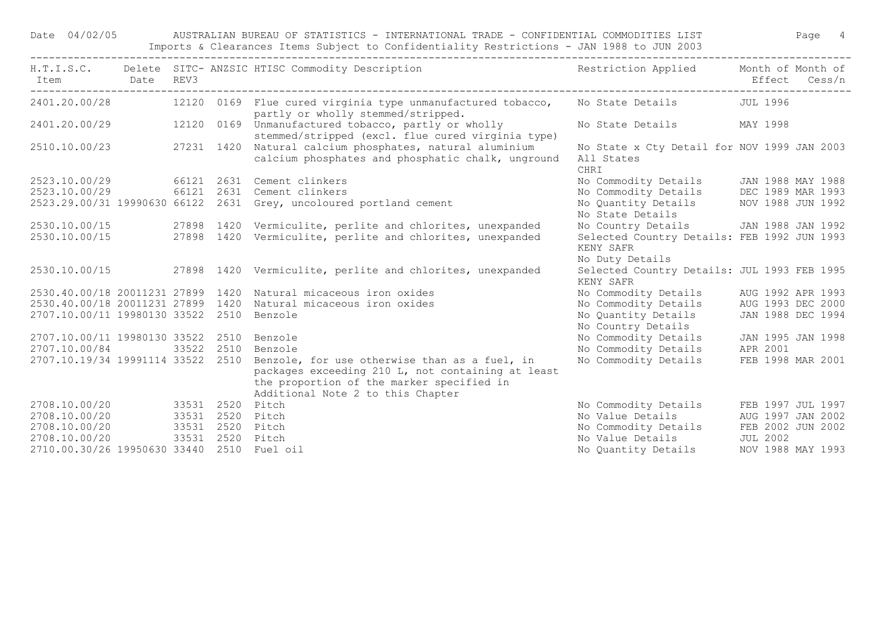Date 04/02/05 AUSTRALIAN BUREAU OF STATISTICS - INTERNATIONAL TRADE - CONFIDENTIAL COMMODITIES LIST Page 4 Imports & Clearances Items Subject to Confidentiality Restrictions - JAN 1988 to JUN 2003

| Item Date REV3                             |            |            | H.T.I.S.C. Delete SITC- ANZSIC HTISC Commodity Description                                                                                         | Restriction Applied Month of Month of                             |          | Effect Cess/n     |
|--------------------------------------------|------------|------------|----------------------------------------------------------------------------------------------------------------------------------------------------|-------------------------------------------------------------------|----------|-------------------|
|                                            |            |            | 2401.20.00/28 12120 0169 Flue cured virginia type unmanufactured tobacco,<br>partly or wholly stemmed/stripped.                                    | No State Details 50 JUL 1996                                      |          |                   |
|                                            |            |            | 2401.20.00/29 12120 0169 Unmanufactured tobacco, partly or wholly<br>stemmed/stripped (excl. flue cured virginia type)                             | No State Details MAY 1998                                         |          |                   |
| 2510.10.00/23 27231 1420                   |            |            | Natural calcium phosphates, natural aluminium<br>calcium phosphates and phosphatic chalk, unground                                                 | No State x Cty Detail for NOV 1999 JAN 2003<br>All States<br>CHRI |          |                   |
|                                            |            |            | 2523.10.00/29 66121 2631 Cement clinkers                                                                                                           | No Commodity Details JAN 1988 MAY 1988                            |          |                   |
|                                            |            |            | 2523.10.00/29 66121 2631 Cement clinkers                                                                                                           | No Commodity Details DEC 1989 MAR 1993                            |          |                   |
|                                            |            |            | 2523.29.00/31 19990630 66122 2631 Grey, uncoloured portland cement                                                                                 | No Quantity Details MOV 1988 JUN 1992                             |          |                   |
|                                            |            |            |                                                                                                                                                    | No State Details                                                  |          |                   |
|                                            |            |            |                                                                                                                                                    | No Country Details JAN 1988 JAN 1992                              |          |                   |
|                                            |            |            | 2530.10.00/15 27898 1420 Vermiculite, perlite and chlorites, unexpanded<br>2530.10.00/15 27898 1420 Vermiculite, perlite and chlorites, unexpanded | Selected Country Details: FEB 1992 JUN 1993                       |          |                   |
|                                            |            |            |                                                                                                                                                    | KENY SAFR                                                         |          |                   |
|                                            |            |            |                                                                                                                                                    | No Duty Details                                                   |          |                   |
|                                            |            |            | 2530.10.00/15 27898 1420 Vermiculite, perlite and chlorites, unexpanded                                                                            | Selected Country Details: JUL 1993 FEB 1995                       |          |                   |
|                                            |            |            |                                                                                                                                                    | KENY SAFR                                                         |          |                   |
| 2530.40.00/18 20011231 27899 1420          |            |            | Natural micaceous iron oxides                                                                                                                      | No Commodity Details AUG 1992 APR 1993                            |          |                   |
| 2530.40.00/18 20011231 27899 1420          |            |            | Natural micaceous iron oxides                                                                                                                      | No Commodity Details AUG 1993 DEC 2000                            |          |                   |
| 2707.10.00/11 19980130 33522 2510          |            |            | Benzole                                                                                                                                            | No Quantity Details                                               |          | JAN 1988 DEC 1994 |
|                                            |            |            |                                                                                                                                                    | No Country Details                                                |          |                   |
| 2707.10.00/11 19980130 33522 2510          |            |            | Benzole                                                                                                                                            | No Commodity Details                                              |          | JAN 1995 JAN 1998 |
| 2707.10.00/84                              | 33522 2510 |            | Benzole                                                                                                                                            | No Commodity Details                                              | APR 2001 |                   |
| 2707.10.19/34 19991114 33522 2510          |            |            | Benzole, for use otherwise than as a fuel, in                                                                                                      | No Commodity Details                                              |          | FEB 1998 MAR 2001 |
|                                            |            |            | packages exceeding 210 L, not containing at least                                                                                                  |                                                                   |          |                   |
|                                            |            |            | the proportion of the marker specified in                                                                                                          |                                                                   |          |                   |
|                                            |            |            | Additional Note 2 to this Chapter                                                                                                                  |                                                                   |          |                   |
| 2708.10.00/20 33531 2520 Pitch             |            |            |                                                                                                                                                    | No Commodity Details                                              |          | FEB 1997 JUL 1997 |
| 2708.10.00/20 33531 2520 Pitch             |            |            |                                                                                                                                                    | No Value Details AUG 1997 JAN 2002                                |          |                   |
| 2708.10.00/20 33531 2520 Pitch             |            |            |                                                                                                                                                    | No Commodity Details FEB 2002 JUN 2002                            |          |                   |
| 2708.10.00/20                              |            | 33531 2520 | Pitch                                                                                                                                              | No Value Details JUL 2002                                         |          |                   |
| 2710.00.30/26 19950630 33440 2510 Fuel oil |            |            |                                                                                                                                                    | No Quantity Details NOV 1988 MAY 1993                             |          |                   |
|                                            |            |            |                                                                                                                                                    |                                                                   |          |                   |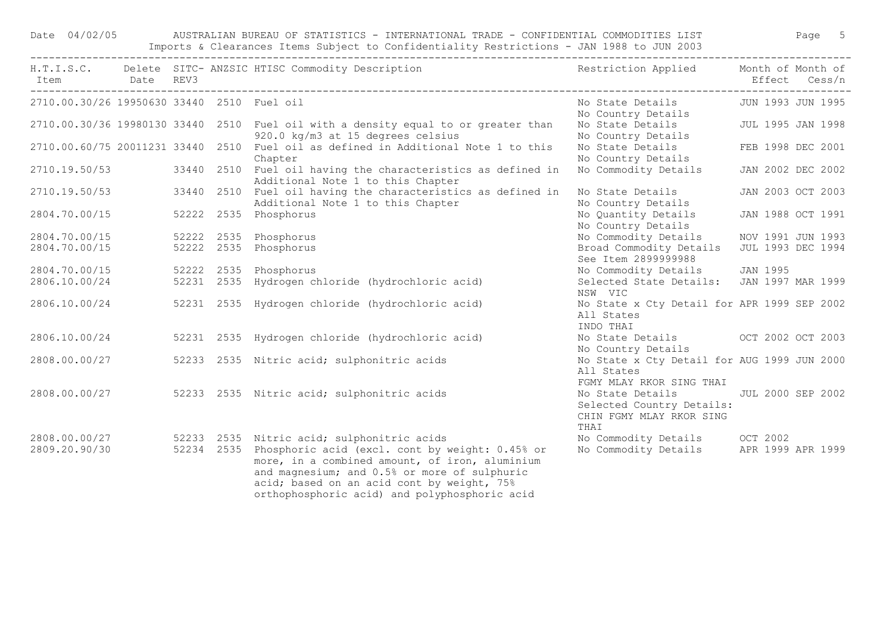Date 04/02/05 AUSTRALIAN BUREAU OF STATISTICS - INTERNATIONAL TRADE - CONFIDENTIAL COMMODITIES LIST Page 5 Imports & Clearances Items Subject to Confidentiality Restrictions - JAN 1988 to JUN 2003

| Item Date REV3                             |  | H.T.I.S.C. Delete SITC-ANZSIC HTISC Commodity Description Nestriction Applied Month of Month of                                                                                                                                                                                                                         |                                                                                                     | Effect Cess/n     |  |
|--------------------------------------------|--|-------------------------------------------------------------------------------------------------------------------------------------------------------------------------------------------------------------------------------------------------------------------------------------------------------------------------|-----------------------------------------------------------------------------------------------------|-------------------|--|
| 2710.00.30/26 19950630 33440 2510 Fuel oil |  |                                                                                                                                                                                                                                                                                                                         | No State Details JUN 1993 JUN 1995<br>No Country Details                                            |                   |  |
|                                            |  | 2710.00.30/36 19980130 33440 2510 Fuel oil with a density equal to or greater than<br>920.0 kg/m3 at 15 degrees celsius                                                                                                                                                                                                 | No State Details 50 JUL 1995 JAN 1998<br>No Country Details                                         |                   |  |
|                                            |  | 2710.00.60/75 20011231 33440 2510 Fuel oil as defined in Additional Note 1 to this<br>Chapter                                                                                                                                                                                                                           | No State Details FEB 1998 DEC 2001<br>No Country Details                                            |                   |  |
|                                            |  | 2710.19.50/53 33440 2510 Fuel oil having the characteristics as defined in<br>Additional Note 1 to this Chapter                                                                                                                                                                                                         | No Commodity Details JAN 2002 DEC 2002                                                              |                   |  |
| 2710.19.50/53                              |  | 33440 2510 Fuel oil having the characteristics as defined in<br>Additional Note 1 to this Chapter                                                                                                                                                                                                                       | No State Details<br>No Country Details                                                              | JAN 2003 OCT 2003 |  |
| 2804.70.00/15                              |  | 52222 2535 Phosphorus                                                                                                                                                                                                                                                                                                   | No Quantity Details<br>No Country Details                                                           | JAN 1988 OCT 1991 |  |
| 2804.70.00/15                              |  | 52222 2535 Phosphorus                                                                                                                                                                                                                                                                                                   | No Commodity Details                                                                                | NOV 1991 JUN 1993 |  |
| 2804.70.00/15                              |  | 52222 2535 Phosphorus                                                                                                                                                                                                                                                                                                   | Broad Commodity Details<br>See Item 2899999988                                                      | JUL 1993 DEC 1994 |  |
| 2804.70.00/15                              |  | 52222 2535 Phosphorus                                                                                                                                                                                                                                                                                                   | No Commodity Details JAN 1995<br>Selected State Details: JAN 1997 MAR 1999                          |                   |  |
| 2806.10.00/24                              |  | 52231 2535 Hydrogen chloride (hydrochloric acid)                                                                                                                                                                                                                                                                        | NSW VIC                                                                                             |                   |  |
| 2806.10.00/24                              |  | 52231 2535 Hydrogen chloride (hydrochloric acid)                                                                                                                                                                                                                                                                        | No State x Cty Detail for APR 1999 SEP 2002<br>All States<br>INDO THAI                              |                   |  |
| 2806.10.00/24                              |  | 52231 2535 Hydrogen chloride (hydrochloric acid)                                                                                                                                                                                                                                                                        | No State Details 6 0CT 2002 OCT 2003<br>No Country Details                                          |                   |  |
| 2808.00.00/27                              |  | 52233 2535 Nitric acid; sulphonitric acids                                                                                                                                                                                                                                                                              | No State x Cty Detail for AUG 1999 JUN 2000<br>All States<br>FGMY MLAY RKOR SING THAI               |                   |  |
|                                            |  | 2808.00.00/27 52233 2535 Nitric acid; sulphonitric acids                                                                                                                                                                                                                                                                | No State Details JUL 2000 SEP 2002<br>Selected Country Details:<br>CHIN FGMY MLAY RKOR SING<br>THAI |                   |  |
| 2809.20.90/30                              |  | 2808.00.00/27 52233 2535 Nitric acid; sulphonitric acids<br>52234 2535 Phosphoric acid (excl. cont by weight: 0.45% or<br>more, in a combined amount, of iron, aluminium<br>and magnesium; and 0.5% or more of sulphuric<br>acid; based on an acid cont by weight, 75%<br>orthophosphoric acid) and polyphosphoric acid | No Commodity Details OCT 2002<br>No Commodity Details APR 1999 APR 1999                             |                   |  |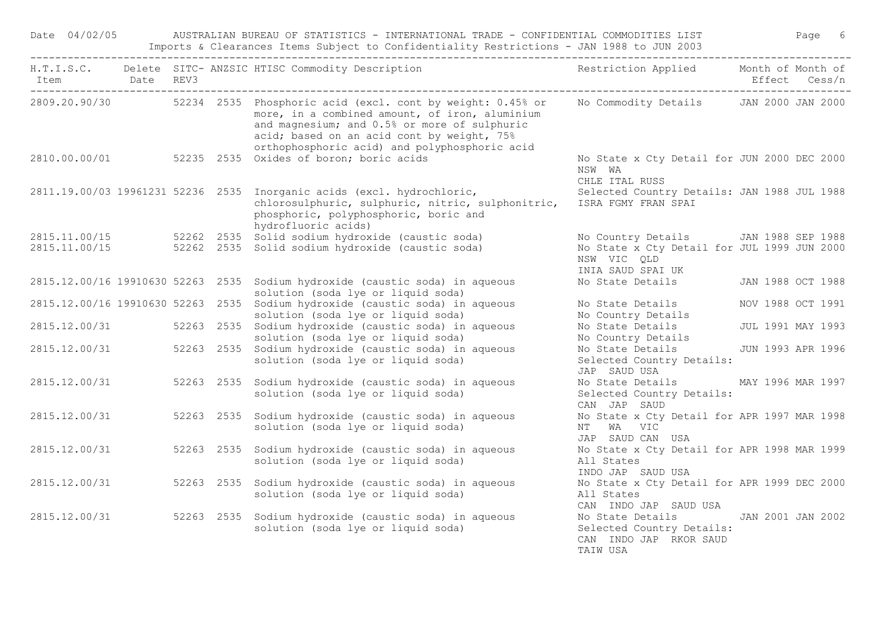Date 04/02/05 AUSTRALIAN BUREAU OF STATISTICS - INTERNATIONAL TRADE - CONFIDENTIAL COMMODITIES LIST Page 6 Imports & Clearances Items Subject to Confidentiality Restrictions - JAN 1988 to JUN 2003

|                          |  |            | H.T.I.S.C. Delete SITC-ANZSIC HTISC Commodity Description Nestriction Applied Month of Month of                                                                                                                                                                           |                                                                                                                         |  |  |
|--------------------------|--|------------|---------------------------------------------------------------------------------------------------------------------------------------------------------------------------------------------------------------------------------------------------------------------------|-------------------------------------------------------------------------------------------------------------------------|--|--|
|                          |  |            | 2809.20.90/30 52234 2535 Phosphoric acid (excl. cont by weight: 0.45% or<br>more, in a combined amount, of iron, aluminium<br>and magnesium; and 0.5% or more of sulphuric<br>acid; based on an acid cont by weight, 75%<br>orthophosphoric acid) and polyphosphoric acid | No Commodity Details JAN 2000 JAN 2000                                                                                  |  |  |
|                          |  |            | 2810.00.00/01 52235 2535 Oxides of boron; boric acids                                                                                                                                                                                                                     | No State x Cty Detail for JUN 2000 DEC 2000<br>NSW WA<br>CHLE ITAL RUSS                                                 |  |  |
|                          |  |            | 2811.19.00/03 19961231 52236 2535 Inorganic acids (excl. hydrochloric,<br>chlorosulphuric, sulphuric, nitric, sulphonitric,<br>phosphoric, polyphosphoric, boric and<br>hydrofluoric acids)                                                                               | Selected Country Details: JAN 1988 JUL 1988<br>ISRA FGMY FRAN SPAI                                                      |  |  |
|                          |  |            | $2815.11.00/15$ 52262 2535 Solid sodium hydroxide (caustic soda)<br>2815.11.00/15 52262 2535 Solid sodium hydroxide (caustic soda)                                                                                                                                        | No Country Details JAN 1988 SEP 1988<br>No State x Cty Detail for JUL 1999 JUN 2000<br>NSW VIC QLD<br>INIA SAUD SPAI UK |  |  |
|                          |  |            | 2815.12.00/16 19910630 52263 2535 Sodium hydroxide (caustic soda) in aqueous<br>solution (soda lye or liquid soda)                                                                                                                                                        | No State Details JAN 1988 OCT 1988                                                                                      |  |  |
|                          |  |            | 2815.12.00/16 19910630 52263 2535 Sodium hydroxide (caustic soda) in aqueous<br>solution (soda lye or liquid soda)                                                                                                                                                        | No State Details MOV 1988 OCT 1991<br>No Country Details                                                                |  |  |
|                          |  |            | 2815.12.00/31 52263 2535 Sodium hydroxide (caustic soda) in aqueous<br>solution (soda lye or liquid soda)                                                                                                                                                                 | No State Details JUL 1991 MAY 1993<br>No Country Details                                                                |  |  |
|                          |  |            | 2815.12.00/31 52263 2535 Sodium hydroxide (caustic soda) in aqueous<br>solution (soda lye or liquid soda)                                                                                                                                                                 | No State Details JUN 1993 APR 1996<br>Selected Country Details:<br>JAP SAUD USA                                         |  |  |
| 2815.12.00/31            |  | 52263 2535 | Sodium hydroxide (caustic soda) in aqueous<br>solution (soda lye or liquid soda)                                                                                                                                                                                          | No State Details MAY 1996 MAR 1997<br>Selected Country Details:<br>CAN JAP SAUD                                         |  |  |
| 2815.12.00/31            |  | 52263 2535 | Sodium hydroxide (caustic soda) in aqueous<br>solution (soda lye or liquid soda)                                                                                                                                                                                          | No State x Cty Detail for APR 1997 MAR 1998<br>NT WA VIC<br>JAP SAUD CAN USA                                            |  |  |
| 2815.12.00/31            |  | 52263 2535 | Sodium hydroxide (caustic soda) in aqueous<br>solution (soda lye or liquid soda)                                                                                                                                                                                          | No State x Cty Detail for APR 1998 MAR 1999<br>All States<br>INDO JAP SAUD USA                                          |  |  |
| 2815.12.00/31            |  | 52263 2535 | Sodium hydroxide (caustic soda) in aqueous<br>solution (soda lye or liquid soda)                                                                                                                                                                                          | No State x Cty Detail for APR 1999 DEC 2000<br>All States<br>CAN INDO JAP SAUD USA                                      |  |  |
| 2815.12.00/31 52263 2535 |  |            | Sodium hydroxide (caustic soda) in aqueous<br>solution (soda lye or liquid soda)                                                                                                                                                                                          | No State Details (JAN 2001 JAN 2002<br>Selected Country Details:<br>CAN INDO JAP RKOR SAUD<br>TAIW USA                  |  |  |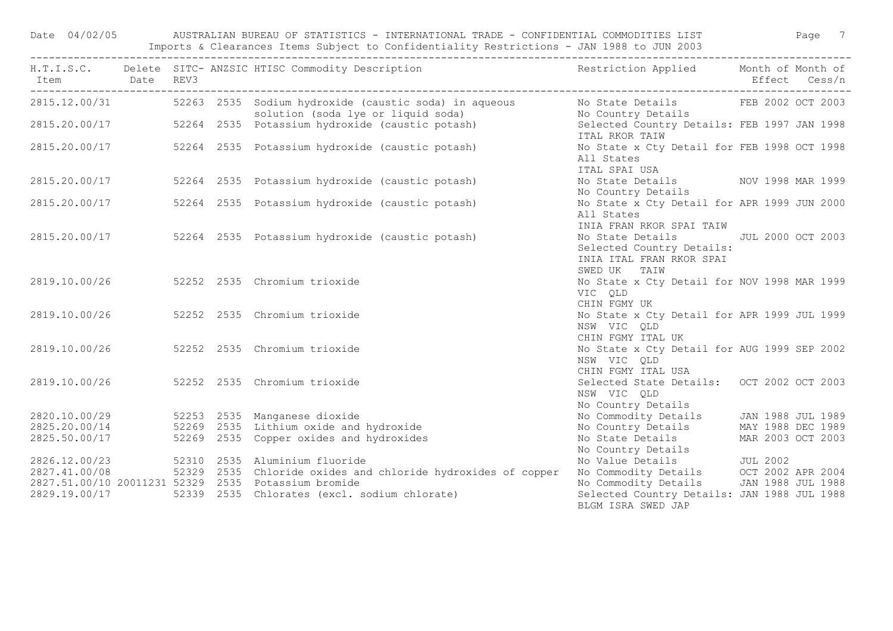Date 04/02/05 AUSTRALIAN BUREAU OF STATISTICS - INTERNATIONAL TRADE - CONFIDENTIAL COMMODITIES LIST Page 7 Imports & Clearances Items Subject to Confidentiality Restrictions - JAN 1988 to JUN 2003

|                                |  | H.T.I.S.C. Delete SITC-ANZSIC HTISC Commodity Description Nestriction Applied Month of Month of                                                                                                                                      |                                                                                                             |  |
|--------------------------------|--|--------------------------------------------------------------------------------------------------------------------------------------------------------------------------------------------------------------------------------------|-------------------------------------------------------------------------------------------------------------|--|
|                                |  |                                                                                                                                                                                                                                      |                                                                                                             |  |
|                                |  | Exp 12.00/31 52263 2535 Sodium hydroxide (caustic soda) in aqueous No State Details FEB 2002 OCT 2003<br>solution (soda lye or liquid soda) Mo Country Details<br>2815.20.00/17 52264 2535 Potassium hydroxide (caustic potash) Sele | ITAL RKOR TAIW                                                                                              |  |
| 2815.20.00/17                  |  | 52264 2535 Potassium hydroxide (caustic potash)                                                                                                                                                                                      | No State x Cty Detail for FEB 1998 OCT 1998<br>All States<br>ITAL SPAI USA                                  |  |
| 2815.20.00/17                  |  | 52264 2535 Potassium hydroxide (caustic potash)                                                                                                                                                                                      | No State Details MOV 1998 MAR 1999<br>No Country Details                                                    |  |
| 2815.20.00/17                  |  | 52264 2535 Potassium hydroxide (caustic potash)                                                                                                                                                                                      | No State x Cty Detail for APR 1999 JUN 2000<br>All States<br>INIA FRAN RKOR SPAI TAIW                       |  |
|                                |  | 2815.20.00/17 52264 2535 Potassium hydroxide (caustic potash)                                                                                                                                                                        | No State Details JUL 2000 OCT 2003<br>Selected Country Details:<br>INIA ITAL FRAN RKOR SPAI<br>SWED UK TAIW |  |
|                                |  | 2819.10.00/26 52252 2535 Chromium trioxide                                                                                                                                                                                           | No State x Cty Detail for NOV 1998 MAR 1999<br>VIC QLD<br>CHIN FGMY UK                                      |  |
|                                |  | 2819.10.00/26 52252 2535 Chromium trioxide                                                                                                                                                                                           | No State x Cty Detail for APR 1999 JUL 1999<br>NSW VIC QLD<br>CHIN FGMY ITAL UK                             |  |
|                                |  | 2819.10.00/26 52252 2535 Chromium trioxide                                                                                                                                                                                           | No State x Cty Detail for AUG 1999 SEP 2002<br>NSW VIC QLD<br>CHIN FGMY ITAL USA                            |  |
| 2819.10.00/26                  |  | 52252 2535 Chromium trioxide                                                                                                                                                                                                         | Selected State Details: OCT 2002 OCT 2003<br>NSW VIC QLD<br>No Country Details                              |  |
|                                |  | 2820.10.00/29 52253 2535 Manganese dioxide                                                                                                                                                                                           | No Commodity Details JAN 1988 JUL 1989                                                                      |  |
|                                |  | 2825.20.00/14 52269 2535 Lithium oxide and hydroxide                                                                                                                                                                                 | No Country Details MAY 1988 DEC 1989                                                                        |  |
| 2825.50.00/17                  |  | 52269 2535 Copper oxides and hydroxides                                                                                                                                                                                              | No State Details MAR 2003 OCT 2003                                                                          |  |
|                                |  | 52310 2535 Aluminium fluoride                                                                                                                                                                                                        |                                                                                                             |  |
| 2826.12.00/23<br>2827.41.00/08 |  | 52329 2535 Chloride oxides and chloride hydroxides of copper                                                                                                                                                                         | No Country Details<br>No Value Details du JUL 2002<br>No Commodity Details OCT 2002 APR 2004                |  |
|                                |  | 2827.51.00/10 20011231 52329 2535 Potassium bromide                                                                                                                                                                                  | No Commodity Details JAN 1988 JUL 1988                                                                      |  |
| 2829.19.00/17                  |  | 52339 2535 Chlorates (excl. sodium chlorate)                                                                                                                                                                                         | Selected Country Details: JAN 1988 JUL 1988<br>BLGM ISRA SWED JAP                                           |  |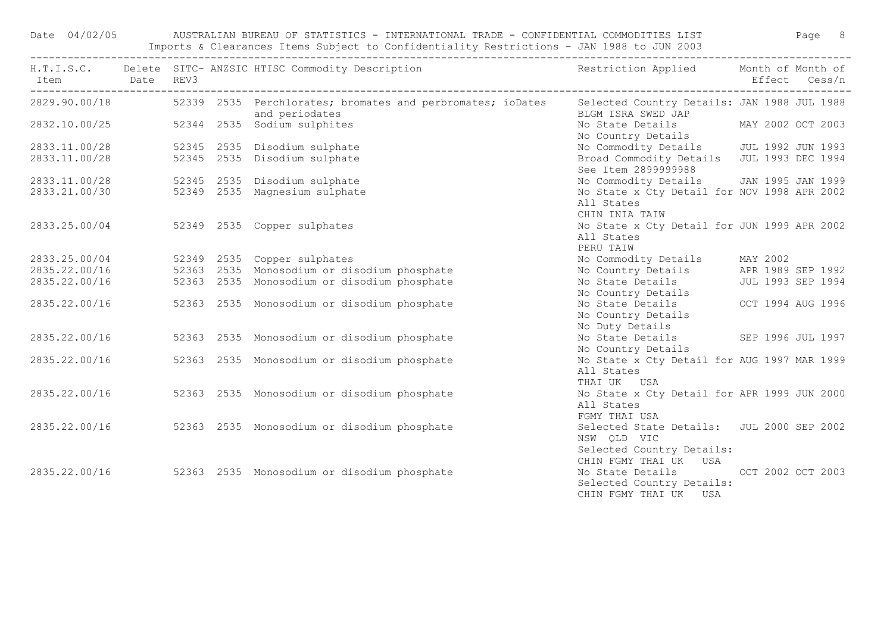Date 04/02/05 AUSTRALIAN BUREAU OF STATISTICS - INTERNATIONAL TRADE - CONFIDENTIAL COMMODITIES LIST Page 8 Imports & Clearances Items Subject to Confidentiality Restrictions - JAN 1988 to JUN 2003

| Item Date REV3                 |  | H.T.I.S.C. Delete SITC-ANZSIC HTISC Commodity Description Nestriction Applied Month of Month of                          |                                                                                                                        | Effect Cess/n |  |
|--------------------------------|--|--------------------------------------------------------------------------------------------------------------------------|------------------------------------------------------------------------------------------------------------------------|---------------|--|
| 2829.90.00/18                  |  | 52339 2535 Perchlorates; bromates and perbromates; ioDates Selected Country Details: JAN 1988 JUL 1988<br>and periodates | BLGM ISRA SWED JAP                                                                                                     |               |  |
|                                |  | and periodates<br>2832.10.00/25 52344 2535 Sodium sulphites                                                              | No State Details MAY 2002 OCT 2003<br>No Country Details                                                               |               |  |
| 2833.11.00/28<br>2833.11.00/28 |  | 52345 2535 Disodium sulphate<br>52345 2535 Disodium sulphate                                                             | No Commodity Details<br>Broad Commodity Details<br>Broad Commodity Details<br>JUL 1993 DEC 1994<br>See Item 2899999988 |               |  |
| 2833.11.00/28<br>2833.21.00/30 |  | 52345 2535 Disodium sulphate<br>52349 2535 Magnesium sulphate                                                            | No Commodity Details JAN 1995 JAN 1999<br>No State x Cty Detail for NOV 1998 APR 2002<br>All States<br>CHIN INIA TAIW  |               |  |
|                                |  | 2833.25.00/04 52349 2535 Copper sulphates                                                                                | No State x Cty Detail for JUN 1999 APR 2002<br>All States<br>PERU TAIW                                                 |               |  |
| 2833.25.00/04                  |  | 52349 2535 Copper sulphates                                                                                              | No Commodity Details MAY 2002                                                                                          |               |  |
|                                |  | 2835.22.00/16 52363 2535 Monosodium or disodium phosphate                                                                | No Country Details APR 1989 SEP 1992                                                                                   |               |  |
| 2835.22.00/16                  |  | 52363 2535 Monosodium or disodium phosphate                                                                              | No State Details 50 JUL 1993 SEP 1994<br>No Country Details                                                            |               |  |
| 2835.22.00/16                  |  | 52363 2535 Monosodium or disodium phosphate                                                                              | No State Details 6 0CT 1994 AUG 1996<br>No Country Details<br>No Duty Details                                          |               |  |
| 2835.22.00/16                  |  | 52363 2535 Monosodium or disodium phosphate                                                                              | No Duty Details<br>No State Details (SEP 1996 JUL 1997<br>No Country Details                                           |               |  |
| 2835.22.00/16                  |  | 52363 2535 Monosodium or disodium phosphate                                                                              | No State x Cty Detail for AUG 1997 MAR 1999<br>All States<br>THAI UK USA                                               |               |  |
|                                |  | 2835.22.00/16 52363 2535 Monosodium or disodium phosphate                                                                | No State x Cty Detail for APR 1999 JUN 2000<br>All States<br>FGMY THAI USA                                             |               |  |
|                                |  | 2835.22.00/16 52363 2535 Monosodium or disodium phosphate                                                                | Selected State Details: JUL 2000 SEP 2002<br>NSW QLD VIC<br>Selected Country Details:                                  |               |  |
| 2835.22.00/16                  |  | 52363 2535 Monosodium or disodium phosphate                                                                              | CHIN FGMY THAI UK USA<br>No State Details OCT 2002 OCT 2003<br>Selected Country Details:<br>CHIN FGMY THAI UK USA      |               |  |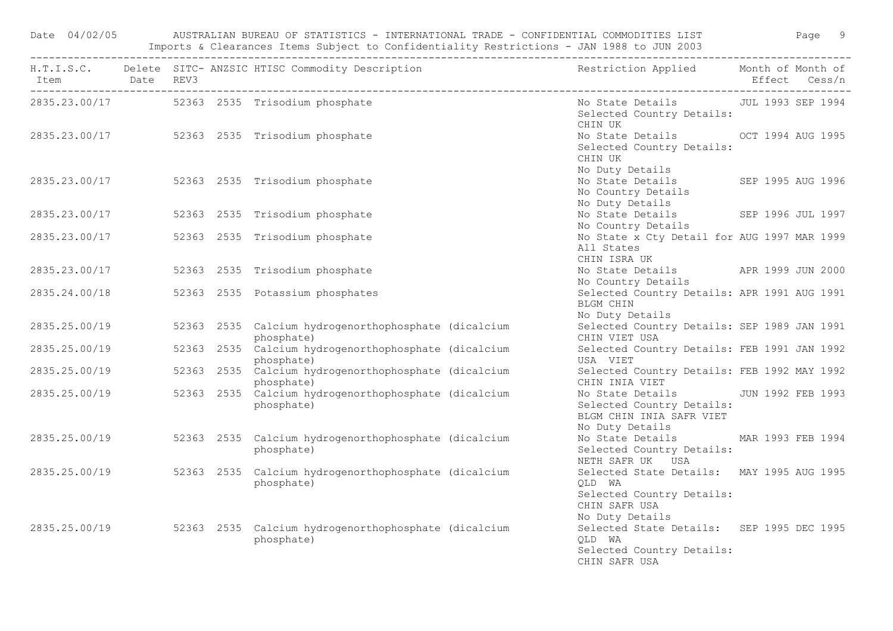|               |  | Date 04/02/05 AUSTRALIAN BUREAU OF STATISTICS - INTERNATIONAL TRADE - CONFIDENTIAL COMMODITIES LIST Page 9                                 |                                                                                                                      |  |
|---------------|--|--------------------------------------------------------------------------------------------------------------------------------------------|----------------------------------------------------------------------------------------------------------------------|--|
|               |  | H.T.I.S.C. Delete SITC-ANZSIC HTISC Commodity Description and the sestriction Applied Month of Month of Month<br>Item Date REV3 belet REV3 |                                                                                                                      |  |
|               |  | 2835.23.00/17 52363 2535 Trisodium phosphate                                                                                               | No State Details 500 JUL 1993 SEP 1994<br>Selected Country Details:<br>CHIN UK                                       |  |
|               |  | 2835.23.00/17 52363 2535 Trisodium phosphate                                                                                               | No State Details OCT 1994 AUG 1995<br>Selected Country Details:<br>CHIN UK<br>No Duty Details                        |  |
|               |  | 2835.23.00/17 52363 2535 Trisodium phosphate                                                                                               | No State Details SEP 1995 AUG 1996<br>No Country Details<br>No Duty Details                                          |  |
|               |  | 2835.23.00/17 52363 2535 Trisodium phosphate                                                                                               | No State Details SEP 1996 JUL 1997<br>No Country Details                                                             |  |
| 2835.23.00/17 |  | 52363 2535 Trisodium phosphate                                                                                                             | No State x Cty Detail for AUG 1997 MAR 1999<br>All States<br>CHIN ISRA UK                                            |  |
| 2835.23.00/17 |  | 52363 2535 Trisodium phosphate                                                                                                             | No State Details APR 1999 JUN 2000<br>No Country Details                                                             |  |
| 2835.24.00/18 |  | 52363 2535 Potassium phosphates                                                                                                            | Selected Country Details: APR 1991 AUG 1991<br>BLGM CHIN<br>No Duty Details                                          |  |
| 2835.25.00/19 |  | 52363 2535 Calcium hydrogenorthophosphate (dicalcium<br>phosphate)                                                                         | Selected Country Details: SEP 1989 JAN 1991<br>CHIN VIET USA                                                         |  |
| 2835.25.00/19 |  | 52363 2535 Calcium hydrogenorthophosphate (dicalcium<br>phosphate)                                                                         | Selected Country Details: FEB 1991 JAN 1992<br>USA VIET                                                              |  |
| 2835.25.00/19 |  | 52363 2535 Calcium hydrogenorthophosphate (dicalcium<br>phosphate)                                                                         | Selected Country Details: FEB 1992 MAY 1992<br>CHIN INIA VIET                                                        |  |
| 2835.25.00/19 |  | 52363 2535 Calcium hydrogenorthophosphate (dicalcium<br>phosphate)                                                                         | No State Details 50 JUN 1992 FEB 1993<br>Selected Country Details:<br>BLGM CHIN INIA SAFR VIET<br>No Duty Details    |  |
| 2835.25.00/19 |  | 52363 2535 Calcium hydrogenorthophosphate (dicalcium<br>phosphate)                                                                         | No State Details MAR 1993 FEB 1994<br>Selected Country Details:<br>NETH SAFR UK USA                                  |  |
| 2835.25.00/19 |  | 52363 2535 Calcium hydrogenorthophosphate (dicalcium<br>phosphate)                                                                         | Selected State Details: MAY 1995 AUG 1995<br>QLD WA<br>Selected Country Details:<br>CHIN SAFR USA<br>No Duty Details |  |
| 2835.25.00/19 |  | 52363 2535 Calcium hydrogenorthophosphate (dicalcium<br>phosphate)                                                                         | Selected State Details: SEP 1995 DEC 1995<br>OLD WA<br>Selected Country Details:<br>CHIN SAFR USA                    |  |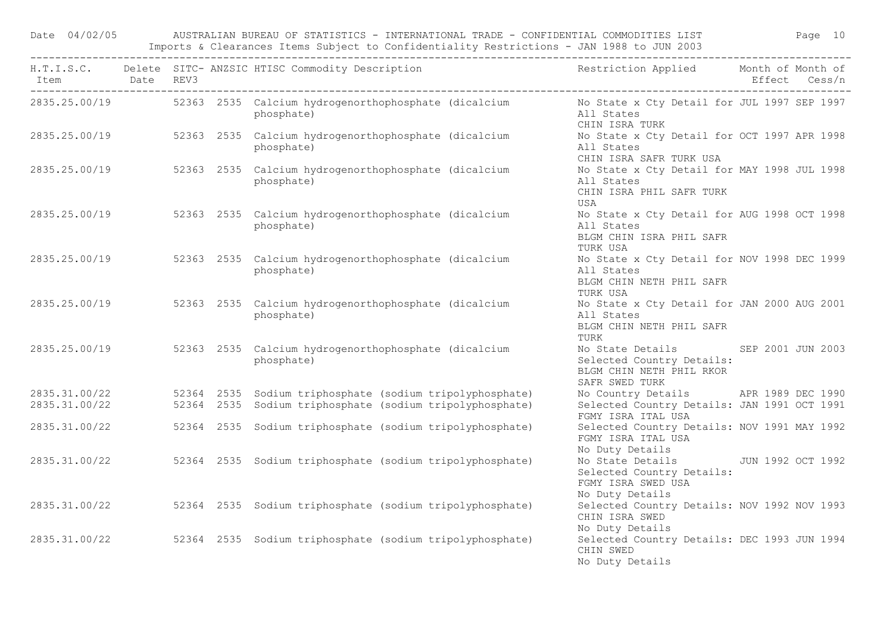Date 04/02/05 AUSTRALIAN BUREAU OF STATISTICS - INTERNATIONAL TRADE - CONFIDENTIAL COMMODITIES LIST Page 10 Imports & Clearances Items Subject to Confidentiality Restrictions - JAN 1988 to JUN 2003

|               |  | H.T.I.S.C. Delete SITC-ANZSIC HTISC Commodity Description Nestriction Applied Month of Month of                              |                                                                                                               |  |
|---------------|--|------------------------------------------------------------------------------------------------------------------------------|---------------------------------------------------------------------------------------------------------------|--|
|               |  | 2835.25.00/19 52363 2535 Calcium hydrogenorthophosphate (dicalcium No State x Cty Detail for JUL 1997 SEP 1997<br>phosphate) | All States<br>CHIN ISRA TURK                                                                                  |  |
|               |  | 2835.25.00/19 52363 2535 Calcium hydrogenorthophosphate (dicalcium<br>phosphate)                                             | No State x Cty Detail for OCT 1997 APR 1998<br>All States<br>CHIN ISRA SAFR TURK USA                          |  |
|               |  | 2835.25.00/19 52363 2535 Calcium hydrogenorthophosphate (dicalcium<br>phosphate)                                             | No State x Cty Detail for MAY 1998 JUL 1998<br>All States<br>CHIN ISRA PHIL SAFR TURK<br>USA                  |  |
| 2835.25.00/19 |  | 52363 2535 Calcium hydrogenorthophosphate (dicalcium<br>phosphate)                                                           | No State x Cty Detail for AUG 1998 OCT 1998<br>All States<br>BLGM CHIN ISRA PHIL SAFR<br>TURK USA             |  |
| 2835.25.00/19 |  | 52363 2535 Calcium hydrogenorthophosphate (dicalcium<br>phosphate)                                                           | No State x Cty Detail for NOV 1998 DEC 1999<br>All States<br>BLGM CHIN NETH PHIL SAFR<br>TURK USA             |  |
|               |  | 2835.25.00/19 52363 2535 Calcium hydrogenorthophosphate (dicalcium<br>phosphate)                                             | No State x Cty Detail for JAN 2000 AUG 2001<br>All States<br>BLGM CHIN NETH PHIL SAFR<br>TURK                 |  |
| 2835.25.00/19 |  | 52363 2535 Calcium hydrogenorthophosphate (dicalcium<br>phosphate)                                                           | No State Details SEP 2001 JUN 2003<br>Selected Country Details:<br>BLGM CHIN NETH PHIL RKOR<br>SAFR SWED TURK |  |
| 2835.31.00/22 |  | 52364 2535 Sodium triphosphate (sodium tripolyphosphate)                                                                     | No Country Details APR 1989 DEC 1990                                                                          |  |
| 2835.31.00/22 |  | 52364 2535 Sodium triphosphate (sodium tripolyphosphate)                                                                     | Selected Country Details: JAN 1991 OCT 1991<br>FGMY ISRA ITAL USA                                             |  |
| 2835.31.00/22 |  | 52364 2535 Sodium triphosphate (sodium tripolyphosphate)                                                                     | Selected Country Details: NOV 1991 MAY 1992<br>FGMY ISRA ITAL USA<br>No Duty Details                          |  |
| 2835.31.00/22 |  | 52364 2535 Sodium triphosphate (sodium tripolyphosphate)                                                                     | No State Details JUN 1992 OCT 1992<br>Selected Country Details:<br>FGMY ISRA SWED USA<br>No Duty Details      |  |
| 2835.31.00/22 |  | 52364 2535 Sodium triphosphate (sodium tripolyphosphate)                                                                     | Selected Country Details: NOV 1992 NOV 1993<br>CHIN ISRA SWED<br>No Duty Details                              |  |
| 2835.31.00/22 |  | 52364 2535 Sodium triphosphate (sodium tripolyphosphate)                                                                     | Selected Country Details: DEC 1993 JUN 1994<br>CHIN SWED<br>No Duty Details                                   |  |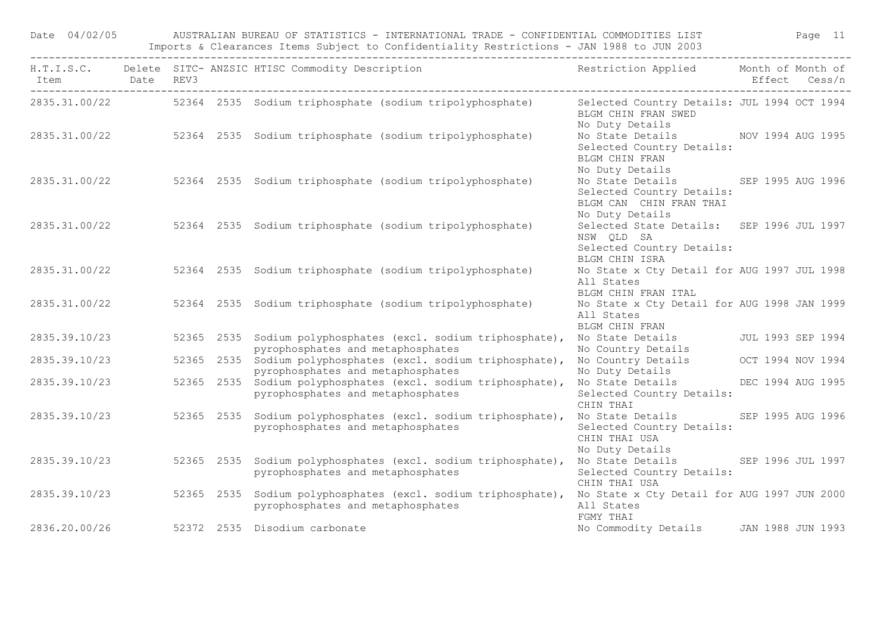| Date 04/02/05 |  |            | AUSTRALIAN BUREAU OF STATISTICS - INTERNATIONAL TRADE - CONFIDENTIAL COMMODITIES LIST STAND Page 11<br>Imports & Clearances Items Subject to Confidentiality Restrictions - JAN 1988 to JUN 2003 |                                                                                                               |  |  |
|---------------|--|------------|--------------------------------------------------------------------------------------------------------------------------------------------------------------------------------------------------|---------------------------------------------------------------------------------------------------------------|--|--|
| -------       |  |            | H.T.I.S.C. Delete SITC-ANZSIC HTISC Commodity Description and the sestriction Applied Month of Month of Month<br>Item bate REV3 between the SITC-Cess/n                                          |                                                                                                               |  |  |
|               |  |            | 2835.31.00/22 52364 2535 Sodium triphosphate (sodium tripolyphosphate)                                                                                                                           | Selected Country Details: JUL 1994 OCT 1994<br>BLGM CHIN FRAN SWED<br>No Duty Details                         |  |  |
|               |  |            | 2835.31.00/22 52364 2535 Sodium triphosphate (sodium tripolyphosphate)                                                                                                                           | No State Details MOV 1994 AUG 1995<br>Selected Country Details:<br>BLGM CHIN FRAN<br>No Duty Details          |  |  |
|               |  |            | 2835.31.00/22 52364 2535 Sodium triphosphate (sodium tripolyphosphate)                                                                                                                           | No State Details SEP 1995 AUG 1996<br>Selected Country Details:<br>BLGM CAN CHIN FRAN THAI<br>No Duty Details |  |  |
|               |  |            | 2835.31.00/22 52364 2535 Sodium triphosphate (sodium tripolyphosphate)                                                                                                                           | Selected State Details: SEP 1996 JUL 1997<br>NSW QLD SA<br>Selected Country Details:<br>BLGM CHIN ISRA        |  |  |
|               |  |            | 2835.31.00/22 52364 2535 Sodium triphosphate (sodium tripolyphosphate)                                                                                                                           | No State x Cty Detail for AUG 1997 JUL 1998<br>All States<br>BLGM CHIN FRAN ITAL                              |  |  |
|               |  |            | 2835.31.00/22 52364 2535 Sodium triphosphate (sodium tripolyphosphate)                                                                                                                           | No State x Cty Detail for AUG 1998 JAN 1999<br>All States                                                     |  |  |
|               |  |            | BLGM CHIN FRAN<br>2835.39.10/23 52365 39.10/23 52365 32365 2535 Sodium polyphosphates (excl. sodium triphosphate), No State Details<br>pyrophosphates and metaphosphates                         | No Country Details                                                                                            |  |  |
| 2835.39.10/23 |  |            | 52365 2535 Sodium polyphosphates (excl. sodium triphosphate),<br>pyrophosphates and metaphosphates                                                                                               | No Country Details OCT 1994 NOV 1994<br>No Duty Details                                                       |  |  |
| 2835.39.10/23 |  |            | 52365 2535 Sodium polyphosphates (excl. sodium triphosphate),<br>pyrophosphates and metaphosphates                                                                                               | No State Details 6 DEC 1994 AUG 1995<br>Selected Country Details:<br>CHIN THAI                                |  |  |
| 2835.39.10/23 |  | 52365 2535 | Sodium polyphosphates (excl. sodium triphosphate), No State Details SEP 1995 AUG 1996<br>pyrophosphates and metaphosphates                                                                       | Selected Country Details:<br>CHIN THAI USA<br>No Duty Details                                                 |  |  |
|               |  |            | 2835.39.10/23 52365 2535 Sodium polyphosphates (excl. sodium triphosphate), No State Details SEP 1996 JUL 1997<br>pyrophosphates and metaphosphates                                              | Selected Country Details:<br>CHIN THAI USA                                                                    |  |  |
|               |  |            | 2835.39.10/23 52365 2535 Sodium polyphosphates (excl. sodium triphosphate), No State x Cty Detail for AUG 1997 JUN 2000<br>pyrophosphates and metaphosphates                                     | All States<br>FGMY THAI                                                                                       |  |  |
| 2836.20.00/26 |  |            | 52372 2535 Disodium carbonate                                                                                                                                                                    | No Commodity Details JAN 1988 JUN 1993                                                                        |  |  |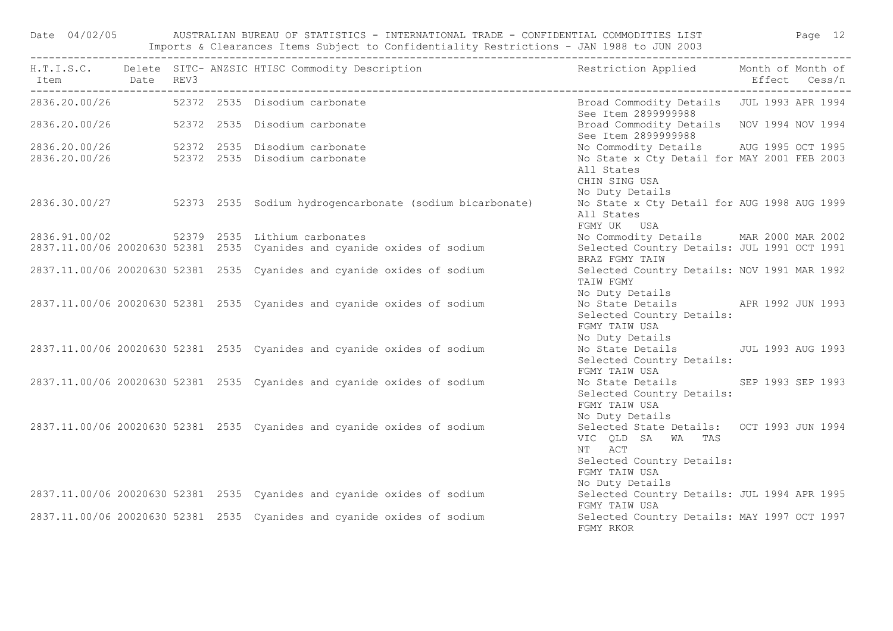Date 04/02/05 AUSTRALIAN BUREAU OF STATISTICS - INTERNATIONAL TRADE - CONFIDENTIAL COMMODITIES LIST Page 12 Imports & Clearances Items Subject to Confidentiality Restrictions - JAN 1988 to JUN 2003

| Item Date REV3 |  | H.T.I.S.C. Delete SITC-ANZSIC HTISC Commodity Description Nestriction Applied Month of Month of                        |                                                                                                                                           | Effect Cess/n |
|----------------|--|------------------------------------------------------------------------------------------------------------------------|-------------------------------------------------------------------------------------------------------------------------------------------|---------------|
|                |  | 2836.20.00/26 52372 2535 Disodium carbonate                                                                            | Broad Commodity Details JUL 1993 APR 1994<br>See Item 2899999988                                                                          |               |
|                |  | 2836.20.00/26 52372 2535 Disodium carbonate                                                                            | Broad Commodity Details NOV 1994 NOV 1994<br>See Item 2899999988                                                                          |               |
|                |  | 2836.20.00/26  52372  2535  Disodium carbonate<br>2836.20.00/26  52372  2535  Disodium carbonate                       | No Commodity Details AUG 1995 OCT 1995<br>No State x Cty Detail for MAY 2001 FEB 2003<br>All States                                       |               |
|                |  | 2836.30.00/27 52373 2535 Sodium hydrogencarbonate (sodium bicarbonate)                                                 | CHIN SING USA<br>No Duty Details<br>No State x Cty Detail for AUG 1998 AUG 1999<br>All States                                             |               |
|                |  | 2836.91.00/02 52379 2535 Lithium carbonates<br>2837.11.00/06 20020630 52381 2535 Cyanides and cyanide oxides of sodium | FGMY UK USA<br>No Commodity Details MAR 2000 MAR 2002<br>Selected Country Details: JUL 1991 OCT 1991<br>BRAZ FGMY TAIW                    |               |
|                |  | 2837.11.00/06 20020630 52381 2535 Cyanides and cyanide oxides of sodium                                                | Selected Country Details: NOV 1991 MAR 1992<br>TAIW FGMY<br>No Duty Details                                                               |               |
|                |  | 2837.11.00/06 20020630 52381 2535 Cyanides and cyanide oxides of sodium                                                | No State Details APR 1992 JUN 1993<br>Selected Country Details:<br>FGMY TAIW USA                                                          |               |
|                |  | 2837.11.00/06 20020630 52381 2535 Cyanides and cyanide oxides of sodium                                                | No Duty Details<br>No State Details JUL 1993 AUG 1993<br>Selected Country Details:<br>FGMY TAIW USA                                       |               |
|                |  | 2837.11.00/06 20020630 52381 2535 Cyanides and cyanide oxides of sodium                                                | No State Details SEP 1993 SEP 1993<br>Selected Country Details:<br>FGMY TAIW USA                                                          |               |
|                |  | 2837.11.00/06 20020630 52381 2535 Cyanides and cyanide oxides of sodium                                                | No Duty Details<br>Selected State Details: OCT 1993 JUN 1994<br>VIC QLD SA WA TAS<br>NT ACT<br>Selected Country Details:<br>FGMY TAIW USA |               |
|                |  | 2837.11.00/06 20020630 52381 2535 Cyanides and cyanide oxides of sodium                                                | No Duty Details<br>Selected Country Details: JUL 1994 APR 1995<br>FGMY TAIW USA                                                           |               |
|                |  | 2837.11.00/06 20020630 52381 2535 Cyanides and cyanide oxides of sodium                                                | Selected Country Details: MAY 1997 OCT 1997<br>FGMY RKOR                                                                                  |               |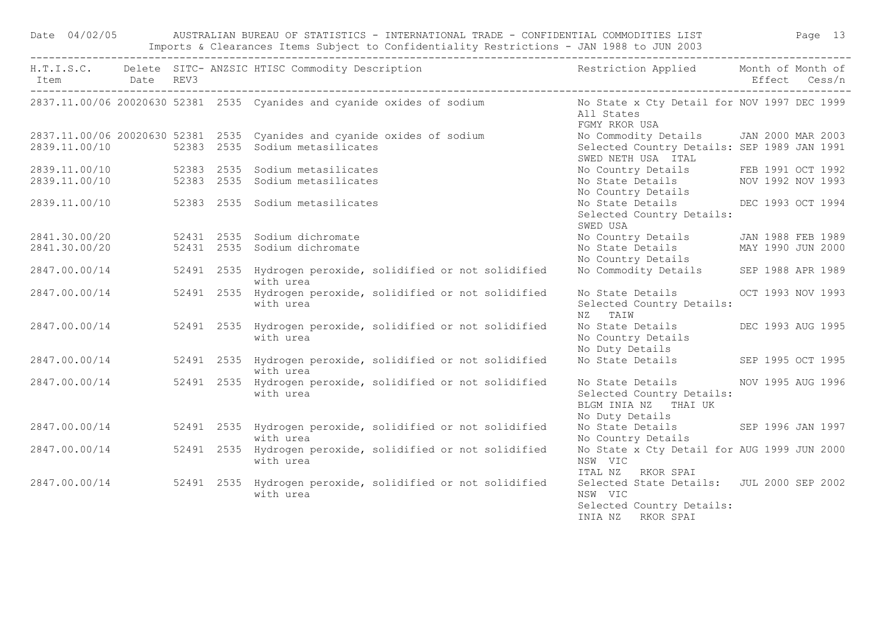| Date 04/02/05            |  |                                                                                                                          |  | AUSTRALIAN BUREAU OF STATISTICS - INTERNATIONAL TRADE - CONFIDENTIAL COMMODITIES LIST THE Rage 13<br>Imports & Clearances Items Subject to Confidentiality Restrictions - JAN 1988 to JUN 2003 |               |
|--------------------------|--|--------------------------------------------------------------------------------------------------------------------------|--|------------------------------------------------------------------------------------------------------------------------------------------------------------------------------------------------|---------------|
| Item Date REV3           |  |                                                                                                                          |  | H.T.I.S.C. Delete SITC-ANZSIC HTISC Commodity Description Nestriction Applied Month of Month of                                                                                                | Effect Cess/n |
|                          |  |                                                                                                                          |  | 2837.11.00/06 20020630 52381 2535 Cyanides and cyanide oxides of sodium No State x Cty Detail for NOV 1997 DEC 1999<br>All States<br>FGMY RKOR USA                                             |               |
|                          |  | 2837.11.00/06 20020630 52381 2535 Cyanides and cyanide oxides of sodium<br>2839.11.00/10 52383 2535 Sodium metasilicates |  | No Commodity Details JAN 2000 MAR 2003<br>Selected Country Details: SEP 1989 JAN 1991<br>SWED NETH USA ITAL                                                                                    |               |
|                          |  | 2839.11.00/10 52383 2535 Sodium metasilicates                                                                            |  |                                                                                                                                                                                                |               |
|                          |  | 2839.11.00/10 52383 2535 Sodium metasilicates                                                                            |  | No Country Details<br>No State Details<br>NOV 1992 NOV 1993<br>No Country Details                                                                                                              |               |
|                          |  | 2839.11.00/10 52383 2535 Sodium metasilicates                                                                            |  | No State Details DEC 1993 OCT 1994<br>Selected Country Details:<br>SWED USA                                                                                                                    |               |
|                          |  | 2841.30.00/20 52431 2535 Sodium dichromate                                                                               |  | No Country Details JAN 1988 FEB 1989                                                                                                                                                           |               |
|                          |  | 2841.30.00/20 52431 2535 Sodium dichromate                                                                               |  | No State Details MAY 1990 JUN 2000                                                                                                                                                             |               |
|                          |  |                                                                                                                          |  | No Country Details                                                                                                                                                                             |               |
| 2847.00.00/14            |  | 52491 2535 Hydrogen peroxide, solidified or not solidified<br>with urea                                                  |  | No Commodity Details SEP 1988 APR 1989                                                                                                                                                         |               |
| 2847.00.00/14            |  | 52491 2535 Hydrogen peroxide, solidified or not solidified<br>with urea                                                  |  | No State Details OCT 1993 NOV 1993<br>Selected Country Details:<br>NZ TAIW                                                                                                                     |               |
| 2847.00.00/14 52491 2535 |  | Hydrogen peroxide, solidified or not solidified<br>with urea                                                             |  | No State Details DEC 1993 AUG 1995<br>No Country Details<br>No Duty Details                                                                                                                    |               |
| 2847.00.00/14            |  | 52491 2535 Hydrogen peroxide, solidified or not solidified<br>with urea                                                  |  | No State Details SEP 1995 OCT 1995                                                                                                                                                             |               |
| 2847.00.00/14            |  | 52491 2535 Hydrogen peroxide, solidified or not solidified<br>with urea                                                  |  | No State Details MOV 1995 AUG 1996<br>Selected Country Details:<br>BLGM INIA NZ THAI UK<br>No Duty Details                                                                                     |               |
|                          |  | 2847.00.00/14 52491 2535 Hydrogen peroxide, solidified or not solidified<br>with urea                                    |  | No State Details SEP 1996 JAN 1997<br>No Country Details                                                                                                                                       |               |
|                          |  | 2847.00.00/14 52491 2535 Hydrogen peroxide, solidified or not solidified<br>with urea                                    |  | No State x Cty Detail for AUG 1999 JUN 2000<br>NSW VIC<br>ITAL NZ RKOR SPAI                                                                                                                    |               |
|                          |  | 2847.00.00/14 52491 2535 Hydrogen peroxide, solidified or not solidified<br>with urea                                    |  | Selected State Details: JUL 2000 SEP 2002<br>NSW VIC<br>Selected Country Details:<br>INIA NZ RKOR SPAI                                                                                         |               |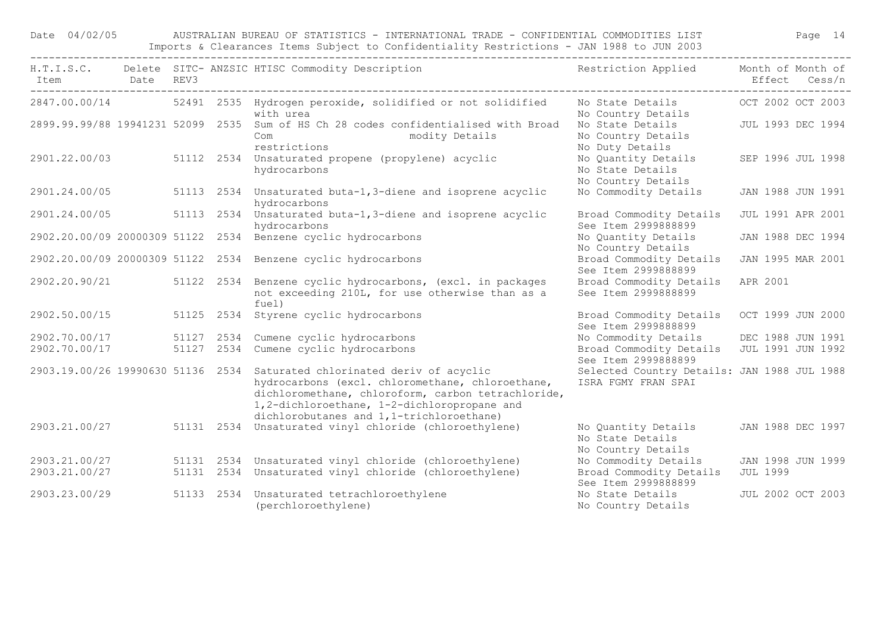Date 04/02/05 AUSTRALIAN BUREAU OF STATISTICS - INTERNATIONAL TRADE - CONFIDENTIAL COMMODITIES LIST Page 14 Imports & Clearances Items Subject to Confidentiality Restrictions - JAN 1988 to JUN 2003

| Item                              | Date REV3 |            | H.T.I.S.C. Delete SITC-ANZSIC HTISC Commodity Description and the sestriction Applied Month of Month of                                                                                                                                                                       |                                                                    |                          | Effect Cess/n     |
|-----------------------------------|-----------|------------|-------------------------------------------------------------------------------------------------------------------------------------------------------------------------------------------------------------------------------------------------------------------------------|--------------------------------------------------------------------|--------------------------|-------------------|
|                                   |           |            | 2847.00.00/14 52491 2535 Hydrogen peroxide, solidified or not solidified<br>with urea                                                                                                                                                                                         | No State Details<br>No Country Details                             | OCT 2002 OCT 2003        |                   |
|                                   |           |            | 2899.99.99/88 19941231 52099 2535 Sum of HS Ch 28 codes confidentialised with Broad<br>modity Details<br>Com<br>restrictions                                                                                                                                                  | No State Details<br>No Country Details<br>No Duty Details          |                          | JUL 1993 DEC 1994 |
|                                   |           |            | 2901.22.00/03 51112 2534 Unsaturated propene (propylene) acyclic<br>hydrocarbons                                                                                                                                                                                              | No Quantity Details<br>No State Details<br>No Country Details      | SEP 1996 JUL 1998        |                   |
| 2901.24.00/05                     |           |            | 51113 2534 Unsaturated buta-1, 3-diene and isoprene acyclic<br>hydrocarbons                                                                                                                                                                                                   | No Commodity Details                                               | JAN 1988 JUN 1991        |                   |
| 2901.24.00/05                     |           | 51113 2534 | Unsaturated buta-1, 3-diene and isoprene acyclic<br>hydrocarbons                                                                                                                                                                                                              | Broad Commodity Details<br>See Item 2999888899                     | <b>JUL 1991 APR 2001</b> |                   |
| 2902.20.00/09 20000309 51122 2534 |           |            | Benzene cyclic hydrocarbons                                                                                                                                                                                                                                                   | No Quantity Details<br>No Country Details                          | JAN 1988 DEC 1994        |                   |
|                                   |           |            | 2902.20.00/09 20000309 51122 2534 Benzene cyclic hydrocarbons                                                                                                                                                                                                                 | Broad Commodity Details<br>See Item 2999888899                     | JAN 1995 MAR 2001        |                   |
| 2902.20.90/21                     |           | 51122 2534 | Benzene cyclic hydrocarbons, (excl. in packages<br>not exceeding 210L, for use otherwise than as a<br>fuel)                                                                                                                                                                   | Broad Commodity Details<br>See Item 2999888899                     | APR 2001                 |                   |
| 2902.50.00/15                     |           |            | 51125 2534 Styrene cyclic hydrocarbons                                                                                                                                                                                                                                        | Broad Commodity Details<br>See Item 2999888899                     | OCT 1999 JUN 2000        |                   |
| 2902.70.00/17                     |           |            | 51127 2534 Cumene cyclic hydrocarbons                                                                                                                                                                                                                                         | No Commodity Details                                               | DEC 1988 JUN 1991        |                   |
| 2902.70.00/17                     |           |            | 51127 2534 Cumene cyclic hydrocarbons                                                                                                                                                                                                                                         | Broad Commodity Details<br>See Item 2999888899                     | JUL 1991 JUN 1992        |                   |
|                                   |           |            | 2903.19.00/26 19990630 51136 2534 Saturated chlorinated deriv of acyclic<br>hydrocarbons (excl. chloromethane, chloroethane,<br>dichloromethane, chloroform, carbon tetrachloride,<br>1,2-dichloroethane, 1-2-dichloropropane and<br>dichlorobutanes and 1,1-trichloroethane) | Selected Country Details: JAN 1988 JUL 1988<br>ISRA FGMY FRAN SPAI |                          |                   |
| 2903.21.00/27                     |           |            | 51131 2534 Unsaturated vinyl chloride (chloroethylene)                                                                                                                                                                                                                        | No Quantity Details<br>No State Details<br>No Country Details      |                          | JAN 1988 DEC 1997 |
| 2903.21.00/27                     |           |            | 51131 2534 Unsaturated vinyl chloride (chloroethylene)                                                                                                                                                                                                                        | No Commodity Details                                               | JAN 1998 JUN 1999        |                   |
| 2903.21.00/27                     |           |            | 51131 2534 Unsaturated vinyl chloride (chloroethylene)                                                                                                                                                                                                                        | Broad Commodity Details<br>See Item 2999888899                     | <b>JUL 1999</b>          |                   |
| 2903.23.00/29                     |           | 51133 2534 | Unsaturated tetrachloroethylene<br>(perchloroethylene)                                                                                                                                                                                                                        | No State Details<br>No Country Details                             |                          | JUL 2002 OCT 2003 |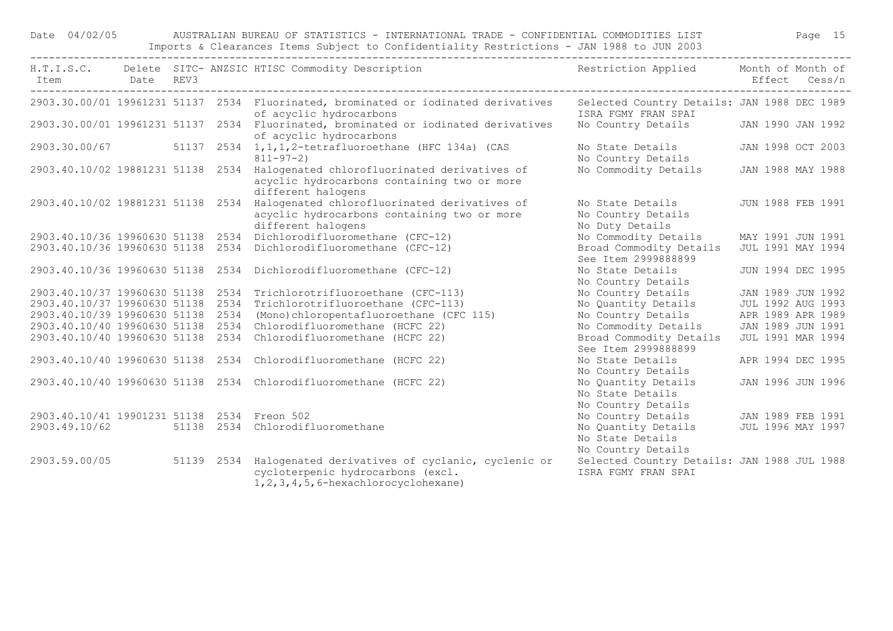## Date 04/02/05 AUSTRALIAN BUREAU OF STATISTICS - INTERNATIONAL TRADE - CONFIDENTIAL COMMODITIES LIST Page 15 Imports & Clearances Items Subject to Confidentiality Restrictions - JAN 1988 to JUN 2003

| Item Date REV3                              |  | H.T.I.S.C. Delete SITC- ANZSIC HTISC Commodity Description                                                                                          | Restriction Applied Month of Month of                              |                   | Effect Cess/n |
|---------------------------------------------|--|-----------------------------------------------------------------------------------------------------------------------------------------------------|--------------------------------------------------------------------|-------------------|---------------|
|                                             |  | 2903.30.00/01 19961231 51137 2534 Fluorinated, brominated or iodinated derivatives<br>of acyclic hydrocarbons                                       | Selected Country Details: JAN 1988 DEC 1989<br>ISRA FGMY FRAN SPAI |                   |               |
|                                             |  | 2903.30.00/01 19961231 51137 2534 Fluorinated, brominated or iodinated derivatives<br>of acyclic hydrocarbons                                       | No Country Details JAN 1990 JAN 1992                               |                   |               |
|                                             |  | 2903.30.00/67 51137 2534 1,1,1,2-tetrafluoroethane (HFC 134a) (CAS<br>$811 - 97 - 2$                                                                | No State Details<br>No Country Details                             | JAN 1998 OCT 2003 |               |
|                                             |  | 2903.40.10/02 19881231 51138 2534 Halogenated chlorofluorinated derivatives of<br>acyclic hydrocarbons containing two or more<br>different halogens | No Commodity Details                                               | JAN 1988 MAY 1988 |               |
| 2903.40.10/02 19881231 51138 2534           |  | Halogenated chlorofluorinated derivatives of<br>acyclic hydrocarbons containing two or more<br>different halogens                                   | No State Details<br>No Country Details<br>No Duty Details          | JUN 1988 FEB 1991 |               |
| 2903.40.10/36 19960630 51138 2534           |  | Dichlorodifluoromethane (CFC-12)                                                                                                                    | No Commodity Details                                               | MAY 1991 JUN 1991 |               |
|                                             |  | 2903.40.10/36 19960630 51138 2534 Dichlorodifluoromethane (CFC-12)                                                                                  | Broad Commodity Details<br>See Item 2999888899                     | JUL 1991 MAY 1994 |               |
|                                             |  | 2903.40.10/36 19960630 51138 2534 Dichlorodifluoromethane (CFC-12)                                                                                  | No State Details<br>No Country Details                             | JUN 1994 DEC 1995 |               |
|                                             |  | 2903.40.10/37 19960630 51138 2534 Trichlorotrifluoroethane (CFC-113)                                                                                | No Country Details                                                 | JAN 1989 JUN 1992 |               |
|                                             |  | 2903.40.10/37 19960630 51138 2534 Trichlorotrifluoroethane (CFC-113)                                                                                | No Quantity Details                                                | JUL 1992 AUG 1993 |               |
| 2903.40.10/39 19960630 51138 2534           |  | (Mono) chloropentafluoroethane (CFC 115)                                                                                                            | No Country Details                                                 | APR 1989 APR 1989 |               |
| 2903.40.10/40 19960630 51138 2534           |  | Chlorodifluoromethane (HCFC 22)                                                                                                                     | No Commodity Details                                               | JAN 1989 JUN 1991 |               |
| 2903.40.10/40 19960630 51138 2534           |  | Chlorodifluoromethane (HCFC 22)                                                                                                                     | Broad Commodity Details<br>See Item 2999888899                     | JUL 1991 MAR 1994 |               |
|                                             |  | 2903.40.10/40 19960630 51138 2534 Chlorodifluoromethane (HCFC 22)                                                                                   | No State Details<br>No Country Details                             | APR 1994 DEC 1995 |               |
|                                             |  | 2903.40.10/40 19960630 51138 2534 Chlorodifluoromethane (HCFC 22)                                                                                   | No Quantity Details<br>No State Details<br>No Country Details      | JAN 1996 JUN 1996 |               |
| 2903.40.10/41 19901231 51138 2534 Freon 502 |  |                                                                                                                                                     | No Country Details                                                 | JAN 1989 FEB 1991 |               |
| 2903.49.10/62                               |  | 51138 2534 Chlorodifluoromethane                                                                                                                    | No Quantity Details<br>No State Details<br>No Country Details      | JUL 1996 MAY 1997 |               |
| 2903.59.00/05                               |  | 51139 2534 Halogenated derivatives of cyclanic, cyclenic or<br>cycloterpenic hydrocarbons (excl.<br>$1, 2, 3, 4, 5, 6$ -hexachlorocyclohexane)      | Selected Country Details: JAN 1988 JUL 1988<br>ISRA FGMY FRAN SPAI |                   |               |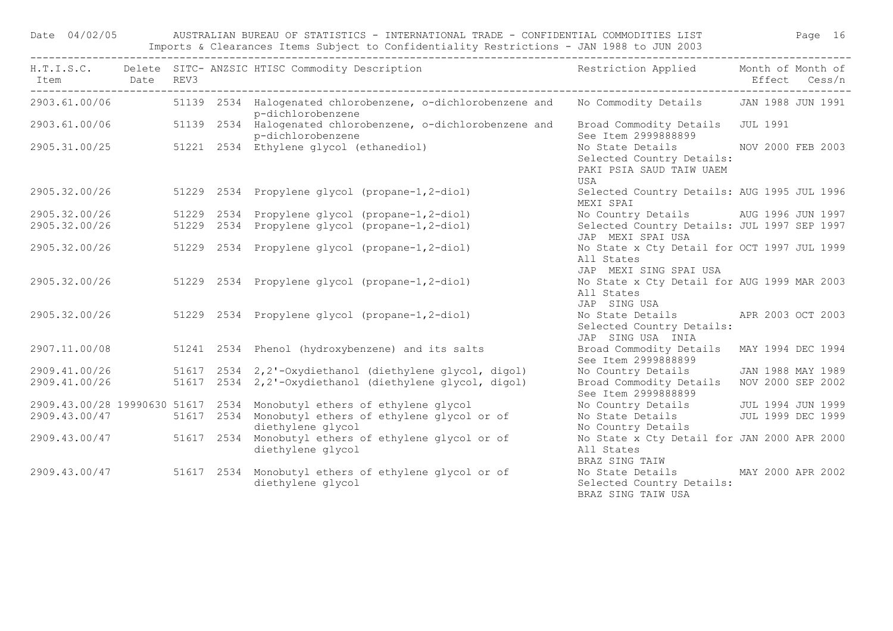| Date 04/02/05            |  | AUSTRALIAN BUREAU OF STATISTICS - INTERNATIONAL TRADE - CONFIDENTIAL COMMODITIES LIST<br>Imports & Clearances Items Subject to Confidentiality Restrictions - JAN 1988 to JUN 2003 |                                                                                                |                                                                                                       |               |  |  |  |  |
|--------------------------|--|------------------------------------------------------------------------------------------------------------------------------------------------------------------------------------|------------------------------------------------------------------------------------------------|-------------------------------------------------------------------------------------------------------|---------------|--|--|--|--|
| Item Date REV3           |  |                                                                                                                                                                                    | H.T.I.S.C. Delete SITC- ANZSIC HTISC Commodity Description                                     | Restriction Applied Month of Month of                                                                 | Effect Cess/n |  |  |  |  |
|                          |  |                                                                                                                                                                                    | 2903.61.00/06 51139 2534 Halogenated chlorobenzene, o-dichlorobenzene and<br>p-dichlorobenzene | No Commodity Details JAN 1988 JUN 1991                                                                |               |  |  |  |  |
|                          |  |                                                                                                                                                                                    | 2903.61.00/06 51139 2534 Halogenated chlorobenzene, o-dichlorobenzene and<br>p-dichlorobenzene | Broad Commodity Details JUL 1991<br>See Item 2999888899                                               |               |  |  |  |  |
|                          |  |                                                                                                                                                                                    | $2905.31.00/25$ 51221 2534 Ethylene glycol (ethanediol)                                        | No State Details NOV 2000 FEB 2003<br>Selected Country Details:<br>PAKI PSIA SAUD TAIW UAEM<br>USA    |               |  |  |  |  |
| 2905.32.00/26            |  |                                                                                                                                                                                    | 51229 2534 Propylene glycol (propane-1,2-diol)                                                 | Selected Country Details: AUG 1995 JUL 1996<br>MEXI SPAI                                              |               |  |  |  |  |
| 2905.32.00/26            |  |                                                                                                                                                                                    | 51229 2534 Propylene glycol (propane-1,2-diol)                                                 | No Country Details AUG 1996 JUN 1997                                                                  |               |  |  |  |  |
| 2905.32.00/26            |  |                                                                                                                                                                                    | 51229 2534 Propylene glycol (propane-1,2-diol)                                                 | Selected Country Details: JUL 1997 SEP 1997<br>JAP MEXI SPAI USA                                      |               |  |  |  |  |
|                          |  |                                                                                                                                                                                    | 2905.32.00/26 51229 2534 Propylene glycol (propane-1,2-diol)                                   | No State x Cty Detail for OCT 1997 JUL 1999<br>All States<br>JAP MEXI SING SPAI USA                   |               |  |  |  |  |
|                          |  |                                                                                                                                                                                    | 2905.32.00/26 51229 2534 Propylene glycol (propane-1,2-diol)                                   | No State x Cty Detail for AUG 1999 MAR 2003<br>All States<br>JAP SING USA                             |               |  |  |  |  |
| 2905.32.00/26            |  |                                                                                                                                                                                    | 51229 2534 Propylene glycol (propane-1,2-diol)                                                 | No State Details APR 2003 OCT 2003<br>Selected Country Details:<br>JAP SING USA INIA                  |               |  |  |  |  |
| 2907.11.00/08            |  |                                                                                                                                                                                    | 51241 2534 Phenol (hydroxybenzene) and its salts                                               | Broad Commodity Details MAY 1994 DEC 1994<br>See Item 2999888899                                      |               |  |  |  |  |
| 2909.41.00/26            |  |                                                                                                                                                                                    | 51617 2534 2,2'-Oxydiethanol (diethylene glycol, digol)                                        | No Country Details JAN 1988 MAY 1989                                                                  |               |  |  |  |  |
| 2909.41.00/26            |  |                                                                                                                                                                                    | 51617 2534 2,2'-Oxydiethanol (diethylene glycol, digol)                                        | Broad Commodity Details NOV 2000 SEP 2002<br>See Item 2999888899                                      |               |  |  |  |  |
|                          |  |                                                                                                                                                                                    | 2909.43.00/28 19990630 51617 2534 Monobutyl ethers of ethylene glycol                          |                                                                                                       |               |  |  |  |  |
|                          |  |                                                                                                                                                                                    | 2909.43.00/47 51617 2534 Monobutyl ethers of ethylene glycol or of<br>diethylene glycol        | No Country Details<br>No State Details<br>No State Details<br>UUL 1999 DEC 1999<br>No Country Details |               |  |  |  |  |
| 2909.43.00/47 51617 2534 |  |                                                                                                                                                                                    | Monobutyl ethers of ethylene glycol or of<br>diethylene glycol                                 | No State x Cty Detail for JAN 2000 APR 2000<br>All States<br>BRAZ SING TAIW                           |               |  |  |  |  |
|                          |  |                                                                                                                                                                                    | 2909.43.00/47 51617 2534 Monobutyl ethers of ethylene glycol or of<br>diethylene glycol        | No State Details MAY 2000 APR 2002<br>Selected Country Details:<br>BRAZ SING TAIW USA                 |               |  |  |  |  |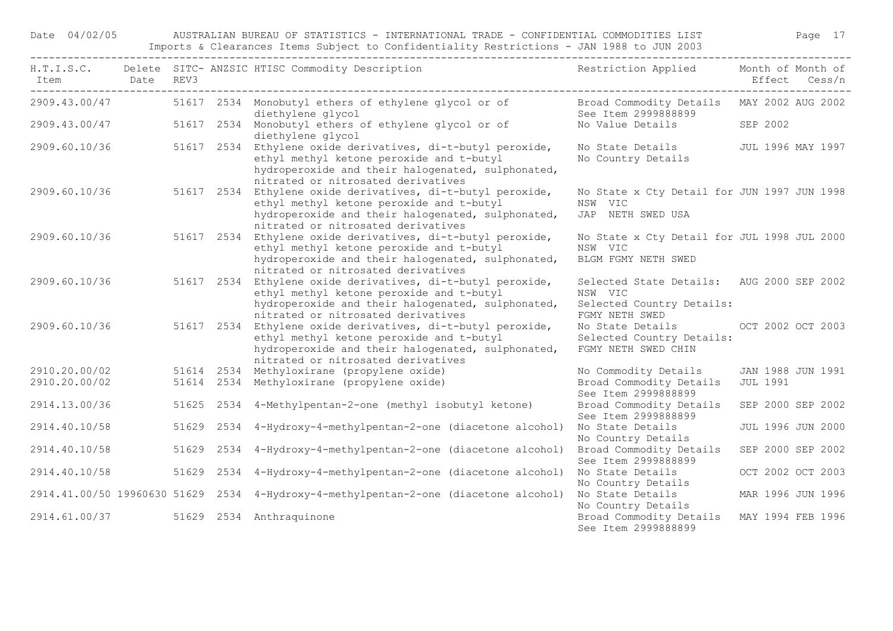Date 04/02/05 AUSTRALIAN BUREAU OF STATISTICS - INTERNATIONAL TRADE - CONFIDENTIAL COMMODITIES LIST Page 17 Imports & Clearances Items Subject to Confidentiality Restrictions - JAN 1988 to JUN 2003

| Item          | Date REV3 |  | H.T.I.S.C. Delete SITC- ANZSIC HTISC Commodity Description                                                                                                                                         | Restriction Applied Month of Month of                                                               | Effect Cess/n     |  |
|---------------|-----------|--|----------------------------------------------------------------------------------------------------------------------------------------------------------------------------------------------------|-----------------------------------------------------------------------------------------------------|-------------------|--|
| 2909.43.00/47 |           |  | 51617 2534 Monobutyl ethers of ethylene glycol or of<br>diethylene glycol                                                                                                                          | Broad Commodity Details MAY 2002 AUG 2002<br>See Item 2999888899                                    |                   |  |
| 2909.43.00/47 |           |  | 51617 2534 Monobutyl ethers of ethylene glycol or of<br>diethylene glycol                                                                                                                          | No Value Details                                                                                    | SEP 2002          |  |
| 2909.60.10/36 |           |  | 51617 2534 Ethylene oxide derivatives, di-t-butyl peroxide,<br>ethyl methyl ketone peroxide and t-butyl<br>hydroperoxide and their halogenated, sulphonated,<br>nitrated or nitrosated derivatives | No State Details<br>No Country Details                                                              | JUL 1996 MAY 1997 |  |
| 2909.60.10/36 |           |  | 51617 2534 Ethylene oxide derivatives, di-t-butyl peroxide,<br>ethyl methyl ketone peroxide and t-butyl<br>hydroperoxide and their halogenated, sulphonated,<br>nitrated or nitrosated derivatives | No State x Cty Detail for JUN 1997 JUN 1998<br>NSW VIC<br>JAP NETH SWED USA                         |                   |  |
| 2909.60.10/36 |           |  | 51617 2534 Ethylene oxide derivatives, di-t-butyl peroxide,<br>ethyl methyl ketone peroxide and t-butyl<br>hydroperoxide and their halogenated, sulphonated,<br>nitrated or nitrosated derivatives | No State x Cty Detail for JUL 1998 JUL 2000<br>NSW VIC<br>BLGM FGMY NETH SWED                       |                   |  |
| 2909.60.10/36 |           |  | 51617 2534 Ethylene oxide derivatives, di-t-butyl peroxide,<br>ethyl methyl ketone peroxide and t-butyl<br>hydroperoxide and their halogenated, sulphonated,<br>nitrated or nitrosated derivatives | Selected State Details: AUG 2000 SEP 2002<br>NSW VIC<br>Selected Country Details:<br>FGMY NETH SWED |                   |  |
| 2909.60.10/36 |           |  | 51617 2534 Ethylene oxide derivatives, di-t-butyl peroxide,<br>ethyl methyl ketone peroxide and t-butyl<br>hydroperoxide and their halogenated, sulphonated,<br>nitrated or nitrosated derivatives | No State Details<br>Selected Country Details:<br>FGMY NETH SWED CHIN                                | OCT 2002 OCT 2003 |  |
| 2910.20.00/02 |           |  | 51614 2534 Methyloxirane (propylene oxide)                                                                                                                                                         | No Commodity Details                                                                                | JAN 1988 JUN 1991 |  |
| 2910.20.00/02 |           |  | 51614 2534 Methyloxirane (propylene oxide)                                                                                                                                                         | Broad Commodity Details<br>See Item 2999888899                                                      | <b>JUL 1991</b>   |  |
| 2914.13.00/36 |           |  | 51625 2534 4-Methylpentan-2-one (methyl isobutyl ketone)                                                                                                                                           | Broad Commodity Details<br>See Item 2999888899                                                      | SEP 2000 SEP 2002 |  |
| 2914.40.10/58 |           |  | 51629  2534  4-Hydroxy-4-methylpentan-2-one (diacetone alcohol)                                                                                                                                    | No State Details<br>No Country Details                                                              | JUL 1996 JUN 2000 |  |
| 2914.40.10/58 |           |  | 51629 2534 4-Hydroxy-4-methylpentan-2-one (diacetone alcohol)                                                                                                                                      | Broad Commodity Details<br>See Item 2999888899                                                      | SEP 2000 SEP 2002 |  |
| 2914.40.10/58 |           |  | 51629 2534 4-Hydroxy-4-methylpentan-2-one (diacetone alcohol)                                                                                                                                      | No State Details<br>No Country Details                                                              | OCT 2002 OCT 2003 |  |
|               |           |  | 2914.41.00/50 19960630 51629 2534 4-Hydroxy-4-methylpentan-2-one (diacetone alcohol)                                                                                                               | No State Details<br>No Country Details                                                              | MAR 1996 JUN 1996 |  |
| 2914.61.00/37 |           |  | 51629 2534 Anthraquinone                                                                                                                                                                           | Broad Commodity Details<br>See Item 2999888899                                                      | MAY 1994 FEB 1996 |  |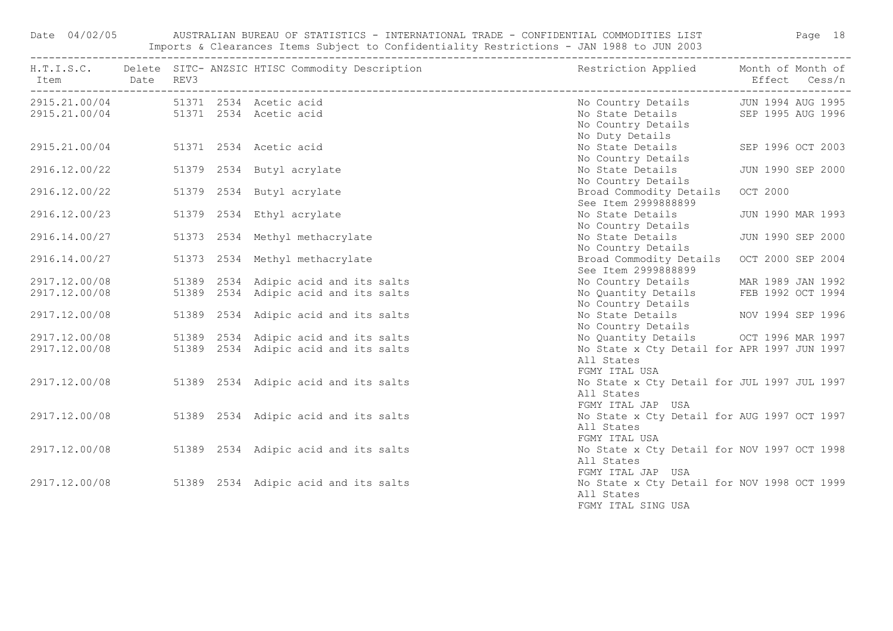Date 04/02/05 AUSTRALIAN BUREAU OF STATISTICS - INTERNATIONAL TRADE - CONFIDENTIAL COMMODITIES LIST Page 18 Imports & Clearances Items Subject to Confidentiality Restrictions - JAN 1988 to JUN 2003

| Item Date REV3                                                               |  | H.T.I.S.C. Delete SITC-ANZSIC HTISC Commodity Description Nestriction Applied Month of Month of |                                                                                                                     | Effect Cess/n     |
|------------------------------------------------------------------------------|--|-------------------------------------------------------------------------------------------------|---------------------------------------------------------------------------------------------------------------------|-------------------|
| 2915.21.00/04 51371 2534 Acetic acid<br>2915.21.00/04 51371 2534 Acetic acid |  |                                                                                                 | No Country Details<br>No Duty Details                                                                               |                   |
| 2915.21.00/04 51371 2534 Acetic acid                                         |  |                                                                                                 | No State Details SEP 1996 OCT 2003<br>No Country Details                                                            |                   |
| 2916.12.00/22                                                                |  | 51379 2534 Butyl acrylate                                                                       | No State Details<br>No Country Details                                                                              | JUN 1990 SEP 2000 |
| 2916.12.00/22                                                                |  | 51379 2534 Butyl acrylate                                                                       | Broad Commodity Details OCT 2000<br>See Item 2999888899                                                             |                   |
| 2916.12.00/23                                                                |  | 51379 2534 Ethyl acrylate                                                                       | No State Details<br>No Country Details                                                                              | JUN 1990 MAR 1993 |
| 2916.14.00/27                                                                |  | 51373 2534 Methyl methacrylate                                                                  | No State Details<br>No Country Details                                                                              | JUN 1990 SEP 2000 |
| 2916.14.00/27                                                                |  | 51373 2534 Methyl methacrylate                                                                  | Broad Commodity Details OCT 2000 SEP 2004<br>See Item 2999888899                                                    |                   |
| 2917.12.00/08<br>2917.12.00/08                                               |  | 51389 2534 Adipic acid and its salts<br>51389 2534 Adipic acid and its salts                    | No Country Details MAR 1989 JAN 1992<br>No Quantity Details FEB 1992 OCT 1994                                       |                   |
| 2917.12.00/08                                                                |  | 51389 2534 Adipic acid and its salts                                                            | No Country Details<br>No State Details MOV 1994 SEP 1996<br>No Country Details                                      |                   |
| 2917.12.00/08<br>2917.12.00/08                                               |  | 51389 2534 Adipic acid and its salts<br>51389 2534 Adipic acid and its salts                    | No Quantity Details OCT 1996 MAR 1997<br>No State x Cty Detail for APR 1997 JUN 1997<br>All States<br>FGMY ITAL USA |                   |
|                                                                              |  | 2917.12.00/08 51389 2534 Adipic acid and its salts                                              | No State x Cty Detail for JUL 1997 JUL 1997<br>All States<br>FGMY ITAL JAP USA                                      |                   |
|                                                                              |  | 2917.12.00/08 51389 2534 Adipic acid and its salts                                              | No State x Cty Detail for AUG 1997 OCT 1997<br>All States<br>FGMY ITAL USA                                          |                   |
|                                                                              |  | 2917.12.00/08 51389 2534 Adipic acid and its salts                                              | No State x Cty Detail for NOV 1997 OCT 1998<br>All States<br>FGMY ITAL JAP USA                                      |                   |
|                                                                              |  | 2917.12.00/08 51389 2534 Adipic acid and its salts                                              | No State x Cty Detail for NOV 1998 OCT 1999<br>All States<br>FGMY ITAL SING USA                                     |                   |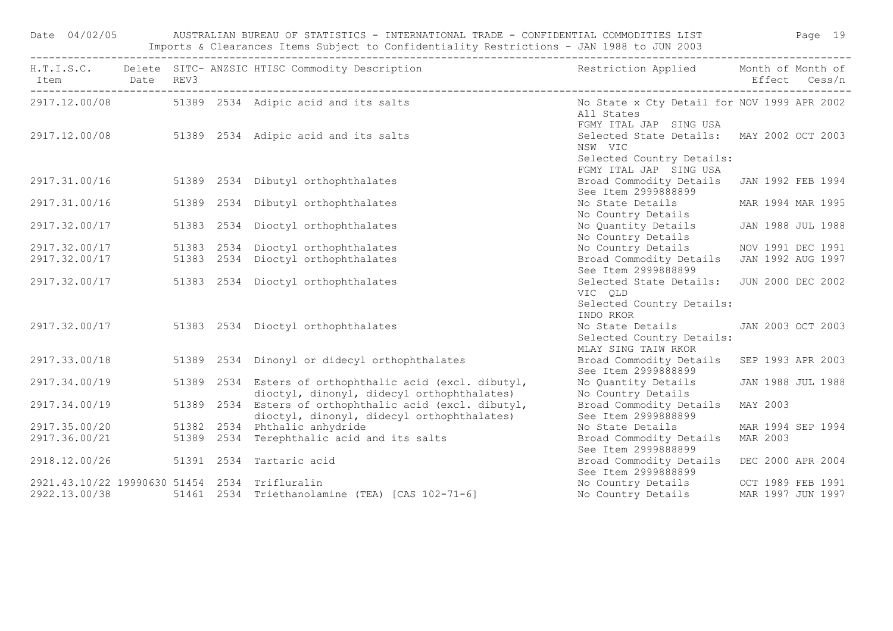| Date 04/02/05                                 |            | AUSTRALIAN BUREAU OF STATISTICS - INTERNATIONAL TRADE - CONFIDENTIAL COMMODITIES LIST FAGE 19<br>Imports & Clearances Items Subject to Confidentiality Restrictions - JAN 1988 to JUN 2003 |                                                                                                             |          |                   |
|-----------------------------------------------|------------|--------------------------------------------------------------------------------------------------------------------------------------------------------------------------------------------|-------------------------------------------------------------------------------------------------------------|----------|-------------------|
|                                               |            | H.T.I.S.C. Delete SITC-ANZSIC HTISC Commodity Description The Sestriction Applied Month of Month of                                                                                        |                                                                                                             |          |                   |
|                                               |            | 2917.12.00/08 51389 2534 Adipic acid and its salts No State x Cty Detail for NOV 1999 APR 2002                                                                                             | All States<br>FGMY ITAL JAP SING USA                                                                        |          |                   |
|                                               |            | 2917.12.00/08 51389 2534 Adipic acid and its salts                                                                                                                                         | Selected State Details: MAY 2002 OCT 2003<br>NSW VIC<br>Selected Country Details:<br>FGMY ITAL JAP SING USA |          |                   |
|                                               |            | 2917.31.00/16 51389 2534 Dibutyl orthophthalates                                                                                                                                           | Broad Commodity Details JAN 1992 FEB 1994<br>See Item 2999888899                                            |          |                   |
| 2917.31.00/16                                 | 51389 2534 | Dibutyl orthophthalates                                                                                                                                                                    | No State Details MAR 1994 MAR 1995<br>No Country Details                                                    |          |                   |
| 2917.32.00/17                                 |            | 51383 2534 Dioctyl orthophthalates                                                                                                                                                         | No Quantity Details JAN 1988 JUL 1988<br>No Country Details                                                 |          |                   |
|                                               |            | 2917.32.00/17 51383 2534 Dioctyl orthophthalates                                                                                                                                           | No Country Details NOV 1991 DEC 1991                                                                        |          |                   |
| 2917.32.00/17                                 |            | 51383 2534 Dioctyl orthophthalates                                                                                                                                                         | Broad Commodity Details JAN 1992 AUG 1997<br>See Item 2999888899                                            |          |                   |
|                                               |            | 2917.32.00/17 51383 2534 Dioctyl orthophthalates                                                                                                                                           | Selected State Details: JUN 2000 DEC 2002<br>VIC QLD<br>Selected Country Details:<br>INDO RKOR              |          |                   |
|                                               |            | 2917.32.00/17 51383 2534 Dioctyl orthophthalates                                                                                                                                           | No State Details<br>Selected Country Details:<br>MLAY SING TAIW RKOR                                        |          | JAN 2003 OCT 2003 |
| 2917.33.00/18                                 |            | 51389 2534 Dinonyl or didecyl orthophthalates                                                                                                                                              | Broad Commodity Details<br>See Item 2999888899                                                              |          | SEP 1993 APR 2003 |
| 2917.34.00/19                                 |            | 51389 2534 Esters of orthophthalic acid (excl. dibutyl,<br>dioctyl, dinonyl, didecyl orthophthalates)                                                                                      | No Quantity Details<br>No Country Details                                                                   |          | JAN 1988 JUL 1988 |
| 2917.34.00/19                                 |            | 51389 2534 Esters of orthophthalic acid (excl. dibutyl,<br>dioctyl, dinonyl, didecyl orthophthalates)                                                                                      | Broad Commodity Details<br>See Item 2999888899                                                              | MAY 2003 |                   |
| 2917.35.00/20                                 |            | 51382 2534 Phthalic anhydride                                                                                                                                                              | No State Details                                                                                            |          | MAR 1994 SEP 1994 |
| 2917.36.00/21                                 |            | 51389 2534 Terephthalic acid and its salts                                                                                                                                                 | Broad Commodity Details<br>See Item 2999888899                                                              | MAR 2003 |                   |
| 2918.12.00/26 51391 2534 Tartaric acid        |            |                                                                                                                                                                                            | Broad Commodity Details<br>See Item 2999888899                                                              |          | DEC 2000 APR 2004 |
| 2921.43.10/22 19990630 51454 2534 Trifluralin |            |                                                                                                                                                                                            | No Country Details OCT 1989 FEB 1991                                                                        |          |                   |
|                                               |            | 2922.13.00/38 51461 2534 Triethanolamine (TEA) [CAS 102-71-6]                                                                                                                              | No Country Details MAR 1997 JUN 1997                                                                        |          |                   |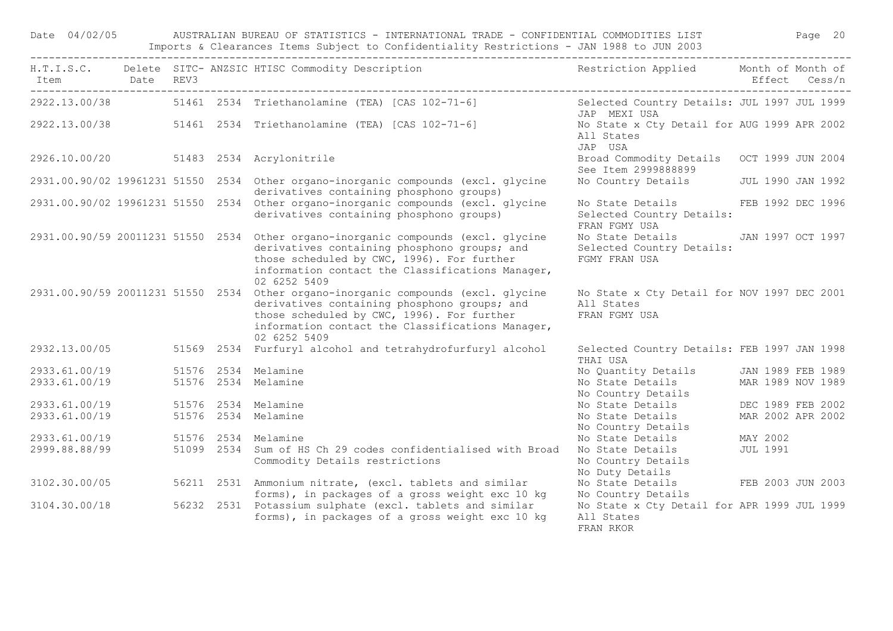Date 04/02/05 AUSTRALIAN BUREAU OF STATISTICS - INTERNATIONAL TRADE - CONFIDENTIAL COMMODITIES LIST Page 20 Imports & Clearances Items Subject to Confidentiality Restrictions - JAN 1988 to JUN 2003

| Item Date REV3 |  | H.T.I.S.C. Delete SITC-ANZSIC HTISC Commodity Description Nestriction Applied Month of Month of                                                                                                                                                     |                                                                                  |                   |
|----------------|--|-----------------------------------------------------------------------------------------------------------------------------------------------------------------------------------------------------------------------------------------------------|----------------------------------------------------------------------------------|-------------------|
|                |  |                                                                                                                                                                                                                                                     | Selected Country Details: JUL 1997 JUL 1999                                      |                   |
|                |  | 2922.13.00/38 51461 2534 Triethanolamine (TEA) [CAS 102-71-6]                                                                                                                                                                                       | JAP MEXI USA                                                                     |                   |
|                |  | 2922.13.00/38 51461 2534 Triethanolamine (TEA) [CAS 102-71-6]                                                                                                                                                                                       | No State x Cty Detail for AUG 1999 APR 2002<br>All States<br>JAP USA             |                   |
|                |  | 2926.10.00/20 51483 2534 Acrylonitrile                                                                                                                                                                                                              | Broad Commodity Details<br>See Item 2999888899                                   | OCT 1999 JUN 2004 |
|                |  | 2931.00.90/02 19961231 51550 2534 Other organo-inorganic compounds (excl. glycine<br>derivatives containing phosphono groups)                                                                                                                       | No Country Details JUL 1990 JAN 1992                                             |                   |
|                |  | 2931.00.90/02 19961231 51550 2534 Other organo-inorganic compounds (excl. glycine<br>derivatives containing phosphono groups)                                                                                                                       | No State Details FEB 1992 DEC 1996<br>Selected Country Details:<br>FRAN FGMY USA |                   |
|                |  | 2931.00.90/59 20011231 51550 2534 Other organo-inorganic compounds (excl. glycine<br>derivatives containing phosphono groups; and<br>those scheduled by CWC, 1996). For further<br>information contact the Classifications Manager,<br>02 6252 5409 | No State Details JAN 1997 OCT 1997<br>Selected Country Details:<br>FGMY FRAN USA |                   |
|                |  | 2931.00.90/59 20011231 51550 2534 Other organo-inorganic compounds (excl. glycine<br>derivatives containing phosphono groups; and<br>those scheduled by CWC, 1996). For further<br>information contact the Classifications Manager,<br>02 6252 5409 | No State x Cty Detail for NOV 1997 DEC 2001<br>All States<br>FRAN FGMY USA       |                   |
|                |  | 2932.13.00/05 51569 2534 Furfuryl alcohol and tetrahydrofurfuryl alcohol                                                                                                                                                                            | Selected Country Details: FEB 1997 JAN 1998<br>THAI USA                          |                   |
| 2933.61.00/19  |  | 51576 2534 Melamine                                                                                                                                                                                                                                 | No Quantity Details JAN 1989 FEB 1989                                            |                   |
| 2933.61.00/19  |  | 51576 2534 Melamine                                                                                                                                                                                                                                 | No State Details MAR 1989 NOV 1989<br>No Country Details                         |                   |
| 2933.61.00/19  |  | 51576 2534 Melamine                                                                                                                                                                                                                                 | No State Details                                                                 | DEC 1989 FEB 2002 |
| 2933.61.00/19  |  | 51576 2534 Melamine                                                                                                                                                                                                                                 | No State Details<br>No Country Details                                           | MAR 2002 APR 2002 |
| 2933.61.00/19  |  | 51576 2534 Melamine                                                                                                                                                                                                                                 | No State Details<br>MAY 2002                                                     |                   |
| 2999.88.88/99  |  | 51099 2534 Sum of HS Ch 29 codes confidentialised with Broad<br>Commodity Details restrictions                                                                                                                                                      | JUL 1991<br>No State Details<br>No Country Details<br>No Duty Details            |                   |
| 3102.30.00/05  |  | 56211 2531 Ammonium nitrate, (excl. tablets and similar<br>forms), in packages of a gross weight exc 10 kg                                                                                                                                          | No State Details FEB 2003 JUN 2003<br>No Country Details                         |                   |
| 3104.30.00/18  |  | 56232 2531 Potassium sulphate (excl. tablets and similar<br>forms), in packages of a gross weight exc 10 kg                                                                                                                                         | No State x Cty Detail for APR 1999 JUL 1999<br>All States<br>FRAN RKOR           |                   |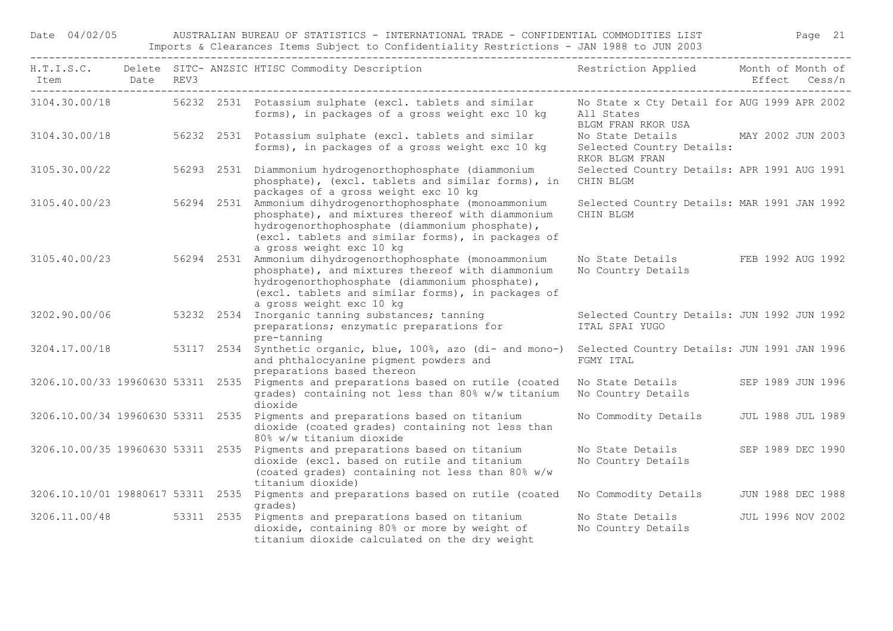Date 04/02/05 AUSTRALIAN BUREAU OF STATISTICS - INTERNATIONAL TRADE - CONFIDENTIAL COMMODITIES LIST Page 21 Imports & Clearances Items Subject to Confidentiality Restrictions - JAN 1988 to JUN 2003

|                                   |  | H.T.I.S.C. Delete SITC-ANZSIC HTISC Commodity Description The Restriction Applied Month of Month of                                                                                                                                               |                                                                                   |                          |  |
|-----------------------------------|--|---------------------------------------------------------------------------------------------------------------------------------------------------------------------------------------------------------------------------------------------------|-----------------------------------------------------------------------------------|--------------------------|--|
| 3104.30.00/18                     |  | 56232 2531 Potassium sulphate (excl. tablets and similar<br>forms), in packages of a gross weight exc 10 kg                                                                                                                                       | No State x Cty Detail for AUG 1999 APR 2002<br>All States<br>BLGM FRAN RKOR USA   |                          |  |
| 3104.30.00/18                     |  | 56232 2531 Potassium sulphate (excl. tablets and similar<br>forms), in packages of a gross weight exc 10 kg                                                                                                                                       | No State Details MAY 2002 JUN 2003<br>Selected Country Details:<br>RKOR BLGM FRAN |                          |  |
| 3105.30.00/22                     |  | 56293 2531 Diammonium hydrogenorthophosphate (diammonium<br>phosphate), (excl. tablets and similar forms), in<br>packages of a gross weight exc 10 kg                                                                                             | Selected Country Details: APR 1991 AUG 1991<br>CHIN BLGM                          |                          |  |
| 3105.40.00/23                     |  | 56294 2531 Ammonium dihydrogenorthophosphate (monoammonium<br>phosphate), and mixtures thereof with diammonium<br>hydrogenorthophosphate (diammonium phosphate),<br>(excl. tablets and similar forms), in packages of<br>a gross weight exc 10 kg | Selected Country Details: MAR 1991 JAN 1992<br>CHIN BLGM                          |                          |  |
| 3105.40.00/23                     |  | 56294 2531 Ammonium dihydrogenorthophosphate (monoammonium<br>phosphate), and mixtures thereof with diammonium<br>hydrogenorthophosphate (diammonium phosphate),<br>(excl. tablets and similar forms), in packages of<br>a gross weight exc 10 kg | No State Details FEB 1992 AUG 1992<br>No Country Details                          |                          |  |
| 3202.90.00/06                     |  | 53232 2534 Inorganic tanning substances; tanning<br>preparations; enzymatic preparations for<br>pre-tanning                                                                                                                                       | Selected Country Details: JUN 1992 JUN 1992<br>ITAL SPAI YUGO                     |                          |  |
|                                   |  | 3204.17.00/18 53117 2534 Synthetic organic, blue, 100%, azo (di- and mono-)<br>and phthalocyanine pigment powders and<br>preparations based thereon                                                                                               | Selected Country Details: JUN 1991 JAN 1996<br>FGMY ITAL                          |                          |  |
|                                   |  | 3206.10.00/33 19960630 53311 2535 Pigments and preparations based on rutile (coated<br>grades) containing not less than 80% w/w titanium<br>dioxide                                                                                               | No State Details<br>No Country Details                                            | SEP 1989 JUN 1996        |  |
|                                   |  | 3206.10.00/34 19960630 53311 2535 Pigments and preparations based on titanium<br>dioxide (coated grades) containing not less than<br>80% w/w titanium dioxide                                                                                     | No Commodity Details                                                              | <b>JUL 1988 JUL 1989</b> |  |
|                                   |  | 3206.10.00/35 19960630 53311 2535 Pigments and preparations based on titanium<br>dioxide (excl. based on rutile and titanium<br>(coated grades) containing not less than 80% w/w<br>titanium dioxide)                                             | No State Details<br>No Country Details                                            | SEP 1989 DEC 1990        |  |
| 3206.10.10/01 19880617 53311 2535 |  | Pigments and preparations based on rutile (coated<br>qrades)                                                                                                                                                                                      | No Commodity Details                                                              | JUN 1988 DEC 1988        |  |
|                                   |  | 3206.11.00/48 53311 2535 Pigments and preparations based on titanium<br>dioxide, containing 80% or more by weight of<br>titanium dioxide calculated on the dry weight                                                                             | No State Details<br>No Country Details                                            | JUL 1996 NOV 2002        |  |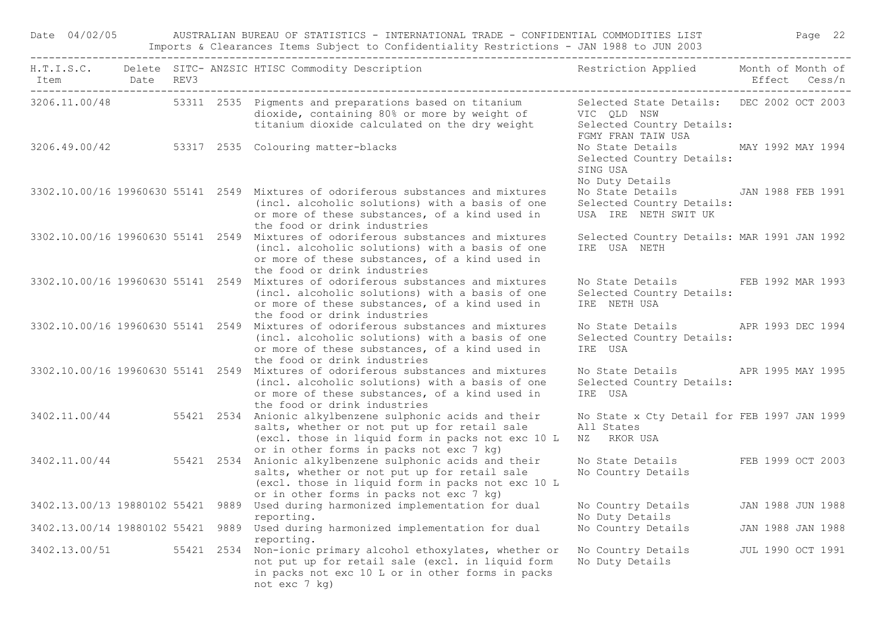| Date 04/02/05                |  | AUSTRALIAN BUREAU OF STATISTICS - INTERNATIONAL TRADE - CONFIDENTIAL COMMODITIES LIST<br>Imports & Clearances Items Subject to Confidentiality Restrictions - JAN 1988 to JUN 2003 |                                                                                                                                                                                                                          | Page 22                                                                                                     |               |                   |
|------------------------------|--|------------------------------------------------------------------------------------------------------------------------------------------------------------------------------------|--------------------------------------------------------------------------------------------------------------------------------------------------------------------------------------------------------------------------|-------------------------------------------------------------------------------------------------------------|---------------|-------------------|
| Item Date REV3               |  |                                                                                                                                                                                    | H.T.I.S.C. Delete SITC- ANZSIC HTISC Commodity Description                                                                                                                                                               | Restriction Applied Month of Month of                                                                       | Effect Cess/n |                   |
|                              |  |                                                                                                                                                                                    | 3206.11.00/48 53311 2535 Pigments and preparations based on titanium<br>dioxide, containing 80% or more by weight of<br>titanium dioxide calculated on the dry weight                                                    | Selected State Details: DEC 2002 OCT 2003<br>VIC OLD NSW<br>Selected Country Details:<br>FGMY FRAN TAIW USA |               |                   |
|                              |  |                                                                                                                                                                                    | 3206.49.00/42 53317 2535 Colouring matter-blacks                                                                                                                                                                         | No State Details MAY 1992 MAY 1994<br>Selected Country Details:<br>SING USA<br>No Duty Details              |               |                   |
|                              |  |                                                                                                                                                                                    | 3302.10.00/16 19960630 55141 2549 Mixtures of odoriferous substances and mixtures<br>(incl. alcoholic solutions) with a basis of one<br>or more of these substances, of a kind used in<br>the food or drink industries   | No State Details JAN 1988 FEB 1991<br>Selected Country Details:<br>USA IRE NETH SWIT UK                     |               |                   |
|                              |  |                                                                                                                                                                                    | 3302.10.00/16 19960630 55141 2549 Mixtures of odoriferous substances and mixtures<br>(incl. alcoholic solutions) with a basis of one<br>or more of these substances, of a kind used in<br>the food or drink industries   | Selected Country Details: MAR 1991 JAN 1992<br>IRE USA NETH                                                 |               |                   |
|                              |  |                                                                                                                                                                                    | 3302.10.00/16 19960630 55141 2549 Mixtures of odoriferous substances and mixtures<br>(incl. alcoholic solutions) with a basis of one<br>or more of these substances, of a kind used in<br>the food or drink industries   | No State Details FEB 1992 MAR 1993<br>Selected Country Details:<br>IRE NETH USA                             |               |                   |
|                              |  |                                                                                                                                                                                    | 3302.10.00/16 19960630 55141 2549 Mixtures of odoriferous substances and mixtures<br>(incl. alcoholic solutions) with a basis of one<br>or more of these substances, of a kind used in<br>the food or drink industries   | No State Details APR 1993 DEC 1994<br>Selected Country Details:<br>IRE USA                                  |               |                   |
|                              |  |                                                                                                                                                                                    | 3302.10.00/16 19960630 55141 2549 Mixtures of odoriferous substances and mixtures<br>(incl. alcoholic solutions) with a basis of one<br>or more of these substances, of a kind used in<br>the food or drink industries   | No State Details APR 1995 MAY 1995<br>Selected Country Details:<br>IRE USA                                  |               |                   |
|                              |  |                                                                                                                                                                                    | 3402.11.00/44 55421 2534 Anionic alkylbenzene sulphonic acids and their<br>salts, whether or not put up for retail sale<br>(excl. those in liquid form in packs not exc 10 L<br>or in other forms in packs not exc 7 kg) | No State x Cty Detail for FEB 1997 JAN 1999<br>All States<br>RKOR USA<br>ΝZ                                 |               |                   |
|                              |  |                                                                                                                                                                                    | 3402.11.00/44 55421 2534 Anionic alkylbenzene sulphonic acids and their<br>salts, whether or not put up for retail sale<br>(excl. those in liquid form in packs not exc 10 L<br>or in other forms in packs not exc 7 kg) | No State Details FEB 1999 OCT 2003<br>No Country Details                                                    |               |                   |
|                              |  |                                                                                                                                                                                    | 3402.13.00/13 19880102 55421 9889 Used during harmonized implementation for dual No Country Details JAN 1988 JUN 1988<br>reporting.                                                                                      | No Duty Details                                                                                             |               |                   |
| 3402.13.00/14 19880102 55421 |  |                                                                                                                                                                                    | 9889 Used during harmonized implementation for dual<br>reporting.                                                                                                                                                        | No Country Details                                                                                          |               | JAN 1988 JAN 1988 |
| 3402.13.00/51                |  | 55421                                                                                                                                                                              | 2534 Non-ionic primary alcohol ethoxylates, whether or<br>not put up for retail sale (excl. in liquid form<br>in packs not exc 10 L or in other forms in packs<br>not exc 7 kg)                                          | No Country Details<br>No Duty Details                                                                       |               | JUL 1990 OCT 1991 |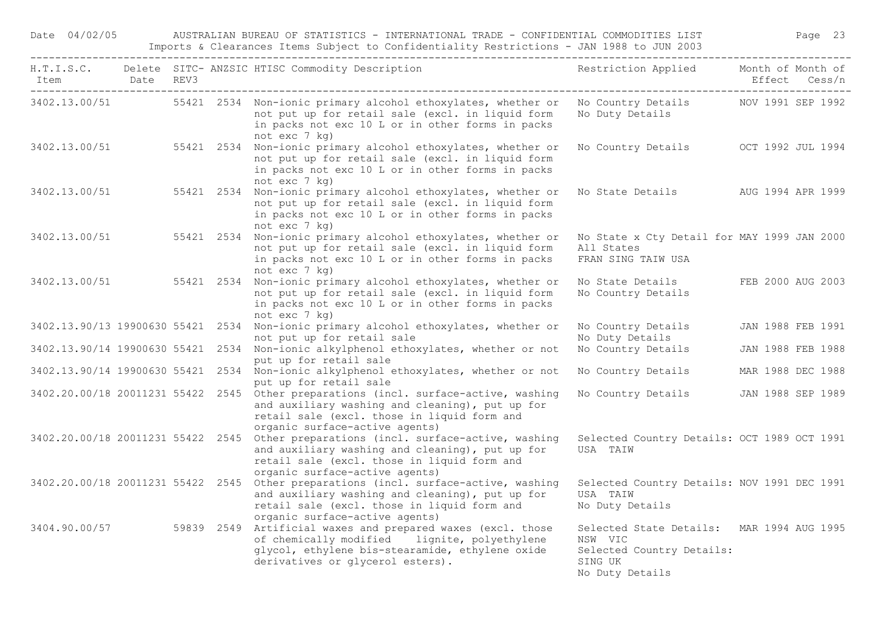Date 04/02/05 AUSTRALIAN BUREAU OF STATISTICS - INTERNATIONAL TRADE - CONFIDENTIAL COMMODITIES LIST Page 23 Imports & Clearances Items Subject to Confidentiality Restrictions - JAN 1988 to JUN 2003

| Item Date REV3 |  | H.T.I.S.C. Delete SITC-ANZSIC HTISC Commodity Description Nestriction Applied Month of Month of                                                                                                                         |                                                                                                                 | Effect Cess/n     |
|----------------|--|-------------------------------------------------------------------------------------------------------------------------------------------------------------------------------------------------------------------------|-----------------------------------------------------------------------------------------------------------------|-------------------|
|                |  | 3402.13.00/51 55421 2534 Non-ionic primary alcohol ethoxylates, whether or<br>not put up for retail sale (excl. in liquid form<br>in packs not exc 10 L or in other forms in packs<br>not exc 7 kg)                     | No Country Details MOV 1991 SEP 1992<br>No Duty Details                                                         |                   |
| 3402.13.00/51  |  | 55421 2534 Non-ionic primary alcohol ethoxylates, whether or<br>not put up for retail sale (excl. in liquid form<br>in packs not exc 10 L or in other forms in packs<br>not exc 7 kg)                                   | No Country Details OCT 1992 JUL 1994                                                                            |                   |
| 3402.13.00/51  |  | 55421 2534 Non-ionic primary alcohol ethoxylates, whether or<br>not put up for retail sale (excl. in liquid form<br>in packs not exc 10 L or in other forms in packs<br>not exc 7 kg)                                   | No State Details MO AUG 1994 APR 1999                                                                           |                   |
| 3402.13.00/51  |  | 55421 2534 Non-ionic primary alcohol ethoxylates, whether or<br>not put up for retail sale (excl. in liquid form<br>in packs not exc 10 L or in other forms in packs<br>not exc 7 kg)                                   | No State x Cty Detail for MAY 1999 JAN 2000<br>All States<br>FRAN SING TAIW USA                                 |                   |
|                |  | 3402.13.00/51 55421 2534 Non-ionic primary alcohol ethoxylates, whether or<br>not put up for retail sale (excl. in liquid form<br>in packs not exc 10 L or in other forms in packs<br>not exc 7 kg)                     | No State Details<br>No Country Details                                                                          | FEB 2000 AUG 2003 |
|                |  | 3402.13.90/13 19900630 55421 2534 Non-ionic primary alcohol ethoxylates, whether or<br>not put up for retail sale                                                                                                       | No Country Details<br>No Duty Details                                                                           | JAN 1988 FEB 1991 |
|                |  | 3402.13.90/14 19900630 55421 2534 Non-ionic alkylphenol ethoxylates, whether or not<br>put up for retail sale                                                                                                           | No Country Details                                                                                              | JAN 1988 FEB 1988 |
|                |  | 3402.13.90/14 19900630 55421 2534 Non-ionic alkylphenol ethoxylates, whether or not<br>put up for retail sale                                                                                                           | No Country Details                                                                                              | MAR 1988 DEC 1988 |
|                |  | 3402.20.00/18 20011231 55422 2545 Other preparations (incl. surface-active, washing<br>and auxiliary washing and cleaning), put up for<br>retail sale (excl. those in liquid form and<br>organic surface-active agents) | No Country Details JAN 1988 SEP 1989                                                                            |                   |
|                |  | 3402.20.00/18 20011231 55422 2545 Other preparations (incl. surface-active, washing<br>and auxiliary washing and cleaning), put up for<br>retail sale (excl. those in liquid form and<br>organic surface-active agents) | Selected Country Details: OCT 1989 OCT 1991<br>USA TAIW                                                         |                   |
|                |  | 3402.20.00/18 20011231 55422 2545 Other preparations (incl. surface-active, washing<br>and auxiliary washing and cleaning), put up for<br>retail sale (excl. those in liquid form and<br>organic surface-active agents) | Selected Country Details: NOV 1991 DEC 1991<br>USA TAIW<br>No Duty Details                                      |                   |
|                |  | 3404.90.00/57 59839 2549 Artificial waxes and prepared waxes (excl. those<br>of chemically modified lignite, polyethylene<br>glycol, ethylene bis-stearamide, ethylene oxide<br>derivatives or glycerol esters).        | Selected State Details: MAR 1994 AUG 1995<br>NSW VIC<br>Selected Country Details:<br>SING UK<br>No Duty Details |                   |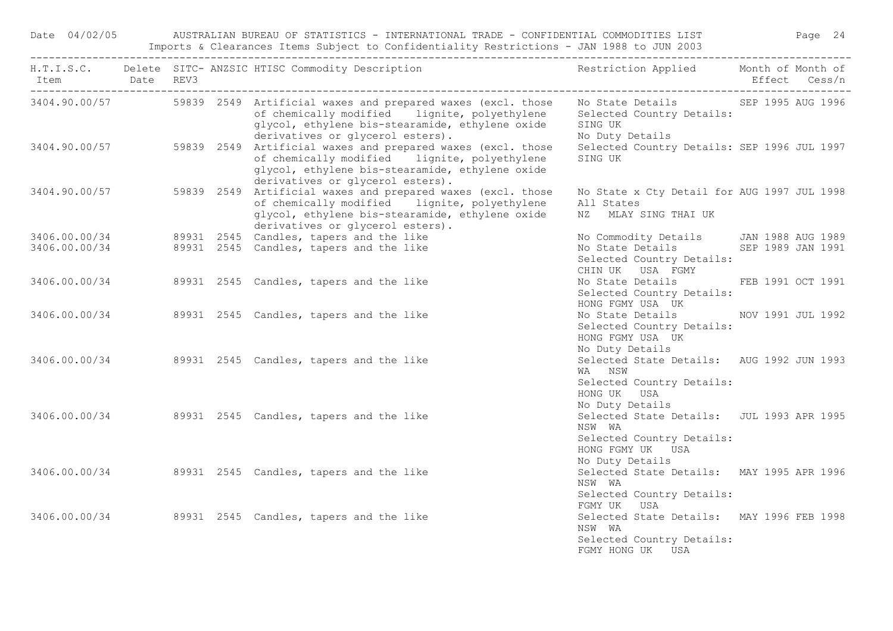|  | H.T.I.S.C. Delete SITC-ANZSIC HTISC Commodity Description The Sestriction Applied Month of Month of                                                                                                                                                 |                                                                                                                         |
|--|-----------------------------------------------------------------------------------------------------------------------------------------------------------------------------------------------------------------------------------------------------|-------------------------------------------------------------------------------------------------------------------------|
|  | 3404.90.00/57 59839 2549 Artificial waxes and prepared waxes (excl. those No State Details SEP 1995 AUG 1996<br>of chemically modified lignite, polyethylene<br>glycol, ethylene bis-stearamide, ethylene oxide<br>derivatives or glycerol esters). | Selected Country Details:<br>SING UK<br>No Duty Details                                                                 |
|  | 3404.90.00/57 59839 2549 Artificial waxes and prepared waxes (excl. those<br>of chemically modified lignite, polyethylene<br>glycol, ethylene bis-stearamide, ethylene oxide<br>derivatives or glycerol esters).                                    | Selected Country Details: SEP 1996 JUL 1997<br>SING UK                                                                  |
|  | 3404.90.00/57 59839 2549 Artificial waxes and prepared waxes (excl. those<br>of chemically modified lignite, polyethylene<br>glycol, ethylene bis-stearamide, ethylene oxide<br>derivatives or glycerol esters).                                    | No State x Cty Detail for AUG 1997 JUL 1998<br>All States<br>NZ MLAY SING THAI UK                                       |
|  | 3406.00.00/34 89931 2545 Candles, tapers and the like                                                                                                                                                                                               | No Commodity Details JAN 1988 AUG 1989                                                                                  |
|  | 3406.00.00/34 89931 2545 Candles, tapers and the like                                                                                                                                                                                               | No State Details SEP 1989 JAN 1991<br>Selected Country Details:<br>CHIN UK USA FGMY                                     |
|  | 3406.00.00/34 89931 2545 Candles, tapers and the like                                                                                                                                                                                               | No State Details FEB 1991 OCT 1991<br>Selected Country Details:<br>HONG FGMY USA UK                                     |
|  | 3406.00.00/34 89931 2545 Candles, tapers and the like                                                                                                                                                                                               | No State Details NOV 1991 JUL 1992<br>Selected Country Details:<br>HONG FGMY USA UK<br>No Duty Details                  |
|  | 3406.00.00/34 89931 2545 Candles, tapers and the like                                                                                                                                                                                               | Selected State Details: AUG 1992 JUN 1993<br>WA NSW<br>Selected Country Details:<br>HONG UK USA                         |
|  | 3406.00.00/34 89931 2545 Candles, tapers and the like                                                                                                                                                                                               | No Duty Details<br>Selected State Details: JUL 1993 APR 1995<br>NSW WA<br>Selected Country Details:<br>HONG FGMY UK USA |
|  | 3406.00.00/34 89931 2545 Candles, tapers and the like                                                                                                                                                                                               | No Duty Details<br>Selected State Details: MAY 1995 APR 1996<br>NSW WA<br>Selected Country Details:                     |
|  | 3406.00.00/34 89931 2545 Candles, tapers and the like                                                                                                                                                                                               | FGMY UK USA<br>Selected State Details: MAY 1996 FEB 1998<br>NSW WA<br>Selected Country Details:<br>FGMY HONG UK USA     |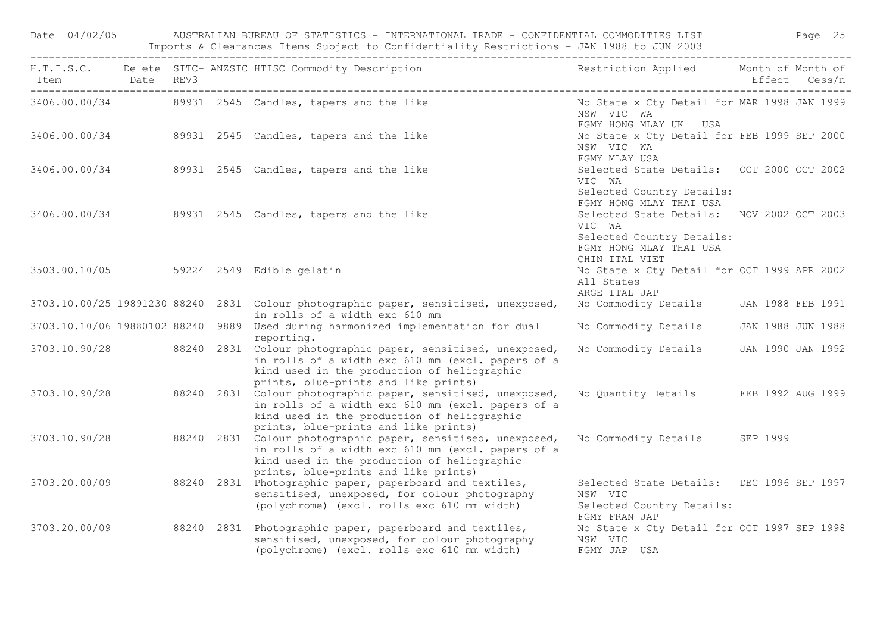| Date 04/02/05 |  | AUSTRALIAN BUREAU OF STATISTICS - INTERNATIONAL TRADE - CONFIDENTIAL COMMODITIES LIST                                                                                                                                  |                                                                                                             | Page 25 |
|---------------|--|------------------------------------------------------------------------------------------------------------------------------------------------------------------------------------------------------------------------|-------------------------------------------------------------------------------------------------------------|---------|
|               |  | H.T.I.S.C. Delete SITC- ANZSIC HTISC Commodity Description and the striction Applied Month of Month of Month of<br>Item Date REV3 bate REV3                                                                            |                                                                                                             |         |
|               |  | 3406.00.00/34 89931 2545 Candles, tapers and the like                                                                                                                                                                  | No State x Cty Detail for MAR 1998 JAN 1999<br>NSW VIC WA<br>FGMY HONG MLAY UK USA                          |         |
|               |  | 3406.00.00/34 89931 2545 Candles, tapers and the like                                                                                                                                                                  | No State x Cty Detail for FEB 1999 SEP 2000<br>NSW VIC WA<br>FGMY MLAY USA                                  |         |
|               |  | 3406.00.00/34 89931 2545 Candles, tapers and the like                                                                                                                                                                  | Selected State Details: OCT 2000 OCT 2002<br>VIC WA<br>Selected Country Details:                            |         |
|               |  | 3406.00.00/34 89931 2545 Candles, tapers and the like                                                                                                                                                                  | FGMY HONG MLAY THAI USA<br>Selected State Details: NOV 2002 OCT 2003<br>VIC WA<br>Selected Country Details: |         |
|               |  | 3503.00.10/05 59224 2549 Edible gelatin                                                                                                                                                                                | FGMY HONG MLAY THAI USA<br>CHIN ITAL VIET<br>No State x Cty Detail for OCT 1999 APR 2002<br>All States      |         |
|               |  | 3703.10.00/25 19891230 88240 2831 Colour photographic paper, sensitised, unexposed,                                                                                                                                    | ARGE ITAL JAP<br>No Commodity Details JAN 1988 FEB 1991                                                     |         |
|               |  | in rolls of a width exc 610 mm<br>3703.10.10/06 19880102 88240 9889 Used during harmonized implementation for dual                                                                                                     | No Commodity Details JAN 1988 JUN 1988                                                                      |         |
|               |  | reporting.<br>3703.10.90/28 88240 2831 Colour photographic paper, sensitised, unexposed,<br>in rolls of a width exc 610 mm (excl. papers of a<br>kind used in the production of heliographic                           | No Commodity Details JAN 1990 JAN 1992                                                                      |         |
|               |  | prints, blue-prints and like prints)<br>3703.10.90/28 88240 2831 Colour photographic paper, sensitised, unexposed,<br>in rolls of a width exc 610 mm (excl. papers of a<br>kind used in the production of heliographic | No Quantity Details FEB 1992 AUG 1999                                                                       |         |
|               |  | prints, blue-prints and like prints)<br>3703.10.90/28 88240 2831 Colour photographic paper, sensitised, unexposed,<br>in rolls of a width exc 610 mm (excl. papers of a<br>kind used in the production of heliographic | No Commodity Details SEP 1999                                                                               |         |
|               |  | prints, blue-prints and like prints)<br>3703.20.00/09 88240 2831 Photographic paper, paperboard and textiles,<br>sensitised, unexposed, for colour photography<br>(polychrome) (excl. rolls exc 610 mm width)          | Selected State Details: DEC 1996 SEP 1997<br>NSW VIC<br>Selected Country Details:                           |         |
| 3703.20.00/09 |  | 88240 2831 Photographic paper, paperboard and textiles,<br>sensitised, unexposed, for colour photography<br>(polychrome) (excl. rolls exc 610 mm width)                                                                | FGMY FRAN JAP<br>No State x Cty Detail for OCT 1997 SEP 1998<br>NSW VIC<br>FGMY JAP USA                     |         |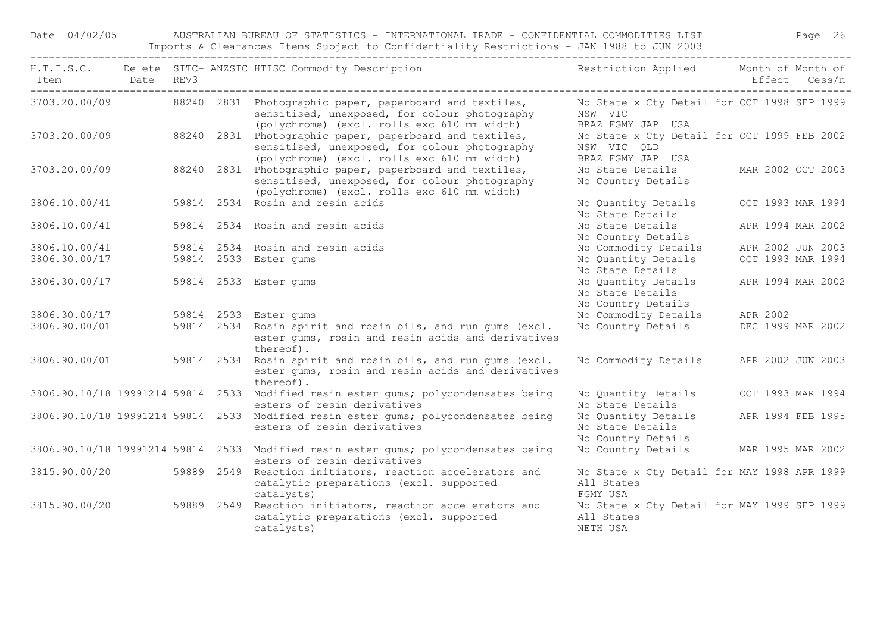Date 04/02/05 AUSTRALIAN BUREAU OF STATISTICS - INTERNATIONAL TRADE - CONFIDENTIAL COMMODITIES LIST Page 26 Imports & Clearances Items Subject to Confidentiality Restrictions - JAN 1988 to JUN 2003

|               | Date REV3 |  | H.T.I.S.C. Delete SITC-ANZSIC HTISC Commodity Description The Sestriction Applied Month of Month of                                                                                                    |                                                                                                      |  |
|---------------|-----------|--|--------------------------------------------------------------------------------------------------------------------------------------------------------------------------------------------------------|------------------------------------------------------------------------------------------------------|--|
|               |           |  | 3703.20.00/09 88240 2831 Photographic paper, paperboard and textiles,<br>sensitised, unexposed, for colour photography                                                                                 | No State x Cty Detail for OCT 1998 SEP 1999<br>NSW VIC                                               |  |
| 3703.20.00/09 |           |  | (polychrome) (excl. rolls exc 610 mm width)<br>88240 2831 Photographic paper, paperboard and textiles,<br>sensitised, unexposed, for colour photography<br>(polychrome) (excl. rolls exc 610 mm width) | BRAZ FGMY JAP USA<br>No State x Cty Detail for OCT 1999 FEB 2002<br>NSW VIC QLD<br>BRAZ FGMY JAP USA |  |
| 3703.20.00/09 |           |  | 88240 2831 Photographic paper, paperboard and textiles,<br>sensitised, unexposed, for colour photography<br>(polychrome) (excl. rolls exc 610 mm width)                                                | No State Details<br>MAR 2002 OCT 2003<br>No Country Details                                          |  |
| 3806.10.00/41 |           |  | 59814 2534 Rosin and resin acids                                                                                                                                                                       | No Quantity Details<br>OCT 1993 MAR 1994<br>No State Details                                         |  |
| 3806.10.00/41 |           |  | 59814 2534 Rosin and resin acids                                                                                                                                                                       | APR 1994 MAR 2002<br>No State Details<br>No Country Details                                          |  |
| 3806.10.00/41 |           |  | 59814 2534 Rosin and resin acids                                                                                                                                                                       | No Commodity Details<br>APR 2002 JUN 2003                                                            |  |
| 3806.30.00/17 |           |  | 59814 2533 Ester gums                                                                                                                                                                                  | No Quantity Details<br>OCT 1993 MAR 1994<br>No State Details                                         |  |
| 3806.30.00/17 |           |  | 59814 2533 Ester gums                                                                                                                                                                                  | No Quantity Details<br>APR 1994 MAR 2002<br>No State Details<br>No Country Details                   |  |
| 3806.30.00/17 |           |  | 59814 2533 Ester gums                                                                                                                                                                                  | No Commodity Details<br>APR 2002                                                                     |  |
| 3806.90.00/01 |           |  | 59814 2534 Rosin spirit and rosin oils, and run qums (excl.<br>ester gums, rosin and resin acids and derivatives<br>thereof).                                                                          | No Country Details<br>DEC 1999 MAR 2002                                                              |  |
| 3806.90.00/01 |           |  | 59814 2534 Rosin spirit and rosin oils, and run gums (excl.<br>ester gums, rosin and resin acids and derivatives<br>thereof).                                                                          | No Commodity Details APR 2002 JUN 2003                                                               |  |
|               |           |  | 3806.90.10/18 19991214 59814 2533 Modified resin ester gums; polycondensates being<br>esters of resin derivatives                                                                                      | OCT 1993 MAR 1994<br>No Quantity Details<br>No State Details                                         |  |
|               |           |  | 3806.90.10/18 19991214 59814 2533 Modified resin ester gums; polycondensates being<br>esters of resin derivatives                                                                                      | No Quantity Details<br>APR 1994 FEB 1995<br>No State Details<br>No Country Details                   |  |
|               |           |  | 3806.90.10/18 19991214 59814 2533 Modified resin ester gums; polycondensates being<br>esters of resin derivatives                                                                                      | No Country Details MAR 1995 MAR 2002                                                                 |  |
|               |           |  | 3815.90.00/20 59889 2549 Reaction initiators, reaction accelerators and<br>catalytic preparations (excl. supported<br>catalysts)                                                                       | No State x Cty Detail for MAY 1998 APR 1999<br>All States<br>FGMY USA                                |  |
| 3815.90.00/20 |           |  | 59889 2549 Reaction initiators, reaction accelerators and<br>catalytic preparations (excl. supported<br>catalysts)                                                                                     | No State x Cty Detail for MAY 1999 SEP 1999<br>All States<br>NETH USA                                |  |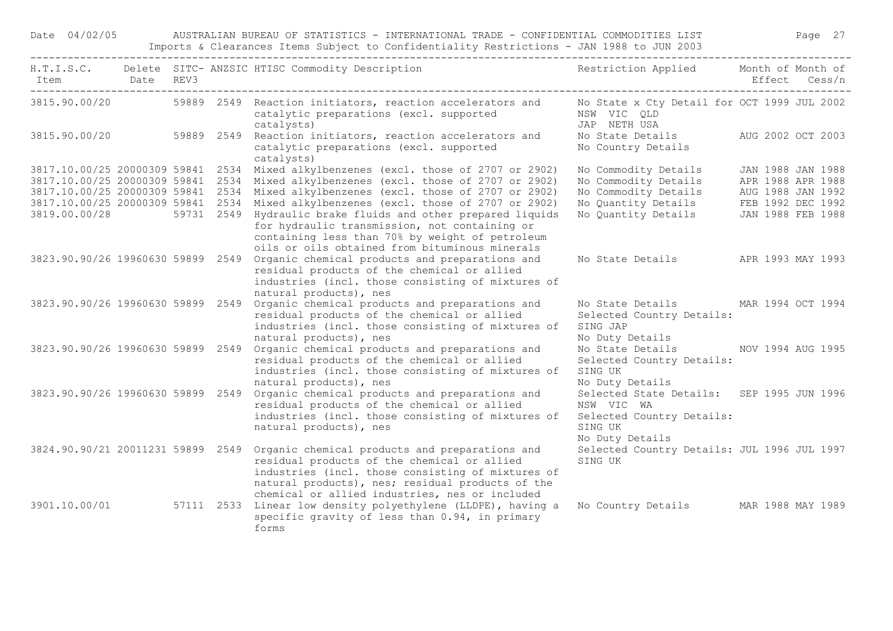Date 04/02/05 AUSTRALIAN BUREAU OF STATISTICS - INTERNATIONAL TRADE - CONFIDENTIAL COMMODITIES LIST Page 27 Imports & Clearances Items Subject to Confidentiality Restrictions - JAN 1988 to JUN 2003

| Item<br>------------------------------------ | Date REV3 |  | H.T.I.S.C. Delete SITC-ANZSIC HTISC Commodity Description The Sestriction Applied Month of Month of                                                                                                                                                                                                                                                                                                                                                                                                                                        |                                                                                                                                                        | Effect Cess/n                                               |  |
|----------------------------------------------|-----------|--|--------------------------------------------------------------------------------------------------------------------------------------------------------------------------------------------------------------------------------------------------------------------------------------------------------------------------------------------------------------------------------------------------------------------------------------------------------------------------------------------------------------------------------------------|--------------------------------------------------------------------------------------------------------------------------------------------------------|-------------------------------------------------------------|--|
| 3815.90.00/20                                |           |  | 59889 2549 Reaction initiators, reaction accelerators and Mo State x Cty Detail for OCT 1999 JUL 2002<br>catalytic preparations (excl. supported<br>catalysts)                                                                                                                                                                                                                                                                                                                                                                             | NSW VIC QLD<br>JAP NETH USA                                                                                                                            |                                                             |  |
|                                              |           |  | 3815.90.00/20 59889 2549 Reaction initiators, reaction accelerators and<br>catalytic preparations (excl. supported<br>catalysts)                                                                                                                                                                                                                                                                                                                                                                                                           | No State Details<br>No Country Details                                                                                                                 | AUG 2002 OCT 2003                                           |  |
|                                              |           |  | 3817.10.00/25 20000309 59841 2534 Mixed alkylbenzenes (excl. those of 2707 or 2902)<br>3817.10.00/25 20000309 59841 2534 Mixed alkylbenzenes (excl. those of 2707 or 2902)<br>3817.10.00/25 20000309 59841 2534 Mixed alkylbenzenes (excl. those of 2707 or 2902)<br>3817.10.00/25 20000309 59841 2534 Mixed alkylbenzenes (excl. those of 2707 or 2902)<br>3819.00.00/28 59731 2549 Hydraulic brake fluids and other prepared liquids<br>for hydraulic transmission, not containing or<br>containing less than 70% by weight of petroleum | No Commodity Details<br>No Commodity Details<br>No Commodity Details<br>No Quantity Details FEB 1992 DEC 1992<br>No Quantity Details JAN 1988 FEB 1988 | JAN 1988 JAN 1988<br>APR 1988 APR 1988<br>AUG 1988 JAN 1992 |  |
| 3823.90.90/26 19960630 59899 2549            |           |  | oils or oils obtained from bituminous minerals<br>Organic chemical products and preparations and<br>residual products of the chemical or allied<br>industries (incl. those consisting of mixtures of<br>natural products), nes                                                                                                                                                                                                                                                                                                             | No State Details APR 1993 MAY 1993                                                                                                                     |                                                             |  |
| 3823.90.90/26 19960630 59899 2549            |           |  | Organic chemical products and preparations and<br>residual products of the chemical or allied<br>industries (incl. those consisting of mixtures of<br>natural products), nes                                                                                                                                                                                                                                                                                                                                                               | No State Details MAR 1994 OCT 1994<br>Selected Country Details:<br>SING JAP<br>No Duty Details                                                         |                                                             |  |
| 3823.90.90/26 19960630 59899 2549            |           |  | Organic chemical products and preparations and<br>residual products of the chemical or allied<br>industries (incl. those consisting of mixtures of<br>natural products), nes                                                                                                                                                                                                                                                                                                                                                               | No State Details NOV 1994 AUG 1995<br>Selected Country Details:<br>SING UK<br>No Duty Details                                                          |                                                             |  |
| 3823.90.90/26 19960630 59899 2549            |           |  | Organic chemical products and preparations and<br>residual products of the chemical or allied<br>industries (incl. those consisting of mixtures of<br>natural products), nes                                                                                                                                                                                                                                                                                                                                                               | Selected State Details: SEP 1995 JUN 1996<br>NSW VIC WA<br>Selected Country Details:<br>SING UK<br>No Duty Details                                     |                                                             |  |
| 3824.90.90/21 20011231 59899 2549            |           |  | Organic chemical products and preparations and<br>residual products of the chemical or allied<br>industries (incl. those consisting of mixtures of<br>natural products), nes; residual products of the<br>chemical or allied industries, nes or included                                                                                                                                                                                                                                                                                   | Selected Country Details: JUL 1996 JUL 1997<br>SING UK                                                                                                 |                                                             |  |
|                                              |           |  | 3901.10.00/01 57111 2533 Linear low density polyethylene (LLDPE), having a<br>specific gravity of less than 0.94, in primary<br>forms                                                                                                                                                                                                                                                                                                                                                                                                      | No Country Details MAR 1988 MAY 1989                                                                                                                   |                                                             |  |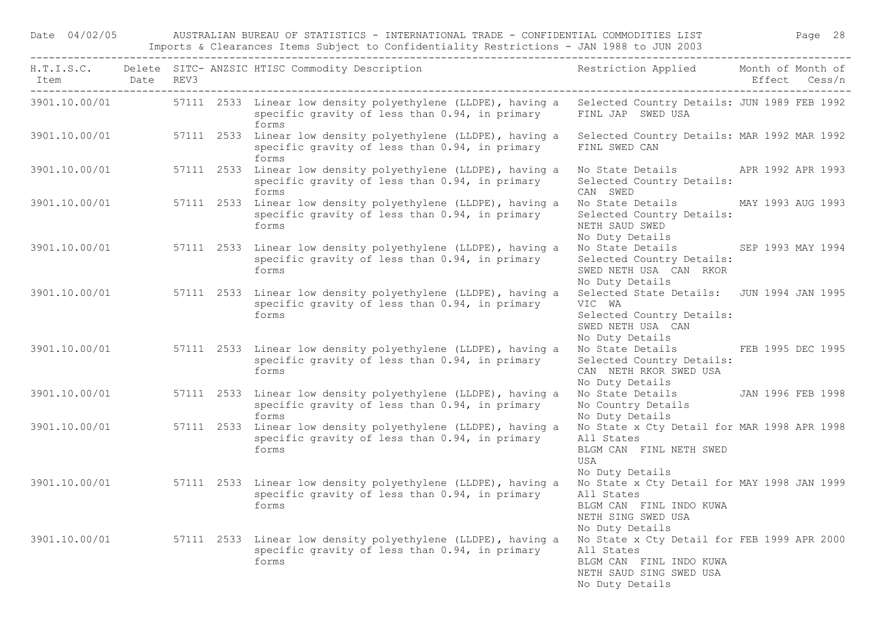| Item Date REV3 |  | H.T.I.S.C. Delete SITC-ANZSIC HTISC Commodity Description Nestriction Applied Month of Month of                                                                                   |                                                                                                                                    | Effect Cess/n     |
|----------------|--|-----------------------------------------------------------------------------------------------------------------------------------------------------------------------------------|------------------------------------------------------------------------------------------------------------------------------------|-------------------|
|                |  | 3901.10.00/01 57111 2533 Linear low density polyethylene (LLDPE), having a Selected Country Details: JUN 1989 FEB 1992<br>specific gravity of less than 0.94, in primary<br>forms | FINL JAP SWED USA                                                                                                                  |                   |
| 3901.10.00/01  |  | 57111 2533 Linear low density polyethylene (LLDPE), having a<br>specific gravity of less than 0.94, in primary<br>forms                                                           | Selected Country Details: MAR 1992 MAR 1992<br>FINL SWED CAN                                                                       |                   |
| 3901.10.00/01  |  | 57111 2533 Linear low density polyethylene (LLDPE), having a<br>specific gravity of less than 0.94, in primary<br>forms                                                           | No State Details APR 1992 APR 1993<br>Selected Country Details:<br>CAN SWED                                                        |                   |
| 3901.10.00/01  |  | 57111 2533 Linear low density polyethylene (LLDPE), having a<br>specific gravity of less than 0.94, in primary<br>forms                                                           | No State Details MAY 1993 AUG 1993<br>Selected Country Details:<br>NETH SAUD SWED<br>No Duty Details                               |                   |
| 3901.10.00/01  |  | 57111 2533 Linear low density polyethylene (LLDPE), having a<br>specific gravity of less than 0.94, in primary<br>forms                                                           | No State Details<br>Selected Country Details:<br>SWED NETH USA CAN RKOR<br>No Duty Details                                         | SEP 1993 MAY 1994 |
| 3901.10.00/01  |  | 57111 2533 Linear low density polyethylene (LLDPE), having a<br>specific gravity of less than 0.94, in primary<br>forms                                                           | Selected State Details: JUN 1994 JAN 1995<br>VIC WA<br>Selected Country Details:<br>SWED NETH USA CAN<br>No Duty Details           |                   |
| 3901.10.00/01  |  | 57111 2533 Linear low density polyethylene (LLDPE), having a<br>specific gravity of less than 0.94, in primary<br>forms                                                           | No State Details<br>Selected Country Details:<br>CAN NETH RKOR SWED USA<br>No Duty Details                                         | FEB 1995 DEC 1995 |
| 3901.10.00/01  |  | 57111 2533 Linear low density polyethylene (LLDPE), having a<br>specific gravity of less than 0.94, in primary<br>forms                                                           | No State Details 5 JAN 1996 FEB 1998<br>No Country Details<br>No Duty Details                                                      |                   |
| 3901.10.00/01  |  | 57111 2533 Linear low density polyethylene (LLDPE), having a<br>specific gravity of less than 0.94, in primary<br>forms                                                           | No State x Cty Detail for MAR 1998 APR 1998<br>All States<br>BLGM CAN FINL NETH SWED<br>USA<br>No Duty Details                     |                   |
| 3901.10.00/01  |  | 57111 2533 Linear low density polyethylene (LLDPE), having a<br>specific gravity of less than 0.94, in primary<br>forms                                                           | No State x Cty Detail for MAY 1998 JAN 1999<br>All States<br>BLGM CAN FINL INDO KUWA<br>NETH SING SWED USA<br>No Duty Details      |                   |
|                |  | 3901.10.00/01 57111 2533 Linear low density polyethylene (LLDPE), having a<br>specific gravity of less than 0.94, in primary<br>forms                                             | No State x Cty Detail for FEB 1999 APR 2000<br>All States<br>BLGM CAN FINL INDO KUWA<br>NETH SAUD SING SWED USA<br>No Duty Details |                   |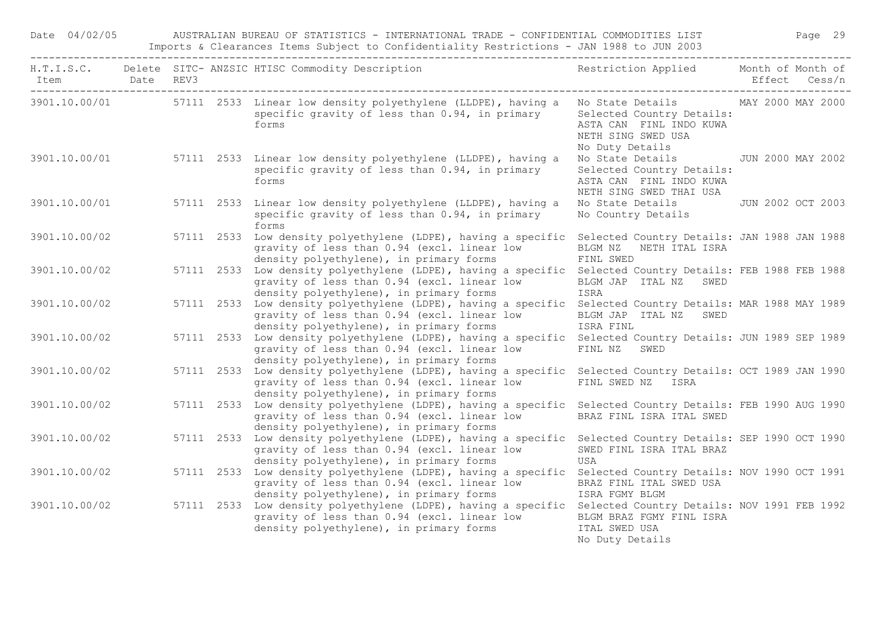| Date 04/02/05              |                                 |  | AUSTRALIAN BUREAU OF STATISTICS - INTERNATIONAL TRADE - CONFIDENTIAL COMMODITIES LIST<br>Imports & Clearances Items Subject to Confidentiality Restrictions - JAN 1988 to JUN 2003                  |                                                                                                                                     |               | Page 29 |
|----------------------------|---------------------------------|--|-----------------------------------------------------------------------------------------------------------------------------------------------------------------------------------------------------|-------------------------------------------------------------------------------------------------------------------------------------|---------------|---------|
| Item Date REV3<br>-------- | ------------------------------- |  | H.T.I.S.C. Delete SITC- ANZSIC HTISC Commodity Description                                                                                                                                          | Restriction Applied Month of Month of                                                                                               | Effect Cess/n |         |
|                            |                                 |  | 3901.10.00/01 57111 2533 Linear low density polyethylene (LLDPE), having a<br>specific gravity of less than 0.94, in primary<br>forms                                                               | No State Details MAY 2000 MAY 2000<br>Selected Country Details:<br>ASTA CAN FINL INDO KUWA<br>NETH SING SWED USA<br>No Duty Details |               |         |
| 3901.10.00/01              |                                 |  | 57111 2533 Linear low density polyethylene (LLDPE), having a<br>specific gravity of less than 0.94, in primary<br>forms                                                                             | No State Details 5000 MAY 2002<br>Selected Country Details:<br>ASTA CAN FINL INDO KUWA<br>NETH SING SWED THAI USA                   |               |         |
| 3901.10.00/01              |                                 |  | 57111 2533 Linear low density polyethylene (LLDPE), having a<br>specific gravity of less than 0.94, in primary<br>forms                                                                             | No State Details JUN 2002 OCT 2003<br>No Country Details                                                                            |               |         |
| 3901.10.00/02              |                                 |  | 57111 2533 Low density polyethylene (LDPE), having a specific Selected Country Details: JAN 1988 JAN 1988<br>gravity of less than 0.94 (excl. linear low<br>density polyethylene), in primary forms | BLGM NZ NETH ITAL ISRA<br>FINL SWED                                                                                                 |               |         |
| 3901.10.00/02              |                                 |  | 57111 2533 Low density polyethylene (LDPE), having a specific Selected Country Details: FEB 1988 FEB 1988<br>gravity of less than 0.94 (excl. linear low<br>density polyethylene), in primary forms | BLGM JAP ITAL NZ SWED<br>ISRA                                                                                                       |               |         |
| 3901.10.00/02              |                                 |  | 57111 2533 Low density polyethylene (LDPE), having a specific Selected Country Details: MAR 1988 MAY 1989<br>gravity of less than 0.94 (excl. linear low<br>density polyethylene), in primary forms | BLGM JAP ITAL NZ SWED<br>ISRA FINL                                                                                                  |               |         |
| 3901.10.00/02              |                                 |  | 57111 2533 Low density polyethylene (LDPE), having a specific Selected Country Details: JUN 1989 SEP 1989<br>gravity of less than 0.94 (excl. linear low<br>density polyethylene), in primary forms | FINL NZ<br>SWED                                                                                                                     |               |         |
| 3901.10.00/02              |                                 |  | 57111 2533 Low density polyethylene (LDPE), having a specific Selected Country Details: OCT 1989 JAN 1990<br>gravity of less than 0.94 (excl. linear low<br>density polyethylene), in primary forms | FINL SWED NZ ISRA                                                                                                                   |               |         |
| 3901.10.00/02              |                                 |  | 57111 2533 Low density polyethylene (LDPE), having a specific Selected Country Details: FEB 1990 AUG 1990<br>gravity of less than 0.94 (excl. linear low<br>density polyethylene), in primary forms | BRAZ FINL ISRA ITAL SWED                                                                                                            |               |         |
| 3901.10.00/02              |                                 |  | 57111 2533 Low density polyethylene (LDPE), having a specific<br>gravity of less than 0.94 (excl. linear low<br>density polyethylene), in primary forms                                             | Selected Country Details: SEP 1990 OCT 1990<br>SWED FINL ISRA ITAL BRAZ<br>USA                                                      |               |         |
| 3901.10.00/02              |                                 |  | 57111 2533 Low density polyethylene (LDPE), having a specific Selected Country Details: NOV 1990 OCT 1991<br>gravity of less than 0.94 (excl. linear low<br>density polyethylene), in primary forms | BRAZ FINL ITAL SWED USA<br>ISRA FGMY BLGM                                                                                           |               |         |
| 3901.10.00/02              |                                 |  | 57111 2533 Low density polyethylene (LDPE), having a specific Selected Country Details: NOV 1991 FEB 1992<br>gravity of less than 0.94 (excl. linear low<br>density polyethylene), in primary forms | BLGM BRAZ FGMY FINL ISRA<br>ITAL SWED USA<br>No Duty Details                                                                        |               |         |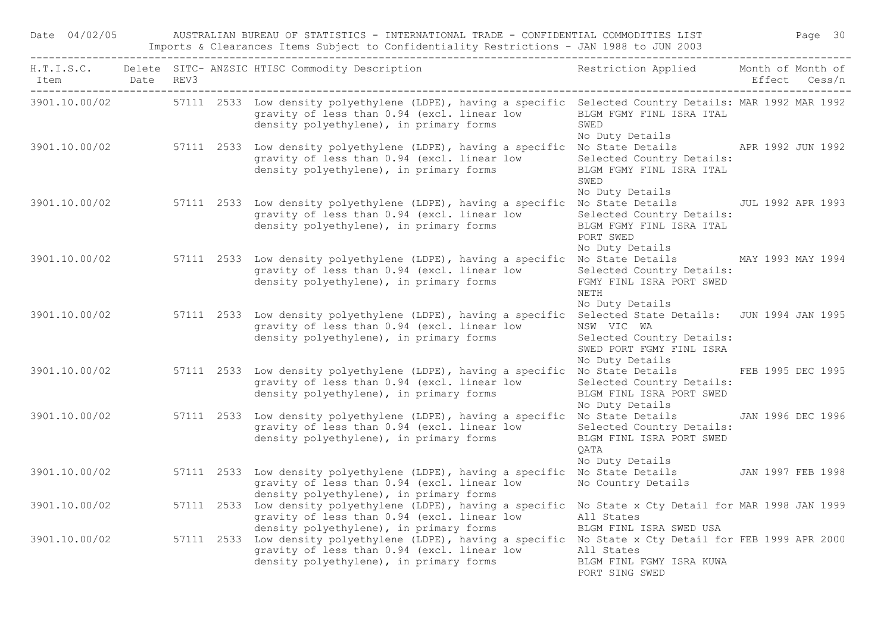| Date 04/02/05  |  | AUSTRALIAN BUREAU OF STATISTICS - INTERNATIONAL TRADE - CONFIDENTIAL COMMODITIES LIST                                                                                                                             |                                                                                        |               | Page 30 |
|----------------|--|-------------------------------------------------------------------------------------------------------------------------------------------------------------------------------------------------------------------|----------------------------------------------------------------------------------------|---------------|---------|
| Item Date REV3 |  | H.T.I.S.C. Delete SITC- ANZSIC HTISC Commodity Description                                                                                                                                                        | Restriction Applied Month of Month of                                                  | Effect Cess/n |         |
|                |  | 3901.10.00/02 57111 2533 Low density polyethylene (LDPE), having a specific Selected Country Details: MAR 1992 MAR 1992<br>gravity of less than 0.94 (excl. linear low<br>density polyethylene), in primary forms | BLGM FGMY FINL ISRA ITAL<br>SWED<br>No Duty Details                                    |               |         |
|                |  | 3901.10.00/02 57111 2533 Low density polyethylene (LDPE), having a specific No State Details APR 1992 JUN 1992<br>gravity of less than 0.94 (excl. linear low<br>density polyethylene), in primary forms          | Selected Country Details:<br>BLGM FGMY FINL ISRA ITAL<br>SWED<br>No Duty Details       |               |         |
|                |  | 3901.10.00/02 57111 2533 Low density polyethylene (LDPE), having a specific No State Details JUL 1992 APR 1993<br>gravity of less than 0.94 (excl. linear low<br>density polyethylene), in primary forms          | Selected Country Details:<br>BLGM FGMY FINL ISRA ITAL<br>PORT SWED<br>No Duty Details  |               |         |
| 3901.10.00/02  |  | 57111 2533 Low density polyethylene (LDPE), having a specific No State Details MAY 1993 MAY 1994<br>gravity of less than 0.94 (excl. linear low<br>density polyethylene), in primary forms                        | Selected Country Details:<br>FGMY FINL ISRA PORT SWED<br>NETH<br>No Duty Details       |               |         |
|                |  | 3901.10.00/02 57111 2533 Low density polyethylene (LDPE), having a specific Selected State Details: JUN 1994 JAN 1995<br>gravity of less than 0.94 (excl. linear low<br>density polyethylene), in primary forms   | NSW VIC WA<br>Selected Country Details:<br>SWED PORT FGMY FINL ISRA<br>No Duty Details |               |         |
| 3901.10.00/02  |  | 57111 2533 Low density polyethylene (LDPE), having a specific No State Details FEB 1995 DEC 1995<br>gravity of less than 0.94 (excl. linear low<br>density polyethylene), in primary forms                        | Selected Country Details:<br>BLGM FINL ISRA PORT SWED<br>No Duty Details               |               |         |
| 3901.10.00/02  |  | 57111 2533 Low density polyethylene (LDPE), having a specific No State Details JAN 1996 DEC 1996<br>gravity of less than 0.94 (excl. linear low<br>density polyethylene), in primary forms                        | Selected Country Details:<br>BLGM FINL ISRA PORT SWED<br>QATA<br>No Duty Details       |               |         |
| 3901.10.00/02  |  | 57111 2533 Low density polyethylene (LDPE), having a specific No State Details JAN 1997 FEB 1998<br>gravity of less than 0.94 (excl. linear low<br>density polyethylene), in primary forms                        | No Country Details                                                                     |               |         |
| 3901.10.00/02  |  | 57111 2533 Low density polyethylene (LDPE), having a specific No State x Cty Detail for MAR 1998 JAN 1999<br>gravity of less than 0.94 (excl. linear low<br>density polyethylene), in primary forms               | All States<br>BLGM FINL ISRA SWED USA                                                  |               |         |
| 3901.10.00/02  |  | 57111 2533 Low density polyethylene (LDPE), having a specific No State x Cty Detail for FEB 1999 APR 2000<br>gravity of less than 0.94 (excl. linear low All States<br>density polyethylene), in primary forms    | BLGM FINL FGMY ISRA KUWA<br>PORT SING SWED                                             |               |         |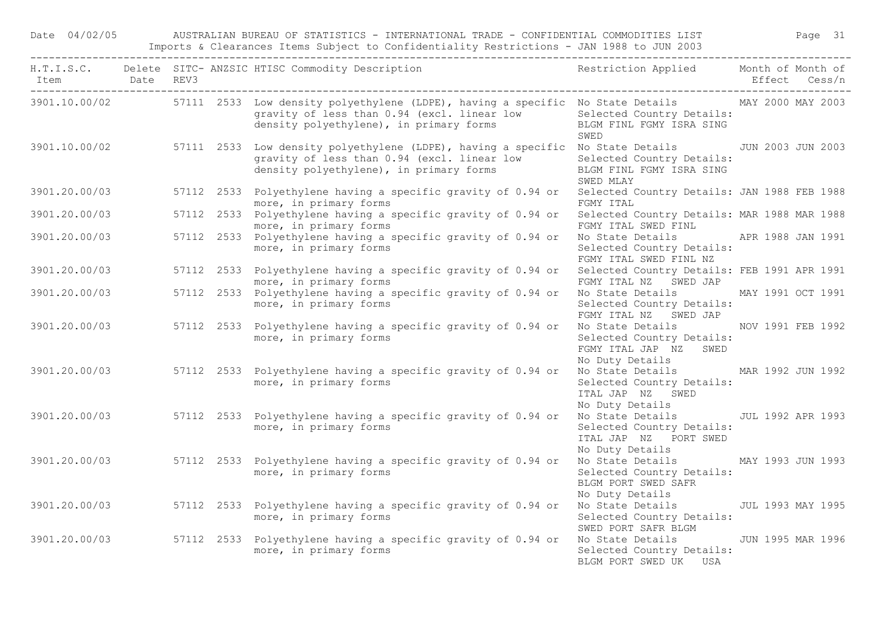Date 04/02/05 AUSTRALIAN BUREAU OF STATISTICS - INTERNATIONAL TRADE - CONFIDENTIAL COMMODITIES LIST Page 31 Imports & Clearances Items Subject to Confidentiality Restrictions - JAN 1988 to JUN 2003

| Item Date REV3 |  | H.T.I.S.C. Delete SITC-ANZSIC HTISC Commodity Description Nestriction Applied Month of Month of                                                                                                          |                                                                                                             | Effect Cess/n |  |
|----------------|--|----------------------------------------------------------------------------------------------------------------------------------------------------------------------------------------------------------|-------------------------------------------------------------------------------------------------------------|---------------|--|
|                |  | 3901.10.00/02 57111 2533 Low density polyethylene (LDPE), having a specific No State Details MAY 2000 MAY 2003<br>gravity of less than 0.94 (excl. linear low<br>density polyethylene), in primary forms | Selected Country Details:<br>BLGM FINL FGMY ISRA SING<br>SWED                                               |               |  |
|                |  | 3901.10.00/02 57111 2533 Low density polyethylene (LDPE), having a specific No State Details JUN 2003 JUN 2003<br>gravity of less than 0.94 (excl. linear low<br>density polyethylene), in primary forms | Selected Country Details:<br>BLGM FINL FGMY ISRA SING<br>SWED MLAY                                          |               |  |
| 3901.20.00/03  |  | 57112 2533 Polyethylene having a specific gravity of 0.94 or<br>more, in primary forms                                                                                                                   | Selected Country Details: JAN 1988 FEB 1988<br>FGMY ITAL                                                    |               |  |
| 3901.20.00/03  |  | 57112 2533 Polyethylene having a specific gravity of 0.94 or<br>more, in primary forms                                                                                                                   | Selected Country Details: MAR 1988 MAR 1988<br>FGMY ITAL SWED FINL                                          |               |  |
| 3901.20.00/03  |  | 57112 2533 Polyethylene having a specific gravity of 0.94 or<br>more, in primary forms                                                                                                                   | No State Details APR 1988 JAN 1991<br>Selected Country Details:<br>FGMY ITAL SWED FINL NZ                   |               |  |
|                |  | 3901.20.00/03 57112 2533 Polyethylene having a specific gravity of 0.94 or Selected Country Details: FEB 1991 APR 1991<br>more, in primary forms                                                         | FGMY ITAL NZ SWED JAP                                                                                       |               |  |
|                |  | 3901.20.00/03 57112 2533 Polyethylene having a specific gravity of 0.94 or<br>more, in primary forms                                                                                                     | No State Details MAY 1991 OCT 1991<br>Selected Country Details:<br>FGMY ITAL NZ SWED JAP                    |               |  |
|                |  | 3901.20.00/03 57112 2533 Polyethylene having a specific gravity of 0.94 or<br>more, in primary forms                                                                                                     | No State Details MOV 1991 FEB 1992<br>Selected Country Details:<br>FGMY ITAL JAP NZ SWED<br>No Duty Details |               |  |
|                |  | 3901.20.00/03 57112 2533 Polyethylene having a specific gravity of 0.94 or<br>more, in primary forms                                                                                                     | No State Details MAR 1992 JUN 1992<br>Selected Country Details:<br>ITAL JAP NZ SWED<br>No Duty Details      |               |  |
|                |  | 3901.20.00/03 57112 2533 Polyethylene having a specific gravity of 0.94 or<br>more, in primary forms                                                                                                     | No State Details JUL 1992 APR 1993<br>Selected Country Details:<br>ITAL JAP NZ PORT SWED<br>No Duty Details |               |  |
|                |  | 3901.20.00/03 57112 2533 Polyethylene having a specific gravity of 0.94 or<br>more, in primary forms                                                                                                     | No State Details MAY 1993 JUN 1993<br>Selected Country Details:<br>BLGM PORT SWED SAFR<br>No Duty Details   |               |  |
|                |  | 3901.20.00/03 57112 2533 Polyethylene having a specific gravity of 0.94 or<br>more, in primary forms                                                                                                     | No State Details [JUL 1993 MAY 1995]<br>Selected Country Details:<br>SWED PORT SAFR BLGM                    |               |  |
|                |  | 3901.20.00/03 57112 2533 Polyethylene having a specific gravity of 0.94 or<br>more, in primary forms                                                                                                     | No State Details 50 JUN 1995 MAR 1996<br>Selected Country Details:<br>BLGM PORT SWED UK USA                 |               |  |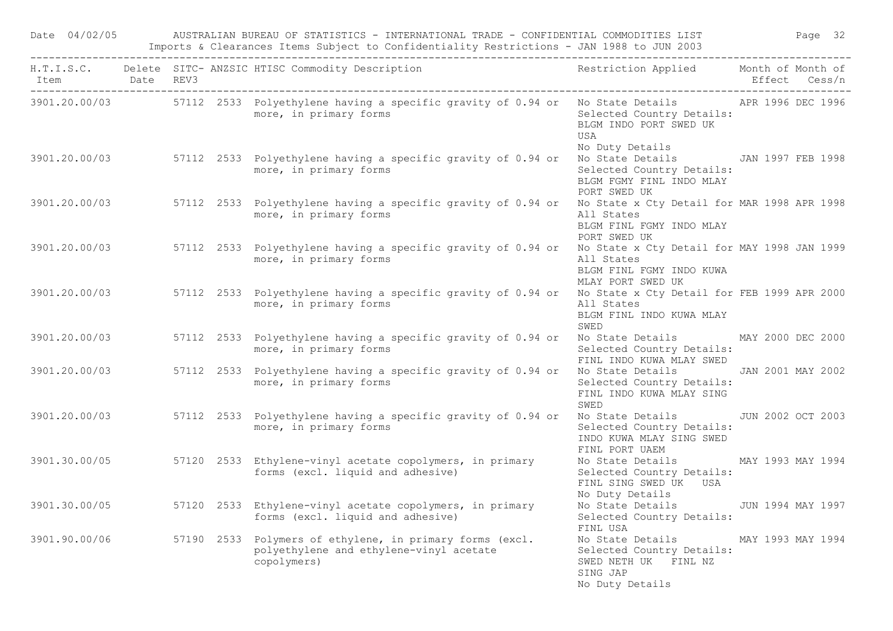| Date 04/02/05  |  | AUSTRALIAN BUREAU OF STATISTICS - INTERNATIONAL TRADE - CONFIDENTIAL COMMODITIES LIST<br>Imports & Clearances Items Subject to Confidentiality Restrictions - JAN 1988 to JUN 2003 |                                                                                                               | Page 32           |
|----------------|--|------------------------------------------------------------------------------------------------------------------------------------------------------------------------------------|---------------------------------------------------------------------------------------------------------------|-------------------|
| Item Date REV3 |  | H.T.I.S.C. Delete SITC-ANZSIC HTISC Commodity Description Nestriction Applied Month of Month of                                                                                    |                                                                                                               | Effect Cess/n     |
|                |  | 3901.20.00/03 57112 2533 Polyethylene having a specific gravity of 0.94 or No State Details APR 1996 DEC 1996<br>more, in primary forms                                            | Selected Country Details:<br>BLGM INDO PORT SWED UK<br>USA<br>No Duty Details                                 |                   |
|                |  | 3901.20.00/03 57112 2533 Polyethylene having a specific gravity of 0.94 or No State Details JAN 1997 FEB 1998<br>more, in primary forms                                            | Selected Country Details:<br>BLGM FGMY FINL INDO MLAY<br>PORT SWED UK                                         |                   |
|                |  | 3901.20.00/03 57112 2533 Polyethylene having a specific gravity of 0.94 or No State x Cty Detail for MAR 1998 APR 1998<br>more, in primary forms                                   | All States<br>BLGM FINL FGMY INDO MLAY<br>PORT SWED UK                                                        |                   |
|                |  | 3901.20.00/03 57112 2533 Polyethylene having a specific gravity of 0.94 or No State x Cty Detail for MAY 1998 JAN 1999<br>more, in primary forms                                   | All States<br>BLGM FINL FGMY INDO KUWA<br>MLAY PORT SWED UK                                                   |                   |
|                |  | 3901.20.00/03 57112 2533 Polyethylene having a specific gravity of 0.94 or No State x Cty Detail for FEB 1999 APR 2000<br>more, in primary forms                                   | All States<br>BLGM FINL INDO KUWA MLAY<br>SWED                                                                |                   |
|                |  | 3901.20.00/03 57112 2533 Polyethylene having a specific gravity of 0.94 or No State Details MAY 2000 DEC 2000<br>more, in primary forms                                            | Selected Country Details:<br>FINL INDO KUWA MLAY SWED                                                         |                   |
| 3901.20.00/03  |  | 57112 2533 Polyethylene having a specific gravity of 0.94 or Who State Details 3 JAN 2001 MAY 2002<br>more, in primary forms                                                       | Selected Country Details:<br>FINL INDO KUWA MLAY SING<br>SWED                                                 |                   |
|                |  | 3901.20.00/03 57112 2533 Polyethylene having a specific gravity of 0.94 or<br>more, in primary forms                                                                               | No State Details JUN 2002 OCT 2003<br>Selected Country Details:<br>INDO KUWA MLAY SING SWED<br>FINL PORT UAEM |                   |
|                |  | 3901.30.00/05 57120 2533 Ethylene-vinyl acetate copolymers, in primary<br>forms (excl. liquid and adhesive)                                                                        | No State Details MAY 1993 MAY 1994<br>Selected Country Details:<br>FINL SING SWED UK USA<br>No Duty Details   |                   |
| 3901.30.00/05  |  | 57120 2533 Ethylene-vinyl acetate copolymers, in primary<br>forms (excl. liquid and adhesive)                                                                                      | No State Details<br>Selected Country Details:<br>FINL USA                                                     | JUN 1994 MAY 1997 |
| 3901.90.00/06  |  | 57190 2533 Polymers of ethylene, in primary forms (excl.<br>polyethylene and ethylene-vinyl acetate<br>copolymers)                                                                 | No State Details<br>Selected Country Details:<br>SWED NETH UK FINL NZ<br>SING JAP<br>No Duty Details          | MAY 1993 MAY 1994 |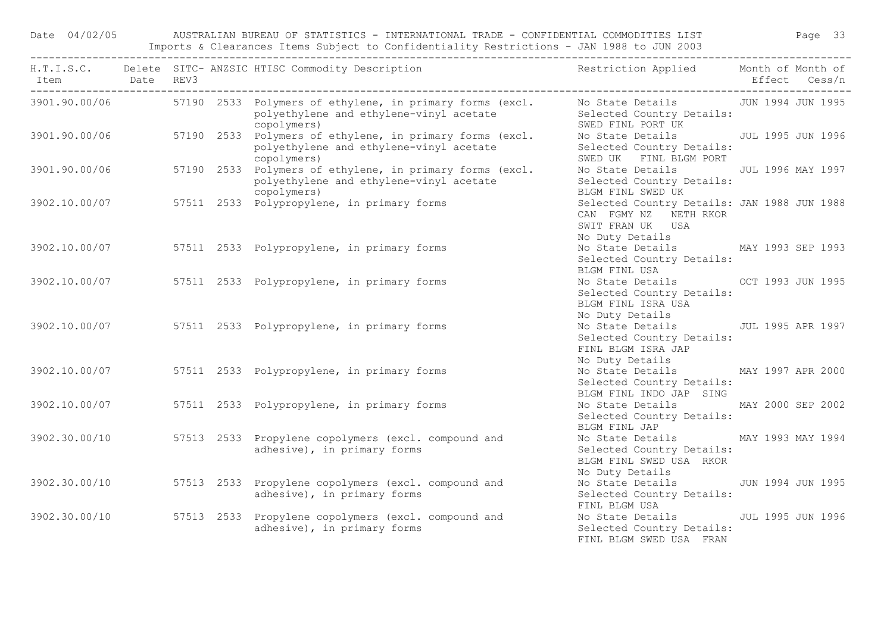Date 04/02/05 AUSTRALIAN BUREAU OF STATISTICS - INTERNATIONAL TRADE - CONFIDENTIAL COMMODITIES LIST Page 33 Imports & Clearances Items Subject to Confidentiality Restrictions - JAN 1988 to JUN 2003

|               |  | H.T.I.S.C. Delete SITC-ANZSIC HTISC Commodity Description Nestriction Applied Month of Month of                                                      |                                                                                                               |  |
|---------------|--|------------------------------------------------------------------------------------------------------------------------------------------------------|---------------------------------------------------------------------------------------------------------------|--|
|               |  | 3901.90.00/06 57190 2533 Polymers of ethylene, in primary forms (excl. No State Details JUN 1994 JUN 1995<br>polyethylene and ethylene-vinyl acetate | Selected Country Details:<br>SWED FINL PORT UK                                                                |  |
|               |  | copolymers)<br>$3901.90.00/06$ 57190 2533 Polymers of ethylene, in primary forms (excl.<br>polyethylene and ethylene-vinyl acetate<br>copolymers)    | No State Details - JUL 1995 JUN 1996<br>Selected Country Details:<br>SWED UK FINL BLGM PORT                   |  |
|               |  | $57190 2533$ Polymers of ethylene, in primary forms (excl.<br>polyethylene and ethylene-vinyl acetate<br>copolymers)                                 | No State Details JUL 1996 MAY 1997<br>Selected Country Details:<br>BLGM FINL SWED UK                          |  |
|               |  | $3902.10.00/07$ 57511 2533 Polypropylene, in primary forms                                                                                           | Selected Country Details: JAN 1988 JUN 1988<br>CAN FGMY NZ NETH RKOR<br>SWIT FRAN UK USA                      |  |
|               |  | 3902.10.00/07 57511 2533 Polypropylene, in primary forms                                                                                             | No Duty Details<br>No State Details MAY 1993 SEP 1993<br>Selected Country Details:<br>BLGM FINL USA           |  |
|               |  | 3902.10.00/07 57511 2533 Polypropylene, in primary forms                                                                                             | No State Details OCT 1993 JUN 1995<br>Selected Country Details:<br>BLGM FINL ISRA USA                         |  |
|               |  | 3902.10.00/07 57511 2533 Polypropylene, in primary forms                                                                                             | No Duty Details<br>No State Details 500 JUL 1995 APR 1997<br>Selected Country Details:<br>FINL BLGM ISRA JAP  |  |
| 3902.10.00/07 |  | 57511 2533 Polypropylene, in primary forms                                                                                                           | No Duty Details<br>No State Details MAY 1997 APR 2000<br>Selected Country Details:<br>BLGM FINL INDO JAP SING |  |
| 3902.10.00/07 |  | 57511 2533 Polypropylene, in primary forms                                                                                                           | No State Details MAY 2000 SEP 2002<br>Selected Country Details:<br>BLGM FINL JAP                              |  |
|               |  | 3902.30.00/10 57513 2533 Propylene copolymers (excl. compound and<br>adhesive), in primary forms                                                     | No State Details MAY 1993 MAY 1994<br>Selected Country Details:<br>BLGM FINL SWED USA RKOR<br>No Duty Details |  |
|               |  | 3902.30.00/10 57513 2533 Propylene copolymers (excl. compound and<br>adhesive), in primary forms                                                     | No State Details 5 JUN 1994 JUN 1995<br>Selected Country Details:<br>FINL BLGM USA                            |  |
|               |  | 3902.30.00/10 57513 2533 Propylene copolymers (excl. compound and<br>adhesive), in primary forms                                                     | No State Details 500 JUL 1995 JUN 1996<br>Selected Country Details:<br>FINL BLGM SWED USA FRAN                |  |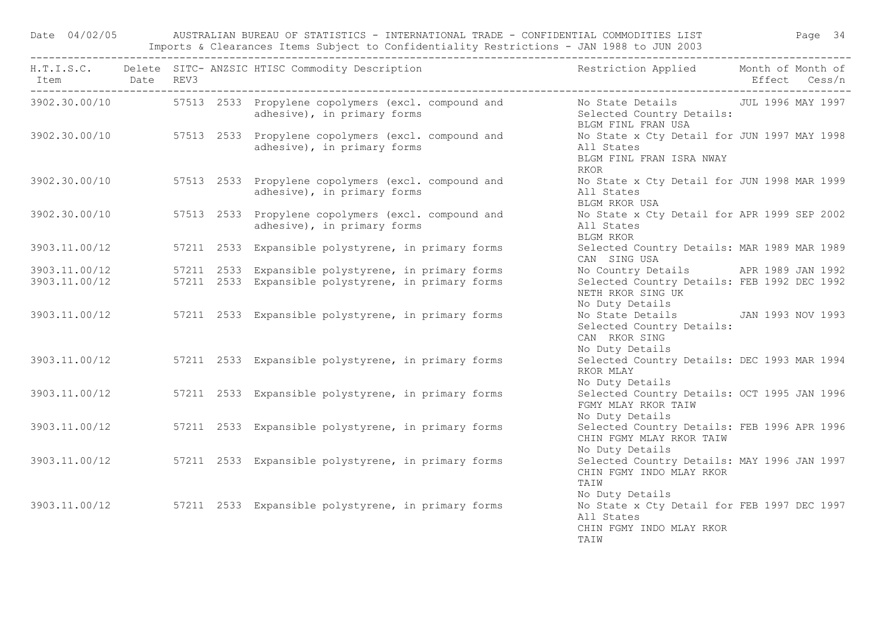Date 04/02/05 AUSTRALIAN BUREAU OF STATISTICS - INTERNATIONAL TRADE - CONFIDENTIAL COMMODITIES LIST Page 34 Imports & Clearances Items Subject to Confidentiality Restrictions - JAN 1988 to JUN 2003

| Item Date REV3 |  | H.T.I.S.C. Delete SITC-ANZSIC HTISC Commodity Description The Restriction Applied Month of Month of       | Effect Cess/n                                                                                       |
|----------------|--|-----------------------------------------------------------------------------------------------------------|-----------------------------------------------------------------------------------------------------|
|                |  | 3902.30.00/10 57513 2533 Propylene copolymers (excl. compound and<br>adhesive), in primary forms          | No State Details 50 JUL 1996 MAY 1997<br>Selected Country Details:<br>BLGM FINL FRAN USA            |
|                |  | 3902.30.00/10 57513 2533 Propylene copolymers (excl. compound and<br>adhesivel in primary of Compound and | No State x Cty Detail for JUN 1997 MAY 1998<br>All States<br>BLGM FINL FRAN ISRA NWAY<br>RKOR       |
| 3902.30.00/10  |  | 57513 2533 Propylene copolymers (excl. compound and<br>adhesive), in primary forms                        | No State x Cty Detail for JUN 1998 MAR 1999<br>All States<br>BLGM RKOR USA                          |
| 3902.30.00/10  |  | 57513 2533 Propylene copolymers (excl. compound and<br>adhesive), in primary forms                        | No State x Cty Detail for APR 1999 SEP 2002<br>All States<br>BLGM RKOR                              |
| 3903.11.00/12  |  | 57211 2533 Expansible polystyrene, in primary forms                                                       | Selected Country Details: MAR 1989 MAR 1989<br>CAN SING USA                                         |
| 3903.11.00/12  |  | 57211 2533 Expansible polystyrene, in primary forms                                                       | No Country Details APR 1989 JAN 1992                                                                |
| 3903.11.00/12  |  | 57211 2533 Expansible polystyrene, in primary forms                                                       | Selected Country Details: FEB 1992 DEC 1992<br>NETH RKOR SING UK<br>No Duty Details                 |
|                |  | 3903.11.00/12 57211 2533 Expansible polystyrene, in primary forms                                         | No State Details JAN 1993 NOV 1993<br>Selected Country Details:<br>CAN RKOR SING<br>No Duty Details |
| 3903.11.00/12  |  | 57211 2533 Expansible polystyrene, in primary forms                                                       | Selected Country Details: DEC 1993 MAR 1994<br>RKOR MLAY<br>No Duty Details                         |
| 3903.11.00/12  |  | 57211 2533 Expansible polystyrene, in primary forms                                                       | Selected Country Details: OCT 1995 JAN 1996<br>FGMY MLAY RKOR TAIW<br>No Duty Details               |
| 3903.11.00/12  |  | 57211 2533 Expansible polystyrene, in primary forms                                                       | Selected Country Details: FEB 1996 APR 1996<br>CHIN FGMY MLAY RKOR TAIW<br>No Duty Details          |
| 3903.11.00/12  |  | 57211 2533 Expansible polystyrene, in primary forms                                                       | Selected Country Details: MAY 1996 JAN 1997<br>CHIN FGMY INDO MLAY RKOR<br>TAIW<br>No Duty Details  |
|                |  | 3903.11.00/12 57211 2533 Expansible polystyrene, in primary forms                                         | No State x Cty Detail for FEB 1997 DEC 1997<br>All States<br>CHIN FGMY INDO MLAY RKOR<br>TATW       |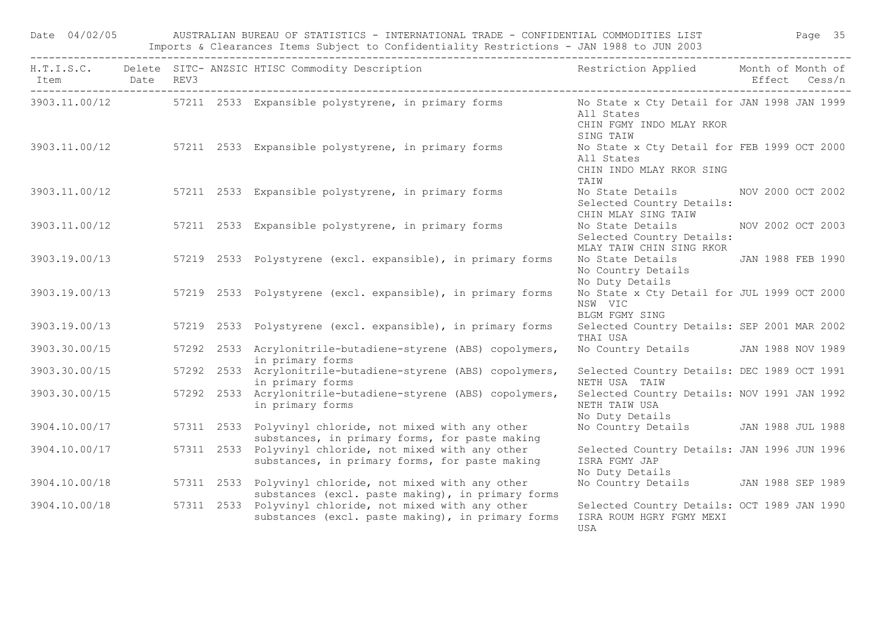| Date 04/02/05               |  | AUSTRALIAN BUREAU OF STATISTICS - INTERNATIONAL TRADE - CONFIDENTIAL COMMODITIES LIST FAGE 35<br>Imports & Clearances Items Subject to Confidentiality Restrictions - JAN 1988 to JUN 2003 |                                                                                               |               |  |
|-----------------------------|--|--------------------------------------------------------------------------------------------------------------------------------------------------------------------------------------------|-----------------------------------------------------------------------------------------------|---------------|--|
| Item Date REV3<br>--------- |  | H.T.I.S.C. Delete SITC-ANZSIC HTISC Commodity Description The Sestriction Applied Month of Month of                                                                                        |                                                                                               | Effect Cess/n |  |
|                             |  | 3903.11.00/12 57211 2533 Expansible polystyrene, in primary forms No State x Cty Detail for JAN 1998 JAN 1999                                                                              | All States<br>CHIN FGMY INDO MLAY RKOR<br>SING TAIW                                           |               |  |
|                             |  | 3903.11.00/12 57211 2533 Expansible polystyrene, in primary forms                                                                                                                          | No State x Cty Detail for FEB 1999 OCT 2000<br>All States<br>CHIN INDO MLAY RKOR SING<br>TAIW |               |  |
|                             |  | 3903.11.00/12 57211 2533 Expansible polystyrene, in primary forms                                                                                                                          | No State Details MOV 2000 OCT 2002<br>Selected Country Details:<br>CHIN MLAY SING TAIW        |               |  |
|                             |  | 3903.11.00/12 57211 2533 Expansible polystyrene, in primary forms                                                                                                                          | No State Details NOV 2002 OCT 2003<br>Selected Country Details:<br>MLAY TAIW CHIN SING RKOR   |               |  |
| 3903.19.00/13               |  | 57219 2533 Polystyrene (excl. expansible), in primary forms                                                                                                                                | No State Details JAN 1988 FEB 1990<br>No Country Details<br>No Duty Details                   |               |  |
|                             |  | 3903.19.00/13 57219 2533 Polystyrene (excl. expansible), in primary forms                                                                                                                  | No State x Cty Detail for JUL 1999 OCT 2000<br>NSW VIC<br>BLGM FGMY SING                      |               |  |
| 3903.19.00/13               |  | 57219 2533 Polystyrene (excl. expansible), in primary forms                                                                                                                                | Selected Country Details: SEP 2001 MAR 2002<br>THAI USA                                       |               |  |
| 3903.30.00/15               |  | 57292 2533 Acrylonitrile-butadiene-styrene (ABS) copolymers,<br>in primary forms                                                                                                           | No Country Details JAN 1988 NOV 1989                                                          |               |  |
| 3903.30.00/15               |  | 57292 2533 Acrylonitrile-butadiene-styrene (ABS) copolymers,<br>in primary forms                                                                                                           | Selected Country Details: DEC 1989 OCT 1991<br>NETH USA TAIW                                  |               |  |
| 3903.30.00/15               |  | 57292 2533 Acrylonitrile-butadiene-styrene (ABS) copolymers,<br>in primary forms                                                                                                           | Selected Country Details: NOV 1991 JAN 1992<br>NETH TAIW USA<br>No Duty Details               |               |  |
| 3904.10.00/17               |  | 57311 2533 Polyvinyl chloride, not mixed with any other<br>substances, in primary forms, for paste making                                                                                  | No Country Details JAN 1988 JUL 1988                                                          |               |  |
| 3904.10.00/17               |  | 57311 2533 Polyvinyl chloride, not mixed with any other<br>substances, in primary forms, for paste making                                                                                  | Selected Country Details: JAN 1996 JUN 1996<br>ISRA FGMY JAP<br>No Duty Details               |               |  |
|                             |  | 3904.10.00/18 57311 2533 Polyvinyl chloride, not mixed with any other<br>substances (excl. paste making), in primary forms                                                                 | No Country Details JAN 1988 SEP 1989                                                          |               |  |
| 3904.10.00/18               |  | 57311 2533 Polyvinyl chloride, not mixed with any other<br>substances (excl. paste making), in primary forms                                                                               | Selected Country Details: OCT 1989 JAN 1990<br>ISRA ROUM HGRY FGMY MEXI<br>USA                |               |  |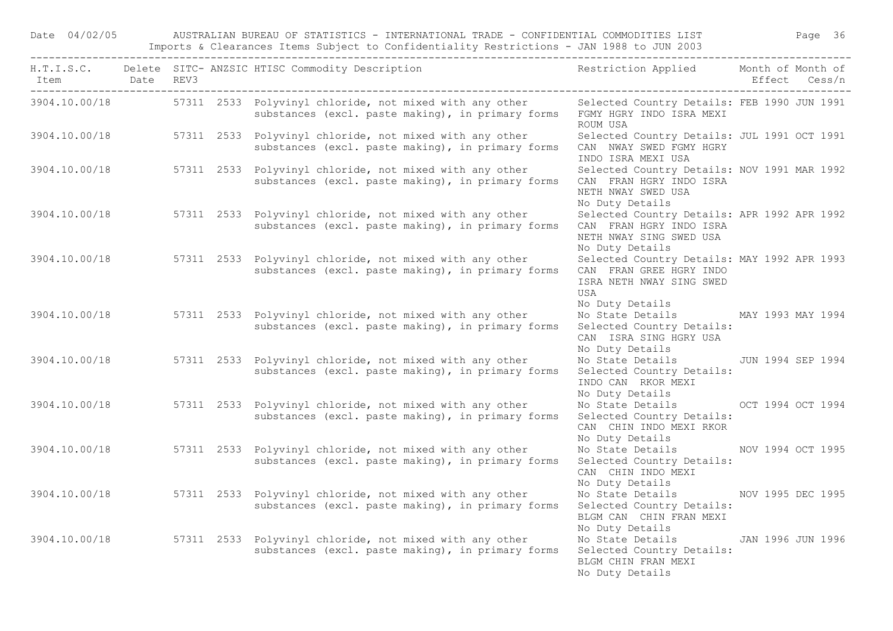Date 04/02/05 AUSTRALIAN BUREAU OF STATISTICS - INTERNATIONAL TRADE - CONFIDENTIAL COMMODITIES LIST Page 36 Imports & Clearances Items Subject to Confidentiality Restrictions - JAN 1988 to JUN 2003

| Item Date REV3 |  | H.T.I.S.C. Delete SITC-ANZSIC HTISC Commodity Description The Restriction Applied Month of Month of                        |                                                                                                                                  | Effect Cess/n     |
|----------------|--|----------------------------------------------------------------------------------------------------------------------------|----------------------------------------------------------------------------------------------------------------------------------|-------------------|
|                |  | 3904.10.00/18 57311 2533 Polyvinyl chloride, not mixed with any other<br>substances (excl. paste making), in primary forms | Selected Country Details: FEB 1990 JUN 1991<br>FGMY HGRY INDO ISRA MEXI<br>ROUM USA                                              |                   |
| 3904.10.00/18  |  | 57311 2533 Polyvinyl chloride, not mixed with any other<br>substances (excl. paste making), in primary forms               | Selected Country Details: JUL 1991 OCT 1991<br>CAN NWAY SWED FGMY HGRY<br>INDO ISRA MEXI USA                                     |                   |
|                |  | 3904.10.00/18 57311 2533 Polyvinyl chloride, not mixed with any other<br>substances (excl. paste making), in primary forms | Selected Country Details: NOV 1991 MAR 1992<br>CAN FRAN HGRY INDO ISRA<br>NETH NWAY SWED USA<br>No Duty Details                  |                   |
| 3904.10.00/18  |  | 57311 2533 Polyvinyl chloride, not mixed with any other<br>substances (excl. paste making), in primary forms               | Selected Country Details: APR 1992 APR 1992<br>CAN FRAN HGRY INDO ISRA<br>NETH NWAY SING SWED USA<br>No Duty Details             |                   |
| 3904.10.00/18  |  | 57311 2533 Polyvinyl chloride, not mixed with any other<br>substances (excl. paste making), in primary forms               | Selected Country Details: MAY 1992 APR 1993<br>CAN FRAN GREE HGRY INDO<br>ISRA NETH NWAY SING SWED<br>USA                        |                   |
| 3904.10.00/18  |  | 57311 2533 Polyvinyl chloride, not mixed with any other<br>substances (excl. paste making), in primary forms               | No Duty Details<br>No State Details MAY 1993 MAY 1994<br>Selected Country Details:<br>CAN ISRA SING HGRY USA<br>No Duty Details  |                   |
| 3904.10.00/18  |  | 57311 2533 Polyvinyl chloride, not mixed with any other<br>substances (excl. paste making), in primary forms               | No State Details JUN 1994 SEP 1994<br>Selected Country Details:<br>INDO CAN RKOR MEXI<br>No Duty Details                         |                   |
| 3904.10.00/18  |  | 57311 2533 Polyvinyl chloride, not mixed with any other<br>substances (excl. paste making), in primary forms               | No State Details OCT 1994 OCT 1994<br>Selected Country Details:<br>CAN CHIN INDO MEXI RKOR                                       |                   |
| 3904.10.00/18  |  | 57311 2533 Polyvinyl chloride, not mixed with any other<br>substances (excl. paste making), in primary forms               | No Duty Details<br>No State Details MOV 1994 OCT 1995<br>Selected Country Details:<br>CAN CHIN INDO MEXI                         |                   |
| 3904.10.00/18  |  | 57311 2533 Polyvinyl chloride, not mixed with any other<br>substances (excl. paste making), in primary forms               | No Duty Details<br>No State Details MOV 1995 DEC 1995<br>Selected Country Details:<br>BLGM CAN CHIN FRAN MEXI<br>No Duty Details |                   |
| 3904.10.00/18  |  | 57311 2533 Polyvinyl chloride, not mixed with any other<br>substances (excl. paste making), in primary forms               | No State Details<br>Selected Country Details:<br>BLGM CHIN FRAN MEXI<br>No Duty Details                                          | JAN 1996 JUN 1996 |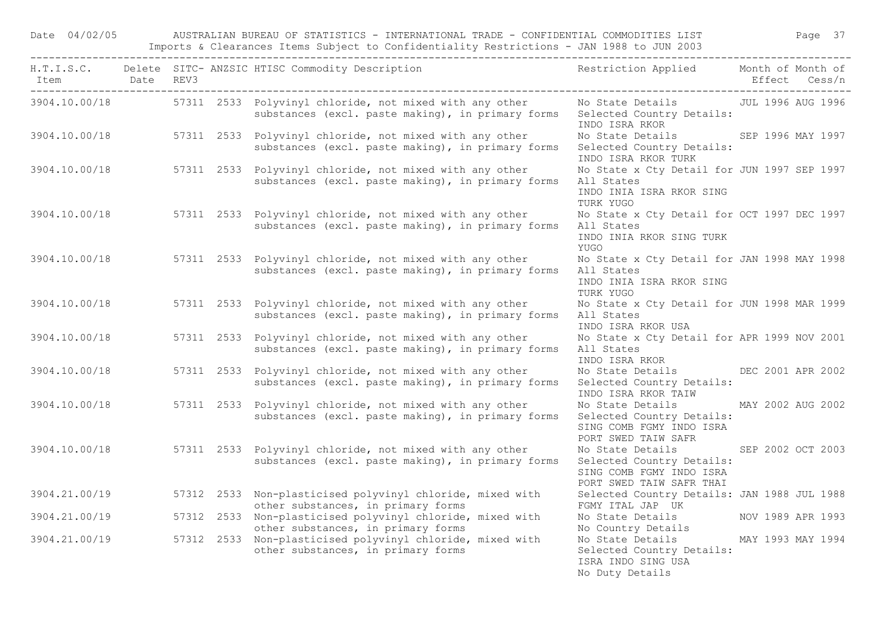Date 04/02/05 AUSTRALIAN BUREAU OF STATISTICS - INTERNATIONAL TRADE - CONFIDENTIAL COMMODITIES LIST Page 37 Imports & Clearances Items Subject to Confidentiality Restrictions - JAN 1988 to JUN 2003

| Item Date REV3 |  | H.T.I.S.C. Delete SITC-ANZSIC HTISC Commodity Description Nestriction Applied Month of Month of                                                      |                                                                                                                    | Effect Cess/n     |
|----------------|--|------------------------------------------------------------------------------------------------------------------------------------------------------|--------------------------------------------------------------------------------------------------------------------|-------------------|
|                |  | 3904.10.00/18 57311 2533 Polyvinyl chloride, not mixed with any other<br>substances (excl. paste making), in primary forms Selected Country Details: | No State Details JUL 1996 AUG 1996<br>INDO ISRA RKOR                                                               |                   |
|                |  | 3904.10.00/18 57311 2533 Polyvinyl chloride, not mixed with any other<br>substances (excl. paste making), in primary forms                           | No State Details SEP 1996 MAY 1997<br>Selected Country Details:<br>INDO ISRA RKOR TURK                             |                   |
|                |  | 3904.10.00/18 57311 2533 Polyvinyl chloride, not mixed with any other<br>substances (excl. paste making), in primary forms                           | No State x Cty Detail for JUN 1997 SEP 1997<br>All States<br>INDO INIA ISRA RKOR SING<br>TURK YUGO                 |                   |
|                |  | 3904.10.00/18 57311 2533 Polyvinyl chloride, not mixed with any other<br>substances (excl. paste making), in primary forms                           | No State x Cty Detail for OCT 1997 DEC 1997<br>All States<br>INDO INIA RKOR SING TURK<br>YUGO                      |                   |
| 3904.10.00/18  |  | 57311 2533 Polyvinyl chloride, not mixed with any other<br>substances (excl. paste making), in primary forms                                         | No State x Cty Detail for JAN 1998 MAY 1998<br>All States<br>INDO INIA ISRA RKOR SING<br>TURK YUGO                 |                   |
| 3904.10.00/18  |  | 57311 2533 Polyvinyl chloride, not mixed with any other<br>substances (excl. paste making), in primary forms                                         | No State x Cty Detail for JUN 1998 MAR 1999<br>All States<br>INDO ISRA RKOR USA                                    |                   |
| 3904.10.00/18  |  | 57311 2533 Polyvinyl chloride, not mixed with any other<br>substances (excl. paste making), in primary forms                                         | No State x Cty Detail for APR 1999 NOV 2001<br>All States<br>INDO ISRA RKOR                                        |                   |
| 3904.10.00/18  |  | 57311 2533 Polyvinyl chloride, not mixed with any other<br>substances (excl. paste making), in primary forms                                         | No State Details<br>Selected Country Details:<br>INDO ISRA RKOR TAIW                                               | DEC 2001 APR 2002 |
| 3904.10.00/18  |  | 57311 2533 Polyvinyl chloride, not mixed with any other<br>substances (excl. paste making), in primary forms                                         | No State Details MAY 2002 AUG 2002<br>Selected Country Details:<br>SING COMB FGMY INDO ISRA<br>PORT SWED TAIW SAFR |                   |
| 3904.10.00/18  |  | 57311 2533 Polyvinyl chloride, not mixed with any other<br>substances (excl. paste making), in primary forms                                         | No State Details<br>Selected Country Details:<br>SING COMB FGMY INDO ISRA<br>PORT SWED TAIW SAFR THAI              | SEP 2002 OCT 2003 |
| 3904.21.00/19  |  | 57312 2533 Non-plasticised polyvinyl chloride, mixed with<br>other substances, in primary forms                                                      | Selected Country Details: JAN 1988 JUL 1988<br>FGMY ITAL JAP UK                                                    |                   |
| 3904.21.00/19  |  | 57312 2533 Non-plasticised polyvinyl chloride, mixed with<br>other substances, in primary forms                                                      | No State Details MOV 1989 APR 1993<br>No Country Details                                                           |                   |
| 3904.21.00/19  |  | 57312 2533 Non-plasticised polyvinyl chloride, mixed with<br>other substances, in primary forms                                                      | No State Details<br>Selected Country Details:<br>ISRA INDO SING USA<br>No Duty Details                             | MAY 1993 MAY 1994 |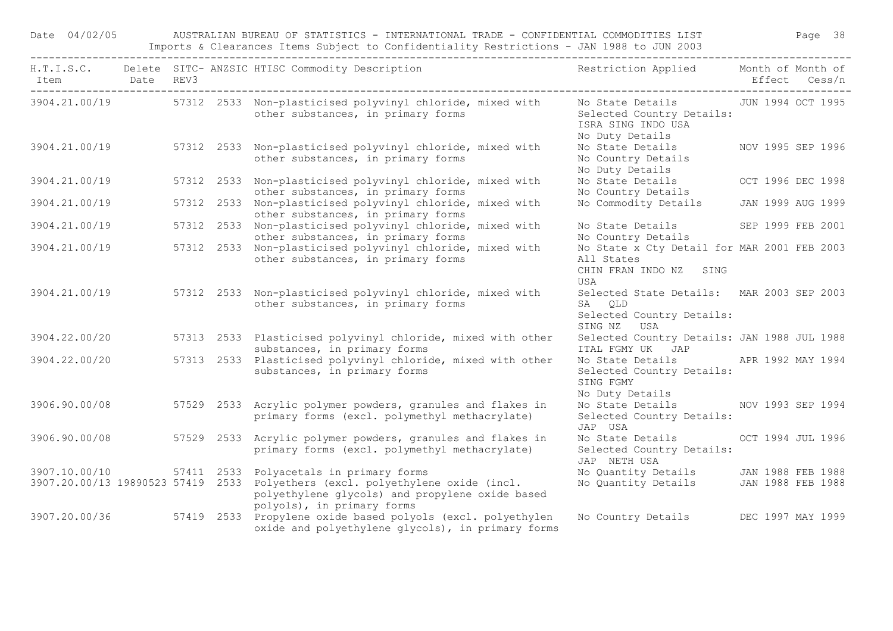Date 04/02/05 AUSTRALIAN BUREAU OF STATISTICS - INTERNATIONAL TRADE - CONFIDENTIAL COMMODITIES LIST Page 38 Imports & Clearances Items Subject to Confidentiality Restrictions - JAN 1988 to JUN 2003

| Item Date REV3 |  | H.T.I.S.C. Delete SITC-ANZSIC HTISC Commodity Description The Restriction Applied Month of Month of                                                                                                                     |                                                                                                             | Effect Cess/n     |
|----------------|--|-------------------------------------------------------------------------------------------------------------------------------------------------------------------------------------------------------------------------|-------------------------------------------------------------------------------------------------------------|-------------------|
|                |  | 3904.21.00/19 57312 2533 Non-plasticised polyvinyl chloride, mixed with<br>other substances, in primary forms                                                                                                           | No State Details 50 JUN 1994 OCT 1995<br>Selected Country Details:<br>ISRA SING INDO USA<br>No Duty Details |                   |
|                |  | 3904.21.00/19 57312 2533 Non-plasticised polyvinyl chloride, mixed with<br>other substances, in primary forms                                                                                                           | No State Details MOV 1995 SEP 1996<br>No Country Details<br>No Duty Details                                 |                   |
| 3904.21.00/19  |  | 57312 2533 Non-plasticised polyvinyl chloride, mixed with<br>other substances, in primary forms                                                                                                                         | No State Details<br>No Country Details                                                                      | OCT 1996 DEC 1998 |
| 3904.21.00/19  |  | 57312 2533 Non-plasticised polyvinyl chloride, mixed with<br>other substances, in primary forms                                                                                                                         | No Commodity Details JAN 1999 AUG 1999                                                                      |                   |
| 3904.21.00/19  |  | 57312 2533 Non-plasticised polyvinyl chloride, mixed with<br>other substances, in primary forms                                                                                                                         | No State Details SEP 1999 FEB 2001<br>No Country Details                                                    |                   |
| 3904.21.00/19  |  | 57312 2533 Non-plasticised polyvinyl chloride, mixed with<br>other substances, in primary forms                                                                                                                         | No State x Cty Detail for MAR 2001 FEB 2003<br>All States<br>CHIN FRAN INDO NZ SING<br>USA                  |                   |
| 3904.21.00/19  |  | 57312 2533 Non-plasticised polyvinyl chloride, mixed with<br>other substances, in primary forms                                                                                                                         | Selected State Details: MAR 2003 SEP 2003<br>SA QLD<br>Selected Country Details:<br>SING NZ USA             |                   |
| 3904.22.00/20  |  | 57313 2533 Plasticised polyvinyl chloride, mixed with other<br>substances, in primary forms                                                                                                                             | Selected Country Details: JAN 1988 JUL 1988<br>ITAL FGMY UK JAP                                             |                   |
| 3904.22.00/20  |  | 57313 2533 Plasticised polyvinyl chloride, mixed with other<br>substances, in primary forms                                                                                                                             | No State Details APR 1992 MAY 1994<br>Selected Country Details:<br>SING FGMY<br>No Duty Details             |                   |
| 3906.90.00/08  |  | 57529 2533 Acrylic polymer powders, granules and flakes in<br>primary forms (excl. polymethyl methacrylate)                                                                                                             | No State Details NOV 1993 SEP 1994<br>Selected Country Details:<br>JAP USA                                  |                   |
| 3906.90.00/08  |  | 57529 2533 Acrylic polymer powders, granules and flakes in<br>primary forms (excl. polymethyl methacrylate)                                                                                                             | No State Details<br>Selected Country Details:<br>JAP NETH USA                                               | OCT 1994 JUL 1996 |
|                |  | 3907.10.00/10 57411 2533 Polyacetals in primary forms<br>3907.20.00/13 19890523 57419 2533 Polyethers (excl. polyethylene oxide (incl.<br>polyethylene glycols) and propylene oxide based<br>polyols), in primary forms | No Quantity Details JAN 1988 FEB 1988<br>No Quantity Details JAN 1988 FEB 1988                              |                   |
|                |  | 3907.20.00/36 57419 2533 Propylene oxide based polyols (excl. polyethylen<br>oxide and polyethylene glycols), in primary forms                                                                                          | No Country Details DEC 1997 MAY 1999                                                                        |                   |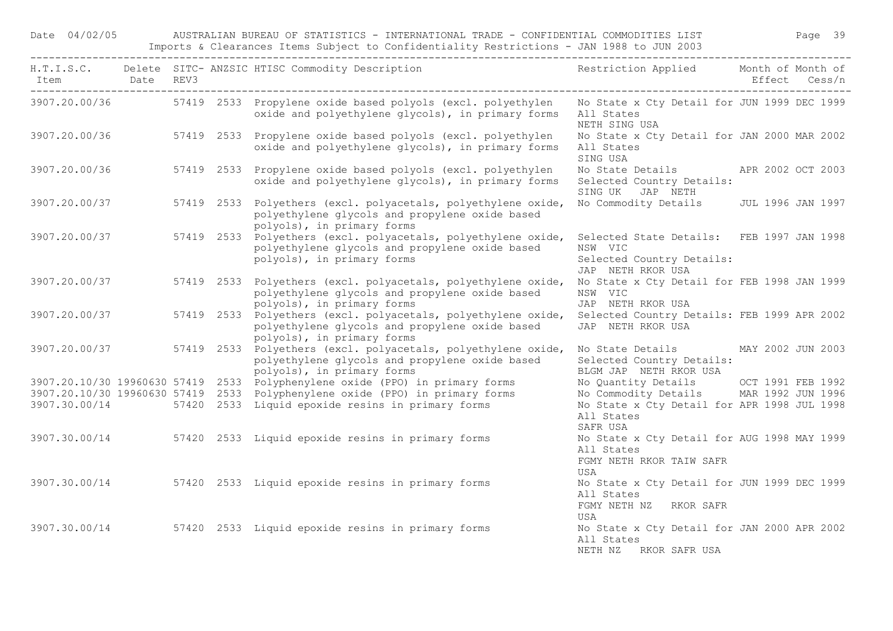Date 04/02/05 AUSTRALIAN BUREAU OF STATISTICS - INTERNATIONAL TRADE - CONFIDENTIAL COMMODITIES LIST Page 39 Imports & Clearances Items Subject to Confidentiality Restrictions - JAN 1988 to JUN 2003

|               |  | H.T.I.S.C. Delete SITC-ANZSIC HTISC Commodity Description Nestriction Applied Month of Month of                                                             |                                                                                                        |  |
|---------------|--|-------------------------------------------------------------------------------------------------------------------------------------------------------------|--------------------------------------------------------------------------------------------------------|--|
|               |  | 3907.20.00/36 57419 2533 Propylene oxide based polyols (excl. polyethylen<br>oxide and polyethylene glycols), in primary forms                              | No State x Cty Detail for JUN 1999 DEC 1999<br>All States<br>NETH SING USA                             |  |
| 3907.20.00/36 |  | 57419 2533 Propylene oxide based polyols (excl. polyethylen<br>oxide and polyethylene glycols), in primary forms                                            | No State x Cty Detail for JAN 2000 MAR 2002<br>All States<br>SING USA                                  |  |
| 3907.20.00/36 |  | 57419 2533 Propylene oxide based polyols (excl. polyethylen<br>oxide and polyethylene glycols), in primary forms                                            | No State Details APR 2002 OCT 2003<br>Selected Country Details:<br>SING UK JAP NETH                    |  |
| 3907.20.00/37 |  | 57419 2533 Polyethers (excl. polyacetals, polyethylene oxide,<br>polyethylene glycols and propylene oxide based<br>polyols), in primary forms               | No Commodity Details JUL 1996 JAN 1997                                                                 |  |
| 3907.20.00/37 |  | 57419 2533 Polyethers (excl. polyacetals, polyethylene oxide,<br>polyethylene glycols and propylene oxide based<br>polyols), in primary forms               | Selected State Details: FEB 1997 JAN 1998<br>NSW VIC<br>Selected Country Details:<br>JAP NETH RKOR USA |  |
| 3907.20.00/37 |  | 57419 2533 Polyethers (excl. polyacetals, polyethylene oxide,<br>polyethylene glycols and propylene oxide based<br>polyols), in primary forms               | No State x Cty Detail for FEB 1998 JAN 1999<br>NSW VIC<br>JAP NETH RKOR USA                            |  |
| 3907.20.00/37 |  | 57419 2533 Polyethers (excl. polyacetals, polyethylene oxide,<br>polyethylene glycols and propylene oxide based<br>polyols), in primary forms               | Selected Country Details: FEB 1999 APR 2002<br>JAP NETH RKOR USA                                       |  |
|               |  | 3907.20.00/37 57419 2533 Polyethers (excl. polyacetals, polyethylene oxide,<br>polyethylene glycols and propylene oxide based<br>polyols), in primary forms | No State Details MAY 2002 JUN 2003<br>Selected Country Details:<br>BLGM JAP NETH RKOR USA              |  |
|               |  | 3907.20.10/30 19960630 57419 2533 Polyphenylene oxide (PPO) in primary forms                                                                                |                                                                                                        |  |
|               |  | 3907.20.10/30 19960630 57419 2533 Polyphenylene oxide (PPO) in primary forms                                                                                | No Quantity Details OCT 1991 FEB 1992<br>No Commodity Details MAR 1992 JUN 1996                        |  |
|               |  | 3907.30.00/14 57420 2533 Liquid epoxide resins in primary forms                                                                                             | No State x Cty Detail for APR 1998 JUL 1998<br>All States<br>SAFR USA                                  |  |
|               |  | 3907.30.00/14 57420 2533 Liquid epoxide resins in primary forms                                                                                             | No State x Cty Detail for AUG 1998 MAY 1999<br>All States<br>FGMY NETH RKOR TAIW SAFR<br>USA           |  |
|               |  | 3907.30.00/14 57420 2533 Liquid epoxide resins in primary forms                                                                                             | No State x Cty Detail for JUN 1999 DEC 1999<br>All States<br>FGMY NETH NZ RKOR SAFR<br>USA             |  |
| 3907.30.00/14 |  | 57420 2533 Liquid epoxide resins in primary forms                                                                                                           | No State x Cty Detail for JAN 2000 APR 2002<br>All States<br>NETH NZ RKOR SAFR USA                     |  |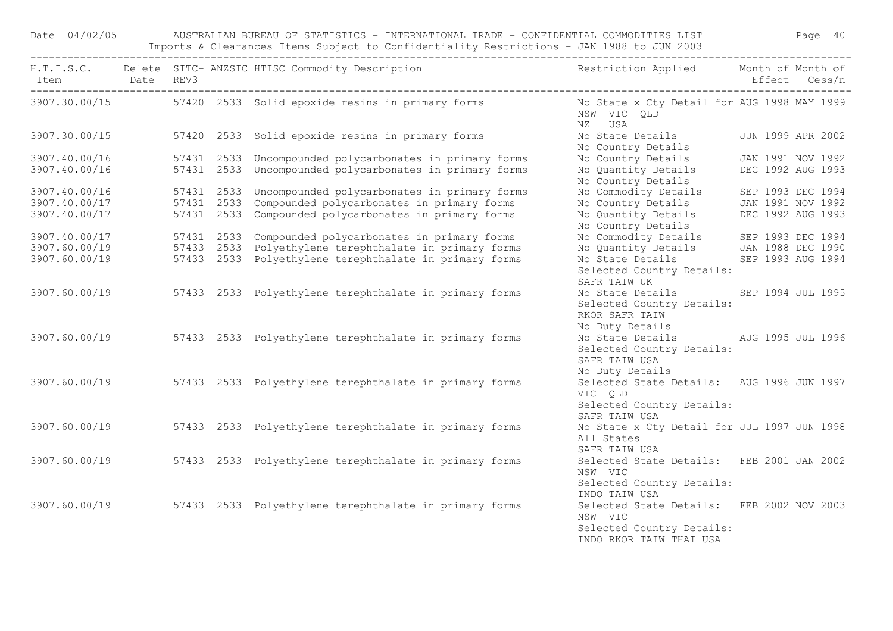Date 04/02/05 AUSTRALIAN BUREAU OF STATISTICS - INTERNATIONAL TRADE - CONFIDENTIAL COMMODITIES LIST Page 40 Imports & Clearances Items Subject to Confidentiality Restrictions - JAN 1988 to JUN 2003

|                                |  | H.T.I.S.C. Delete SITC-ANZSIC HTISC Commodity Description Nestriction Applied Month of Month of |                                                                                                                                                       |                   |  |  |
|--------------------------------|--|-------------------------------------------------------------------------------------------------|-------------------------------------------------------------------------------------------------------------------------------------------------------|-------------------|--|--|
| Item Date REV3                 |  |                                                                                                 |                                                                                                                                                       | Effect Cess/n     |  |  |
|                                |  | 3907.30.00/15 57420 2533 Solid epoxide resins in primary forms                                  | No State x Cty Detail for AUG 1998 MAY 1999<br>NSW VIC QLD<br>NZ USA                                                                                  |                   |  |  |
| 3907.30.00/15                  |  | 57420 2533 Solid epoxide resins in primary forms                                                | No State Details JUN 1999 APR 2002<br>No Country Details                                                                                              |                   |  |  |
| 3907.40.00/16                  |  | 57431 2533 Uncompounded polycarbonates in primary forms                                         | No Country Details                                                                                                                                    | JAN 1991 NOV 1992 |  |  |
| 3907.40.00/16                  |  | 57431 2533 Uncompounded polycarbonates in primary forms                                         | No Quantity Details<br>No Country Details                                                                                                             | DEC 1992 AUG 1993 |  |  |
| 3907.40.00/16                  |  | 57431 2533 Uncompounded polycarbonates in primary forms                                         | No Commodity Details                                                                                                                                  | SEP 1993 DEC 1994 |  |  |
| 3907.40.00/17                  |  | 57431 2533 Compounded polycarbonates in primary forms                                           |                                                                                                                                                       |                   |  |  |
| 3907.40.00/17                  |  | 57431 2533 Compounded polycarbonates in primary forms                                           | No Country Details 1991 NOV 1992<br>No Quantity Details 1992 AUG 1993<br>No Country Details                                                           |                   |  |  |
| 3907.40.00/17                  |  | 57431 2533 Compounded polycarbonates in primary forms                                           |                                                                                                                                                       |                   |  |  |
| 3907.60.00/19<br>3907.60.00/19 |  | 57433 2533 Polyethylene terephthalate in primary forms                                          |                                                                                                                                                       |                   |  |  |
|                                |  | 57433 2533 Polyethylene terephthalate in primary forms                                          | No Commodity Details<br>No Quantity Details<br>No State Details<br>No State Details<br>SEP 1993 AUG 1994<br>Selected Country Details:<br>SAFR TAIW UK |                   |  |  |
| 3907.60.00/19                  |  | 57433 2533 Polyethylene terephthalate in primary forms                                          | No State Details SEP 1994 JUL 1995<br>Selected Country Details:<br>RKOR SAFR TAIW<br>No Duty Details                                                  |                   |  |  |
| 3907.60.00/19                  |  | 57433 2533 Polyethylene terephthalate in primary forms                                          | No State Details AUG 1995 JUL 1996<br>Selected Country Details:<br>SAFR TAIW USA<br>No Duty Details                                                   |                   |  |  |
| 3907.60.00/19                  |  | 57433 2533 Polyethylene terephthalate in primary forms                                          | Selected State Details: AUG 1996 JUN 1997<br>VIC QLD<br>Selected Country Details:                                                                     |                   |  |  |
| 3907.60.00/19                  |  | 57433 2533 Polyethylene terephthalate in primary forms                                          | SAFR TAIW USA<br>No State x Cty Detail for JUL 1997 JUN 1998<br>All States<br>SAFR TAIW USA                                                           |                   |  |  |
| 3907.60.00/19                  |  | 57433 2533 Polyethylene terephthalate in primary forms                                          | Selected State Details: FEB 2001 JAN 2002<br>NSW VIC<br>Selected Country Details:                                                                     |                   |  |  |
|                                |  | 3907.60.00/19 57433 2533 Polyethylene terephthalate in primary forms                            | INDO TAIW USA<br>Selected State Details: FEB 2002 NOV 2003<br>NSW VIC<br>Selected Country Details:<br>INDO RKOR TAIW THAI USA                         |                   |  |  |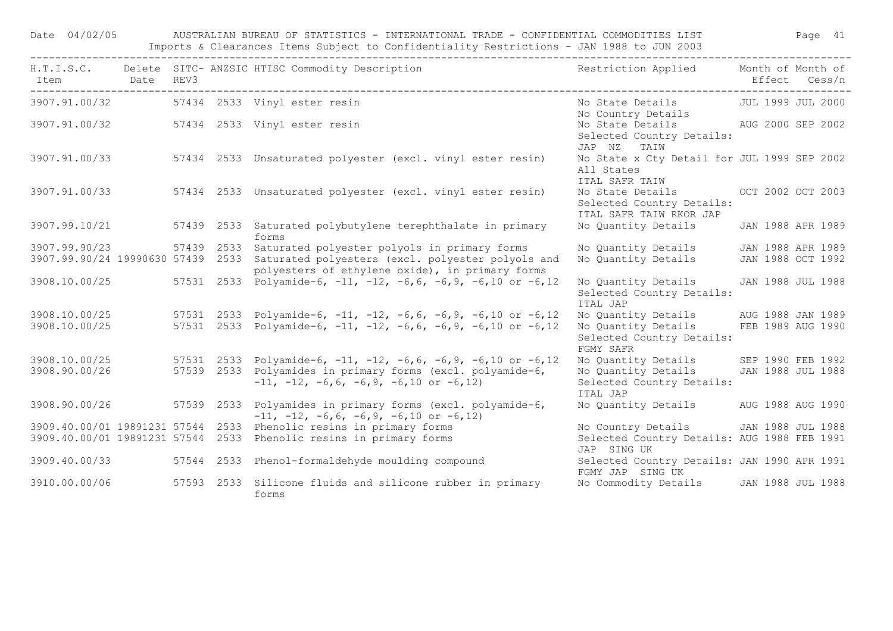Date 04/02/05 AUSTRALIAN BUREAU OF STATISTICS - INTERNATIONAL TRADE - CONFIDENTIAL COMMODITIES LIST Page 41 Imports & Clearances Items Subject to Confidentiality Restrictions - JAN 1988 to JUN 2003

| H.T.I.S.C.<br>Item                | Date | REV3 |            | Delete SITC- ANZSIC HTISC Commodity Description<br>---------------------------------                        | Restriction Applied                                                         | Month of Month of | Effect Cess/n     |
|-----------------------------------|------|------|------------|-------------------------------------------------------------------------------------------------------------|-----------------------------------------------------------------------------|-------------------|-------------------|
| 3907.91.00/32                     |      |      |            | 57434 2533 Vinyl ester resin                                                                                | No State Details<br>No Country Details                                      | JUL 1999 JUL 2000 |                   |
| 3907.91.00/32                     |      |      |            | 57434 2533 Vinyl ester resin                                                                                | No State Details<br>Selected Country Details:<br>JAP NZ<br>TAIW             | AUG 2000 SEP 2002 |                   |
| 3907.91.00/33                     |      |      |            | 57434 2533 Unsaturated polyester (excl. vinyl ester resin)                                                  | No State x Cty Detail for JUL 1999 SEP 2002<br>All States<br>ITAL SAFR TAIW |                   |                   |
| 3907.91.00/33                     |      |      |            | 57434 2533 Unsaturated polyester (excl. vinyl ester resin)                                                  | No State Details<br>Selected Country Details:<br>ITAL SAFR TAIW RKOR JAP    |                   | OCT 2002 OCT 2003 |
| 3907.99.10/21                     |      |      |            | 57439 2533 Saturated polybutylene terephthalate in primary<br>forms                                         | No Quantity Details                                                         | JAN 1988 APR 1989 |                   |
| 3907.99.90/23                     |      |      | 57439 2533 | Saturated polyester polyols in primary forms                                                                | No Quantity Details                                                         | JAN 1988 APR 1989 |                   |
| 3907.99.90/24 19990630 57439 2533 |      |      |            | Saturated polyesters (excl. polyester polyols and<br>polyesters of ethylene oxide), in primary forms        | No Quantity Details                                                         | JAN 1988 OCT 1992 |                   |
| 3908.10.00/25                     |      |      | 57531 2533 | Polyamide-6, $-11$ , $-12$ , $-6$ , 6, $-6$ , 9, $-6$ , 10 or $-6$ , 12                                     | No Quantity Details<br>Selected Country Details:<br>ITAL JAP                | JAN 1988 JUL 1988 |                   |
| 3908.10.00/25                     |      |      | 57531 2533 | Polyamide-6, $-11$ , $-12$ , $-6$ , 6, $-6$ , 9, $-6$ , 10 or $-6$ , 12                                     | No Quantity Details                                                         | AUG 1988 JAN 1989 |                   |
| 3908.10.00/25                     |      |      | 57531 2533 | Polyamide-6, $-11$ , $-12$ , $-6$ , 6, $-6$ , 9, $-6$ , 10 or $-6$ , 12                                     | No Quantity Details<br>Selected Country Details:<br>FGMY SAFR               | FEB 1989 AUG 1990 |                   |
| 3908.10.00/25                     |      |      |            | 57531  2533  Polyamide-6, -11, -12, -6,6, -6,9, -6,10  or -6,12                                             | No Quantity Details                                                         |                   | SEP 1990 FEB 1992 |
| 3908.90.00/26                     |      |      | 57539 2533 | Polyamides in primary forms (excl. polyamide-6,<br>$-11, -12, -6, 6, -6, 9, -6, 10$ or $-6, 12)$            | No Quantity Details<br>Selected Country Details:<br>ITAL JAP                | JAN 1988 JUL 1988 |                   |
| 3908.90.00/26                     |      |      |            | 57539 2533 Polyamides in primary forms (excl. polyamide-6,<br>$-11, -12, -6, 6, -6, 9, -6, 10$ or $-6, 12)$ | No Quantity Details                                                         | AUG 1988 AUG 1990 |                   |
| 3909.40.00/01 19891231 57544 2533 |      |      |            | Phenolic resins in primary forms                                                                            | No Country Details                                                          | JAN 1988 JUL 1988 |                   |
| 3909.40.00/01 19891231 57544 2533 |      |      |            | Phenolic resins in primary forms                                                                            | Selected Country Details: AUG 1988 FEB 1991<br>JAP SING UK                  |                   |                   |
| 3909.40.00/33                     |      |      | 57544 2533 | Phenol-formaldehyde moulding compound                                                                       | Selected Country Details: JAN 1990 APR 1991<br>FGMY JAP SING UK             |                   |                   |
| 3910.00.00/06                     |      |      |            | 57593 2533 Silicone fluids and silicone rubber in primary<br>forms                                          | No Commodity Details                                                        | JAN 1988 JUL 1988 |                   |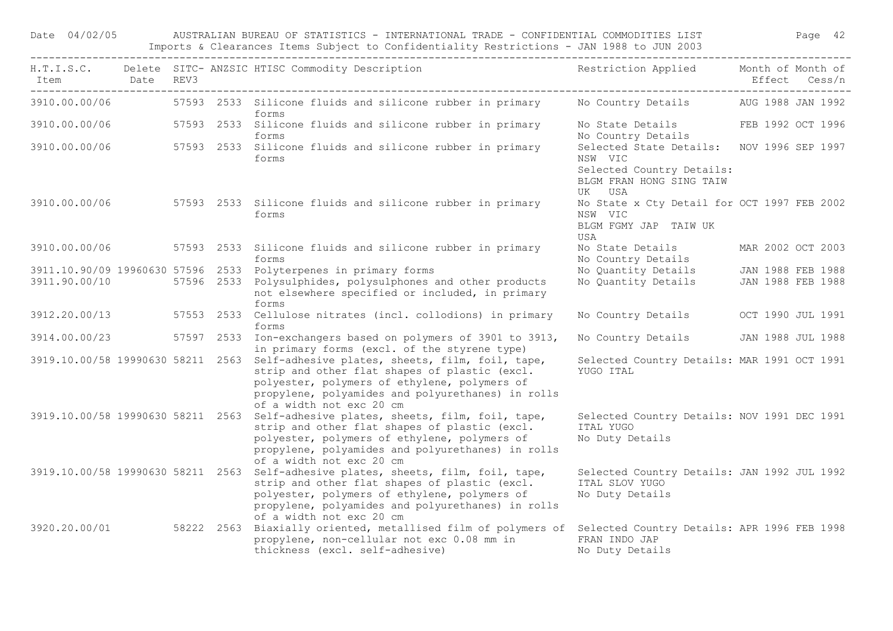| Date 04/02/05 |      |      |            | AUSTRALIAN BUREAU OF STATISTICS - INTERNATIONAL TRADE - CONFIDENTIAL COMMODITIES LIST<br>Imports & Clearances Items Subject to Confidentiality Restrictions - JAN 1988 to JUN 2003                                                                                  |                                                                                                                            |                   | Page 42 |
|---------------|------|------|------------|---------------------------------------------------------------------------------------------------------------------------------------------------------------------------------------------------------------------------------------------------------------------|----------------------------------------------------------------------------------------------------------------------------|-------------------|---------|
| Item          | Date | REV3 |            | H.T.I.S.C. Delete SITC- ANZSIC HTISC Commodity Description                                                                                                                                                                                                          | Restriction Applied Month of Month of                                                                                      | Effect Cess/n     |         |
| 3910.00.00/06 |      |      |            | 57593 2533 Silicone fluids and silicone rubber in primary Mo Country Details AUG 1988 JAN 1992<br>forms                                                                                                                                                             |                                                                                                                            |                   |         |
|               |      |      |            | 3910.00.00/06 57593 2533 Silicone fluids and silicone rubber in primary<br>forms                                                                                                                                                                                    | No State Details FEB 1992 OCT 1996<br>No Country Details                                                                   |                   |         |
|               |      |      |            | 3910.00.00/06 57593 2533 Silicone fluids and silicone rubber in primary<br>forms                                                                                                                                                                                    | Selected State Details: NOV 1996 SEP 1997<br>NSW VIC<br>Selected Country Details:<br>BLGM FRAN HONG SING TAIW<br>USA<br>UK |                   |         |
|               |      |      |            | 3910.00.00/06 57593 2533 Silicone fluids and silicone rubber in primary<br>forms                                                                                                                                                                                    | No State x Cty Detail for OCT 1997 FEB 2002<br>NSW VIC<br>BLGM FGMY JAP TAIW UK<br>USA                                     |                   |         |
| 3910.00.00/06 |      |      |            | 57593 2533 Silicone fluids and silicone rubber in primary<br>forms                                                                                                                                                                                                  | No State Details<br>No Country Details                                                                                     | MAR 2002 OCT 2003 |         |
|               |      |      |            | 3911.10.90/09 19960630 57596 2533 Polyterpenes in primary forms                                                                                                                                                                                                     | No Quantity Details JAN 1988 FEB 1988                                                                                      |                   |         |
| 3911.90.00/10 |      |      |            | 57596 2533 Polysulphides, polysulphones and other products<br>not elsewhere specified or included, in primary<br>forms                                                                                                                                              | No Quantity Details                                                                                                        | JAN 1988 FEB 1988 |         |
| 3912.20.00/13 |      |      | 57553 2533 | Cellulose nitrates (incl. collodions) in primary<br>forms                                                                                                                                                                                                           | No Country Details                                                                                                         | OCT 1990 JUL 1991 |         |
|               |      |      |            | 3914.00.00/23 57597 2533 Ion-exchangers based on polymers of 3901 to 3913,<br>in primary forms (excl. of the styrene type)                                                                                                                                          | No Country Details JAN 1988 JUL 1988                                                                                       |                   |         |
|               |      |      |            | 3919.10.00/58 19990630 58211 2563 Self-adhesive plates, sheets, film, foil, tape,<br>strip and other flat shapes of plastic (excl.<br>polyester, polymers of ethylene, polymers of<br>propylene, polyamides and polyurethanes) in rolls<br>of a width not exc 20 cm | Selected Country Details: MAR 1991 OCT 1991<br>YUGO ITAL                                                                   |                   |         |
|               |      |      |            | 3919.10.00/58 19990630 58211 2563 Self-adhesive plates, sheets, film, foil, tape,<br>strip and other flat shapes of plastic (excl.<br>polyester, polymers of ethylene, polymers of<br>propylene, polyamides and polyurethanes) in rolls<br>of a width not exc 20 cm | Selected Country Details: NOV 1991 DEC 1991<br>ITAL YUGO<br>No Duty Details                                                |                   |         |
|               |      |      |            | 3919.10.00/58 19990630 58211 2563 Self-adhesive plates, sheets, film, foil, tape,<br>strip and other flat shapes of plastic (excl.<br>polyester, polymers of ethylene, polymers of<br>propylene, polyamides and polyurethanes) in rolls<br>of a width not exc 20 cm | Selected Country Details: JAN 1992 JUL 1992<br>ITAL SLOV YUGO<br>No Duty Details                                           |                   |         |
| 3920.20.00/01 |      |      |            | 58222 2563 Biaxially oriented, metallised film of polymers of<br>propylene, non-cellular not exc 0.08 mm in<br>thickness (excl. self-adhesive)                                                                                                                      | Selected Country Details: APR 1996 FEB 1998<br>FRAN INDO JAP<br>No Duty Details                                            |                   |         |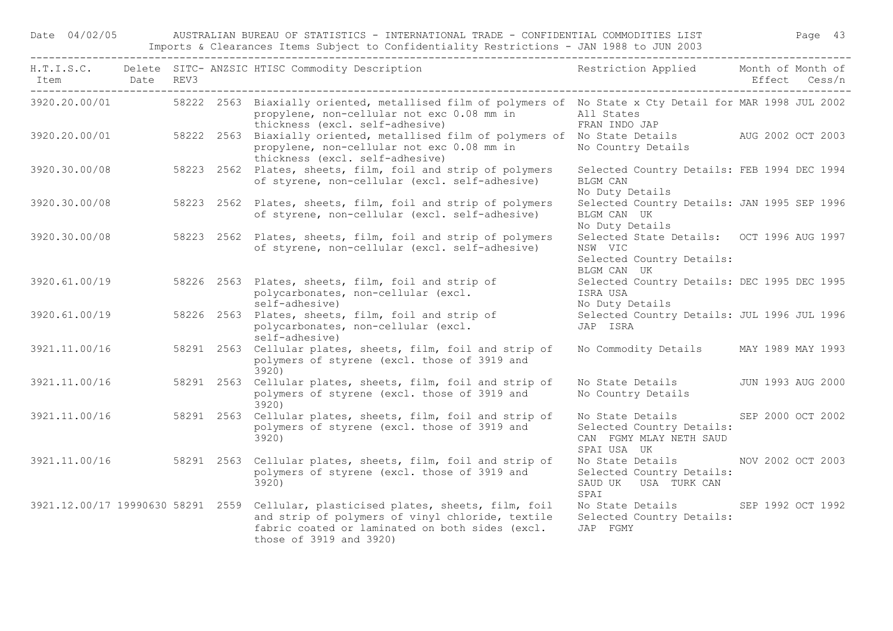Date 04/02/05 AUSTRALIAN BUREAU OF STATISTICS - INTERNATIONAL TRADE - CONFIDENTIAL COMMODITIES LIST Page 43 Imports & Clearances Items Subject to Confidentiality Restrictions - JAN 1988 to JUN 2003

| Item          | Date REV3 |  | H.T.I.S.C. Delete SITC-ANZSIC HTISC Commodity Description The Sestriction Applied Month of Month of                                                                                                                  |                                                                                                         | Effect Cess/n     |
|---------------|-----------|--|----------------------------------------------------------------------------------------------------------------------------------------------------------------------------------------------------------------------|---------------------------------------------------------------------------------------------------------|-------------------|
| 3920.20.00/01 |           |  | 58222 2563 Biaxially oriented, metallised film of polymers of No State x Cty Detail for MAR 1998 JUL 2002<br>propylene, non-cellular not exc 0.08 mm in                                                              | All States                                                                                              |                   |
| 3920.20.00/01 |           |  | thickness (excl. self-adhesive)<br>58222 2563 Biaxially oriented, metallised film of polymers of No State Details AUG 2002 OCT 2003<br>propylene, non-cellular not exc 0.08 mm in<br>thickness (excl. self-adhesive) | FRAN INDO JAP<br>No Country Details                                                                     |                   |
| 3920.30.00/08 |           |  | 58223 2562 Plates, sheets, film, foil and strip of polymers<br>of styrene, non-cellular (excl. self-adhesive)                                                                                                        | Selected Country Details: FEB 1994 DEC 1994<br><b>BLGM CAN</b><br>No Duty Details                       |                   |
| 3920.30.00/08 |           |  | 58223 2562 Plates, sheets, film, foil and strip of polymers<br>of styrene, non-cellular (excl. self-adhesive)                                                                                                        | Selected Country Details: JAN 1995 SEP 1996<br>BLGM CAN UK<br>No Duty Details                           |                   |
| 3920.30.00/08 |           |  | 58223 2562 Plates, sheets, film, foil and strip of polymers<br>of styrene, non-cellular (excl. self-adhesive)                                                                                                        | Selected State Details: OCT 1996 AUG 1997<br>NSW VIC<br>Selected Country Details:<br>BLGM CAN UK        |                   |
| 3920.61.00/19 |           |  | 58226 2563 Plates, sheets, film, foil and strip of<br>polycarbonates, non-cellular (excl.<br>self-adhesive)                                                                                                          | Selected Country Details: DEC 1995 DEC 1995<br>ISRA USA<br>No Duty Details                              |                   |
| 3920.61.00/19 |           |  | 58226 2563 Plates, sheets, film, foil and strip of<br>polycarbonates, non-cellular (excl.<br>self-adhesive)                                                                                                          | Selected Country Details: JUL 1996 JUL 1996<br>JAP ISRA                                                 |                   |
| 3921.11.00/16 |           |  | 58291 2563 Cellular plates, sheets, film, foil and strip of<br>polymers of styrene (excl. those of 3919 and<br>3920)                                                                                                 | No Commodity Details MAY 1989 MAY 1993                                                                  |                   |
| 3921.11.00/16 |           |  | 58291 2563 Cellular plates, sheets, film, foil and strip of<br>polymers of styrene (excl. those of 3919 and<br>3920)                                                                                                 | No State Details<br>No Country Details                                                                  | JUN 1993 AUG 2000 |
| 3921.11.00/16 |           |  | 58291 2563 Cellular plates, sheets, film, foil and strip of<br>polymers of styrene (excl. those of 3919 and<br>3920)                                                                                                 | No State Details The State State<br>Selected Country Details:<br>CAN FGMY MLAY NETH SAUD<br>SPAI USA UK | SEP 2000 OCT 2002 |
| 3921.11.00/16 |           |  | 58291 2563 Cellular plates, sheets, film, foil and strip of<br>polymers of styrene (excl. those of 3919 and<br>3920)                                                                                                 | No State Details NOV 2002 OCT 2003<br>Selected Country Details:<br>SAUD UK USA TURK CAN<br>SPAI         |                   |
|               |           |  | 3921.12.00/17 19990630 58291 2559 Cellular, plasticised plates, sheets, film, foil<br>and strip of polymers of vinyl chloride, textile<br>fabric coated or laminated on both sides (excl.<br>those of 3919 and 3920) | No State Details SEP 1992 OCT 1992<br>Selected Country Details:<br>JAP FGMY                             |                   |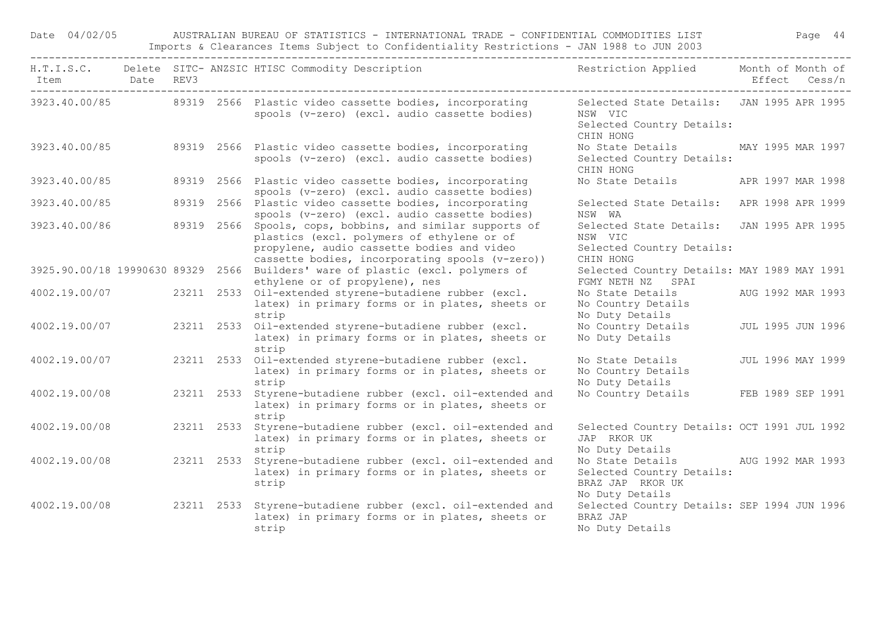Date 04/02/05 AUSTRALIAN BUREAU OF STATISTICS - INTERNATIONAL TRADE - CONFIDENTIAL COMMODITIES LIST Page 44 Imports & Clearances Items Subject to Confidentiality Restrictions - JAN 1988 to JUN 2003

| Item          | Date REV3 |            | H.T.I.S.C. Delete SITC- ANZSIC HTISC Commodity Description                                                                                                                                               | Restriction Applied Month of Month of                                                                  | Effect Cess/n     |
|---------------|-----------|------------|----------------------------------------------------------------------------------------------------------------------------------------------------------------------------------------------------------|--------------------------------------------------------------------------------------------------------|-------------------|
|               |           |            | 3923.40.00/85 89319 2566 Plastic video cassette bodies, incorporating<br>spools (v-zero) (excl. audio cassette bodies)                                                                                   | Selected State Details: JAN 1995 APR 1995<br>NSW VIC<br>Selected Country Details:<br>CHIN HONG         |                   |
|               |           |            | 3923.40.00/85 89319 2566 Plastic video cassette bodies, incorporating<br>spools (v-zero) (excl. audio cassette bodies)                                                                                   | No State Details MAY 1995 MAR 1997<br>Selected Country Details:<br>CHIN HONG                           |                   |
| 3923.40.00/85 |           |            | 89319 2566 Plastic video cassette bodies, incorporating<br>spools (v-zero) (excl. audio cassette bodies)                                                                                                 | No State Details APR 1997 MAR 1998                                                                     |                   |
| 3923.40.00/85 |           |            | 89319 2566 Plastic video cassette bodies, incorporating<br>spools (v-zero) (excl. audio cassette bodies)                                                                                                 | Selected State Details: APR 1998 APR 1999<br>NSW WA                                                    |                   |
| 3923.40.00/86 |           |            | 89319 2566 Spools, cops, bobbins, and similar supports of<br>plastics (excl. polymers of ethylene or of<br>propylene, audio cassette bodies and video<br>cassette bodies, incorporating spools (v-zero)) | Selected State Details: JAN 1995 APR 1995<br>NSW VIC<br>Selected Country Details:<br>CHIN HONG         |                   |
|               |           |            | 3925.90.00/18 19990630 89329 2566 Builders' ware of plastic (excl. polymers of<br>ethylene or of propylene), nes                                                                                         | Selected Country Details: MAY 1989 MAY 1991<br>FGMY NETH NZ SPAI                                       |                   |
| 4002.19.00/07 |           |            | 23211 2533 Oil-extended styrene-butadiene rubber (excl.<br>latex) in primary forms or in plates, sheets or<br>strip                                                                                      | No State Details AUG 1992 MAR 1993<br>No Country Details<br>No Duty Details                            |                   |
| 4002.19.00/07 |           |            | 23211 2533 Oil-extended styrene-butadiene rubber (excl.<br>latex) in primary forms or in plates, sheets or<br>strip                                                                                      | No Country Details<br>No Duty Details                                                                  | JUL 1995 JUN 1996 |
| 4002.19.00/07 |           |            | 23211 2533 Oil-extended styrene-butadiene rubber (excl.<br>latex) in primary forms or in plates, sheets or<br>strip                                                                                      | No State Details<br>No Country Details<br>No Duty Details                                              | JUL 1996 MAY 1999 |
| 4002.19.00/08 |           |            | 23211 2533 Styrene-butadiene rubber (excl. oil-extended and<br>latex) in primary forms or in plates, sheets or<br>strip                                                                                  | No Country Details FEB 1989 SEP 1991                                                                   |                   |
| 4002.19.00/08 |           | 23211 2533 | Styrene-butadiene rubber (excl. oil-extended and<br>latex) in primary forms or in plates, sheets or<br>strip                                                                                             | Selected Country Details: OCT 1991 JUL 1992<br>JAP RKOR UK<br>No Duty Details                          |                   |
| 4002.19.00/08 |           |            | 23211 2533 Styrene-butadiene rubber (excl. oil-extended and<br>latex) in primary forms or in plates, sheets or<br>strip                                                                                  | No State Details AUG 1992 MAR 1993<br>Selected Country Details:<br>BRAZ JAP RKOR UK<br>No Duty Details |                   |
| 4002.19.00/08 |           |            | 23211 2533 Styrene-butadiene rubber (excl. oil-extended and<br>latex) in primary forms or in plates, sheets or<br>strip                                                                                  | Selected Country Details: SEP 1994 JUN 1996<br>BRAZ JAP<br>No Duty Details                             |                   |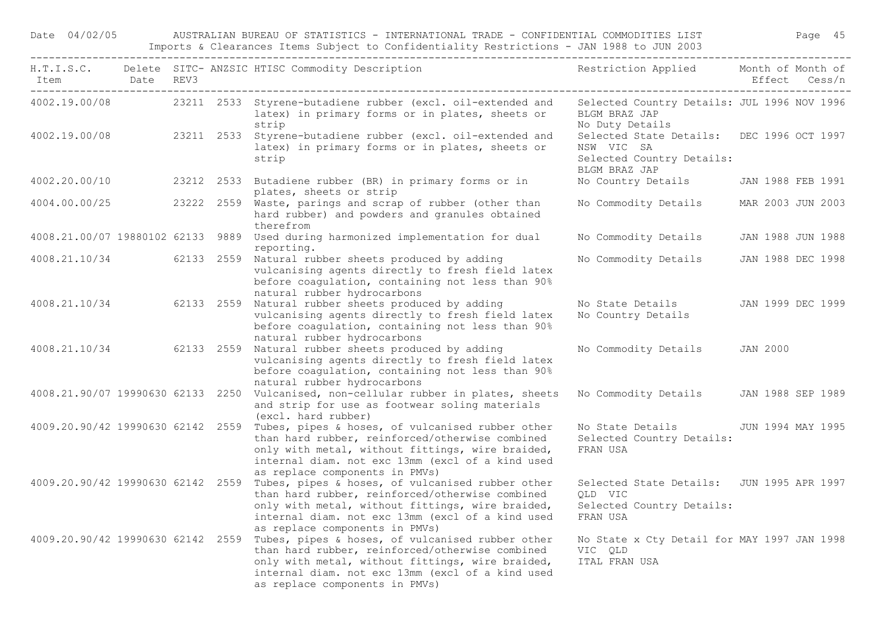Date 04/02/05 AUSTRALIAN BUREAU OF STATISTICS - INTERNATIONAL TRADE - CONFIDENTIAL COMMODITIES LIST Page 45 Imports & Clearances Items Subject to Confidentiality Restrictions - JAN 1988 to JUN 2003

|                                   |  | H.T.I.S.C. Delete SITC- ANZSIC HTISC Commodity Description<br>Item Date REV3                                                                                                                                                                  | Restriction Applied Month of Month of                                                                 | Effect Cess/n     |  |
|-----------------------------------|--|-----------------------------------------------------------------------------------------------------------------------------------------------------------------------------------------------------------------------------------------------|-------------------------------------------------------------------------------------------------------|-------------------|--|
|                                   |  | 4002.19.00/08 23211 2533 Styrene-butadiene rubber (excl. oil-extended and<br>latex) in primary forms or in plates, sheets or<br>strip                                                                                                         | Selected Country Details: JUL 1996 NOV 1996<br>BLGM BRAZ JAP<br>No Duty Details                       |                   |  |
| 4002.19.00/08                     |  | 23211 2533 Styrene-butadiene rubber (excl. oil-extended and<br>latex) in primary forms or in plates, sheets or<br>strip                                                                                                                       | Selected State Details: DEC 1996 OCT 1997<br>NSW VIC SA<br>Selected Country Details:<br>BLGM BRAZ JAP |                   |  |
| 4002.20.00/10                     |  | 23212 2533 Butadiene rubber (BR) in primary forms or in<br>plates, sheets or strip                                                                                                                                                            | No Country Details                                                                                    | JAN 1988 FEB 1991 |  |
|                                   |  | 4004.00.00/25 23222 2559 Waste, parings and scrap of rubber (other than<br>hard rubber) and powders and granules obtained<br>therefrom                                                                                                        | No Commodity Details                                                                                  | MAR 2003 JUN 2003 |  |
|                                   |  | 4008.21.00/07 19880102 62133 9889 Used during harmonized implementation for dual<br>reporting.                                                                                                                                                | No Commodity Details                                                                                  | JAN 1988 JUN 1988 |  |
|                                   |  | 4008.21.10/34 62133 2559 Natural rubber sheets produced by adding<br>vulcanising agents directly to fresh field latex<br>before coagulation, containing not less than 90%<br>natural rubber hydrocarbons                                      | No Commodity Details                                                                                  | JAN 1988 DEC 1998 |  |
|                                   |  | 4008.21.10/34 62133 2559 Natural rubber sheets produced by adding<br>vulcanising agents directly to fresh field latex<br>before coagulation, containing not less than 90%<br>natural rubber hydrocarbons                                      | No State Details<br>No Country Details                                                                | JAN 1999 DEC 1999 |  |
|                                   |  | 4008.21.10/34 62133 2559 Natural rubber sheets produced by adding<br>vulcanising agents directly to fresh field latex<br>before coagulation, containing not less than 90%<br>natural rubber hydrocarbons                                      | No Commodity Details                                                                                  | JAN 2000          |  |
| 4008.21.90/07 19990630 62133 2250 |  | Vulcanised, non-cellular rubber in plates, sheets<br>and strip for use as footwear soling materials<br>(excl. hard rubber)                                                                                                                    | No Commodity Details                                                                                  | JAN 1988 SEP 1989 |  |
| 4009.20.90/42 19990630 62142 2559 |  | Tubes, pipes & hoses, of vulcanised rubber other<br>than hard rubber, reinforced/otherwise combined<br>only with metal, without fittings, wire braided,<br>internal diam. not exc 13mm (excl of a kind used<br>as replace components in PMVs) | No State Details<br>Selected Country Details:<br>FRAN USA                                             | JUN 1994 MAY 1995 |  |
| 4009.20.90/42 19990630 62142 2559 |  | Tubes, pipes & hoses, of vulcanised rubber other<br>than hard rubber, reinforced/otherwise combined<br>only with metal, without fittings, wire braided,<br>internal diam. not exc 13mm (excl of a kind used<br>as replace components in PMVs) | Selected State Details: JUN 1995 APR 1997<br>OLD VIC<br>Selected Country Details:<br>FRAN USA         |                   |  |
| 4009.20.90/42 19990630 62142 2559 |  | Tubes, pipes & hoses, of vulcanised rubber other<br>than hard rubber, reinforced/otherwise combined<br>only with metal, without fittings, wire braided,<br>internal diam. not exc 13mm (excl of a kind used<br>as replace components in PMVs) | No State x Cty Detail for MAY 1997 JAN 1998<br>VIC QLD<br>ITAL FRAN USA                               |                   |  |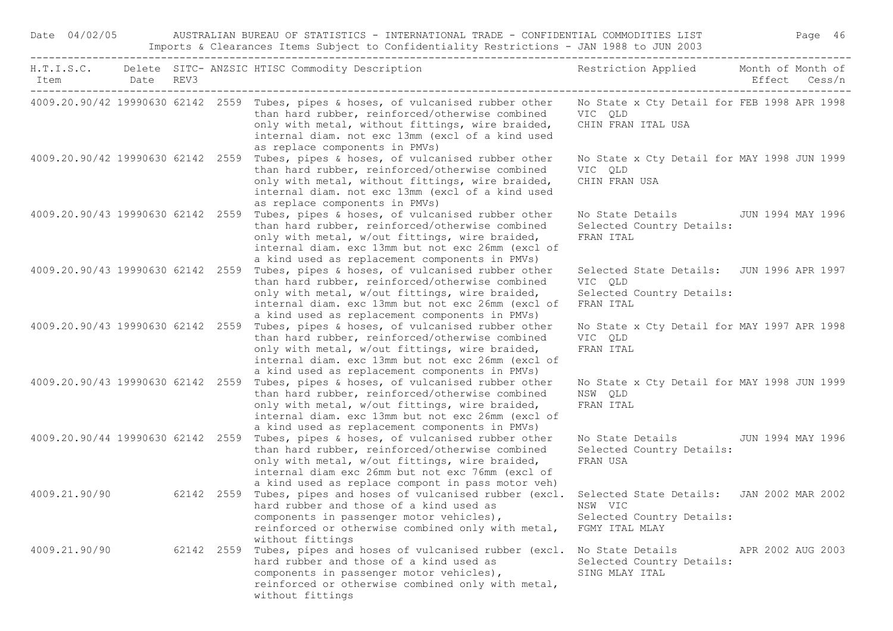| Date 04/02/05                                  |  | AUSTRALIAN BUREAU OF STATISTICS - INTERNATIONAL TRADE - CONFIDENTIAL COMMODITIES LIST<br>Imports & Clearances Items Subject to Confidentiality Restrictions - JAN 1988 to JUN 2003                                                                                                             |                                                                                                |                   | Page 46       |
|------------------------------------------------|--|------------------------------------------------------------------------------------------------------------------------------------------------------------------------------------------------------------------------------------------------------------------------------------------------|------------------------------------------------------------------------------------------------|-------------------|---------------|
| Item Date REV3<br>____________________________ |  | H.T.I.S.C. Delete SITC-ANZSIC HTISC Commodity Description Nestriction Applied Month of Month of                                                                                                                                                                                                |                                                                                                |                   | Effect Cess/n |
|                                                |  | 4009.20.90/42 19990630 62142 2559 Tubes, pipes & hoses, of vulcanised rubber other<br>than hard rubber, reinforced/otherwise combined<br>only with metal, without fittings, wire braided,<br>internal diam. not exc 13mm (excl of a kind used<br>as replace components in PMVs)                | No State x Cty Detail for FEB 1998 APR 1998<br>VIC QLD<br>CHIN FRAN ITAL USA                   |                   |               |
| 4009.20.90/42 19990630 62142 2559              |  | Tubes, pipes & hoses, of vulcanised rubber other<br>than hard rubber, reinforced/otherwise combined<br>only with metal, without fittings, wire braided,<br>internal diam. not exc 13mm (excl of a kind used<br>as replace components in PMVs)                                                  | No State x Cty Detail for MAY 1998 JUN 1999<br>VIC OLD<br>CHIN FRAN USA                        |                   |               |
| 4009.20.90/43 19990630 62142 2559              |  | Tubes, pipes & hoses, of vulcanised rubber other<br>than hard rubber, reinforced/otherwise combined<br>only with metal, w/out fittings, wire braided,<br>internal diam. exc 13mm but not exc 26mm (excl of<br>a kind used as replacement components in PMVs)                                   | No State Details JUN 1994 MAY 1996<br>Selected Country Details:<br>FRAN ITAL                   |                   |               |
| 4009.20.90/43 19990630 62142 2559              |  | Tubes, pipes & hoses, of vulcanised rubber other<br>than hard rubber, reinforced/otherwise combined<br>only with metal, w/out fittings, wire braided,<br>internal diam. exc 13mm but not exc 26mm (excl of<br>a kind used as replacement components in PMVs)                                   | Selected State Details: JUN 1996 APR 1997<br>VIC QLD<br>Selected Country Details:<br>FRAN ITAL |                   |               |
|                                                |  | 4009.20.90/43 19990630 62142 2559 Tubes, pipes & hoses, of vulcanised rubber other<br>than hard rubber, reinforced/otherwise combined<br>only with metal, w/out fittings, wire braided,<br>internal diam. exc 13mm but not exc 26mm (excl of<br>a kind used as replacement components in PMVs) | No State x Cty Detail for MAY 1997 APR 1998<br>VIC QLD<br>FRAN ITAL                            |                   |               |
| 4009.20.90/43 19990630 62142 2559              |  | Tubes, pipes & hoses, of vulcanised rubber other<br>than hard rubber, reinforced/otherwise combined<br>only with metal, w/out fittings, wire braided,<br>internal diam. exc 13mm but not exc 26mm (excl of<br>a kind used as replacement components in PMVs)                                   | No State x Cty Detail for MAY 1998 JUN 1999<br>NSW QLD<br>FRAN ITAL                            |                   |               |
| 4009.20.90/44 19990630 62142 2559              |  | Tubes, pipes & hoses, of vulcanised rubber other<br>than hard rubber, reinforced/otherwise combined<br>only with metal, w/out fittings, wire braided,<br>internal diam exc 26mm but not exc 76mm (excl of<br>a kind used as replace compont in pass motor veh)                                 | No State Details 5 JUN 1994 MAY 1996<br>Selected Country Details:<br>FRAN USA                  |                   |               |
| 4009.21.90/90                                  |  | 62142 2559 Tubes, pipes and hoses of vulcanised rubber (excl. Selected State Details: JAN 2002 MAR 2002<br>hard rubber and those of a kind used as MSW VIC<br>components in passenger motor vehicles),<br>reinforced or otherwise combined only with metal,<br>without fittings                | Selected Country Details:<br>FGMY ITAL MLAY                                                    |                   |               |
| 4009.21.90/90                                  |  | 62142 2559 Tubes, pipes and hoses of vulcanised rubber (excl.<br>hard rubber and those of a kind used as<br>components in passenger motor vehicles),<br>reinforced or otherwise combined only with metal,<br>without fittings                                                                  | No State Details<br>Selected Country Details:<br>SING MLAY ITAL                                | APR 2002 AUG 2003 |               |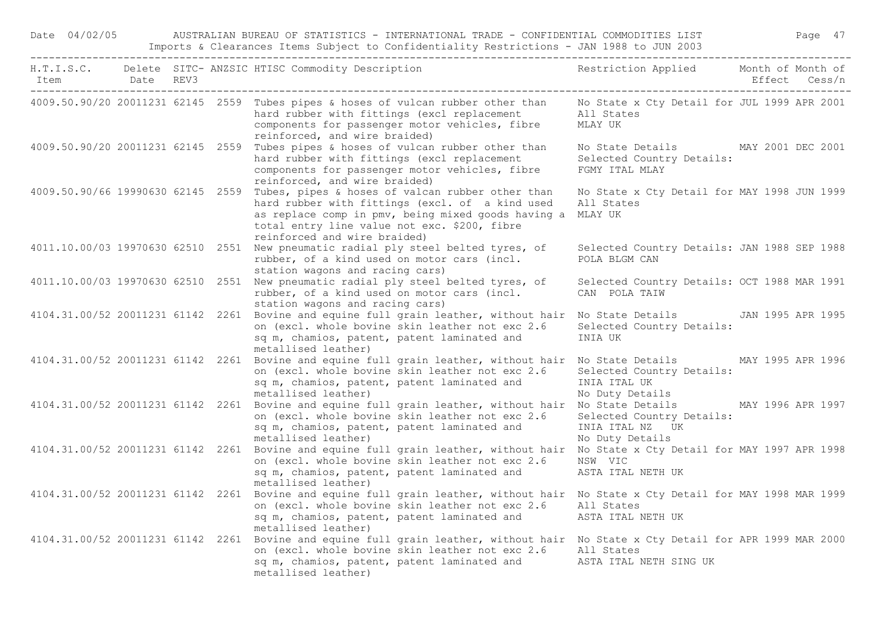Date 04/02/05 AUSTRALIAN BUREAU OF STATISTICS - INTERNATIONAL TRADE - CONFIDENTIAL COMMODITIES LIST Page 47 Imports & Clearances Items Subject to Confidentiality Restrictions - JAN 1988 to JUN 2003

| Item                              | Date REV3 |  | H.T.I.S.C. Delete SITC- ANZSIC HTISC Commodity Description                                                                                                                                                                                                | Restriction Applied Month of Month of                                             |                   | Effect Cess/n |
|-----------------------------------|-----------|--|-----------------------------------------------------------------------------------------------------------------------------------------------------------------------------------------------------------------------------------------------------------|-----------------------------------------------------------------------------------|-------------------|---------------|
|                                   |           |  | 4009.50.90/20 20011231 62145 2559 Tubes pipes & hoses of vulcan rubber other than<br>hard rubber with fittings (excl replacement<br>components for passenger motor vehicles, fibre<br>reinforced, and wire braided)                                       | No State x Cty Detail for JUL 1999 APR 2001<br>All States<br>MLAY UK              |                   |               |
| 4009.50.90/20 20011231 62145 2559 |           |  | Tubes pipes & hoses of vulcan rubber other than<br>hard rubber with fittings (excl replacement<br>components for passenger motor vehicles, fibre<br>reinforced, and wire braided)                                                                         | No State Details MAY 2001 DEC 2001<br>Selected Country Details:<br>FGMY ITAL MLAY |                   |               |
| 4009.50.90/66 19990630 62145 2559 |           |  | Tubes, pipes & hoses of valcan rubber other than<br>hard rubber with fittings (excl. of a kind used<br>as replace comp in pmv, being mixed goods having a<br>total entry line value not exc. \$200, fibre<br>reinforced and wire braided)                 | No State x Cty Detail for MAY 1998 JUN 1999<br>All States<br>MLAY UK              |                   |               |
|                                   |           |  | 4011.10.00/03 19970630 62510 2551 New pneumatic radial ply steel belted tyres, of<br>rubber, of a kind used on motor cars (incl.<br>station wagons and racing cars)                                                                                       | Selected Country Details: JAN 1988 SEP 1988<br>POLA BLGM CAN                      |                   |               |
| 4011.10.00/03 19970630 62510 2551 |           |  | New pneumatic radial ply steel belted tyres, of<br>rubber, of a kind used on motor cars (incl.<br>station wagons and racing cars)                                                                                                                         | Selected Country Details: OCT 1988 MAR 1991<br>CAN POLA TAIW                      |                   |               |
| 4104.31.00/52 20011231 61142 2261 |           |  | Bovine and equine full grain leather, without hair<br>on (excl. whole bovine skin leather not exc 2.6<br>sq m, chamios, patent, patent laminated and<br>metallised leather)                                                                               | No State Details<br>Selected Country Details:<br>INIA UK                          | JAN 1995 APR 1995 |               |
|                                   |           |  | 4104.31.00/52 20011231 61142 2261 Bovine and equine full grain leather, without hair<br>on (excl. whole bovine skin leather not exc 2.6<br>sq m, chamios, patent, patent laminated and<br>metallised leather)                                             | No State Details<br>Selected Country Details:<br>INIA ITAL UK<br>No Duty Details  | MAY 1995 APR 1996 |               |
|                                   |           |  | 4104.31.00/52 20011231 61142 2261 Bovine and equine full grain leather, without hair No State Details<br>on (excl. whole bovine skin leather not exc 2.6<br>sq m, chamios, patent, patent laminated and<br>metallised leather)                            | Selected Country Details:<br>INIA ITAL NZ UK<br>No Duty Details                   | MAY 1996 APR 1997 |               |
|                                   |           |  | 4104.31.00/52 20011231 61142 2261 Bovine and equine full grain leather, without hair<br>on (excl. whole bovine skin leather not exc 2.6<br>sq m, chamios, patent, patent laminated and<br>metallised leather)                                             | No State x Cty Detail for MAY 1997 APR 1998<br>NSW VIC<br>ASTA ITAL NETH UK       |                   |               |
|                                   |           |  | 4104.31.00/52 20011231 61142 2261 Bovine and equine full grain leather, without hair<br>on (excl. whole bovine skin leather not exc 2.6<br>sq m, chamios, patent, patent laminated and<br>metallised leather)                                             | No State x Cty Detail for MAY 1998 MAR 1999<br>All States<br>ASTA ITAL NETH UK    |                   |               |
|                                   |           |  | 4104.31.00/52 20011231 61142 2261 Bovine and equine full grain leather, without hair No State x Cty Detail for APR 1999 MAR 2000<br>on (excl. whole bovine skin leather not exc 2.6<br>sq m, chamios, patent, patent laminated and<br>metallised leather) | All States<br>ASTA ITAL NETH SING UK                                              |                   |               |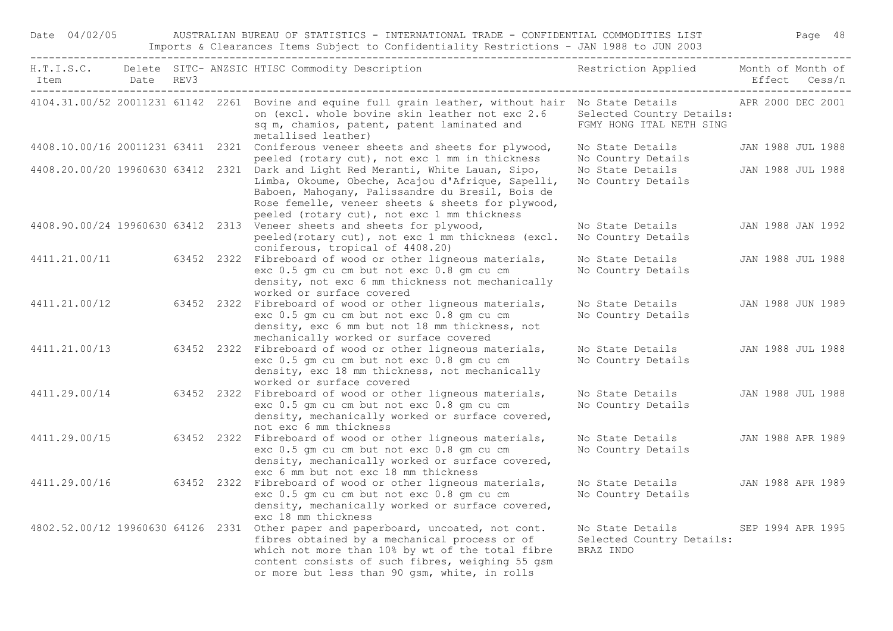| Date 04/02/05                     |  | AUSTRALIAN BUREAU OF STATISTICS - INTERNATIONAL TRADE - CONFIDENTIAL COMMODITIES LIST<br>Imports & Clearances Items Subject to Confidentiality Restrictions - JAN 1988 to JUN 2003                                                                          |                                                            |                   | Page 48           |
|-----------------------------------|--|-------------------------------------------------------------------------------------------------------------------------------------------------------------------------------------------------------------------------------------------------------------|------------------------------------------------------------|-------------------|-------------------|
| Item Date REV3                    |  | H.T.I.S.C. Delete SITC- ANZSIC HTISC Commodity Description                                                                                                                                                                                                  | Restriction Applied                                        | Month of Month of | Effect Cess/n     |
|                                   |  | 4104.31.00/52 20011231 61142 2261 Bovine and equine full grain leather, without hair No State Details APR 2000 DEC 2001<br>on (excl. whole bovine skin leather not exc 2.6<br>sq m, chamios, patent, patent laminated and<br>metallised leather)            | Selected Country Details:<br>FGMY HONG ITAL NETH SING      |                   |                   |
|                                   |  | 4408.10.00/16 20011231 63411 2321 Coniferous veneer sheets and sheets for plywood,<br>peeled (rotary cut), not exc 1 mm in thickness                                                                                                                        | No State Details<br>No Country Details                     |                   | JAN 1988 JUL 1988 |
| 4408.20.00/20 19960630 63412 2321 |  | Dark and Light Red Meranti, White Lauan, Sipo,<br>Limba, Okoume, Obeche, Acajou d'Afrique, Sapelli,<br>Baboen, Mahogany, Palissandre du Bresil, Bois de<br>Rose femelle, veneer sheets & sheets for plywood,<br>peeled (rotary cut), not exc 1 mm thickness | No State Details<br>No Country Details                     |                   | JAN 1988 JUL 1988 |
|                                   |  | 4408.90.00/24 19960630 63412 2313 Veneer sheets and sheets for plywood,<br>peeled(rotary cut), not exc 1 mm thickness (excl.<br>coniferous, tropical of 4408.20)                                                                                            | No State Details<br>No Country Details                     |                   | JAN 1988 JAN 1992 |
| 4411.21.00/11                     |  | 63452 2322 Fibreboard of wood or other ligneous materials,<br>exc 0.5 gm cu cm but not exc 0.8 gm cu cm<br>density, not exc 6 mm thickness not mechanically<br>worked or surface covered                                                                    | No State Details<br>No Country Details                     |                   | JAN 1988 JUL 1988 |
| 4411.21.00/12                     |  | 63452 2322 Fibreboard of wood or other ligneous materials,<br>exc 0.5 gm cu cm but not exc 0.8 gm cu cm<br>density, exc 6 mm but not 18 mm thickness, not<br>mechanically worked or surface covered                                                         | No State Details<br>No Country Details                     |                   | JAN 1988 JUN 1989 |
| 4411.21.00/13                     |  | 63452 2322 Fibreboard of wood or other ligneous materials,<br>exc 0.5 gm cu cm but not exc 0.8 gm cu cm<br>density, exc 18 mm thickness, not mechanically<br>worked or surface covered                                                                      | No State Details<br>No Country Details                     |                   | JAN 1988 JUL 1988 |
| 4411.29.00/14                     |  | 63452 2322 Fibreboard of wood or other ligneous materials,<br>exc 0.5 gm cu cm but not exc 0.8 gm cu cm<br>density, mechanically worked or surface covered,<br>not exc 6 mm thickness                                                                       | No State Details<br>No Country Details                     |                   | JAN 1988 JUL 1988 |
| 4411.29.00/15                     |  | 63452 2322 Fibreboard of wood or other ligneous materials,<br>exc 0.5 gm cu cm but not exc 0.8 gm cu cm<br>density, mechanically worked or surface covered,<br>exc 6 mm but not exc 18 mm thickness                                                         | No State Details<br>No Country Details                     |                   | JAN 1988 APR 1989 |
| 4411.29.00/16                     |  | 63452 2322 Fibreboard of wood or other ligneous materials,<br>exc 0.5 gm cu cm but not exc 0.8 gm cu cm<br>density, mechanically worked or surface covered,<br>exc 18 mm thickness                                                                          | No State Details<br>No Country Details                     |                   | JAN 1988 APR 1989 |
| 4802.52.00/12 19960630 64126 2331 |  | Other paper and paperboard, uncoated, not cont.<br>fibres obtained by a mechanical process or of<br>which not more than 10% by wt of the total fibre<br>content consists of such fibres, weighing 55 gsm<br>or more but less than 90 gsm, white, in rolls   | No State Details<br>Selected Country Details:<br>BRAZ INDO |                   | SEP 1994 APR 1995 |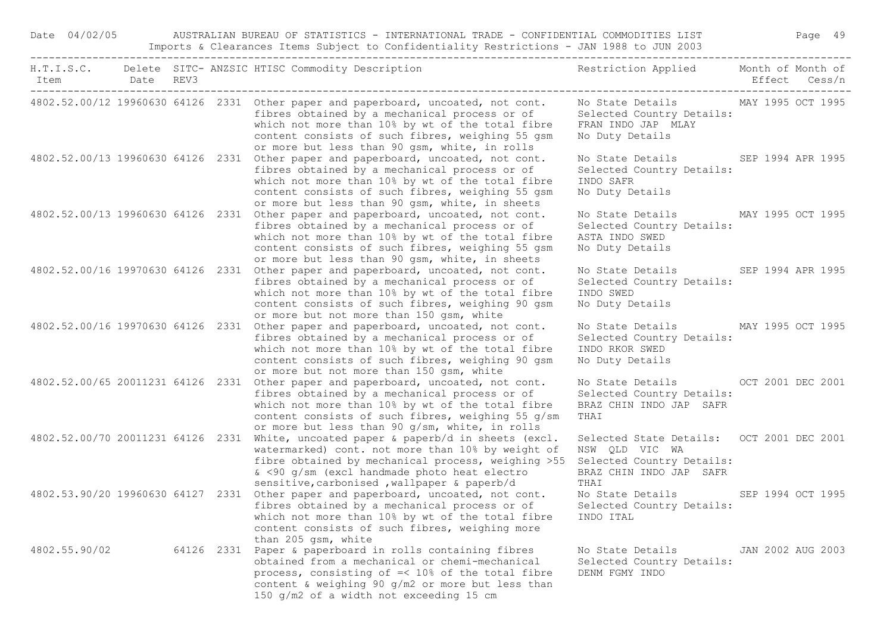| Date 04/02/05 | AUSTRALIAN BUREAU OF STATISTICS - INTERNATIONAL TRADE - CONFIDENTIAL COMMODITIES LIST<br>Imports & Clearances Items Subject to Confidentiality Restrictions - JAN 1988 to JUN 2003 |  |  |                                                                                                                                                                                                                                                                                               |                                                                                                                             |                   |  |  |  |
|---------------|------------------------------------------------------------------------------------------------------------------------------------------------------------------------------------|--|--|-----------------------------------------------------------------------------------------------------------------------------------------------------------------------------------------------------------------------------------------------------------------------------------------------|-----------------------------------------------------------------------------------------------------------------------------|-------------------|--|--|--|
| Item          | Date REV3                                                                                                                                                                          |  |  | H.T.I.S.C. Delete SITC- ANZSIC HTISC Commodity Description                                                                                                                                                                                                                                    | Restriction Applied Month of Month of                                                                                       | Effect Cess/n     |  |  |  |
|               |                                                                                                                                                                                    |  |  | 4802.52.00/12 19960630 64126 2331 Other paper and paperboard, uncoated, not cont.<br>fibres obtained by a mechanical process or of<br>which not more than 10% by wt of the total fibre<br>content consists of such fibres, weighing 55 gsm<br>or more but less than 90 gsm, white, in rolls   | No State Details MAY 1995 OCT 1995<br>Selected Country Details:<br>FRAN INDO JAP MLAY<br>No Duty Details                    |                   |  |  |  |
|               |                                                                                                                                                                                    |  |  | 4802.52.00/13 19960630 64126 2331 Other paper and paperboard, uncoated, not cont.<br>fibres obtained by a mechanical process or of<br>which not more than 10% by wt of the total fibre<br>content consists of such fibres, weighing 55 gsm<br>or more but less than 90 gsm, white, in sheets  | No State Details SEP 1994 APR 1995<br>Selected Country Details:<br>INDO SAFR<br>No Duty Details                             |                   |  |  |  |
|               |                                                                                                                                                                                    |  |  | 4802.52.00/13 19960630 64126 2331 Other paper and paperboard, uncoated, not cont.<br>fibres obtained by a mechanical process or of<br>which not more than 10% by wt of the total fibre<br>content consists of such fibres, weighing 55 gsm<br>or more but less than 90 gsm, white, in sheets  | No State Details MAY 1995 OCT 1995<br>Selected Country Details:<br>ASTA INDO SWED<br>No Duty Details                        |                   |  |  |  |
|               |                                                                                                                                                                                    |  |  | 4802.52.00/16 19970630 64126 2331 Other paper and paperboard, uncoated, not cont.<br>fibres obtained by a mechanical process or of<br>which not more than 10% by wt of the total fibre<br>content consists of such fibres, weighing 90 gsm<br>or more but not more than 150 gsm, white        | No State Details SEP 1994 APR 1995<br>Selected Country Details:<br>INDO SWED<br>No Duty Details                             |                   |  |  |  |
|               |                                                                                                                                                                                    |  |  | 4802.52.00/16 19970630 64126 2331 Other paper and paperboard, uncoated, not cont.<br>fibres obtained by a mechanical process or of<br>which not more than 10% by wt of the total fibre<br>content consists of such fibres, weighing 90 gsm<br>or more but not more than 150 gsm, white        | No State Details MAY 1995 OCT 1995<br>Selected Country Details:<br>INDO RKOR SWED<br>No Duty Details                        |                   |  |  |  |
|               |                                                                                                                                                                                    |  |  | 4802.52.00/65 20011231 64126 2331 Other paper and paperboard, uncoated, not cont.<br>fibres obtained by a mechanical process or of<br>which not more than 10% by wt of the total fibre<br>content consists of such fibres, weighing 55 g/sm<br>or more but less than 90 g/sm, white, in rolls | No State Details OCT 2001 DEC 2001<br>Selected Country Details:<br>BRAZ CHIN INDO JAP SAFR<br>THAI                          |                   |  |  |  |
|               |                                                                                                                                                                                    |  |  | 4802.52.00/70 20011231 64126 2331 White, uncoated paper & paperb/d in sheets (excl.<br>watermarked) cont. not more than 10% by weight of<br>fibre obtained by mechanical process, weighing >55<br>& <90 g/sm (excl handmade photo heat electro<br>sensitive, carbonised, wallpaper & paperb/d | Selected State Details: OCT 2001 DEC 2001<br>NSW QLD VIC WA<br>Selected Country Details:<br>BRAZ CHIN INDO JAP SAFR<br>THAI |                   |  |  |  |
|               |                                                                                                                                                                                    |  |  | 4802.53.90/20 19960630 64127 2331 Other paper and paperboard, uncoated, not cont.<br>fibres obtained by a mechanical process or of Selected Country Details:<br>which not more than 10% by wt of the total fibre<br>content consists of such fibres, weighing more<br>than 205 gsm, white     | No State Details SEP 1994 OCT 1995<br>INDO ITAL                                                                             |                   |  |  |  |
| 4802.55.90/02 |                                                                                                                                                                                    |  |  | 64126 2331 Paper & paperboard in rolls containing fibres<br>obtained from a mechanical or chemi-mechanical<br>process, consisting of =< 10% of the total fibre<br>content & weighing 90 g/m2 or more but less than<br>150 g/m2 of a width not exceeding 15 cm                                 | No State Details<br>Selected Country Details:<br>DENM FGMY INDO                                                             | JAN 2002 AUG 2003 |  |  |  |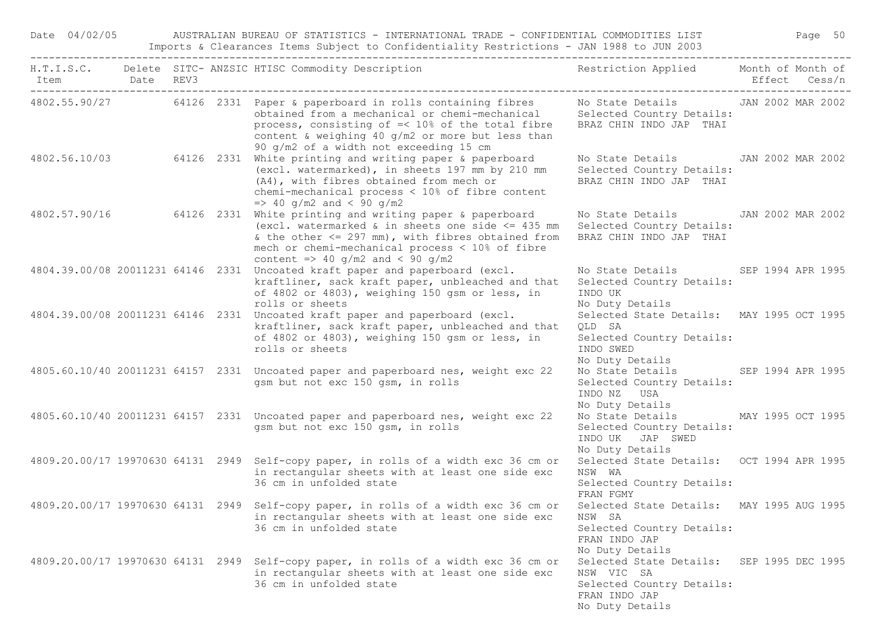Date 04/02/05 AUSTRALIAN BUREAU OF STATISTICS - INTERNATIONAL TRADE - CONFIDENTIAL COMMODITIES LIST Page 50 Imports & Clearances Items Subject to Confidentiality Restrictions - JAN 1988 to JUN 2003

| Item Date REV3 |  | H.T.I.S.C. Delete SITC- ANZSIC HTISC Commodity Description                                                                                                                                                                                                                      | Restriction Applied Month of Month of                                                                                    | Effect Cess/n |  |
|----------------|--|---------------------------------------------------------------------------------------------------------------------------------------------------------------------------------------------------------------------------------------------------------------------------------|--------------------------------------------------------------------------------------------------------------------------|---------------|--|
|                |  | 4802.55.90/27 64126 2331 Paper & paperboard in rolls containing fibres<br>obtained from a mechanical or chemi-mechanical<br>process, consisting of =< 10% of the total fibre<br>content & weighing 40 g/m2 or more but less than<br>90 g/m2 of a width not exceeding 15 cm      | No State Details JAN 2002 MAR 2002<br>Selected Country Details:<br>BRAZ CHIN INDO JAP THAI                               |               |  |
|                |  | 4802.56.10/03 64126 2331 White printing and writing paper & paperboard<br>(excl. watermarked), in sheets 197 mm by 210 mm<br>(A4), with fibres obtained from mech or<br>chemi-mechanical process $\langle 10\%$ of fibre content<br>$\Rightarrow$ 40 g/m2 and < 90 g/m2         | No State Details JAN 2002 MAR 2002<br>Selected Country Details:<br>BRAZ CHIN INDO JAP THAI                               |               |  |
|                |  | 4802.57.90/16 64126 2331 White printing and writing paper & paperboard<br>(excl. watermarked & in sheets one side $\leq$ 435 mm<br>& the other $\leq$ 297 mm), with fibres obtained from<br>mech or chemi-mechanical process < 10% of fibre<br>content => 40 g/m2 and < 90 g/m2 | No State Details JAN 2002 MAR 2002<br>Selected Country Details:<br>BRAZ CHIN INDO JAP THAI                               |               |  |
|                |  | 4804.39.00/08 20011231 64146 2331 Uncoated kraft paper and paperboard (excl.<br>kraftliner, sack kraft paper, unbleached and that<br>of 4802 or 4803), weighing 150 gsm or less, in<br>rolls or sheets                                                                          | No State Details SEP 1994 APR 1995<br>Selected Country Details:<br>INDO UK<br>No Duty Details                            |               |  |
|                |  | 4804.39.00/08 20011231 64146 2331 Uncoated kraft paper and paperboard (excl.<br>kraftliner, sack kraft paper, unbleached and that<br>of 4802 or 4803), weighing 150 gsm or less, in<br>rolls or sheets                                                                          | Selected State Details: MAY 1995 OCT 1995<br>QLD SA<br>Selected Country Details:<br>INDO SWED<br>No Duty Details         |               |  |
|                |  | 4805.60.10/40 20011231 64157 2331 Uncoated paper and paperboard nes, weight exc 22<br>gsm but not exc 150 gsm, in rolls                                                                                                                                                         | No State Details SEP 1994 APR 1995<br>Selected Country Details:<br>INDO NZ USA<br>No Duty Details                        |               |  |
|                |  | 4805.60.10/40 20011231 64157 2331 Uncoated paper and paperboard nes, weight exc 22<br>gsm but not exc 150 gsm, in rolls                                                                                                                                                         | No State Details MAY 1995 OCT 1995<br>Selected Country Details:<br>INDO UK JAP SWED<br>No Duty Details                   |               |  |
|                |  | 4809.20.00/17 19970630 64131 2949 Self-copy paper, in rolls of a width exc 36 cm or<br>in rectangular sheets with at least one side exc<br>36 cm in unfolded state                                                                                                              | Selected State Details: OCT 1994 APR 1995<br>NSW WA<br>Selected Country Details:<br>FRAN FGMY                            |               |  |
|                |  | 4809.20.00/17 19970630 64131 2949 Self-copy paper, in rolls of a width exc 36 cm or<br>in rectangular sheets with at least one side exc<br>36 cm in unfolded state                                                                                                              | Selected State Details: MAY 1995 AUG 1995<br>NSW SA<br>Selected Country Details:<br>FRAN INDO JAP<br>No Duty Details     |               |  |
|                |  | 4809.20.00/17 19970630 64131 2949 Self-copy paper, in rolls of a width exc 36 cm or<br>in rectangular sheets with at least one side exc<br>36 cm in unfolded state                                                                                                              | Selected State Details: SEP 1995 DEC 1995<br>NSW VIC SA<br>Selected Country Details:<br>FRAN INDO JAP<br>No Duty Details |               |  |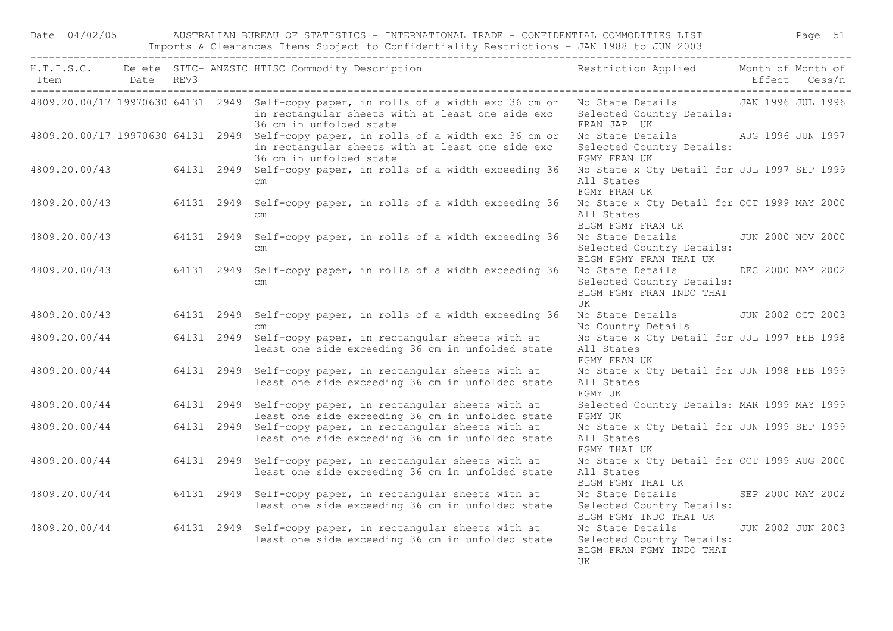|               |           |            | Imports & Clearances Items Subject to Confidentiality Restrictions - JAN 1988 to JUN 2003                                                                                                             |                                                                                    |                   |
|---------------|-----------|------------|-------------------------------------------------------------------------------------------------------------------------------------------------------------------------------------------------------|------------------------------------------------------------------------------------|-------------------|
| Item          | Date REV3 |            | H.T.I.S.C. Delete SITC- ANZSIC HTISC Commodity Description                                                                                                                                            | Restriction Applied Month of Month of                                              | Effect Cess/n     |
|               |           |            | 4809.20.00/17 19970630 64131 2949 Self-copy paper, in rolls of a width exc 36 cm or No State Details JAN 1996 JUL 1996<br>in rectangular sheets with at least one side exc<br>36 cm in unfolded state | Selected Country Details:<br>FRAN JAP UK                                           |                   |
|               |           |            | 4809.20.00/17 19970630 64131 2949 Self-copy paper, in rolls of a width exc 36 cm or<br>in rectangular sheets with at least one side exc<br>36 cm in unfolded state                                    | No State Details MO AUG 1996 JUN 1997<br>Selected Country Details:<br>FGMY FRAN UK |                   |
| 4809.20.00/43 |           |            | 64131 2949 Self-copy paper, in rolls of a width exceeding 36<br>$\,$ cm $\,$                                                                                                                          | No State x Cty Detail for JUL 1997 SEP 1999<br>All States<br>FGMY FRAN UK          |                   |
| 4809.20.00/43 |           | 64131 2949 | Self-copy paper, in rolls of a width exceeding 36<br>$\mathsf{cm}$                                                                                                                                    | No State x Cty Detail for OCT 1999 MAY 2000<br>All States<br>BLGM FGMY FRAN UK     |                   |
| 4809.20.00/43 |           |            | 64131 2949 Self-copy paper, in rolls of a width exceeding 36<br>$\mathsf{cm}$                                                                                                                         | No State Details<br>Selected Country Details:<br>BLGM FGMY FRAN THAI UK            | JUN 2000 NOV 2000 |
| 4809.20.00/43 |           |            | 64131 2949 Self-copy paper, in rolls of a width exceeding 36<br>$\mathsf{cm}$                                                                                                                         | No State Details<br>Selected Country Details:<br>BLGM FGMY FRAN INDO THAI<br>UK    | DEC 2000 MAY 2002 |
| 4809.20.00/43 |           |            | 64131 2949 Self-copy paper, in rolls of a width exceeding 36<br>$\mathsf{cm}$                                                                                                                         | No State Details<br>No Country Details                                             | JUN 2002 OCT 2003 |
| 4809.20.00/44 |           |            | 64131 2949 Self-copy paper, in rectangular sheets with at<br>least one side exceeding 36 cm in unfolded state                                                                                         | No State x Cty Detail for JUL 1997 FEB 1998<br>All States<br>FGMY FRAN UK          |                   |
| 4809.20.00/44 |           | 64131 2949 | Self-copy paper, in rectangular sheets with at<br>least one side exceeding 36 cm in unfolded state                                                                                                    | No State x Cty Detail for JUN 1998 FEB 1999<br>All States<br>FGMY UK               |                   |
| 4809.20.00/44 |           |            | 64131 2949 Self-copy paper, in rectangular sheets with at<br>least one side exceeding 36 cm in unfolded state                                                                                         | Selected Country Details: MAR 1999 MAY 1999<br>FGMY UK                             |                   |
| 4809.20.00/44 |           |            | 64131 2949 Self-copy paper, in rectangular sheets with at<br>least one side exceeding 36 cm in unfolded state                                                                                         | No State x Cty Detail for JUN 1999 SEP 1999<br>All States<br>FGMY THAI UK          |                   |
| 4809.20.00/44 |           |            | 64131 2949 Self-copy paper, in rectangular sheets with at<br>least one side exceeding 36 cm in unfolded state                                                                                         | No State x Cty Detail for OCT 1999 AUG 2000<br>All States<br>BLGM FGMY THAI UK     |                   |
| 4809.20.00/44 |           |            | 64131 2949 Self-copy paper, in rectangular sheets with at<br>least one side exceeding 36 cm in unfolded state                                                                                         | No State Details<br>Selected Country Details:<br>BLGM FGMY INDO THAI UK            | SEP 2000 MAY 2002 |
| 4809.20.00/44 |           |            | 64131 2949 Self-copy paper, in rectangular sheets with at<br>least one side exceeding 36 cm in unfolded state                                                                                         | No State Details<br>Selected Country Details:<br>BLGM FRAN FGMY INDO THAI<br>UK    | JUN 2002 JUN 2003 |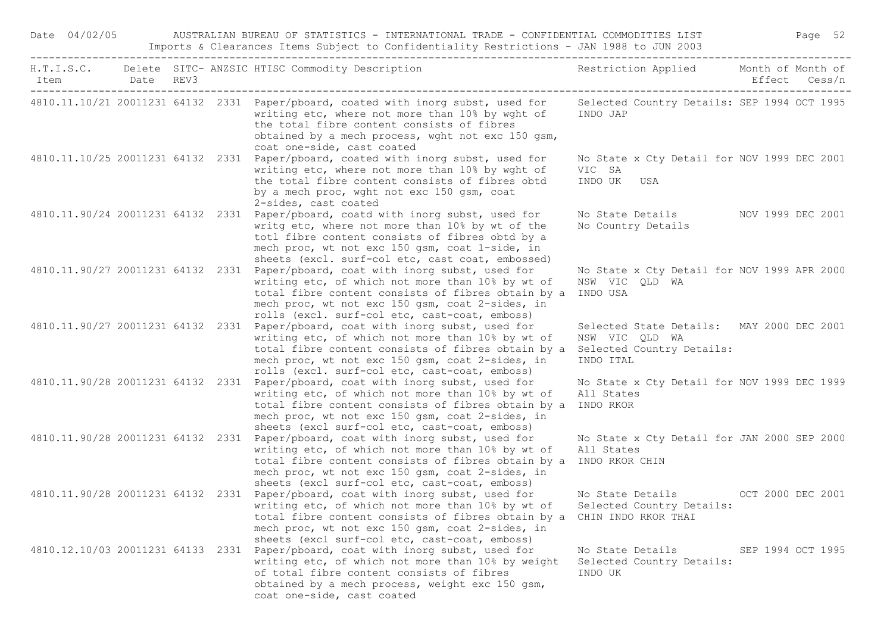| Date 04/02/05                     |  | AUSTRALIAN BUREAU OF STATISTICS - INTERNATIONAL TRADE - CONFIDENTIAL COMMODITIES LIST<br>Imports & Clearances Items Subject to Confidentiality Restrictions - JAN 1988 to JUN 2003                                                                                                            |                                                                                                       | Page 52           |
|-----------------------------------|--|-----------------------------------------------------------------------------------------------------------------------------------------------------------------------------------------------------------------------------------------------------------------------------------------------|-------------------------------------------------------------------------------------------------------|-------------------|
| Item Date REV3                    |  | H.T.I.S.C. Delete SITC- ANZSIC HTISC Commodity Description                                                                                                                                                                                                                                    | Restriction Applied Month of Month of                                                                 | Effect Cess/n     |
|                                   |  | 4810.11.10/21 20011231 64132 2331 Paper/pboard, coated with inorg subst, used for<br>writing etc, where not more than 10% by wght of<br>the total fibre content consists of fibres<br>obtained by a mech process, wght not exc 150 gsm,<br>coat one-side, cast coated                         | Selected Country Details: SEP 1994 OCT 1995<br>INDO JAP                                               |                   |
|                                   |  | 4810.11.10/25 20011231 64132 2331 Paper/pboard, coated with inorg subst, used for<br>writing etc, where not more than 10% by wght of<br>the total fibre content consists of fibres obtd<br>by a mech proc, wght not exc 150 gsm, coat<br>2-sides, cast coated                                 | No State x Cty Detail for NOV 1999 DEC 2001<br>VIC SA<br>INDO UK USA                                  |                   |
|                                   |  | 4810.11.90/24 20011231 64132 2331 Paper/pboard, coatd with inorg subst, used for<br>writg etc, where not more than 10% by wt of the<br>totl fibre content consists of fibres obtd by a<br>mech proc, wt not exc 150 gsm, coat 1-side, in<br>sheets (excl. surf-col etc, cast coat, embossed)  | No State Details MOV 1999 DEC 2001<br>No Country Details                                              |                   |
| 4810.11.90/27 20011231 64132 2331 |  | Paper/pboard, coat with inorg subst, used for<br>writing etc, of which not more than 10% by wt of<br>total fibre content consists of fibres obtain by a<br>mech proc, wt not exc 150 gsm, coat 2-sides, in<br>rolls (excl. surf-col etc, cast-coat, emboss)                                   | No State x Cty Detail for NOV 1999 APR 2000<br>NSW VIC QLD WA<br>INDO USA                             |                   |
| 4810.11.90/27 20011231 64132 2331 |  | Paper/pboard, coat with inorg subst, used for<br>writing etc, of which not more than 10% by wt of<br>total fibre content consists of fibres obtain by a<br>mech proc, wt not exc 150 gsm, coat 2-sides, in<br>rolls (excl. surf-col etc, cast-coat, emboss)                                   | Selected State Details: MAY 2000 DEC 2001<br>NSW VIC QLD WA<br>Selected Country Details:<br>INDO ITAL |                   |
| 4810.11.90/28 20011231 64132 2331 |  | Paper/pboard, coat with inorg subst, used for<br>writing etc, of which not more than 10% by wt of<br>total fibre content consists of fibres obtain by a<br>mech proc, wt not exc 150 gsm, coat 2-sides, in<br>sheets (excl surf-col etc, cast-coat, emboss)                                   | No State x Cty Detail for NOV 1999 DEC 1999<br>All States<br>INDO RKOR                                |                   |
| 4810.11.90/28 20011231 64132 2331 |  | Paper/pboard, coat with inorg subst, used for<br>writing etc, of which not more than 10% by wt of<br>total fibre content consists of fibres obtain by a<br>mech proc, wt not exc 150 gsm, coat 2-sides, in<br>sheets (excl surf-col etc, cast-coat, emboss)                                   | No State x Cty Detail for JAN 2000 SEP 2000<br>All States<br>INDO RKOR CHIN                           |                   |
|                                   |  | 4810.11.90/28 20011231 64132 2331 Paper/pboard, coat with inorg subst, used for<br>writing etc, of which not more than 10% by wt of<br>total fibre content consists of fibres obtain by a<br>mech proc, wt not exc 150 gsm, coat 2-sides, in<br>sheets (excl surf-col etc, cast-coat, emboss) | No State Details<br>Selected Country Details:<br>CHIN INDO RKOR THAI                                  | OCT 2000 DEC 2001 |
| 4810.12.10/03 20011231 64133 2331 |  | Paper/pboard, coat with inorg subst, used for<br>writing etc, of which not more than 10% by weight<br>of total fibre content consists of fibres<br>obtained by a mech process, weight exc 150 gsm,<br>coat one-side, cast coated                                                              | No State Details<br>Selected Country Details:<br>INDO UK                                              | SEP 1994 OCT 1995 |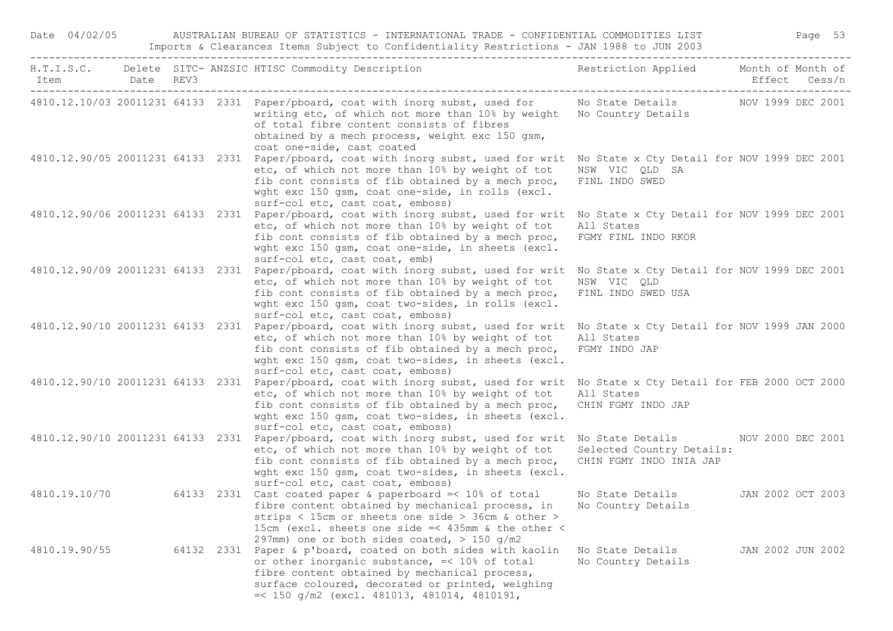| Date 04/02/05     |  | AUSTRALIAN BUREAU OF STATISTICS - INTERNATIONAL TRADE - CONFIDENTIAL COMMODITIES LIST<br>Imports & Clearances Items Subject to Confidentiality Restrictions - JAN 1988 to JUN 2003                                                                                                                                                 |                                                                                  |                   | Page 53 |  |
|-------------------|--|------------------------------------------------------------------------------------------------------------------------------------------------------------------------------------------------------------------------------------------------------------------------------------------------------------------------------------|----------------------------------------------------------------------------------|-------------------|---------|--|
| Date REV3<br>Item |  | H.T.I.S.C. Delete SITC- ANZSIC HTISC Commodity Description                                                                                                                                                                                                                                                                         | Restriction Applied Month of Month of                                            | Effect Cess/n     |         |  |
|                   |  | 4810.12.10/03 20011231 64133 2331 Paper/pboard, coat with inorg subst, used for No State Details NOV 1999 DEC 2001<br>writing etc, of which not more than 10% by weight No Country Details<br>of total fibre content consists of fibres<br>obtained by a mech process, weight exc 150 gsm,<br>coat one-side, cast coated           |                                                                                  |                   |         |  |
|                   |  | 4810.12.90/05 20011231 64133 2331 Paper/pboard, coat with inorg subst, used for writ No State x Cty Detail for NOV 1999 DEC 2001<br>etc, of which not more than 10% by weight of tot<br>fib cont consists of fib obtained by a mech proc,<br>wght exc 150 gsm, coat one-side, in rolls (excl.<br>surf-col etc, cast coat, emboss)  | NSW VIC QLD SA<br>FINL INDO SWED                                                 |                   |         |  |
|                   |  | 4810.12.90/06 20011231 64133 2331 Paper/pboard, coat with inorg subst, used for writ<br>etc, of which not more than 10% by weight of tot<br>fib cont consists of fib obtained by a mech proc,<br>wght exc 150 gsm, coat one-side, in sheets (excl.<br>surf-col etc, cast coat, emb)                                                | No State x Cty Detail for NOV 1999 DEC 2001<br>All States<br>FGMY FINL INDO RKOR |                   |         |  |
|                   |  | 4810.12.90/09 20011231 64133 2331 Paper/pboard, coat with inorg subst, used for writ No State x Cty Detail for NOV 1999 DEC 2001<br>etc, of which not more than 10% by weight of tot<br>fib cont consists of fib obtained by a mech proc,<br>wght exc 150 gsm, coat two-sides, in rolls (excl.<br>surf-col etc, cast coat, emboss) | NSW VIC QLD<br>FINL INDO SWED USA                                                |                   |         |  |
|                   |  | 4810.12.90/10 20011231 64133 2331 Paper/pboard, coat with inorg subst, used for writ<br>etc, of which not more than 10% by weight of tot<br>fib cont consists of fib obtained by a mech proc,<br>wght exc 150 gsm, coat two-sides, in sheets (excl.<br>surf-col etc, cast coat, emboss)                                            | No State x Cty Detail for NOV 1999 JAN 2000<br>All States<br>FGMY INDO JAP       |                   |         |  |
|                   |  | 4810.12.90/10 20011231 64133 2331 Paper/pboard, coat with inorg subst, used for writ<br>etc, of which not more than 10% by weight of tot<br>fib cont consists of fib obtained by a mech proc,<br>wght exc 150 gsm, coat two-sides, in sheets (excl.<br>surf-col etc, cast coat, emboss)                                            | No State x Cty Detail for FEB 2000 OCT 2000<br>All States<br>CHIN FGMY INDO JAP  |                   |         |  |
|                   |  | 4810.12.90/10 20011231 64133 2331 Paper/pboard, coat with inorg subst, used for writ No State Details NOV 2000 DEC 2001<br>etc, of which not more than 10% by weight of tot<br>fib cont consists of fib obtained by a mech proc,<br>wght exc 150 gsm, coat two-sides, in sheets (excl.<br>surf-col etc, cast coat, emboss)         | Selected Country Details:<br>CHIN FGMY INDO INIA JAP                             |                   |         |  |
|                   |  | 4810.19.10/70 64133 2331 Cast coated paper & paperboard =< 10% of total<br>fibre content obtained by mechanical process, in<br>strips < 15cm or sheets one side > 36cm & other ><br>15cm (excl. sheets one side =< 435mm & the other <<br>297mm) one or both sides coated, $>$ 150 g/m2                                            | No State Details 5 JAN 2002 OCT 2003<br>No Country Details                       |                   |         |  |
| 4810.19.90/55     |  | 64132 2331 Paper & p'board, coated on both sides with kaolin<br>or other inorganic substance, =< 10% of total<br>fibre content obtained by mechanical process,<br>surface coloured, decorated or printed, weighing<br>$=<$ 150 g/m2 (excl. 481013, 481014, 4810191,                                                                | No State Details<br>No Country Details                                           | JAN 2002 JUN 2002 |         |  |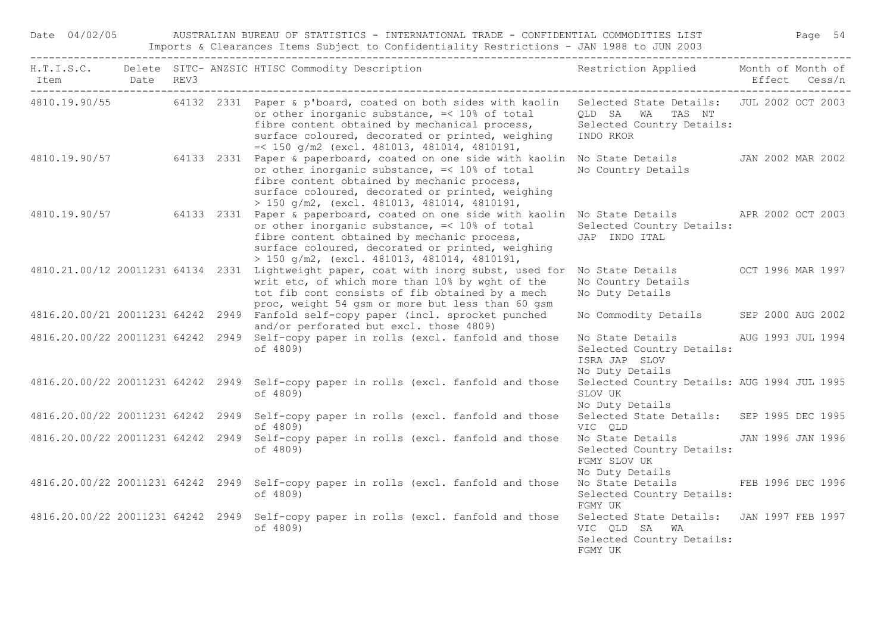Date 04/02/05 AUSTRALIAN BUREAU OF STATISTICS - INTERNATIONAL TRADE - CONFIDENTIAL COMMODITIES LIST Page 54 Imports & Clearances Items Subject to Confidentiality Restrictions - JAN 1988 to JUN 2003

|                |  | H.T.I.S.C. Delete SITC-ANZSIC HTISC Commodity Description Nestriction Applied Month of Month of                                                                                                                                                                                                                             |                                                                                                     |                   |
|----------------|--|-----------------------------------------------------------------------------------------------------------------------------------------------------------------------------------------------------------------------------------------------------------------------------------------------------------------------------|-----------------------------------------------------------------------------------------------------|-------------------|
| Item Date REV3 |  |                                                                                                                                                                                                                                                                                                                             |                                                                                                     | Effect Cess/n     |
|                |  | 4810.19.90/55 64132 2331 Paper & p'board, coated on both sides with kaolin Selected State Details: JUL 2002 OCT 2003<br>or other inorganic substance, =< 10% of total<br>fibre content obtained by mechanical process,<br>surface coloured, decorated or printed, weighing<br>$=<$ 150 g/m2 (excl. 481013, 481014, 4810191, | QLD SA WA TAS NT<br>Selected Country Details:<br>INDO RKOR                                          |                   |
|                |  | 4810.19.90/57 64133 2331 Paper & paperboard, coated on one side with kaolin No State Details JAN 2002 MAR 2002<br>or other inorganic substance, =< 10% of total<br>fibre content obtained by mechanic process,<br>surface coloured, decorated or printed, weighing<br>$> 150$ g/m2, (excl. 481013, 481014, 4810191,         | No Country Details                                                                                  |                   |
|                |  | 4810.19.90/57 64133 2331 Paper & paperboard, coated on one side with kaolin No State Details APR 2002 OCT 2003<br>or other inorganic substance, =< 10% of total<br>fibre content obtained by mechanic process,<br>surface coloured, decorated or printed, weighing<br>> 150 g/m2, (excl. 481013, 481014, 4810191,           | Selected Country Details:<br>JAP INDO ITAL                                                          |                   |
|                |  | 4810.21.00/12 20011231 64134 2331 Lightweight paper, coat with inorg subst, used for<br>writ etc, of which more than 10% by wght of the<br>tot fib cont consists of fib obtained by a mech<br>proc, weight 54 gsm or more but less than 60 gsm                                                                              | No State Details 6 6 6 6 7 8 9 1996 MAR 1997<br>No Country Details<br>No Duty Details               |                   |
|                |  | 4816.20.00/21 20011231 64242 2949 Fanfold self-copy paper (incl. sprocket punched<br>and/or perforated but excl. those 4809)                                                                                                                                                                                                | No Commodity Details SEP 2000 AUG 2002                                                              |                   |
|                |  | 4816.20.00/22 20011231 64242 2949 Self-copy paper in rolls (excl. fanfold and those<br>of 4809)                                                                                                                                                                                                                             | No State Details AUG 1993 JUL 1994<br>Selected Country Details:<br>ISRA JAP SLOV<br>No Duty Details |                   |
|                |  | 4816.20.00/22 20011231 64242 2949 Self-copy paper in rolls (excl. fanfold and those<br>of 4809)                                                                                                                                                                                                                             | Selected Country Details: AUG 1994 JUL 1995<br>SLOV UK<br>No Duty Details                           |                   |
|                |  | 4816.20.00/22 20011231 64242 2949 Self-copy paper in rolls (excl. fanfold and those<br>of 4809)                                                                                                                                                                                                                             | Selected State Details: SEP 1995 DEC 1995<br>VIC QLD                                                |                   |
|                |  | 4816.20.00/22 20011231 64242 2949 Self-copy paper in rolls (excl. fanfold and those<br>of 4809)                                                                                                                                                                                                                             | No State Details<br>Selected Country Details:<br>FGMY SLOV UK<br>No Duty Details                    | JAN 1996 JAN 1996 |
|                |  | 4816.20.00/22 20011231 64242 2949 Self-copy paper in rolls (excl. fanfold and those<br>of 4809)                                                                                                                                                                                                                             | No State Details FEB 1996 DEC 1996<br>Selected Country Details:<br>FGMY UK                          |                   |
|                |  | 4816.20.00/22 20011231 64242 2949 Self-copy paper in rolls (excl. fanfold and those<br>of 4809)                                                                                                                                                                                                                             | Selected State Details: JAN 1997 FEB 1997<br>VIC QLD SA WA<br>Selected Country Details:<br>FGMY UK  |                   |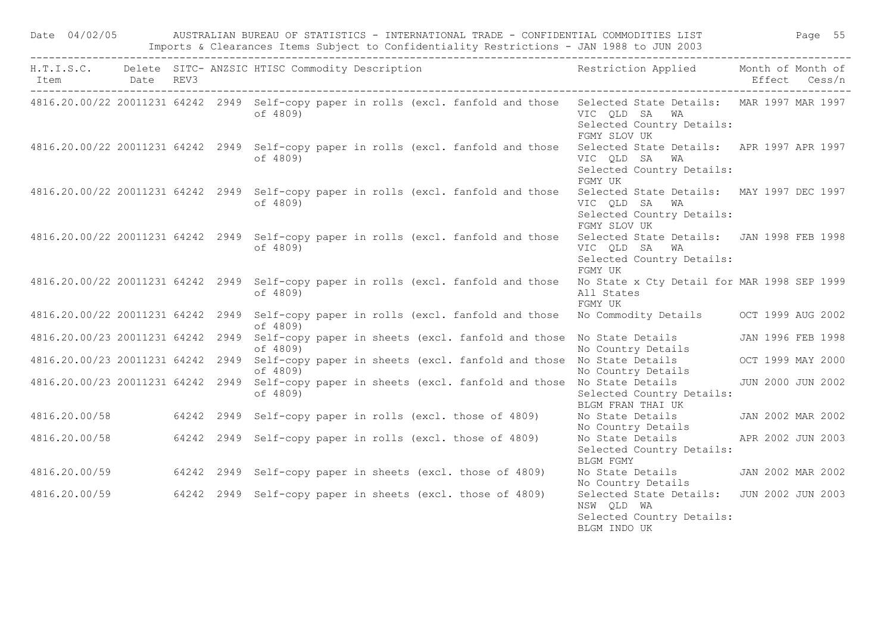|                |  |                                                                                                 |  |  | Date 04/02/05 AUSTRALIAN BUREAU OF STATISTICS - INTERNATIONAL TRADE - CONFIDENTIAL COMMODITIES LIST Page 55<br>Imports & Clearances Items Subject to Confidentiality Restrictions - JAN 1988 to JUN 2003 |                   |
|----------------|--|-------------------------------------------------------------------------------------------------|--|--|----------------------------------------------------------------------------------------------------------------------------------------------------------------------------------------------------------|-------------------|
| Item Date REV3 |  |                                                                                                 |  |  | H.T.I.S.C. Delete SITC-ANZSIC HTISC Commodity Description Nestriction Applied Month of Month of                                                                                                          | Effect Cess/n     |
|                |  | of 4809)                                                                                        |  |  | 4816.20.00/22 20011231 64242 2949 Self-copy paper in rolls (excl. fanfold and those Selected State Details: MAR 1997 MAR 1997<br>VIC QLD SA WA<br>Selected Country Details:<br>FGMY SLOV UK              |                   |
|                |  | 4816.20.00/22 20011231 64242 2949 Self-copy paper in rolls (excl. fanfold and those<br>of 4809) |  |  | Selected State Details: APR 1997 APR 1997<br>VIC QLD SA WA<br>Selected Country Details:<br>FGMY UK                                                                                                       |                   |
|                |  | 4816.20.00/22 20011231 64242 2949 Self-copy paper in rolls (excl. fanfold and those<br>of 4809) |  |  | Selected State Details: MAY 1997 DEC 1997<br>VIC QLD SA WA<br>Selected Country Details:<br>FGMY SLOV UK                                                                                                  |                   |
|                |  | 4816.20.00/22 20011231 64242 2949 Self-copy paper in rolls (excl. fanfold and those<br>of 4809) |  |  | Selected State Details: JAN 1998 FEB 1998<br>VIC QLD SA WA<br>Selected Country Details:<br>FGMY UK                                                                                                       |                   |
|                |  | 4816.20.00/22 20011231 64242 2949 Self-copy paper in rolls (excl. fanfold and those<br>of 4809) |  |  | No State x Cty Detail for MAR 1998 SEP 1999<br>All States<br>FGMY UK                                                                                                                                     |                   |
|                |  | 4816.20.00/22 20011231 64242 2949 Self-copy paper in rolls (excl. fanfold and those<br>of 4809) |  |  | No Commodity Details OCT 1999 AUG 2002                                                                                                                                                                   |                   |
|                |  | of 4809)                                                                                        |  |  | 4816.20.00/23 20011231 64242 2949 Self-copy paper in sheets (excl. fanfold and those No State Details JAN 1996 FEB 1998<br>No Country Details                                                            |                   |
|                |  | of 4809)                                                                                        |  |  | 4816.20.00/23 20011231 64242 2949 Self-copy paper in sheets (excl. fanfold and those No State Details<br>No Country Details                                                                              | OCT 1999 MAY 2000 |
|                |  | of 4809)                                                                                        |  |  | 4816.20.00/23 20011231 64242 2949 Self-copy paper in sheets (excl. fanfold and those No State Details<br>Selected Country Details:<br>BLGM FRAN THAI UK                                                  | JUN 2000 JUN 2002 |
|                |  | 4816.20.00/58 64242 2949 Self-copy paper in rolls (excl. those of 4809)                         |  |  | No State Details<br>No Country Details                                                                                                                                                                   | JAN 2002 MAR 2002 |
|                |  | 4816.20.00/58 64242 2949 Self-copy paper in rolls (excl. those of 4809)                         |  |  | No State Details<br>Selected Country Details:<br>BLGM FGMY                                                                                                                                               | APR 2002 JUN 2003 |
|                |  | 4816.20.00/59 64242 2949 Self-copy paper in sheets (excl. those of 4809)                        |  |  | No State Details JAN 2002 MAR 2002<br>No Country Details                                                                                                                                                 |                   |
|                |  | 4816.20.00/59 64242 2949 Self-copy paper in sheets (excl. those of 4809)                        |  |  | Selected State Details: JUN 2002 JUN 2003<br>NSW QLD WA<br>Selected Country Details:<br>BLGM INDO UK                                                                                                     |                   |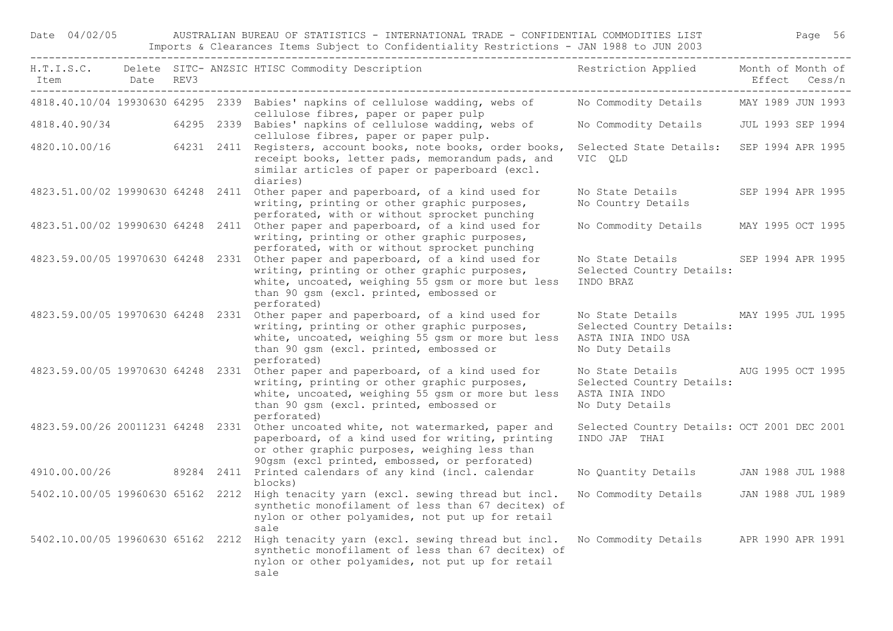Date 04/02/05 AUSTRALIAN BUREAU OF STATISTICS - INTERNATIONAL TRADE - CONFIDENTIAL COMMODITIES LIST Page 56 Imports & Clearances Items Subject to Confidentiality Restrictions - JAN 1988 to JUN 2003

| Item<br>--------------------------------- | Date REV3 |  | H.T.I.S.C. Delete SITC- ANZSIC HTISC Commodity Description                                                                                                                                                                                      | Restriction Applied Month of Month of<br>____________________                          | Effect Cess/n     |  |
|-------------------------------------------|-----------|--|-------------------------------------------------------------------------------------------------------------------------------------------------------------------------------------------------------------------------------------------------|----------------------------------------------------------------------------------------|-------------------|--|
|                                           |           |  | 4818.40.10/04 19930630 64295 2339 Babies' napkins of cellulose wadding, webs of No Commodity Details<br>cellulose fibres, paper or paper pulp                                                                                                   |                                                                                        | MAY 1989 JUN 1993 |  |
|                                           |           |  | 4818.40.90/34 64295 2339 Babies' napkins of cellulose wadding, webs of<br>cellulose fibres, paper or paper pulp.                                                                                                                                | No Commodity Details                                                                   | JUL 1993 SEP 1994 |  |
|                                           |           |  | 4820.10.00/16 64231 2411 Registers, account books, note books, order books,<br>receipt books, letter pads, memorandum pads, and<br>similar articles of paper or paperboard (excl.<br>diaries)                                                   | Selected State Details:<br>VIC OLD                                                     | SEP 1994 APR 1995 |  |
|                                           |           |  | 4823.51.00/02 19990630 64248 2411 Other paper and paperboard, of a kind used for<br>writing, printing or other graphic purposes,<br>perforated, with or without sprocket punching                                                               | No State Details<br>No Country Details                                                 | SEP 1994 APR 1995 |  |
|                                           |           |  | 4823.51.00/02 19990630 64248 2411 Other paper and paperboard, of a kind used for<br>writing, printing or other graphic purposes,<br>perforated, with or without sprocket punching                                                               | No Commodity Details                                                                   | MAY 1995 OCT 1995 |  |
| 4823.59.00/05 19970630 64248 2331         |           |  | Other paper and paperboard, of a kind used for<br>writing, printing or other graphic purposes,<br>white, uncoated, weighing 55 gsm or more but less<br>than 90 gsm (excl. printed, embossed or<br>perforated)                                   | No State Details<br>Selected Country Details:<br>INDO BRAZ                             | SEP 1994 APR 1995 |  |
|                                           |           |  | 4823.59.00/05 19970630 64248 2331 Other paper and paperboard, of a kind used for<br>writing, printing or other graphic purposes,<br>white, uncoated, weighing 55 gsm or more but less<br>than 90 gsm (excl. printed, embossed or<br>perforated) | No State Details<br>Selected Country Details:<br>ASTA INIA INDO USA<br>No Duty Details | MAY 1995 JUL 1995 |  |
| 4823.59.00/05 19970630 64248 2331         |           |  | Other paper and paperboard, of a kind used for<br>writing, printing or other graphic purposes,<br>white, uncoated, weighing 55 gsm or more but less<br>than 90 gsm (excl. printed, embossed or<br>perforated)                                   | No State Details<br>Selected Country Details:<br>ASTA INIA INDO<br>No Duty Details     | AUG 1995 OCT 1995 |  |
|                                           |           |  | 4823.59.00/26 20011231 64248 2331 Other uncoated white, not watermarked, paper and<br>paperboard, of a kind used for writing, printing<br>or other graphic purposes, weighing less than<br>90gsm (excl printed, embossed, or perforated)        | Selected Country Details: OCT 2001 DEC 2001<br>INDO JAP THAI                           |                   |  |
|                                           |           |  | 4910.00.00/26 89284 2411 Printed calendars of any kind (incl. calendar<br>blocks)                                                                                                                                                               | No Quantity Details JAN 1988 JUL 1988                                                  |                   |  |
|                                           |           |  | 5402.10.00/05 19960630 65162 2212 High tenacity yarn (excl. sewing thread but incl.<br>synthetic monofilament of less than 67 decitex) of<br>nylon or other polyamides, not put up for retail<br>sale                                           | No Commodity Details JAN 1988 JUL 1989                                                 |                   |  |
|                                           |           |  | 5402.10.00/05 19960630 65162 2212 High tenacity yarn (excl. sewing thread but incl.<br>synthetic monofilament of less than 67 decitex) of<br>nylon or other polyamides, not put up for retail<br>sale                                           | No Commodity Details APR 1990 APR 1991                                                 |                   |  |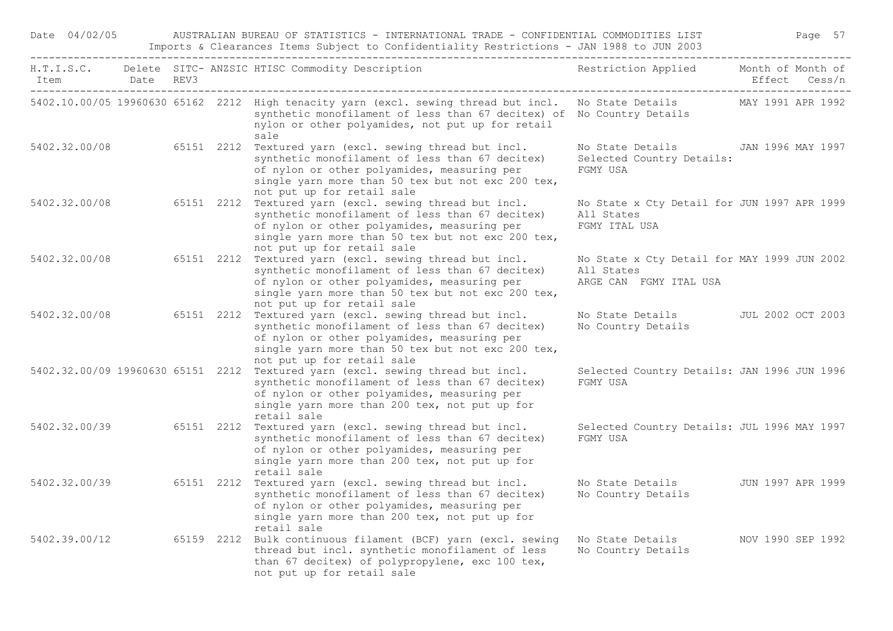| Date 04/02/05  |  | AUSTRALIAN BUREAU OF STATISTICS - INTERNATIONAL TRADE - CONFIDENTIAL COMMODITIES LIST<br>Imports & Clearances Items Subject to Confidentiality Restrictions - JAN 1988 to JUN 2003                                                                          |                                                                                     | Page 57                            |
|----------------|--|-------------------------------------------------------------------------------------------------------------------------------------------------------------------------------------------------------------------------------------------------------------|-------------------------------------------------------------------------------------|------------------------------------|
| Item Date REV3 |  | H.T.I.S.C. Delete SITC- ANZSIC HTISC Commodity Description                                                                                                                                                                                                  | Restriction Applied                                                                 | Month of Month of<br>Effect Cess/n |
|                |  | 5402.10.00/05 19960630 65162 2212 High tenacity yarn (excl. sewing thread but incl. No State Details MAY 1991 APR 1992<br>synthetic monofilament of less than 67 decitex) of No Country Details<br>nylon or other polyamides, not put up for retail<br>sale |                                                                                     |                                    |
| 5402.32.00/08  |  | 65151 2212 Textured yarn (excl. sewing thread but incl.<br>synthetic monofilament of less than 67 decitex)<br>of nylon or other polyamides, measuring per<br>single yarn more than 50 tex but not exc 200 tex,<br>not put up for retail sale                | No State Details JAN 1996 MAY 1997<br>Selected Country Details:<br>FGMY USA         |                                    |
| 5402.32.00/08  |  | 65151 2212 Textured yarn (excl. sewing thread but incl.<br>synthetic monofilament of less than 67 decitex)<br>of nylon or other polyamides, measuring per<br>single yarn more than 50 tex but not exc 200 tex,<br>not put up for retail sale                | No State x Cty Detail for JUN 1997 APR 1999<br>All States<br>FGMY ITAL USA          |                                    |
| 5402.32.00/08  |  | 65151 2212 Textured yarn (excl. sewing thread but incl.<br>synthetic monofilament of less than 67 decitex)<br>of nylon or other polyamides, measuring per<br>single yarn more than 50 tex but not exc 200 tex,<br>not put up for retail sale                | No State x Cty Detail for MAY 1999 JUN 2002<br>All States<br>ARGE CAN FGMY ITAL USA |                                    |
| 5402.32.00/08  |  | 65151 2212 Textured yarn (excl. sewing thread but incl.<br>synthetic monofilament of less than 67 decitex)<br>of nylon or other polyamides, measuring per<br>single yarn more than 50 tex but not exc 200 tex,<br>not put up for retail sale                | No State Details JUL 2002 OCT 2003<br>No Country Details                            |                                    |
|                |  | 5402.32.00/09 19960630 65151 2212 Textured yarn (excl. sewing thread but incl.<br>synthetic monofilament of less than 67 decitex)<br>of nylon or other polyamides, measuring per<br>single yarn more than 200 tex, not put up for<br>retail sale            | Selected Country Details: JAN 1996 JUN 1996<br>FGMY USA                             |                                    |
| 5402.32.00/39  |  | 65151 2212 Textured yarn (excl. sewing thread but incl.<br>synthetic monofilament of less than 67 decitex)<br>of nylon or other polyamides, measuring per<br>single yarn more than 200 tex, not put up for<br>retail sale                                   | Selected Country Details: JUL 1996 MAY 1997<br>FGMY USA                             |                                    |
| 5402.32.00/39  |  | 65151 2212 Textured yarn (excl. sewing thread but incl.<br>synthetic monofilament of less than 67 decitex)<br>of nylon or other polyamides, measuring per<br>single yarn more than 200 tex, not put up for<br>retail sale                                   | No State Details 50 JUN 1997 APR 1999<br>No Country Details                         |                                    |
| 5402.39.00/12  |  | 65159 2212 Bulk continuous filament (BCF) yarn (excl. sewing Wo State Details<br>thread but incl. synthetic monofilament of less<br>than 67 decitex) of polypropylene, exc 100 tex,<br>not put up for retail sale                                           | No Country Details                                                                  | NOV 1990 SEP 1992                  |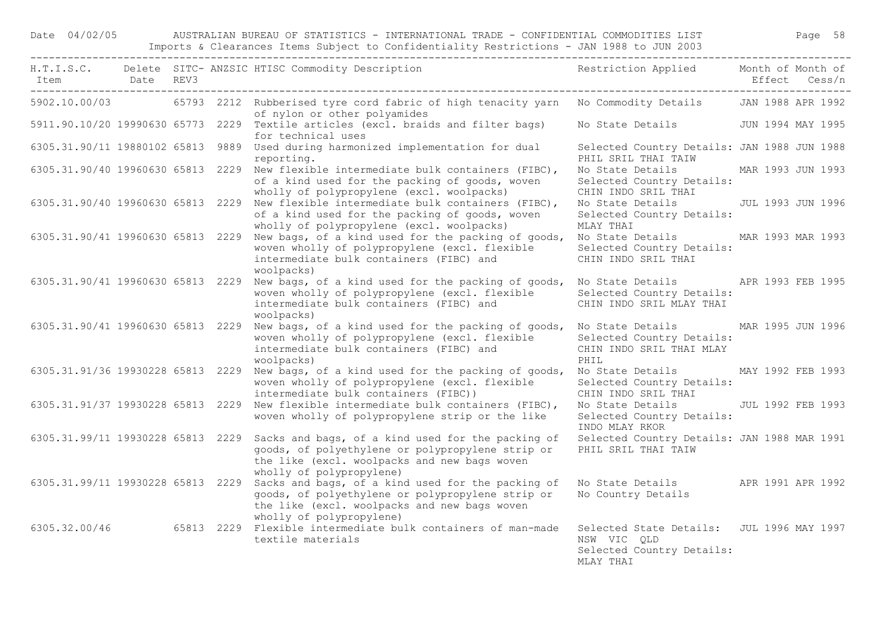## Date 04/02/05 AUSTRALIAN BUREAU OF STATISTICS - INTERNATIONAL TRADE - CONFIDENTIAL COMMODITIES LIST Page 58 Imports & Clearances Items Subject to Confidentiality Restrictions - JAN 1988 to JUN 2003

|                                   |  | H.T.I.S.C. Delete SITC-ANZSIC HTISC Commodity Description Nestriction Applied Month of Month of                                                                                                                                   |                                                                                                     |                   |
|-----------------------------------|--|-----------------------------------------------------------------------------------------------------------------------------------------------------------------------------------------------------------------------------------|-----------------------------------------------------------------------------------------------------|-------------------|
|                                   |  | 5902.10.00/03 65793 2212 Rubberised tyre cord fabric of high tenacity yarn No Commodity Details JAN 1988 APR 1992<br>of nylon or other polyamides                                                                                 |                                                                                                     |                   |
|                                   |  | 5911.90.10/20 19990630 65773 2229 Textile articles (excl. braids and filter bags)<br>for technical uses                                                                                                                           | No State Details - JUN 1994 MAY 1995                                                                |                   |
|                                   |  | 6305.31.90/11 19880102 65813 9889 Used during harmonized implementation for dual<br>reporting.                                                                                                                                    | Selected Country Details: JAN 1988 JUN 1988<br>PHIL SRIL THAI TAIW                                  |                   |
|                                   |  | 6305.31.90/40 19960630 65813 2229 New flexible intermediate bulk containers (FIBC),<br>of a kind used for the packing of goods, woven<br>wholly of polypropylene (excl. woolpacks)                                                | No State Details MAR 1993 JUN 1993<br>Selected Country Details:<br>CHIN INDO SRIL THAI              |                   |
|                                   |  | 6305.31.90/40 19960630 65813 2229 New flexible intermediate bulk containers (FIBC),<br>of a kind used for the packing of goods, woven<br>wholly of polypropylene (excl. woolpacks)                                                | No State Details JUL 1993 JUN 1996<br>Selected Country Details:<br>MLAY THAI                        |                   |
|                                   |  | 6305.31.90/41 19960630 65813 2229 New bags, of a kind used for the packing of goods,<br>woven wholly of polypropylene (excl. flexible<br>intermediate bulk containers (FIBC) and<br>woolpacks)                                    | No State Details MAR 1993 MAR 1993<br>Selected Country Details:<br>CHIN INDO SRIL THAI              |                   |
|                                   |  | 6305.31.90/41 19960630 65813 2229 New bags, of a kind used for the packing of goods, No State Details APR 1993 FEB 1995<br>woven wholly of polypropylene (excl. flexible<br>intermediate bulk containers (FIBC) and<br>woolpacks) | Selected Country Details:<br>CHIN INDO SRIL MLAY THAI                                               |                   |
|                                   |  | 6305.31.90/41 19960630 65813 2229 New bags, of a kind used for the packing of goods,<br>woven wholly of polypropylene (excl. flexible<br>intermediate bulk containers (FIBC) and<br>woolpacks)                                    | No State Details MAR 1995 JUN 1996<br>Selected Country Details:<br>CHIN INDO SRIL THAI MLAY<br>PHIL |                   |
|                                   |  | 6305.31.91/36 19930228 65813 2229 New bags, of a kind used for the packing of goods,<br>woven wholly of polypropylene (excl. flexible<br>intermediate bulk containers (FIBC))                                                     | No State Details MAY 1992 FEB 1993<br>Selected Country Details:<br>CHIN INDO SRIL THAI              |                   |
|                                   |  | 6305.31.91/37 19930228 65813 2229 New flexible intermediate bulk containers (FIBC),<br>woven wholly of polypropylene strip or the like                                                                                            | No State Details<br>Selected Country Details:<br>INDO MLAY RKOR                                     | JUL 1992 FEB 1993 |
|                                   |  | 6305.31.99/11 19930228 65813 2229 Sacks and bags, of a kind used for the packing of<br>goods, of polyethylene or polypropylene strip or<br>the like (excl. woolpacks and new bags woven<br>wholly of polypropylene)               | Selected Country Details: JAN 1988 MAR 1991<br>PHIL SRIL THAI TAIW                                  |                   |
| 6305.31.99/11 19930228 65813 2229 |  | Sacks and bags, of a kind used for the packing of<br>goods, of polyethylene or polypropylene strip or<br>the like (excl. woolpacks and new bags woven<br>wholly of polypropylene)                                                 | No State Details APR 1991 APR 1992<br>No Country Details                                            |                   |
|                                   |  | 6305.32.00/46 65813 2229 Flexible intermediate bulk containers of man-made<br>textile materials                                                                                                                                   | Selected State Details: JUL 1996 MAY 1997<br>NSW VIC QLD<br>Selected Country Details:<br>MIAY THAT  |                   |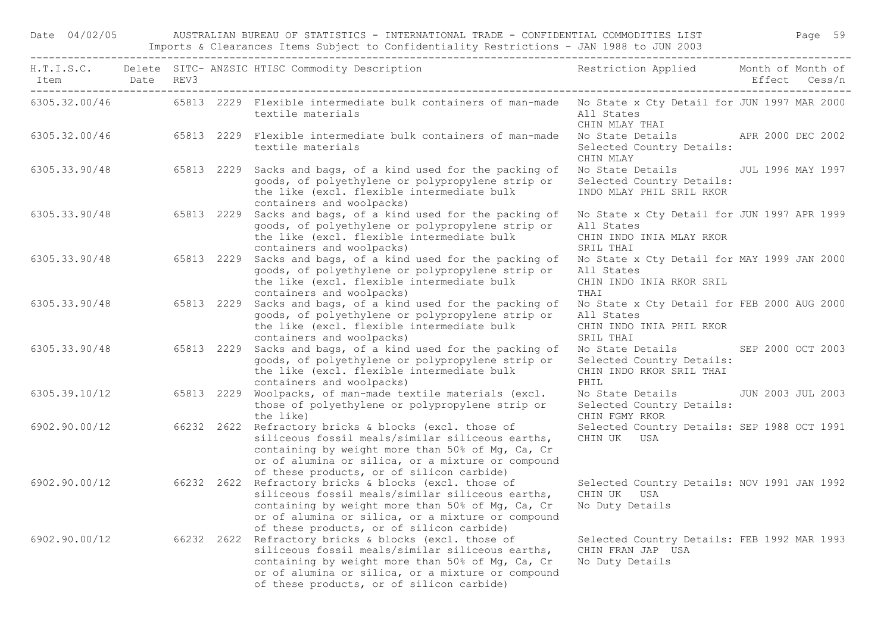Date 04/02/05 AUSTRALIAN BUREAU OF STATISTICS - INTERNATIONAL TRADE - CONFIDENTIAL COMMODITIES LIST Page 59 Imports & Clearances Items Subject to Confidentiality Restrictions - JAN 1988 to JUN 2003

| Item Date REV3           |  | H.T.I.S.C. Delete SITC- ANZSIC HTISC Commodity Description<br>The Same Common Delete Sitch and ANZSIC HTISC Commodity Description<br>The Same Common Delete Sitch and ANZSIC HTISC Commodity Description                                                                      |                                                                                                     |  |  |
|--------------------------|--|-------------------------------------------------------------------------------------------------------------------------------------------------------------------------------------------------------------------------------------------------------------------------------|-----------------------------------------------------------------------------------------------------|--|--|
|                          |  | 6305.32.00/46 65813 2229 Flexible intermediate bulk containers of man-made No State x Cty Detail for JUN 1997 MAR 2000<br>textile materials                                                                                                                                   | All States<br>CHIN MLAY THAI                                                                        |  |  |
|                          |  | 6305.32.00/46 65813 2229 Flexible intermediate bulk containers of man-made<br>textile materials                                                                                                                                                                               | No State Details APR 2000 DEC 2002<br>Selected Country Details:<br>CHIN MLAY                        |  |  |
|                          |  | 6305.33.90/48 65813 2229 Sacks and bags, of a kind used for the packing of<br>goods, of polyethylene or polypropylene strip or<br>the like (excl. flexible intermediate bulk<br>containers and woolpacks)                                                                     | No State Details JUL 1996 MAY 1997<br>Selected Country Details:<br>INDO MLAY PHIL SRIL RKOR         |  |  |
|                          |  | 6305.33.90/48 65813 2229 Sacks and bags, of a kind used for the packing of<br>goods, of polyethylene or polypropylene strip or<br>the like (excl. flexible intermediate bulk<br>containers and woolpacks)                                                                     | No State x Cty Detail for JUN 1997 APR 1999<br>All States<br>CHIN INDO INIA MLAY RKOR<br>SRIL THAI  |  |  |
|                          |  | 6305.33.90/48 65813 2229 Sacks and bags, of a kind used for the packing of<br>goods, of polyethylene or polypropylene strip or<br>the like (excl. flexible intermediate bulk<br>containers and woolpacks)                                                                     | No State x Cty Detail for MAY 1999 JAN 2000<br>All States<br>CHIN INDO INIA RKOR SRIL<br>THAI       |  |  |
|                          |  | 6305.33.90/48 65813 2229 Sacks and bags, of a kind used for the packing of<br>goods, of polyethylene or polypropylene strip or<br>the like (excl. flexible intermediate bulk<br>containers and woolpacks)                                                                     | No State x Cty Detail for FEB 2000 AUG 2000<br>All States<br>CHIN INDO INIA PHIL RKOR<br>SRIL THAI  |  |  |
| 6305.33.90/48 65813 2229 |  | Sacks and bags, of a kind used for the packing of<br>goods, of polyethylene or polypropylene strip or<br>the like (excl. flexible intermediate bulk<br>containers and woolpacks)                                                                                              | No State Details SEP 2000 OCT 2003<br>Selected Country Details:<br>CHIN INDO RKOR SRIL THAI<br>PHIL |  |  |
|                          |  | 6305.39.10/12 65813 2229 Woolpacks, of man-made textile materials (excl.<br>those of polyethylene or polypropylene strip or<br>the like)                                                                                                                                      | No State Details JUN 2003 JUL 2003<br>Selected Country Details:<br>CHIN FGMY RKOR                   |  |  |
|                          |  | 6902.90.00/12 66232 2622 Refractory bricks & blocks (excl. those of<br>siliceous fossil meals/similar siliceous earths,<br>containing by weight more than 50% of Mg, Ca, Cr<br>or of alumina or silica, or a mixture or compound<br>of these products, or of silicon carbide) | Selected Country Details: SEP 1988 OCT 1991<br>CHIN UK USA                                          |  |  |
|                          |  | 6902.90.00/12 66232 2622 Refractory bricks & blocks (excl. those of<br>siliceous fossil meals/similar siliceous earths,<br>containing by weight more than 50% of Mg, Ca, Cr<br>or of alumina or silica, or a mixture or compound<br>of these products, or of silicon carbide) | Selected Country Details: NOV 1991 JAN 1992<br>CHIN UK USA<br>No Duty Details                       |  |  |
|                          |  | 6902.90.00/12 66232 2622 Refractory bricks & blocks (excl. those of<br>siliceous fossil meals/similar siliceous earths,<br>containing by weight more than 50% of Mg, Ca, Cr<br>or of alumina or silica, or a mixture or compound<br>of these products, or of silicon carbide) | Selected Country Details: FEB 1992 MAR 1993<br>CHIN FRAN JAP USA<br>No Duty Details                 |  |  |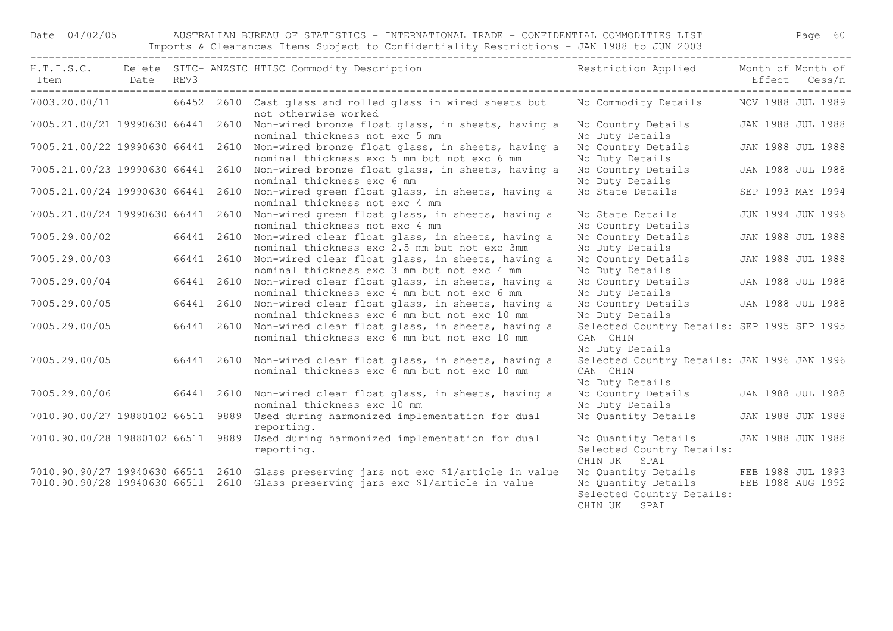## Date 04/02/05 AUSTRALIAN BUREAU OF STATISTICS - INTERNATIONAL TRADE - CONFIDENTIAL COMMODITIES LIST Page 60 Imports & Clearances Items Subject to Confidentiality Restrictions - JAN 1988 to JUN 2003

|                                   |  |            | H.T.I.S.C. Delete SITC- ANZSIC HTISC Commodity Description                                                                                                               | Restriction Applied Month of Month of                                                   |                                        |
|-----------------------------------|--|------------|--------------------------------------------------------------------------------------------------------------------------------------------------------------------------|-----------------------------------------------------------------------------------------|----------------------------------------|
| Item Date REV3                    |  |            |                                                                                                                                                                          |                                                                                         | Effect Cess/n                          |
|                                   |  |            | 7003.20.00/11 66452 2610 Cast glass and rolled glass in wired sheets but<br>not otherwise worked                                                                         | No Commodity Details MOV 1988 JUL 1989                                                  |                                        |
|                                   |  |            | 7005.21.00/21 19990630 66441 2610 Non-wired bronze float glass, in sheets, having a<br>nominal thickness not exc 5 mm                                                    | No Country Details<br>No Duty Details                                                   | JAN 1988 JUL 1988                      |
| 7005.21.00/22 19990630 66441 2610 |  |            | Non-wired bronze float glass, in sheets, having a<br>nominal thickness exc 5 mm but not exc 6 mm                                                                         | No Country Details<br>No Duty Details                                                   | JAN 1988 JUL 1988                      |
| 7005.21.00/23 19990630 66441 2610 |  |            | Non-wired bronze float glass, in sheets, having a<br>nominal thickness exc 6 mm                                                                                          | No Country Details<br>No Duty Details                                                   | JAN 1988 JUL 1988                      |
|                                   |  |            | 7005.21.00/24 19990630 66441 2610 Non-wired green float glass, in sheets, having a<br>nominal thickness not exc 4 mm                                                     | No State Details                                                                        | SEP 1993 MAY 1994                      |
| 7005.21.00/24 19990630 66441 2610 |  |            | Non-wired green float glass, in sheets, having a<br>nominal thickness not exc 4 mm                                                                                       | No State Details<br>No Country Details                                                  | JUN 1994 JUN 1996                      |
| 7005.29.00/02                     |  | 66441 2610 | Non-wired clear float glass, in sheets, having a<br>nominal thickness exc 2.5 mm but not exc 3mm                                                                         | No Country Details<br>No Duty Details                                                   | JAN 1988 JUL 1988                      |
| 7005.29.00/03                     |  |            | 66441 2610 Non-wired clear float glass, in sheets, having a<br>nominal thickness exc 3 mm but not exc 4 mm                                                               | No Country Details<br>No Duty Details                                                   | JAN 1988 JUL 1988                      |
| 7005.29.00/04                     |  | 66441 2610 | Non-wired clear float glass, in sheets, having a<br>nominal thickness exc 4 mm but not exc 6 mm                                                                          | No Country Details<br>No Duty Details                                                   | JAN 1988 JUL 1988                      |
| 7005.29.00/05                     |  | 66441 2610 | Non-wired clear float glass, in sheets, having a<br>nominal thickness exc 6 mm but not exc 10 mm                                                                         | No Country Details JAN 1988 JUL 1988<br>No Duty Details                                 |                                        |
| 7005.29.00/05                     |  | 66441 2610 | Non-wired clear float glass, in sheets, having a<br>nominal thickness exc 6 mm but not exc 10 mm                                                                         | Selected Country Details: SEP 1995 SEP 1995<br>CAN CHIN<br>No Duty Details              |                                        |
| 7005.29.00/05                     |  |            | 66441 2610 Non-wired clear float glass, in sheets, having a<br>nominal thickness exc 6 mm but not exc 10 mm                                                              | Selected Country Details: JAN 1996 JAN 1996<br>CAN CHIN<br>No Duty Details              |                                        |
| 7005.29.00/06                     |  |            | 66441 2610 Non-wired clear float glass, in sheets, having a<br>nominal thickness exc 10 mm                                                                               | No Country Details JAN 1988 JUL 1988<br>No Duty Details                                 |                                        |
|                                   |  |            | 7010.90.00/27 19880102 66511 9889 Used during harmonized implementation for dual<br>reporting.                                                                           | No Quantity Details                                                                     | JAN 1988 JUN 1988                      |
| 7010.90.00/28 19880102 66511 9889 |  |            | Used during harmonized implementation for dual<br>reporting.                                                                                                             | No Quantity Details<br>Selected Country Details:<br>CHIN UK SPAI                        | JAN 1988 JUN 1988                      |
|                                   |  |            | 7010.90.90/27 19940630 66511 2610 Glass preserving jars not exc \$1/article in value<br>7010.90.90/28 19940630 66511 2610 Glass preserving jars exc \$1/article in value | No Quantity Details<br>No Quantity Details<br>Selected Country Details:<br>CHIN UK SPAI | FEB 1988 JUL 1993<br>FEB 1988 AUG 1992 |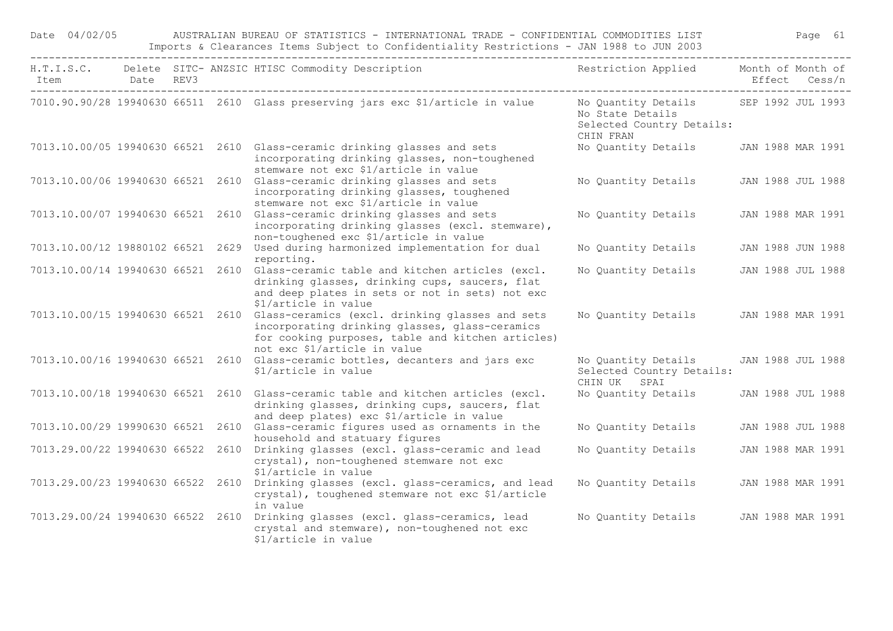| Date 04/02/05                     |           |  | AUSTRALIAN BUREAU OF STATISTICS - INTERNATIONAL TRADE - CONFIDENTIAL COMMODITIES LIST<br>Imports & Clearances Items Subject to Confidentiality Restrictions - JAN 1988 to JUN 2003                                       |                                                                                                     |                   | Page 61       |
|-----------------------------------|-----------|--|--------------------------------------------------------------------------------------------------------------------------------------------------------------------------------------------------------------------------|-----------------------------------------------------------------------------------------------------|-------------------|---------------|
| Item                              | Date REV3 |  | H.T.I.S.C. Delete SITC- ANZSIC HTISC Commodity Description                                                                                                                                                               | Restriction Applied                                                                                 | Month of Month of | Effect Cess/n |
|                                   |           |  | 7010.90.90/28 19940630 66511 2610 Glass preserving jars exc \$1/article in value                                                                                                                                         | No Quantity Details SEP 1992 JUL 1993<br>No State Details<br>Selected Country Details:<br>CHIN FRAN |                   |               |
|                                   |           |  | 7013.10.00/05 19940630 66521 2610 Glass-ceramic drinking glasses and sets<br>incorporating drinking glasses, non-toughened<br>stemware not exc \$1/article in value                                                      | No Quantity Details                                                                                 | JAN 1988 MAR 1991 |               |
|                                   |           |  | 7013.10.00/06 19940630 66521 2610 Glass-ceramic drinking glasses and sets<br>incorporating drinking glasses, toughened<br>stemware not exc \$1/article in value                                                          | No Quantity Details                                                                                 | JAN 1988 JUL 1988 |               |
|                                   |           |  | 7013.10.00/07 19940630 66521 2610 Glass-ceramic drinking glasses and sets<br>incorporating drinking glasses (excl. stemware),<br>non-toughened exc \$1/article in value                                                  | No Quantity Details                                                                                 | JAN 1988 MAR 1991 |               |
| 7013.10.00/12 19880102 66521 2629 |           |  | Used during harmonized implementation for dual<br>reporting.                                                                                                                                                             | No Quantity Details                                                                                 | JAN 1988 JUN 1988 |               |
| 7013.10.00/14 19940630 66521 2610 |           |  | Glass-ceramic table and kitchen articles (excl.<br>drinking glasses, drinking cups, saucers, flat<br>and deep plates in sets or not in sets) not exc<br>\$1/article in value                                             | No Quantity Details                                                                                 | JAN 1988 JUL 1988 |               |
|                                   |           |  | 7013.10.00/15 19940630 66521 2610 Glass-ceramics (excl. drinking glasses and sets<br>incorporating drinking glasses, glass-ceramics<br>for cooking purposes, table and kitchen articles)<br>not exc \$1/article in value | No Quantity Details                                                                                 | JAN 1988 MAR 1991 |               |
|                                   |           |  | 7013.10.00/16 19940630 66521 2610 Glass-ceramic bottles, decanters and jars exc<br>\$1/article in value                                                                                                                  | No Quantity Details<br>Selected Country Details:<br>CHIN UK SPAI                                    | JAN 1988 JUL 1988 |               |
|                                   |           |  | 7013.10.00/18 19940630 66521 2610 Glass-ceramic table and kitchen articles (excl.<br>drinking glasses, drinking cups, saucers, flat<br>and deep plates) exc \$1/article in value                                         | No Quantity Details                                                                                 | JAN 1988 JUL 1988 |               |
| 7013.10.00/29 19990630 66521 2610 |           |  | Glass-ceramic figures used as ornaments in the<br>household and statuary figures                                                                                                                                         | No Quantity Details                                                                                 | JAN 1988 JUL 1988 |               |
| 7013.29.00/22 19940630 66522 2610 |           |  | Drinking glasses (excl. glass-ceramic and lead<br>crystal), non-toughened stemware not exc<br>\$1/article in value                                                                                                       | No Quantity Details                                                                                 | JAN 1988 MAR 1991 |               |
|                                   |           |  | 7013.29.00/23 19940630 66522 2610 Drinking glasses (excl. glass-ceramics, and lead<br>crystal), toughened stemware not exc \$1/article<br>in value                                                                       | No Quantity Details                                                                                 | JAN 1988 MAR 1991 |               |
|                                   |           |  | 7013.29.00/24 19940630 66522 2610 Drinking glasses (excl. glass-ceramics, lead<br>crystal and stemware), non-toughened not exc<br>\$1/article in value                                                                   | No Quantity Details                                                                                 | JAN 1988 MAR 1991 |               |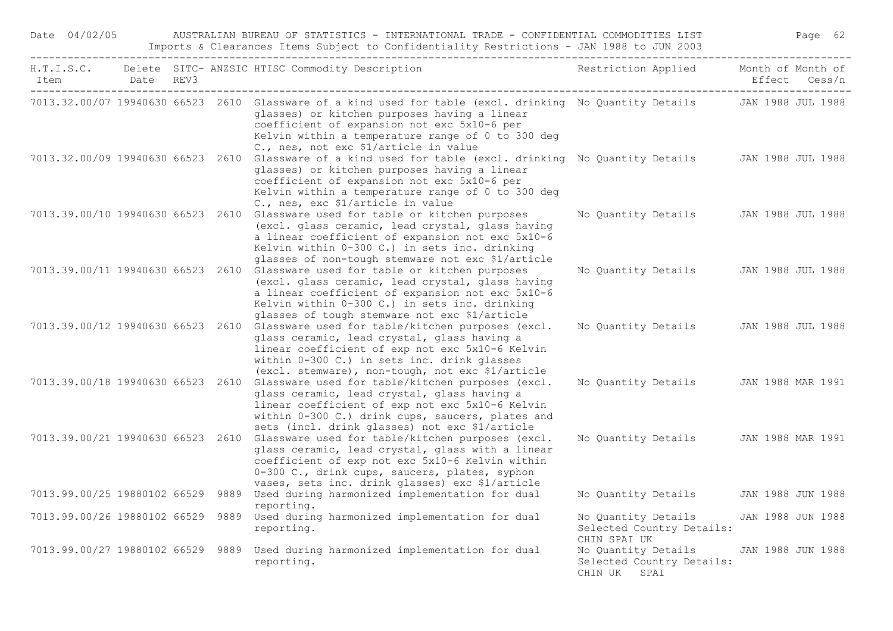| Date 04/02/05                     |  | AUSTRALIAN BUREAU OF STATISTICS - INTERNATIONAL TRADE - CONFIDENTIAL COMMODITIES LIST<br>Imports & Clearances Items Subject to Confidentiality Restrictions - JAN 1988 to JUN 2003                                                                                                                                      |                                                                  | Page 62           |
|-----------------------------------|--|-------------------------------------------------------------------------------------------------------------------------------------------------------------------------------------------------------------------------------------------------------------------------------------------------------------------------|------------------------------------------------------------------|-------------------|
| Item Date REV3                    |  | H.T.I.S.C. Delete SITC- ANZSIC HTISC Commodity Description                                                                                                                                                                                                                                                              | Restriction Applied Month of Month of                            | Effect Cess/n     |
|                                   |  | 7013.32.00/07 19940630 66523 2610 Glassware of a kind used for table (excl. drinking No Quantity Details JAN 1988 JUL 1988<br>glasses) or kitchen purposes having a linear<br>coefficient of expansion not exc 5x10-6 per<br>Kelvin within a temperature range of 0 to 300 deg<br>C., nes, not exc \$1/article in value |                                                                  |                   |
|                                   |  | 7013.32.00/09 19940630 66523 2610 Glassware of a kind used for table (excl. drinking No Quantity Details JAN 1988 JUL 1988<br>glasses) or kitchen purposes having a linear<br>coefficient of expansion not exc 5x10-6 per<br>Kelvin within a temperature range of 0 to 300 deg<br>C., nes, exc \$1/article in value     |                                                                  |                   |
|                                   |  | 7013.39.00/10 19940630 66523 2610 Glassware used for table or kitchen purposes<br>(excl. glass ceramic, lead crystal, glass having<br>a linear coefficient of expansion not exc 5x10-6<br>Kelvin within 0-300 C.) in sets inc. drinking<br>glasses of non-tough stemware not exc \$1/article                            | No Quantity Details JAN 1988 JUL 1988                            |                   |
|                                   |  | 7013.39.00/11 19940630 66523 2610 Glassware used for table or kitchen purposes<br>(excl. glass ceramic, lead crystal, glass having<br>a linear coefficient of expansion not exc 5x10-6<br>Kelvin within 0-300 C.) in sets inc. drinking<br>glasses of tough stemware not exc \$1/article                                | No Quantity Details JAN 1988 JUL 1988                            |                   |
|                                   |  | 7013.39.00/12 19940630 66523 2610 Glassware used for table/kitchen purposes (excl.<br>glass ceramic, lead crystal, glass having a<br>linear coefficient of exp not exc 5x10-6 Kelvin<br>within 0-300 C.) in sets inc. drink glasses<br>(excl. stemware), non-tough, not exc \$1/article                                 | No Quantity Details JAN 1988 JUL 1988                            |                   |
|                                   |  | 7013.39.00/18 19940630 66523 2610 Glassware used for table/kitchen purposes (excl.<br>glass ceramic, lead crystal, glass having a<br>linear coefficient of exp not exc 5x10-6 Kelvin<br>within 0-300 C.) drink cups, saucers, plates and<br>sets (incl. drink glasses) not exc \$1/article                              | No Quantity Details JAN 1988 MAR 1991                            |                   |
| 7013.39.00/21 19940630 66523 2610 |  | Glassware used for table/kitchen purposes (excl.<br>glass ceramic, lead crystal, glass with a linear<br>coefficient of exp not exc 5x10-6 Kelvin within<br>0-300 C., drink cups, saucers, plates, syphon<br>vases, sets inc. drink glasses) exc \$1/article                                                             | No Quantity Details JAN 1988 MAR 1991                            |                   |
| 7013.99.00/25 19880102 66529 9889 |  | Used during harmonized implementation for dual<br>reporting.                                                                                                                                                                                                                                                            | No Quantity Details JAN 1988 JUN 1988                            |                   |
| 7013.99.00/26 19880102 66529 9889 |  | Used during harmonized implementation for dual<br>reporting.                                                                                                                                                                                                                                                            | No Quantity Details<br>Selected Country Details:<br>CHIN SPAI UK | JAN 1988 JUN 1988 |
|                                   |  | 7013.99.00/27 19880102 66529 9889 Used during harmonized implementation for dual<br>reporting.                                                                                                                                                                                                                          | No Quantity Details<br>Selected Country Details:<br>CHIN UK SPAI | JAN 1988 JUN 1988 |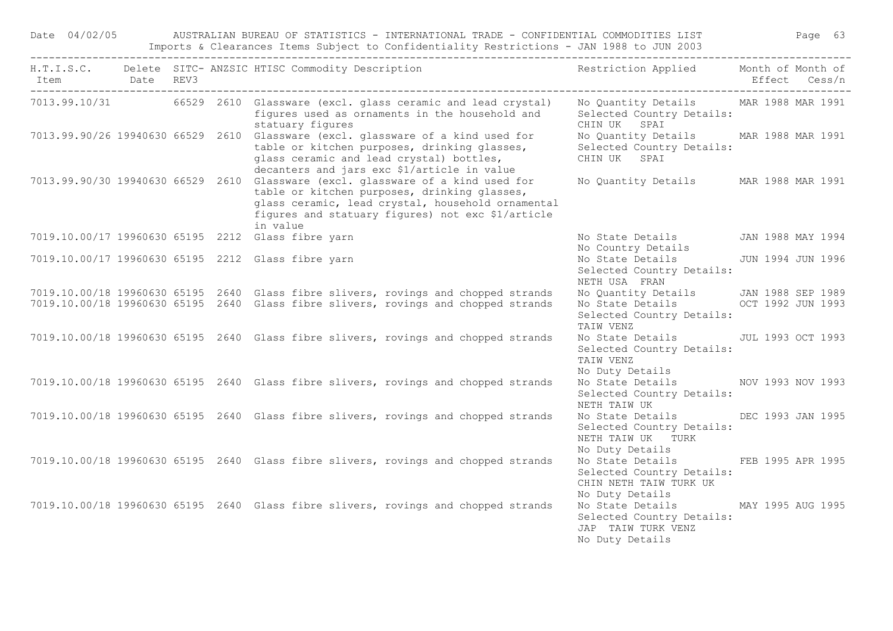Date 04/02/05 AUSTRALIAN BUREAU OF STATISTICS - INTERNATIONAL TRADE - CONFIDENTIAL COMMODITIES LIST Page 63 Imports & Clearances Items Subject to Confidentiality Restrictions - JAN 1988 to JUN 2003

| Item Date REV3 |  | H.T.I.S.C. Delete SITC- ANZSIC HTISC Commodity Description                                                                                                                                                                                            | Restriction Applied Month of Month of                                                                        | Effect Cess/n     |
|----------------|--|-------------------------------------------------------------------------------------------------------------------------------------------------------------------------------------------------------------------------------------------------------|--------------------------------------------------------------------------------------------------------------|-------------------|
|                |  | 7013.99.10/31 66529 2610 Glassware (excl. glass ceramic and lead crystal)<br>figures used as ornaments in the household and<br>statuary figures                                                                                                       | No Quantity Details MAR 1988 MAR 1991<br>Selected Country Details:<br>CHIN UK SPAI                           |                   |
|                |  | 7013.99.90/26 19940630 66529 2610 Glassware (excl. glassware of a kind used for<br>table or kitchen purposes, drinking glasses,<br>glass ceramic and lead crystal) bottles,<br>decanters and jars exc \$1/article in value                            | No Quantity Details MAR 1988 MAR 1991<br>Selected Country Details:<br>CHIN UK SPAI                           |                   |
|                |  | 7013.99.90/30 19940630 66529 2610 Glassware (excl. glassware of a kind used for<br>table or kitchen purposes, drinking glasses,<br>glass ceramic, lead crystal, household ornamental<br>fiqures and statuary figures) not exc \$1/article<br>in value | No Quantity Details MAR 1988 MAR 1991                                                                        |                   |
|                |  | 7019.10.00/17 19960630 65195 2212 Glass fibre yarn                                                                                                                                                                                                    | No State Details<br>No Country Details                                                                       | JAN 1988 MAY 1994 |
|                |  | 7019.10.00/17 19960630 65195 2212 Glass fibre yarn                                                                                                                                                                                                    | No State Details<br>Selected Country Details:<br>NETH USA FRAN                                               | JUN 1994 JUN 1996 |
|                |  | 7019.10.00/18 19960630 65195 2640 Glass fibre slivers, rovings and chopped strands                                                                                                                                                                    | No Quantity Details JAN 1988 SEP 1989                                                                        |                   |
|                |  | 7019.10.00/18 19960630 65195 2640 Glass fibre slivers, rovings and chopped strands                                                                                                                                                                    | No State Details OCT 1992 JUN 1993<br>Selected Country Details:<br>TAIW VENZ                                 |                   |
|                |  | 7019.10.00/18 19960630 65195 2640 Glass fibre slivers, rovings and chopped strands                                                                                                                                                                    | No State Details JUL 1993 OCT 1993<br>Selected Country Details:<br>TAIW VENZ<br>No Duty Details              |                   |
|                |  | 7019.10.00/18 19960630 65195 2640 Glass fibre slivers, rovings and chopped strands                                                                                                                                                                    | No State Details NOV 1993 NOV 1993<br>Selected Country Details:<br>NETH TAIW UK                              |                   |
|                |  | 7019.10.00/18 19960630 65195 2640 Glass fibre slivers, rovings and chopped strands                                                                                                                                                                    | No State Details DEC 1993 JAN 1995<br>Selected Country Details:<br>NETH TAIW UK TURK<br>No Duty Details      |                   |
|                |  | 7019.10.00/18 19960630 65195 2640 Glass fibre slivers, rovings and chopped strands                                                                                                                                                                    | No State Details FEB 1995 APR 1995<br>Selected Country Details:<br>CHIN NETH TAIW TURK UK<br>No Duty Details |                   |
|                |  | 7019.10.00/18 19960630 65195 2640 Glass fibre slivers, rovings and chopped strands                                                                                                                                                                    | No State Details MAY 1995 AUG 1995<br>Selected Country Details:<br>JAP TAIW TURK VENZ<br>No Duty Details     |                   |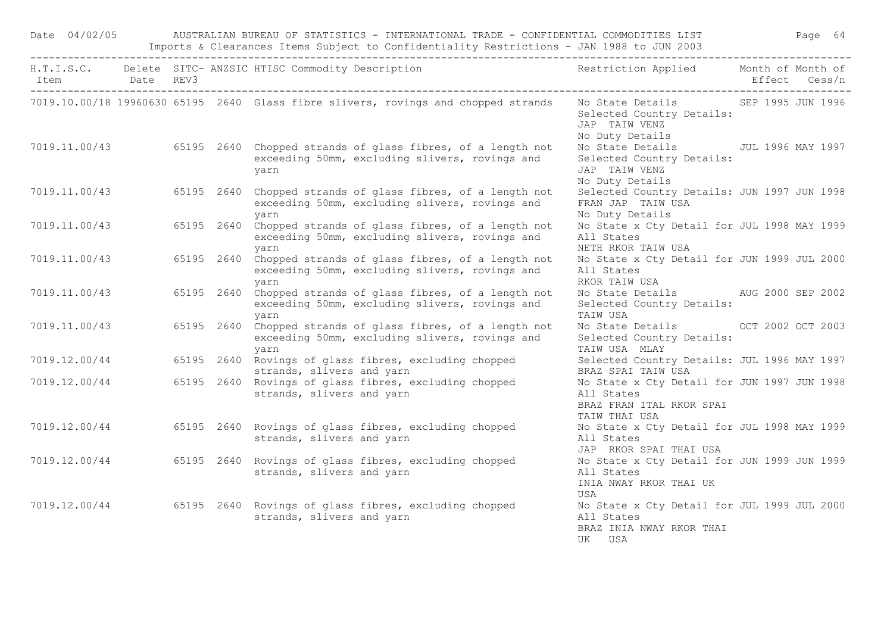| Date 04/02/05<br>AUSTRALIAN BUREAU OF STATISTICS - INTERNATIONAL TRADE - CONFIDENTIAL COMMODITIES LIST |  |  |            |                                                                                                                                     |                                                                                                        | Page 64       |  |  |
|--------------------------------------------------------------------------------------------------------|--|--|------------|-------------------------------------------------------------------------------------------------------------------------------------|--------------------------------------------------------------------------------------------------------|---------------|--|--|
| Item Date REV3                                                                                         |  |  |            | H.T.I.S.C. Delete SITC- ANZSIC HTISC Commodity Description                                                                          | Restriction Applied Month of Month of                                                                  | Effect Cess/n |  |  |
|                                                                                                        |  |  |            | 7019.10.00/18 19960630 65195 2640 Glass fibre slivers, rovings and chopped strands                                                  | No State Details SEP 1995 JUN 1996<br>Selected Country Details:<br>JAP TAIW VENZ<br>No Duty Details    |               |  |  |
|                                                                                                        |  |  |            | 7019.11.00/43 65195 2640 Chopped strands of glass fibres, of a length not<br>exceeding 50mm, excluding slivers, rovings and<br>yarn | No State Details 50 JUL 1996 MAY 1997<br>Selected Country Details:<br>JAP TAIW VENZ<br>No Duty Details |               |  |  |
|                                                                                                        |  |  |            | 7019.11.00/43 65195 2640 Chopped strands of glass fibres, of a length not<br>exceeding 50mm, excluding slivers, rovings and<br>yarn | Selected Country Details: JUN 1997 JUN 1998<br>FRAN JAP TAIW USA<br>No Duty Details                    |               |  |  |
| 7019.11.00/43                                                                                          |  |  | 65195 2640 | Chopped strands of glass fibres, of a length not<br>exceeding 50mm, excluding slivers, rovings and<br>yarn                          | No State x Cty Detail for JUL 1998 MAY 1999<br>All States<br>NETH RKOR TAIW USA                        |               |  |  |
|                                                                                                        |  |  |            | 7019.11.00/43 65195 2640 Chopped strands of glass fibres, of a length not<br>exceeding 50mm, excluding slivers, rovings and<br>yarn | No State x Cty Detail for JUN 1999 JUL 2000<br>All States<br>RKOR TAIW USA                             |               |  |  |
| 7019.11.00/43                                                                                          |  |  | 65195 2640 | Chopped strands of glass fibres, of a length not<br>exceeding 50mm, excluding slivers, rovings and<br>yarn                          | No State Details AUG 2000 SEP 2002<br>Selected Country Details:<br>TAIW USA                            |               |  |  |
|                                                                                                        |  |  |            | 7019.11.00/43 65195 2640 Chopped strands of glass fibres, of a length not<br>exceeding 50mm, excluding slivers, rovings and<br>yarn | No State Details OCT 2002 OCT 2003<br>Selected Country Details:<br>TAIW USA MLAY                       |               |  |  |
|                                                                                                        |  |  |            | 7019.12.00/44 65195 2640 Rovings of glass fibres, excluding chopped<br>strands, slivers and yarn                                    | Selected Country Details: JUL 1996 MAY 1997<br>BRAZ SPAI TAIW USA                                      |               |  |  |
|                                                                                                        |  |  |            | 7019.12.00/44 65195 2640 Rovings of glass fibres, excluding chopped<br>strands, slivers and yarn                                    | No State x Cty Detail for JUN 1997 JUN 1998<br>All States<br>BRAZ FRAN ITAL RKOR SPAI<br>TAIW THAI USA |               |  |  |
|                                                                                                        |  |  |            | 7019.12.00/44 65195 2640 Rovings of glass fibres, excluding chopped<br>strands, slivers and yarn                                    | No State x Cty Detail for JUL 1998 MAY 1999<br>All States<br>JAP RKOR SPAI THAI USA                    |               |  |  |
|                                                                                                        |  |  |            | 7019.12.00/44 65195 2640 Rovings of glass fibres, excluding chopped<br>strands, slivers and yarn                                    | No State x Cty Detail for JUN 1999 JUN 1999<br>All States<br>INIA NWAY RKOR THAI UK<br>USA             |               |  |  |
|                                                                                                        |  |  |            | 7019.12.00/44 65195 2640 Rovings of glass fibres, excluding chopped<br>strands, slivers and yarn                                    | No State x Cty Detail for JUL 1999 JUL 2000<br>All States<br>BRAZ INIA NWAY RKOR THAI<br>UK USA        |               |  |  |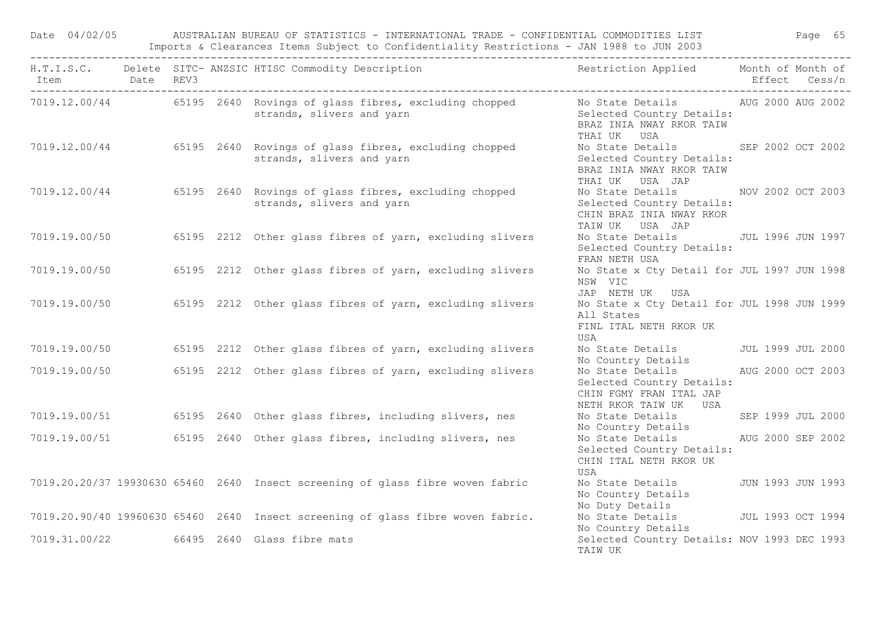|                |  | Date 04/02/05 AUSTRALIAN BUREAU OF STATISTICS - INTERNATIONAL TRADE - CONFIDENTIAL COMMODITIES LIST<br>Imports & Clearances Items Subject to Confidentiality Restrictions - JAN 1988 to JUN 2003<br>--------------------------------                   |                                                                                                                                                     |               |  |
|----------------|--|--------------------------------------------------------------------------------------------------------------------------------------------------------------------------------------------------------------------------------------------------------|-----------------------------------------------------------------------------------------------------------------------------------------------------|---------------|--|
| Item Date REV3 |  | H.T.I.S.C. Delete SITC- ANZSIC HTISC Commodity Description                                                                                                                                                                                             | Restriction Applied Month of Month of                                                                                                               | Effect Cess/n |  |
|                |  | 7019.12.00/44 65195 2640 Rovings of glass fibres, excluding chopped No State Details AUG 2000 AUG 2002<br>Rovings of glass fibies, excluding chopped and the selected Country Details:<br>strands, slivers and yarn strands, Selected Country Details: | THAI UK USA                                                                                                                                         |               |  |
|                |  | 7019.12.00/44 65195 2640 Rovings of glass fibres, excluding chopped<br>strands, slivers and yarn                                                                                                                                                       | No State Details SEP 2002 OCT 2002<br>Selected Country Details:<br>BRAZ INIA NWAY RKOR TAIW<br>THAI UK USA JAP                                      |               |  |
|                |  | 7019.12.00/44 65195 2640 Rovings of glass fibres, excluding chopped<br>strands, slivers and yarn                                                                                                                                                       | No State Details MOV 2002 OCT 2003<br>Selected Country Details:<br>CHIN BRAZ INIA NWAY RKOR<br>TAIWUK USA JAP                                       |               |  |
|                |  | 7019.19.00/50 65195 2212 Other glass fibres of yarn, excluding slivers                                                                                                                                                                                 | No State Details 50 JUL 1996 JUN 1997<br>Selected Country Details:<br>FRAN NETH USA                                                                 |               |  |
|                |  | 7019.19.00/50 65195 2212 Other glass fibres of yarn, excluding slivers                                                                                                                                                                                 | No State x Cty Detail for JUL 1997 JUN 1998<br>NSW VIC<br>JAP NETH UK USA                                                                           |               |  |
|                |  | 7019.19.00/50 65195 2212 Other glass fibres of yarn, excluding slivers                                                                                                                                                                                 | No State x Cty Detail for JUL 1998 JUN 1999<br>All States<br>FINL ITAL NETH RKOR UK<br>USA                                                          |               |  |
|                |  | 7019.19.00/50 65195 2212 Other glass fibres of yarn, excluding slivers                                                                                                                                                                                 | No State Details JUL 1999 JUL 2000                                                                                                                  |               |  |
|                |  | 7019.19.00/50 65195 2212 Other glass fibres of yarn, excluding slivers                                                                                                                                                                                 | No Country Details<br>No State Details           AUG 2000 OCT 2003<br>Selected Country Details:<br>CHIN FGMY FRAN ITAL JAP<br>NETH RKOR TAIW UK USA |               |  |
|                |  | 7019.19.00/51 65195 2640 Other glass fibres, including slivers, nes                                                                                                                                                                                    | No State Details SEP 1999 JUL 2000<br>No Country Details                                                                                            |               |  |
|                |  | 7019.19.00/51 65195 2640 Other glass fibres, including slivers, nes                                                                                                                                                                                    | No State Details AUG 2000 SEP 2002<br>Selected Country Details:<br>CHIN ITAL NETH RKOR UK<br>USA                                                    |               |  |
|                |  | 7019.20.20/37 19930630 65460 2640 Insect screening of glass fibre woven fabric                                                                                                                                                                         | No State Details 50 JUN 1993 JUN 1993<br>No Country Details<br>No Duty Details                                                                      |               |  |
|                |  | 7019.20.90/40 19960630 65460 2640 Insect screening of glass fibre woven fabric.                                                                                                                                                                        | No State Details 500 JUL 1993 OCT 1994<br>No Country Details                                                                                        |               |  |
|                |  | 7019.31.00/22 66495 2640 Glass fibre mats                                                                                                                                                                                                              | Selected Country Details: NOV 1993 DEC 1993<br>TAIW UK                                                                                              |               |  |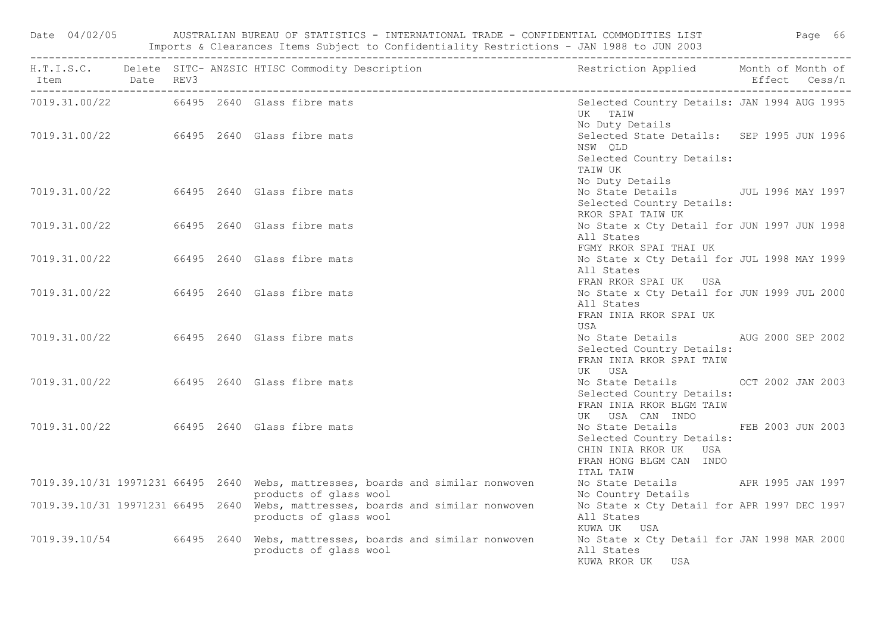|                                           |  |  | Date 04/02/05 AUSTRALIAN BUREAU OF STATISTICS - INTERNATIONAL TRADE - CONFIDENTIAL COMMODITIES LIST Page 66<br>Imports & Clearances Items Subject to Confidentiality Restrictions - JAN 1988 to JUN 2003<br>------------------------ |                                                                                                                                  |  |  |
|-------------------------------------------|--|--|--------------------------------------------------------------------------------------------------------------------------------------------------------------------------------------------------------------------------------------|----------------------------------------------------------------------------------------------------------------------------------|--|--|
| Item Date REV3                            |  |  | H.T.I.S.C. Delete SITC- ANZSIC HTISC Commodity Description                                                                                                                                                                           | Restriction Applied Month of Month of<br>Effect Cess/n                                                                           |  |  |
| 7019.31.00/22 66495 2640 Glass fibre mats |  |  |                                                                                                                                                                                                                                      | Selected Country Details: JAN 1994 AUG 1995<br>UK TAIW<br>No Duty Details                                                        |  |  |
|                                           |  |  | 7019.31.00/22 66495 2640 Glass fibre mats                                                                                                                                                                                            | Selected State Details: SEP 1995 JUN 1996<br>NSW QLD<br>Selected Country Details:<br>TAIW UK                                     |  |  |
| 7019.31.00/22 66495 2640 Glass fibre mats |  |  |                                                                                                                                                                                                                                      | No Duty Details<br>No State Details - JUL 1996 MAY 1997<br>Selected Country Details:<br>RKOR SPAI TAIW UK                        |  |  |
| 7019.31.00/22 66495 2640 Glass fibre mats |  |  |                                                                                                                                                                                                                                      | No State x Cty Detail for JUN 1997 JUN 1998<br>All States<br>FGMY RKOR SPAI THAI UK                                              |  |  |
| 7019.31.00/22 66495 2640 Glass fibre mats |  |  |                                                                                                                                                                                                                                      | No State x Cty Detail for JUL 1998 MAY 1999<br>All States<br>FRAN RKOR SPAI UK USA                                               |  |  |
| 7019.31.00/22 66495 2640 Glass fibre mats |  |  |                                                                                                                                                                                                                                      | No State x Cty Detail for JUN 1999 JUL 2000<br>All States<br>FRAN INIA RKOR SPAI UK<br>USA                                       |  |  |
| 7019.31.00/22 66495 2640 Glass fibre mats |  |  |                                                                                                                                                                                                                                      | No State Details AUG 2000 SEP 2002<br>Selected Country Details:<br>FRAN INIA RKOR SPAI TAIW<br>UK USA                            |  |  |
| 7019.31.00/22 66495 2640 Glass fibre mats |  |  |                                                                                                                                                                                                                                      | No State Details OCT 2002 JAN 2003<br>Selected Country Details:<br>FRAN INIA RKOR BLGM TAIW<br>UK USA CAN INDO                   |  |  |
| 7019.31.00/22 66495 2640 Glass fibre mats |  |  |                                                                                                                                                                                                                                      | No State Details FEB 2003 JUN 2003<br>Selected Country Details:<br>CHIN INIA RKOR UK USA<br>FRAN HONG BLGM CAN INDO<br>ITAL TAIW |  |  |
|                                           |  |  | 7019.39.10/31 19971231 66495 2640 Webs, mattresses, boards and similar nonwoven<br>products of glass wool                                                                                                                            | No State Details (APR 1995 JAN 1997<br>No Country Details                                                                        |  |  |
|                                           |  |  | 7019.39.10/31 19971231 66495 2640 Webs, mattresses, boards and similar nonwoven<br>products of glass wool                                                                                                                            | No State x Cty Detail for APR 1997 DEC 1997<br>All States<br>KUWA UK USA                                                         |  |  |
|                                           |  |  | 7019.39.10/54 66495 2640 Webs, mattresses, boards and similar nonwoven<br>products of glass wool                                                                                                                                     | No State x Cty Detail for JAN 1998 MAR 2000<br>All States<br>KUWA RKOR UK USA                                                    |  |  |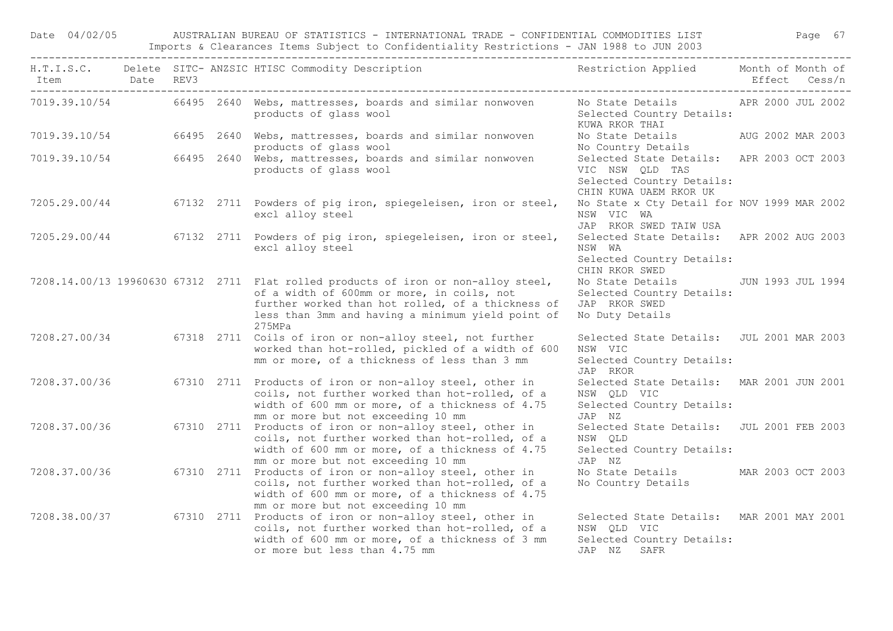Date 04/02/05 AUSTRALIAN BUREAU OF STATISTICS - INTERNATIONAL TRADE - CONFIDENTIAL COMMODITIES LIST Page 67 Imports & Clearances Items Subject to Confidentiality Restrictions - JAN 1988 to JUN 2003

| Item Date REV3 |  | H.T.I.S.C. Delete SITC-ANZSIC HTISC Commodity Description Nestriction Applied Month of Month of                                                                                                                                                      |                                                                                                                     | Effect Cess/n |
|----------------|--|------------------------------------------------------------------------------------------------------------------------------------------------------------------------------------------------------------------------------------------------------|---------------------------------------------------------------------------------------------------------------------|---------------|
|                |  | 7019.39.10/54 66495 2640 Webs, mattresses, boards and similar nonwoven<br>products of glass wool                                                                                                                                                     | No State Details APR 2000 JUL 2002<br>Selected Country Details:<br>KUWA RKOR THAI                                   |               |
| 7019.39.10/54  |  | 66495 2640 Webs, mattresses, boards and similar nonwoven<br>products of glass wool                                                                                                                                                                   | No State Details AUG 2002 MAR 2003<br>No Country Details                                                            |               |
|                |  | 7019.39.10/54 66495 2640 Webs, mattresses, boards and similar nonwoven<br>products of glass wool                                                                                                                                                     | Selected State Details: APR 2003 OCT 2003<br>VIC NSW QLD TAS<br>Selected Country Details:<br>CHIN KUWA UAEM RKOR UK |               |
|                |  | 7205.29.00/44 67132 2711 Powders of pig iron, spiegeleisen, iron or steel,<br>excl alloy steel                                                                                                                                                       | No State x Cty Detail for NOV 1999 MAR 2002<br>NSW VIC WA<br>JAP RKOR SWED TAIW USA                                 |               |
|                |  | 7205.29.00/44 67132 2711 Powders of pig iron, spiegeleisen, iron or steel,<br>excl alloy steel                                                                                                                                                       | Selected State Details: APR 2002 AUG 2003<br>NSW WA<br>Selected Country Details:<br>CHIN RKOR SWED                  |               |
|                |  | 7208.14.00/13 19960630 67312 2711 Flat rolled products of iron or non-alloy steel,<br>of a width of 600mm or more, in coils, not<br>further worked than hot rolled, of a thickness of<br>less than 3mm and having a minimum yield point of<br>275MPa | No State Details JUN 1993 JUL 1994<br>Selected Country Details:<br>JAP RKOR SWED<br>No Duty Details                 |               |
|                |  | 7208.27.00/34 67318 2711 Coils of iron or non-alloy steel, not further<br>worked than hot-rolled, pickled of a width of 600<br>mm or more, of a thickness of less than 3 mm                                                                          | Selected State Details: JUL 2001 MAR 2003<br>NSW VIC<br>Selected Country Details:<br>JAP RKOR                       |               |
| 7208.37.00/36  |  | 67310 2711 Products of iron or non-alloy steel, other in<br>coils, not further worked than hot-rolled, of a<br>width of 600 mm or more, of a thickness of 4.75<br>mm or more but not exceeding 10 mm                                                 | Selected State Details: MAR 2001 JUN 2001<br>NSW QLD VIC<br>Selected Country Details:<br>JAP NZ                     |               |
| 7208.37.00/36  |  | 67310 2711 Products of iron or non-alloy steel, other in<br>coils, not further worked than hot-rolled, of a<br>width of 600 mm or more, of a thickness of 4.75<br>mm or more but not exceeding 10 mm                                                 | Selected State Details: JUL 2001 FEB 2003<br>NSW QLD<br>Selected Country Details:<br>JAP NZ                         |               |
| 7208.37.00/36  |  | 67310 2711 Products of iron or non-alloy steel, other in<br>coils, not further worked than hot-rolled, of a<br>width of 600 mm or more, of a thickness of 4.75<br>mm or more but not exceeding 10 mm                                                 | No State Details MAR 2003 OCT 2003<br>No Country Details                                                            |               |
|                |  | 7208.38.00/37 67310 2711 Products of iron or non-alloy steel, other in<br>coils, not further worked than hot-rolled, of a<br>width of 600 mm or more, of a thickness of 3 mm<br>or more but less than 4.75 mm                                        | Selected State Details: MAR 2001 MAY 2001<br>NSW QLD VIC<br>Selected Country Details:<br>JAP NZ SAFR                |               |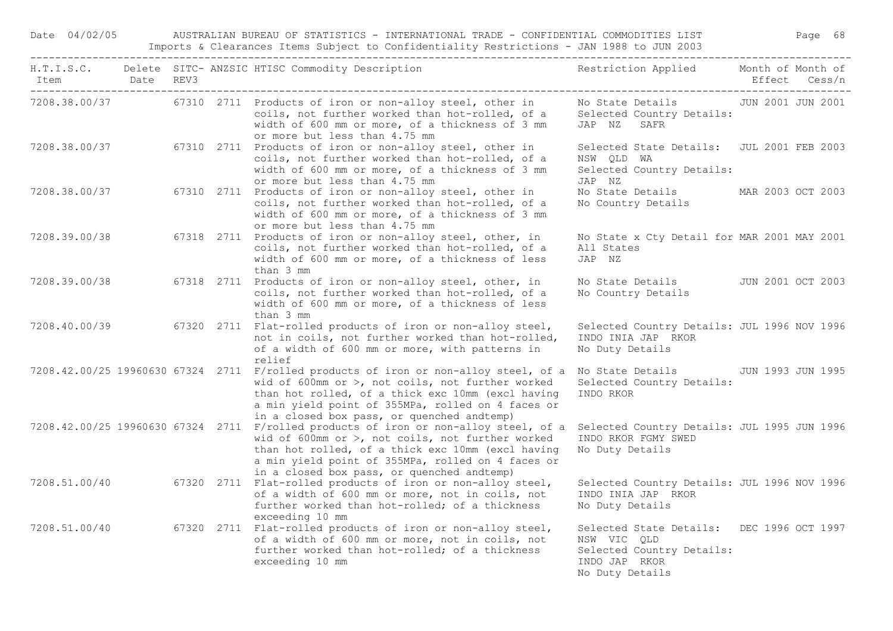Date 04/02/05 AUSTRALIAN BUREAU OF STATISTICS - INTERNATIONAL TRADE - CONFIDENTIAL COMMODITIES LIST Page 68 Imports & Clearances Items Subject to Confidentiality Restrictions - JAN 1988 to JUN 2003

| Item Date REV3 |  | H.T.I.S.C. Delete SITC-ANZSIC HTISC Commodity Description Nestriction Applied Month of Month of                                                                                                                                                                                                  |                                                                                                                           | Effect Cess/n     |
|----------------|--|--------------------------------------------------------------------------------------------------------------------------------------------------------------------------------------------------------------------------------------------------------------------------------------------------|---------------------------------------------------------------------------------------------------------------------------|-------------------|
|                |  | 7208.38.00/37 67310 2711 Products of iron or non-alloy steel, other in<br>coils, not further worked than hot-rolled, of a<br>width of 600 mm or more, of a thickness of 3 mm<br>or more but less than 4.75 mm                                                                                    | No State Details 50 JUN 2001 JUN 2001<br>Selected Country Details:<br>JAP NZ SAFR                                         |                   |
|                |  | 7208.38.00/37 67310 2711 Products of iron or non-alloy steel, other in<br>coils, not further worked than hot-rolled, of a<br>width of 600 mm or more, of a thickness of 3 mm<br>or more but less than 4.75 mm                                                                                    | Selected State Details: JUL 2001 FEB 2003<br>NSW QLD WA<br>Selected Country Details:<br>JAP NZ                            |                   |
| 7208.38.00/37  |  | 67310 2711 Products of iron or non-alloy steel, other in<br>coils, not further worked than hot-rolled, of a<br>width of 600 mm or more, of a thickness of 3 mm<br>or more but less than 4.75 mm                                                                                                  | No State Details MAR 2003 OCT 2003<br>No Country Details                                                                  |                   |
| 7208.39.00/38  |  | 67318 2711 Products of iron or non-alloy steel, other, in<br>coils, not further worked than hot-rolled, of a<br>width of 600 mm or more, of a thickness of less<br>than 3 mm                                                                                                                     | No State x Cty Detail for MAR 2001 MAY 2001<br>All States<br>JAP NZ                                                       |                   |
| 7208.39.00/38  |  | 67318 2711 Products of iron or non-alloy steel, other, in<br>coils, not further worked than hot-rolled, of a<br>width of 600 mm or more, of a thickness of less<br>than 3 mm                                                                                                                     | No State Details 5000 JUN 2001 OCT 2003<br>No Country Details                                                             |                   |
|                |  | 7208.40.00/39 67320 2711 Flat-rolled products of iron or non-alloy steel,<br>not in coils, not further worked than hot-rolled,<br>of a width of 600 mm or more, with patterns in<br>relief                                                                                                       | Selected Country Details: JUL 1996 NOV 1996<br>INDO INIA JAP RKOR<br>No Duty Details                                      |                   |
|                |  | 7208.42.00/25 19960630 67324 2711 F/rolled products of iron or non-alloy steel, of a<br>wid of 600mm or >, not coils, not further worked<br>than hot rolled, of a thick exc 10mm (excl having<br>a min yield point of 355MPa, rolled on 4 faces or<br>in a closed box pass, or quenched andtemp) | No State Details<br>Selected Country Details:<br>INDO RKOR                                                                | JUN 1993 JUN 1995 |
|                |  | 7208.42.00/25 19960630 67324 2711 F/rolled products of iron or non-alloy steel, of a<br>wid of 600mm or >, not coils, not further worked<br>than hot rolled, of a thick exc 10mm (excl having<br>a min yield point of 355MPa, rolled on 4 faces or<br>in a closed box pass, or quenched andtemp) | Selected Country Details: JUL 1995 JUN 1996<br>INDO RKOR FGMY SWED<br>No Duty Details                                     |                   |
|                |  | 7208.51.00/40 67320 2711 Flat-rolled products of iron or non-alloy steel,<br>of a width of 600 mm or more, not in coils, not<br>further worked than hot-rolled; of a thickness<br>exceeding 10 mm                                                                                                | Selected Country Details: JUL 1996 NOV 1996<br>INDO INIA JAP RKOR<br>No Duty Details                                      |                   |
|                |  | 7208.51.00/40 67320 2711 Flat-rolled products of iron or non-alloy steel,<br>of a width of 600 mm or more, not in coils, not<br>further worked than hot-rolled; of a thickness<br>exceeding 10 mm                                                                                                | Selected State Details: DEC 1996 OCT 1997<br>NSW VIC QLD<br>Selected Country Details:<br>INDO JAP RKOR<br>No Duty Details |                   |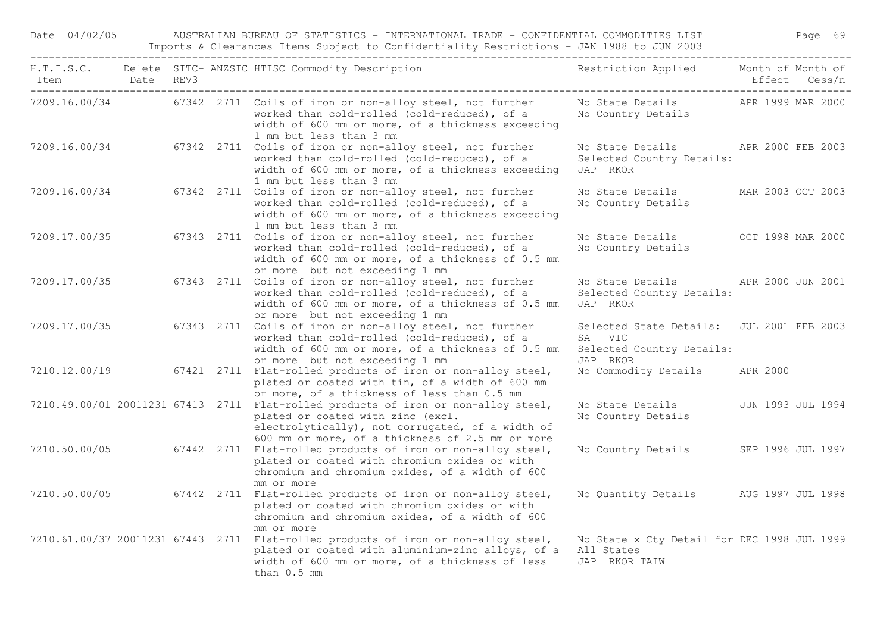| Item Date REV3<br>-------------------------------------- |  | H.T.I.S.C. Delete SITC-ANZSIC HTISC Commodity Description Nestriction Applied Month of Month of                                                                                                                                 |                                                                                              |          | Effect Cess/n     |
|----------------------------------------------------------|--|---------------------------------------------------------------------------------------------------------------------------------------------------------------------------------------------------------------------------------|----------------------------------------------------------------------------------------------|----------|-------------------|
|                                                          |  | 7209.16.00/34 67342 2711 Coils of iron or non-alloy steel, not further<br>worked than cold-rolled (cold-reduced), of a<br>width of 600 mm or more, of a thickness exceeding<br>1 mm but less than 3 mm                          | No State Details APR 1999 MAR 2000<br>No Country Details                                     |          |                   |
| 7209.16.00/34                                            |  | 67342 2711 Coils of iron or non-alloy steel, not further<br>worked than cold-rolled (cold-reduced), of a<br>width of 600 mm or more, of a thickness exceeding<br>1 mm but less than 3 mm                                        | No State Details APR 2000 FEB 2003<br>Selected Country Details:<br>JAP RKOR                  |          |                   |
| 7209.16.00/34                                            |  | 67342 2711 Coils of iron or non-alloy steel, not further<br>worked than cold-rolled (cold-reduced), of a<br>width of 600 mm or more, of a thickness exceeding<br>1 mm but less than 3 mm                                        | No State Details<br>No Country Details                                                       |          | MAR 2003 OCT 2003 |
| 7209.17.00/35                                            |  | 67343 2711 Coils of iron or non-alloy steel, not further<br>worked than cold-rolled (cold-reduced), of a<br>width of 600 mm or more, of a thickness of 0.5 mm<br>or more but not exceeding 1 mm                                 | No State Details<br>No Country Details                                                       |          | OCT 1998 MAR 2000 |
| 7209.17.00/35                                            |  | 67343 2711 Coils of iron or non-alloy steel, not further<br>worked than cold-rolled (cold-reduced), of a<br>width of 600 mm or more, of a thickness of 0.5 mm<br>or more but not exceeding 1 mm                                 | No State Details<br>Selected Country Details:<br>JAP RKOR                                    |          | APR 2000 JUN 2001 |
| 7209.17.00/35                                            |  | 67343 2711 Coils of iron or non-alloy steel, not further<br>worked than cold-rolled (cold-reduced), of a<br>width of 600 mm or more, of a thickness of 0.5 mm<br>or more but not exceeding 1 mm                                 | Selected State Details: JUL 2001 FEB 2003<br>SA VIC<br>Selected Country Details:<br>JAP RKOR |          |                   |
| 7210.12.00/19                                            |  | 67421 2711 Flat-rolled products of iron or non-alloy steel,<br>plated or coated with tin, of a width of 600 mm<br>or more, of a thickness of less than 0.5 mm                                                                   | No Commodity Details                                                                         | APR 2000 |                   |
|                                                          |  | 7210.49.00/01 20011231 67413 2711 Flat-rolled products of iron or non-alloy steel,<br>plated or coated with zinc (excl.<br>electrolytically), not corrugated, of a width of<br>600 mm or more, of a thickness of 2.5 mm or more | No State Details<br>No Country Details                                                       |          | JUN 1993 JUL 1994 |
| 7210.50.00/05                                            |  | 67442 2711 Flat-rolled products of iron or non-alloy steel,<br>plated or coated with chromium oxides or with<br>chromium and chromium oxides, of a width of 600<br>mm or more                                                   | No Country Details                                                                           |          | SEP 1996 JUL 1997 |
| 7210.50.00/05                                            |  | 67442 2711 Flat-rolled products of iron or non-alloy steel,<br>plated or coated with chromium oxides or with<br>chromium and chromium oxides, of a width of 600                                                                 | No Quantity Details AUG 1997 JUL 1998                                                        |          |                   |
|                                                          |  | mm or more<br>7210.61.00/37 20011231 67443 2711 Flat-rolled products of iron or non-alloy steel,<br>plated or coated with aluminium-zinc alloys, of a<br>width of 600 mm or more, of a thickness of less<br>than 0.5 mm         | No State x Cty Detail for DEC 1998 JUL 1999<br>All States<br>JAP RKOR TAIW                   |          |                   |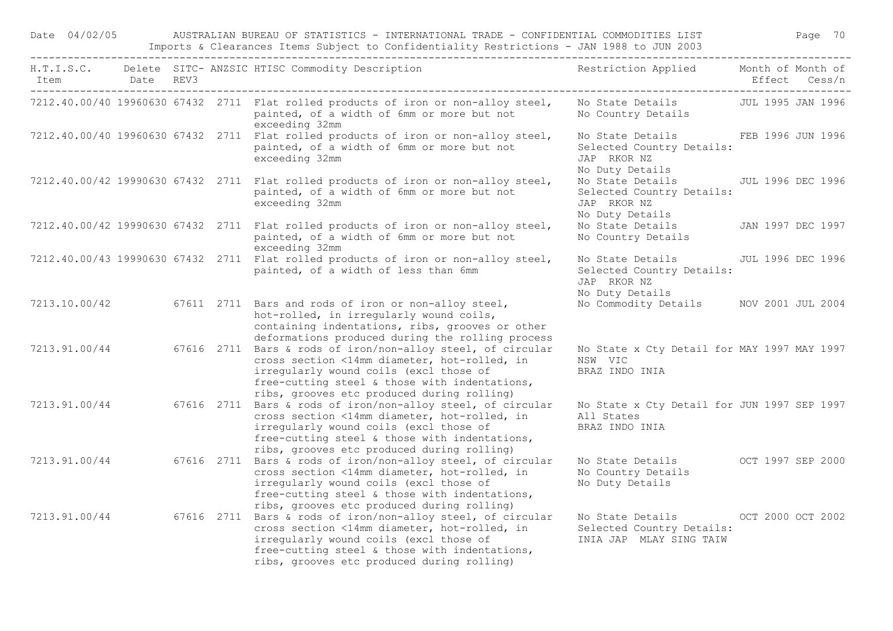Date 04/02/05 AUSTRALIAN BUREAU OF STATISTICS - INTERNATIONAL TRADE - CONFIDENTIAL COMMODITIES LIST Page 70 Imports & Clearances Items Subject to Confidentiality Restrictions - JAN 1988 to JUN 2003

| Item Date REV3 |  | H.T.I.S.C. Delete SITC-ANZSIC HTISC Commodity Description The Sestriction Applied Month of Month of                                                                                                                                                                |                                                                                                   |                   | Effect Cess/n |
|----------------|--|--------------------------------------------------------------------------------------------------------------------------------------------------------------------------------------------------------------------------------------------------------------------|---------------------------------------------------------------------------------------------------|-------------------|---------------|
|                |  | 7212.40.00/40 19960630 67432 2711 Flat rolled products of iron or non-alloy steel,<br>painted, of a width of 6mm or more but not<br>exceeding 32mm                                                                                                                 | No State Details - JUL 1995 JAN 1996<br>No Country Details                                        |                   |               |
|                |  | 7212.40.00/40 19960630 67432 2711 Flat rolled products of iron or non-alloy steel,<br>painted, of a width of 6mm or more but not<br>exceeding 32mm                                                                                                                 | No State Details FEB 1996 JUN 1996<br>Selected Country Details:<br>JAP RKOR NZ<br>No Duty Details |                   |               |
|                |  | 7212.40.00/42 19990630 67432 2711 Flat rolled products of iron or non-alloy steel,<br>painted, of a width of 6mm or more but not<br>exceeding 32mm                                                                                                                 | No State Details JUL 1996 DEC 1996<br>Selected Country Details:<br>JAP RKOR NZ                    |                   |               |
|                |  | 7212.40.00/42 19990630 67432 2711 Flat rolled products of iron or non-alloy steel,<br>painted, of a width of 6mm or more but not<br>exceeding 32mm                                                                                                                 | No Duty Details<br>No State Details<br>No Country Details                                         | JAN 1997 DEC 1997 |               |
|                |  | 7212.40.00/43 19990630 67432 2711 Flat rolled products of iron or non-alloy steel,<br>painted, of a width of less than 6mm                                                                                                                                         | No State Details<br>Selected Country Details:<br>JAP RKOR NZ<br>No Duty Details                   | JUL 1996 DEC 1996 |               |
| 7213.10.00/42  |  | 67611 2711 Bars and rods of iron or non-alloy steel,<br>hot-rolled, in irregularly wound coils,<br>containing indentations, ribs, grooves or other<br>deformations produced during the rolling process                                                             | No Commodity Details NOV 2001 JUL 2004                                                            |                   |               |
| 7213.91.00/44  |  | 67616 2711 Bars & rods of iron/non-alloy steel, of circular<br>cross section <14mm diameter, hot-rolled, in<br>irregularly wound coils (excl those of<br>free-cutting steel & those with indentations,<br>ribs, grooves etc produced during rolling)               | No State x Cty Detail for MAY 1997 MAY 1997<br>NSW VIC<br>BRAZ INDO INIA                          |                   |               |
|                |  | 7213.91.00/44 67616 2711 Bars & rods of iron/non-alloy steel, of circular<br>cross section <14mm diameter, hot-rolled, in<br>irregularly wound coils (excl those of<br>free-cutting steel & those with indentations,<br>ribs, grooves etc produced during rolling) | No State x Cty Detail for JUN 1997 SEP 1997<br>All States<br>BRAZ INDO INIA                       |                   |               |
|                |  | 7213.91.00/44 67616 2711 Bars & rods of iron/non-alloy steel, of circular<br>cross section <14mm diameter, hot-rolled, in<br>irregularly wound coils (excl those of<br>free-cutting steel & those with indentations,<br>ribs, grooves etc produced during rolling) | No State Details OCT 1997 SEP 2000<br>No Country Details<br>No Duty Details                       |                   |               |
|                |  | 7213.91.00/44 67616 2711 Bars & rods of iron/non-alloy steel, of circular<br>cross section <14mm diameter, hot-rolled, in<br>irregularly wound coils (excl those of<br>free-cutting steel & those with indentations,<br>ribs, grooves etc produced during rolling) | No State Details OCT 2000 OCT 2002<br>Selected Country Details:<br>INIA JAP MLAY SING TAIW        |                   |               |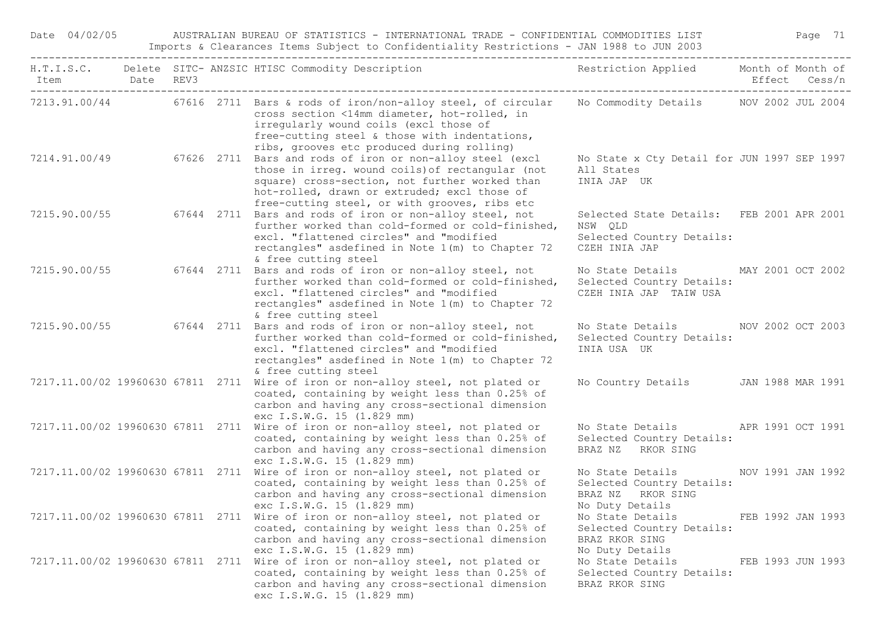Date 04/02/05 AUSTRALIAN BUREAU OF STATISTICS - INTERNATIONAL TRADE - CONFIDENTIAL COMMODITIES LIST Page 71 Imports & Clearances Items Subject to Confidentiality Restrictions - JAN 1988 to JUN 2003

| Item Date REV3 |  | H.T.I.S.C. Delete SITC-ANZSIC HTISC Commodity Description The Sestriction Applied Month of Month of                                                                                                                                                                                                       |                                                                                                    | Effect Cess/n     |
|----------------|--|-----------------------------------------------------------------------------------------------------------------------------------------------------------------------------------------------------------------------------------------------------------------------------------------------------------|----------------------------------------------------------------------------------------------------|-------------------|
|                |  | 7213.91.00/44 67616 2711 Bars & rods of iron/non-alloy steel, of circular No Commodity Details NOV 2002 JUL 2004<br>cross section <14mm diameter, hot-rolled, in<br>irregularly wound coils (excl those of<br>free-cutting steel & those with indentations,<br>ribs, grooves etc produced during rolling) |                                                                                                    |                   |
|                |  | 7214.91.00/49 67626 2711 Bars and rods of iron or non-alloy steel (excl<br>those in irreg. wound coils) of rectangular (not<br>square) cross-section, not further worked than<br>hot-rolled, drawn or extruded; excl those of<br>free-cutting steel, or with grooves, ribs etc                            | No State x Cty Detail for JUN 1997 SEP 1997<br>All States<br>INIA JAP UK                           |                   |
|                |  | 7215.90.00/55 67644 2711 Bars and rods of iron or non-alloy steel, not<br>further worked than cold-formed or cold-finished,<br>excl. "flattened circles" and "modified<br>rectangles" asdefined in Note 1(m) to Chapter 72<br>& free cutting steel                                                        | Selected State Details: FEB 2001 APR 2001<br>NSW OLD<br>Selected Country Details:<br>CZEH INIA JAP |                   |
|                |  | 7215.90.00/55 67644 2711 Bars and rods of iron or non-alloy steel, not<br>further worked than cold-formed or cold-finished,<br>excl. "flattened circles" and "modified<br>rectangles" asdefined in Note 1(m) to Chapter 72<br>& free cutting steel                                                        | No State Details MAY 2001 OCT 2002<br>Selected Country Details:<br>CZEH INIA JAP TAIW USA          |                   |
|                |  | 7215.90.00/55 67644 2711 Bars and rods of iron or non-alloy steel, not<br>further worked than cold-formed or cold-finished,<br>excl. "flattened circles" and "modified<br>rectangles" asdefined in Note 1(m) to Chapter 72<br>& free cutting steel                                                        | No State Details NOV 2002 OCT 2003<br>Selected Country Details:<br>INIA USA UK                     |                   |
|                |  | 7217.11.00/02 19960630 67811 2711 Wire of iron or non-alloy steel, not plated or<br>coated, containing by weight less than 0.25% of<br>carbon and having any cross-sectional dimension<br>exc I.S.W.G. 15 (1.829 mm)                                                                                      | No Country Details JAN 1988 MAR 1991                                                               |                   |
|                |  | 7217.11.00/02 19960630 67811 2711 Wire of iron or non-alloy steel, not plated or<br>coated, containing by weight less than 0.25% of<br>carbon and having any cross-sectional dimension<br>exc I.S.W.G. 15 (1.829 mm)                                                                                      | No State Details APR 1991 OCT 1991<br>Selected Country Details:<br>BRAZ NZ RKOR SING               |                   |
|                |  | 7217.11.00/02 19960630 67811 2711 Wire of iron or non-alloy steel, not plated or<br>coated, containing by weight less than 0.25% of<br>carbon and having any cross-sectional dimension<br>exc I.S.W.G. 15 (1.829 mm)                                                                                      | No State Details<br>Selected Country Details:<br>BRAZ NZ RKOR SING<br>No Duty Details              | NOV 1991 JAN 1992 |
|                |  | 7217.11.00/02 19960630 67811 2711 Wire of iron or non-alloy steel, not plated or<br>coated, containing by weight less than 0.25% of<br>carbon and having any cross-sectional dimension<br>exc I.S.W.G. 15 (1.829 mm)                                                                                      | No State Details<br>Selected Country Details:<br>BRAZ RKOR SING<br>No Duty Details                 | FEB 1992 JAN 1993 |
|                |  | 7217.11.00/02 19960630 67811 2711 Wire of iron or non-alloy steel, not plated or<br>coated, containing by weight less than 0.25% of<br>carbon and having any cross-sectional dimension<br>exc I.S.W.G. 15 (1.829 mm)                                                                                      | No State Details<br>Selected Country Details:<br>BRAZ RKOR SING                                    | FEB 1993 JUN 1993 |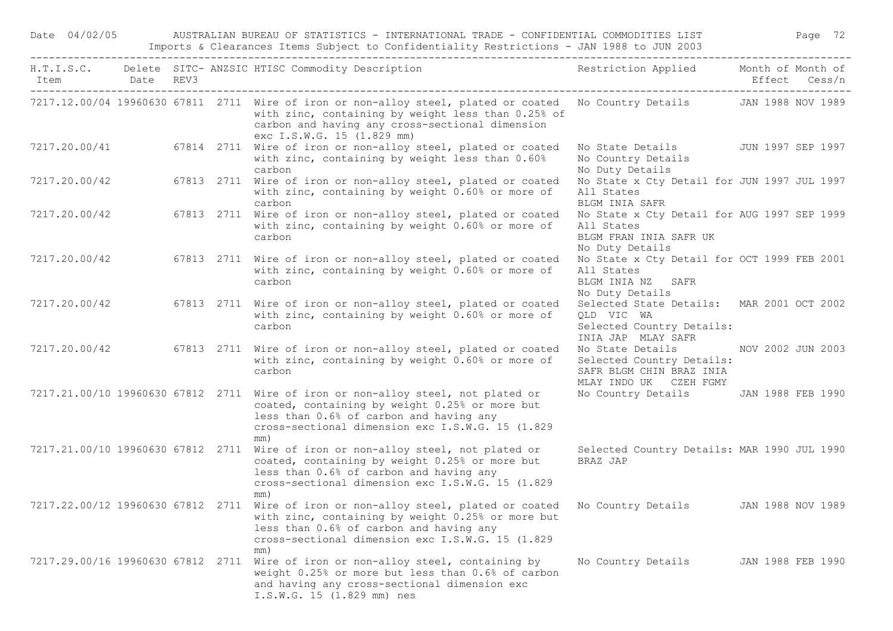| Item Date REV3                    |  | H.T.I.S.C. Delete SITC-ANZSIC HTISC Commodity Description Nestriction Applied Month of Month of                                                                                                                                                                 |                                                                                                            | Effect Cess/n |                   |
|-----------------------------------|--|-----------------------------------------------------------------------------------------------------------------------------------------------------------------------------------------------------------------------------------------------------------------|------------------------------------------------------------------------------------------------------------|---------------|-------------------|
|                                   |  | 7217.12.00/04 19960630 67811 2711 Wire of iron or non-alloy steel, plated or coated No Country Details JAN 1988 NOV 1989<br>with zinc, containing by weight less than 0.25% of<br>carbon and having any cross-sectional dimension<br>exc I.S.W.G. 15 (1.829 mm) |                                                                                                            |               |                   |
| 7217.20.00/41                     |  | 67814 2711 Wire of iron or non-alloy steel, plated or coated<br>with zinc, containing by weight less than 0.60%<br>carbon                                                                                                                                       | No State Details JUN 1997 SEP 1997<br>No Country Details<br>No Duty Details                                |               |                   |
| 7217.20.00/42                     |  | 67813 2711 Wire of iron or non-alloy steel, plated or coated<br>with zinc, containing by weight 0.60% or more of<br>carbon                                                                                                                                      | No State x Cty Detail for JUN 1997 JUL 1997<br>All States<br><b>BLGM INIA SAFR</b>                         |               |                   |
| 7217.20.00/42                     |  | 67813 2711 Wire of iron or non-alloy steel, plated or coated<br>with zinc, containing by weight 0.60% or more of<br>carbon                                                                                                                                      | No State x Cty Detail for AUG 1997 SEP 1999<br>All States<br>BLGM FRAN INIA SAFR UK<br>No Duty Details     |               |                   |
| 7217.20.00/42                     |  | 67813 2711 Wire of iron or non-alloy steel, plated or coated<br>with zinc, containing by weight 0.60% or more of<br>carbon                                                                                                                                      | No State x Cty Detail for OCT 1999 FEB 2001<br>All States<br>BLGM INIA NZ SAFR<br>No Duty Details          |               |                   |
| 7217.20.00/42                     |  | 67813 2711 Wire of iron or non-alloy steel, plated or coated<br>with zinc, containing by weight 0.60% or more of<br>carbon                                                                                                                                      | Selected State Details: MAR 2001 OCT 2002<br>OLD VIC WA<br>Selected Country Details:<br>INIA JAP MLAY SAFR |               |                   |
| 7217.20.00/42                     |  | 67813 2711 Wire of iron or non-alloy steel, plated or coated<br>with zinc, containing by weight 0.60% or more of<br>carbon                                                                                                                                      | No State Details<br>Selected Country Details:<br>SAFR BLGM CHIN BRAZ INIA<br>MLAY INDO UK CZEH FGMY        |               | NOV 2002 JUN 2003 |
|                                   |  | 7217.21.00/10 19960630 67812 2711 Wire of iron or non-alloy steel, not plated or<br>coated, containing by weight 0.25% or more but<br>less than 0.6% of carbon and having any<br>cross-sectional dimension exc I.S.W.G. 15 (1.829<br>mm)                        | No Country Details JAN 1988 FEB 1990                                                                       |               |                   |
| 7217.21.00/10 19960630 67812 2711 |  | Wire of iron or non-alloy steel, not plated or<br>coated, containing by weight 0.25% or more but<br>less than 0.6% of carbon and having any<br>cross-sectional dimension exc I.S.W.G. 15 (1.829<br>mm)                                                          | Selected Country Details: MAR 1990 JUL 1990<br>BRAZ JAP                                                    |               |                   |
| 7217.22.00/12 19960630 67812 2711 |  | Wire of iron or non-alloy steel, plated or coated<br>with zinc, containing by weight 0.25% or more but<br>less than 0.6% of carbon and having any<br>cross-sectional dimension exc I.S.W.G. 15 (1.829<br>mm)                                                    | No Country Details JAN 1988 NOV 1989                                                                       |               |                   |
|                                   |  | 7217.29.00/16 19960630 67812 2711 Wire of iron or non-alloy steel, containing by<br>weight 0.25% or more but less than 0.6% of carbon<br>and having any cross-sectional dimension exc<br>I.S.W.G. 15 (1.829 mm) nes                                             | No Country Details JAN 1988 FEB 1990                                                                       |               |                   |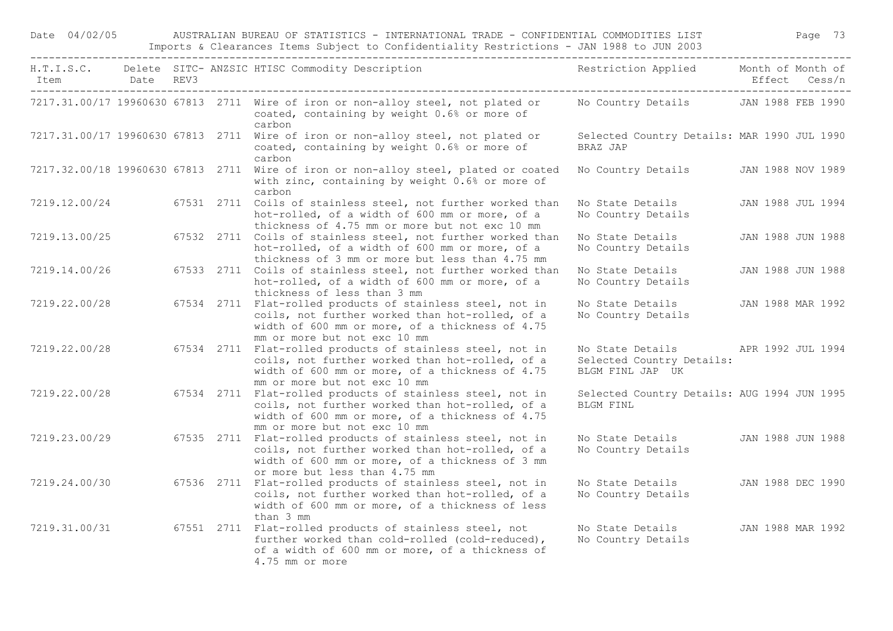Date 04/02/05 AUSTRALIAN BUREAU OF STATISTICS - INTERNATIONAL TRADE - CONFIDENTIAL COMMODITIES LIST Page 73 Imports & Clearances Items Subject to Confidentiality Restrictions - JAN 1988 to JUN 2003

| Item<br>------------------------------------ | Date REV3 |  | H.T.I.S.C. Delete SITC-ANZSIC HTISC Commodity Description Nestriction Applied Month of Month of                                                                                                   |                                                                   | Effect Cess/n     |
|----------------------------------------------|-----------|--|---------------------------------------------------------------------------------------------------------------------------------------------------------------------------------------------------|-------------------------------------------------------------------|-------------------|
|                                              |           |  | 7217.31.00/17 19960630 67813 2711 Wire of iron or non-alloy steel, not plated or<br>coated, containing by weight 0.6% or more of<br>carbon                                                        | No Country Details JAN 1988 FEB 1990                              |                   |
|                                              |           |  | 7217.31.00/17 19960630 67813 2711 Wire of iron or non-alloy steel, not plated or<br>coated, containing by weight 0.6% or more of<br>carbon                                                        | Selected Country Details: MAR 1990 JUL 1990<br>BRAZ JAP           |                   |
|                                              |           |  | 7217.32.00/18 19960630 67813 2711 Wire of iron or non-alloy steel, plated or coated<br>with zinc, containing by weight 0.6% or more of<br>carbon                                                  | No Country Details                                                | JAN 1988 NOV 1989 |
| 7219.12.00/24                                |           |  | 67531 2711 Coils of stainless steel, not further worked than<br>hot-rolled, of a width of 600 mm or more, of a<br>thickness of 4.75 mm or more but not exc 10 mm                                  | No State Details<br>No Country Details                            | JAN 1988 JUL 1994 |
| 7219.13.00/25                                |           |  | 67532 2711 Coils of stainless steel, not further worked than<br>hot-rolled, of a width of 600 mm or more, of a<br>thickness of 3 mm or more but less than 4.75 mm                                 | No State Details<br>No Country Details                            | JAN 1988 JUN 1988 |
| 7219.14.00/26                                |           |  | 67533 2711 Coils of stainless steel, not further worked than<br>hot-rolled, of a width of 600 mm or more, of a<br>thickness of less than 3 mm                                                     | No State Details<br>No Country Details                            | JAN 1988 JUN 1988 |
| 7219.22.00/28                                |           |  | 67534 2711 Flat-rolled products of stainless steel, not in<br>coils, not further worked than hot-rolled, of a<br>width of 600 mm or more, of a thickness of 4.75<br>mm or more but not exc 10 mm  | No State Details<br>No Country Details                            | JAN 1988 MAR 1992 |
| 7219.22.00/28                                |           |  | 67534 2711 Flat-rolled products of stainless steel, not in<br>coils, not further worked than hot-rolled, of a<br>width of 600 mm or more, of a thickness of 4.75<br>mm or more but not exc 10 mm  | No State Details<br>Selected Country Details:<br>BLGM FINL JAP UK | APR 1992 JUL 1994 |
| 7219.22.00/28                                |           |  | 67534 2711 Flat-rolled products of stainless steel, not in<br>coils, not further worked than hot-rolled, of a<br>width of 600 mm or more, of a thickness of 4.75                                  | Selected Country Details: AUG 1994 JUN 1995<br><b>BLGM FINL</b>   |                   |
| 7219.23.00/29                                |           |  | mm or more but not exc 10 mm<br>67535 2711 Flat-rolled products of stainless steel, not in<br>coils, not further worked than hot-rolled, of a<br>width of 600 mm or more, of a thickness of 3 mm  | No State Details<br>No Country Details                            | JAN 1988 JUN 1988 |
| 7219.24.00/30                                |           |  | or more but less than 4.75 mm<br>67536 2711 Flat-rolled products of stainless steel, not in<br>coils, not further worked than hot-rolled, of a<br>width of 600 mm or more, of a thickness of less | No State Details<br>No Country Details                            | JAN 1988 DEC 1990 |
| 7219.31.00/31                                |           |  | than 3 mm<br>67551 2711 Flat-rolled products of stainless steel, not<br>further worked than cold-rolled (cold-reduced),<br>of a width of 600 mm or more, of a thickness of<br>4.75 mm or more     | No State Details<br>No Country Details                            | JAN 1988 MAR 1992 |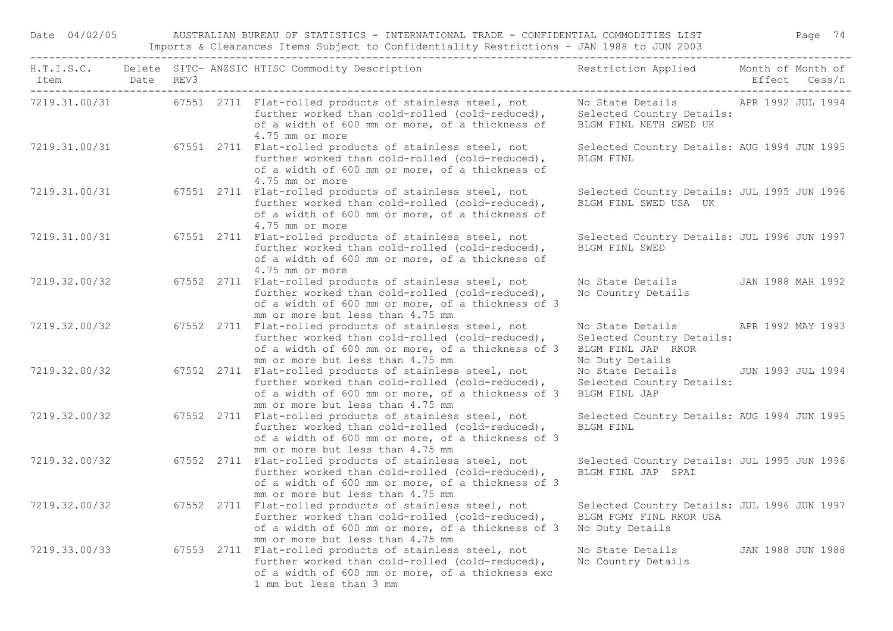Date 04/02/05 AUSTRALIAN BUREAU OF STATISTICS - INTERNATIONAL TRADE - CONFIDENTIAL COMMODITIES LIST Page 74 Imports & Clearances Items Subject to Confidentiality Restrictions - JAN 1988 to JUN 2003

| Item Date REV3 |  | H.T.I.S.C. Delete SITC-ANZSIC HTISC Commodity Description The Sestriction Applied Month of Month of                                                                                                 |                                                                                                          | Effect Cess/n     |
|----------------|--|-----------------------------------------------------------------------------------------------------------------------------------------------------------------------------------------------------|----------------------------------------------------------------------------------------------------------|-------------------|
|                |  | 7219.31.00/31 67551 2711 Flat-rolled products of stainless steel, not<br>further worked than cold-rolled (cold-reduced),<br>of a width of 600 mm or more, of a thickness of<br>4.75 mm or more      | No State Details 6 APR 1992 JUL 1994<br>Selected Country Details:<br>BLGM FINL NETH SWED UK              |                   |
|                |  | 7219.31.00/31 67551 2711 Flat-rolled products of stainless steel, not<br>further worked than cold-rolled (cold-reduced),<br>of a width of 600 mm or more, of a thickness of<br>4.75 mm or more      | Selected Country Details: AUG 1994 JUN 1995<br><b>BLGM FINL</b>                                          |                   |
| 7219.31.00/31  |  | 67551 2711 Flat-rolled products of stainless steel, not<br>further worked than cold-rolled (cold-reduced),<br>of a width of 600 mm or more, of a thickness of<br>4.75 mm or more                    | Selected Country Details: JUL 1995 JUN 1996<br>BLGM FINL SWED USA UK                                     |                   |
| 7219.31.00/31  |  | 67551 2711 Flat-rolled products of stainless steel, not<br>further worked than cold-rolled (cold-reduced),<br>of a width of 600 mm or more, of a thickness of<br>4.75 mm or more                    | Selected Country Details: JUL 1996 JUN 1997<br>BLGM FINL SWED                                            |                   |
| 7219.32.00/32  |  | 67552 2711 Flat-rolled products of stainless steel, not<br>further worked than cold-rolled (cold-reduced),<br>of a width of 600 mm or more, of a thickness of 3<br>mm or more but less than 4.75 mm | No State Details JAN 1988 MAR 1992<br>No Country Details                                                 |                   |
| 7219.32.00/32  |  | 67552 2711 Flat-rolled products of stainless steel, not<br>further worked than cold-rolled (cold-reduced),<br>of a width of 600 mm or more, of a thickness of 3<br>mm or more but less than 4.75 mm | No State Details APR 1992 MAY 1993<br>Selected Country Details:<br>BLGM FINL JAP RKOR<br>No Duty Details |                   |
| 7219.32.00/32  |  | 67552 2711 Flat-rolled products of stainless steel, not<br>further worked than cold-rolled (cold-reduced),<br>of a width of 600 mm or more, of a thickness of 3<br>mm or more but less than 4.75 mm | No State Details 5UN 1993 JUL 1994<br>Selected Country Details:<br>BLGM FINL JAP                         |                   |
| 7219.32.00/32  |  | 67552 2711 Flat-rolled products of stainless steel, not<br>further worked than cold-rolled (cold-reduced),<br>of a width of 600 mm or more, of a thickness of 3<br>mm or more but less than 4.75 mm | Selected Country Details: AUG 1994 JUN 1995<br>BLGM FINL                                                 |                   |
| 7219.32.00/32  |  | 67552 2711 Flat-rolled products of stainless steel, not<br>further worked than cold-rolled (cold-reduced),<br>of a width of 600 mm or more, of a thickness of 3<br>mm or more but less than 4.75 mm | Selected Country Details: JUL 1995 JUN 1996<br>BLGM FINL JAP SPAI                                        |                   |
| 7219.32.00/32  |  | 67552 2711 Flat-rolled products of stainless steel, not<br>further worked than cold-rolled (cold-reduced),<br>of a width of 600 mm or more, of a thickness of 3<br>mm or more but less than 4.75 mm | Selected Country Details: JUL 1996 JUN 1997<br>BLGM FGMY FINL RKOR USA<br>No Duty Details                |                   |
| 7219.33.00/33  |  | 67553 2711 Flat-rolled products of stainless steel, not<br>further worked than cold-rolled (cold-reduced),<br>of a width of 600 mm or more, of a thickness exc<br>1 mm but less than 3 mm           | No State Details<br>No Country Details                                                                   | JAN 1988 JUN 1988 |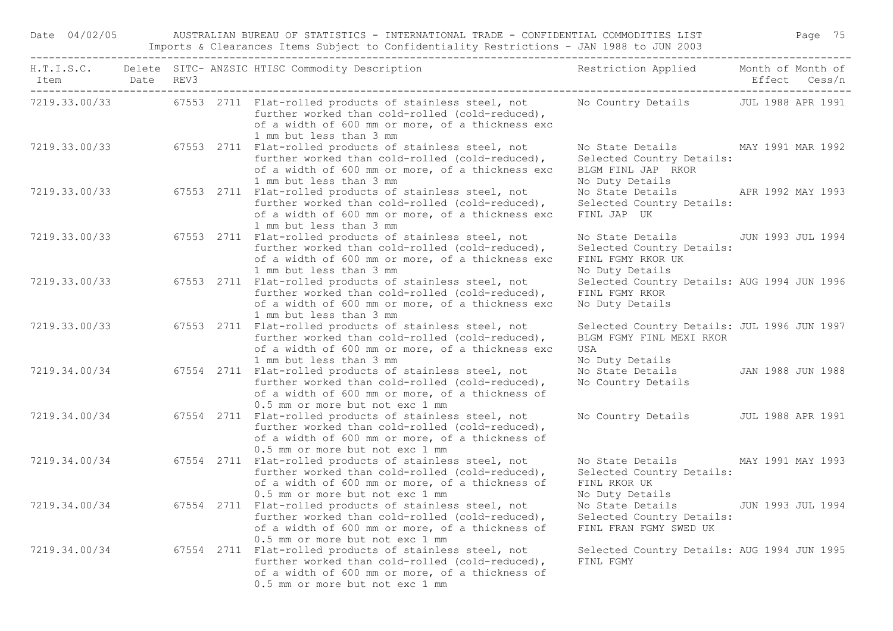Date 04/02/05 AUSTRALIAN BUREAU OF STATISTICS - INTERNATIONAL TRADE - CONFIDENTIAL COMMODITIES LIST Page 75 Imports & Clearances Items Subject to Confidentiality Restrictions - JAN 1988 to JUN 2003

| Item Date REV3 |  | H.T.I.S.C. Delete SITC-ANZSIC HTISC Commodity Description Nestriction Applied Month of Month of                                                                                                         |                                                                                                          | Effect Cess/n            |
|----------------|--|---------------------------------------------------------------------------------------------------------------------------------------------------------------------------------------------------------|----------------------------------------------------------------------------------------------------------|--------------------------|
|                |  | 7219.33.00/33 67553 2711 Flat-rolled products of stainless steel, not<br>further worked than cold-rolled (cold-reduced),<br>of a width of 600 mm or more, of a thickness exc<br>1 mm but less than 3 mm | No Country Details JUL 1988 APR 1991                                                                     |                          |
|                |  | 7219.33.00/33 67553 2711 Flat-rolled products of stainless steel, not<br>further worked than cold-rolled (cold-reduced),<br>of a width of 600 mm or more, of a thickness exc<br>1 mm but less than 3 mm | No State Details MAY 1991 MAR 1992<br>Selected Country Details:<br>BLGM FINL JAP RKOR<br>No Duty Details |                          |
| 7219.33.00/33  |  | 67553 2711 Flat-rolled products of stainless steel, not<br>further worked than cold-rolled (cold-reduced),<br>of a width of 600 mm or more, of a thickness exc<br>1 mm but less than 3 mm               | No State Details<br>Selected Country Details:<br>FINL JAP UK                                             | APR 1992 MAY 1993        |
| 7219.33.00/33  |  | 67553 2711 Flat-rolled products of stainless steel, not<br>further worked than cold-rolled (cold-reduced),<br>of a width of 600 mm or more, of a thickness exc<br>1 mm but less than 3 mm               | No State Details<br>Selected Country Details:<br>FINL FGMY RKOR UK<br>No Duty Details                    | JUN 1993 JUL 1994        |
| 7219.33.00/33  |  | 67553 2711 Flat-rolled products of stainless steel, not<br>further worked than cold-rolled (cold-reduced),<br>of a width of 600 mm or more, of a thickness exc<br>1 mm but less than 3 mm               | Selected Country Details: AUG 1994 JUN 1996<br>FINL FGMY RKOR<br>No Duty Details                         |                          |
| 7219.33.00/33  |  | 67553 2711 Flat-rolled products of stainless steel, not<br>further worked than cold-rolled (cold-reduced),<br>of a width of 600 mm or more, of a thickness exc<br>1 mm but less than 3 mm               | Selected Country Details: JUL 1996 JUN 1997<br>BLGM FGMY FINL MEXI RKOR<br>USA<br>No Duty Details        |                          |
| 7219.34.00/34  |  | 67554 2711 Flat-rolled products of stainless steel, not<br>further worked than cold-rolled (cold-reduced),<br>of a width of 600 mm or more, of a thickness of<br>0.5 mm or more but not exc 1 mm        | No State Details<br>No Country Details                                                                   | JAN 1988 JUN 1988        |
| 7219.34.00/34  |  | 67554 2711 Flat-rolled products of stainless steel, not<br>further worked than cold-rolled (cold-reduced),<br>of a width of 600 mm or more, of a thickness of<br>0.5 mm or more but not exc 1 mm        | No Country Details                                                                                       | <b>JUL 1988 APR 1991</b> |
| 7219.34.00/34  |  | 67554 2711 Flat-rolled products of stainless steel, not<br>further worked than cold-rolled (cold-reduced),<br>of a width of 600 mm or more, of a thickness of<br>0.5 mm or more but not exc 1 mm        | No State Details<br>Selected Country Details:<br>FINL RKOR UK<br>No Duty Details                         | MAY 1991 MAY 1993        |
| 7219.34.00/34  |  | 67554 2711 Flat-rolled products of stainless steel, not<br>further worked than cold-rolled (cold-reduced),<br>of a width of 600 mm or more, of a thickness of<br>0.5 mm or more but not exc 1 mm        | No State Details<br>Selected Country Details:<br>FINL FRAN FGMY SWED UK                                  | JUN 1993 JUL 1994        |
| 7219.34.00/34  |  | 67554 2711 Flat-rolled products of stainless steel, not<br>further worked than cold-rolled (cold-reduced),<br>of a width of 600 mm or more, of a thickness of<br>0.5 mm or more but not exc 1 mm        | Selected Country Details: AUG 1994 JUN 1995<br>FINL FGMY                                                 |                          |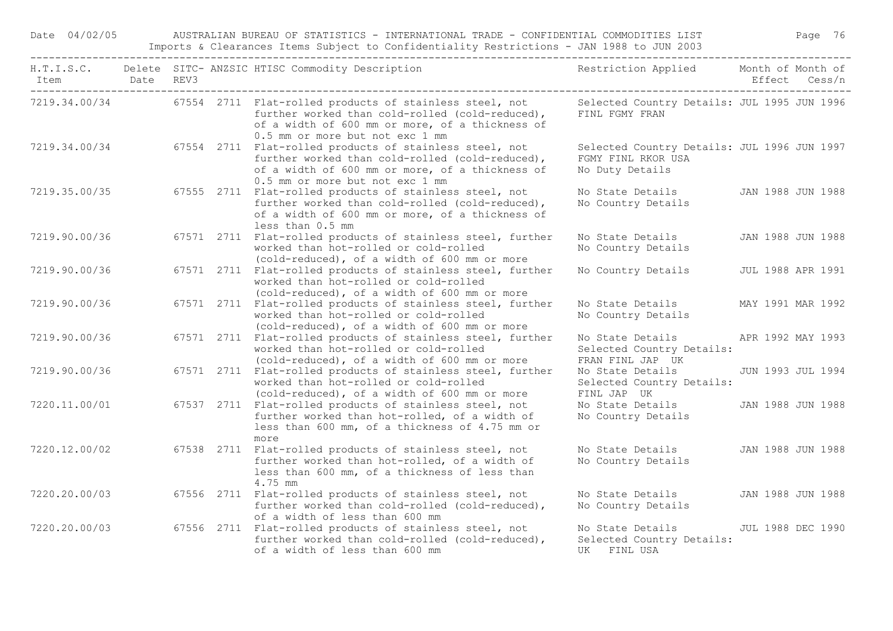Date 04/02/05 AUSTRALIAN BUREAU OF STATISTICS - INTERNATIONAL TRADE - CONFIDENTIAL COMMODITIES LIST Page 76 Imports & Clearances Items Subject to Confidentiality Restrictions - JAN 1988 to JUN 2003

| Item<br>-------------------------------------- | Date REV3 |  | H.T.I.S.C. Delete SITC-ANZSIC HTISC Commodity Description Nestriction Applied Month of Month of                                                                                                                |                                                                                      | Effect Cess/n            |  |
|------------------------------------------------|-----------|--|----------------------------------------------------------------------------------------------------------------------------------------------------------------------------------------------------------------|--------------------------------------------------------------------------------------|--------------------------|--|
|                                                |           |  | 7219.34.00/34 67554 2711 Flat-rolled products of stainless steel, not<br>further worked than cold-rolled (cold-reduced),<br>of a width of 600 mm or more, of a thickness of<br>0.5 mm or more but not exc 1 mm | Selected Country Details: JUL 1995 JUN 1996<br>FINL FGMY FRAN                        |                          |  |
| 7219.34.00/34                                  |           |  | 67554 2711 Flat-rolled products of stainless steel, not<br>further worked than cold-rolled (cold-reduced),<br>of a width of 600 mm or more, of a thickness of<br>0.5 mm or more but not exc 1 mm               | Selected Country Details: JUL 1996 JUN 1997<br>FGMY FINL RKOR USA<br>No Duty Details |                          |  |
| 7219.35.00/35                                  |           |  | 67555 2711 Flat-rolled products of stainless steel, not<br>further worked than cold-rolled (cold-reduced),<br>of a width of 600 mm or more, of a thickness of<br>less than 0.5 mm                              | No State Details<br>No Country Details                                               | JAN 1988 JUN 1988        |  |
| 7219.90.00/36                                  |           |  | 67571 2711 Flat-rolled products of stainless steel, further<br>worked than hot-rolled or cold-rolled<br>(cold-reduced), of a width of 600 mm or more                                                           | No State Details<br>No Country Details                                               | JAN 1988 JUN 1988        |  |
| 7219.90.00/36                                  |           |  | 67571 2711 Flat-rolled products of stainless steel, further<br>worked than hot-rolled or cold-rolled<br>(cold-reduced), of a width of 600 mm or more                                                           | No Country Details                                                                   | <b>JUL 1988 APR 1991</b> |  |
| 7219.90.00/36                                  |           |  | 67571 2711 Flat-rolled products of stainless steel, further<br>worked than hot-rolled or cold-rolled<br>(cold-reduced), of a width of 600 mm or more                                                           | No State Details<br>No Country Details                                               | MAY 1991 MAR 1992        |  |
| 7219.90.00/36                                  |           |  | 67571 2711 Flat-rolled products of stainless steel, further<br>worked than hot-rolled or cold-rolled<br>(cold-reduced), of a width of 600 mm or more                                                           | No State Details<br>Selected Country Details:<br>FRAN FINL JAP UK                    | APR 1992 MAY 1993        |  |
| 7219.90.00/36                                  |           |  | 67571 2711 Flat-rolled products of stainless steel, further<br>worked than hot-rolled or cold-rolled<br>(cold-reduced), of a width of 600 mm or more                                                           | No State Details<br>Selected Country Details:<br>FINL JAP UK                         | JUN 1993 JUL 1994        |  |
| 7220.11.00/01                                  |           |  | 67537 2711 Flat-rolled products of stainless steel, not<br>further worked than hot-rolled, of a width of<br>less than 600 mm, of a thickness of 4.75 mm or<br>more                                             | No State Details<br>No Country Details                                               | JAN 1988 JUN 1988        |  |
| 7220.12.00/02                                  |           |  | 67538 2711 Flat-rolled products of stainless steel, not<br>further worked than hot-rolled, of a width of<br>less than 600 mm, of a thickness of less than<br>4.75 mm                                           | No State Details<br>No Country Details                                               | JAN 1988 JUN 1988        |  |
| 7220.20.00/03                                  |           |  | 67556 2711 Flat-rolled products of stainless steel, not<br>further worked than cold-rolled (cold-reduced),<br>of a width of less than 600 mm                                                                   | No State Details<br>No Country Details                                               | JAN 1988 JUN 1988        |  |
| 7220.20.00/03                                  |           |  | 67556 2711 Flat-rolled products of stainless steel, not<br>further worked than cold-rolled (cold-reduced),<br>of a width of less than 600 mm                                                                   | No State Details<br>Selected Country Details:<br>UK FINL USA                         | <b>JUL 1988 DEC 1990</b> |  |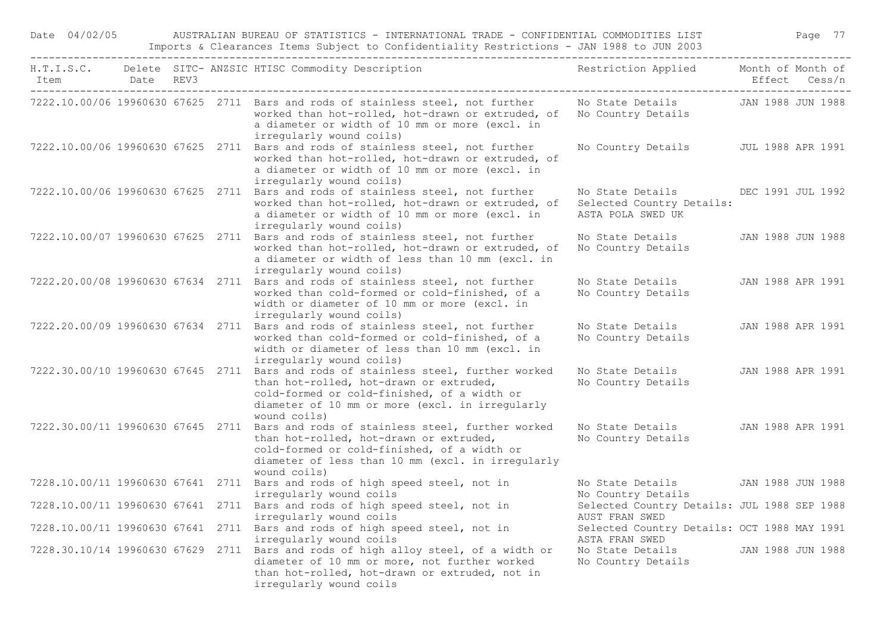| Date 04/02/05                     |           |  | AUSTRALIAN BUREAU OF STATISTICS - INTERNATIONAL TRADE - CONFIDENTIAL COMMODITIES LIST<br>Imports & Clearances Items Subject to Confidentiality Restrictions - JAN 1988 to JUN 2003                                 |                                                                    | Page 77                            |
|-----------------------------------|-----------|--|--------------------------------------------------------------------------------------------------------------------------------------------------------------------------------------------------------------------|--------------------------------------------------------------------|------------------------------------|
| Item                              | Date REV3 |  | H.T.I.S.C. Delete SITC- ANZSIC HTISC Commodity Description                                                                                                                                                         | Restriction Applied                                                | Month of Month of<br>Effect Cess/n |
|                                   |           |  | 7222.10.00/06 19960630 67625 2711 Bars and rods of stainless steel, not further<br>worked than hot-rolled, hot-drawn or extruded, of<br>a diameter or width of 10 mm or more (excl. in<br>irregularly wound coils) | No State Details<br>No Country Details                             | JAN 1988 JUN 1988                  |
| 7222.10.00/06 19960630 67625 2711 |           |  | Bars and rods of stainless steel, not further<br>worked than hot-rolled, hot-drawn or extruded, of<br>a diameter or width of 10 mm or more (excl. in<br>irregularly wound coils)                                   | No Country Details                                                 | <b>JUL 1988 APR 1991</b>           |
| 7222.10.00/06 19960630 67625 2711 |           |  | Bars and rods of stainless steel, not further<br>worked than hot-rolled, hot-drawn or extruded, of<br>a diameter or width of 10 mm or more (excl. in<br>irregularly wound coils)                                   | No State Details<br>Selected Country Details:<br>ASTA POLA SWED UK | DEC 1991 JUL 1992                  |
| 7222.10.00/07 19960630 67625 2711 |           |  | Bars and rods of stainless steel, not further<br>worked than hot-rolled, hot-drawn or extruded, of<br>a diameter or width of less than 10 mm (excl. in<br>irregularly wound coils)                                 | No State Details<br>No Country Details                             | JAN 1988 JUN 1988                  |
| 7222.20.00/08 19960630 67634 2711 |           |  | Bars and rods of stainless steel, not further<br>worked than cold-formed or cold-finished, of a<br>width or diameter of 10 mm or more (excl. in<br>irregularly wound coils)                                        | No State Details<br>No Country Details                             | JAN 1988 APR 1991                  |
| 7222.20.00/09 19960630 67634 2711 |           |  | Bars and rods of stainless steel, not further<br>worked than cold-formed or cold-finished, of a<br>width or diameter of less than 10 mm (excl. in<br>irregularly wound coils)                                      | No State Details<br>No Country Details                             | JAN 1988 APR 1991                  |
| 7222.30.00/10 19960630 67645 2711 |           |  | Bars and rods of stainless steel, further worked<br>than hot-rolled, hot-drawn or extruded,<br>cold-formed or cold-finished, of a width or<br>diameter of 10 mm or more (excl. in irregularly<br>wound coils)      | No State Details<br>No Country Details                             | JAN 1988 APR 1991                  |
| 7222.30.00/11 19960630 67645 2711 |           |  | Bars and rods of stainless steel, further worked<br>than hot-rolled, hot-drawn or extruded,<br>cold-formed or cold-finished, of a width or<br>diameter of less than 10 mm (excl. in irregularly<br>wound coils)    | No State Details<br>No Country Details                             | JAN 1988 APR 1991                  |
|                                   |           |  | 7228.10.00/11 19960630 67641 2711 Bars and rods of high speed steel, not in<br>irregularly wound coils                                                                                                             | No State Details<br>No Country Details                             | JAN 1988 JUN 1988                  |
|                                   |           |  | 7228.10.00/11 19960630 67641 2711 Bars and rods of high speed steel, not in<br>irregularly wound coils                                                                                                             | Selected Country Details: JUL 1988 SEP 1988<br>AUST FRAN SWED      |                                    |
|                                   |           |  | 7228.10.00/11 19960630 67641 2711 Bars and rods of high speed steel, not in<br>irregularly wound coils                                                                                                             | Selected Country Details: OCT 1988 MAY 1991<br>ASTA FRAN SWED      |                                    |
|                                   |           |  | 7228.30.10/14 19960630 67629 2711 Bars and rods of high alloy steel, of a width or<br>diameter of 10 mm or more, not further worked<br>than hot-rolled, hot-drawn or extruded, not in<br>irregularly wound coils   | No State Details<br>No Country Details                             | JAN 1988 JUN 1988                  |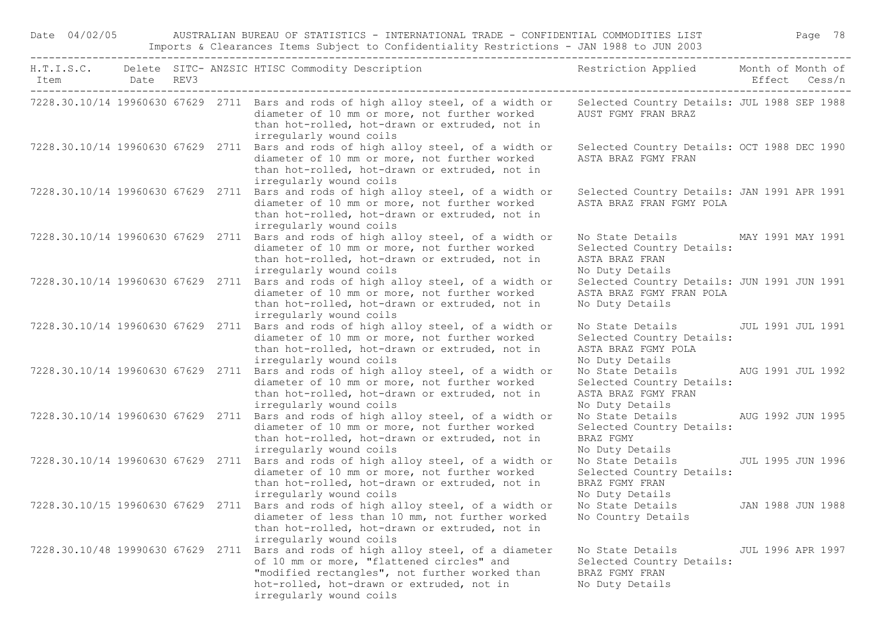Date 04/02/05 AUSTRALIAN BUREAU OF STATISTICS - INTERNATIONAL TRADE - CONFIDENTIAL COMMODITIES LIST Page 78 Imports & Clearances Items Subject to Confidentiality Restrictions - JAN 1988 to JUN 2003

| Item Date REV3 |  | H.T.I.S.C. Delete SITC-ANZSIC HTISC Commodity Description Nestriction Applied Month of Month of                                                                                                                                                              |                                                                                                      | Effect Cess/n     |  |
|----------------|--|--------------------------------------------------------------------------------------------------------------------------------------------------------------------------------------------------------------------------------------------------------------|------------------------------------------------------------------------------------------------------|-------------------|--|
|                |  | 7228.30.10/14 19960630 67629 2711 Bars and rods of high alloy steel, of a width or Selected Country Details: JUL 1988 SEP 1988<br>diameter of 10 mm or more, not further worked<br>than hot-rolled, hot-drawn or extruded, not in<br>irregularly wound coils | AUST FGMY FRAN BRAZ                                                                                  |                   |  |
|                |  | 7228.30.10/14 19960630 67629 2711 Bars and rods of high alloy steel, of a width or<br>diameter of 10 mm or more, not further worked<br>than hot-rolled, hot-drawn or extruded, not in<br>irregularly wound coils                                             | Selected Country Details: OCT 1988 DEC 1990<br>ASTA BRAZ FGMY FRAN                                   |                   |  |
|                |  | 7228.30.10/14 19960630 67629 2711 Bars and rods of high alloy steel, of a width or<br>diameter of 10 mm or more, not further worked<br>than hot-rolled, hot-drawn or extruded, not in<br>irregularly wound coils                                             | Selected Country Details: JAN 1991 APR 1991<br>ASTA BRAZ FRAN FGMY POLA                              |                   |  |
|                |  | 7228.30.10/14 19960630 67629 2711 Bars and rods of high alloy steel, of a width or<br>diameter of 10 mm or more, not further worked<br>than hot-rolled, hot-drawn or extruded, not in<br>irregularly wound coils                                             | No State Details<br>Selected Country Details:<br>ASTA BRAZ FRAN<br>No Duty Details                   | MAY 1991 MAY 1991 |  |
|                |  | 7228.30.10/14 19960630 67629 2711 Bars and rods of high alloy steel, of a width or<br>diameter of 10 mm or more, not further worked<br>than hot-rolled, hot-drawn or extruded, not in<br>irregularly wound coils                                             | Selected Country Details: JUN 1991 JUN 1991<br>ASTA BRAZ FGMY FRAN POLA<br>No Duty Details           |                   |  |
|                |  | 7228.30.10/14 19960630 67629 2711 Bars and rods of high alloy steel, of a width or<br>diameter of 10 mm or more, not further worked<br>than hot-rolled, hot-drawn or extruded, not in<br>irregularly wound coils                                             | No State Details<br>Selected Country Details:<br>ASTA BRAZ FGMY POLA<br>No Duty Details              | JUL 1991 JUL 1991 |  |
|                |  | 7228.30.10/14 19960630 67629 2711 Bars and rods of high alloy steel, of a width or<br>diameter of 10 mm or more, not further worked<br>than hot-rolled, hot-drawn or extruded, not in<br>irregularly wound coils                                             | No State Details<br>Selected Country Details:<br>ASTA BRAZ FGMY FRAN<br>No Duty Details              | AUG 1991 JUL 1992 |  |
|                |  | 7228.30.10/14 19960630 67629 2711 Bars and rods of high alloy steel, of a width or<br>diameter of 10 mm or more, not further worked<br>than hot-rolled, hot-drawn or extruded, not in<br>irregularly wound coils                                             | No State Details<br>Selected Country Details:<br>BRAZ FGMY<br>No Duty Details                        | AUG 1992 JUN 1995 |  |
|                |  | 7228.30.10/14 19960630 67629 2711 Bars and rods of high alloy steel, of a width or<br>diameter of 10 mm or more, not further worked<br>than hot-rolled, hot-drawn or extruded, not in<br>irregularly wound coils                                             | No State Details JUL 1995 JUN 1996<br>Selected Country Details:<br>BRAZ FGMY FRAN<br>No Duty Details |                   |  |
|                |  | 7228.30.10/15 19960630 67629 2711 Bars and rods of high alloy steel, of a width or<br>diameter of less than 10 mm, not further worked<br>than hot-rolled, hot-drawn or extruded, not in<br>irregularly wound coils                                           | No State Details JAN 1988 JUN 1988<br>No Country Details                                             |                   |  |
|                |  | 7228.30.10/48 19990630 67629 2711 Bars and rods of high alloy steel, of a diameter<br>of 10 mm or more, "flattened circles" and<br>"modified rectangles", not further worked than<br>hot-rolled, hot-drawn or extruded, not in<br>irregularly wound coils    | No State Details<br>Selected Country Details:<br>BRAZ FGMY FRAN<br>No Duty Details                   | JUL 1996 APR 1997 |  |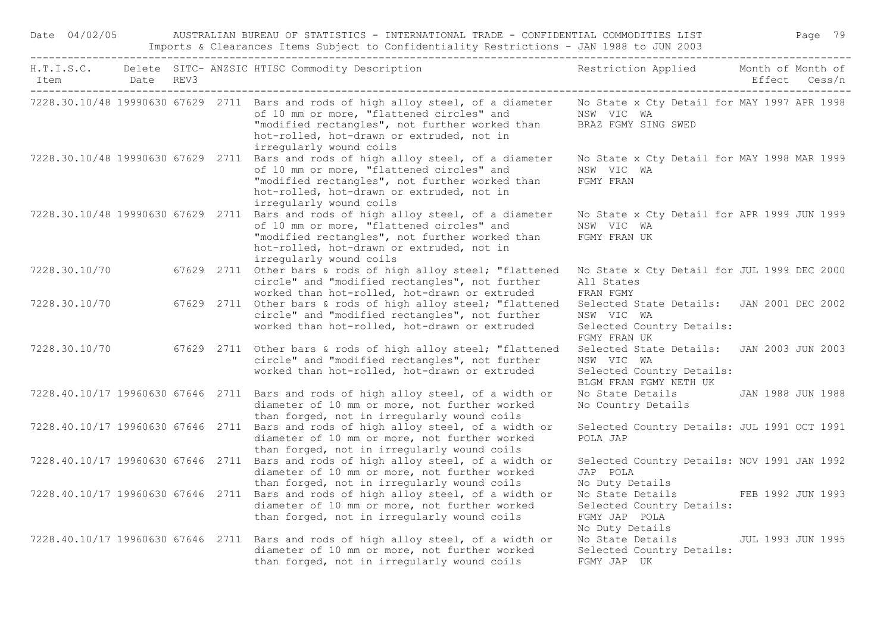| Date 04/02/05  |  | AUSTRALIAN BUREAU OF STATISTICS - INTERNATIONAL TRADE - CONFIDENTIAL COMMODITIES LIST<br>Imports & Clearances Items Subject to Confidentiality Restrictions - JAN 1988 to JUN 2003                                                                        |                                                                                                      |                          | Page 79 |  |
|----------------|--|-----------------------------------------------------------------------------------------------------------------------------------------------------------------------------------------------------------------------------------------------------------|------------------------------------------------------------------------------------------------------|--------------------------|---------|--|
| Item Date REV3 |  | H.T.I.S.C. Delete SITC- ANZSIC HTISC Commodity Description                                                                                                                                                                                                | Restriction Applied Month of Month of                                                                | Effect Cess/n            |         |  |
|                |  | 7228.30.10/48 19990630 67629 2711 Bars and rods of high alloy steel, of a diameter<br>of 10 mm or more, "flattened circles" and<br>"modified rectangles", not further worked than<br>hot-rolled, hot-drawn or extruded, not in<br>irregularly wound coils | No State x Cty Detail for MAY 1997 APR 1998<br>NSW VIC WA<br>BRAZ FGMY SING SWED                     |                          |         |  |
|                |  | 7228.30.10/48 19990630 67629 2711 Bars and rods of high alloy steel, of a diameter<br>of 10 mm or more, "flattened circles" and<br>"modified rectangles", not further worked than<br>hot-rolled, hot-drawn or extruded, not in<br>irregularly wound coils | No State x Cty Detail for MAY 1998 MAR 1999<br>NSW VIC WA<br>FGMY FRAN                               |                          |         |  |
|                |  | 7228.30.10/48 19990630 67629 2711 Bars and rods of high alloy steel, of a diameter<br>of 10 mm or more, "flattened circles" and<br>"modified rectangles", not further worked than<br>hot-rolled, hot-drawn or extruded, not in<br>irregularly wound coils | No State x Cty Detail for APR 1999 JUN 1999<br>NSW VIC WA<br>FGMY FRAN UK                            |                          |         |  |
| 7228.30.10/70  |  | 67629 2711 Other bars & rods of high alloy steel; "flattened<br>circle" and "modified rectangles", not further<br>worked than hot-rolled, hot-drawn or extruded                                                                                           | No State x Cty Detail for JUL 1999 DEC 2000<br>All States<br>FRAN FGMY                               |                          |         |  |
| 7228.30.10/70  |  | 67629 2711 Other bars & rods of high alloy steel; "flattened<br>circle" and "modified rectangles", not further<br>worked than hot-rolled, hot-drawn or extruded                                                                                           | Selected State Details: JAN 2001 DEC 2002<br>NSW VIC WA<br>Selected Country Details:<br>FGMY FRAN UK |                          |         |  |
| 7228.30.10/70  |  | 67629 2711 Other bars & rods of high alloy steel; "flattened<br>circle" and "modified rectangles", not further<br>worked than hot-rolled, hot-drawn or extruded                                                                                           | Selected State Details:<br>NSW VIC WA<br>Selected Country Details:<br>BLGM FRAN FGMY NETH UK         | <b>JAN 2003 JUN 2003</b> |         |  |
|                |  | 7228.40.10/17 19960630 67646 2711 Bars and rods of high alloy steel, of a width or<br>diameter of 10 mm or more, not further worked<br>than forged, not in irregularly wound coils                                                                        | No State Details JAN 1988 JUN 1988<br>No Country Details                                             |                          |         |  |
|                |  | 7228.40.10/17 19960630 67646 2711 Bars and rods of high alloy steel, of a width or<br>diameter of 10 mm or more, not further worked<br>than forged, not in irregularly wound coils                                                                        | Selected Country Details: JUL 1991 OCT 1991<br>POLA JAP                                              |                          |         |  |
|                |  | 7228.40.10/17 19960630 67646 2711 Bars and rods of high alloy steel, of a width or<br>diameter of 10 mm or more, not further worked<br>than forged, not in irregularly wound coils                                                                        | Selected Country Details: NOV 1991 JAN 1992<br>JAP POLA<br>No Duty Details                           |                          |         |  |
|                |  | 7228.40.10/17 19960630 67646 2711 Bars and rods of high alloy steel, of a width or<br>diameter of 10 mm or more, not further worked<br>than forged, not in irregularly wound coils                                                                        | No State Details FEB 1992 JUN 1993<br>Selected Country Details:<br>FGMY JAP POLA<br>No Duty Details  |                          |         |  |
|                |  | 7228.40.10/17 19960630 67646 2711 Bars and rods of high alloy steel, of a width or<br>diameter of 10 mm or more, not further worked<br>than forged, not in irregularly wound coils                                                                        | No State Details<br>Selected Country Details:<br>FGMY JAP UK                                         | JUL 1993 JUN 1995        |         |  |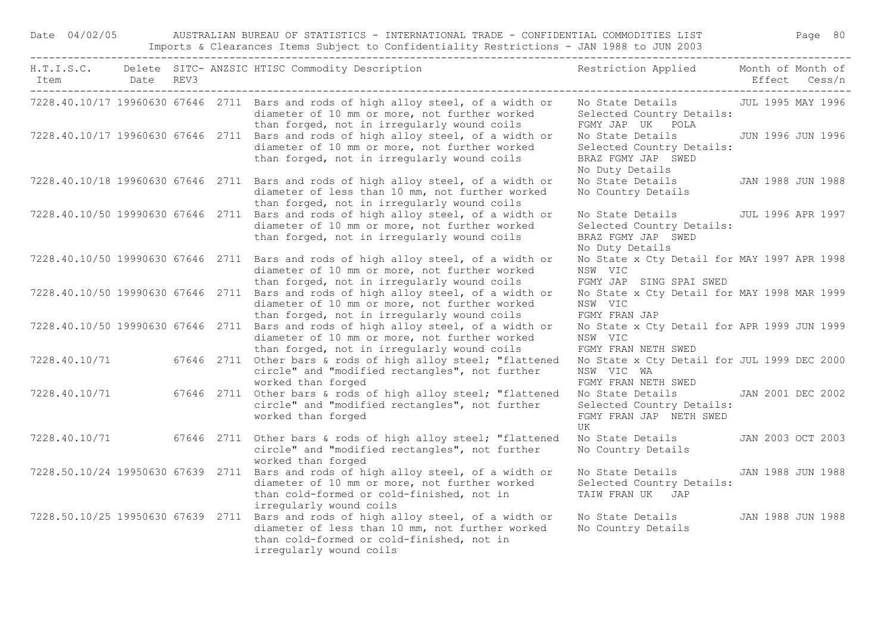Date 04/02/05 AUSTRALIAN BUREAU OF STATISTICS - INTERNATIONAL TRADE - CONFIDENTIAL COMMODITIES LIST Page 80 Imports & Clearances Items Subject to Confidentiality Restrictions - JAN 1988 to JUN 2003

| Item<br>_____________________________ | Date REV3 |  | H.T.I.S.C. Delete SITC- ANZSIC HTISC Commodity Description                                                                                                                           | Restriction Applied Month of Month of                                                  | Effect Cess/n     |
|---------------------------------------|-----------|--|--------------------------------------------------------------------------------------------------------------------------------------------------------------------------------------|----------------------------------------------------------------------------------------|-------------------|
|                                       |           |  | 7228.40.10/17 19960630 67646 2711 Bars and rods of high alloy steel, of a width or<br>diameter of 10 mm or more, not further worked<br>than forged, not in irregularly wound coils   | No State Details 50 JUL 1995 MAY 1996<br>Selected Country Details:<br>FGMY JAP UK POLA |                   |
| 7228.40.10/17 19960630 67646 2711     |           |  | Bars and rods of high alloy steel, of a width or<br>diameter of 10 mm or more, not further worked<br>than forged, not in irregularly wound coils                                     | No State Details<br>Selected Country Details:<br>BRAZ FGMY JAP SWED<br>No Duty Details | JUN 1996 JUN 1996 |
|                                       |           |  | 7228.40.10/18 19960630 67646 2711 Bars and rods of high alloy steel, of a width or<br>diameter of less than 10 mm, not further worked<br>than forged, not in irregularly wound coils | No State Details<br>No Country Details                                                 | JAN 1988 JUN 1988 |
|                                       |           |  | 7228.40.10/50 19990630 67646 2711 Bars and rods of high alloy steel, of a width or<br>diameter of 10 mm or more, not further worked<br>than forged, not in irregularly wound coils   | No State Details<br>Selected Country Details:<br>BRAZ FGMY JAP SWED<br>No Duty Details | JUL 1996 APR 1997 |
|                                       |           |  | 7228.40.10/50 19990630 67646 2711 Bars and rods of high alloy steel, of a width or<br>diameter of 10 mm or more, not further worked<br>than forged, not in irregularly wound coils   | No State x Cty Detail for MAY 1997 APR 1998<br>NSW VIC<br>FGMY JAP SING SPAI SWED      |                   |
| 7228.40.10/50 19990630 67646 2711     |           |  | Bars and rods of high alloy steel, of a width or<br>diameter of 10 mm or more, not further worked<br>than forged, not in irregularly wound coils                                     | No State x Cty Detail for MAY 1998 MAR 1999<br>NSW VIC<br>FGMY FRAN JAP                |                   |
| 7228.40.10/50 19990630 67646 2711     |           |  | Bars and rods of high alloy steel, of a width or<br>diameter of 10 mm or more, not further worked<br>than forged, not in irregularly wound coils                                     | No State x Cty Detail for APR 1999 JUN 1999<br>NSW VIC<br>FGMY FRAN NETH SWED          |                   |
| 7228.40.10/71                         |           |  | 67646 2711 Other bars & rods of high alloy steel; "flattened<br>circle" and "modified rectangles", not further<br>worked than forged                                                 | No State x Cty Detail for JUL 1999 DEC 2000<br>NSW VIC WA<br>FGMY FRAN NETH SWED       |                   |
| 7228.40.10/71                         |           |  | 67646 2711 Other bars & rods of high alloy steel; "flattened<br>circle" and "modified rectangles", not further<br>worked than forged                                                 | No State Details<br>Selected Country Details:<br>FGMY FRAN JAP NETH SWED<br>UK         | JAN 2001 DEC 2002 |
| 7228.40.10/71                         |           |  | 67646 2711 Other bars & rods of high alloy steel; "flattened<br>circle" and "modified rectangles", not further<br>worked than forged                                                 | No State Details<br>No Country Details                                                 | JAN 2003 OCT 2003 |
| 7228.50.10/24 19950630 67639 2711     |           |  | Bars and rods of high alloy steel, of a width or<br>diameter of 10 mm or more, not further worked<br>than cold-formed or cold-finished, not in<br>irregularly wound coils            | No State Details<br>Selected Country Details:<br>TAIW FRAN UK JAP                      | JAN 1988 JUN 1988 |
| 7228.50.10/25 19950630 67639 2711     |           |  | Bars and rods of high alloy steel, of a width or<br>diameter of less than 10 mm, not further worked<br>than cold-formed or cold-finished, not in<br>irregularly wound coils          | No State Details<br>No Country Details                                                 | JAN 1988 JUN 1988 |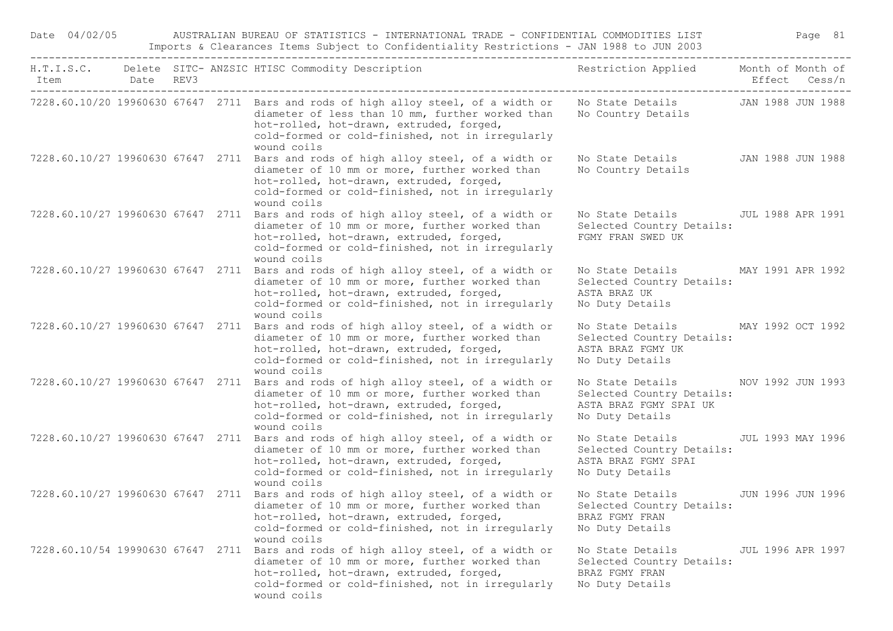| Date 04/02/05                        |           |  | AUSTRALIAN BUREAU OF STATISTICS - INTERNATIONAL TRADE - CONFIDENTIAL COMMODITIES LIST<br>Imports & Clearances Items Subject to Confidentiality Restrictions - JAN 1988 to JUN 2003                                                                    |                                                                                            |                   | Page 81           |
|--------------------------------------|-----------|--|-------------------------------------------------------------------------------------------------------------------------------------------------------------------------------------------------------------------------------------------------------|--------------------------------------------------------------------------------------------|-------------------|-------------------|
| Item<br>---------------------------- | Date REV3 |  | H.T.I.S.C. Delete SITC- ANZSIC HTISC Commodity Description                                                                                                                                                                                            | Restriction Applied Month of Month of                                                      |                   | Effect Cess/n     |
|                                      |           |  | 7228.60.10/20 19960630 67647 2711 Bars and rods of high alloy steel, of a width or<br>diameter of less than 10 mm, further worked than<br>hot-rolled, hot-drawn, extruded, forged,<br>cold-formed or cold-finished, not in irreqularly<br>wound coils | No State Details 5 JAN 1988 JUN 1988<br>No Country Details                                 |                   |                   |
|                                      |           |  | 7228.60.10/27 19960630 67647 2711 Bars and rods of high alloy steel, of a width or<br>diameter of 10 mm or more, further worked than<br>hot-rolled, hot-drawn, extruded, forged,<br>cold-formed or cold-finished, not in irregularly<br>wound coils   | No State Details<br>No Country Details                                                     | JAN 1988 JUN 1988 |                   |
|                                      |           |  | 7228.60.10/27 19960630 67647 2711 Bars and rods of high alloy steel, of a width or<br>diameter of 10 mm or more, further worked than<br>hot-rolled, hot-drawn, extruded, forged,<br>cold-formed or cold-finished, not in irregularly<br>wound coils   | No State Details<br>Selected Country Details:<br>FGMY FRAN SWED UK                         |                   | JUL 1988 APR 1991 |
|                                      |           |  | 7228.60.10/27 19960630 67647 2711 Bars and rods of high alloy steel, of a width or<br>diameter of 10 mm or more, further worked than<br>hot-rolled, hot-drawn, extruded, forged,<br>cold-formed or cold-finished, not in irregularly<br>wound coils   | No State Details<br>Selected Country Details:<br>ASTA BRAZ UK<br>No Duty Details           | MAY 1991 APR 1992 |                   |
|                                      |           |  | 7228.60.10/27 19960630 67647 2711 Bars and rods of high alloy steel, of a width or<br>diameter of 10 mm or more, further worked than<br>hot-rolled, hot-drawn, extruded, forged,<br>cold-formed or cold-finished, not in irregularly<br>wound coils   | No State Details<br>Selected Country Details:<br>ASTA BRAZ FGMY UK<br>No Duty Details      | MAY 1992 OCT 1992 |                   |
|                                      |           |  | 7228.60.10/27 19960630 67647 2711 Bars and rods of high alloy steel, of a width or<br>diameter of 10 mm or more, further worked than<br>hot-rolled, hot-drawn, extruded, forged,<br>cold-formed or cold-finished, not in irregularly<br>wound coils   | No State Details<br>Selected Country Details:<br>ASTA BRAZ FGMY SPAI UK<br>No Duty Details | NOV 1992 JUN 1993 |                   |
|                                      |           |  | 7228.60.10/27 19960630 67647 2711 Bars and rods of high alloy steel, of a width or<br>diameter of 10 mm or more, further worked than<br>hot-rolled, hot-drawn, extruded, forged,<br>cold-formed or cold-finished, not in irregularly<br>wound coils   | No State Details<br>Selected Country Details:<br>ASTA BRAZ FGMY SPAI<br>No Duty Details    | JUL 1993 MAY 1996 |                   |
|                                      |           |  | 7228.60.10/27 19960630 67647 2711 Bars and rods of high alloy steel, of a width or<br>diameter of 10 mm or more, further worked than<br>hot-rolled, hot-drawn, extruded, forged,<br>cold-formed or cold-finished, not in irregularly<br>wound coils   | No State Details<br>Selected Country Details:<br>BRAZ FGMY FRAN<br>No Duty Details         | JUN 1996 JUN 1996 |                   |
| 7228.60.10/54 19990630 67647         |           |  | 2711 Bars and rods of high alloy steel, of a width or<br>diameter of 10 mm or more, further worked than<br>hot-rolled, hot-drawn, extruded, forged,<br>cold-formed or cold-finished, not in irregularly<br>wound coils                                | No State Details<br>Selected Country Details:<br>BRAZ FGMY FRAN<br>No Duty Details         |                   | JUL 1996 APR 1997 |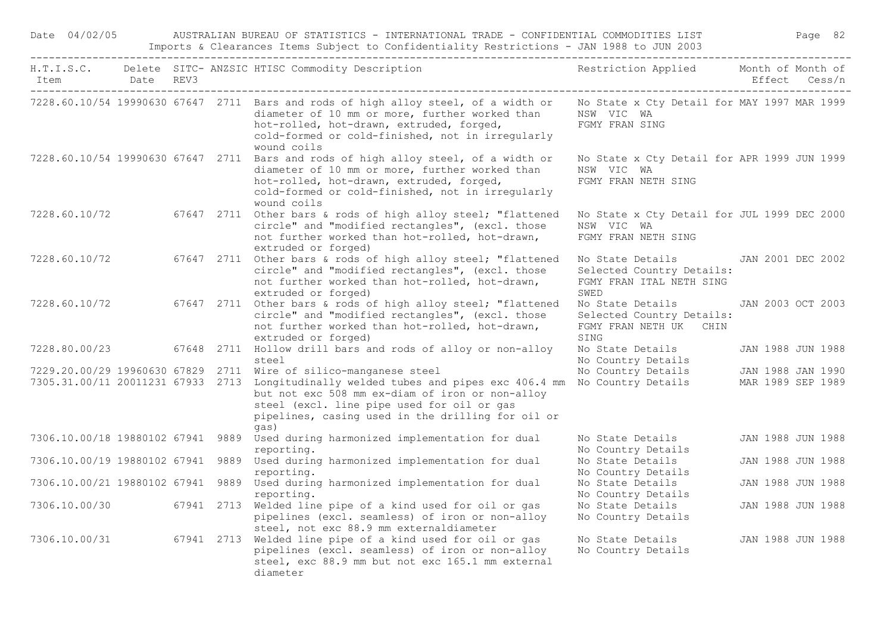|                              |  | Imports & Clearances Items Subject to Confidentiality Restrictions - JAN 1988 to JUN 2003<br>H.T.I.S.C. Delete SITC- ANZSIC HTISC Commodity Description                                                                                                               | Restriction Applied Month of Month of                                             |                   |
|------------------------------|--|-----------------------------------------------------------------------------------------------------------------------------------------------------------------------------------------------------------------------------------------------------------------------|-----------------------------------------------------------------------------------|-------------------|
| Item Date REV3               |  |                                                                                                                                                                                                                                                                       |                                                                                   | Effect Cess/n     |
|                              |  | 7228.60.10/54 19990630 67647 2711 Bars and rods of high alloy steel, of a width or<br>diameter of 10 mm or more, further worked than<br>hot-rolled, hot-drawn, extruded, forged,<br>cold-formed or cold-finished, not in irregularly<br>wound coils                   | No State x Cty Detail for MAY 1997 MAR 1999<br>NSW VIC WA<br>FGMY FRAN SING       |                   |
|                              |  | 7228.60.10/54 19990630 67647 2711 Bars and rods of high alloy steel, of a width or<br>diameter of 10 mm or more, further worked than<br>hot-rolled, hot-drawn, extruded, forged,<br>cold-formed or cold-finished, not in irregularly<br>wound coils                   | No State x Cty Detail for APR 1999 JUN 1999<br>NSW VIC WA<br>FGMY FRAN NETH SING  |                   |
| 7228.60.10/72                |  | 67647 2711 Other bars & rods of high alloy steel; "flattened<br>circle" and "modified rectangles", (excl. those<br>not further worked than hot-rolled, hot-drawn,<br>extruded or forged)                                                                              | No State x Cty Detail for JUL 1999 DEC 2000<br>NSW VIC WA<br>FGMY FRAN NETH SING  |                   |
| 7228.60.10/72                |  | 67647 2711 Other bars & rods of high alloy steel; "flattened<br>circle" and "modified rectangles", (excl. those<br>not further worked than hot-rolled, hot-drawn,<br>extruded or forged)                                                                              | No State Details<br>Selected Country Details:<br>FGMY FRAN ITAL NETH SING<br>SWED | JAN 2001 DEC 2002 |
| 7228.60.10/72                |  | 67647 2711 Other bars & rods of high alloy steel; "flattened<br>circle" and "modified rectangles", (excl. those<br>not further worked than hot-rolled, hot-drawn,<br>extruded or forged)                                                                              | No State Details<br>Selected Country Details:<br>FGMY FRAN NETH UK CHIN<br>SING   | JAN 2003 OCT 2003 |
| 7228.80.00/23                |  | 67648 2711 Hollow drill bars and rods of alloy or non-alloy<br>steel                                                                                                                                                                                                  | No State Details<br>No Country Details                                            | JAN 1988 JUN 1988 |
| 7229.20.00/29 19960630 67829 |  | 2711 Wire of silico-manganese steel                                                                                                                                                                                                                                   | No Country Details                                                                | JAN 1988 JAN 1990 |
|                              |  | 7305.31.00/11 20011231 67933 2713 Longitudinally welded tubes and pipes exc 406.4 mm No Country Details<br>but not exc 508 mm ex-diam of iron or non-alloy<br>steel (excl. line pipe used for oil or gas<br>pipelines, casing used in the drilling for oil or<br>gas) |                                                                                   | MAR 1989 SEP 1989 |
|                              |  | 7306.10.00/18 19880102 67941 9889 Used during harmonized implementation for dual<br>reporting.                                                                                                                                                                        | No State Details<br>No Country Details                                            | JAN 1988 JUN 1988 |
|                              |  | 7306.10.00/19 19880102 67941 9889 Used during harmonized implementation for dual<br>reporting.                                                                                                                                                                        | No State Details<br>No Country Details                                            | JAN 1988 JUN 1988 |
|                              |  | 7306.10.00/21 19880102 67941 9889 Used during harmonized implementation for dual<br>reporting.                                                                                                                                                                        | No State Details<br>No Country Details                                            | JAN 1988 JUN 1988 |
| 7306.10.00/30                |  | 67941 2713 Welded line pipe of a kind used for oil or gas<br>pipelines (excl. seamless) of iron or non-alloy<br>steel, not exc 88.9 mm externaldiameter                                                                                                               | No State Details<br>No Country Details                                            | JAN 1988 JUN 1988 |
| 7306.10.00/31                |  | 67941 2713 Welded line pipe of a kind used for oil or gas<br>pipelines (excl. seamless) of iron or non-alloy<br>steel, exc 88.9 mm but not exc 165.1 mm external<br>diameter                                                                                          | No State Details<br>No Country Details                                            | JAN 1988 JUN 1988 |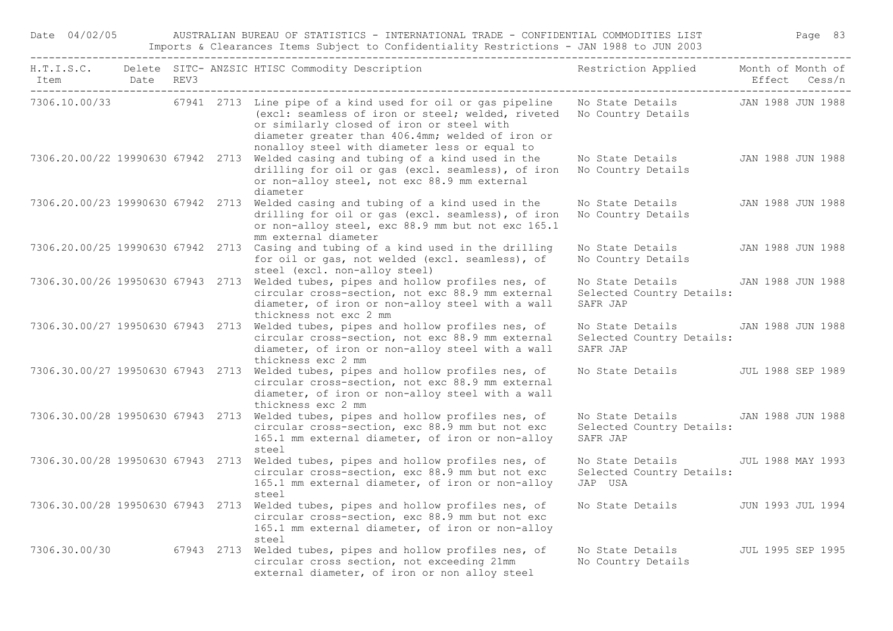Date 04/02/05 AUSTRALIAN BUREAU OF STATISTICS - INTERNATIONAL TRADE - CONFIDENTIAL COMMODITIES LIST Page 83 Imports & Clearances Items Subject to Confidentiality Restrictions - JAN 1988 to JUN 2003

| Item<br>----------------------------- | Date REV3 |  | H.T.I.S.C. Delete SITC-ANZSIC HTISC Commodity Description Nestriction Applied Month of Month of                                                                                                                                                                    |                                                           | Effect Cess/n            |
|---------------------------------------|-----------|--|--------------------------------------------------------------------------------------------------------------------------------------------------------------------------------------------------------------------------------------------------------------------|-----------------------------------------------------------|--------------------------|
| 7306.10.00/33                         |           |  | 67941 2713 Line pipe of a kind used for oil or gas pipeline<br>(excl: seamless of iron or steel; welded, riveted<br>or similarly closed of iron or steel with<br>diameter greater than 406.4mm; welded of iron or<br>nonalloy steel with diameter less or equal to | No State Details JAN 1988 JUN 1988<br>No Country Details  |                          |
| 7306.20.00/22 19990630 67942 2713     |           |  | Welded casing and tubing of a kind used in the<br>drilling for oil or gas (excl. seamless), of iron<br>or non-alloy steel, not exc 88.9 mm external<br>diameter                                                                                                    | No State Details<br>No Country Details                    | JAN 1988 JUN 1988        |
|                                       |           |  | 7306.20.00/23 19990630 67942 2713 Welded casing and tubing of a kind used in the<br>drilling for oil or gas (excl. seamless), of iron<br>or non-alloy steel, exc 88.9 mm but not exc 165.1<br>mm external diameter                                                 | No State Details<br>No Country Details                    | JAN 1988 JUN 1988        |
|                                       |           |  | 7306.20.00/25 19990630 67942 2713 Casing and tubing of a kind used in the drilling<br>for oil or gas, not welded (excl. seamless), of<br>steel (excl. non-alloy steel)                                                                                             | No State Details<br>No Country Details                    | JAN 1988 JUN 1988        |
|                                       |           |  | 7306.30.00/26 19950630 67943 2713 Welded tubes, pipes and hollow profiles nes, of<br>circular cross-section, not exc 88.9 mm external<br>diameter, of iron or non-alloy steel with a wall<br>thickness not exc 2 mm                                                | No State Details<br>Selected Country Details:<br>SAFR JAP | JAN 1988 JUN 1988        |
|                                       |           |  | 7306.30.00/27 19950630 67943 2713 Welded tubes, pipes and hollow profiles nes, of<br>circular cross-section, not exc 88.9 mm external<br>diameter, of iron or non-alloy steel with a wall<br>thickness exc 2 mm                                                    | No State Details<br>Selected Country Details:<br>SAFR JAP | JAN 1988 JUN 1988        |
| 7306.30.00/27 19950630 67943 2713     |           |  | Welded tubes, pipes and hollow profiles nes, of<br>circular cross-section, not exc 88.9 mm external<br>diameter, of iron or non-alloy steel with a wall<br>thickness exc 2 mm                                                                                      | No State Details                                          | <b>JUL 1988 SEP 1989</b> |
| 7306.30.00/28 19950630 67943 2713     |           |  | Welded tubes, pipes and hollow profiles nes, of<br>circular cross-section, exc 88.9 mm but not exc<br>165.1 mm external diameter, of iron or non-alloy                                                                                                             | No State Details<br>Selected Country Details:<br>SAFR JAP | JAN 1988 JUN 1988        |
| 7306.30.00/28 19950630 67943 2713     |           |  | steel<br>Welded tubes, pipes and hollow profiles nes, of<br>circular cross-section, exc 88.9 mm but not exc<br>165.1 mm external diameter, of iron or non-alloy<br>steel                                                                                           | No State Details<br>Selected Country Details:<br>JAP USA  | JUL 1988 MAY 1993        |
| 7306.30.00/28 19950630 67943 2713     |           |  | Welded tubes, pipes and hollow profiles nes, of<br>circular cross-section, exc 88.9 mm but not exc<br>165.1 mm external diameter, of iron or non-alloy<br>steel                                                                                                    | No State Details                                          | JUN 1993 JUL 1994        |
| 7306.30.00/30                         |           |  | 67943 2713 Welded tubes, pipes and hollow profiles nes, of<br>circular cross section, not exceeding 21mm<br>external diameter, of iron or non alloy steel                                                                                                          | No State Details<br>No Country Details                    | JUL 1995 SEP 1995        |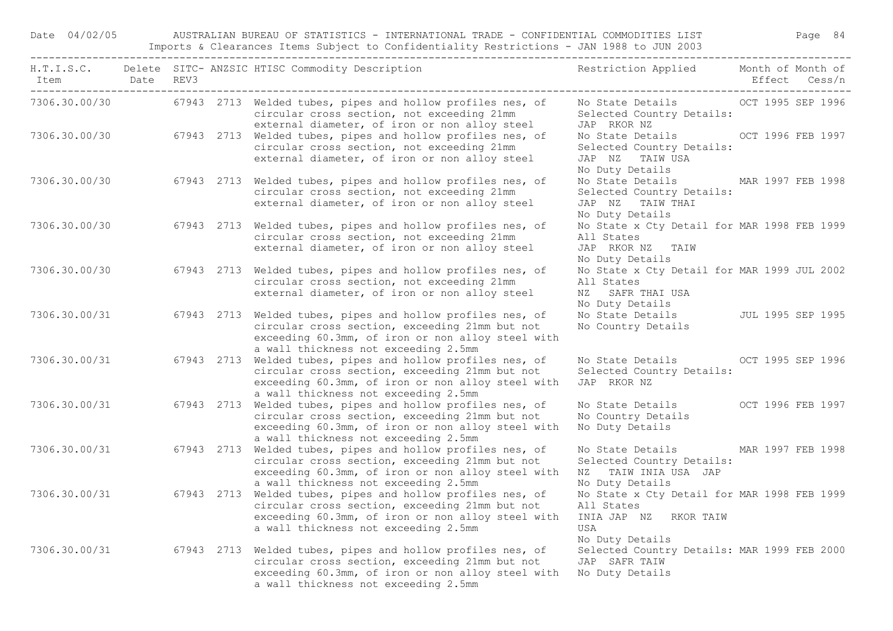Date 04/02/05 AUSTRALIAN BUREAU OF STATISTICS - INTERNATIONAL TRADE - CONFIDENTIAL COMMODITIES LIST Page 84 Imports & Clearances Items Subject to Confidentiality Restrictions - JAN 1988 to JUN 2003

| Item Date REV3<br>----------------------------------- |  | H.T.I.S.C. Delete SITC-ANZSIC HTISC Commodity Description Nestriction Applied Month of Month of                                                                                                                         |                                                                                                                     |  |
|-------------------------------------------------------|--|-------------------------------------------------------------------------------------------------------------------------------------------------------------------------------------------------------------------------|---------------------------------------------------------------------------------------------------------------------|--|
|                                                       |  | 7306.30.00/30 67943 2713 Welded tubes, pipes and hollow profiles nes, of<br>circular cross section, not exceeding 21mm<br>external diameter, of iron or non alloy steel                                                 | No State Details OCT 1995 SEP 1996<br>Selected Country Details:<br>JAP RKOR NZ                                      |  |
|                                                       |  | 7306.30.00/30 67943 2713 Welded tubes, pipes and hollow profiles nes, of<br>circular cross section, not exceeding 21mm<br>external diameter, of iron or non alloy steel                                                 | No State Details 6 6 6 6 7 8 9 9 1997<br>Selected Country Details:<br>JAP NZ TAIW USA<br>No Duty Details            |  |
|                                                       |  | 7306.30.00/30 67943 2713 Welded tubes, pipes and hollow profiles nes, of<br>circular cross section, not exceeding 21mm<br>external diameter, of iron or non alloy steel                                                 | No State Details MAR 1997 FEB 1998<br>Selected Country Details:<br>JAP NZ TAIW THAI<br>No Duty Details              |  |
| 7306.30.00/30                                         |  | 67943 2713 Welded tubes, pipes and hollow profiles nes, of<br>circular cross section, not exceeding 21mm<br>external diameter, of iron or non alloy steel                                                               | No State x Cty Detail for MAR 1998 FEB 1999<br>All States<br>JAP RKOR NZ TAIW<br>No Duty Details                    |  |
| 7306.30.00/30                                         |  | 67943 2713 Welded tubes, pipes and hollow profiles nes, of<br>circular cross section, not exceeding 21mm<br>external diameter, of iron or non alloy steel                                                               | No State x Cty Detail for MAR 1999 JUL 2002<br>All States<br>NZ SAFR THAI USA<br>No Duty Details                    |  |
| 7306.30.00/31                                         |  | 67943 2713 Welded tubes, pipes and hollow profiles nes, of<br>circular cross section, exceeding 21mm but not<br>exceeding 60.3mm, of iron or non alloy steel with<br>a wall thickness not exceeding 2.5mm               | No State Details JUL 1995 SEP 1995<br>No Country Details                                                            |  |
| 7306.30.00/31                                         |  | 67943 2713 Welded tubes, pipes and hollow profiles nes, of<br>circular cross section, exceeding 21mm but not<br>exceeding 60.3mm, of iron or non alloy steel with<br>a wall thickness not exceeding 2.5mm               | No State Details OCT 1995 SEP 1996<br>Selected Country Details:<br>JAP RKOR NZ                                      |  |
| 7306.30.00/31                                         |  | 67943 2713 Welded tubes, pipes and hollow profiles nes, of<br>circular cross section, exceeding 21mm but not<br>exceeding 60.3mm, of iron or non alloy steel with<br>a wall thickness not exceeding 2.5mm               | No State Details OCT 1996 FEB 1997<br>No Country Details<br>No Duty Details                                         |  |
| 7306.30.00/31                                         |  | 67943 2713 Welded tubes, pipes and hollow profiles nes, of<br>circular cross section, exceeding 21mm but not<br>exceeding 60.3mm, of iron or non alloy steel with<br>a wall thickness not exceeding 2.5mm               | No State Details MAR 1997 FEB 1998<br>Selected Country Details:<br>NZ TAIW INIA USA JAP<br>No Duty Details          |  |
|                                                       |  | 7306.30.00/31 67943 2713 Welded tubes, pipes and hollow profiles nes, of<br>circular cross section, exceeding 21mm but not<br>exceeding 60.3mm, of iron or non alloy steel with<br>a wall thickness not exceeding 2.5mm | No State x Cty Detail for MAR 1998 FEB 1999<br>All States<br>INIA JAP NZ RKOR TAIW<br><b>USA</b><br>No Duty Details |  |
| 7306.30.00/31                                         |  | 67943 2713 Welded tubes, pipes and hollow profiles nes, of<br>circular cross section, exceeding 21mm but not<br>exceeding 60.3mm, of iron or non alloy steel with<br>a wall thickness not exceeding 2.5mm               | Selected Country Details: MAR 1999 FEB 2000<br>JAP SAFR TAIW<br>No Duty Details                                     |  |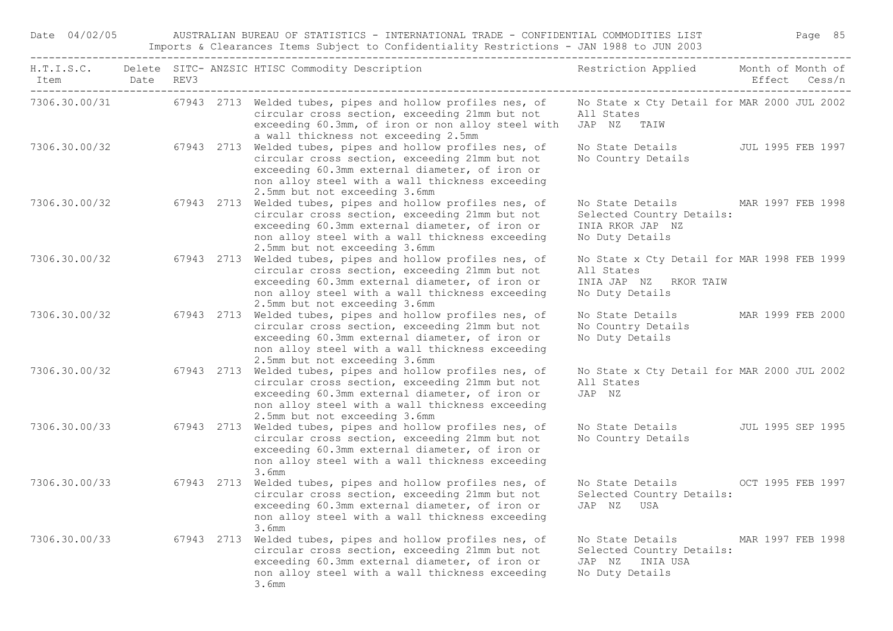Date 04/02/05 AUSTRALIAN BUREAU OF STATISTICS - INTERNATIONAL TRADE - CONFIDENTIAL COMMODITIES LIST Page 85 Imports & Clearances Items Subject to Confidentiality Restrictions - JAN 1988 to JUN 2003

| Item          | Date REV3<br>______________________ |            | H.T.I.S.C. Delete SITC- ANZSIC HTISC Commodity Description                                                                                                                                                                                         | Restriction Applied Month of Month of                                                                    |                   | Effect Cess/n            |
|---------------|-------------------------------------|------------|----------------------------------------------------------------------------------------------------------------------------------------------------------------------------------------------------------------------------------------------------|----------------------------------------------------------------------------------------------------------|-------------------|--------------------------|
|               |                                     |            | 7306.30.00/31 67943 2713 Welded tubes, pipes and hollow profiles nes, of<br>circular cross section, exceeding 21mm but not<br>exceeding 60.3mm, of iron or non alloy steel with<br>a wall thickness not exceeding 2.5mm                            | No State x Cty Detail for MAR 2000 JUL 2002<br>All States<br>JAP NZ<br>TAIW                              |                   |                          |
| 7306.30.00/32 |                                     |            | 67943 2713 Welded tubes, pipes and hollow profiles nes, of<br>circular cross section, exceeding 21mm but not<br>exceeding 60.3mm external diameter, of iron or<br>non alloy steel with a wall thickness exceeding<br>2.5mm but not exceeding 3.6mm | No State Details<br>No Country Details                                                                   |                   | JUL 1995 FEB 1997        |
| 7306.30.00/32 |                                     |            | 67943 2713 Welded tubes, pipes and hollow profiles nes, of<br>circular cross section, exceeding 21mm but not<br>exceeding 60.3mm external diameter, of iron or<br>non alloy steel with a wall thickness exceeding<br>2.5mm but not exceeding 3.6mm | No State Details<br>Selected Country Details:<br>INIA RKOR JAP NZ<br>No Duty Details                     | MAR 1997 FEB 1998 |                          |
| 7306.30.00/32 |                                     |            | 67943 2713 Welded tubes, pipes and hollow profiles nes, of<br>circular cross section, exceeding 21mm but not<br>exceeding 60.3mm external diameter, of iron or<br>non alloy steel with a wall thickness exceeding<br>2.5mm but not exceeding 3.6mm | No State x Cty Detail for MAR 1998 FEB 1999<br>All States<br>INIA JAP NZ<br>RKOR TAIW<br>No Duty Details |                   |                          |
| 7306.30.00/32 |                                     |            | 67943 2713 Welded tubes, pipes and hollow profiles nes, of<br>circular cross section, exceeding 21mm but not<br>exceeding 60.3mm external diameter, of iron or<br>non alloy steel with a wall thickness exceeding<br>2.5mm but not exceeding 3.6mm | No State Details<br>No Country Details<br>No Duty Details                                                |                   | MAR 1999 FEB 2000        |
| 7306.30.00/32 |                                     | 67943 2713 | Welded tubes, pipes and hollow profiles nes, of<br>circular cross section, exceeding 21mm but not<br>exceeding 60.3mm external diameter, of iron or<br>non alloy steel with a wall thickness exceeding<br>2.5mm but not exceeding 3.6mm            | No State x Cty Detail for MAR 2000 JUL 2002<br>All States<br>JAP NZ                                      |                   |                          |
| 7306.30.00/33 |                                     |            | 67943 2713 Welded tubes, pipes and hollow profiles nes, of<br>circular cross section, exceeding 21mm but not<br>exceeding 60.3mm external diameter, of iron or<br>non alloy steel with a wall thickness exceeding<br>3.6mm                         | No State Details<br>No Country Details                                                                   |                   | <b>JUL 1995 SEP 1995</b> |
| 7306.30.00/33 |                                     |            | 67943 2713 Welded tubes, pipes and hollow profiles nes, of<br>circular cross section, exceeding 21mm but not<br>exceeding 60.3mm external diameter, of iron or<br>non alloy steel with a wall thickness exceeding<br>3.6mm                         | No State Details OCT 1995 FEB 1997<br>Selected Country Details:<br>JAP NZ USA                            |                   |                          |
| 7306.30.00/33 |                                     | 67943 2713 | Welded tubes, pipes and hollow profiles nes, of<br>circular cross section, exceeding 21mm but not<br>exceeding 60.3mm external diameter, of iron or<br>non alloy steel with a wall thickness exceeding<br>3.6mm                                    | No State Details<br>Selected Country Details:<br>JAP NZ INIA USA<br>No Duty Details                      | MAR 1997 FEB 1998 |                          |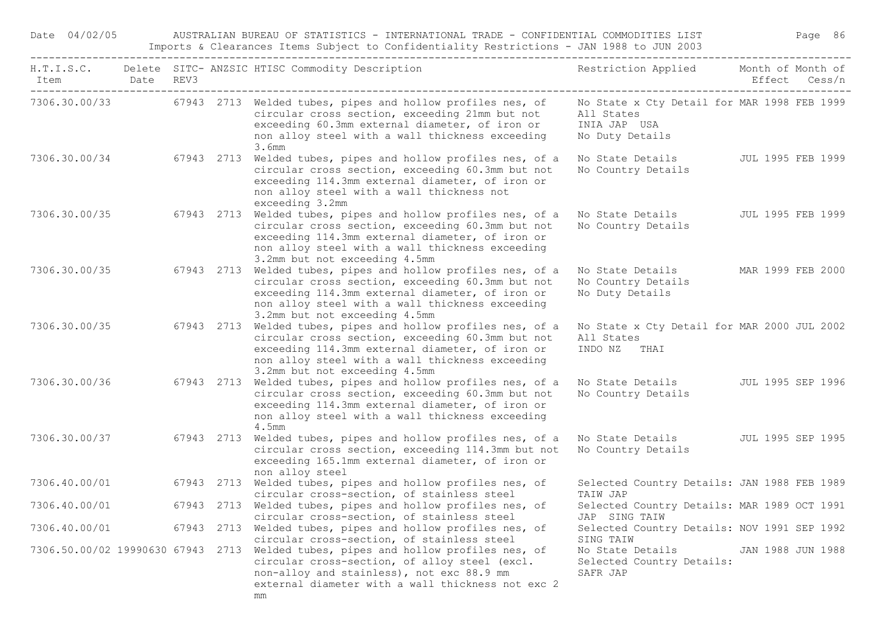| Date 04/02/05  |  | AUSTRALIAN BUREAU OF STATISTICS - INTERNATIONAL TRADE - CONFIDENTIAL COMMODITIES LIST<br>Imports & Clearances Items Subject to Confidentiality Restrictions - JAN 1988 to JUN 2003                                                                      |                                                                                              | Page 86           |  |  |
|----------------|--|---------------------------------------------------------------------------------------------------------------------------------------------------------------------------------------------------------------------------------------------------------|----------------------------------------------------------------------------------------------|-------------------|--|--|
| Item Date REV3 |  | H.T.I.S.C. Delete SITC- ANZSIC HTISC Commodity Description                                                                                                                                                                                              | Restriction Applied Month of Month of                                                        | Effect Cess/n     |  |  |
|                |  | 7306.30.00/33 67943 2713 Welded tubes, pipes and hollow profiles nes, of<br>circular cross section, exceeding 21mm but not<br>exceeding 60.3mm external diameter, of iron or<br>non alloy steel with a wall thickness exceeding<br>3.6mm                | No State x Cty Detail for MAR 1998 FEB 1999<br>All States<br>INIA JAP USA<br>No Duty Details |                   |  |  |
| 7306.30.00/34  |  | 67943 2713 Welded tubes, pipes and hollow profiles nes, of a<br>circular cross section, exceeding 60.3mm but not<br>exceeding 114.3mm external diameter, of iron or<br>non alloy steel with a wall thickness not<br>exceeding 3.2mm                     | No State Details<br>No Country Details                                                       | JUL 1995 FEB 1999 |  |  |
| 7306.30.00/35  |  | 67943 2713 Welded tubes, pipes and hollow profiles nes, of a<br>circular cross section, exceeding 60.3mm but not<br>exceeding 114.3mm external diameter, of iron or<br>non alloy steel with a wall thickness exceeding<br>3.2mm but not exceeding 4.5mm | No State Details<br>No Country Details                                                       | JUL 1995 FEB 1999 |  |  |
| 7306.30.00/35  |  | 67943 2713 Welded tubes, pipes and hollow profiles nes, of a<br>circular cross section, exceeding 60.3mm but not<br>exceeding 114.3mm external diameter, of iron or<br>non alloy steel with a wall thickness exceeding<br>3.2mm but not exceeding 4.5mm | No State Details<br>No Country Details<br>No Duty Details                                    | MAR 1999 FEB 2000 |  |  |
| 7306.30.00/35  |  | 67943 2713 Welded tubes, pipes and hollow profiles nes, of a<br>circular cross section, exceeding 60.3mm but not<br>exceeding 114.3mm external diameter, of iron or<br>non alloy steel with a wall thickness exceeding<br>3.2mm but not exceeding 4.5mm | No State x Cty Detail for MAR 2000 JUL 2002<br>All States<br>INDO NZ<br>THAI                 |                   |  |  |
| 7306.30.00/36  |  | 67943 2713 Welded tubes, pipes and hollow profiles nes, of a<br>circular cross section, exceeding 60.3mm but not<br>exceeding 114.3mm external diameter, of iron or<br>non alloy steel with a wall thickness exceeding<br>4.5mm                         | No State Details<br>No Country Details                                                       | JUL 1995 SEP 1996 |  |  |
| 7306.30.00/37  |  | 67943 2713 Welded tubes, pipes and hollow profiles nes, of a<br>circular cross section, exceeding 114.3mm but not<br>exceeding 165.1mm external diameter, of iron or<br>non alloy steel                                                                 | No State Details<br>No Country Details                                                       | JUL 1995 SEP 1995 |  |  |
| 7306.40.00/01  |  | 67943 2713 Welded tubes, pipes and hollow profiles nes, of<br>circular cross-section, of stainless steel                                                                                                                                                | Selected Country Details: JAN 1988 FEB 1989<br>TAIW JAP                                      |                   |  |  |
| 7306.40.00/01  |  | 67943 2713 Welded tubes, pipes and hollow profiles nes, of<br>circular cross-section, of stainless steel                                                                                                                                                | Selected Country Details: MAR 1989 OCT 1991<br>JAP SING TAIW                                 |                   |  |  |
| 7306.40.00/01  |  | 67943 2713 Welded tubes, pipes and hollow profiles nes, of<br>circular cross-section, of stainless steel                                                                                                                                                | Selected Country Details: NOV 1991 SEP 1992<br>SING TAIW                                     |                   |  |  |
|                |  | 7306.50.00/02 19990630 67943 2713 Welded tubes, pipes and hollow profiles nes, of<br>circular cross-section, of alloy steel (excl.<br>non-alloy and stainless), not exc 88.9 mm<br>external diameter with a wall thickness not exc 2                    | No State Details<br>Selected Country Details:<br>SAFR JAP                                    | JAN 1988 JUN 1988 |  |  |

mm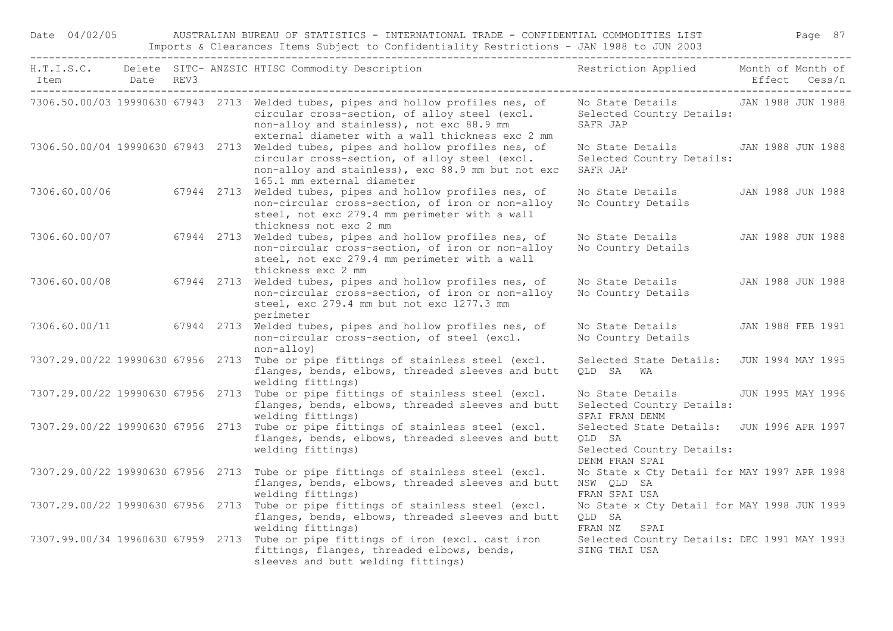Date 04/02/05 AUSTRALIAN BUREAU OF STATISTICS - INTERNATIONAL TRADE - CONFIDENTIAL COMMODITIES LIST Page 87 Imports & Clearances Items Subject to Confidentiality Restrictions - JAN 1988 to JUN 2003

| Item                                 | Date REV3 |  | H.T.I.S.C. Delete SITC-ANZSIC HTISC Commodity Description Nestriction Applied Month of Month of                                                                                                                                     |                                                                                                    | Effect Cess/n     |
|--------------------------------------|-----------|--|-------------------------------------------------------------------------------------------------------------------------------------------------------------------------------------------------------------------------------------|----------------------------------------------------------------------------------------------------|-------------------|
| ------------------------------------ |           |  | 7306.50.00/03 19990630 67943 2713 Welded tubes, pipes and hollow profiles nes, of<br>circular cross-section, of alloy steel (excl.<br>non-alloy and stainless), not exc 88.9 mm<br>external diameter with a wall thickness exc 2 mm | No State Details TAN 1988 JUN 1988<br>Selected Country Details:<br>SAFR JAP                        |                   |
|                                      |           |  | 7306.50.00/04 19990630 67943 2713 Welded tubes, pipes and hollow profiles nes, of<br>circular cross-section, of alloy steel (excl.<br>non-alloy and stainless), exc 88.9 mm but not exc<br>165.1 mm external diameter               | No State Details<br>Selected Country Details:<br>SAFR JAP                                          | JAN 1988 JUN 1988 |
| 7306.60.00/06                        |           |  | 67944 2713 Welded tubes, pipes and hollow profiles nes, of<br>non-circular cross-section, of iron or non-alloy<br>steel, not exc 279.4 mm perimeter with a wall<br>thickness not exc 2 mm                                           | No State Details<br>No Country Details                                                             | JAN 1988 JUN 1988 |
| 7306.60.00/07                        |           |  | 67944 2713 Welded tubes, pipes and hollow profiles nes, of<br>non-circular cross-section, of iron or non-alloy<br>steel, not exc 279.4 mm perimeter with a wall<br>thickness exc 2 mm                                               | No State Details<br>No Country Details                                                             | JAN 1988 JUN 1988 |
| 7306.60.00/08                        |           |  | 67944 2713 Welded tubes, pipes and hollow profiles nes, of<br>non-circular cross-section, of iron or non-alloy<br>steel, exc 279.4 mm but not exc 1277.3 mm<br>perimeter                                                            | No State Details<br>No Country Details                                                             | JAN 1988 JUN 1988 |
|                                      |           |  | 7306.60.00/11 67944 2713 Welded tubes, pipes and hollow profiles nes, of<br>non-circular cross-section, of steel (excl.<br>non-alloy)                                                                                               | No State Details<br>No Country Details                                                             | JAN 1988 FEB 1991 |
|                                      |           |  | 7307.29.00/22 19990630 67956 2713 Tube or pipe fittings of stainless steel (excl.<br>flanges, bends, elbows, threaded sleeves and butt<br>welding fittings)                                                                         | Selected State Details:<br>OLD SA WA                                                               | JUN 1994 MAY 1995 |
|                                      |           |  | 7307.29.00/22 19990630 67956 2713 Tube or pipe fittings of stainless steel (excl.<br>flanges, bends, elbows, threaded sleeves and butt<br>welding fittings)                                                                         | No State Details<br>Selected Country Details:<br>SPAI FRAN DENM                                    | JUN 1995 MAY 1996 |
|                                      |           |  | 7307.29.00/22 19990630 67956 2713 Tube or pipe fittings of stainless steel (excl.<br>flanges, bends, elbows, threaded sleeves and butt<br>welding fittings)                                                                         | Selected State Details: JUN 1996 APR 1997<br>OLD SA<br>Selected Country Details:<br>DENM FRAN SPAI |                   |
| 7307.29.00/22 19990630 67956 2713    |           |  | Tube or pipe fittings of stainless steel (excl.<br>flanges, bends, elbows, threaded sleeves and butt<br>welding fittings)                                                                                                           | No State x Cty Detail for MAY 1997 APR 1998<br>NSW QLD SA<br>FRAN SPAI USA                         |                   |
|                                      |           |  | 7307.29.00/22 19990630 67956 2713 Tube or pipe fittings of stainless steel (excl.<br>flanges, bends, elbows, threaded sleeves and butt<br>welding fittings)                                                                         | No State x Cty Detail for MAY 1998 JUN 1999<br>OLD SA<br>FRAN NZ<br>SPAI                           |                   |
|                                      |           |  | 7307.99.00/34 19960630 67959 2713 Tube or pipe fittings of iron (excl. cast iron<br>fittings, flanges, threaded elbows, bends,<br>sleeves and butt welding fittings)                                                                | Selected Country Details: DEC 1991 MAY 1993<br>SING THAI USA                                       |                   |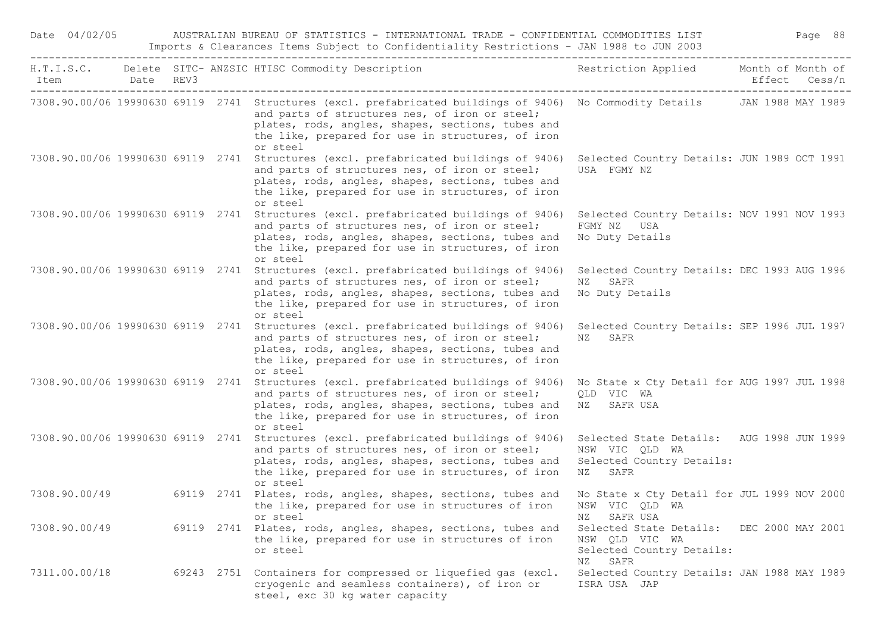| Date 04/02/05                     |  |            | AUSTRALIAN BUREAU OF STATISTICS - INTERNATIONAL TRADE - CONFIDENTIAL COMMODITIES LIST<br>Imports & Clearances Items Subject to Confidentiality Restrictions - JAN 1988 to JUN 2003                                                                                                                  |                                                                                                     | Page 88                            |
|-----------------------------------|--|------------|-----------------------------------------------------------------------------------------------------------------------------------------------------------------------------------------------------------------------------------------------------------------------------------------------------|-----------------------------------------------------------------------------------------------------|------------------------------------|
| Item Date REV3                    |  |            | H.T.I.S.C. Delete SITC- ANZSIC HTISC Commodity Description                                                                                                                                                                                                                                          | Restriction Applied                                                                                 | Month of Month of<br>Effect Cess/n |
|                                   |  |            | 7308.90.00/06 19990630 69119 2741 Structures (excl. prefabricated buildings of 9406) No Commodity Details JAN 1988 MAY 1989<br>and parts of structures nes, of iron or steel;<br>plates, rods, angles, shapes, sections, tubes and<br>the like, prepared for use in structures, of iron<br>or steel |                                                                                                     |                                    |
|                                   |  |            | 7308.90.00/06 19990630 69119 2741 Structures (excl. prefabricated buildings of 9406)<br>and parts of structures nes, of iron or steel;<br>plates, rods, angles, shapes, sections, tubes and<br>the like, prepared for use in structures, of iron<br>or steel                                        | Selected Country Details: JUN 1989 OCT 1991<br>USA FGMY NZ                                          |                                    |
|                                   |  |            | 7308.90.00/06 19990630 69119 2741 Structures (excl. prefabricated buildings of 9406)<br>and parts of structures nes, of iron or steel;<br>plates, rods, angles, shapes, sections, tubes and<br>the like, prepared for use in structures, of iron<br>or steel                                        | Selected Country Details: NOV 1991 NOV 1993<br>FGMY NZ USA<br>No Duty Details                       |                                    |
| 7308.90.00/06 19990630 69119 2741 |  |            | Structures (excl. prefabricated buildings of 9406)<br>and parts of structures nes, of iron or steel;<br>plates, rods, angles, shapes, sections, tubes and<br>the like, prepared for use in structures, of iron<br>or steel                                                                          | Selected Country Details: DEC 1993 AUG 1996<br>SAFR<br>NZ<br>No Duty Details                        |                                    |
|                                   |  |            | 7308.90.00/06 19990630 69119 2741 Structures (excl. prefabricated buildings of 9406)<br>and parts of structures nes, of iron or steel;<br>plates, rods, angles, shapes, sections, tubes and<br>the like, prepared for use in structures, of iron<br>or steel                                        | Selected Country Details: SEP 1996 JUL 1997<br>NZ<br>SAFR                                           |                                    |
|                                   |  |            | 7308.90.00/06 19990630 69119 2741 Structures (excl. prefabricated buildings of 9406)<br>and parts of structures nes, of iron or steel;<br>plates, rods, angles, shapes, sections, tubes and<br>the like, prepared for use in structures, of iron<br>or steel                                        | No State x Cty Detail for AUG 1997 JUL 1998<br>QLD VIC WA<br>NZ SAFR USA                            |                                    |
|                                   |  |            | 7308.90.00/06 19990630 69119 2741 Structures (excl. prefabricated buildings of 9406)<br>and parts of structures nes, of iron or steel;<br>plates, rods, angles, shapes, sections, tubes and<br>the like, prepared for use in structures, of iron<br>or steel                                        | Selected State Details: AUG 1998 JUN 1999<br>NSW VIC QLD WA<br>Selected Country Details:<br>NZ SAFR |                                    |
| 7308.90.00/49                     |  |            | 69119 2741 Plates, rods, angles, shapes, sections, tubes and Wo State x Cty Detail for JUL 1999 NOV 2000<br>the like, prepared for use in structures of iron<br>or steel                                                                                                                            | NSW VIC QLD WA<br>SAFR USA<br>ΝZ                                                                    |                                    |
| 7308.90.00/49                     |  | 69119 2741 | Plates, rods, angles, shapes, sections, tubes and<br>the like, prepared for use in structures of iron<br>or steel                                                                                                                                                                                   | Selected State Details:<br>NSW OLD VIC WA<br>Selected Country Details:<br>SAFR<br>ΝZ                | DEC 2000 MAY 2001                  |
| 7311.00.00/18                     |  | 69243 2751 | Containers for compressed or liquefied gas (excl.<br>cryogenic and seamless containers), of iron or<br>steel, exc 30 kg water capacity                                                                                                                                                              | Selected Country Details: JAN 1988 MAY 1989<br>ISRA USA JAP                                         |                                    |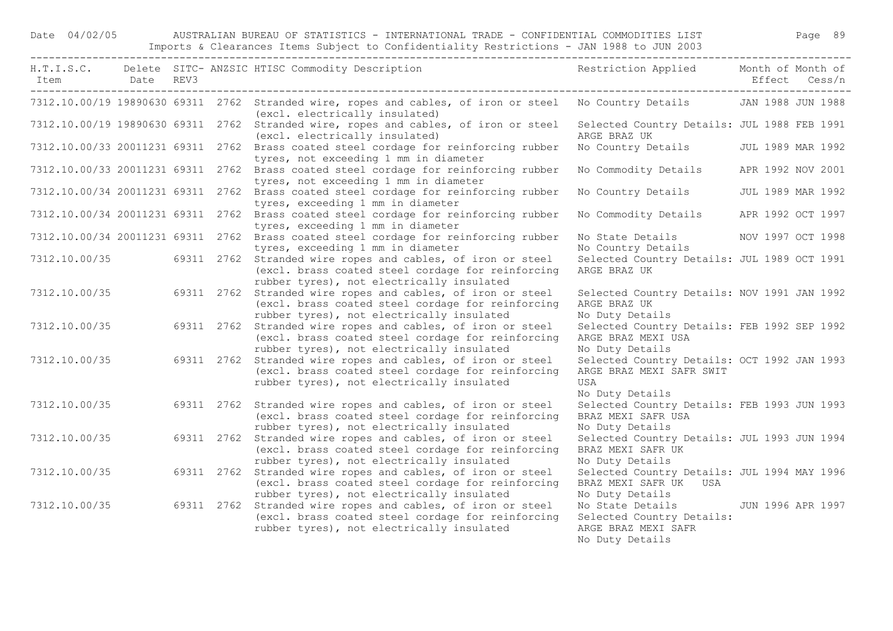## Date 04/02/05 AUSTRALIAN BUREAU OF STATISTICS - INTERNATIONAL TRADE - CONFIDENTIAL COMMODITIES LIST Page 89 Imports & Clearances Items Subject to Confidentiality Restrictions - JAN 1988 to JUN 2003

| Item Date REV3 |  | H.T.I.S.C. Delete SITC-ANZSIC HTISC Commodity Description The Sestriction Applied Month of Month of                                                                         |                                                                                                              | Effect Cess/n     |  |
|----------------|--|-----------------------------------------------------------------------------------------------------------------------------------------------------------------------------|--------------------------------------------------------------------------------------------------------------|-------------------|--|
|                |  | 7312.10.00/19 19890630 69311 2762 Stranded wire, ropes and cables, of iron or steel No Country Details JAN 1988 JUN 1988<br>(excl. electrically insulated)                  |                                                                                                              |                   |  |
|                |  | 7312.10.00/19 19890630 69311 2762 Stranded wire, ropes and cables, of iron or steel<br>(excl. electrically insulated)                                                       | Selected Country Details: JUL 1988 FEB 1991<br>ARGE BRAZ UK                                                  |                   |  |
|                |  | 7312.10.00/33 20011231 69311 2762 Brass coated steel cordage for reinforcing rubber<br>tyres, not exceeding 1 mm in diameter                                                | No Country Details JUL 1989 MAR 1992                                                                         |                   |  |
|                |  | 7312.10.00/33 20011231 69311 2762 Brass coated steel cordage for reinforcing rubber<br>tyres, not exceeding 1 mm in diameter                                                | No Commodity Details APR 1992 NOV 2001                                                                       |                   |  |
|                |  | 7312.10.00/34 20011231 69311 2762 Brass coated steel cordage for reinforcing rubber<br>tyres, exceeding 1 mm in diameter                                                    | No Country Details JUL 1989 MAR 1992                                                                         |                   |  |
|                |  | 7312.10.00/34 20011231 69311 2762 Brass coated steel cordage for reinforcing rubber<br>tyres, exceeding 1 mm in diameter                                                    | No Commodity Details                                                                                         | APR 1992 OCT 1997 |  |
|                |  | 7312.10.00/34 20011231 69311 2762 Brass coated steel cordage for reinforcing rubber<br>tyres, exceeding 1 mm in diameter                                                    | No State Details MOV 1997 OCT 1998<br>No Country Details                                                     |                   |  |
|                |  | 7312.10.00/35 69311 2762 Stranded wire ropes and cables, of iron or steel<br>(excl. brass coated steel cordage for reinforcing<br>rubber tyres), not electrically insulated | Selected Country Details: JUL 1989 OCT 1991<br>ARGE BRAZ UK                                                  |                   |  |
| 7312.10.00/35  |  | 69311 2762 Stranded wire ropes and cables, of iron or steel<br>(excl. brass coated steel cordage for reinforcing<br>rubber tyres), not electrically insulated               | Selected Country Details: NOV 1991 JAN 1992<br>ARGE BRAZ UK<br>No Duty Details                               |                   |  |
| 7312.10.00/35  |  | 69311 2762 Stranded wire ropes and cables, of iron or steel<br>(excl. brass coated steel cordage for reinforcing<br>rubber tyres), not electrically insulated               | Selected Country Details: FEB 1992 SEP 1992<br>ARGE BRAZ MEXI USA<br>No Duty Details                         |                   |  |
| 7312.10.00/35  |  | 69311 2762 Stranded wire ropes and cables, of iron or steel<br>(excl. brass coated steel cordage for reinforcing<br>rubber tyres), not electrically insulated               | Selected Country Details: OCT 1992 JAN 1993<br>ARGE BRAZ MEXI SAFR SWIT<br>USA<br>No Duty Details            |                   |  |
| 7312.10.00/35  |  | 69311 2762 Stranded wire ropes and cables, of iron or steel<br>(excl. brass coated steel cordage for reinforcing<br>rubber tyres), not electrically insulated               | Selected Country Details: FEB 1993 JUN 1993<br>BRAZ MEXI SAFR USA<br>No Duty Details                         |                   |  |
| 7312.10.00/35  |  | 69311 2762 Stranded wire ropes and cables, of iron or steel<br>(excl. brass coated steel cordage for reinforcing<br>rubber tyres), not electrically insulated               | Selected Country Details: JUL 1993 JUN 1994<br>BRAZ MEXI SAFR UK<br>No Duty Details                          |                   |  |
| 7312.10.00/35  |  | 69311 2762 Stranded wire ropes and cables, of iron or steel<br>(excl. brass coated steel cordage for reinforcing<br>rubber tyres), not electrically insulated               | Selected Country Details: JUL 1994 MAY 1996<br>BRAZ MEXI SAFR UK USA<br>No Duty Details                      |                   |  |
| 7312.10.00/35  |  | 69311 2762 Stranded wire ropes and cables, of iron or steel<br>(excl. brass coated steel cordage for reinforcing<br>rubber tyres), not electrically insulated               | No State Details 50 JUN 1996 APR 1997<br>Selected Country Details:<br>ARGE BRAZ MEXI SAFR<br>No Duty Details |                   |  |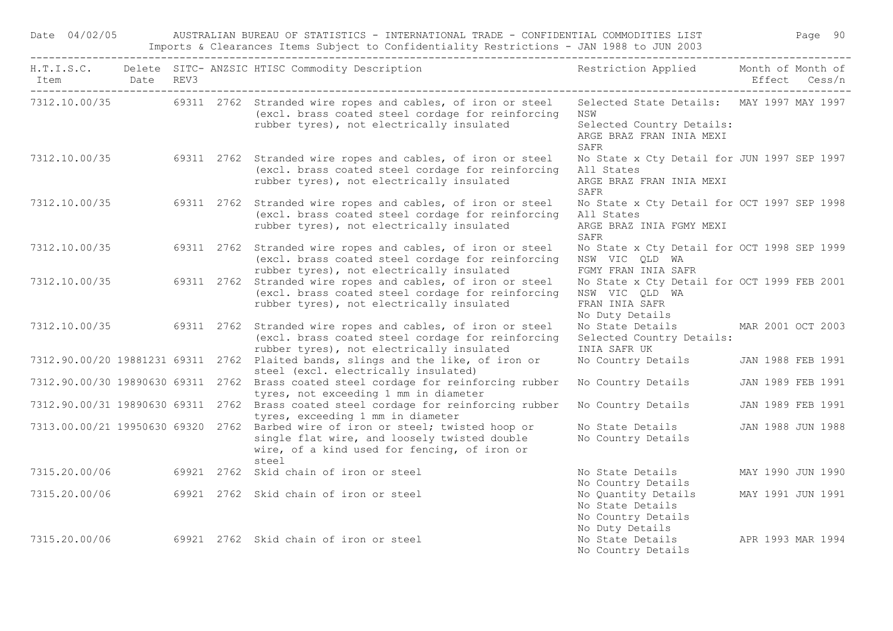|               |                                                  |  | H.T.I.S.C. Delete SITC- ANZSIC HTISC Commodity Description                                                                                                                               | Restriction Applied                                                                                       |        | Month of Month of |
|---------------|--------------------------------------------------|--|------------------------------------------------------------------------------------------------------------------------------------------------------------------------------------------|-----------------------------------------------------------------------------------------------------------|--------|-------------------|
| Item          | Date REV3<br>. _ _ _ _ _ _ _ _ _ _ _ _ _ _ _ _ _ |  |                                                                                                                                                                                          |                                                                                                           | Effect | Cess/n            |
|               |                                                  |  | 7312.10.00/35 69311 2762 Stranded wire ropes and cables, of iron or steel<br>(excl. brass coated steel cordage for reinforcing<br>rubber tyres), not electrically insulated              | Selected State Details: MAY 1997 MAY 1997<br>NSW<br>Selected Country Details:<br>ARGE BRAZ FRAN INIA MEXI |        |                   |
|               |                                                  |  |                                                                                                                                                                                          | SAFR                                                                                                      |        |                   |
| 7312.10.00/35 |                                                  |  | 69311 2762 Stranded wire ropes and cables, of iron or steel<br>(excl. brass coated steel cordage for reinforcing<br>rubber tyres), not electrically insulated                            | No State x Cty Detail for JUN 1997 SEP 1997<br>All States<br>ARGE BRAZ FRAN INIA MEXI<br>SAFR             |        |                   |
| 7312.10.00/35 |                                                  |  | 69311 2762 Stranded wire ropes and cables, of iron or steel<br>(excl. brass coated steel cordage for reinforcing<br>rubber tyres), not electrically insulated                            | No State x Cty Detail for OCT 1997 SEP 1998<br>All States<br>ARGE BRAZ INIA FGMY MEXI<br>SAFR             |        |                   |
| 7312.10.00/35 |                                                  |  | 69311 2762 Stranded wire ropes and cables, of iron or steel<br>(excl. brass coated steel cordage for reinforcing<br>rubber tyres), not electrically insulated                            | No State x Cty Detail for OCT 1998 SEP 1999<br>NSW VIC QLD WA<br>FGMY FRAN INIA SAFR                      |        |                   |
| 7312.10.00/35 |                                                  |  | 69311 2762 Stranded wire ropes and cables, of iron or steel<br>(excl. brass coated steel cordage for reinforcing<br>rubber tyres), not electrically insulated                            | No State x Cty Detail for OCT 1999 FEB 2001<br>NSW VIC QLD WA<br>FRAN INIA SAFR<br>No Duty Details        |        |                   |
| 7312.10.00/35 |                                                  |  | 69311 2762 Stranded wire ropes and cables, of iron or steel<br>(excl. brass coated steel cordage for reinforcing<br>rubber tyres), not electrically insulated                            | No State Details<br>Selected Country Details:<br>INIA SAFR UK                                             |        | MAR 2001 OCT 2003 |
|               |                                                  |  | 7312.90.00/20 19881231 69311 2762 Plaited bands, slings and the like, of iron or<br>steel (excl. electrically insulated)                                                                 | No Country Details                                                                                        |        | JAN 1988 FEB 1991 |
|               |                                                  |  | 7312.90.00/30 19890630 69311 2762 Brass coated steel cordage for reinforcing rubber<br>tyres, not exceeding 1 mm in diameter                                                             | No Country Details                                                                                        |        | JAN 1989 FEB 1991 |
|               |                                                  |  | 7312.90.00/31 19890630 69311 2762 Brass coated steel cordage for reinforcing rubber<br>tyres, exceeding 1 mm in diameter                                                                 | No Country Details                                                                                        |        | JAN 1989 FEB 1991 |
|               |                                                  |  | 7313.00.00/21 19950630 69320 2762 Barbed wire of iron or steel; twisted hoop or<br>single flat wire, and loosely twisted double<br>wire, of a kind used for fencing, of iron or<br>steel | No State Details<br>No Country Details                                                                    |        | JAN 1988 JUN 1988 |
| 7315.20.00/06 |                                                  |  | 69921 2762 Skid chain of iron or steel                                                                                                                                                   | No State Details<br>No Country Details                                                                    |        | MAY 1990 JUN 1990 |
| 7315.20.00/06 |                                                  |  | 69921 2762 Skid chain of iron or steel                                                                                                                                                   | No Quantity Details<br>No State Details<br>No Country Details<br>No Duty Details                          |        | MAY 1991 JUN 1991 |
| 7315.20.00/06 |                                                  |  | 69921 2762 Skid chain of iron or steel                                                                                                                                                   | No State Details<br>No Country Details                                                                    |        | APR 1993 MAR 1994 |

Date 04/02/05 AUSTRALIAN BUREAU OF STATISTICS - INTERNATIONAL TRADE - CONFIDENTIAL COMMODITIES LIST Page 90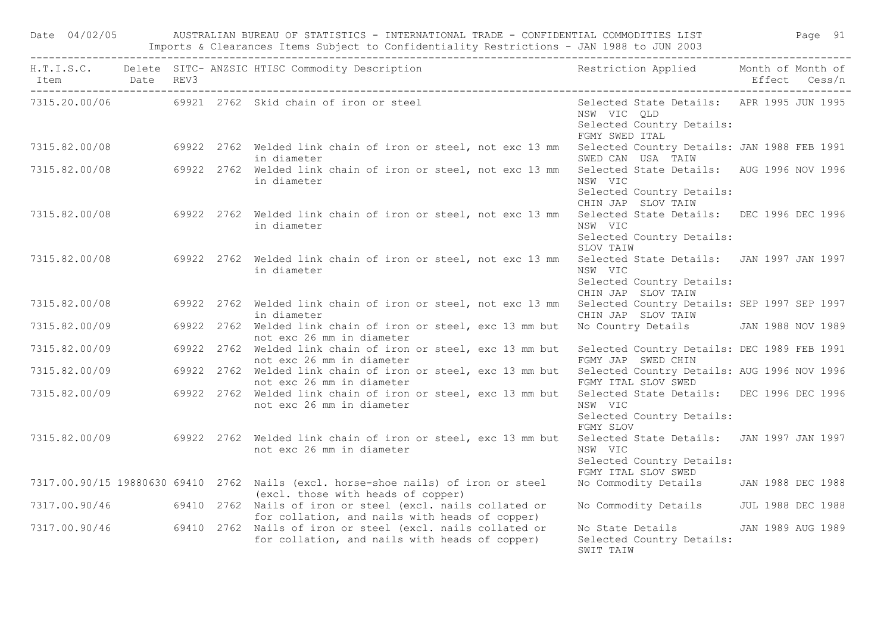| Date 04/02/05              |  | AUSTRALIAN BUREAU OF STATISTICS - INTERNATIONAL TRADE - CONFIDENTIAL COMMODITIES LIST                                                 |                                                                                                          | Page 91       |
|----------------------------|--|---------------------------------------------------------------------------------------------------------------------------------------|----------------------------------------------------------------------------------------------------------|---------------|
| Item Date REV3<br>-------- |  | H.T.I.S.C. Delete SITC-ANZSIC HTISC Commodity Description Nestriction Applied Month of Month of                                       |                                                                                                          | Effect Cess/n |
|                            |  | 7315.20.00/06 69921 2762 Skid chain of iron or steel                                                                                  | Selected State Details: APR 1995 JUN 1995<br>NSW VIC QLD<br>Selected Country Details:<br>FGMY SWED ITAL  |               |
|                            |  | 7315.82.00/08 69922 2762 Welded link chain of iron or steel, not exc 13 mm Selected Country Details: JAN 1988 FEB 1991<br>in diameter | SWED CAN USA TAIW                                                                                        |               |
|                            |  | 7315.82.00/08 69922 2762 Welded link chain of iron or steel, not exc 13 mm<br>in diameter                                             | Selected State Details: AUG 1996 NOV 1996<br>NSW VIC<br>Selected Country Details:<br>CHIN JAP SLOV TAIW  |               |
|                            |  | 7315.82.00/08 69922 2762 Welded link chain of iron or steel, not exc 13 mm<br>in diameter                                             | Selected State Details: DEC 1996 DEC 1996<br>NSW VIC<br>Selected Country Details:<br>SLOV TAIW           |               |
|                            |  | 7315.82.00/08 69922 2762 Welded link chain of iron or steel, not exc 13 mm<br>in diameter                                             | Selected State Details: JAN 1997 JAN 1997<br>NSW VIC<br>Selected Country Details:<br>CHIN JAP SLOV TAIW  |               |
|                            |  | 7315.82.00/08 69922 2762 Welded link chain of iron or steel, not exc 13 mm<br>in diameter                                             | Selected Country Details: SEP 1997 SEP 1997<br>CHIN JAP SLOV TAIW                                        |               |
| 7315.82.00/09              |  | 69922 2762 Welded link chain of iron or steel, exc 13 mm but<br>not exc 26 mm in diameter                                             | No Country Details JAN 1988 NOV 1989                                                                     |               |
| 7315.82.00/09              |  | 69922 2762 Welded link chain of iron or steel, exc 13 mm but<br>not exc 26 mm in diameter                                             | Selected Country Details: DEC 1989 FEB 1991<br>FGMY JAP SWED CHIN                                        |               |
| 7315.82.00/09              |  | 69922 2762 Welded link chain of iron or steel, exc 13 mm but Selected Country Details: AUG 1996 NOV 1996<br>not exc 26 mm in diameter | FGMY ITAL SLOV SWED                                                                                      |               |
|                            |  | 7315.82.00/09 69922 2762 Welded link chain of iron or steel, exc 13 mm but<br>not exc 26 mm in diameter                               | Selected State Details: DEC 1996 DEC 1996<br>NSW VIC<br>Selected Country Details:<br>FGMY SLOV           |               |
|                            |  | 7315.82.00/09 69922 2762 Welded link chain of iron or steel, exc 13 mm but<br>not exc 26 mm in diameter                               | Selected State Details: JAN 1997 JAN 1997<br>NSW VIC<br>Selected Country Details:<br>FGMY ITAL SLOV SWED |               |
|                            |  | 7317.00.90/15 19880630 69410 2762 Nails (excl. horse-shoe nails) of iron or steel<br>(excl. those with heads of copper)               | No Commodity Details JAN 1988 DEC 1988                                                                   |               |
|                            |  | 7317.00.90/46 69410 2762 Nails of iron or steel (excl. nails collated or<br>for collation, and nails with heads of copper)            | No Commodity Details JUL 1988 DEC 1988                                                                   |               |
|                            |  | 7317.00.90/46 69410 2762 Nails of iron or steel (excl. nails collated or<br>for collation, and nails with heads of copper)            | No State Details 5 JAN 1989 AUG 1989<br>Selected Country Details:<br>SWIT TAIW                           |               |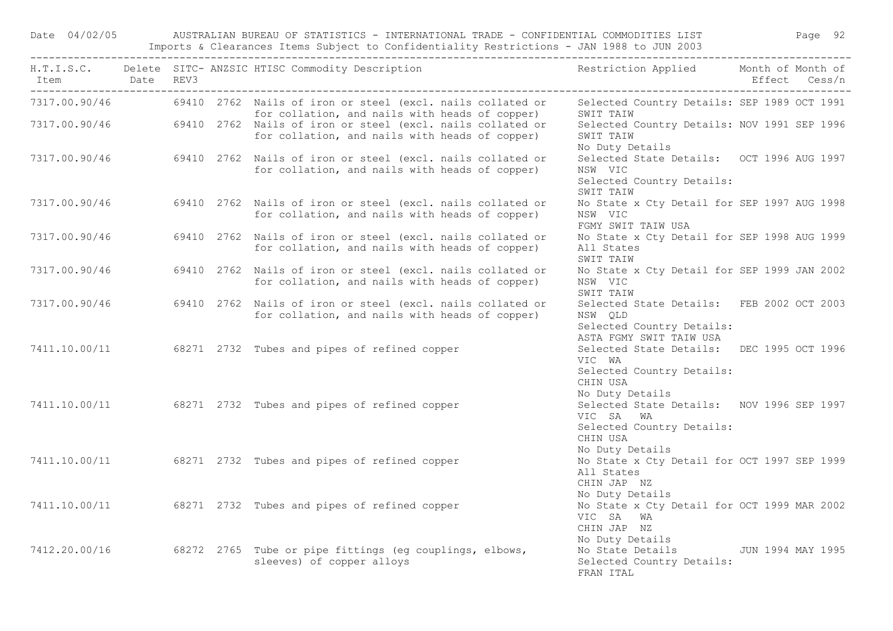Date 04/02/05 AUSTRALIAN BUREAU OF STATISTICS - INTERNATIONAL TRADE - CONFIDENTIAL COMMODITIES LIST Page 92 Imports & Clearances Items Subject to Confidentiality Restrictions - JAN 1988 to JUN 2003

| Item                                   | Date REV3 |  | H.T.I.S.C. Delete SITC-ANZSIC HTISC Commodity Description Nestriction Applied Month of Month of                                                                              |                                                                                                                    | Effect Cess/n |  |
|----------------------------------------|-----------|--|------------------------------------------------------------------------------------------------------------------------------------------------------------------------------|--------------------------------------------------------------------------------------------------------------------|---------------|--|
| -------------------------------------- |           |  | 7317.00.90/46 69410 2762 Nails of iron or steel (excl. nails collated or<br>for collation, and nails with heads of copper)                                                   | Selected Country Details: SEP 1989 OCT 1991<br>SWIT TAIW                                                           |               |  |
|                                        |           |  | for collation, and nails with heads of copper)<br>7317.00.90/46 69410 2762 Nails of iron or steel (excl. nails collated or<br>for collation, and nails with heads of copper) | Selected Country Details: NOV 1991 SEP 1996<br>SWIT TAIW<br>No Duty Details                                        |               |  |
|                                        |           |  | 7317.00.90/46 69410 2762 Nails of iron or steel (excl. nails collated or<br>for collation, and nails with heads of copper)                                                   | Selected State Details: OCT 1996 AUG 1997<br>NSW VIC<br>Selected Country Details:<br>SWIT TAIW                     |               |  |
| 7317.00.90/46                          |           |  | 69410 2762 Nails of iron or steel (excl. nails collated or<br>for collation, and nails with heads of copper)                                                                 | No State x Cty Detail for SEP 1997 AUG 1998<br>NSW VIC<br>FGMY SWIT TAIW USA                                       |               |  |
| 7317.00.90/46                          |           |  | 69410 2762 Nails of iron or steel (excl. nails collated or<br>for collation, and nails with heads of copper)                                                                 | No State x Cty Detail for SEP 1998 AUG 1999<br>All States<br>SWIT TAIW                                             |               |  |
| 7317.00.90/46                          |           |  | 69410 2762 Nails of iron or steel (excl. nails collated or<br>for collation, and nails with heads of copper)                                                                 | No State x Cty Detail for SEP 1999 JAN 2002<br>NSW VIC<br>SWIT TAIW                                                |               |  |
| 7317.00.90/46                          |           |  | 69410 2762 Nails of iron or steel (excl. nails collated or<br>for collation, and nails with heads of copper)                                                                 | Selected State Details: FEB 2002 OCT 2003<br>NSW OLD<br>Selected Country Details:<br>ASTA FGMY SWIT TAIW USA       |               |  |
|                                        |           |  | 7411.10.00/11 68271 2732 Tubes and pipes of refined copper                                                                                                                   | Selected State Details: DEC 1995 OCT 1996<br>VIC WA<br>Selected Country Details:<br>CHIN USA                       |               |  |
|                                        |           |  | 7411.10.00/11 68271 2732 Tubes and pipes of refined copper                                                                                                                   | No Duty Details<br>Selected State Details: NOV 1996 SEP 1997<br>VIC SA WA<br>Selected Country Details:<br>CHIN USA |               |  |
|                                        |           |  | 7411.10.00/11 68271 2732 Tubes and pipes of refined copper                                                                                                                   | No Duty Details<br>No State x Cty Detail for OCT 1997 SEP 1999<br>All States<br>CHIN JAP NZ                        |               |  |
|                                        |           |  | 7411.10.00/11 68271 2732 Tubes and pipes of refined copper                                                                                                                   | No Duty Details<br>No State x Cty Detail for OCT 1999 MAR 2002<br>VIC SA WA<br>CHIN JAP NZ                         |               |  |
|                                        |           |  | 7412.20.00/16 68272 2765 Tube or pipe fittings (eg couplings, elbows,<br>sleeves) of copper alloys                                                                           | No Duty Details<br>No State Details 50 JUN 1994 MAY 1995<br>Selected Country Details:<br>FRAN TTAL                 |               |  |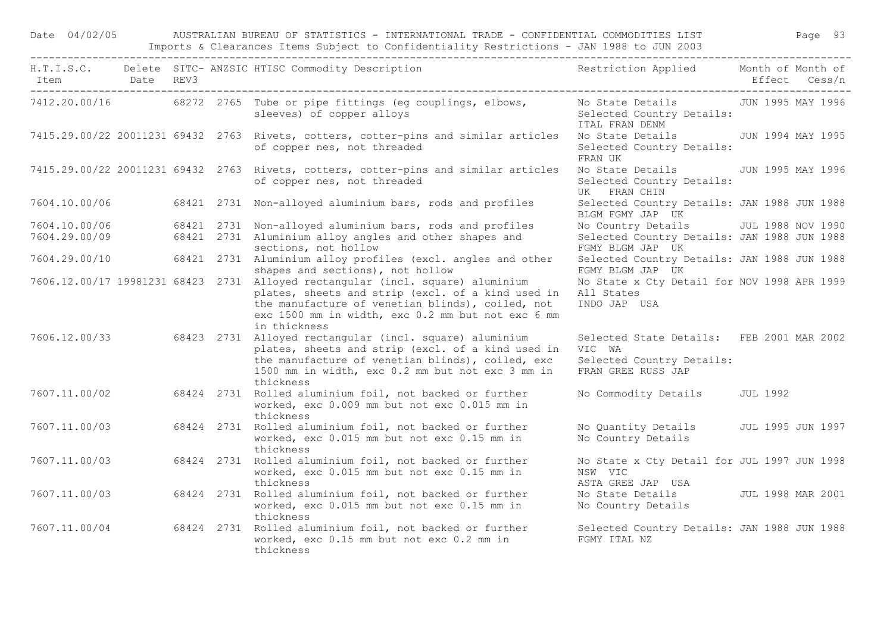Date 04/02/05 AUSTRALIAN BUREAU OF STATISTICS - INTERNATIONAL TRADE - CONFIDENTIAL COMMODITIES LIST Page 93 Imports & Clearances Items Subject to Confidentiality Restrictions - JAN 1988 to JUN 2003

| Item Date REV3 |  | H.T.I.S.C. Delete SITC-ANZSIC HTISC Commodity Description Nestriction Applied Month of Month of                                                                                                                                                              |                                                                                                        | Effect Cess/n |
|----------------|--|--------------------------------------------------------------------------------------------------------------------------------------------------------------------------------------------------------------------------------------------------------------|--------------------------------------------------------------------------------------------------------|---------------|
|                |  | 7412.20.00/16 68272 2765 Tube or pipe fittings (eg couplings, elbows,<br>sleeves) of copper alloys                                                                                                                                                           | No State Details - JUN 1995 MAY 1996<br>Selected Country Details:<br>ITAL FRAN DENM                    |               |
|                |  | 7415.29.00/22 20011231 69432 2763 Rivets, cotters, cotter-pins and similar articles<br>of copper nes, not threaded                                                                                                                                           | No State Details - JUN 1994 MAY 1995<br>Selected Country Details:<br>FRAN UK                           |               |
|                |  | 7415.29.00/22 20011231 69432 2763 Rivets, cotters, cotter-pins and similar articles<br>of copper nes, not threaded                                                                                                                                           | No State Details JUN 1995 MAY 1996<br>Selected Country Details:<br>UK FRAN CHIN                        |               |
| 7604.10.00/06  |  | 68421 2731 Non-alloyed aluminium bars, rods and profiles                                                                                                                                                                                                     | Selected Country Details: JAN 1988 JUN 1988<br>BLGM FGMY JAP UK                                        |               |
| 7604.10.00/06  |  | 68421 2731 Non-alloyed aluminium bars, rods and profiles                                                                                                                                                                                                     | No Country Details JUL 1988 NOV 1990                                                                   |               |
| 7604.29.00/09  |  | 68421 2731 Aluminium alloy angles and other shapes and<br>sections, not hollow                                                                                                                                                                               | Selected Country Details: JAN 1988 JUN 1988<br>FGMY BLGM JAP UK                                        |               |
| 7604.29.00/10  |  | 68421 2731 Aluminium alloy profiles (excl. angles and other<br>shapes and sections), not hollow                                                                                                                                                              | Selected Country Details: JAN 1988 JUN 1988<br>FGMY BLGM JAP UK                                        |               |
|                |  | 7606.12.00/17 19981231 68423 2731 Alloyed rectangular (incl. square) aluminium<br>plates, sheets and strip (excl. of a kind used in<br>the manufacture of venetian blinds), coiled, not<br>exc 1500 mm in width, exc 0.2 mm but not exc 6 mm<br>in thickness | No State x Cty Detail for NOV 1998 APR 1999<br>All States<br>INDO JAP USA                              |               |
|                |  | 7606.12.00/33 68423 2731 Alloyed rectangular (incl. square) aluminium<br>plates, sheets and strip (excl. of a kind used in<br>the manufacture of venetian blinds), coiled, exc<br>1500 mm in width, exc 0.2 mm but not exc 3 mm in<br>thickness              | Selected State Details: FEB 2001 MAR 2002<br>VIC WA<br>Selected Country Details:<br>FRAN GREE RUSS JAP |               |
| 7607.11.00/02  |  | 68424 2731 Rolled aluminium foil, not backed or further<br>worked, exc 0.009 mm but not exc 0.015 mm in<br>thickness                                                                                                                                         | No Commodity Details JUL 1992                                                                          |               |
| 7607.11.00/03  |  | 68424 2731 Rolled aluminium foil, not backed or further<br>worked, exc 0.015 mm but not exc 0.15 mm in<br>thickness                                                                                                                                          | No Quantity Details JUL 1995 JUN 1997<br>No Country Details                                            |               |
| 7607.11.00/03  |  | 68424 2731 Rolled aluminium foil, not backed or further<br>worked, exc 0.015 mm but not exc 0.15 mm in<br>thickness                                                                                                                                          | No State x Cty Detail for JUL 1997 JUN 1998<br>NSW VIC<br>ASTA GREE JAP USA                            |               |
| 7607.11.00/03  |  | 68424 2731 Rolled aluminium foil, not backed or further<br>worked, exc 0.015 mm but not exc 0.15 mm in<br>thickness                                                                                                                                          | No State Details 50 JUL 1998 MAR 2001<br>No Country Details                                            |               |
| 7607.11.00/04  |  | 68424 2731 Rolled aluminium foil, not backed or further<br>worked, exc 0.15 mm but not exc 0.2 mm in<br>thickness                                                                                                                                            | Selected Country Details: JAN 1988 JUN 1988<br>FGMY ITAL NZ                                            |               |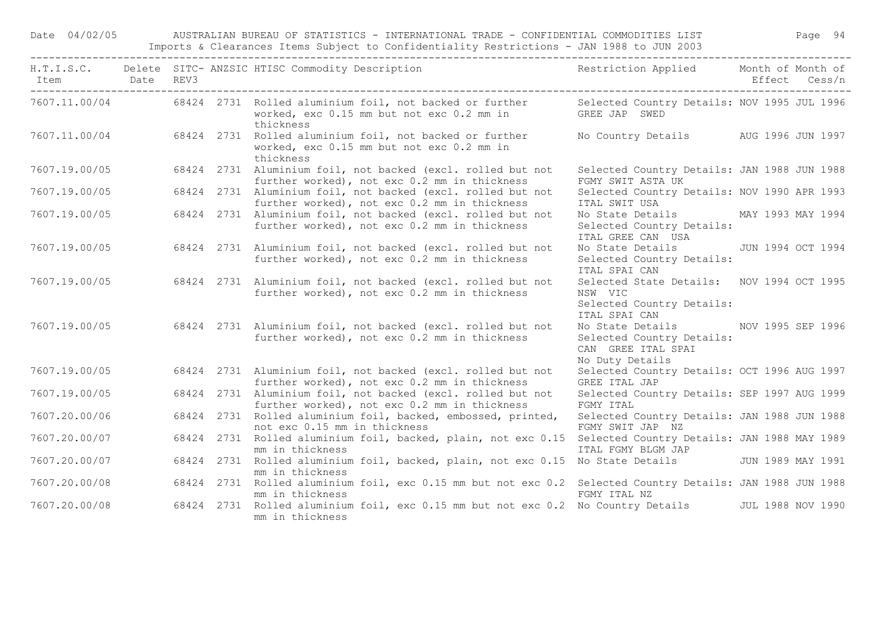Date 04/02/05 AUSTRALIAN BUREAU OF STATISTICS - INTERNATIONAL TRADE - CONFIDENTIAL COMMODITIES LIST Page 94 Imports & Clearances Items Subject to Confidentiality Restrictions - JAN 1988 to JUN 2003

| Item Date REV3 |  | H.T.I.S.C. Delete SITC-ANZSIC HTISC Commodity Description Nestriction Applied Month of Month of                                                                             |                                                                                                          | Effect Cess/n |  |
|----------------|--|-----------------------------------------------------------------------------------------------------------------------------------------------------------------------------|----------------------------------------------------------------------------------------------------------|---------------|--|
|                |  | 7607.11.00/04 68424 2731 Rolled aluminium foil, not backed or further Selected Country Details: NOV 1995 JUL 1996<br>worked, exc 0.15 mm but not exc 0.2 mm in<br>thickness | GREE JAP SWED                                                                                            |               |  |
|                |  | 7607.11.00/04 68424 2731 Rolled aluminium foil, not backed or further<br>worked, exc 0.15 mm but not exc 0.2 mm in<br>thickness                                             | No Country Details AUG 1996 JUN 1997                                                                     |               |  |
| 7607.19.00/05  |  | 68424 2731 Aluminium foil, not backed (excl. rolled but not<br>further worked), not exc 0.2 mm in thickness                                                                 | Selected Country Details: JAN 1988 JUN 1988<br>FGMY SWIT ASTA UK                                         |               |  |
| 7607.19.00/05  |  | 68424 2731 Aluminium foil, not backed (excl. rolled but not<br>further worked), not exc 0.2 mm in thickness                                                                 | Selected Country Details: NOV 1990 APR 1993<br>ITAL SWIT USA                                             |               |  |
| 7607.19.00/05  |  | 68424 2731 Aluminium foil, not backed (excl. rolled but not<br>further worked), not exc 0.2 mm in thickness                                                                 | No State Details MAY 1993 MAY 1994<br>Selected Country Details:<br>ITAL GREE CAN USA                     |               |  |
|                |  | 7607.19.00/05 68424 2731 Aluminium foil, not backed (excl. rolled but not<br>further worked), not exc 0.2 mm in thickness                                                   | No State Details JUN 1994 OCT 1994<br>Selected Country Details:<br>ITAL SPAI CAN                         |               |  |
| 7607.19.00/05  |  | 68424 2731 Aluminium foil, not backed (excl. rolled but not<br>further worked), not exc 0.2 mm in thickness                                                                 | Selected State Details: NOV 1994 OCT 1995<br>NSW VIC<br>Selected Country Details:<br>ITAL SPAI CAN       |               |  |
|                |  | 7607.19.00/05 68424 2731 Aluminium foil, not backed (excl. rolled but not<br>further worked), not exc 0.2 mm in thickness                                                   | No State Details MOV 1995 SEP 1996<br>Selected Country Details:<br>CAN GREE ITAL SPAI<br>No Duty Details |               |  |
| 7607.19.00/05  |  | 68424 2731 Aluminium foil, not backed (excl. rolled but not<br>further worked), not exc 0.2 mm in thickness                                                                 | Selected Country Details: OCT 1996 AUG 1997<br>GREE ITAL JAP                                             |               |  |
| 7607.19.00/05  |  | 68424 2731 Aluminium foil, not backed (excl. rolled but not<br>further worked), not exc 0.2 mm in thickness                                                                 | Selected Country Details: SEP 1997 AUG 1999<br>FGMY ITAL                                                 |               |  |
| 7607.20.00/06  |  | 68424 2731 Rolled aluminium foil, backed, embossed, printed,<br>not exc 0.15 mm in thickness                                                                                | Selected Country Details: JAN 1988 JUN 1988<br>FGMY SWIT JAP NZ                                          |               |  |
| 7607.20.00/07  |  | 68424 2731 Rolled aluminium foil, backed, plain, not exc 0.15 Selected Country Details: JAN 1988 MAY 1989<br>mm in thickness                                                | ITAL FGMY BLGM JAP                                                                                       |               |  |
| 7607.20.00/07  |  | 68424 2731 Rolled aluminium foil, backed, plain, not exc 0.15 No State Details JUN 1989 MAY 1991<br>mm in thickness                                                         |                                                                                                          |               |  |
| 7607.20.00/08  |  | 68424 2731 Rolled aluminium foil, exc 0.15 mm but not exc 0.2 Selected Country Details: JAN 1988 JUN 1988<br>mm in thickness                                                | FGMY ITAL NZ                                                                                             |               |  |
| 7607.20.00/08  |  | 68424 2731 Rolled aluminium foil, exc 0.15 mm but not exc 0.2 No Country Details JUL 1988 NOV 1990<br>mm in thickness                                                       |                                                                                                          |               |  |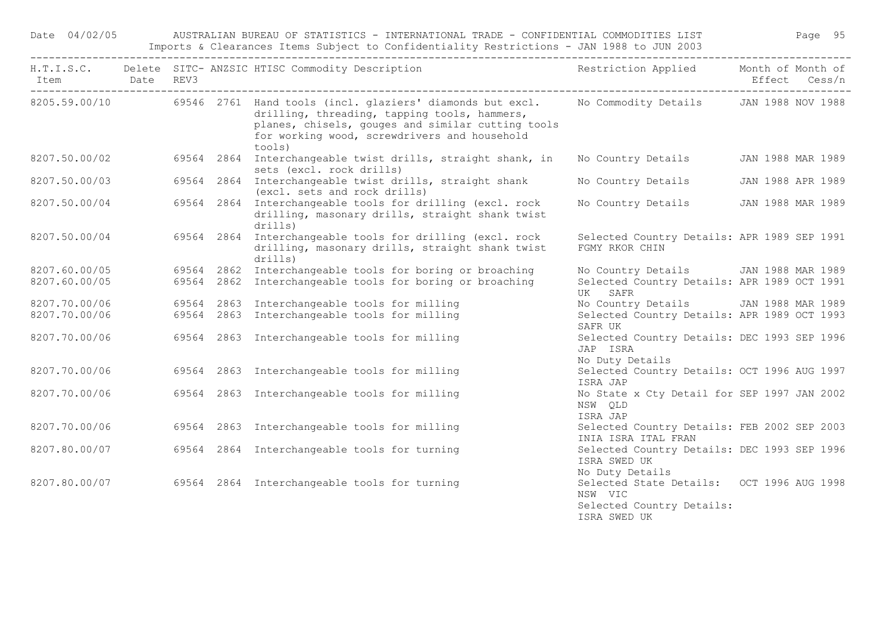Date 04/02/05 AUSTRALIAN BUREAU OF STATISTICS - INTERNATIONAL TRADE - CONFIDENTIAL COMMODITIES LIST Page 95 Imports & Clearances Items Subject to Confidentiality Restrictions - JAN 1988 to JUN 2003

| Item Date REV3 |  | H.T.I.S.C. Delete SITC-ANZSIC HTISC Commodity Description Nestriction Applied Month of Month of                                                                                                                                                                               |                                                                                                   | Effect Cess/n     |
|----------------|--|-------------------------------------------------------------------------------------------------------------------------------------------------------------------------------------------------------------------------------------------------------------------------------|---------------------------------------------------------------------------------------------------|-------------------|
|                |  | 8205.59.00/10 69546 2761 Hand tools (incl. glaziers' diamonds but excl. No Commodity Details JAN 1988 NOV 1988<br>drilling, threading, tapping tools, hammers,<br>planes, chisels, gouges and similar cutting tools<br>for working wood, screwdrivers and household<br>tools) |                                                                                                   |                   |
| 8207.50.00/02  |  | 69564 2864 Interchangeable twist drills, straight shank, in<br>sets (excl. rock drills)                                                                                                                                                                                       | No Country Details JAN 1988 MAR 1989                                                              |                   |
| 8207.50.00/03  |  | 69564 2864 Interchangeable twist drills, straight shank<br>(excl. sets and rock drills)                                                                                                                                                                                       | No Country Details                                                                                | JAN 1988 APR 1989 |
| 8207.50.00/04  |  | 69564 2864 Interchangeable tools for drilling (excl. rock<br>drilling, masonary drills, straight shank twist<br>drills)                                                                                                                                                       | No Country Details JAN 1988 MAR 1989                                                              |                   |
| 8207.50.00/04  |  | 69564 2864 Interchangeable tools for drilling (excl. rock<br>drilling, masonary drills, straight shank twist<br>drills)                                                                                                                                                       | Selected Country Details: APR 1989 SEP 1991<br>FGMY RKOR CHIN                                     |                   |
| 8207.60.00/05  |  | 69564 2862 Interchangeable tools for boring or broaching                                                                                                                                                                                                                      | No Country Details JAN 1988 MAR 1989                                                              |                   |
| 8207.60.00/05  |  | 69564 2862 Interchangeable tools for boring or broaching                                                                                                                                                                                                                      | Selected Country Details: APR 1989 OCT 1991<br>UK SAFR                                            |                   |
| 8207.70.00/06  |  | 69564 2863 Interchangeable tools for milling                                                                                                                                                                                                                                  | No Country Details JAN 1988 MAR 1989                                                              |                   |
| 8207.70.00/06  |  | 69564 2863 Interchangeable tools for milling                                                                                                                                                                                                                                  | Selected Country Details: APR 1989 OCT 1993<br>SAFR UK                                            |                   |
| 8207.70.00/06  |  | 69564 2863 Interchangeable tools for milling                                                                                                                                                                                                                                  | Selected Country Details: DEC 1993 SEP 1996<br>JAP ISRA<br>No Duty Details                        |                   |
| 8207.70.00/06  |  | 69564 2863 Interchangeable tools for milling                                                                                                                                                                                                                                  | Selected Country Details: OCT 1996 AUG 1997<br>ISRA JAP                                           |                   |
| 8207.70.00/06  |  | 69564 2863 Interchangeable tools for milling                                                                                                                                                                                                                                  | No State x Cty Detail for SEP 1997 JAN 2002<br>NSW QLD<br>ISRA JAP                                |                   |
| 8207.70.00/06  |  | 69564 2863 Interchangeable tools for milling                                                                                                                                                                                                                                  | Selected Country Details: FEB 2002 SEP 2003<br>INIA ISRA ITAL FRAN                                |                   |
| 8207.80.00/07  |  | 69564 2864 Interchangeable tools for turning                                                                                                                                                                                                                                  | Selected Country Details: DEC 1993 SEP 1996<br>ISRA SWED UK<br>No Duty Details                    |                   |
| 8207.80.00/07  |  | 69564 2864 Interchangeable tools for turning                                                                                                                                                                                                                                  | Selected State Details: OCT 1996 AUG 1998<br>NSW VIC<br>Selected Country Details:<br>ISRA SWED UK |                   |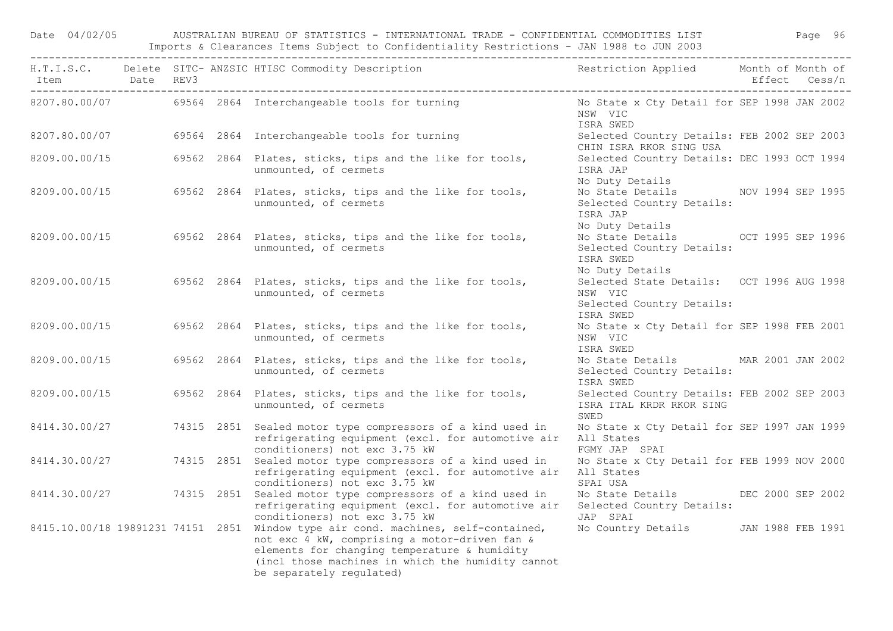Date 04/02/05 AUSTRALIAN BUREAU OF STATISTICS - INTERNATIONAL TRADE - CONFIDENTIAL COMMODITIES LIST Page 96 Imports & Clearances Items Subject to Confidentiality Restrictions - JAN 1988 to JUN 2003

|               |  | H.T.I.S.C. Delete SITC-ANZSIC HTISC Commodity Description Nestriction Applied Month of Month of                                                                                                                                                                     |                                                                                                 |  |
|---------------|--|---------------------------------------------------------------------------------------------------------------------------------------------------------------------------------------------------------------------------------------------------------------------|-------------------------------------------------------------------------------------------------|--|
|               |  | 8207.80.00/07 69564 2864 Interchangeable tools for turning                                                                                                                                                                                                          | No State x Cty Detail for SEP 1998 JAN 2002<br>NSW VIC<br>ISRA SWED                             |  |
|               |  | 8207.80.00/07 69564 2864 Interchangeable tools for turning                                                                                                                                                                                                          | Selected Country Details: FEB 2002 SEP 2003<br>CHIN ISRA RKOR SING USA                          |  |
| 8209.00.00/15 |  | 69562 2864 Plates, sticks, tips and the like for tools,<br>unmounted, of cermets                                                                                                                                                                                    | Selected Country Details: DEC 1993 OCT 1994<br>ISRA JAP<br>No Duty Details                      |  |
|               |  | 8209.00.00/15 69562 2864 Plates, sticks, tips and the like for tools,<br>unmounted, of cermets                                                                                                                                                                      | No State Details NOV 1994 SEP 1995<br>Selected Country Details:<br>ISRA JAP<br>No Duty Details  |  |
|               |  | 8209.00.00/15 69562 2864 Plates, sticks, tips and the like for tools,<br>unmounted, of cermets                                                                                                                                                                      | No State Details OCT 1995 SEP 1996<br>Selected Country Details:<br>ISRA SWED<br>No Duty Details |  |
|               |  | 8209.00.00/15 69562 2864 Plates, sticks, tips and the like for tools,<br>unmounted, of cermets                                                                                                                                                                      | Selected State Details: OCT 1996 AUG 1998<br>NSW VIC<br>Selected Country Details:<br>ISRA SWED  |  |
|               |  | 8209.00.00/15 69562 2864 Plates, sticks, tips and the like for tools,<br>unmounted, of cermets                                                                                                                                                                      | No State x Cty Detail for SEP 1998 FEB 2001<br>NSW VIC<br>ISRA SWED                             |  |
| 8209.00.00/15 |  | 69562 2864 Plates, sticks, tips and the like for tools,<br>unmounted, of cermets                                                                                                                                                                                    | No State Details MAR 2001 JAN 2002<br>Selected Country Details:<br>ISRA SWED                    |  |
| 8209.00.00/15 |  | 69562 2864 Plates, sticks, tips and the like for tools,<br>unmounted, of cermets                                                                                                                                                                                    | Selected Country Details: FEB 2002 SEP 2003<br>ISRA ITAL KRDR RKOR SING<br>SWED                 |  |
| 8414.30.00/27 |  | 74315 2851 Sealed motor type compressors of a kind used in<br>refrigerating equipment (excl. for automotive air<br>conditioners) not exc 3.75 kW                                                                                                                    | No State x Cty Detail for SEP 1997 JAN 1999<br>All States<br>FGMY JAP SPAI                      |  |
| 8414.30.00/27 |  | 74315 2851 Sealed motor type compressors of a kind used in<br>refrigerating equipment (excl. for automotive air<br>conditioners) not exc 3.75 kW                                                                                                                    | No State x Cty Detail for FEB 1999 NOV 2000<br>All States<br>SPAI USA                           |  |
|               |  | 8414.30.00/27 74315 2851 Sealed motor type compressors of a kind used in<br>refrigerating equipment (excl. for automotive air<br>conditioners) not exc 3.75 kW                                                                                                      | No State Details DEC 2000 SEP 2002<br>Selected Country Details:<br>JAP SPAI                     |  |
|               |  | 8415.10.00/18 19891231 74151 2851 Window type air cond. machines, self-contained,<br>not exc 4 kW, comprising a motor-driven fan &<br>elements for changing temperature & humidity<br>(incl those machines in which the humidity cannot<br>be separately regulated) | No Country Details JAN 1988 FEB 1991                                                            |  |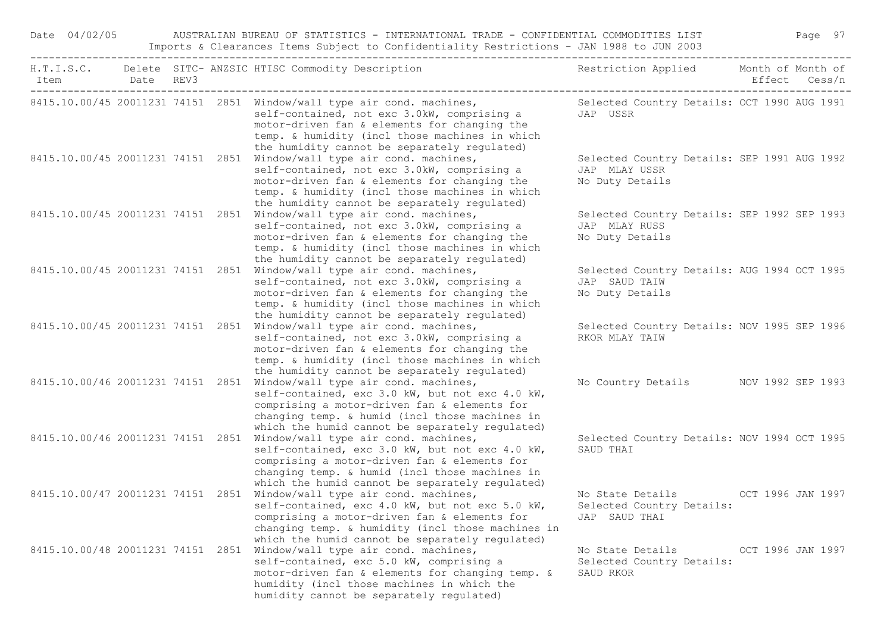| Date 04/02/05                     |  | AUSTRALIAN BUREAU OF STATISTICS - INTERNATIONAL TRADE - CONFIDENTIAL COMMODITIES LIST<br>Imports & Clearances Items Subject to Confidentiality Restrictions - JAN 1988 to JUN 2003                                                                                                                                  |                                                                                 |                   | Page 97 |
|-----------------------------------|--|---------------------------------------------------------------------------------------------------------------------------------------------------------------------------------------------------------------------------------------------------------------------------------------------------------------------|---------------------------------------------------------------------------------|-------------------|---------|
| Item                              |  | H.T.I.S.C. Delete SITC- ANZSIC HTISC Commodity Description                                                                                                                                                                                                                                                          | Restriction Applied Month of Month of                                           |                   |         |
|                                   |  | 8415.10.00/45 20011231 74151 2851 Window/wall type air cond. machines, Selected Country Details: OCT 1990 AUG 1991<br>self-contained, not exc 3.0kW, comprising a<br>motor-driven fan & elements for changing the<br>temp. & humidity (incl those machines in which<br>the humidity cannot be separately regulated) | JAP USSR                                                                        |                   |         |
|                                   |  | 8415.10.00/45 20011231 74151 2851 Window/wall type air cond. machines,<br>self-contained, not exc 3.0kW, comprising a<br>motor-driven fan & elements for changing the<br>temp. & humidity (incl those machines in which<br>the humidity cannot be separately regulated)                                             | Selected Country Details: SEP 1991 AUG 1992<br>JAP MLAY USSR<br>No Duty Details |                   |         |
| 8415.10.00/45 20011231 74151 2851 |  | Window/wall type air cond. machines,<br>self-contained, not exc 3.0kW, comprising a<br>motor-driven fan & elements for changing the<br>temp. & humidity (incl those machines in which<br>the humidity cannot be separately regulated)                                                                               | Selected Country Details: SEP 1992 SEP 1993<br>JAP MLAY RUSS<br>No Duty Details |                   |         |
|                                   |  | 8415.10.00/45 20011231 74151 2851 Window/wall type air cond. machines,<br>self-contained, not exc 3.0kW, comprising a<br>motor-driven fan & elements for changing the<br>temp. & humidity (incl those machines in which<br>the humidity cannot be separately regulated)                                             | Selected Country Details: AUG 1994 OCT 1995<br>JAP SAUD TAIW<br>No Duty Details |                   |         |
|                                   |  | 8415.10.00/45 20011231 74151 2851 Window/wall type air cond. machines,<br>self-contained, not exc 3.0kW, comprising a<br>motor-driven fan & elements for changing the<br>temp. & humidity (incl those machines in which<br>the humidity cannot be separately regulated)                                             | Selected Country Details: NOV 1995 SEP 1996<br>RKOR MLAY TAIW                   |                   |         |
| 8415.10.00/46 20011231 74151 2851 |  | Window/wall type air cond. machines,<br>self-contained, exc 3.0 kW, but not exc 4.0 kW,<br>comprising a motor-driven fan & elements for<br>changing temp. & humid (incl those machines in<br>which the humid cannot be separately regulated)                                                                        | No Country Details MOV 1992 SEP 1993                                            |                   |         |
|                                   |  | 8415.10.00/46 20011231 74151 2851 Window/wall type air cond. machines,<br>self-contained, exc 3.0 kW, but not exc 4.0 kW,<br>comprising a motor-driven fan & elements for<br>changing temp. & humid (incl those machines in<br>which the humid cannot be separately regulated)                                      | Selected Country Details: NOV 1994 OCT 1995<br>SAUD THAI                        |                   |         |
|                                   |  | 8415.10.00/47 20011231 74151 2851 Window/wall type air cond. machines,<br>self-contained, exc 4.0 kW, but not exc 5.0 kW, Selected Country Details:<br>comprising a motor-driven fan & elements for<br>changing temp. & humidity (incl those machines in<br>which the humid cannot be separately regulated)         | No State Details<br>JAP SAUD THAI                                               | OCT 1996 JAN 1997 |         |
|                                   |  | 8415.10.00/48 20011231 74151 2851 Window/wall type air cond. machines,<br>self-contained, exc 5.0 kW, comprising a<br>motor-driven fan & elements for changing temp. &<br>humidity (incl those machines in which the<br>humidity cannot be separately regulated)                                                    | No State Details<br>Selected Country Details:<br>SAUD RKOR                      | OCT 1996 JAN 1997 |         |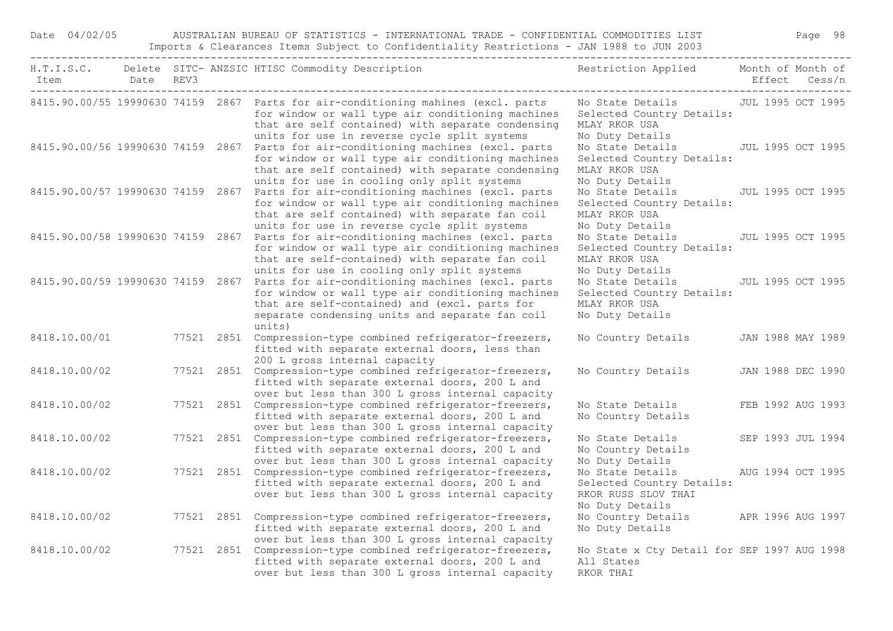| Date 04/02/05                     |  |            | AUSTRALIAN BUREAU OF STATISTICS - INTERNATIONAL TRADE - CONFIDENTIAL COMMODITIES LIST<br>Imports & Clearances Items Subject to Confidentiality Restrictions - JAN 1988 to JUN 2003                                                                                                        |                                                                                                                        | Page 98           |
|-----------------------------------|--|------------|-------------------------------------------------------------------------------------------------------------------------------------------------------------------------------------------------------------------------------------------------------------------------------------------|------------------------------------------------------------------------------------------------------------------------|-------------------|
|                                   |  |            | H.T.I.S.C. Delete SITC- ANZSIC HTISC Commodity Description<br>Item Date REV3                                                                                                                                                                                                              | Restriction Applied Month of Month of                                                                                  | Effect Cess/n     |
|                                   |  |            | 8415.90.00/55 19990630 74159 2867 Parts for air-conditioning mahines (excl. parts<br>for window or wall type air conditioning machines<br>that are self contained) with separate condensing                                                                                               | No State Details JUL 1995 OCT 1995<br>Selected Country Details:<br>MLAY RKOR USA<br>No Duty Details                    |                   |
|                                   |  |            | units for use in reverse cycle split systems<br>8415.90.00/56 19990630 74159 2867 Parts for air-conditioning machines (excl. parts<br>for window or wall type air conditioning machines<br>that are self contained) with separate condensing                                              | No State Details JUL 1995 OCT 1995<br>Selected Country Details:<br>MLAY RKOR USA                                       |                   |
|                                   |  |            | units for use in cooling only split systems<br>8415.90.00/57 19990630 74159 2867 Parts for air-conditioning machines (excl. parts<br>for window or wall type air conditioning machines<br>that are self contained) with separate fan coil<br>units for use in reverse cycle split systems | No Duty Details<br>No State Details JUL 1995 OCT 1995<br>Selected Country Details:<br>MLAY RKOR USA<br>No Duty Details |                   |
| 8415.90.00/58 19990630 74159 2867 |  |            | Parts for air-conditioning machines (excl. parts<br>for window or wall type air conditioning machines<br>that are self-contained) with separate fan coil<br>units for use in cooling only split systems                                                                                   | No State Details<br>Selected Country Details:<br>MLAY RKOR USA<br>No Duty Details                                      | JUL 1995 OCT 1995 |
|                                   |  |            | 8415.90.00/59 19990630 74159 2867 Parts for air-conditioning machines (excl. parts<br>for window or wall type air conditioning machines<br>that are self-contained) and (excl. parts for<br>separate condensing units and separate fan coil<br>units)                                     | No State Details<br>Selected Country Details:<br>MLAY RKOR USA<br>No Duty Details                                      | JUL 1995 OCT 1995 |
| 8418.10.00/01                     |  |            | 77521 2851 Compression-type combined refrigerator-freezers,<br>fitted with separate external doors, less than<br>200 L gross internal capacity                                                                                                                                            | No Country Details JAN 1988 MAY 1989                                                                                   |                   |
| 8418.10.00/02                     |  |            | 77521 2851 Compression-type combined refrigerator-freezers,<br>fitted with separate external doors, 200 L and<br>over but less than 300 L gross internal capacity                                                                                                                         | No Country Details                                                                                                     | JAN 1988 DEC 1990 |
| 8418.10.00/02                     |  |            | 77521 2851 Compression-type combined refrigerator-freezers,<br>fitted with separate external doors, 200 L and<br>over but less than 300 L gross internal capacity                                                                                                                         | No State Details<br>No Country Details                                                                                 | FEB 1992 AUG 1993 |
| 8418.10.00/02                     |  |            | 77521 2851 Compression-type combined refrigerator-freezers,<br>fitted with separate external doors, 200 L and<br>over but less than 300 L gross internal capacity                                                                                                                         | No State Details<br>No Country Details<br>No Duty Details                                                              | SEP 1993 JUL 1994 |
| 8418.10.00/02                     |  |            | 77521 2851 Compression-type combined refrigerator-freezers,<br>fitted with separate external doors, 200 L and<br>over but less than 300 L gross internal capacity                                                                                                                         | No State Details<br>Selected Country Details:<br>RKOR RUSS SLOV THAI<br>No Duty Details                                | AUG 1994 OCT 1995 |
| 8418.10.00/02                     |  | 77521 2851 | Compression-type combined refrigerator-freezers,<br>fitted with separate external doors, 200 L and<br>over but less than 300 L gross internal capacity                                                                                                                                    | No Country Details<br>No Duty Details                                                                                  | APR 1996 AUG 1997 |
| 8418.10.00/02                     |  |            | 77521 2851 Compression-type combined refrigerator-freezers,<br>fitted with separate external doors, 200 L and<br>over but less than 300 L gross internal capacity                                                                                                                         | No State x Cty Detail for SEP 1997 AUG 1998<br>All States<br>RKOR THAI                                                 |                   |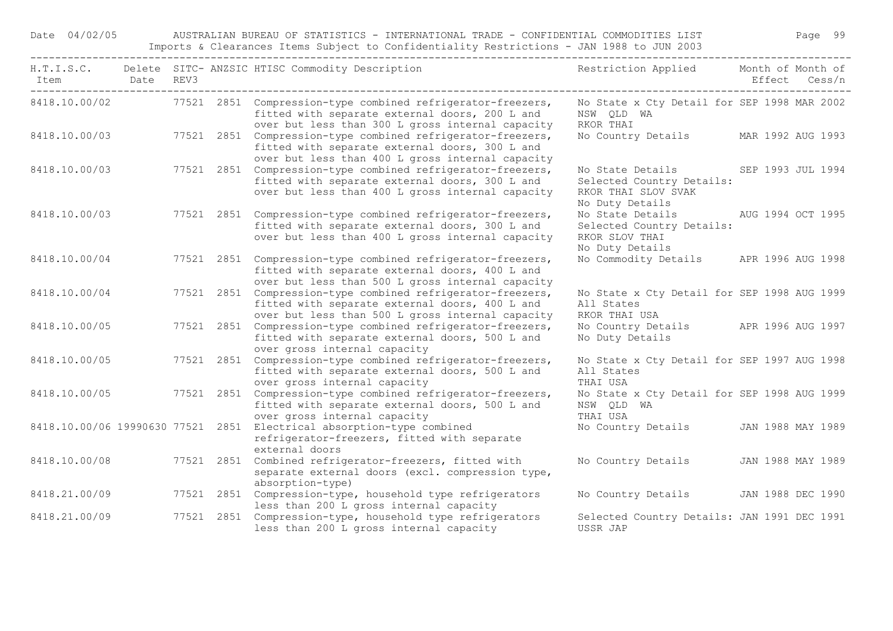Date 04/02/05 AUSTRALIAN BUREAU OF STATISTICS - INTERNATIONAL TRADE - CONFIDENTIAL COMMODITIES LIST Page 99 Imports & Clearances Items Subject to Confidentiality Restrictions - JAN 1988 to JUN 2003

| Item Date REV3 |  | H.T.I.S.C. Delete SITC- ANZSIC HTISC Commodity Description                                                                                                        | Restriction Applied Month of Month of                                                                     | Effect Cess/n     |
|----------------|--|-------------------------------------------------------------------------------------------------------------------------------------------------------------------|-----------------------------------------------------------------------------------------------------------|-------------------|
| 8418.10.00/02  |  | 77521 2851 Compression-type combined refrigerator-freezers,<br>fitted with separate external doors, 200 L and<br>over but less than 300 L gross internal capacity | No State x Cty Detail for SEP 1998 MAR 2002<br>NSW OLD WA<br>RKOR THAI                                    |                   |
| 8418.10.00/03  |  | 77521 2851 Compression-type combined refrigerator-freezers,<br>fitted with separate external doors, 300 L and<br>over but less than 400 L gross internal capacity | No Country Details MAR 1992 AUG 1993                                                                      |                   |
| 8418.10.00/03  |  | 77521 2851 Compression-type combined refrigerator-freezers,<br>fitted with separate external doors, 300 L and<br>over but less than 400 L gross internal capacity | No State Details SEP 1993 JUL 1994<br>Selected Country Details:<br>RKOR THAI SLOV SVAK<br>No Duty Details |                   |
| 8418.10.00/03  |  | 77521 2851 Compression-type combined refrigerator-freezers,<br>fitted with separate external doors, 300 L and<br>over but less than 400 L gross internal capacity | No State Details AUG 1994 OCT 1995<br>Selected Country Details:<br>RKOR SLOV THAI<br>No Duty Details      |                   |
| 8418.10.00/04  |  | 77521 2851 Compression-type combined refrigerator-freezers,<br>fitted with separate external doors, 400 L and<br>over but less than 500 L gross internal capacity | No Commodity Details APR 1996 AUG 1998                                                                    |                   |
| 8418.10.00/04  |  | 77521 2851 Compression-type combined refrigerator-freezers,<br>fitted with separate external doors, 400 L and<br>over but less than 500 L gross internal capacity | No State x Cty Detail for SEP 1998 AUG 1999<br>All States<br>RKOR THAI USA                                |                   |
| 8418.10.00/05  |  | 77521 2851 Compression-type combined refrigerator-freezers,<br>fitted with separate external doors, 500 L and<br>over gross internal capacity                     | No Country Details APR 1996 AUG 1997<br>No Duty Details                                                   |                   |
| 8418.10.00/05  |  | 77521 2851 Compression-type combined refrigerator-freezers,<br>fitted with separate external doors, 500 L and<br>over gross internal capacity                     | No State x Cty Detail for SEP 1997 AUG 1998<br>All States<br>THAI USA                                     |                   |
| 8418.10.00/05  |  | 77521 2851 Compression-type combined refrigerator-freezers,<br>fitted with separate external doors, 500 L and<br>over gross internal capacity                     | No State x Cty Detail for SEP 1998 AUG 1999<br>NSW QLD WA<br>THAI USA                                     |                   |
|                |  | 8418.10.00/06 19990630 77521 2851 Electrical absorption-type combined<br>refrigerator-freezers, fitted with separate<br>external doors                            | No Country Details JAN 1988 MAY 1989                                                                      |                   |
| 8418.10.00/08  |  | 77521 2851 Combined refrigerator-freezers, fitted with<br>separate external doors (excl. compression type,<br>absorption-type)                                    | No Country Details                                                                                        | JAN 1988 MAY 1989 |
| 8418.21.00/09  |  | 77521 2851 Compression-type, household type refrigerators<br>less than 200 L gross internal capacity                                                              | No Country Details                                                                                        | JAN 1988 DEC 1990 |
| 8418.21.00/09  |  | 77521 2851 Compression-type, household type refrigerators<br>less than 200 L gross internal capacity                                                              | Selected Country Details: JAN 1991 DEC 1991<br>USSR JAP                                                   |                   |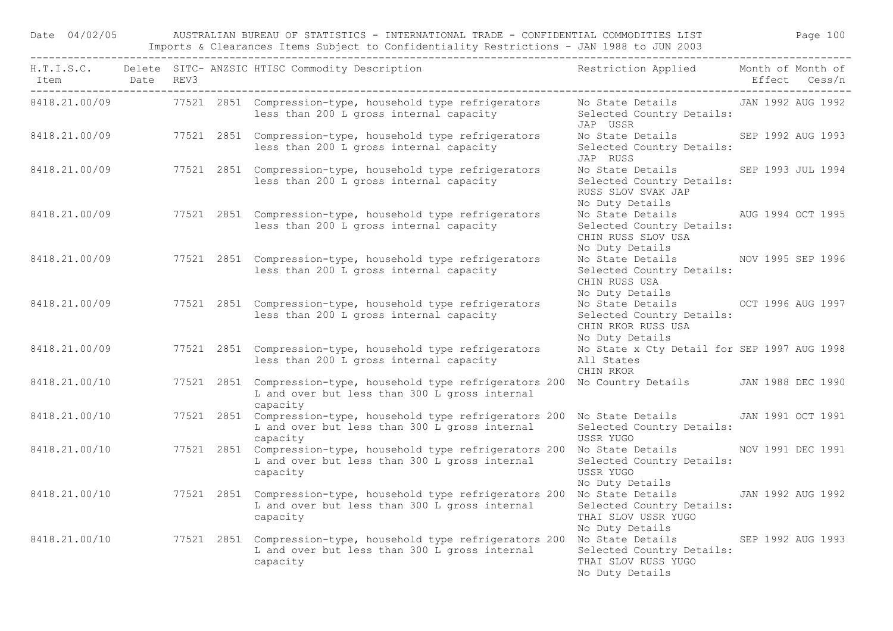Date 04/02/05 AUSTRALIAN BUREAU OF STATISTICS - INTERNATIONAL TRADE - CONFIDENTIAL COMMODITIES LIST Page 100 Imports & Clearances Items Subject to Confidentiality Restrictions - JAN 1988 to JUN 2003

| Item Date REV3 |  | H.T.I.S.C. Delete SITC-ANZSIC HTISC Commodity Description The Restriction Applied Month of Month of                                                           |                                                                                                          | Effect Cess/n     |
|----------------|--|---------------------------------------------------------------------------------------------------------------------------------------------------------------|----------------------------------------------------------------------------------------------------------|-------------------|
|                |  | 8418.21.00/09 77521 2851 Compression-type, household type refrigerators Mo State Details JAN 1992 AUG 1992<br>less than 200 L gross internal capacity         | Selected Country Details:<br>JAP USSR                                                                    |                   |
|                |  | 8418.21.00/09 77521 2851 Compression-type, household type refrigerators<br>less than 200 L gross internal capacity                                            | No State Details SEP 1992 AUG 1993<br>Selected Country Details:<br>JAP RUSS                              |                   |
|                |  | 8418.21.00/09 77521 2851 Compression-type, household type refrigerators<br>less than 200 L gross internal capacity                                            | No State Details SEP 1993 JUL 1994<br>Selected Country Details:<br>RUSS SLOV SVAK JAP<br>No Duty Details |                   |
| 8418.21.00/09  |  | 77521 2851 Compression-type, household type refrigerators<br>less than 200 L gross internal capacity                                                          | No State Details AUG 1994 OCT 1995<br>Selected Country Details:<br>CHIN RUSS SLOV USA<br>No Duty Details |                   |
| 8418.21.00/09  |  | 77521 2851 Compression-type, household type refrigerators<br>less than 200 L gross internal capacity                                                          | No State Details NOV 1995 SEP 1996<br>Selected Country Details:<br>CHIN RUSS USA<br>No Duty Details      |                   |
| 8418.21.00/09  |  | 77521 2851 Compression-type, household type refrigerators<br>less than 200 L gross internal capacity                                                          | No State Details OCT 1996 AUG 1997<br>Selected Country Details:<br>CHIN RKOR RUSS USA<br>No Duty Details |                   |
| 8418.21.00/09  |  | 77521 2851 Compression-type, household type refrigerators<br>less than 200 L gross internal capacity                                                          | No State x Cty Detail for SEP 1997 AUG 1998<br>All States<br>CHIN RKOR                                   |                   |
| 8418.21.00/10  |  | 77521 2851 Compression-type, household type refrigerators 200<br>L and over but less than 300 L gross internal<br>capacity                                    | No Country Details JAN 1988 DEC 1990                                                                     |                   |
| 8418.21.00/10  |  | 77521 2851 Compression-type, household type refrigerators 200 No State Details JAN 1991 OCT 1991<br>L and over but less than 300 L gross internal<br>capacity | Selected Country Details:<br>USSR YUGO                                                                   |                   |
| 8418.21.00/10  |  | 77521 2851 Compression-type, household type refrigerators 200 No State Details MOV 1991 DEC 1991<br>L and over but less than 300 L gross internal<br>capacity | Selected Country Details:<br>USSR YUGO<br>No Duty Details                                                |                   |
| 8418.21.00/10  |  | 77521 2851 Compression-type, household type refrigerators 200<br>L and over but less than 300 L gross internal<br>capacity                                    | No State Details<br>Selected Country Details:<br>THAI SLOV USSR YUGO<br>No Duty Details                  | JAN 1992 AUG 1992 |
| 8418.21.00/10  |  | 77521 2851 Compression-type, household type refrigerators 200 No State Details SEP 1992 AUG 1993<br>L and over but less than 300 L gross internal<br>capacity | Selected Country Details:<br>THAI SLOV RUSS YUGO<br>No Duty Details                                      |                   |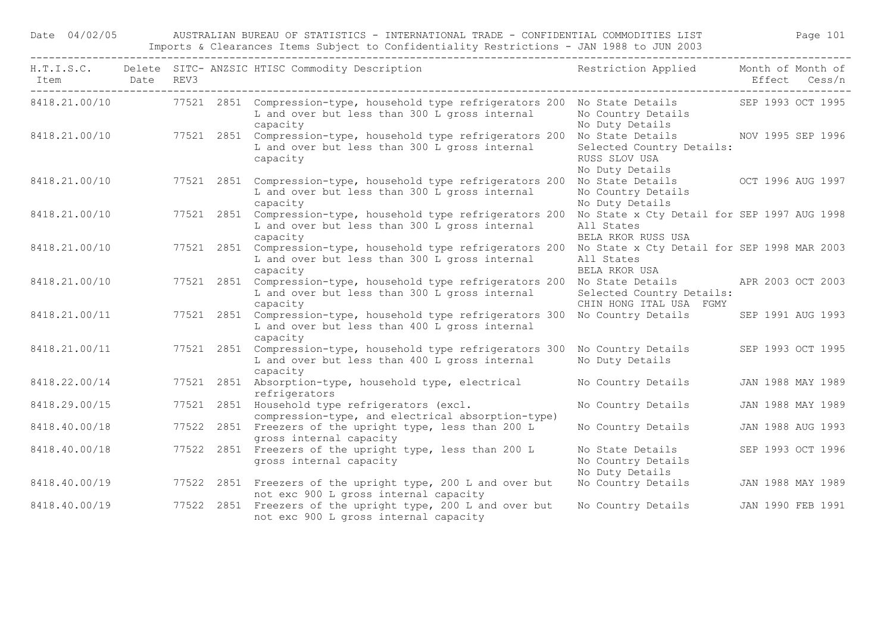Date 04/02/05 AUSTRALIAN BUREAU OF STATISTICS - INTERNATIONAL TRADE - CONFIDENTIAL COMMODITIES LIST Page 101 Imports & Clearances Items Subject to Confidentiality Restrictions - JAN 1988 to JUN 2003

| Item Date REV3 |  |            | H.T.I.S.C. Delete SITC- ANZSIC HTISC Commodity Description                                                                                                                  | Restriction Applied Month of Month of                                                               | Effect Cess/n     |
|----------------|--|------------|-----------------------------------------------------------------------------------------------------------------------------------------------------------------------------|-----------------------------------------------------------------------------------------------------|-------------------|
|                |  |            | 8418.21.00/10 77521 2851 Compression-type, household type refrigerators 200 No State Details SEP 1993 OCT 1995<br>L and over but less than 300 L gross internal<br>capacity | No Country Details<br>No Duty Details                                                               |                   |
| 8418.21.00/10  |  |            | 77521 2851 Compression-type, household type refrigerators 200<br>L and over but less than 300 L gross internal<br>capacity                                                  | No State Details NOV 1995 SEP 1996<br>Selected Country Details:<br>RUSS SLOV USA<br>No Duty Details |                   |
| 8418.21.00/10  |  |            | 77521 2851 Compression-type, household type refrigerators 200<br>L and over but less than 300 L gross internal<br>capacity                                                  | No State Details OCT 1996 AUG 1997<br>No Country Details<br>No Duty Details                         |                   |
| 8418.21.00/10  |  |            | 77521 2851 Compression-type, household type refrigerators 200<br>L and over but less than 300 L gross internal<br>capacity                                                  | No State x Cty Detail for SEP 1997 AUG 1998<br>All States<br>BELA RKOR RUSS USA                     |                   |
| 8418.21.00/10  |  | 77521 2851 | Compression-type, household type refrigerators 200<br>L and over but less than 300 L gross internal<br>capacity                                                             | No State x Cty Detail for SEP 1998 MAR 2003<br>All States<br>BELA RKOR USA                          |                   |
| 8418.21.00/10  |  |            | 77521 2851 Compression-type, household type refrigerators 200<br>L and over but less than 300 L gross internal<br>capacity                                                  | No State Details APR 2003 OCT 2003<br>Selected Country Details:<br>CHIN HONG ITAL USA FGMY          |                   |
| 8418.21.00/11  |  |            | 77521 2851 Compression-type, household type refrigerators 300<br>L and over but less than 400 L gross internal<br>capacity                                                  | No Country Details                                                                                  | SEP 1991 AUG 1993 |
| 8418.21.00/11  |  | 77521 2851 | Compression-type, household type refrigerators 300<br>L and over but less than 400 L gross internal<br>capacity                                                             | No Country Details<br>No Duty Details                                                               | SEP 1993 OCT 1995 |
| 8418.22.00/14  |  |            | 77521 2851 Absorption-type, household type, electrical<br>refrigerators                                                                                                     | No Country Details                                                                                  | JAN 1988 MAY 1989 |
| 8418.29.00/15  |  |            | 77521 2851 Household type refrigerators (excl.<br>compression-type, and electrical absorption-type)                                                                         | No Country Details                                                                                  | JAN 1988 MAY 1989 |
| 8418.40.00/18  |  |            | 77522 2851 Freezers of the upright type, less than 200 L<br>gross internal capacity                                                                                         | No Country Details                                                                                  | JAN 1988 AUG 1993 |
| 8418.40.00/18  |  |            | 77522 2851 Freezers of the upright type, less than 200 L<br>gross internal capacity                                                                                         | No State Details<br>No Country Details<br>No Duty Details                                           | SEP 1993 OCT 1996 |
| 8418.40.00/19  |  |            | 77522 2851 Freezers of the upright type, 200 L and over but<br>not exc 900 L gross internal capacity                                                                        | No Country Details                                                                                  | JAN 1988 MAY 1989 |
| 8418.40.00/19  |  |            | 77522 2851 Freezers of the upright type, 200 L and over but<br>not exc 900 L gross internal capacity                                                                        | No Country Details                                                                                  | JAN 1990 FEB 1991 |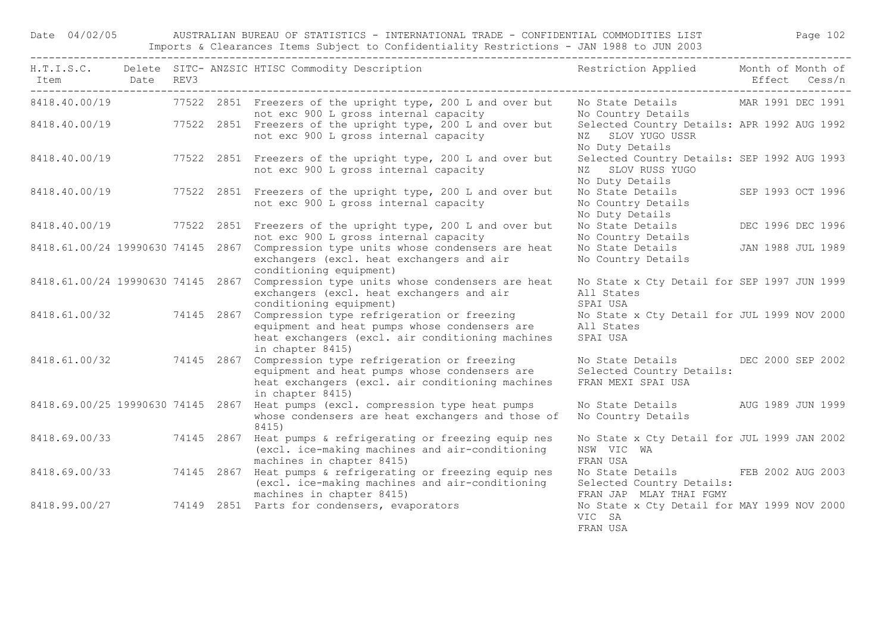Date 04/02/05 AUSTRALIAN BUREAU OF STATISTICS - INTERNATIONAL TRADE - CONFIDENTIAL COMMODITIES LIST Page 102 Imports & Clearances Items Subject to Confidentiality Restrictions - JAN 1988 to JUN 2003

| Item Date REV3<br>----------------------------- |  |            | H.T.I.S.C. Delete SITC-ANZSIC HTISC Commodity Description Nestriction Applied Month of Month of                                                                     |                                                                                            | Effect Cess/n     |  |
|-------------------------------------------------|--|------------|---------------------------------------------------------------------------------------------------------------------------------------------------------------------|--------------------------------------------------------------------------------------------|-------------------|--|
|                                                 |  |            | 8418.40.00/19 77522 2851 Freezers of the upright type, 200 L and over but<br>not exc 900 L gross internal capacity                                                  | No State Details MAR 1991 DEC 1991<br>No Country Details                                   |                   |  |
|                                                 |  |            | 8418.40.00/19 77522 2851 Freezers of the upright type, 200 L and over but<br>not exc 900 L gross internal capacity                                                  | Selected Country Details: APR 1992 AUG 1992<br>NZ SLOV YUGO USSR<br>No Duty Details        |                   |  |
| 8418.40.00/19                                   |  |            | 77522 2851 Freezers of the upright type, 200 L and over but<br>not exc 900 L gross internal capacity                                                                | Selected Country Details: SEP 1992 AUG 1993<br>NZ SLOV RUSS YUGO<br>No Duty Details        |                   |  |
| 8418.40.00/19                                   |  |            | 77522 2851 Freezers of the upright type, 200 L and over but<br>not exc 900 L gross internal capacity                                                                | No State Details SEP 1993 OCT 1996<br>No Country Details<br>No Duty Details                |                   |  |
|                                                 |  |            | 8418.40.00/19 77522 2851 Freezers of the upright type, 200 L and over but<br>not exc 900 L gross internal capacity                                                  | No State Details<br>No Country Details                                                     | DEC 1996 DEC 1996 |  |
| 8418.61.00/24 19990630 74145 2867               |  |            | Compression type units whose condensers are heat<br>exchangers (excl. heat exchangers and air<br>conditioning equipment)                                            | No State Details<br>No Country Details                                                     | JAN 1988 JUL 1989 |  |
| 8418.61.00/24 19990630 74145 2867               |  |            | Compression type units whose condensers are heat<br>exchangers (excl. heat exchangers and air<br>conditioning equipment)                                            | No State x Cty Detail for SEP 1997 JUN 1999<br>All States<br>SPAI USA                      |                   |  |
| 8418.61.00/32 74145 2867                        |  |            | Compression type refrigeration or freezing<br>equipment and heat pumps whose condensers are<br>heat exchangers (excl. air conditioning machines<br>in chapter 8415) | No State x Cty Detail for JUL 1999 NOV 2000<br>All States<br>SPAI USA                      |                   |  |
| 8418.61.00/32 74145 2867                        |  |            | Compression type refrigeration or freezing<br>equipment and heat pumps whose condensers are<br>heat exchangers (excl. air conditioning machines<br>in chapter 8415) | No State Details DEC 2000 SEP 2002<br>Selected Country Details:<br>FRAN MEXI SPAI USA      |                   |  |
| 8418.69.00/25 19990630 74145 2867               |  |            | Heat pumps (excl. compression type heat pumps<br>whose condensers are heat exchangers and those of<br>8415)                                                         | No State Details AUG 1989 JUN 1999<br>No Country Details                                   |                   |  |
| 8418.69.00/33 74145 2867                        |  |            | Heat pumps & refrigerating or freezing equip nes<br>(excl. ice-making machines and air-conditioning<br>machines in chapter 8415)                                    | No State x Cty Detail for JUL 1999 JAN 2002<br>NSW VIC WA<br>FRAN USA                      |                   |  |
| 8418.69.00/33                                   |  | 74145 2867 | Heat pumps & refrigerating or freezing equip nes<br>(excl. ice-making machines and air-conditioning<br>machines in chapter 8415)                                    | No State Details FEB 2002 AUG 2003<br>Selected Country Details:<br>FRAN JAP MLAY THAI FGMY |                   |  |
|                                                 |  |            | 8418.99.00/27 74149 2851 Parts for condensers, evaporators                                                                                                          | No State x Cty Detail for MAY 1999 NOV 2000<br>VIC SA<br>FRAN USA                          |                   |  |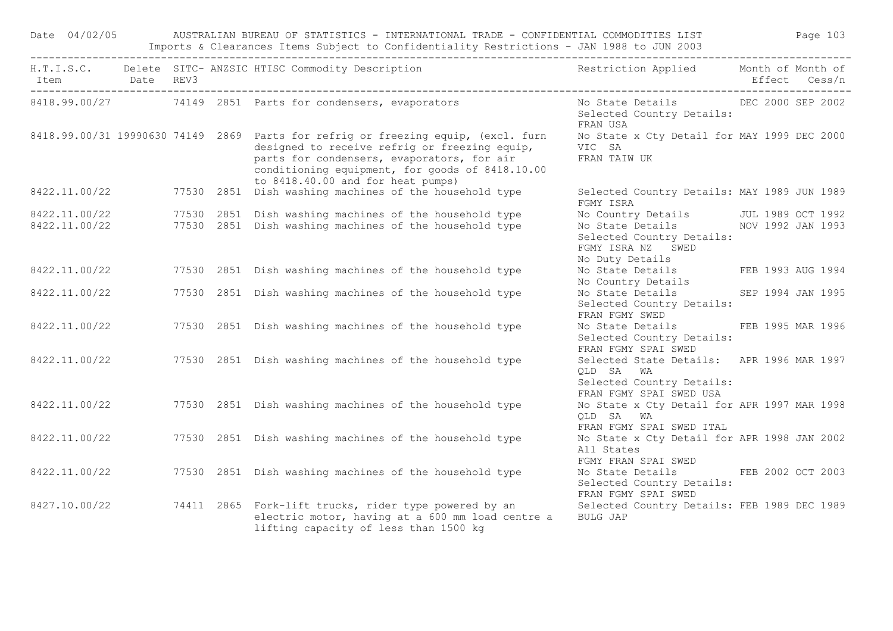|                |                                      |  | Date 04/02/05 AUSTRALIAN BUREAU OF STATISTICS - INTERNATIONAL TRADE - CONFIDENTIAL COMMODITIES LIST Page 103<br>Imports & Clearances Items Subject to Confidentiality Restrictions - JAN 1988 to JUN 2003                                                                |                                                                                                                |               |  |
|----------------|--------------------------------------|--|--------------------------------------------------------------------------------------------------------------------------------------------------------------------------------------------------------------------------------------------------------------------------|----------------------------------------------------------------------------------------------------------------|---------------|--|
| Item Date REV3 | ____________________________________ |  | H.T.I.S.C. Delete SITC-ANZSIC HTISC Commodity Description Nestriction Applied Month of Month of                                                                                                                                                                          |                                                                                                                | Effect Cess/n |  |
|                |                                      |  | 8418.99.00/27 74149 2851 Parts for condensers, evaporators No State Details DEC 2000 SEP 2002                                                                                                                                                                            | Selected Country Details:<br>FRAN USA                                                                          |               |  |
|                |                                      |  | 8418.99.00/31 19990630 74149 2869 Parts for refrig or freezing equip, (excl. furn<br>designed to receive refrig or freezing equip,<br>parts for condensers, evaporators, for air<br>conditioning equipment, for goods of 8418.10.00<br>to 8418.40.00 and for heat pumps) | No State x Cty Detail for MAY 1999 DEC 2000<br>VIC SA<br>FRAN TAIW UK                                          |               |  |
|                |                                      |  | to 8418.40.00 and for heat pumps)<br>77530 2851 Dish washing machines of the household type                                                                                                                                                                              | Selected Country Details: MAY 1989 JUN 1989<br>FGMY ISRA                                                       |               |  |
|                |                                      |  | 77530 2851 Dish washing machines of the household type                                                                                                                                                                                                                   | No Country Details JUL 1989 OCT 1992                                                                           |               |  |
|                |                                      |  | 8422.11.00/22 77530 2851 Dish washing machines of the household type<br>8422.11.00/22 77530 2851 Dish washing machines of the household type                                                                                                                             | No State Details NOV 1992 JAN 1993<br>Selected Country Details:<br>FGMY ISRA NZ SWED<br>No Duty Details        |               |  |
|                |                                      |  | 8422.11.00/22 77530 2851 Dish washing machines of the household type                                                                                                                                                                                                     | No Bucy Becaming<br>No State Details FEB 1993 AUG 1994<br>No Country Details                                   |               |  |
| 8422.11.00/22  |                                      |  | 77530 2851 Dish washing machines of the household type                                                                                                                                                                                                                   | No State Details SEP 1994 JAN 1995<br>Selected Country Details:<br>FRAN FGMY SWED                              |               |  |
|                |                                      |  | 8422.11.00/22 77530 2851 Dish washing machines of the household type                                                                                                                                                                                                     | No State Details FEB 1995 MAR 1996<br>Selected Country Details:<br>FRAN FGMY SPAI SWED                         |               |  |
|                |                                      |  | 8422.11.00/22 77530 2851 Dish washing machines of the household type                                                                                                                                                                                                     | Selected State Details: APR 1996 MAR 1997<br>OLD SA WA<br>Selected Country Details:<br>FRAN FGMY SPAI SWED USA |               |  |
|                |                                      |  | 8422.11.00/22 77530 2851 Dish washing machines of the household type                                                                                                                                                                                                     | No State x Cty Detail for APR 1997 MAR 1998<br>QLD SA WA<br>FRAN FGMY SPAI SWED ITAL                           |               |  |
|                |                                      |  | 8422.11.00/22 77530 2851 Dish washing machines of the household type                                                                                                                                                                                                     | No State x Cty Detail for APR 1998 JAN 2002<br>All States<br>FGMY FRAN SPAI SWED                               |               |  |
|                |                                      |  | 8422.11.00/22 77530 2851 Dish washing machines of the household type                                                                                                                                                                                                     | No State Details FEB 2002 OCT 2003<br>Selected Country Details:<br>FRAN FGMY SPAI SWED                         |               |  |
|                |                                      |  | 8427.10.00/22 74411 2865 Fork-lift trucks, rider type powered by an<br>electric motor, having at a 600 mm load centre a<br>lifting capacity of less than 1500 kg                                                                                                         | Selected Country Details: FEB 1989 DEC 1989<br>BULG JAP                                                        |               |  |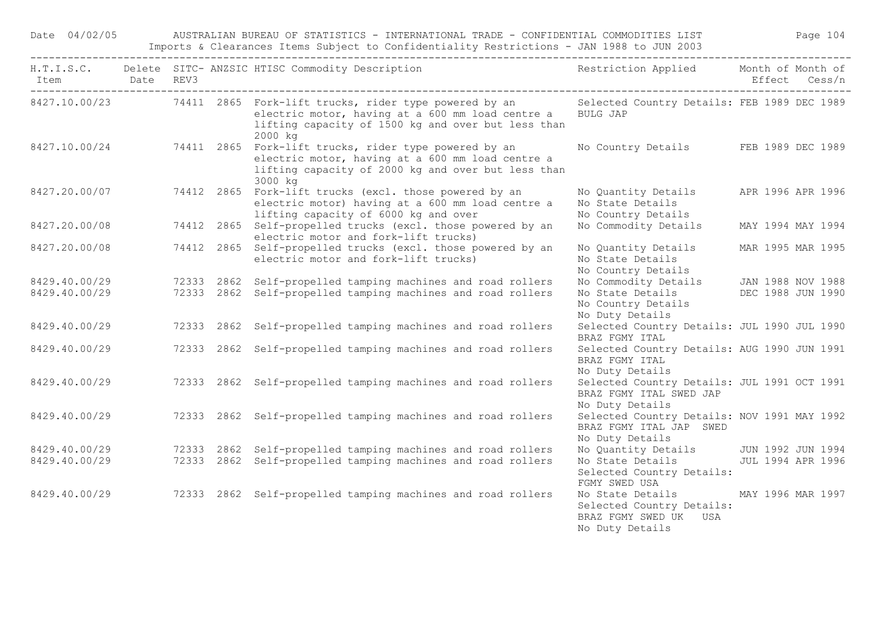Date 04/02/05 AUSTRALIAN BUREAU OF STATISTICS - INTERNATIONAL TRADE - CONFIDENTIAL COMMODITIES LIST Page 104 Imports & Clearances Items Subject to Confidentiality Restrictions - JAN 1988 to JUN 2003

| Item Date REV3 |  | H.T.I.S.C. Delete SITC-ANZSIC HTISC Commodity Description Nestriction Applied Month of Month of                                                                                                                                      |                                                                                                             | Effect Cess/n     |  |
|----------------|--|--------------------------------------------------------------------------------------------------------------------------------------------------------------------------------------------------------------------------------------|-------------------------------------------------------------------------------------------------------------|-------------------|--|
|                |  | 8427.10.00/23 74411 2865 Fork-lift trucks, rider type powered by an Selected Country Details: FEB 1989 DEC 1989<br>electric motor, having at a 600 mm load centre a<br>lifting capacity of 1500 kg and over but less than<br>2000 kg | <b>BULG JAP</b>                                                                                             |                   |  |
|                |  | 8427.10.00/24 74411 2865 Fork-lift trucks, rider type powered by an<br>electric motor, having at a 600 mm load centre a<br>lifting capacity of 2000 kg and over but less than<br>3000 kg                                             | No Country Details FEB 1989 DEC 1989                                                                        |                   |  |
|                |  | 8427.20.00/07 74412 2865 Fork-lift trucks (excl. those powered by an<br>electric motor) having at a 600 mm load centre a<br>lifting capacity of 6000 kg and over                                                                     | No Quantity Details<br>No State Details<br>No Country Details                                               | APR 1996 APR 1996 |  |
| 8427.20.00/08  |  | 74412 2865 Self-propelled trucks (excl. those powered by an<br>electric motor and fork-lift trucks)                                                                                                                                  | No Commodity Details                                                                                        | MAY 1994 MAY 1994 |  |
| 8427.20.00/08  |  | 74412 2865 Self-propelled trucks (excl. those powered by an<br>electric motor and fork-lift trucks)                                                                                                                                  | No Quantity Details<br>No State Details<br>No Country Details                                               | MAR 1995 MAR 1995 |  |
| 8429.40.00/29  |  | 72333 2862 Self-propelled tamping machines and road rollers                                                                                                                                                                          | No Commodity Details JAN 1988 NOV 1988                                                                      |                   |  |
| 8429.40.00/29  |  | 72333 2862 Self-propelled tamping machines and road rollers                                                                                                                                                                          | No State Details DEC 1988 JUN 1990<br>No Country Details<br>No Duty Details                                 |                   |  |
| 8429.40.00/29  |  | 72333 2862 Self-propelled tamping machines and road rollers                                                                                                                                                                          | Selected Country Details: JUL 1990 JUL 1990<br>BRAZ FGMY ITAL                                               |                   |  |
| 8429.40.00/29  |  | 72333 2862 Self-propelled tamping machines and road rollers                                                                                                                                                                          | Selected Country Details: AUG 1990 JUN 1991<br>BRAZ FGMY ITAL<br>No Duty Details                            |                   |  |
| 8429.40.00/29  |  | 72333 2862 Self-propelled tamping machines and road rollers                                                                                                                                                                          | Selected Country Details: JUL 1991 OCT 1991<br>BRAZ FGMY ITAL SWED JAP<br>No Duty Details                   |                   |  |
| 8429.40.00/29  |  | 72333 2862 Self-propelled tamping machines and road rollers                                                                                                                                                                          | Selected Country Details: NOV 1991 MAY 1992<br>BRAZ FGMY ITAL JAP SWED<br>No Duty Details                   |                   |  |
| 8429.40.00/29  |  | 72333 2862 Self-propelled tamping machines and road rollers                                                                                                                                                                          | No Quantity Details JUN 1992 JUN 1994                                                                       |                   |  |
| 8429.40.00/29  |  | 72333 2862 Self-propelled tamping machines and road rollers                                                                                                                                                                          | No State Details 5 JUL 1994 APR 1996<br>Selected Country Details:<br>FGMY SWED USA                          |                   |  |
| 8429.40.00/29  |  | 72333 2862 Self-propelled tamping machines and road rollers                                                                                                                                                                          | No State Details MAY 1996 MAR 1997<br>Selected Country Details:<br>BRAZ FGMY SWED UK USA<br>No Duty Details |                   |  |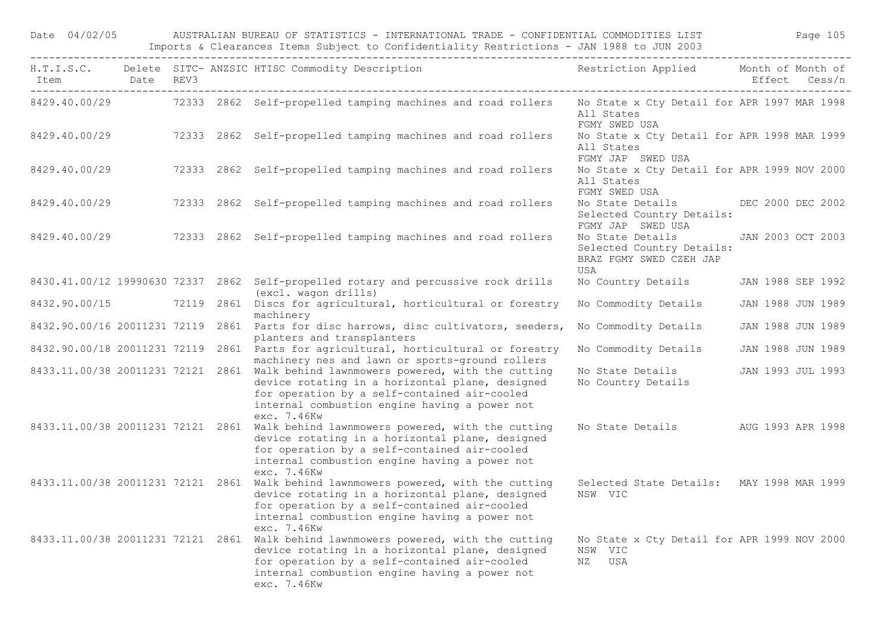| Date 04/02/05  |  | AUSTRALIAN BUREAU OF STATISTICS - INTERNATIONAL TRADE - CONFIDENTIAL COMMODITIES LIST<br>Imports & Clearances Items Subject to Confidentiality Restrictions - JAN 1988 to JUN 2003                                                                    |                                                                                      | Page 105          |  |
|----------------|--|-------------------------------------------------------------------------------------------------------------------------------------------------------------------------------------------------------------------------------------------------------|--------------------------------------------------------------------------------------|-------------------|--|
| Item Date REV3 |  | H.T.I.S.C. Delete SITC- ANZSIC HTISC Commodity Description                                                                                                                                                                                            | Restriction Applied Month of Month of                                                | Effect Cess/n     |  |
|                |  | 8429.40.00/29 72333 2862 Self-propelled tamping machines and road rollers                                                                                                                                                                             | No State x Cty Detail for APR 1997 MAR 1998<br>All States<br>FGMY SWED USA           |                   |  |
| 8429.40.00/29  |  | 72333 2862 Self-propelled tamping machines and road rollers                                                                                                                                                                                           | No State x Cty Detail for APR 1998 MAR 1999<br>All States<br>FGMY JAP SWED USA       |                   |  |
| 8429.40.00/29  |  | 72333 2862 Self-propelled tamping machines and road rollers                                                                                                                                                                                           | No State x Cty Detail for APR 1999 NOV 2000<br>All States<br>FGMY SWED USA           |                   |  |
| 8429.40.00/29  |  | 72333 2862 Self-propelled tamping machines and road rollers                                                                                                                                                                                           | No State Details DEC 2000 DEC 2002<br>Selected Country Details:<br>FGMY JAP SWED USA |                   |  |
| 8429.40.00/29  |  | 72333 2862 Self-propelled tamping machines and road rollers                                                                                                                                                                                           | No State Details<br>Selected Country Details:<br>BRAZ FGMY SWED CZEH JAP<br>USA      | JAN 2003 OCT 2003 |  |
|                |  | 8430.41.00/12 19990630 72337 2862 Self-propelled rotary and percussive rock drills<br>(excl. wagon drills)                                                                                                                                            | No Country Details JAN 1988 SEP 1992                                                 |                   |  |
|                |  | 8432.90.00/15 72119 2861 Discs for agricultural, horticultural or forestry<br>machinery                                                                                                                                                               | No Commodity Details                                                                 | JAN 1988 JUN 1989 |  |
|                |  | 8432.90.00/16 20011231 72119 2861 Parts for disc harrows, disc cultivators, seeders,<br>planters and transplanters                                                                                                                                    | No Commodity Details                                                                 | JAN 1988 JUN 1989 |  |
|                |  | 8432.90.00/18 20011231 72119 2861 Parts for agricultural, horticultural or forestry<br>machinery nes and lawn or sports-ground rollers                                                                                                                | No Commodity Details                                                                 | JAN 1988 JUN 1989 |  |
|                |  | 8433.11.00/38 20011231 72121 2861 Walk behind lawnmowers powered, with the cutting<br>device rotating in a horizontal plane, designed<br>for operation by a self-contained air-cooled<br>internal combustion engine having a power not<br>exc. 7.46Kw | No State Details<br>No Country Details                                               | JAN 1993 JUL 1993 |  |
|                |  | 8433.11.00/38 20011231 72121 2861 Walk behind lawnmowers powered, with the cutting<br>device rotating in a horizontal plane, designed<br>for operation by a self-contained air-cooled<br>internal combustion engine having a power not<br>exc. 7.46Kw | No State Details AUG 1993 APR 1998                                                   |                   |  |
|                |  | 8433.11.00/38 20011231 72121 2861 Walk behind lawnmowers powered, with the cutting<br>device rotating in a horizontal plane, designed<br>for operation by a self-contained air-cooled<br>internal combustion engine having a power not<br>exc. 7.46Kw | Selected State Details: MAY 1998 MAR 1999<br>NSW VIC                                 |                   |  |
|                |  | 8433.11.00/38 20011231 72121 2861 Walk behind lawnmowers powered, with the cutting<br>device rotating in a horizontal plane, designed<br>for operation by a self-contained air-cooled                                                                 | No State x Cty Detail for APR 1999 NOV 2000<br>NSW VIC<br>NZ USA                     |                   |  |

internal combustion engine having a power not

exc. 7.46Kw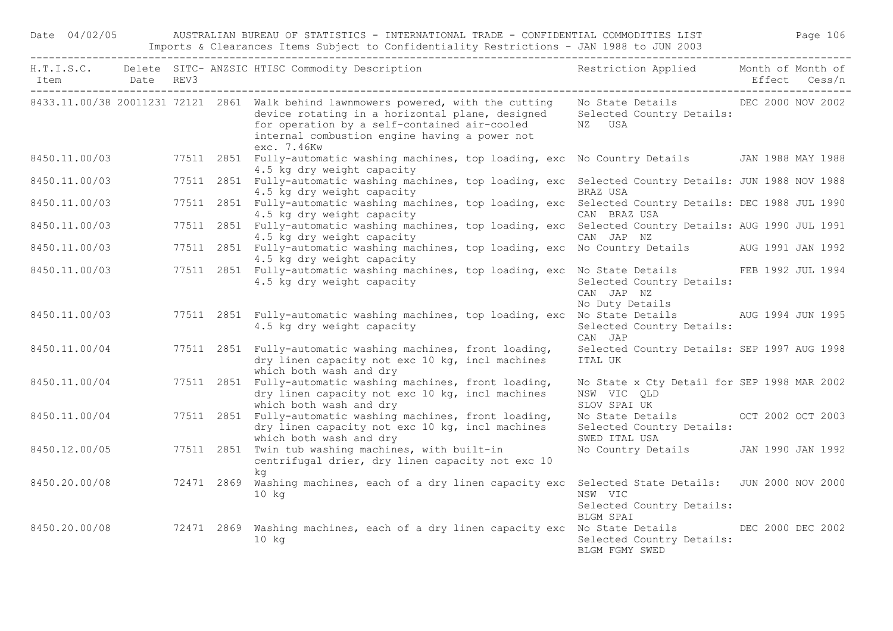## Date 04/02/05 AUSTRALIAN BUREAU OF STATISTICS - INTERNATIONAL TRADE - CONFIDENTIAL COMMODITIES LIST Page 106 Imports & Clearances Items Subject to Confidentiality Restrictions - JAN 1988 to JUN 2003

| Item Date REV3 |  | H.T.I.S.C. Delete SITC-ANZSIC HTISC Commodity Description Nestriction Applied Month of Month of                                                                                                                                                                                                                    |                                                                                  | Effect Cess/n |
|----------------|--|--------------------------------------------------------------------------------------------------------------------------------------------------------------------------------------------------------------------------------------------------------------------------------------------------------------------|----------------------------------------------------------------------------------|---------------|
|                |  | 8433.11.00/38 20011231 72121 2861 Walk behind lawnmowers powered, with the cutting Mo State Details DEC 2000 NOV 2002<br>device rotating in a horizontal plane, designed Selected Country Details:<br>for operation by a self-contained air-cooled<br>internal combustion engine having a power not<br>exc. 7.46Kw | NZ USA                                                                           |               |
|                |  | 8450.11.00/03 77511 2851 Fully-automatic washing machines, top loading, exc No Country Details JAN 1988 MAY 1988<br>4.5 kg dry weight capacity                                                                                                                                                                     |                                                                                  |               |
| 8450.11.00/03  |  | 77511 2851 Fully-automatic washing machines, top loading, exc Selected Country Details: JUN 1988 NOV 1988<br>4.5 kg dry weight capacity                                                                                                                                                                            | BRAZ USA                                                                         |               |
| 8450.11.00/03  |  | 77511 2851 Fully-automatic washing machines, top loading, exc Selected Country Details: DEC 1988 JUL 1990<br>4.5 kg dry weight capacity                                                                                                                                                                            | CAN BRAZ USA                                                                     |               |
| 8450.11.00/03  |  | 77511 2851 Fully-automatic washing machines, top loading, exc Selected Country Details: AUG 1990 JUL 1991<br>4.5 kg dry weight capacity                                                                                                                                                                            | CAN JAP NZ                                                                       |               |
| 8450.11.00/03  |  | 77511 2851 Fully-automatic washing machines, top loading, exc No Country Details AUG 1991 JAN 1992<br>4.5 kg dry weight capacity                                                                                                                                                                                   |                                                                                  |               |
| 8450.11.00/03  |  | 77511 2851 Fully-automatic washing machines, top loading, exc No State Details FEB 1992 JUL 1994<br>4.5 kg dry weight capacity                                                                                                                                                                                     | Selected Country Details:<br>CAN JAP NZ<br>No Duty Details                       |               |
| 8450.11.00/03  |  | 77511 2851 Fully-automatic washing machines, top loading, exc No State Details AUG 1994 JUN 1995<br>4.5 kg dry weight capacity                                                                                                                                                                                     | Selected Country Details:<br>CAN JAP                                             |               |
| 8450.11.00/04  |  | 77511 2851 Fully-automatic washing machines, front loading,<br>dry linen capacity not exc 10 kg, incl machines<br>which both wash and dry                                                                                                                                                                          | Selected Country Details: SEP 1997 AUG 1998<br>ITAL UK                           |               |
| 8450.11.00/04  |  | 77511 2851 Fully-automatic washing machines, front loading,<br>dry linen capacity not exc 10 kg, incl machines<br>which both wash and dry                                                                                                                                                                          | No State x Cty Detail for SEP 1998 MAR 2002<br>NSW VIC QLD<br>SLOV SPAI UK       |               |
| 8450.11.00/04  |  | 77511 2851 Fully-automatic washing machines, front loading,<br>dry linen capacity not exc 10 kg, incl machines<br>which both wash and dry                                                                                                                                                                          | No State Details OCT 2002 OCT 2003<br>Selected Country Details:<br>SWED ITAL USA |               |
| 8450.12.00/05  |  | 77511 2851 Twin tub washing machines, with built-in<br>centrifugal drier, dry linen capacity not exc 10<br>ka                                                                                                                                                                                                      | No Country Details JAN 1990 JAN 1992                                             |               |
|                |  | 8450.20.00/08 72471 2869 Washing machines, each of a dry linen capacity exc Selected State Details: JUN 2000 NOV 2000<br>$10$ kg                                                                                                                                                                                   | NSW VIC<br>Selected Country Details:                                             |               |
|                |  | 8450.20.00/08 72471 2869 Washing machines, each of a dry linen capacity exc No State Details DEC 2000 DEC 2002<br>$10$ kg                                                                                                                                                                                          | BLGM SPAI<br>Selected Country Details:<br>BLGM FGMY SWED                         |               |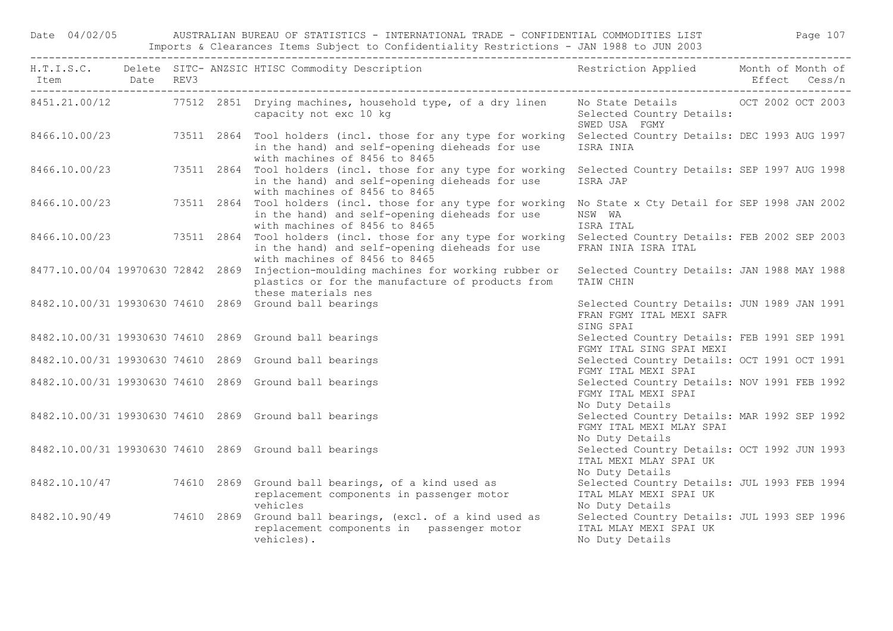Date 04/02/05 AUSTRALIAN BUREAU OF STATISTICS - INTERNATIONAL TRADE - CONFIDENTIAL COMMODITIES LIST Page 107 Imports & Clearances Items Subject to Confidentiality Restrictions - JAN 1988 to JUN 2003

|               |  | H.T.I.S.C. Delete SITC-ANZSIC HTISC Commodity Description Nestriction Applied Month of Month of                                                                                              |                                                                                            |  |
|---------------|--|----------------------------------------------------------------------------------------------------------------------------------------------------------------------------------------------|--------------------------------------------------------------------------------------------|--|
|               |  | 8451.21.00/12 77512 2851 Drying machines, household type, of a dry linen No State Details 0CT 2002 OCT 2003<br>capacity not exc 10 kg                                                        | Selected Country Details:<br>SWED USA FGMY                                                 |  |
| 8466.10.00/23 |  | 73511 2864 Tool holders (incl. those for any type for working Selected Country Details: DEC 1993 AUG 1997<br>in the hand) and self-opening dieheads for use<br>with machines of 8456 to 8465 | ISRA INIA                                                                                  |  |
| 8466.10.00/23 |  | 73511 2864 Tool holders (incl. those for any type for working Selected Country Details: SEP 1997 AUG 1998<br>in the hand) and self-opening dieheads for use<br>with machines of 8456 to 8465 | ISRA JAP                                                                                   |  |
| 8466.10.00/23 |  | 73511 2864 Tool holders (incl. those for any type for working<br>in the hand) and self-opening dieheads for use<br>with machines of 8456 to 8465                                             | No State x Cty Detail for SEP 1998 JAN 2002<br>NSW WA<br>ISRA ITAL                         |  |
| 8466.10.00/23 |  | 73511 2864 Tool holders (incl. those for any type for working Selected Country Details: FEB 2002 SEP 2003<br>in the hand) and self-opening dieheads for use<br>with machines of 8456 to 8465 | FRAN INIA ISRA ITAL                                                                        |  |
|               |  | 8477.10.00/04 19970630 72842 2869 Injection-moulding machines for working rubber or<br>plastics or for the manufacture of products from<br>these materials nes                               | Selected Country Details: JAN 1988 MAY 1988<br>TAIW CHIN                                   |  |
|               |  | 8482.10.00/31 19930630 74610 2869 Ground ball bearings                                                                                                                                       | Selected Country Details: JUN 1989 JAN 1991<br>FRAN FGMY ITAL MEXI SAFR<br>SING SPAI       |  |
|               |  | 8482.10.00/31 19930630 74610 2869 Ground ball bearings                                                                                                                                       | Selected Country Details: FEB 1991 SEP 1991<br>FGMY ITAL SING SPAI MEXI                    |  |
|               |  | 8482.10.00/31 19930630 74610 2869 Ground ball bearings                                                                                                                                       | Selected Country Details: OCT 1991 OCT 1991<br>FGMY ITAL MEXI SPAI                         |  |
|               |  | 8482.10.00/31 19930630 74610 2869 Ground ball bearings                                                                                                                                       | Selected Country Details: NOV 1991 FEB 1992<br>FGMY ITAL MEXI SPAI<br>No Duty Details      |  |
|               |  | 8482.10.00/31 19930630 74610 2869 Ground ball bearings                                                                                                                                       | Selected Country Details: MAR 1992 SEP 1992<br>FGMY ITAL MEXI MLAY SPAI<br>No Duty Details |  |
|               |  | 8482.10.00/31 19930630 74610 2869 Ground ball bearings                                                                                                                                       | Selected Country Details: OCT 1992 JUN 1993<br>ITAL MEXI MLAY SPAI UK<br>No Duty Details   |  |
|               |  | 8482.10.10/47 74610 2869 Ground ball bearings, of a kind used as<br>replacement components in passenger motor<br>vehicles                                                                    | Selected Country Details: JUL 1993 FEB 1994<br>ITAL MLAY MEXI SPAI UK<br>No Duty Details   |  |
| 8482.10.90/49 |  | 74610 2869 Ground ball bearings, (excl. of a kind used as<br>replacement components in passenger motor<br>vehicles).                                                                         | Selected Country Details: JUL 1993 SEP 1996<br>ITAL MLAY MEXI SPAI UK<br>No Duty Details   |  |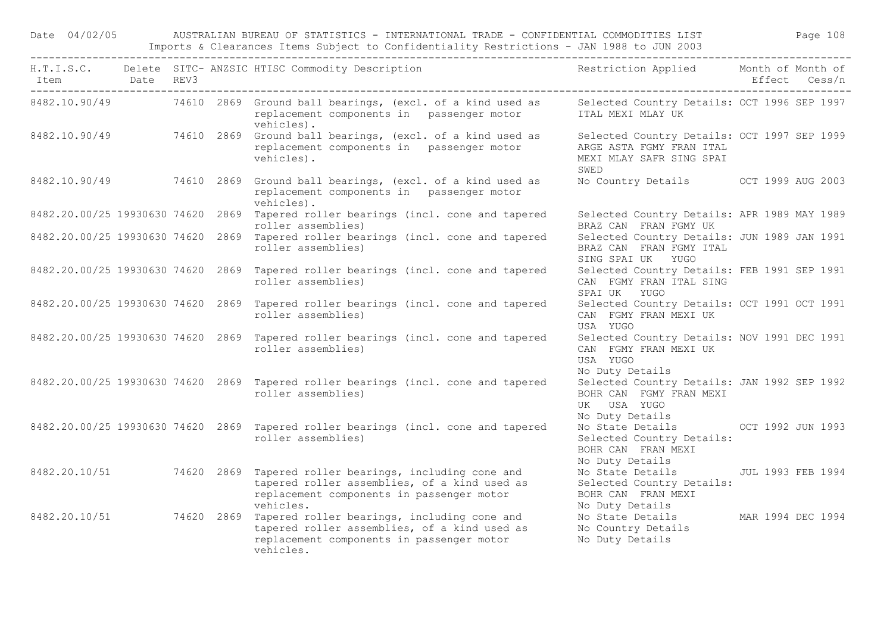Date 04/02/05 AUSTRALIAN BUREAU OF STATISTICS - INTERNATIONAL TRADE - CONFIDENTIAL COMMODITIES LIST Page 108 Imports & Clearances Items Subject to Confidentiality Restrictions - JAN 1988 to JUN 2003

| Item Date REV3 |  | H.T.I.S.C. Delete SITC-ANZSIC HTISC Commodity Description Nestriction Applied Month of Month of                                                                                |                                                                                                             | Effect Cess/n |  |
|----------------|--|--------------------------------------------------------------------------------------------------------------------------------------------------------------------------------|-------------------------------------------------------------------------------------------------------------|---------------|--|
|                |  | 8482.10.90/49 74610 2869 Ground ball bearings, (excl. of a kind used as<br>replacement components in passenger motor<br>vehicles).                                             | Selected Country Details: OCT 1996 SEP 1997<br>ITAL MEXI MLAY UK                                            |               |  |
|                |  | 8482.10.90/49 74610 2869 Ground ball bearings, (excl. of a kind used as<br>replacement components in passenger motor<br>vehicles).                                             | Selected Country Details: OCT 1997 SEP 1999<br>ARGE ASTA FGMY FRAN ITAL<br>MEXI MLAY SAFR SING SPAI<br>SWED |               |  |
|                |  | 8482.10.90/49 74610 2869 Ground ball bearings, (excl. of a kind used as<br>replacement components in passenger motor<br>vehicles).                                             | No Country Details OCT 1999 AUG 2003                                                                        |               |  |
|                |  | 8482.20.00/25 19930630 74620 2869 Tapered roller bearings (incl. cone and tapered<br>roller assemblies)                                                                        | Selected Country Details: APR 1989 MAY 1989<br>BRAZ CAN FRAN FGMY UK                                        |               |  |
|                |  | 8482.20.00/25 19930630 74620 2869 Tapered roller bearings (incl. cone and tapered<br>roller assemblies)                                                                        | Selected Country Details: JUN 1989 JAN 1991<br>BRAZ CAN FRAN FGMY ITAL<br>SING SPAI UK YUGO                 |               |  |
|                |  | 8482.20.00/25 19930630 74620 2869 Tapered roller bearings (incl. cone and tapered<br>roller assemblies)                                                                        | Selected Country Details: FEB 1991 SEP 1991<br>CAN FGMY FRAN ITAL SING<br>SPAI UK YUGO                      |               |  |
|                |  | 8482.20.00/25 19930630 74620 2869 Tapered roller bearings (incl. cone and tapered<br>roller assemblies)                                                                        | Selected Country Details: OCT 1991 OCT 1991<br>CAN FGMY FRAN MEXI UK<br>USA YUGO                            |               |  |
|                |  | 8482.20.00/25 19930630 74620 2869 Tapered roller bearings (incl. cone and tapered<br>roller assemblies)                                                                        | Selected Country Details: NOV 1991 DEC 1991<br>CAN FGMY FRAN MEXI UK<br>USA YUGO<br>No Duty Details         |               |  |
|                |  | 8482.20.00/25 19930630 74620 2869 Tapered roller bearings (incl. cone and tapered<br>roller assemblies)                                                                        | Selected Country Details: JAN 1992 SEP 1992<br>BOHR CAN FGMY FRAN MEXI<br>UK USA YUGO<br>No Duty Details    |               |  |
|                |  | 8482.20.00/25 19930630 74620 2869 Tapered roller bearings (incl. cone and tapered<br>roller assemblies)                                                                        | No State Details OCT 1992 JUN 1993<br>Selected Country Details:<br>BOHR CAN FRAN MEXI<br>No Duty Details    |               |  |
|                |  | 8482.20.10/51 74620 2869 Tapered roller bearings, including cone and<br>tapered roller assemblies, of a kind used as<br>replacement components in passenger motor<br>vehicles. | No State Details JUL 1993 FEB 1994<br>Selected Country Details:<br>BOHR CAN FRAN MEXI                       |               |  |
|                |  | 8482.20.10/51 74620 2869 Tapered roller bearings, including cone and<br>tapered roller assemblies, of a kind used as<br>replacement components in passenger motor<br>vehicles. | No Duty Details<br>No State Details MAR 1994 DEC 1994<br>No Country Details<br>No Duty Details              |               |  |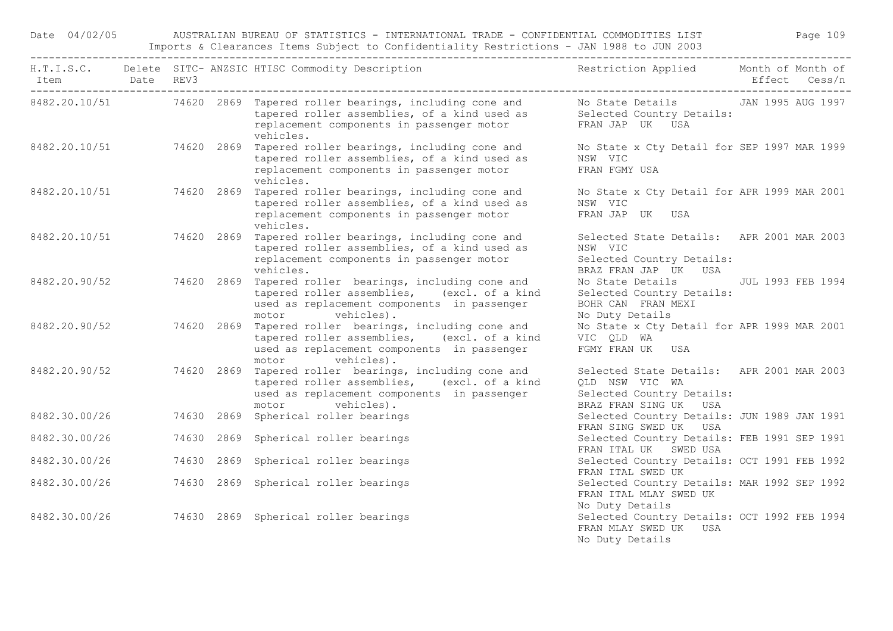Date 04/02/05 AUSTRALIAN BUREAU OF STATISTICS - INTERNATIONAL TRADE - CONFIDENTIAL COMMODITIES LIST Page 109 Imports & Clearances Items Subject to Confidentiality Restrictions - JAN 1988 to JUN 2003

|                          | Date REV3 |  | H.T.I.S.C. Delete SITC-ANZSIC HTISC Commodity Description Nestriction Applied Month of Month of                                                                                                                                             |                                                                                                                   |  |
|--------------------------|-----------|--|---------------------------------------------------------------------------------------------------------------------------------------------------------------------------------------------------------------------------------------------|-------------------------------------------------------------------------------------------------------------------|--|
|                          |           |  | 8482.20.10/51 74620 2869 Tapered roller bearings, including cone and Mo State Details JAN 1995 AUG 1997<br>tapered roller assemblies, of a kind used as Selected Country Details:<br>replacement components in passenger motor<br>vehicles. | FRAN JAP UK USA                                                                                                   |  |
| 8482.20.10/51 74620 2869 |           |  | Tapered roller bearings, including cone and<br>tapered roller assemblies, of a kind used as<br>replacement components in passenger motor<br>vehicles.                                                                                       | No State x Cty Detail for SEP 1997 MAR 1999<br>NSW VIC<br>FRAN FGMY USA                                           |  |
|                          |           |  | 8482.20.10/51 74620 2869 Tapered roller bearings, including cone and<br>tapered roller assemblies, of a kind used as<br>replacement components in passenger motor<br>vehicles.                                                              | No State x Cty Detail for APR 1999 MAR 2001<br>NSW VIC<br>FRAN JAP UK USA                                         |  |
| 8482.20.10/51 74620 2869 |           |  | Tapered roller bearings, including cone and<br>tapered roller assemblies, of a kind used as<br>replacement components in passenger motor<br>vehicles.                                                                                       | Selected State Details: APR 2001 MAR 2003<br>NSW VIC<br>Selected Country Details:<br>BRAZ FRAN JAP UK USA         |  |
| 8482.20.90/52            |           |  | 74620 2869 Tapered roller bearings, including cone and<br>tapered roller assemblies, (excl. of a kind<br>used as replacement components in passenger<br>motor vehicles).                                                                    | No State Details JUL 1993 FEB 1994<br>Selected Country Details:<br>BOHR CAN FRAN MEXI<br>No Duty Details          |  |
| 8482.20.90/52 74620 2869 |           |  | Tapered roller bearings, including cone and<br>tapered roller assemblies, (excl. of a kind<br>used as replacement components in passenger<br>motor vehicles).                                                                               | No State x Cty Detail for APR 1999 MAR 2001<br>VIC QLD WA<br>FGMY FRAN UK USA                                     |  |
| 8482.20.90/52            |           |  | 74620 2869 Tapered roller bearings, including cone and<br>tapered roller assemblies, (excl. of a kind<br>used as replacement components in passenger<br>motor vehicles).                                                                    | Selected State Details: APR 2001 MAR 2003<br>QLD NSW VIC WA<br>Selected Country Details:<br>BRAZ FRAN SING UK USA |  |
| 8482.30.00/26            |           |  | 74630 2869 Spherical roller bearings                                                                                                                                                                                                        | Selected Country Details: JUN 1989 JAN 1991<br>FRAN SING SWED UK USA                                              |  |
| 8482.30.00/26            |           |  | 74630 2869 Spherical roller bearings                                                                                                                                                                                                        | Selected Country Details: FEB 1991 SEP 1991<br>FRAN ITAL UK SWED USA                                              |  |
| 8482.30.00/26            |           |  | 74630 2869 Spherical roller bearings                                                                                                                                                                                                        | Selected Country Details: OCT 1991 FEB 1992<br>FRAN ITAL SWED UK                                                  |  |
| 8482.30.00/26            |           |  | 74630 2869 Spherical roller bearings                                                                                                                                                                                                        | Selected Country Details: MAR 1992 SEP 1992<br>FRAN ITAL MLAY SWED UK<br>No Duty Details                          |  |
| 8482.30.00/26            |           |  | 74630 2869 Spherical roller bearings                                                                                                                                                                                                        | Selected Country Details: OCT 1992 FEB 1994<br>FRAN MLAY SWED UK USA<br>No Duty Details                           |  |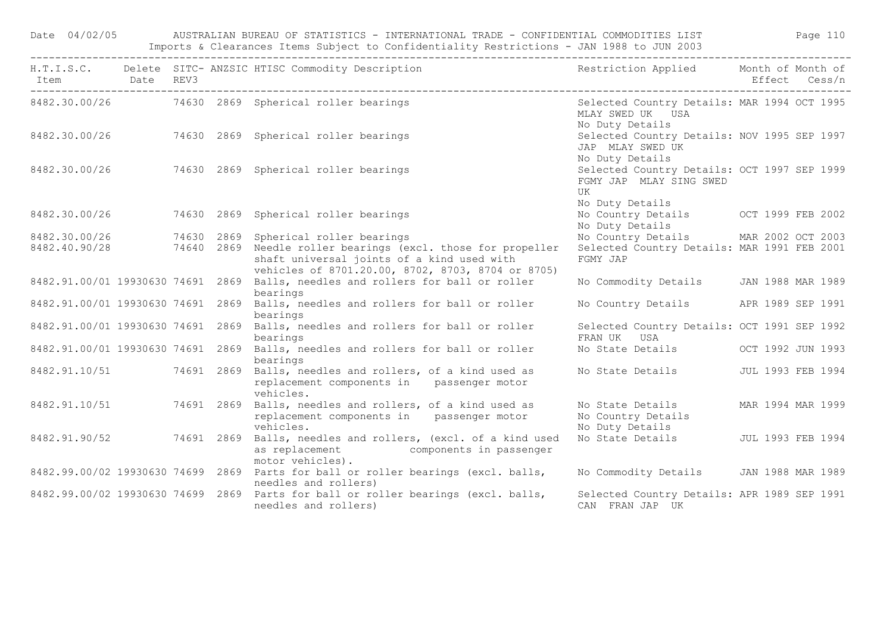| Date 04/02/05                     |  |            | AUSTRALIAN BUREAU OF STATISTICS - INTERNATIONAL TRADE - CONFIDENTIAL COMMODITIES LIST THE MODE Page 110<br>Imports & Clearances Items Subject to Confidentiality Restrictions - JAN 1988 to JUN 2003 |                                                                                                 |                   |  |  |
|-----------------------------------|--|------------|------------------------------------------------------------------------------------------------------------------------------------------------------------------------------------------------------|-------------------------------------------------------------------------------------------------|-------------------|--|--|
| Item Date REV3                    |  |            | H.T.I.S.C. Delete SITC-ANZSIC HTISC Commodity Description The Sestriction Applied Month of Month of                                                                                                  |                                                                                                 | Effect Cess/n     |  |  |
|                                   |  |            | 8482.30.00/26 74630 2869 Spherical roller bearings                                                                                                                                                   | Selected Country Details: MAR 1994 OCT 1995<br>MLAY SWED UK USA<br>No Duty Details              |                   |  |  |
|                                   |  |            | 8482.30.00/26 74630 2869 Spherical roller bearings                                                                                                                                                   | Selected Country Details: NOV 1995 SEP 1997<br>JAP MLAY SWED UK<br>No Duty Details              |                   |  |  |
|                                   |  |            | 8482.30.00/26 74630 2869 Spherical roller bearings                                                                                                                                                   | Selected Country Details: OCT 1997 SEP 1999<br>FGMY JAP MLAY SING SWED<br>UK<br>No Duty Details |                   |  |  |
| 8482.30.00/26                     |  |            | 74630 2869 Spherical roller bearings                                                                                                                                                                 | No Country Details OCT 1999 FEB 2002<br>No Duty Details                                         |                   |  |  |
| 8482.30.00/26                     |  | 74630 2869 | Spherical roller bearings                                                                                                                                                                            | No Country Details MAR 2002 OCT 2003                                                            |                   |  |  |
| 8482.40.90/28                     |  |            | 74640 2869 Needle roller bearings (excl. those for propeller<br>shaft universal joints of a kind used with<br>vehicles of 8701.20.00, 8702, 8703, 8704 or 8705)                                      | Selected Country Details: MAR 1991 FEB 2001<br>FGMY JAP                                         |                   |  |  |
| 8482.91.00/01 19930630 74691 2869 |  |            | Balls, needles and rollers for ball or roller<br>bearings                                                                                                                                            | No Commodity Details JAN 1988 MAR 1989                                                          |                   |  |  |
| 8482.91.00/01 19930630 74691 2869 |  |            | Balls, needles and rollers for ball or roller<br>bearings                                                                                                                                            | No Country Details APR 1989 SEP 1991                                                            |                   |  |  |
| 8482.91.00/01 19930630 74691 2869 |  |            | Balls, needles and rollers for ball or roller<br>bearings                                                                                                                                            | Selected Country Details: OCT 1991 SEP 1992<br>FRAN UK USA                                      |                   |  |  |
|                                   |  |            | 8482.91.00/01 19930630 74691 2869 Balls, needles and rollers for ball or roller<br>bearings                                                                                                          | No State Details OCT 1992 JUN 1993                                                              |                   |  |  |
|                                   |  |            | 8482.91.10/51 74691 2869 Balls, needles and rollers, of a kind used as<br>replacement components in passenger motor<br>vehicles.                                                                     | No State Details                                                                                | JUL 1993 FEB 1994 |  |  |
| 8482.91.10/51 74691 2869          |  |            | Balls, needles and rollers, of a kind used as<br>replacement components in passenger motor<br>vehicles.                                                                                              | No State Details<br>No Country Details<br>No Duty Details                                       | MAR 1994 MAR 1999 |  |  |
|                                   |  |            | 8482.91.90/52 74691 2869 Balls, needles and rollers, (excl. of a kind used<br>as replacement components in passenger<br>motor vehicles).                                                             | No State Details                                                                                | JUL 1993 FEB 1994 |  |  |
|                                   |  |            | 8482.99.00/02 19930630 74699 2869 Parts for ball or roller bearings (excl. balls,<br>needles and rollers)                                                                                            | No Commodity Details JAN 1988 MAR 1989                                                          |                   |  |  |
|                                   |  |            | 8482.99.00/02 19930630 74699 2869 Parts for ball or roller bearings (excl. balls,<br>needles and rollers)                                                                                            | Selected Country Details: APR 1989 SEP 1991<br>CAN FRAN JAP UK                                  |                   |  |  |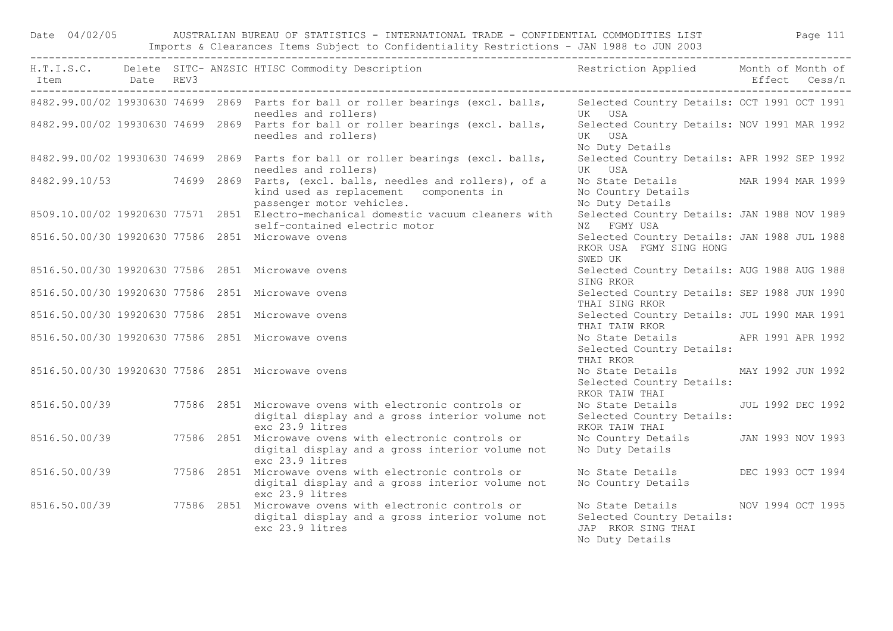Date 04/02/05 AUSTRALIAN BUREAU OF STATISTICS - INTERNATIONAL TRADE - CONFIDENTIAL COMMODITIES LIST Page 111 Imports & Clearances Items Subject to Confidentiality Restrictions - JAN 1988 to JUN 2003

|               |  | H.T.I.S.C. Delete SITC-ANZSIC HTISC Commodity Description Nestriction Applied Month of Month of                                                       |                                                                                                          |  |
|---------------|--|-------------------------------------------------------------------------------------------------------------------------------------------------------|----------------------------------------------------------------------------------------------------------|--|
|               |  | 8482.99.00/02 19930630 74699 2869 Parts for ball or roller bearings (excl. balls, Selected Country Details: OCT 1991 OCT 1991<br>needles and rollers) | UK USA                                                                                                   |  |
|               |  | 8482.99.00/02 19930630 74699 2869 Parts for ball or roller bearings (excl. balls,<br>needles and rollers)                                             | Selected Country Details: NOV 1991 MAR 1992<br>UK USA<br>No Duty Details                                 |  |
|               |  | 8482.99.00/02 19930630 74699 2869 Parts for ball or roller bearings (excl. balls,<br>needles and rollers)                                             | Selected Country Details: APR 1992 SEP 1992<br>UK USA                                                    |  |
|               |  | 8482.99.10/53 74699 2869 Parts, (excl. balls, needles and rollers), of a<br>kind used as replacement components in<br>passenger motor vehicles.       | No State Details MAR 1994 MAR 1999<br>No Country Details<br>No Duty Details                              |  |
|               |  | 8509.10.00/02 19920630 77571 2851 Electro-mechanical domestic vacuum cleaners with<br>self-contained electric motor                                   | Selected Country Details: JAN 1988 NOV 1989<br>NZ FGMY USA                                               |  |
|               |  | 8516.50.00/30 19920630 77586 2851 Microwaye ovens                                                                                                     | Selected Country Details: JAN 1988 JUL 1988<br>RKOR USA FGMY SING HONG<br>SWED UK                        |  |
|               |  | 8516.50.00/30 19920630 77586 2851 Microwave ovens                                                                                                     | Selected Country Details: AUG 1988 AUG 1988<br>SING RKOR                                                 |  |
|               |  | 8516.50.00/30 19920630 77586 2851 Microwave ovens                                                                                                     | Selected Country Details: SEP 1988 JUN 1990<br>THAI SING RKOR                                            |  |
|               |  | 8516.50.00/30 19920630 77586 2851 Microwave ovens                                                                                                     | Selected Country Details: JUL 1990 MAR 1991<br>THAI TAIW RKOR                                            |  |
|               |  | 8516.50.00/30 19920630 77586 2851 Microwave ovens                                                                                                     | No State Details APR 1991 APR 1992<br>Selected Country Details:<br>THAI RKOR                             |  |
|               |  | 8516.50.00/30 19920630 77586 2851 Microwave ovens                                                                                                     | No State Details MAY 1992 JUN 1992<br>Selected Country Details:<br>RKOR TAIW THAI                        |  |
| 8516.50.00/39 |  | 77586 2851 Microwave ovens with electronic controls or<br>digital display and a gross interior volume not<br>exc 23.9 litres                          | No State Details 50 JUL 1992 DEC 1992<br>Selected Country Details:<br>RKOR TAIW THAI                     |  |
| 8516.50.00/39 |  | 77586 2851 Microwave ovens with electronic controls or<br>digital display and a gross interior volume not<br>exc 23.9 litres                          | No Country Details JAN 1993 NOV 1993<br>No Duty Details                                                  |  |
| 8516.50.00/39 |  | 77586 2851 Microwave ovens with electronic controls or<br>digital display and a gross interior volume not<br>exc 23.9 litres                          | No State Details DEC 1993 OCT 1994<br>No Country Details                                                 |  |
|               |  | 8516.50.00/39 77586 2851 Microwave ovens with electronic controls or<br>digital display and a gross interior volume not<br>exc 23.9 litres            | No State Details MOV 1994 OCT 1995<br>Selected Country Details:<br>JAP RKOR SING THAI<br>No Duty Details |  |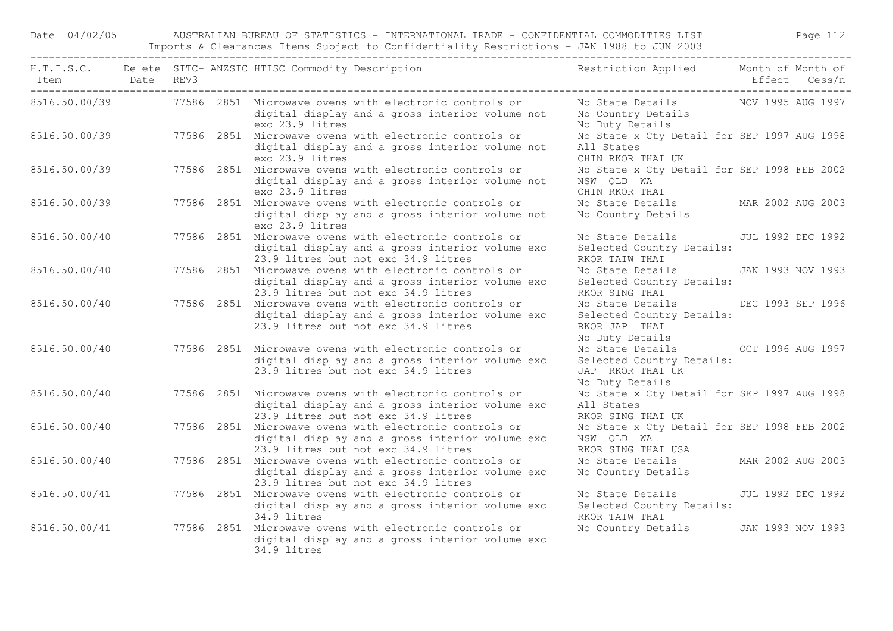Date 04/02/05 AUSTRALIAN BUREAU OF STATISTICS - INTERNATIONAL TRADE - CONFIDENTIAL COMMODITIES LIST Page 112 Imports & Clearances Items Subject to Confidentiality Restrictions - JAN 1988 to JUN 2003

| Item<br>----------------------------------- | Date REV3 |  |                 | H.T.I.S.C. Delete SITC-ANZSIC HTISC Commodity Description Nestriction Applied Month of Month of                                                  |                                                                                                        | Effect Cess/n     |
|---------------------------------------------|-----------|--|-----------------|--------------------------------------------------------------------------------------------------------------------------------------------------|--------------------------------------------------------------------------------------------------------|-------------------|
|                                             |           |  | exc 23.9 litres | 8516.50.00/39 77586 2851 Microwave ovens with electronic controls or<br>digital display and a gross interior volume not                          | No State Details 600 NOV 1995 AUG 1997<br>No Country Details<br>No Duty Details                        |                   |
| 8516.50.00/39                               |           |  | exc 23.9 litres | 77586 2851 Microwave ovens with electronic controls or<br>digital display and a gross interior volume not                                        | No State x Cty Detail for SEP 1997 AUG 1998<br>All States<br>CHIN RKOR THAI UK                         |                   |
| 8516.50.00/39                               |           |  | exc 23.9 litres | 77586 2851 Microwave ovens with electronic controls or<br>digital display and a gross interior volume not                                        | No State x Cty Detail for SEP 1998 FEB 2002<br>NSW QLD WA<br>CHIN RKOR THAI                            |                   |
| 8516.50.00/39                               |           |  | exc 23.9 litres | 77586 2851 Microwave ovens with electronic controls or<br>digital display and a gross interior volume not                                        | No State Details<br>No Country Details                                                                 | MAR 2002 AUG 2003 |
| 8516.50.00/40                               |           |  |                 | 77586 2851 Microwave ovens with electronic controls or<br>digital display and a gross interior volume exc<br>23.9 litres but not exc 34.9 litres | No State Details<br>Selected Country Details:<br>RKOR TAIW THAI                                        | JUL 1992 DEC 1992 |
| 8516.50.00/40                               |           |  |                 | 77586 2851 Microwave ovens with electronic controls or<br>digital display and a gross interior volume exc<br>23.9 litres but not exc 34.9 litres | No State Details<br>Selected Country Details:<br>RKOR SING THAI                                        | JAN 1993 NOV 1993 |
| 8516.50.00/40                               |           |  |                 | 77586 2851 Microwave ovens with electronic controls or<br>digital display and a gross interior volume exc<br>23.9 litres but not exc 34.9 litres | No State Details<br>Selected Country Details:<br>RKOR JAP THAI<br>No Duty Details                      | DEC 1993 SEP 1996 |
| 8516.50.00/40                               |           |  |                 | 77586 2851 Microwave ovens with electronic controls or<br>digital display and a gross interior volume exc<br>23.9 litres but not exc 34.9 litres | No State Details OCT 1996 AUG 1997<br>Selected Country Details:<br>JAP RKOR THAI UK<br>No Duty Details |                   |
| 8516.50.00/40                               |           |  |                 | 77586 2851 Microwave ovens with electronic controls or<br>digital display and a gross interior volume exc<br>23.9 litres but not exc 34.9 litres | No State x Cty Detail for SEP 1997 AUG 1998<br>All States<br>RKOR SING THAI UK                         |                   |
| 8516.50.00/40                               |           |  |                 | 77586 2851 Microwave ovens with electronic controls or<br>digital display and a gross interior volume exc<br>23.9 litres but not exc 34.9 litres | No State x Cty Detail for SEP 1998 FEB 2002<br>NSW QLD WA<br>RKOR SING THAI USA                        |                   |
| 8516.50.00/40                               |           |  |                 | 77586 2851 Microwave ovens with electronic controls or<br>digital display and a gross interior volume exc<br>23.9 litres but not exc 34.9 litres | No State Details<br>No Country Details                                                                 | MAR 2002 AUG 2003 |
| 8516.50.00/41                               |           |  | 34.9 litres     | 77586 2851 Microwave ovens with electronic controls or<br>digital display and a gross interior volume exc                                        | No State Details<br>Selected Country Details:<br>RKOR TAIW THAI                                        | JUL 1992 DEC 1992 |
| 8516.50.00/41                               |           |  | 34.9 litres     | 77586 2851 Microwave ovens with electronic controls or<br>digital display and a gross interior volume exc                                        | No Country Details                                                                                     | JAN 1993 NOV 1993 |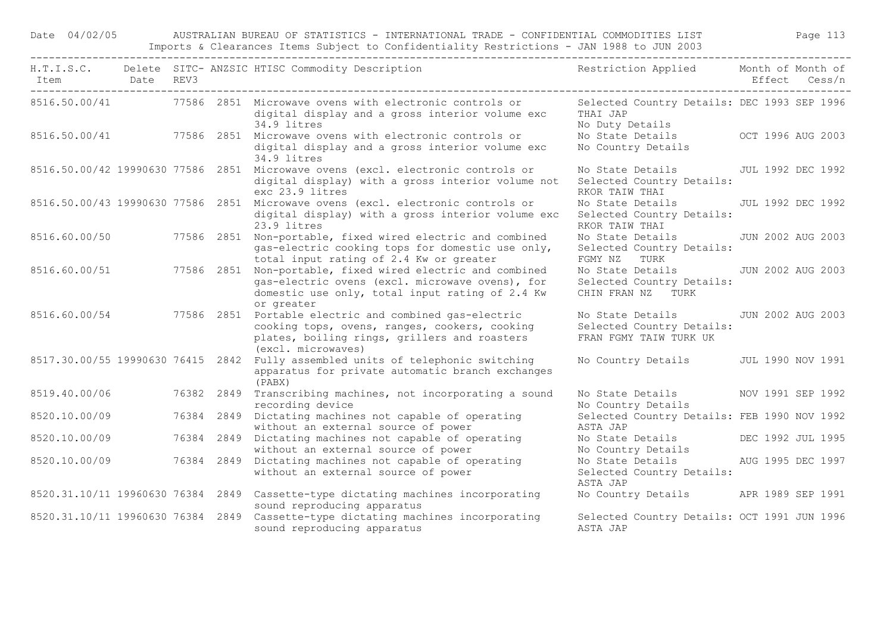Date 04/02/05 AUSTRALIAN BUREAU OF STATISTICS - INTERNATIONAL TRADE - CONFIDENTIAL COMMODITIES LIST Page 113 Imports & Clearances Items Subject to Confidentiality Restrictions - JAN 1988 to JUN 2003

| Item Date REV3                    |  |            | H.T.I.S.C. Delete SITC- ANZSIC HTISC Commodity Description                                                                                                                                  | Restriction Applied Month of Month of                                                       | Effect Cess/n     |
|-----------------------------------|--|------------|---------------------------------------------------------------------------------------------------------------------------------------------------------------------------------------------|---------------------------------------------------------------------------------------------|-------------------|
|                                   |  |            | 8516.50.00/41 77586 2851 Microwave ovens with electronic controls or<br>digital display and a gross interior volume exc<br>34.9 litres                                                      | Selected Country Details: DEC 1993 SEP 1996<br>THAI JAP<br>No Duty Details                  |                   |
|                                   |  |            | 8516.50.00/41 77586 2851 Microwave ovens with electronic controls or<br>digital display and a gross interior volume exc<br>34.9 litres                                                      | No State Details OCT 1996 AUG 2003<br>No Country Details                                    |                   |
|                                   |  |            | 8516.50.00/42 19990630 77586 2851 Microwave ovens (excl. electronic controls or<br>digital display) with a gross interior volume not<br>exc 23.9 litres                                     | No State Details JUL 1992 DEC 1992<br>Selected Country Details:<br>RKOR TAIW THAI           |                   |
|                                   |  |            | 8516.50.00/43 19990630 77586 2851 Microwave ovens (excl. electronic controls or<br>digital display) with a gross interior volume exc<br>23.9 litres                                         | No State Details<br>Selected Country Details:<br>RKOR TAIW THAI                             | JUL 1992 DEC 1992 |
|                                   |  |            | 8516.60.00/50 77586 2851 Non-portable, fixed wired electric and combined<br>gas-electric cooking tops for domestic use only,<br>total input rating of 2.4 Kw or greater                     | No State Details<br>Selected Country Details:<br>FGMY NZ TURK                               | JUN 2002 AUG 2003 |
| 8516.60.00/51                     |  |            | 77586 2851 Non-portable, fixed wired electric and combined<br>gas-electric ovens (excl. microwave ovens), for<br>domestic use only, total input rating of 2.4 Kw<br>or greater              | No State Details JUN 2002 AUG 2003<br>Selected Country Details:<br>CHIN FRAN NZ TURK        |                   |
|                                   |  |            | 8516.60.00/54 77586 2851 Portable electric and combined gas-electric<br>cooking tops, ovens, ranges, cookers, cooking<br>plates, boiling rings, grillers and roasters<br>(excl. microwaves) | No State Details 5 JUN 2002 AUG 2003<br>Selected Country Details:<br>FRAN FGMY TAIW TURK UK |                   |
|                                   |  |            | 8517.30.00/55 19990630 76415 2842 Fully assembled units of telephonic switching<br>apparatus for private automatic branch exchanges<br>(PABX)                                               | No Country Details JUL 1990 NOV 1991                                                        |                   |
|                                   |  |            | 8519.40.00/06 76382 2849 Transcribing machines, not incorporating a sound<br>recording device                                                                                               | No State Details NOV 1991 SEP 1992<br>No Country Details                                    |                   |
| 8520.10.00/09                     |  | 76384 2849 | Dictating machines not capable of operating<br>without an external source of power                                                                                                          | Selected Country Details: FEB 1990 NOV 1992<br>ASTA JAP                                     |                   |
| 8520.10.00/09                     |  |            | 76384 2849 Dictating machines not capable of operating<br>without an external source of power                                                                                               | No State Details DEC 1992 JUL 1995<br>No Country Details                                    |                   |
| 8520.10.00/09 76384 2849          |  |            | Dictating machines not capable of operating<br>without an external source of power                                                                                                          | No State Details<br>Selected Country Details:<br>ASTA JAP                                   | AUG 1995 DEC 1997 |
| 8520.31.10/11 19960630 76384 2849 |  |            | Cassette-type dictating machines incorporating<br>sound reproducing apparatus                                                                                                               | No Country Details APR 1989 SEP 1991                                                        |                   |
|                                   |  |            | 8520.31.10/11 19960630 76384 2849 Cassette-type dictating machines incorporating<br>sound reproducing apparatus                                                                             | Selected Country Details: OCT 1991 JUN 1996<br>ASTA JAP                                     |                   |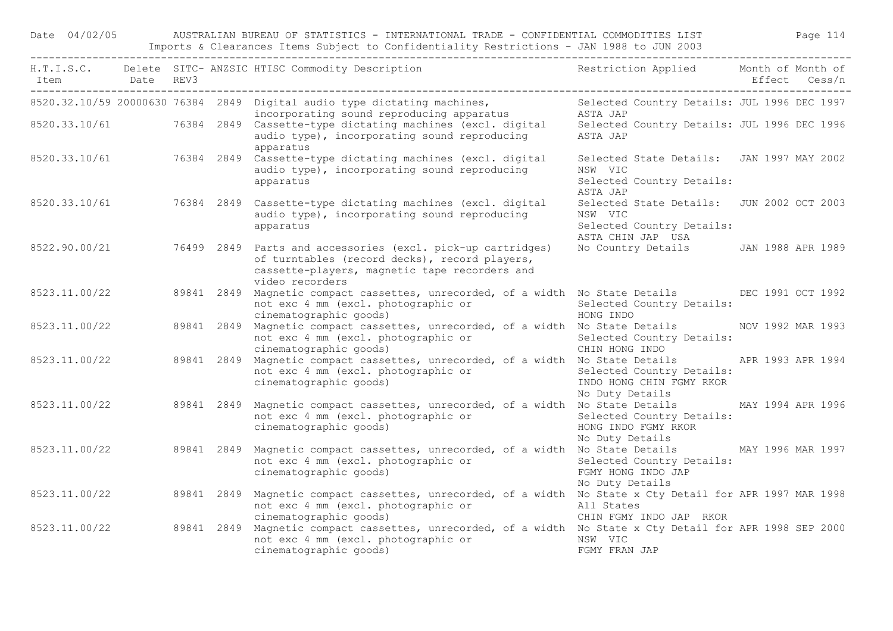Date 04/02/05 AUSTRALIAN BUREAU OF STATISTICS - INTERNATIONAL TRADE - CONFIDENTIAL COMMODITIES LIST Page 114 Imports & Clearances Items Subject to Confidentiality Restrictions - JAN 1988 to JUN 2003

| Item Date REV3 |  |            | H.T.I.S.C. Delete SITC-ANZSIC HTISC Commodity Description The Restriction Applied Month of Month of                                                                                            |                                                                                                        |  |
|----------------|--|------------|------------------------------------------------------------------------------------------------------------------------------------------------------------------------------------------------|--------------------------------------------------------------------------------------------------------|--|
|                |  |            | 8520.32.10/59 20000630 76384 2849 Digital audio type dictating machines,<br>incorporating sound reproducing apparatus                                                                          | Selected Country Details: JUL 1996 DEC 1997<br>ASTA JAP                                                |  |
|                |  |            | 8520.33.10/61 76384 2849 Cassette-type dictating machines (excl. digital<br>audio type), incorporating sound reproducing<br>apparatus                                                          | Selected Country Details: JUL 1996 DEC 1996<br>ASTA JAP                                                |  |
|                |  |            | 8520.33.10/61 76384 2849 Cassette-type dictating machines (excl. digital<br>audio type), incorporating sound reproducing<br>apparatus                                                          | Selected State Details: JAN 1997 MAY 2002<br>NSW VIC<br>Selected Country Details:<br>ASTA JAP          |  |
|                |  |            | 8520.33.10/61 76384 2849 Cassette-type dictating machines (excl. digital<br>audio type), incorporating sound reproducing<br>apparatus                                                          | Selected State Details: JUN 2002 OCT 2003<br>NSW VIC<br>Selected Country Details:<br>ASTA CHIN JAP USA |  |
|                |  |            | 8522.90.00/21 76499 2849 Parts and accessories (excl. pick-up cartridges)<br>of turntables (record decks), record players,<br>cassette-players, magnetic tape recorders and<br>video recorders | No Country Details JAN 1988 APR 1989                                                                   |  |
| 8523.11.00/22  |  |            | 89841 2849 Magnetic compact cassettes, unrecorded, of a width No State Details DEC 1991 OCT 1992<br>not exc 4 mm (excl. photographic or<br>cinematographic goods)                              | Selected Country Details:<br>HONG INDO                                                                 |  |
| 8523.11.00/22  |  |            | 89841 2849 Magnetic compact cassettes, unrecorded, of a width No State Details NOV 1992 MAR 1993<br>not exc 4 mm (excl. photographic or<br>cinematographic goods)                              | Selected Country Details:<br>CHIN HONG INDO                                                            |  |
| 8523.11.00/22  |  |            | 89841 2849 Magnetic compact cassettes, unrecorded, of a width No State Details APR 1993 APR 1994<br>not exc 4 mm (excl. photographic or<br>cinematographic goods)                              | Selected Country Details:<br>INDO HONG CHIN FGMY RKOR<br>No Duty Details                               |  |
| 8523.11.00/22  |  | 89841 2849 | Magnetic compact cassettes, unrecorded, of a width No State Details MAY 1994 APR 1996<br>not exc 4 mm (excl. photographic or<br>cinematographic goods)                                         | Selected Country Details:<br>HONG INDO FGMY RKOR<br>No Duty Details                                    |  |
| 8523.11.00/22  |  | 89841 2849 | Magnetic compact cassettes, unrecorded, of a width No State Details MAY 1996 MAR 1997<br>not exc 4 mm (excl. photographic or<br>cinematographic goods)                                         | Selected Country Details:<br>FGMY HONG INDO JAP<br>No Duty Details                                     |  |
| 8523.11.00/22  |  | 89841 2849 | Magnetic compact cassettes, unrecorded, of a width No State x Cty Detail for APR 1997 MAR 1998<br>not exc 4 mm (excl. photographic or<br>cinematographic goods)                                | All States<br>CHIN FGMY INDO JAP RKOR                                                                  |  |
| 8523.11.00/22  |  |            | 89841 2849 Magnetic compact cassettes, unrecorded, of a width No State x Cty Detail for APR 1998 SEP 2000<br>not exc 4 mm (excl. photographic or<br>cinematographic goods)                     | NSW VIC<br>FGMY FRAN JAP                                                                               |  |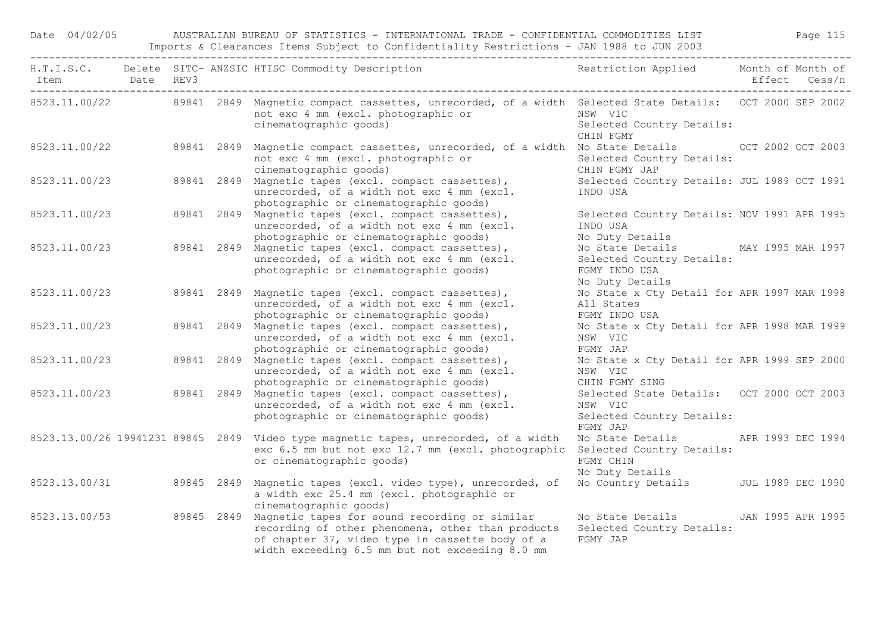Date 04/02/05 AUSTRALIAN BUREAU OF STATISTICS - INTERNATIONAL TRADE - CONFIDENTIAL COMMODITIES LIST Page 115 Imports & Clearances Items Subject to Confidentiality Restrictions - JAN 1988 to JUN 2003

|               |  | H.T.I.S.C. Delete SITC-ANZSIC HTISC Commodity Description Nestriction Applied Month of Month of                                                                                                                                   |                                                                                                     |  |
|---------------|--|-----------------------------------------------------------------------------------------------------------------------------------------------------------------------------------------------------------------------------------|-----------------------------------------------------------------------------------------------------|--|
|               |  | 8523.11.00/22 89841 2849 Magnetic compact cassettes, unrecorded, of a width Selected State Details: OCT 2000 SEP 2002<br>not exc 4 mm (excl. photographic or<br>cinematographic goods)                                            | NSW VIC<br>Selected Country Details:<br>CHIN FGMY                                                   |  |
|               |  | 8523.11.00/22 89841 2849 Magnetic compact cassettes, unrecorded, of a width No State Details 00T 2002 OCT 2003<br>not exc 4 mm (excl. photographic or<br>cinematographic goods)                                                   | Selected Country Details:<br>CHIN FGMY JAP                                                          |  |
| 8523.11.00/23 |  | 89841 2849 Magnetic tapes (excl. compact cassettes),<br>unrecorded, of a width not exc 4 mm (excl.<br>photographic or cinematographic goods)                                                                                      | Selected Country Details: JUL 1989 OCT 1991<br>INDO USA                                             |  |
| 8523.11.00/23 |  | 89841 2849 Magnetic tapes (excl. compact cassettes),<br>unrecorded, of a width not exc 4 mm (excl.<br>photographic or cinematographic goods)                                                                                      | Selected Country Details: NOV 1991 APR 1995<br>INDO USA<br>No Duty Details                          |  |
| 8523.11.00/23 |  | 89841 2849 Magnetic tapes (excl. compact cassettes),<br>unrecorded, of a width not exc 4 mm (excl.<br>photographic or cinematographic goods)                                                                                      | No State Details MAY 1995 MAR 1997<br>Selected Country Details:<br>FGMY INDO USA<br>No Duty Details |  |
| 8523.11.00/23 |  | 89841 2849 Magnetic tapes (excl. compact cassettes),<br>unrecorded, of a width not exc 4 mm (excl.<br>photographic or cinematographic goods)                                                                                      | No State x Cty Detail for APR 1997 MAR 1998<br>All States<br>FGMY INDO USA                          |  |
| 8523.11.00/23 |  | 89841 2849 Magnetic tapes (excl. compact cassettes),<br>unrecorded, of a width not exc 4 mm (excl.<br>photographic or cinematographic goods)                                                                                      | No State x Cty Detail for APR 1998 MAR 1999<br>NSW VIC<br>FGMY JAP                                  |  |
| 8523.11.00/23 |  | 89841 2849 Magnetic tapes (excl. compact cassettes),<br>unrecorded, of a width not exc 4 mm (excl.<br>photographic or cinematographic goods)                                                                                      | No State x Cty Detail for APR 1999 SEP 2000<br>NSW VIC<br>CHIN FGMY SING                            |  |
| 8523.11.00/23 |  | 89841 2849 Magnetic tapes (excl. compact cassettes),<br>unrecorded, of a width not exc 4 mm (excl.<br>photographic or cinematographic goods)                                                                                      | Selected State Details: OCT 2000 OCT 2003<br>NSW VIC<br>Selected Country Details:<br>FGMY JAP       |  |
|               |  | 8523.13.00/26 19941231 89845 2849 Video type magnetic tapes, unrecorded, of a width<br>exc 6.5 mm but not exc 12.7 mm (excl. photographic Selected Country Details:<br>or cinematographic goods)                                  | No State Details APR 1993 DEC 1994<br>FGMY CHIN<br>No Duty Details                                  |  |
|               |  | 8523.13.00/31 89845 2849 Magnetic tapes (excl. video type), unrecorded, of<br>a width exc 25.4 mm (excl. photographic or<br>cinematographic goods)                                                                                | No Country Details JUL 1989 DEC 1990                                                                |  |
|               |  | 8523.13.00/53 89845 2849 Magnetic tapes for sound recording or similar<br>recording of other phenomena, other than products<br>of chapter 37, video type in cassette body of a<br>width exceeding 6.5 mm but not exceeding 8.0 mm | No State Details JAN 1995 APR 1995<br>Selected Country Details:<br>FGMY JAP                         |  |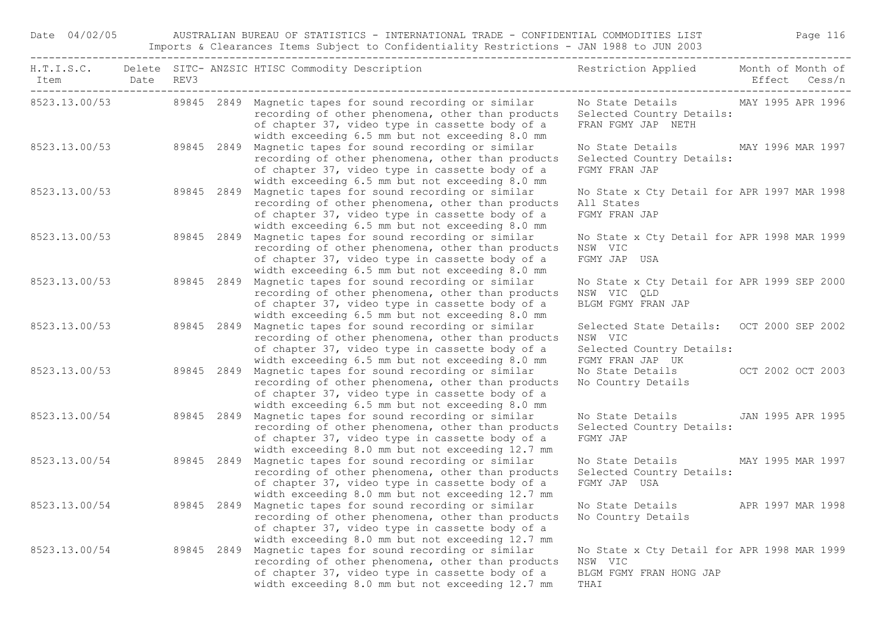| Item Date REV3 |  |            | H.T.I.S.C. Delete SITC-ANZSIC HTISC Commodity Description Nestriction Applied Month of Month of                                                                                                                                   |                                                                                                       | Effect Cess/n     |  |  |
|----------------|--|------------|-----------------------------------------------------------------------------------------------------------------------------------------------------------------------------------------------------------------------------------|-------------------------------------------------------------------------------------------------------|-------------------|--|--|
|                |  |            | 8523.13.00/53 89845 2849 Magnetic tapes for sound recording or similar<br>recording of other phenomena, other than products<br>of chapter 37, video type in cassette body of a<br>width exceeding 6.5 mm but not exceeding 8.0 mm | No State Details MAY 1995 APR 1996<br>Selected Country Details:<br>FRAN FGMY JAP NETH                 |                   |  |  |
| 8523.13.00/53  |  | 89845 2849 | Magnetic tapes for sound recording or similar<br>recording of other phenomena, other than products<br>of chapter 37, video type in cassette body of a<br>width exceeding 6.5 mm but not exceeding 8.0 mm                          | No State Details MAY 1996 MAR 1997<br>Selected Country Details:<br>FGMY FRAN JAP                      |                   |  |  |
| 8523.13.00/53  |  | 89845 2849 | Magnetic tapes for sound recording or similar<br>recording of other phenomena, other than products<br>of chapter 37, video type in cassette body of a<br>width exceeding 6.5 mm but not exceeding 8.0 mm                          | No State x Cty Detail for APR 1997 MAR 1998<br>All States<br>FGMY FRAN JAP                            |                   |  |  |
| 8523.13.00/53  |  | 89845 2849 | Magnetic tapes for sound recording or similar<br>recording of other phenomena, other than products<br>of chapter 37, video type in cassette body of a<br>width exceeding 6.5 mm but not exceeding 8.0 mm                          | No State x Cty Detail for APR 1998 MAR 1999<br>NSW VIC<br>FGMY JAP USA                                |                   |  |  |
| 8523.13.00/53  |  | 89845 2849 | Magnetic tapes for sound recording or similar<br>recording of other phenomena, other than products<br>of chapter 37, video type in cassette body of a<br>width exceeding 6.5 mm but not exceeding 8.0 mm                          | No State x Cty Detail for APR 1999 SEP 2000<br>NSW VIC OLD<br>BLGM FGMY FRAN JAP                      |                   |  |  |
| 8523.13.00/53  |  | 89845 2849 | Magnetic tapes for sound recording or similar<br>recording of other phenomena, other than products<br>of chapter 37, video type in cassette body of a<br>width exceeding 6.5 mm but not exceeding 8.0 mm                          | Selected State Details: OCT 2000 SEP 2002<br>NSW VIC<br>Selected Country Details:<br>FGMY FRAN JAP UK |                   |  |  |
| 8523.13.00/53  |  | 89845 2849 | Magnetic tapes for sound recording or similar<br>recording of other phenomena, other than products<br>of chapter 37, video type in cassette body of a<br>width exceeding 6.5 mm but not exceeding 8.0 mm                          | No State Details<br>No Country Details                                                                | OCT 2002 OCT 2003 |  |  |
| 8523.13.00/54  |  | 89845 2849 | Magnetic tapes for sound recording or similar<br>recording of other phenomena, other than products<br>of chapter 37, video type in cassette body of a<br>width exceeding 8.0 mm but not exceeding 12.7 mm                         | No State Details<br>Selected Country Details:<br>FGMY JAP                                             | JAN 1995 APR 1995 |  |  |
| 8523.13.00/54  |  | 89845 2849 | Magnetic tapes for sound recording or similar<br>recording of other phenomena, other than products<br>of chapter 37, video type in cassette body of a<br>width exceeding 8.0 mm but not exceeding 12.7 mm                         | No State Details<br>Selected Country Details:<br>FGMY JAP USA                                         | MAY 1995 MAR 1997 |  |  |
| 8523.13.00/54  |  | 89845 2849 | Magnetic tapes for sound recording or similar<br>recording of other phenomena, other than products<br>of chapter 37, video type in cassette body of a<br>width exceeding 8.0 mm but not exceeding 12.7 mm                         | No State Details<br>No Country Details                                                                | APR 1997 MAR 1998 |  |  |
| 8523.13.00/54  |  | 89845 2849 | Magnetic tapes for sound recording or similar<br>recording of other phenomena, other than products<br>of chapter 37, video type in cassette body of a<br>width exceeding 8.0 mm but not exceeding 12.7 mm                         | No State x Cty Detail for APR 1998 MAR 1999<br>NSW VIC<br>BLGM FGMY FRAN HONG JAP<br>THAI             |                   |  |  |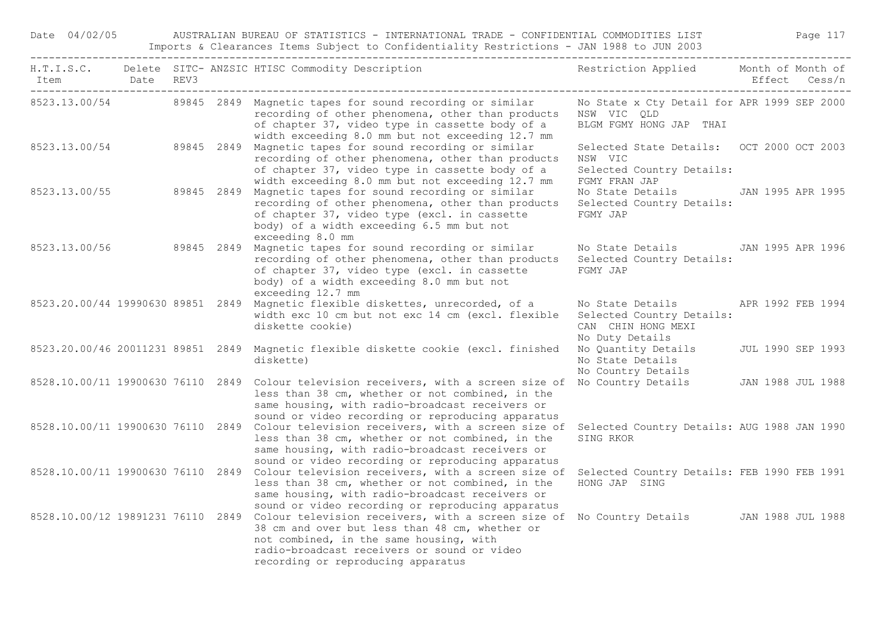Date 04/02/05 AUSTRALIAN BUREAU OF STATISTICS - INTERNATIONAL TRADE - CONFIDENTIAL COMMODITIES LIST Page 117 Imports & Clearances Items Subject to Confidentiality Restrictions - JAN 1988 to JUN 2003

| Item Date REV3                    |  | H.T.I.S.C. Delete SITC-ANZSIC HTISC Commodity Description Nestriction Applied Month of Month of                                                                                                                                                                                                             |                                                                                                    | Effect Cess/n     |
|-----------------------------------|--|-------------------------------------------------------------------------------------------------------------------------------------------------------------------------------------------------------------------------------------------------------------------------------------------------------------|----------------------------------------------------------------------------------------------------|-------------------|
|                                   |  | 8523.13.00/54 89845 2849 Magnetic tapes for sound recording or similar<br>recording of other phenomena, other than products<br>of chapter 37, video type in cassette body of a<br>width exceeding 8.0 mm but not exceeding 12.7 mm                                                                          | No State x Cty Detail for APR 1999 SEP 2000<br>NSW VIC QLD<br>BLGM FGMY HONG JAP THAI              |                   |
|                                   |  | 8523.13.00/54 89845 2849 Magnetic tapes for sound recording or similar<br>recording of other phenomena, other than products<br>of chapter 37, video type in cassette body of a<br>width exceeding 8.0 mm but not exceeding 12.7 mm                                                                          | Selected State Details: OCT 2000 OCT 2003<br>NSW VIC<br>Selected Country Details:<br>FGMY FRAN JAP |                   |
| 8523.13.00/55                     |  | 89845 2849 Magnetic tapes for sound recording or similar<br>recording of other phenomena, other than products<br>of chapter 37, video type (excl. in cassette<br>body) of a width exceeding 6.5 mm but not<br>exceeding 8.0 mm                                                                              | No State Details JAN 1995 APR 1995<br>Selected Country Details:<br>FGMY JAP                        |                   |
|                                   |  | 8523.13.00/56 89845 2849 Magnetic tapes for sound recording or similar<br>recording of other phenomena, other than products<br>of chapter 37, video type (excl. in cassette<br>body) of a width exceeding 8.0 mm but not<br>exceeding 12.7 mm                                                               | No State Details 5 JAN 1995 APR 1996<br>Selected Country Details:<br>FGMY JAP                      |                   |
|                                   |  | 8523.20.00/44 19990630 89851 2849 Magnetic flexible diskettes, unrecorded, of a<br>width exc 10 cm but not exc 14 cm (excl. flexible<br>diskette cookie)                                                                                                                                                    | No State Details<br>Selected Country Details:<br>CAN CHIN HONG MEXI<br>No Duty Details             | APR 1992 FEB 1994 |
| 8523.20.00/46 20011231 89851 2849 |  | Magnetic flexible diskette cookie (excl. finished<br>diskette)                                                                                                                                                                                                                                              | No Quantity Details<br>No State Details<br>No Country Details                                      | JUL 1990 SEP 1993 |
|                                   |  | 8528.10.00/11 19900630 76110 2849 Colour television receivers, with a screen size of<br>less than 38 cm, whether or not combined, in the<br>same housing, with radio-broadcast receivers or<br>sound or video recording or reproducing apparatus                                                            | No Country Details JAN 1988 JUL 1988                                                               |                   |
|                                   |  | 8528.10.00/11 19900630 76110 2849 Colour television receivers, with a screen size of<br>less than 38 cm, whether or not combined, in the<br>same housing, with radio-broadcast receivers or<br>sound or video recording or reproducing apparatus                                                            | Selected Country Details: AUG 1988 JAN 1990<br>SING RKOR                                           |                   |
|                                   |  | 8528.10.00/11 19900630 76110 2849 Colour television receivers, with a screen size of<br>less than 38 cm, whether or not combined, in the<br>same housing, with radio-broadcast receivers or<br>sound or video recording or reproducing apparatus                                                            | Selected Country Details: FEB 1990 FEB 1991<br>HONG JAP SING                                       |                   |
|                                   |  | 8528.10.00/12 19891231 76110 2849 Colour television receivers, with a screen size of No Country Details JAN 1988 JUL 1988<br>38 cm and over but less than 48 cm, whether or<br>not combined, in the same housing, with<br>radio-broadcast receivers or sound or video<br>recording or reproducing apparatus |                                                                                                    |                   |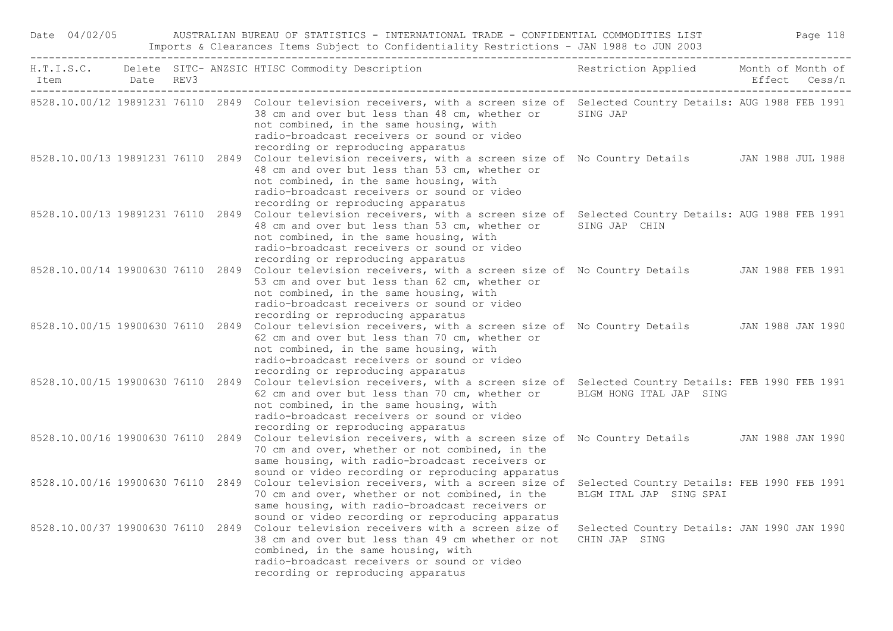| Date 04/02/05  |                                  |  | AUSTRALIAN BUREAU OF STATISTICS - INTERNATIONAL TRADE - CONFIDENTIAL COMMODITIES LIST                                                                                                                                                                                                                                                                                            |                                                              |               | Page 118 |
|----------------|----------------------------------|--|----------------------------------------------------------------------------------------------------------------------------------------------------------------------------------------------------------------------------------------------------------------------------------------------------------------------------------------------------------------------------------|--------------------------------------------------------------|---------------|----------|
| Item Date REV3 | -------------------------------- |  | H.T.I.S.C. Delete SITC- ANZSIC HTISC Commodity Description                                                                                                                                                                                                                                                                                                                       | Restriction Applied Month of Month of                        | Effect Cess/n |          |
|                |                                  |  | 8528.10.00/12 19891231 76110 2849 Colour television receivers, with a screen size of Selected Country Details: AUG 1988 FEB 1991<br>38 cm and over but less than 48 cm, whether or SING JAP<br>not combined, in the same housing, with<br>radio-broadcast receivers or sound or video<br>recording or reproducing apparatus                                                      |                                                              |               |          |
|                |                                  |  | 8528.10.00/13 19891231 76110 2849 Colour television receivers, with a screen size of No Country Details JAN 1988 JUL 1988<br>48 cm and over but less than 53 cm, whether or<br>not combined, in the same housing, with<br>radio-broadcast receivers or sound or video<br>recording or reproducing apparatus                                                                      |                                                              |               |          |
|                |                                  |  | 8528.10.00/13 19891231 76110 2849 Colour television receivers, with a screen size of Selected Country Details: AUG 1988 FEB 1991<br>48 cm and over but less than 53 cm, whether or SING JAP CHIN<br>not combined, in the same housing, with<br>radio-broadcast receivers or sound or video<br>recording or reproducing apparatus                                                 |                                                              |               |          |
|                |                                  |  | 8528.10.00/14 19900630 76110 2849 Colour television receivers, with a screen size of No Country Details JAN 1988 FEB 1991<br>53 cm and over but less than 62 cm, whether or<br>not combined, in the same housing, with<br>radio-broadcast receivers or sound or video                                                                                                            |                                                              |               |          |
|                |                                  |  | recording or reproducing apparatus<br>8528.10.00/15 19900630 76110 2849 Colour television receivers, with a screen size of No Country Details JAN 1988 JAN 1990<br>62 cm and over but less than 70 cm, whether or<br>not combined, in the same housing, with<br>radio-broadcast receivers or sound or video                                                                      |                                                              |               |          |
|                |                                  |  | recording or reproducing apparatus<br>8528.10.00/15 19900630 76110 2849 Colour television receivers, with a screen size of Selected Country Details: FEB 1990 FEB 1991<br>62 cm and over but less than 70 cm, whether or BLGM HONG ITAL JAP SING<br>not combined, in the same housing, with<br>radio-broadcast receivers or sound or video<br>recording or reproducing apparatus |                                                              |               |          |
|                |                                  |  | 8528.10.00/16 19900630 76110 2849 Colour television receivers, with a screen size of No Country Details JAN 1988 JAN 1990<br>70 cm and over, whether or not combined, in the<br>same housing, with radio-broadcast receivers or<br>sound or video recording or reproducing apparatus                                                                                             |                                                              |               |          |
|                |                                  |  | 8528.10.00/16 19900630 76110 2849 Colour television receivers, with a screen size of Selected Country Details: FEB 1990 FEB 1991<br>70 cm and over, whether or not combined, in the<br>same housing, with radio-broadcast receivers or<br>sound or video recording or reproducing apparatus                                                                                      | BLGM ITAL JAP SING SPAI                                      |               |          |
|                |                                  |  | 8528.10.00/37 19900630 76110 2849 Colour television receivers with a screen size of<br>38 cm and over but less than 49 cm whether or not<br>combined, in the same housing, with<br>radio-broadcast receivers or sound or video<br>recording or reproducing apparatus                                                                                                             | Selected Country Details: JAN 1990 JAN 1990<br>CHIN JAP SING |               |          |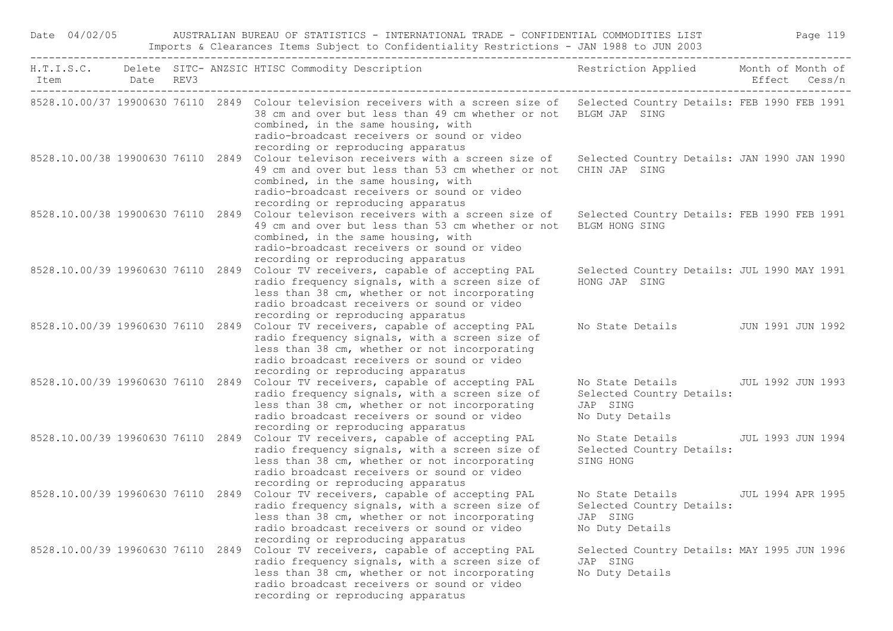| Date 04/02/05                     |  | AUSTRALIAN BUREAU OF STATISTICS - INTERNATIONAL TRADE - CONFIDENTIAL COMMODITIES LIST<br>Imports & Clearances Items Subject to Confidentiality Restrictions - JAN 1988 to JUN 2003                                                                                                                               |                                                                                                   | Page 119          |
|-----------------------------------|--|------------------------------------------------------------------------------------------------------------------------------------------------------------------------------------------------------------------------------------------------------------------------------------------------------------------|---------------------------------------------------------------------------------------------------|-------------------|
| Item Date REV3                    |  | H.T.I.S.C. Delete SITC- ANZSIC HTISC Commodity Description                                                                                                                                                                                                                                                       | Restriction Applied Month of Month of                                                             | Effect Cess/n     |
|                                   |  | 8528.10.00/37 19900630 76110 2849 Colour television receivers with a screen size of Selected Country Details: FEB 1990 FEB 1991<br>38 cm and over but less than 49 cm whether or not<br>combined, in the same housing, with<br>radio-broadcast receivers or sound or video<br>recording or reproducing apparatus | BLGM JAP SING                                                                                     |                   |
|                                   |  | 8528.10.00/38 19900630 76110 2849 Colour televison receivers with a screen size of<br>49 cm and over but less than 53 cm whether or not<br>combined, in the same housing, with<br>radio-broadcast receivers or sound or video<br>recording or reproducing apparatus                                              | Selected Country Details: JAN 1990 JAN 1990<br>CHIN JAP SING                                      |                   |
|                                   |  | 8528.10.00/38 19900630 76110 2849 Colour televison receivers with a screen size of<br>49 cm and over but less than 53 cm whether or not<br>combined, in the same housing, with<br>radio-broadcast receivers or sound or video<br>recording or reproducing apparatus                                              | Selected Country Details: FEB 1990 FEB 1991<br>BLGM HONG SING                                     |                   |
| 8528.10.00/39 19960630 76110 2849 |  | Colour TV receivers, capable of accepting PAL<br>radio frequency signals, with a screen size of<br>less than 38 cm, whether or not incorporating<br>radio broadcast receivers or sound or video<br>recording or reproducing apparatus                                                                            | Selected Country Details: JUL 1990 MAY 1991<br>HONG JAP SING                                      |                   |
| 8528.10.00/39 19960630 76110 2849 |  | Colour TV receivers, capable of accepting PAL<br>radio frequency signals, with a screen size of<br>less than 38 cm, whether or not incorporating<br>radio broadcast receivers or sound or video<br>recording or reproducing apparatus                                                                            | No State Details                                                                                  | JUN 1991 JUN 1992 |
|                                   |  | 8528.10.00/39 19960630 76110 2849 Colour TV receivers, capable of accepting PAL<br>radio frequency signals, with a screen size of<br>less than 38 cm, whether or not incorporating<br>radio broadcast receivers or sound or video<br>recording or reproducing apparatus                                          | No State Details 50 JUL 1992 JUN 1993<br>Selected Country Details:<br>JAP SING<br>No Duty Details |                   |
| 8528.10.00/39 19960630 76110 2849 |  | Colour TV receivers, capable of accepting PAL<br>radio frequency signals, with a screen size of<br>less than 38 cm, whether or not incorporating<br>radio broadcast receivers or sound or video<br>recording or reproducing apparatus                                                                            | No State Details<br>Selected Country Details:<br>SING HONG                                        | JUL 1993 JUN 1994 |
|                                   |  | 8528.10.00/39 19960630 76110 2849 Colour TV receivers, capable of accepting PAL No State Details<br>radio frequency signals, with a screen size of<br>less than 38 cm, whether or not incorporating<br>radio broadcast receivers or sound or video<br>recording or reproducing apparatus                         | Selected Country Details:<br>JAP SING<br>No Duty Details                                          | JUL 1994 APR 1995 |
| 8528.10.00/39 19960630 76110 2849 |  | Colour TV receivers, capable of accepting PAL<br>radio frequency signals, with a screen size of<br>less than 38 cm, whether or not incorporating<br>radio broadcast receivers or sound or video<br>recording or reproducing apparatus                                                                            | Selected Country Details: MAY 1995 JUN 1996<br>JAP SING<br>No Duty Details                        |                   |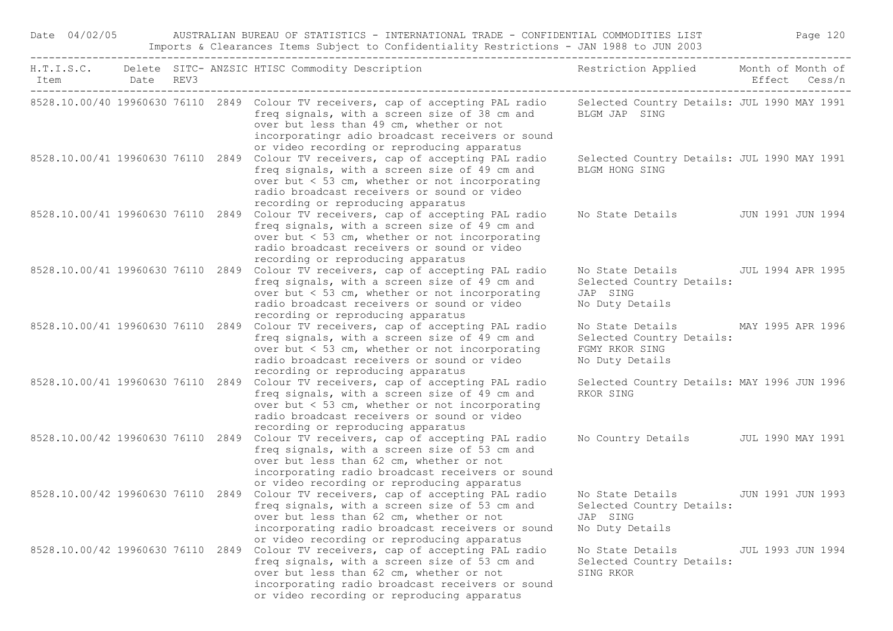| Date 04/02/05                     |           |  | AUSTRALIAN BUREAU OF STATISTICS - INTERNATIONAL TRADE - CONFIDENTIAL COMMODITIES LIST<br>Imports & Clearances Items Subject to Confidentiality Restrictions - JAN 1988 to JUN 2003                                                                                                |                                                                                    | Page 120 |                   |  |
|-----------------------------------|-----------|--|-----------------------------------------------------------------------------------------------------------------------------------------------------------------------------------------------------------------------------------------------------------------------------------|------------------------------------------------------------------------------------|----------|-------------------|--|
| Item                              | Date REV3 |  | H.T.I.S.C. Delete SITC- ANZSIC HTISC Commodity Description                                                                                                                                                                                                                        | Restriction Applied Month of Month of                                              |          | Effect Cess/n     |  |
|                                   |           |  | 8528.10.00/40 19960630 76110 2849 Colour TV receivers, cap of accepting PAL radio<br>freq signals, with a screen size of 38 cm and<br>over but less than 49 cm, whether or not<br>incorporatingr adio broadcast receivers or sound<br>or video recording or reproducing apparatus | Selected Country Details: JUL 1990 MAY 1991<br>BLGM JAP SING                       |          |                   |  |
|                                   |           |  | 8528.10.00/41 19960630 76110 2849 Colour TV receivers, cap of accepting PAL radio<br>freq signals, with a screen size of 49 cm and<br>over but $<$ 53 cm, whether or not incorporating<br>radio broadcast receivers or sound or video<br>recording or reproducing apparatus       | Selected Country Details: JUL 1990 MAY 1991<br>BLGM HONG SING                      |          |                   |  |
|                                   |           |  | 8528.10.00/41 19960630 76110 2849 Colour TV receivers, cap of accepting PAL radio<br>freq signals, with a screen size of 49 cm and<br>over but < 53 cm, whether or not incorporating<br>radio broadcast receivers or sound or video<br>recording or reproducing apparatus         | No State Details JUN 1991 JUN 1994                                                 |          |                   |  |
|                                   |           |  | 8528.10.00/41 19960630 76110 2849 Colour TV receivers, cap of accepting PAL radio<br>freq signals, with a screen size of 49 cm and<br>over but < 53 cm, whether or not incorporating<br>radio broadcast receivers or sound or video<br>recording or reproducing apparatus         | No State Details<br>Selected Country Details:<br>JAP SING<br>No Duty Details       |          | JUL 1994 APR 1995 |  |
|                                   |           |  | 8528.10.00/41 19960630 76110 2849 Colour TV receivers, cap of accepting PAL radio<br>freq signals, with a screen size of 49 cm and<br>over but $<$ 53 cm, whether or not incorporating<br>radio broadcast receivers or sound or video<br>recording or reproducing apparatus       | No State Details<br>Selected Country Details:<br>FGMY RKOR SING<br>No Duty Details |          | MAY 1995 APR 1996 |  |
| 8528.10.00/41 19960630 76110 2849 |           |  | Colour TV receivers, cap of accepting PAL radio<br>freq signals, with a screen size of 49 cm and<br>over but < 53 cm, whether or not incorporating<br>radio broadcast receivers or sound or video<br>recording or reproducing apparatus                                           | Selected Country Details: MAY 1996 JUN 1996<br>RKOR SING                           |          |                   |  |
|                                   |           |  | 8528.10.00/42 19960630 76110 2849 Colour TV receivers, cap of accepting PAL radio<br>freq signals, with a screen size of 53 cm and<br>over but less than 62 cm, whether or not<br>incorporating radio broadcast receivers or sound<br>or video recording or reproducing apparatus | No Country Details JUL 1990 MAY 1991                                               |          |                   |  |
|                                   |           |  | 8528.10.00/42 19960630 76110 2849 Colour TV receivers, cap of accepting PAL radio<br>freq signals, with a screen size of 53 cm and<br>over but less than 62 cm, whether or not<br>incorporating radio broadcast receivers or sound<br>or video recording or reproducing apparatus | No State Details<br>Selected Country Details:<br>JAP SING<br>No Duty Details       |          | JUN 1991 JUN 1993 |  |
| 8528.10.00/42 19960630 76110      |           |  | 2849 Colour TV receivers, cap of accepting PAL radio<br>freq signals, with a screen size of 53 cm and<br>over but less than 62 cm, whether or not<br>incorporating radio broadcast receivers or sound<br>or video recording or reproducing apparatus                              | No State Details<br>Selected Country Details:<br>SING RKOR                         |          | JUL 1993 JUN 1994 |  |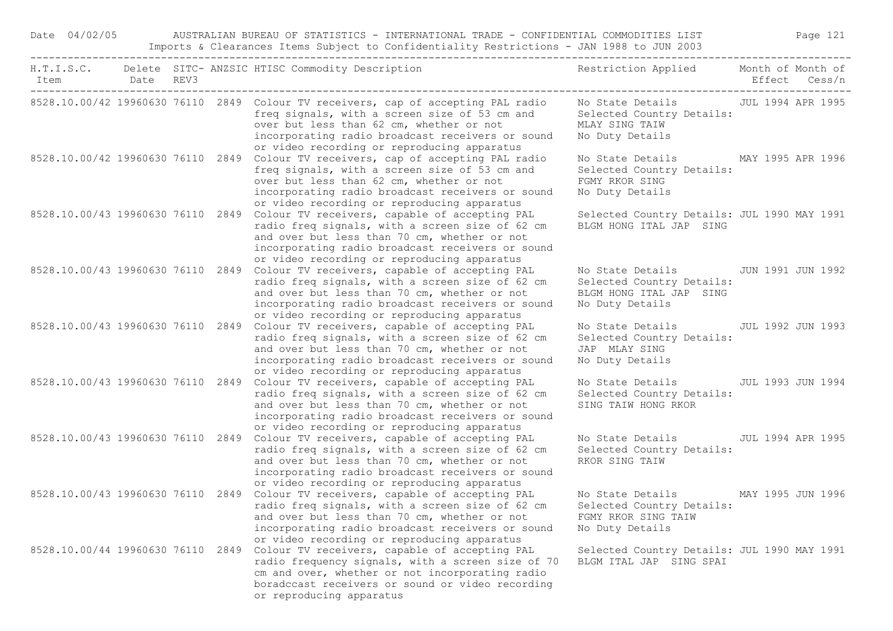| Date 04/02/05                     |                                     |      | AUSTRALIAN BUREAU OF STATISTICS - INTERNATIONAL TRADE - CONFIDENTIAL COMMODITIES LIST<br>Imports & Clearances Items Subject to Confidentiality Restrictions - JAN 1988 to JUN 2003                                                                                                                              |                                                                                                                 |                   | Page 121          |
|-----------------------------------|-------------------------------------|------|-----------------------------------------------------------------------------------------------------------------------------------------------------------------------------------------------------------------------------------------------------------------------------------------------------------------|-----------------------------------------------------------------------------------------------------------------|-------------------|-------------------|
| Item                              | Date<br>--------------------------- | REV3 | H.T.I.S.C. Delete SITC- ANZSIC HTISC Commodity Description                                                                                                                                                                                                                                                      | Restriction Applied Month of Month of                                                                           |                   | Effect Cess/n     |
|                                   |                                     |      | 8528.10.00/42 19960630 76110 2849 Colour TV receivers, cap of accepting PAL radio<br>freq signals, with a screen size of 53 cm and<br>over but less than 62 cm, whether or not<br>incorporating radio broadcast receivers or sound<br>or video recording or reproducing apparatus                               | No State Details 50 JUL 1994 APR 1995<br>Selected Country Details:<br>MLAY SING TAIW<br>No Duty Details         |                   |                   |
|                                   |                                     |      | 8528.10.00/42 19960630 76110 2849 Colour TV receivers, cap of accepting PAL radio<br>freq signals, with a screen size of 53 cm and<br>over but less than 62 cm, whether or not<br>incorporating radio broadcast receivers or sound<br>or video recording or reproducing apparatus                               | No State Details<br>Selected Country Details:<br>FGMY RKOR SING<br>No Duty Details                              | MAY 1995 APR 1996 |                   |
|                                   |                                     |      | 8528.10.00/43 19960630 76110 2849 Colour TV receivers, capable of accepting PAL<br>radio freq signals, with a screen size of 62 cm<br>and over but less than 70 cm, whether or not<br>incorporating radio broadcast receivers or sound<br>or video recording or reproducing apparatus                           | Selected Country Details: JUL 1990 MAY 1991<br>BLGM HONG ITAL JAP SING                                          |                   |                   |
|                                   |                                     |      | 8528.10.00/43 19960630 76110 2849 Colour TV receivers, capable of accepting PAL<br>radio freq signals, with a screen size of 62 cm<br>and over but less than 70 cm, whether or not<br>incorporating radio broadcast receivers or sound<br>or video recording or reproducing apparatus                           | No State Details 5 JUN 1991 JUN 1992<br>Selected Country Details:<br>BLGM HONG ITAL JAP SING<br>No Duty Details |                   |                   |
|                                   |                                     |      | 8528.10.00/43 19960630 76110 2849 Colour TV receivers, capable of accepting PAL<br>radio freq signals, with a screen size of 62 cm<br>and over but less than 70 cm, whether or not<br>incorporating radio broadcast receivers or sound<br>or video recording or reproducing apparatus                           | No State Details<br>Selected Country Details:<br>JAP MLAY SING<br>No Duty Details                               |                   | JUL 1992 JUN 1993 |
| 8528.10.00/43 19960630 76110 2849 |                                     |      | Colour TV receivers, capable of accepting PAL<br>radio freq signals, with a screen size of 62 cm<br>and over but less than 70 cm, whether or not<br>incorporating radio broadcast receivers or sound<br>or video recording or reproducing apparatus                                                             | No State Details<br>Selected Country Details:<br>SING TAIW HONG RKOR                                            |                   | JUL 1993 JUN 1994 |
|                                   |                                     |      | 8528.10.00/43 19960630 76110 2849 Colour TV receivers, capable of accepting PAL<br>radio freq signals, with a screen size of 62 cm<br>and over but less than 70 cm, whether or not<br>incorporating radio broadcast receivers or sound<br>or video recording or reproducing apparatus                           | No State Details<br>Selected Country Details:<br>RKOR SING TAIW                                                 |                   | JUL 1994 APR 1995 |
|                                   |                                     |      | 8528.10.00/43 19960630 76110 2849 Colour TV receivers, capable of accepting PAL<br>radio freq signals, with a screen size of 62 cm Selected Country Details:<br>and over but less than 70 cm, whether or not<br>incorporating radio broadcast receivers or sound<br>or video recording or reproducing apparatus | No State Details MAY 1995 JUN 1996<br>FGMY RKOR SING TAIW<br>No Duty Details                                    |                   |                   |
|                                   |                                     |      | 8528.10.00/44 19960630 76110 2849 Colour TV receivers, capable of accepting PAL<br>radio frequency signals, with a screen size of 70<br>cm and over, whether or not incorporating radio<br>boradccast receivers or sound or video recording<br>or reproducing apparatus                                         | Selected Country Details: JUL 1990 MAY 1991<br>BLGM ITAL JAP SING SPAI                                          |                   |                   |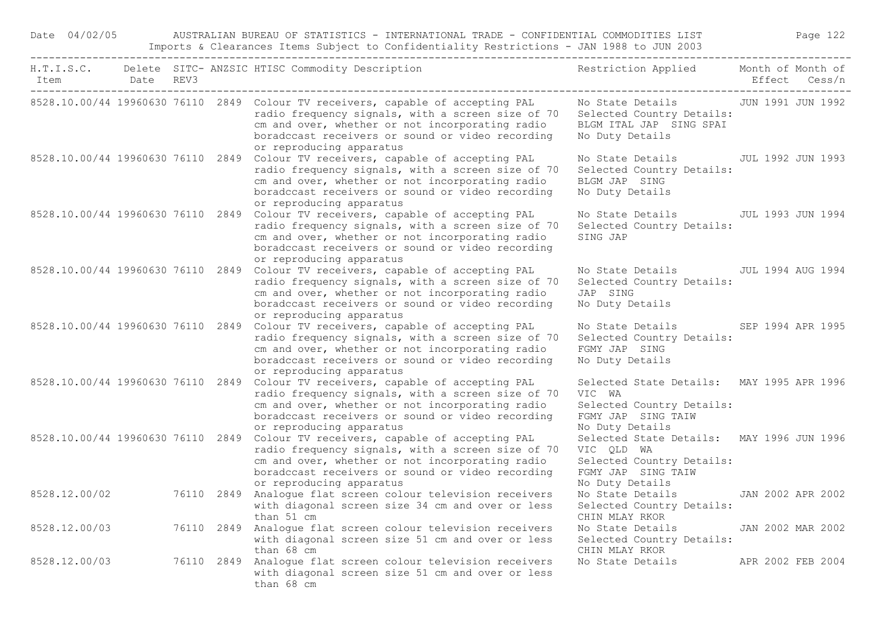| Date 04/02/05 |           |            | AUSTRALIAN BUREAU OF STATISTICS - INTERNATIONAL TRADE - CONFIDENTIAL COMMODITIES LIST<br>Imports & Clearances Items Subject to Confidentiality Restrictions - JAN 1988 to JUN 2003                                                                                      |                                                                                                                               |                                    | Page 122 |  |
|---------------|-----------|------------|-------------------------------------------------------------------------------------------------------------------------------------------------------------------------------------------------------------------------------------------------------------------------|-------------------------------------------------------------------------------------------------------------------------------|------------------------------------|----------|--|
| Item          | Date REV3 |            | H.T.I.S.C. Delete SITC- ANZSIC HTISC Commodity Description                                                                                                                                                                                                              | Restriction Applied                                                                                                           | Month of Month of<br>Effect Cess/n |          |  |
|               |           |            | 8528.10.00/44 19960630 76110 2849 Colour TV receivers, capable of accepting PAL<br>radio frequency signals, with a screen size of 70<br>cm and over, whether or not incorporating radio<br>boradccast receivers or sound or video recording<br>or reproducing apparatus | No State Details 5 JUN 1991 JUN 1992<br>Selected Country Details:<br>BLGM ITAL JAP SING SPAI<br>No Duty Details               |                                    |          |  |
|               |           |            | 8528.10.00/44 19960630 76110 2849 Colour TV receivers, capable of accepting PAL<br>radio frequency signals, with a screen size of 70<br>cm and over, whether or not incorporating radio<br>boradccast receivers or sound or video recording<br>or reproducing apparatus | No State Details<br>Selected Country Details:<br>BLGM JAP SING<br>No Duty Details                                             | JUL 1992 JUN 1993                  |          |  |
|               |           |            | 8528.10.00/44 19960630 76110 2849 Colour TV receivers, capable of accepting PAL<br>radio frequency signals, with a screen size of 70<br>cm and over, whether or not incorporating radio<br>boradccast receivers or sound or video recording<br>or reproducing apparatus | No State Details<br>Selected Country Details:<br>SING JAP                                                                     | JUL 1993 JUN 1994                  |          |  |
|               |           |            | 8528.10.00/44 19960630 76110 2849 Colour TV receivers, capable of accepting PAL<br>radio frequency signals, with a screen size of 70<br>cm and over, whether or not incorporating radio<br>boradccast receivers or sound or video recording<br>or reproducing apparatus | No State Details<br>Selected Country Details:<br>JAP SING<br>No Duty Details                                                  | JUL 1994 AUG 1994                  |          |  |
|               |           |            | 8528.10.00/44 19960630 76110 2849 Colour TV receivers, capable of accepting PAL<br>radio frequency signals, with a screen size of 70<br>cm and over, whether or not incorporating radio<br>boradccast receivers or sound or video recording<br>or reproducing apparatus | No State Details<br>Selected Country Details:<br>FGMY JAP SING<br>No Duty Details                                             | SEP 1994 APR 1995                  |          |  |
|               |           |            | 8528.10.00/44 19960630 76110 2849 Colour TV receivers, capable of accepting PAL<br>radio frequency signals, with a screen size of 70<br>cm and over, whether or not incorporating radio<br>boradccast receivers or sound or video recording<br>or reproducing apparatus | Selected State Details: MAY 1995 APR 1996<br>VIC WA<br>Selected Country Details:<br>FGMY JAP SING TAIW<br>No Duty Details     |                                    |          |  |
|               |           |            | 8528.10.00/44 19960630 76110 2849 Colour TV receivers, capable of accepting PAL<br>radio frequency signals, with a screen size of 70<br>cm and over, whether or not incorporating radio<br>boradccast receivers or sound or video recording<br>or reproducing apparatus | Selected State Details: MAY 1996 JUN 1996<br>VIC QLD WA<br>Selected Country Details:<br>FGMY JAP SING TAIW<br>No Duty Details |                                    |          |  |
| 8528.12.00/02 |           |            | 76110 2849 Analogue flat screen colour television receivers<br>with diagonal screen size 34 cm and over or less<br>than 51 cm                                                                                                                                           | No State Details 5 JAN 2002 APR 2002<br>Selected Country Details:<br>CHIN MLAY RKOR                                           |                                    |          |  |
| 8528.12.00/03 |           | 76110 2849 | Analogue flat screen colour television receivers<br>with diagonal screen size 51 cm and over or less<br>than 68 cm                                                                                                                                                      | No State Details<br>Selected Country Details:<br>CHIN MLAY RKOR                                                               | JAN 2002 MAR 2002                  |          |  |
| 8528.12.00/03 |           | 76110 2849 | Analogue flat screen colour television receivers<br>with diagonal screen size 51 cm and over or less<br>than 68 cm                                                                                                                                                      | No State Details                                                                                                              | APR 2002 FEB 2004                  |          |  |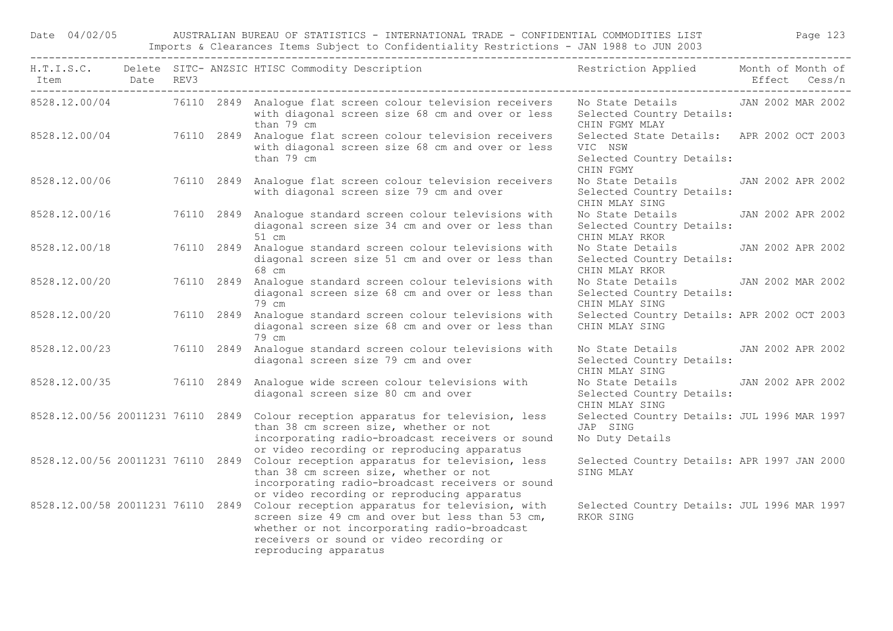Date 04/02/05 AUSTRALIAN BUREAU OF STATISTICS - INTERNATIONAL TRADE - CONFIDENTIAL COMMODITIES LIST Page 123 Imports & Clearances Items Subject to Confidentiality Restrictions - JAN 1988 to JUN 2003

| Item<br>------------------------------------ | Date REV3 |  | H.T.I.S.C. Delete SITC-ANZSIC HTISC Commodity Description Nestriction Applied Month of Month of                                                                                                                         |                                                                                                | Effect Cess/n     |  |
|----------------------------------------------|-----------|--|-------------------------------------------------------------------------------------------------------------------------------------------------------------------------------------------------------------------------|------------------------------------------------------------------------------------------------|-------------------|--|
|                                              |           |  | 8528.12.00/04 76110 2849 Analoque flat screen colour television receivers<br>with diagonal screen size 68 cm and over or less<br>than 79 cm                                                                             | No State Details TAN 2002 MAR 2002<br>Selected Country Details:<br>CHIN FGMY MLAY              |                   |  |
|                                              |           |  | 8528.12.00/04 76110 2849 Analogue flat screen colour television receivers<br>with diagonal screen size 68 cm and over or less<br>than 79 cm                                                                             | Selected State Details: APR 2002 OCT 2003<br>VIC NSW<br>Selected Country Details:<br>CHIN FGMY |                   |  |
| 8528.12.00/06                                |           |  | 76110 2849 Analogue flat screen colour television receivers<br>with diagonal screen size 79 cm and over                                                                                                                 | No State Details<br>Selected Country Details:<br>CHIN MLAY SING                                | JAN 2002 APR 2002 |  |
| 8528.12.00/16                                |           |  | 76110 2849 Analogue standard screen colour televisions with<br>diagonal screen size 34 cm and over or less than<br>51 cm                                                                                                | No State Details<br>Selected Country Details:<br>CHIN MLAY RKOR                                | JAN 2002 APR 2002 |  |
| 8528.12.00/18                                |           |  | 76110 2849 Analoque standard screen colour televisions with<br>diagonal screen size 51 cm and over or less than<br>68 cm                                                                                                | No State Details JAN 2002 APR 2002<br>Selected Country Details:<br>CHIN MLAY RKOR              |                   |  |
| 8528.12.00/20                                |           |  | 76110 2849 Analoque standard screen colour televisions with<br>diagonal screen size 68 cm and over or less than<br>79 cm                                                                                                | No State Details JAN 2002 MAR 2002<br>Selected Country Details:<br>CHIN MLAY SING              |                   |  |
| 8528.12.00/20                                |           |  | 76110 2849 Analoque standard screen colour televisions with<br>diagonal screen size 68 cm and over or less than<br>79 cm                                                                                                | Selected Country Details: APR 2002 OCT 2003<br>CHIN MLAY SING                                  |                   |  |
| 8528.12.00/23                                |           |  | 76110 2849 Analogue standard screen colour televisions with<br>diagonal screen size 79 cm and over                                                                                                                      | No State Details JAN 2002 APR 2002<br>Selected Country Details:<br>CHIN MLAY SING              |                   |  |
|                                              |           |  | 8528.12.00/35 76110 2849 Analoque wide screen colour televisions with<br>diagonal screen size 80 cm and over                                                                                                            | No State Details JAN 2002 APR 2002<br>Selected Country Details:<br>CHIN MLAY SING              |                   |  |
| 8528.12.00/56 20011231 76110 2849            |           |  | Colour reception apparatus for television, less<br>than 38 cm screen size, whether or not<br>incorporating radio-broadcast receivers or sound<br>or video recording or reproducing apparatus                            | Selected Country Details: JUL 1996 MAR 1997<br>JAP SING<br>No Duty Details                     |                   |  |
| 8528.12.00/56 20011231 76110 2849            |           |  | Colour reception apparatus for television, less<br>than 38 cm screen size, whether or not<br>incorporating radio-broadcast receivers or sound<br>or video recording or reproducing apparatus                            | Selected Country Details: APR 1997 JAN 2000<br>SING MLAY                                       |                   |  |
| 8528.12.00/58 20011231 76110 2849            |           |  | Colour reception apparatus for television, with<br>screen size 49 cm and over but less than 53 cm,<br>whether or not incorporating radio-broadcast<br>receivers or sound or video recording or<br>reproducing apparatus | Selected Country Details: JUL 1996 MAR 1997<br>RKOR SING                                       |                   |  |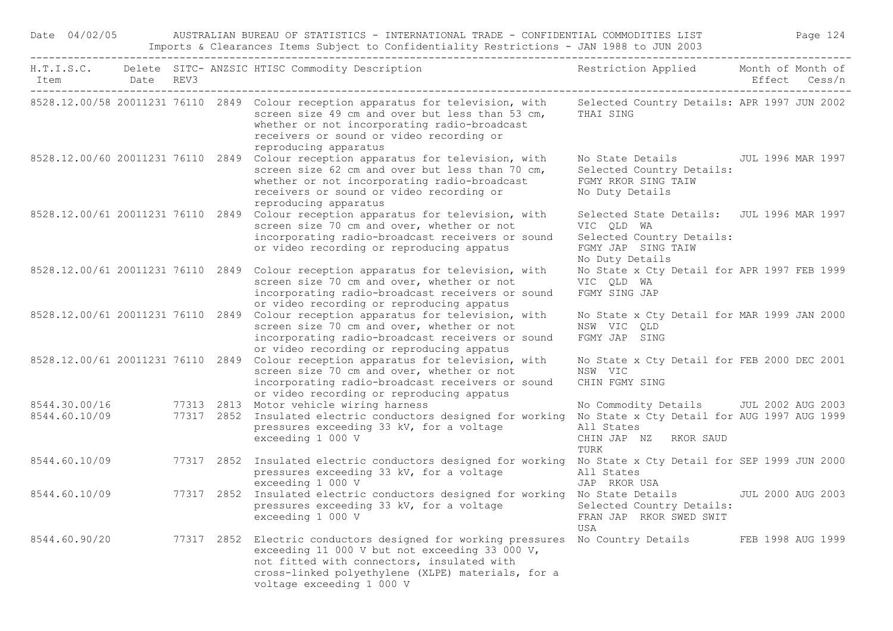| Date 04/02/05                  |                               | AUSTRALIAN BUREAU OF STATISTICS - INTERNATIONAL TRADE - CONFIDENTIAL COMMODITIES LIST<br>Imports & Clearances Items Subject to Confidentiality Restrictions - JAN 1988 to JUN 2003 |  |                                                                                                                                                                                                                                                           |                                                                                                                                         |                   |               |  |  |  |
|--------------------------------|-------------------------------|------------------------------------------------------------------------------------------------------------------------------------------------------------------------------------|--|-----------------------------------------------------------------------------------------------------------------------------------------------------------------------------------------------------------------------------------------------------------|-----------------------------------------------------------------------------------------------------------------------------------------|-------------------|---------------|--|--|--|
| Item                           | Date<br>--------------------- | REV3                                                                                                                                                                               |  | H.T.I.S.C. Delete SITC- ANZSIC HTISC Commodity Description                                                                                                                                                                                                | Restriction Applied Month of Month of                                                                                                   |                   | Effect Cess/n |  |  |  |
|                                |                               |                                                                                                                                                                                    |  | 8528.12.00/58 20011231 76110 2849 Colour reception apparatus for television, with<br>screen size 49 cm and over but less than 53 cm,<br>whether or not incorporating radio-broadcast<br>receivers or sound or video recording or<br>reproducing apparatus | Selected Country Details: APR 1997 JUN 2002<br>THAI SING                                                                                |                   |               |  |  |  |
|                                |                               |                                                                                                                                                                                    |  | 8528.12.00/60 20011231 76110 2849 Colour reception apparatus for television, with<br>screen size 62 cm and over but less than 70 cm,<br>whether or not incorporating radio-broadcast<br>receivers or sound or video recording or<br>reproducing apparatus | No State Details<br>Selected Country Details:<br>FGMY RKOR SING TAIW<br>No Duty Details                                                 | JUL 1996 MAR 1997 |               |  |  |  |
|                                |                               |                                                                                                                                                                                    |  | 8528.12.00/61 20011231 76110 2849 Colour reception apparatus for television, with<br>screen size 70 cm and over, whether or not<br>incorporating radio-broadcast receivers or sound<br>or video recording or reproducing appatus                          | Selected State Details: JUL 1996 MAR 1997<br>VIC QLD WA<br>Selected Country Details:<br>FGMY JAP SING TAIW<br>No Duty Details           |                   |               |  |  |  |
|                                |                               |                                                                                                                                                                                    |  | 8528.12.00/61 20011231 76110 2849 Colour reception apparatus for television, with<br>screen size 70 cm and over, whether or not<br>incorporating radio-broadcast receivers or sound<br>or video recording or reproducing appatus                          | No State x Cty Detail for APR 1997 FEB 1999<br>VIC QLD WA<br>FGMY SING JAP                                                              |                   |               |  |  |  |
| 8528.12.00/61 20011231 76110   |                               |                                                                                                                                                                                    |  | 2849 Colour reception apparatus for television, with<br>screen size 70 cm and over, whether or not<br>incorporating radio-broadcast receivers or sound<br>or video recording or reproducing appatus                                                       | No State x Cty Detail for MAR 1999 JAN 2000<br>NSW VIC QLD<br>FGMY JAP SING                                                             |                   |               |  |  |  |
|                                |                               |                                                                                                                                                                                    |  | 8528.12.00/61 20011231 76110 2849 Colour reception apparatus for television, with<br>screen size 70 cm and over, whether or not<br>incorporating radio-broadcast receivers or sound<br>or video recording or reproducing appatus                          | No State x Cty Detail for FEB 2000 DEC 2001<br>NSW VIC<br>CHIN FGMY SING                                                                |                   |               |  |  |  |
| 8544.30.00/16<br>8544.60.10/09 |                               |                                                                                                                                                                                    |  | 77313 2813 Motor vehicle wiring harness<br>77317 2852 Insulated electric conductors designed for working<br>pressures exceeding 33 kV, for a voltage<br>exceeding 1 000 V                                                                                 | No Commodity Details JUL 2002 AUG 2003<br>No State x Cty Detail for AUG 1997 AUG 1999<br>All States<br>CHIN JAP NZ<br>RKOR SAUD<br>TURK |                   |               |  |  |  |
| 8544.60.10/09                  |                               |                                                                                                                                                                                    |  | 77317 2852 Insulated electric conductors designed for working<br>pressures exceeding 33 kV, for a voltage<br>exceeding 1 000 V                                                                                                                            | No State x Cty Detail for SEP 1999 JUN 2000<br>All States<br>JAP RKOR USA                                                               |                   |               |  |  |  |
| 8544.60.10/09                  |                               |                                                                                                                                                                                    |  | 77317 2852 Insulated electric conductors designed for working No State Details<br>pressures exceeding 33 kV, for a voltage<br>exceeding 1 000 V                                                                                                           | Selected Country Details:<br>FRAN JAP RKOR SWED SWIT<br>USA                                                                             | JUL 2000 AUG 2003 |               |  |  |  |
| 8544.60.90/20                  |                               |                                                                                                                                                                                    |  | 77317 2852 Electric conductors designed for working pressures<br>exceeding 11 000 V but not exceeding 33 000 V,<br>not fitted with connectors, insulated with<br>cross-linked polyethylene (XLPE) materials, for a<br>voltage exceeding 1 000 V           | No Country Details                                                                                                                      | FEB 1998 AUG 1999 |               |  |  |  |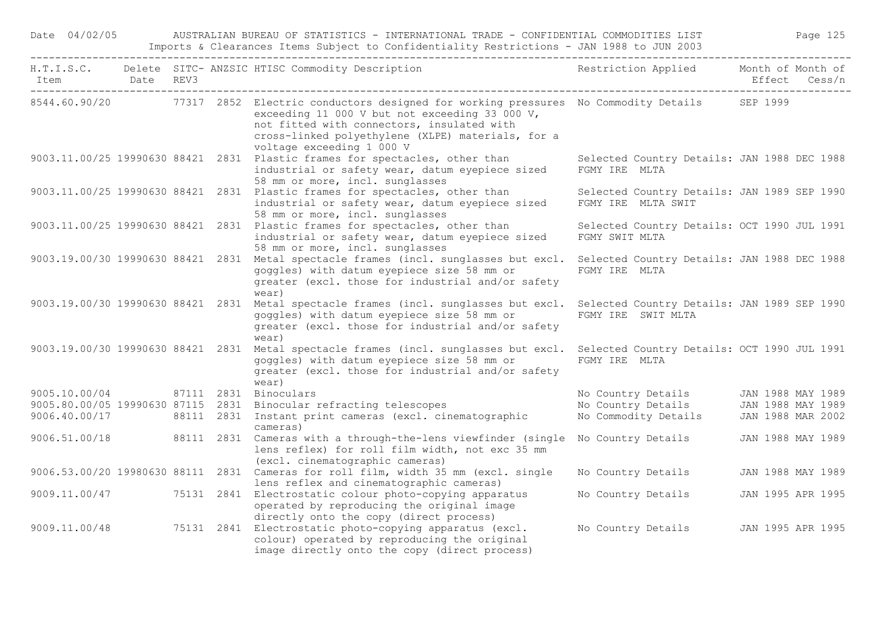| Date 04/02/05                       |                                 |  | AUSTRALIAN BUREAU OF STATISTICS - INTERNATIONAL TRADE - CONFIDENTIAL COMMODITIES LIST<br>Imports & Clearances Items Subject to Confidentiality Restrictions - JAN 1988 to JUN 2003                                                                                                          |                                                                                | Page 125          |
|-------------------------------------|---------------------------------|--|---------------------------------------------------------------------------------------------------------------------------------------------------------------------------------------------------------------------------------------------------------------------------------------------|--------------------------------------------------------------------------------|-------------------|
| Item Date REV3<br>--------          | ------------------------------- |  | H.T.I.S.C. Delete SITC- ANZSIC HTISC Commodity Description                                                                                                                                                                                                                                  | Restriction Applied Month of Month of                                          | Effect Cess/n     |
|                                     |                                 |  | 8544.60.90/20 77317 2852 Electric conductors designed for working pressures No Commodity Details SEP 1999<br>exceeding 11 000 V but not exceeding 33 000 V,<br>not fitted with connectors, insulated with<br>cross-linked polyethylene (XLPE) materials, for a<br>voltage exceeding 1 000 V |                                                                                |                   |
|                                     |                                 |  | 9003.11.00/25 19990630 88421 2831 Plastic frames for spectacles, other than<br>industrial or safety wear, datum eyepiece sized<br>58 mm or more, incl. sunglasses                                                                                                                           | Selected Country Details: JAN 1988 DEC 1988<br>FGMY IRE MLTA                   |                   |
|                                     |                                 |  | 9003.11.00/25 19990630 88421 2831 Plastic frames for spectacles, other than<br>industrial or safety wear, datum eyepiece sized<br>58 mm or more, incl. sunglasses                                                                                                                           | Selected Country Details: JAN 1989 SEP 1990<br>FGMY IRE MLTA SWIT              |                   |
|                                     |                                 |  | 9003.11.00/25 19990630 88421 2831 Plastic frames for spectacles, other than<br>industrial or safety wear, datum eyepiece sized<br>58 mm or more, incl. sunglasses                                                                                                                           | Selected Country Details: OCT 1990 JUL 1991<br>FGMY SWIT MLTA                  |                   |
|                                     |                                 |  | 9003.19.00/30 19990630 88421 2831 Metal spectacle frames (incl. sunglasses but excl.<br>goggles) with datum eyepiece size 58 mm or<br>greater (excl. those for industrial and/or safety<br>wear)                                                                                            | Selected Country Details: JAN 1988 DEC 1988<br>FGMY IRE MLTA                   |                   |
|                                     |                                 |  | 9003.19.00/30 19990630 88421 2831 Metal spectacle frames (incl. sunglasses but excl. Selected Country Details: JAN 1989 SEP 1990<br>goggles) with datum eyepiece size 58 mm or<br>greater (excl. those for industrial and/or safety<br>wear)                                                | FGMY IRE SWIT MLTA                                                             |                   |
|                                     |                                 |  | 9003.19.00/30 19990630 88421 2831 Metal spectacle frames (incl. sunglasses but excl.<br>goggles) with datum eyepiece size 58 mm or<br>greater (excl. those for industrial and/or safety<br>wear)                                                                                            | Selected Country Details: OCT 1990 JUL 1991<br>FGMY IRE MLTA                   |                   |
| 9005.10.00/04 87111 2831 Binoculars |                                 |  |                                                                                                                                                                                                                                                                                             | No Country Details JAN 1988 MAY 1989                                           |                   |
|                                     |                                 |  | 9005.80.00/05 19990630 87115 2831 Binocular refracting telescopes                                                                                                                                                                                                                           |                                                                                |                   |
|                                     |                                 |  | 9006.40.00/17 88111 2831 Instant print cameras (excl. cinematographic<br>cameras)                                                                                                                                                                                                           | No Country Details JAN 1988 MAY 1989<br>No Commodity Details JAN 1988 MAR 2002 |                   |
|                                     |                                 |  | 9006.51.00/18 88111 2831 Cameras with a through-the-lens viewfinder (single<br>lens reflex) for roll film width, not exc 35 mm<br>(excl. cinematographic cameras)                                                                                                                           | No Country Details JAN 1988 MAY 1989                                           |                   |
|                                     |                                 |  | 9006.53.00/20 19980630 88111 2831 Cameras for roll film, width 35 mm (excl. single<br>lens reflex and cinematographic cameras)                                                                                                                                                              | No Country Details                                                             | JAN 1988 MAY 1989 |
|                                     |                                 |  | 9009.11.00/47 75131 2841 Electrostatic colour photo-copying apparatus<br>operated by reproducing the original image<br>directly onto the copy (direct process)                                                                                                                              | No Country Details 5 JAN 1995 APR 1995                                         |                   |
|                                     |                                 |  | 9009.11.00/48 75131 2841 Electrostatic photo-copying apparatus (excl.<br>colour) operated by reproducing the original<br>image directly onto the copy (direct process)                                                                                                                      | No Country Details JAN 1995 APR 1995                                           |                   |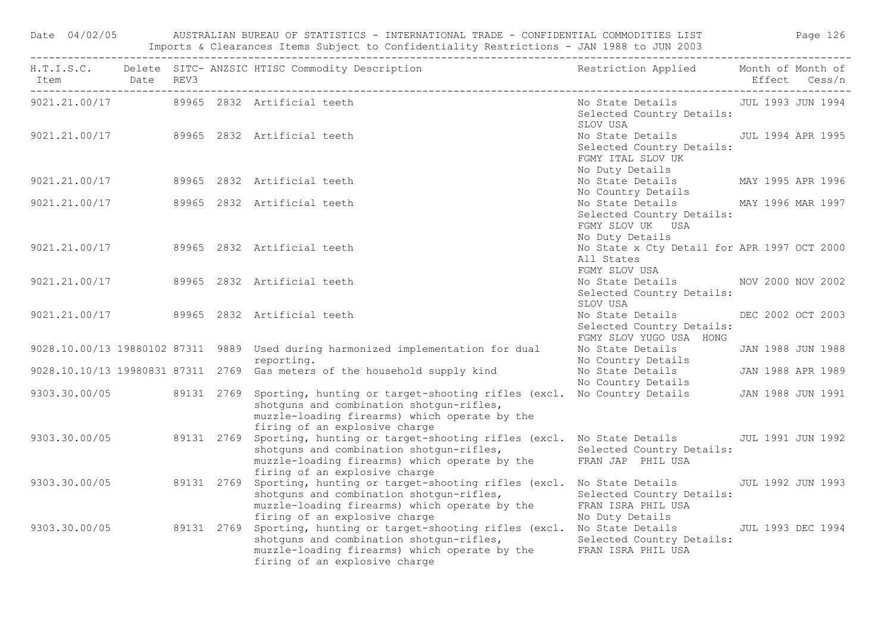|                |  | Date 04/02/05 AUSTRALIAN BUREAU OF STATISTICS - INTERNATIONAL TRADE - CONFIDENTIAL COMMODITIES LIST Page 126<br>Imports & Clearances Items Subject to Confidentiality Restrictions - JAN 1988 to JUN 2003                                                                                |                                                                                                         |               |
|----------------|--|------------------------------------------------------------------------------------------------------------------------------------------------------------------------------------------------------------------------------------------------------------------------------------------|---------------------------------------------------------------------------------------------------------|---------------|
| Item Date REV3 |  | H.T.I.S.C. Delete SITC-ANZSIC HTISC Commodity Description Nestriction Applied Month of Month of                                                                                                                                                                                          |                                                                                                         | Effect Cess/n |
|                |  | 9021.21.00/17 89965 2832 Artificial teeth                                                                                                                                                                                                                                                | No State Details JUL 1993 JUN 1994<br>Selected Country Details:<br>SLOV USA                             |               |
|                |  | 9021.21.00/17 89965 2832 Artificial teeth                                                                                                                                                                                                                                                | No State Details JUL 1994 APR 1995<br>Selected Country Details:<br>FGMY ITAL SLOV UK<br>No Duty Details |               |
|                |  | 9021.21.00/17 89965 2832 Artificial teeth                                                                                                                                                                                                                                                | No State Details MAY 1995 APR 1996<br>No Country Details                                                |               |
|                |  | 9021.21.00/17 89965 2832 Artificial teeth                                                                                                                                                                                                                                                | No State Details MAY 1996 MAR 1997<br>Selected Country Details:<br>FGMY SLOV UK USA<br>No Duty Details  |               |
|                |  | 9021.21.00/17 89965 2832 Artificial teeth                                                                                                                                                                                                                                                | No State x Cty Detail for APR 1997 OCT 2000<br>All States<br>FGMY SLOV USA                              |               |
| 9021.21.00/17  |  | 89965 2832 Artificial teeth                                                                                                                                                                                                                                                              | No State Details MOV 2000 NOV 2002<br>Selected Country Details:<br>SLOV USA                             |               |
|                |  | 9021.21.00/17 89965 2832 Artificial teeth                                                                                                                                                                                                                                                | No State Details DEC 2002 OCT 2003<br>Selected Country Details:<br>FGMY SLOV YUGO USA HONG              |               |
|                |  | 9028.10.00/13 19880102 87311 9889 Used during harmonized implementation for dual<br>reporting.                                                                                                                                                                                           | No State Details [JAN 1988 JUN 1988]<br>No Country Details                                              |               |
|                |  | 9028.10.10/13 19980831 87311 2769 Gas meters of the household supply kind                                                                                                                                                                                                                | No State Details 5 JAN 1988 APR 1989<br>No Country Details                                              |               |
|                |  | 9303.30.00/05 89131 2769 Sporting, hunting or target-shooting rifles (excl. No Country Details JAN 1988 JUN 1991<br>shotguns and combination shotgun-rifles,<br>muzzle-loading firearms) which operate by the<br>firing of an explosive charge                                           |                                                                                                         |               |
|                |  | 9303.30.00/05 89131 2769 Sporting, hunting or target-shooting rifles (excl. No State Details JUL 1991 JUN 1992<br>shotguns and combination shotgun-rifles, Selected Country Details:<br>muzzle-loading firearms) which operate by the FRAN JAP PHIL USA<br>firing of an explosive charge |                                                                                                         |               |
| 9303.30.00/05  |  | 89131 2769 Sporting, hunting or target-shooting rifles (excl. No State Details 30 JUL 1992 JUN 1993<br>sporting, nancing of the shotgun-rifles,<br>muzzle-loading firearms) which operate by the<br>firing of an explosive charge                                                        | Selected Country Details:<br>FRAN ISRA PHIL USA<br>No Duty Details                                      |               |
| 9303.30.00/05  |  | 89131 2769 Sporting, hunting or target-shooting rifles (excl. No State Details 30 JUL 1993 DEC 1994<br>shotguns and combination shotgun-rifles, Selected Country Details:<br>muzzle-loading firearms) which operate by the FRAN ISRA PHIL USA<br>firing of an explosive charge           |                                                                                                         |               |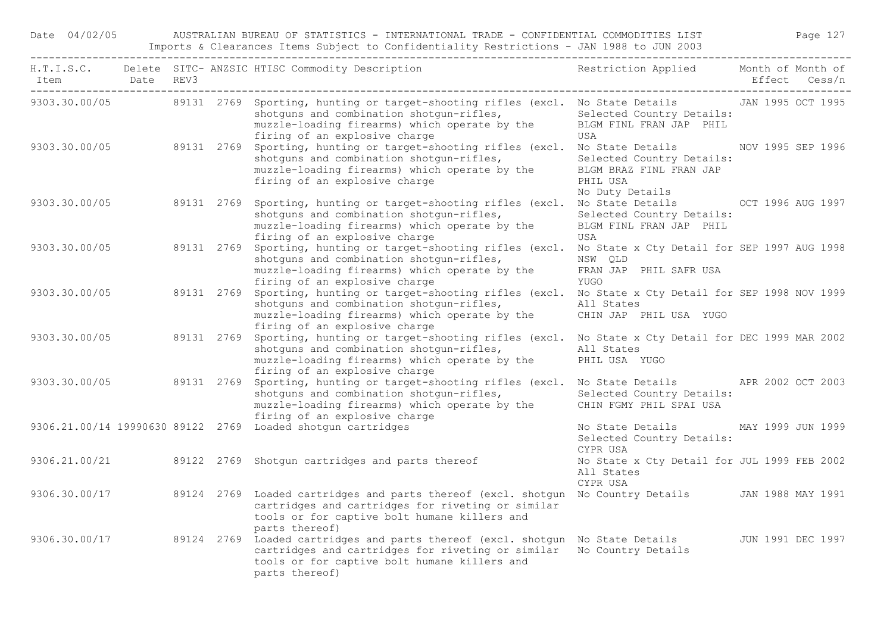|               |            |  | H.T.I.S.C. Delete SITC-ANZSIC HTISC Commodity Description Nestriction Applied Month of Month of                                                                                                                                                                      |                                                                                     | Effect Cess/n     |
|---------------|------------|--|----------------------------------------------------------------------------------------------------------------------------------------------------------------------------------------------------------------------------------------------------------------------|-------------------------------------------------------------------------------------|-------------------|
|               |            |  | 9303.30.00/05 89131 2769 Sporting, hunting or target-shooting rifles (excl. No State Details JAN 1995 OCT 1995<br>shotguns and combination shotgun-rifles,<br>muzzle-loading firearms) which operate by the BLGM FINL FRAN JAP PHIL<br>firing of an explosive charge | Selected Country Details:<br>USA                                                    |                   |
|               |            |  | 9303.30.00/05 89131 2769 Sporting, hunting or target-shooting rifles (excl. No State Details NOV 1995 SEP 1996<br>shotguns and combination shotgun-rifles,<br>muzzle-loading firearms) which operate by the<br>firing of an explosive charge                         | Selected Country Details:<br>BLGM BRAZ FINL FRAN JAP<br>PHIL USA<br>No Duty Details |                   |
| 9303.30.00/05 | 89131 2769 |  | Sporting, hunting or target-shooting rifles (excl. No State Details OCT 1996 AUG 1997<br>shotguns and combination shotgun-rifles,<br>muzzle-loading firearms) which operate by the<br>firing of an explosive charge                                                  | Selected Country Details:<br>BLGM FINL FRAN JAP PHIL<br>USA                         |                   |
|               |            |  | 9303.30.00/05 89131 2769 Sporting, hunting or target-shooting rifles (excl. No State x Cty Detail for SEP 1997 AUG 1998<br>shotguns and combination shotgun-rifles,<br>muzzle-loading firearms) which operate by the<br>firing of an explosive charge                | NSW OLD<br>FRAN JAP PHIL SAFR USA<br>YUGO                                           |                   |
|               |            |  | 9303.30.00/05 89131 2769 Sporting, hunting or target-shooting rifles (excl. No State x Cty Detail for SEP 1998 NOV 1999<br>shotguns and combination shotgun-rifles,<br>muzzle-loading firearms) which operate by the<br>firing of an explosive charge                | All States<br>CHIN JAP PHIL USA YUGO                                                |                   |
| 9303.30.00/05 |            |  | 89131 2769 Sporting, hunting or target-shooting rifles (excl. No State x Cty Detail for DEC 1999 MAR 2002<br>shotguns and combination shotgun-rifles,<br>muzzle-loading firearms) which operate by the<br>firing of an explosive charge                              | All States<br>PHIL USA YUGO                                                         |                   |
|               |            |  | 9303.30.00/05 89131 2769 Sporting, hunting or target-shooting rifles (excl. No State Details APR 2002 OCT 2003<br>shotguns and combination shotgun-rifles,<br>muzzle-loading firearms) which operate by the<br>firing of an explosive charge                         | Selected Country Details:<br>CHIN FGMY PHIL SPAI USA                                |                   |
|               |            |  | 9306.21.00/14 19990630 89122 2769 Loaded shotgun cartridges                                                                                                                                                                                                          | No State Details 6 MAY 1999 JUN 1999<br>Selected Country Details:<br>CYPR USA       |                   |
|               |            |  | 9306.21.00/21 89122 2769 Shotgun cartridges and parts thereof                                                                                                                                                                                                        | No State x Cty Detail for JUL 1999 FEB 2002<br>All States<br>CYPR USA               |                   |
|               |            |  | 9306.30.00/17 39124 2769 Loaded cartridges and parts thereof (excl. shotgun No Country Details JAN 1988 MAY 1991<br>cartridges and cartridges for riveting or similar<br>tools or for captive bolt humane killers and<br>parts thereof)                              |                                                                                     |                   |
|               |            |  | 9306.30.00/17 39124 2769 Loaded cartridges and parts thereof (excl. shotgun No State Details<br>cartridges and cartridges for riveting or similar No Country Details<br>tools or for captive bolt humane killers and<br>parts thereof)                               |                                                                                     | JUN 1991 DEC 1997 |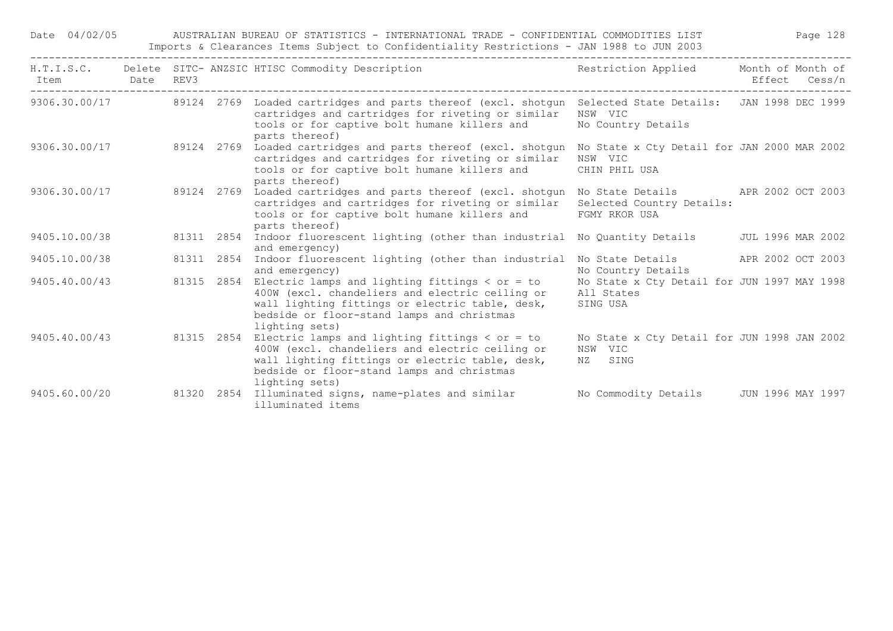| H.T.I.S.C.<br>Item | Date | REV3  |            | Delete SITC- ANZSIC HTISC Commodity Description                                                                                                                                                                                | Restriction Applied                                                                | Month of Month of | Effect Cess/n |
|--------------------|------|-------|------------|--------------------------------------------------------------------------------------------------------------------------------------------------------------------------------------------------------------------------------|------------------------------------------------------------------------------------|-------------------|---------------|
| 9306.30.00/17      |      |       |            | 89124 2769 Loaded cartridges and parts thereof (excl. shotgun Selected State Details: JAN 1998 DEC 1999<br>cartridges and cartridges for riveting or similar<br>tools or for captive bolt humane killers and<br>parts thereof) | NSW VIC<br>No Country Details                                                      |                   |               |
| 9306.30.00/17      |      |       | 89124 2769 | Loaded cartridges and parts thereof (excl. shotgun<br>cartridges and cartridges for riveting or similar<br>tools or for captive bolt humane killers and<br>parts thereof)                                                      | No State x Cty Detail for JAN 2000 MAR 2002<br>NSW VIC<br>CHIN PHIL USA            |                   |               |
| 9306.30.00/17      |      |       | 89124 2769 | Loaded cartridges and parts thereof (excl. shotgun<br>cartridges and cartridges for riveting or similar<br>tools or for captive bolt humane killers and<br>parts thereof)                                                      | No State Details 6 APR 2002 OCT 2003<br>Selected Country Details:<br>FGMY RKOR USA |                   |               |
| 9405.10.00/38      |      |       | 81311 2854 | Indoor fluorescent lighting (other than industrial No Quantity Details<br>and emergency)                                                                                                                                       |                                                                                    | JUL 1996 MAR 2002 |               |
| 9405.10.00/38      |      |       | 81311 2854 | Indoor fluorescent lighting (other than industrial<br>and emergency)                                                                                                                                                           | No State Details<br>No Country Details                                             | APR 2002 OCT 2003 |               |
| 9405.40.00/43      |      |       | 81315 2854 | Electric lamps and lighting fittings $<$ or = to<br>400W (excl. chandeliers and electric ceiling or<br>wall lighting fittings or electric table, desk,<br>bedside or floor-stand lamps and christmas<br>lighting sets)         | No State x Cty Detail for JUN 1997 MAY 1998<br>All States<br>SING USA              |                   |               |
| 9405.40.00/43      |      |       | 81315 2854 | Electric lamps and lighting fittings $<$ or = to<br>400W (excl. chandeliers and electric ceiling or<br>wall lighting fittings or electric table, desk,<br>bedside or floor-stand lamps and christmas<br>lighting sets)         | No State x Cty Detail for JUN 1998 JAN 2002<br>NSW VIC<br>NZ SING                  |                   |               |
| 9405.60.00/20      |      | 81320 |            | 2854 Illuminated signs, name-plates and similar<br>illuminated items                                                                                                                                                           | No Commodity Details                                                               | JUN 1996 MAY 1997 |               |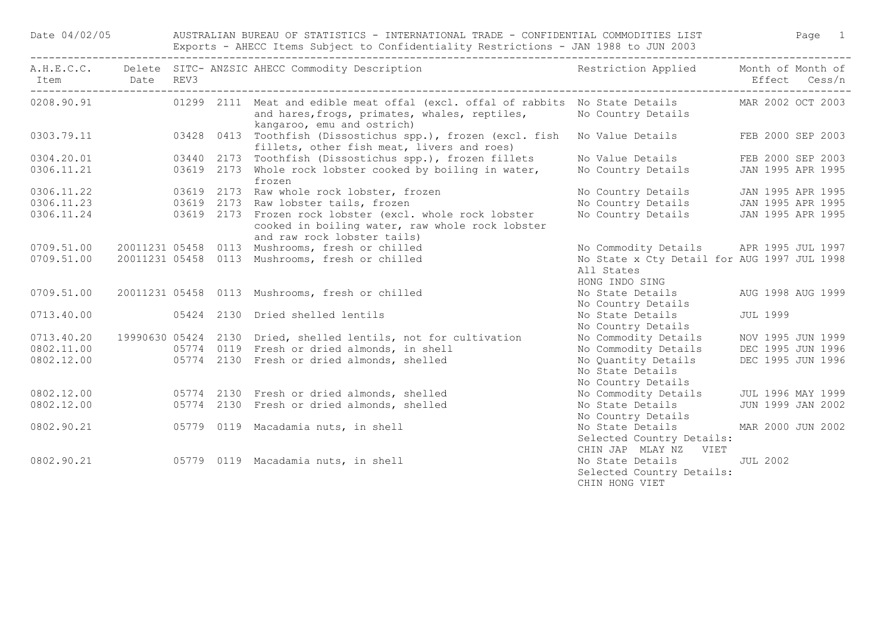Date 04/02/05 AUSTRALIAN BUREAU OF STATISTICS - INTERNATIONAL TRADE - CONFIDENTIAL COMMODITIES LIST Page 1 Exports - AHECC Items Subject to Confidentiality Restrictions - JAN 1988 to JUN 2003

| Item Date REV3 |  | A.H.E.C.C. Delete SITC-ANZSIC AHECC Commodity Description Nestriction Applied Month of Month of                                                                                            |                                                                             | Effect Cess/n     |  |
|----------------|--|--------------------------------------------------------------------------------------------------------------------------------------------------------------------------------------------|-----------------------------------------------------------------------------|-------------------|--|
|                |  | 0208.90.91 01299 2111 Meat and edible meat offal (excl. offal of rabbits No State Details MAR 2002 OCT 2003<br>and hares, frogs, primates, whales, reptiles,<br>kangaroo, emu and ostrich) | No Country Details                                                          |                   |  |
|                |  | 0303.79.11 03428 0413 Toothfish (Dissostichus spp.), frozen (excl. fish<br>fillets, other fish meat, livers and roes)                                                                      | No Value Details FEB 2000 SEP 2003                                          |                   |  |
| 0304.20.01     |  | 03440 2173 Toothfish (Dissostichus spp.), frozen fillets                                                                                                                                   | No Value Details FEB 2000 SEP 2003                                          |                   |  |
| 0306.11.21     |  | 03619 2173 Whole rock lobster cooked by boiling in water,<br>frozen                                                                                                                        | No Country Details JAN 1995 APR 1995                                        |                   |  |
|                |  | 0306.11.22 03619 2173 Raw whole rock lobster, frozen                                                                                                                                       | No Country Details JAN 1995 APR 1995                                        |                   |  |
|                |  | 0306.11.23 03619 2173 Raw lobster tails, frozen                                                                                                                                            | No Country Details JAN 1995 APR 1995                                        |                   |  |
|                |  | 0306.11.24 03619 2173 Frozen rock lobster (excl. whole rock lobster<br>cooked in boiling water, raw whole rock lobster<br>and raw rock lobster tails)                                      | No Country Details JAN 1995 APR 1995                                        |                   |  |
| 0709.51.00     |  | 20011231 05458 0113 Mushrooms, fresh or chilled                                                                                                                                            | No Commodity Details APR 1995 JUL 1997                                      |                   |  |
| 0709.51.00     |  | 20011231 05458 0113 Mushrooms, fresh or chilled                                                                                                                                            | No State x Cty Detail for AUG 1997 JUL 1998<br>All States<br>HONG INDO SING |                   |  |
| 0709.51.00     |  | 20011231 05458 0113 Mushrooms, fresh or chilled                                                                                                                                            | No State Details AUG 1998 AUG 1999                                          |                   |  |
|                |  |                                                                                                                                                                                            | No Country Details                                                          |                   |  |
| 0713.40.00     |  | 05424 2130 Dried shelled lentils                                                                                                                                                           | No State Details JUL 1999<br>No Country Details                             |                   |  |
| 0713.40.20     |  | 19990630 05424 2130 Dried, shelled lentils, not for cultivation                                                                                                                            | No Commodity Details MOV 1995 JUN 1999                                      |                   |  |
| 0802.11.00     |  | 05774 0119 Fresh or dried almonds, in shell                                                                                                                                                | No Commodity Details DEC 1995 JUN 1996                                      |                   |  |
| 0802.12.00     |  | 05774 2130 Fresh or dried almonds, shelled                                                                                                                                                 | No Quantity Details                                                         | DEC 1995 JUN 1996 |  |
|                |  |                                                                                                                                                                                            | No State Details<br>No Country Details                                      |                   |  |
| 0802.12.00     |  | 05774 2130 Fresh or dried almonds, shelled                                                                                                                                                 | No Commodity Details JUL 1996 MAY 1999                                      |                   |  |
| 0802.12.00     |  | 05774 2130 Fresh or dried almonds, shelled                                                                                                                                                 | No State Details<br>No Country Details                                      | JUN 1999 JAN 2002 |  |
| 0802.90.21     |  | 05779 0119 Macadamia nuts, in shell                                                                                                                                                        | No State Details MAR 2000 JUN 2002                                          |                   |  |
|                |  |                                                                                                                                                                                            | Selected Country Details:<br>CHIN JAP MLAY NZ VIET                          |                   |  |
|                |  | 0802.90.21 05779 0119 Macadamia nuts, in shell                                                                                                                                             | No State Details JUL 2002<br>Selected Country Details:<br>CHIN HONG VIET    |                   |  |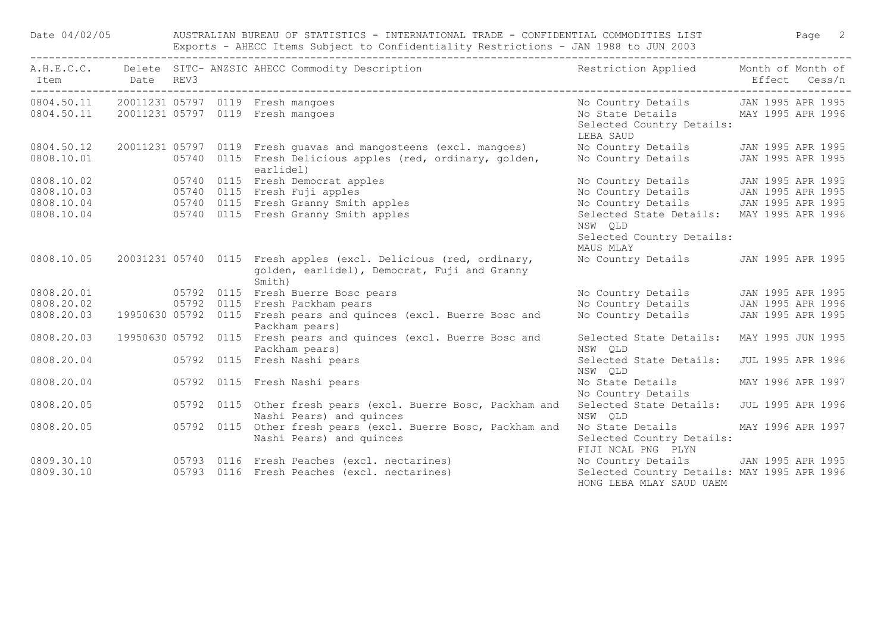| Date 04/02/05  |  | AUSTRALIAN BUREAU OF STATISTICS - INTERNATIONAL TRADE - CONFIDENTIAL COMMODITIES LIST<br>Exports - AHECC Items Subject to Confidentiality Restrictions - JAN 1988 to JUN 2003                             |                                                                                                                                  |                   |               | Page 2 |
|----------------|--|-----------------------------------------------------------------------------------------------------------------------------------------------------------------------------------------------------------|----------------------------------------------------------------------------------------------------------------------------------|-------------------|---------------|--------|
| Item Date REV3 |  | A.H.E.C.C. Delete SITC-ANZSIC AHECC Commodity Description Nestriction Applied Month of Month of                                                                                                           |                                                                                                                                  |                   | Effect Cess/n |        |
|                |  | 0804.50.11 20011231 05797 0119 Fresh mangoes                                                                                                                                                              | No Country Details JAN 1995 APR 1995                                                                                             |                   |               |        |
|                |  | 0804.50.11 20011231 05797 0119 Fresh mangoes                                                                                                                                                              | No State Details MAY 1995 APR 1996<br>Selected Country Details:<br>LEBA SAUD                                                     |                   |               |        |
| 0804.50.12     |  | 20011231 05797 0119 Fresh quavas and mangosteens (excl. mangoes)                                                                                                                                          | No Country Details JAN 1995 APR 1995                                                                                             |                   |               |        |
| 0808.10.01     |  | 05740 0115 Fresh Delicious apples (red, ordinary, golden,<br>earlidel)                                                                                                                                    | No Country Details JAN 1995 APR 1995                                                                                             |                   |               |        |
|                |  |                                                                                                                                                                                                           | No Country Details 120 JAN 1995 APR 1995<br>No Country Details 120 JAN 1995 APR 1995<br>No Country Details 120 JAN 1995 APR 1995 |                   |               |        |
|                |  |                                                                                                                                                                                                           |                                                                                                                                  |                   |               |        |
|                |  |                                                                                                                                                                                                           |                                                                                                                                  |                   |               |        |
|                |  | earlidel)<br>0808.10.02 05740 0115 Fresh Democrat apples<br>0808.10.03 05740 0115 Fresh Fuji apples<br>0808.10.04 05740 0115 Fresh Granny Smith apples<br>0808.10.04 05740 0115 Fresh Granny Smith apples | Selected State Details: MAY 1995 APR 1996<br>NSW OLD                                                                             |                   |               |        |
|                |  |                                                                                                                                                                                                           | Selected Country Details:<br>MAUS MLAY                                                                                           |                   |               |        |
| 0808.10.05     |  | 20031231 05740 0115 Fresh apples (excl. Delicious (red, ordinary,<br>golden, earlidel), Democrat, Fuji and Granny<br>Smith)                                                                               | No Country Details JAN 1995 APR 1995                                                                                             |                   |               |        |
|                |  | 0808.20.01   05792   0115   Fresh Buerre Bosc pears                                                                                                                                                       |                                                                                                                                  |                   |               |        |
| 0808.20.02     |  | 05792 0115 Fresh Packham pears                                                                                                                                                                            |                                                                                                                                  |                   |               |        |
| 0808.20.03     |  | 19950630 05792 0115 Fresh pears and quinces (excl. Buerre Bosc and<br>Packham pears)                                                                                                                      | No Country Details 120 JAN 1995 APR 1995<br>No Country Details 120 JAN 1995 APR 1996<br>No Country Details 120 JAN 1995 APR 1995 |                   |               |        |
| 0808.20.03     |  | 19950630 05792 0115 Fresh pears and quinces (excl. Buerre Bosc and<br>Packham pears)                                                                                                                      | Selected State Details:<br>NSW OLD                                                                                               | MAY 1995 JUN 1995 |               |        |
| 0808.20.04     |  | 05792 0115 Fresh Nashi pears                                                                                                                                                                              | Selected State Details:<br>NSW QLD                                                                                               | JUL 1995 APR 1996 |               |        |
| 0808.20.04     |  | 05792 0115 Fresh Nashi pears                                                                                                                                                                              | No State Details<br>No Country Details                                                                                           | MAY 1996 APR 1997 |               |        |
| 0808.20.05     |  | 05792 0115 Other fresh pears (excl. Buerre Bosc, Packham and<br>Nashi Pears) and quinces                                                                                                                  | Selected State Details:<br>NSW QLD                                                                                               | JUL 1995 APR 1996 |               |        |
| 0808.20.05     |  | 05792 0115 Other fresh pears (excl. Buerre Bosc, Packham and<br>Nashi Pears) and quinces                                                                                                                  | No State Details MAY 1996 APR 1997<br>Selected Country Details:<br>FIJI NCAL PNG PLYN                                            |                   |               |        |
| 0809.30.10     |  | 05793 0116 Fresh Peaches (excl. nectarines)                                                                                                                                                               | No Country Details JAN 1995 APR 1995                                                                                             |                   |               |        |
| 0809.30.10     |  | 05793 0116 Fresh Peaches (excl. nectarines)                                                                                                                                                               | Selected Country Details: MAY 1995 APR 1996<br>HONG LEBA MLAY SAUD UAEM                                                          |                   |               |        |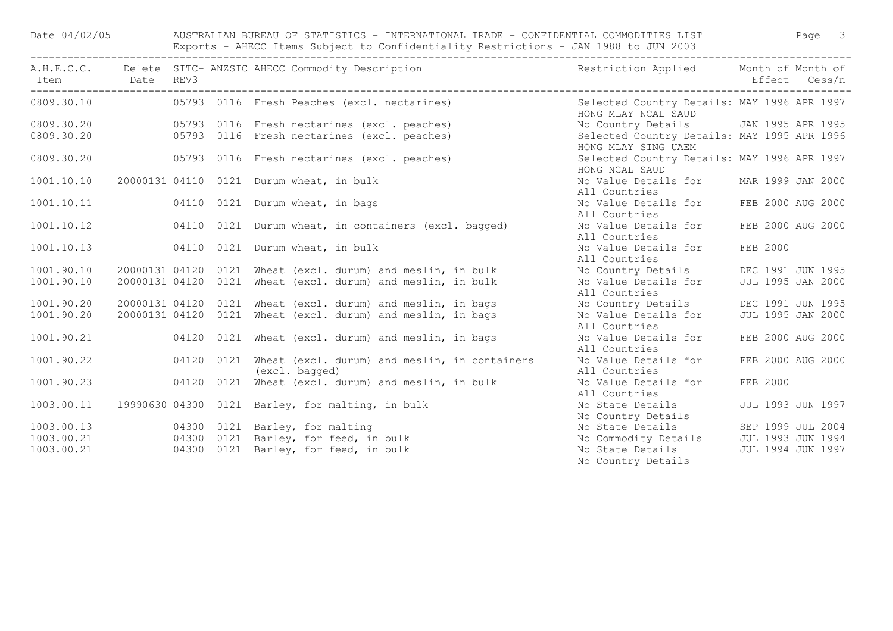| Date 04/02/05 |  | AUSTRALIAN BUREAU OF STATISTICS - INTERNATIONAL TRADE - CONFIDENTIAL COMMODITIES LIST                   Page 3<br>Exports - AHECC Items Subject to Confidentiality Restrictions - JAN 1988 to JUN 2003 |                                                                                                                             |                   |  |
|---------------|--|--------------------------------------------------------------------------------------------------------------------------------------------------------------------------------------------------------|-----------------------------------------------------------------------------------------------------------------------------|-------------------|--|
|               |  | A.H.E.C.C. Delete SITC-ANZSIC AHECC Commodity Description The Sestriction Applied Month of Month of                                                                                                    |                                                                                                                             |                   |  |
|               |  | 0809.30.10  05793 0116  Fresh Peaches (excl. nectarines)                                                                                                                                               | Selected Country Details: MAY 1996 APR 1997<br>HONG MLAY NCAL SAUD                                                          |                   |  |
|               |  |                                                                                                                                                                                                        | No Country Details JAN 1995 APR 1995                                                                                        |                   |  |
|               |  |                                                                                                                                                                                                        | Selected Country Details: MAY 1995 APR 1996<br>HONG MLAY SING UAEM                                                          |                   |  |
|               |  |                                                                                                                                                                                                        | Selected Country Details: MAY 1996 APR 1997<br>HONG NCAL SAUD                                                               |                   |  |
| 1001.10.10    |  | 20000131 04110 0121 Durum wheat, in bulk                                                                                                                                                               | No Value Details for<br>All Countries                                                                                       | MAR 1999 JAN 2000 |  |
|               |  | 1001.10.11   04110   0121   Durum wheat, in bags                                                                                                                                                       | No Value Details for<br>All Countries                                                                                       | FEB 2000 AUG 2000 |  |
| 1001.10.12    |  | 04110 0121 Durum wheat, in containers (excl. bagged)                                                                                                                                                   | No Value Details for<br>All Countries                                                                                       | FEB 2000 AUG 2000 |  |
| 1001.10.13    |  | 04110 0121 Durum wheat, in bulk                                                                                                                                                                        | No Value Details for<br>All Countries                                                                                       | FEB 2000          |  |
| 1001.90.10    |  | 20000131 04120 0121 Wheat (excl. durum) and meslin, in bulk                                                                                                                                            | No Country Details DEC 1991 JUN 1995                                                                                        |                   |  |
| 1001.90.10    |  | 20000131 04120 0121 Wheat (excl. durum) and meslin, in bulk                                                                                                                                            | No Value Details for<br>All Countries                                                                                       | JUL 1995 JAN 2000 |  |
| 1001.90.20    |  |                                                                                                                                                                                                        | No Country Details                                                                                                          | DEC 1991 JUN 1995 |  |
| 1001.90.20    |  | 20000131 04120 0121 Wheat (excl. durum) and meslin, in bags<br>20000131 04120 0121 Wheat (excl. durum) and meslin, in bags                                                                             | No Value Details for<br>All Countries                                                                                       | JUL 1995 JAN 2000 |  |
| 1001.90.21    |  | 04120 0121 Wheat (excl. durum) and meslin, in bags                                                                                                                                                     | No Value Details for<br>All Countries                                                                                       | FEB 2000 AUG 2000 |  |
| 1001.90.22    |  | 04120 0121 Wheat (excl. durum) and meslin, in containers<br>(excl. bagged)                                                                                                                             | No Value Details for<br>All Countries                                                                                       | FEB 2000 AUG 2000 |  |
| 1001.90.23    |  | 04120 0121 Wheat (excl. durum) and meslin, in bulk                                                                                                                                                     | No Value Details for<br>All Countries                                                                                       | FEB 2000          |  |
| 1003.00.11    |  | 19990630 04300 0121 Barley, for malting, in bulk                                                                                                                                                       | No State Details<br>No Country Details                                                                                      | JUL 1993 JUN 1997 |  |
|               |  | 1003.00.13   04300   0121   Barley, for malting                                                                                                                                                        |                                                                                                                             |                   |  |
|               |  | 1003.00.21   04300   0121   Barley, for feed, in bulk                                                                                                                                                  |                                                                                                                             |                   |  |
| 1003.00.21    |  | 04300 0121 Barley, for feed, in bulk                                                                                                                                                                   | No State Details<br>No Commodity Details<br>No State Details<br>No State Details<br>TUL 1994 JUN 1997<br>No Country Details |                   |  |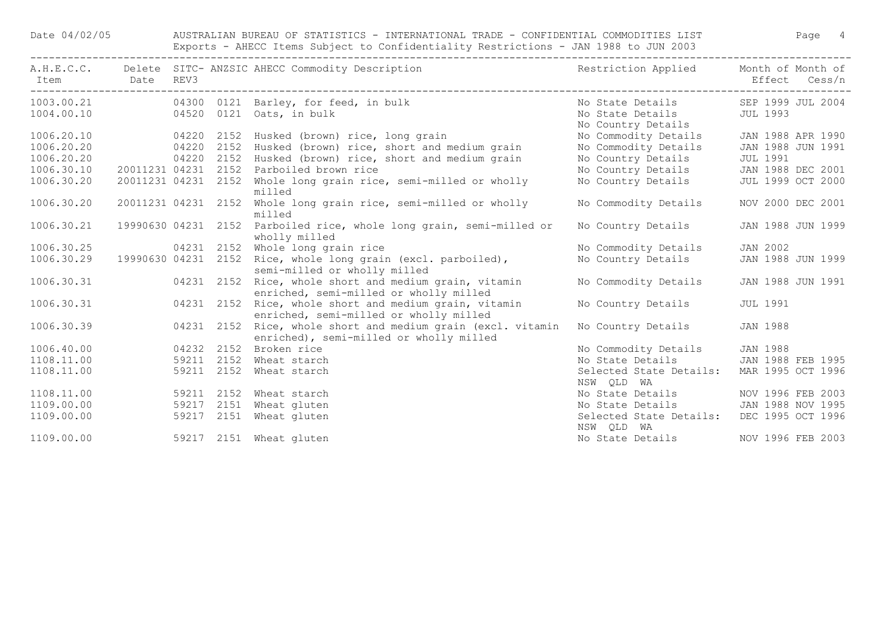Date 04/02/05 AUSTRALIAN BUREAU OF STATISTICS - INTERNATIONAL TRADE - CONFIDENTIAL COMMODITIES LIST Page 4 Exports - AHECC Items Subject to Confidentiality Restrictions - JAN 1988 to JUN 2003

| Item Date REV3 |                     |            |            | A.H.E.C.C. Delete SITC- ANZSIC AHECC Commodity Description                                                  | Restriction Applied Month of Month of                                                 | Effect Cess/n     |
|----------------|---------------------|------------|------------|-------------------------------------------------------------------------------------------------------------|---------------------------------------------------------------------------------------|-------------------|
|                |                     |            |            | 1003.00.21   04300 0121 Barley, for feed, in bulk<br>1004.00.10   04520   0121   Oats, in bulk              | No State Details 5EP 1999 JUL 2004<br>No State Details JUL 1993<br>No Country Details |                   |
| 1006.20.10     | 04220 2152          |            |            | Husked (brown) rice, long grain                                                                             | No Commodity Details                                                                  | JAN 1988 APR 1990 |
| 1006.20.20     | 04220 2152          |            |            | Husked (brown) rice, short and medium grain                                                                 | No Commodity Details JAN 1988 JUN 1991                                                |                   |
| 1006.20.20     |                     |            |            | 04220 2152 Husked (brown) rice, short and medium grain                                                      | No Country Details JUL 1991                                                           |                   |
| 1006.30.10     |                     |            |            | 20011231 04231 2152 Parboiled brown rice                                                                    | No Country Details JAN 1988 DEC 2001                                                  |                   |
| 1006.30.20     | 20011231 04231 2152 |            |            | Whole long grain rice, semi-milled or wholly<br>milled                                                      | No Country Details                                                                    | JUL 1999 OCT 2000 |
| 1006.30.20     | 20011231 04231 2152 |            |            | Whole long grain rice, semi-milled or wholly<br>milled                                                      | No Commodity Details                                                                  | NOV 2000 DEC 2001 |
| 1006.30.21     |                     |            |            | 19990630 04231 2152 Parboiled rice, whole long grain, semi-milled or<br>wholly milled                       | No Country Details                                                                    | JAN 1988 JUN 1999 |
| 1006.30.25     |                     |            |            | 04231 2152 Whole long grain rice                                                                            | No Commodity Details                                                                  | JAN 2002          |
| 1006.30.29     | 19990630 04231 2152 |            |            | Rice, whole long grain (excl. parboiled),<br>semi-milled or wholly milled                                   | No Country Details                                                                    | JAN 1988 JUN 1999 |
|                |                     |            |            | 1006.30.31 04231 2152 Rice, whole short and medium grain, vitamin<br>enriched, semi-milled or wholly milled | No Commodity Details JAN 1988 JUN 1991                                                |                   |
| 1006.30.31     |                     | 04231 2152 |            | Rice, whole short and medium grain, vitamin<br>enriched, semi-milled or wholly milled                       | No Country Details                                                                    | <b>JUL 1991</b>   |
| 1006.30.39     |                     |            | 04231 2152 | Rice, whole short and medium grain (excl. vitamin<br>enriched), semi-milled or wholly milled                | No Country Details                                                                    | JAN 1988          |
| 1006.40.00     |                     | 04232 2152 |            | Broken rice                                                                                                 | No Commodity Details                                                                  | <b>JAN 1988</b>   |
| 1108.11.00     |                     |            | 59211 2152 | Wheat starch                                                                                                | No State Details JAN 1988 FEB 1995                                                    |                   |
| 1108.11.00     |                     |            |            | 59211 2152 Wheat starch                                                                                     | Selected State Details: MAR 1995 OCT 1996<br>NSW QLD WA                               |                   |
| 1108.11.00     |                     |            |            | 59211 2152 Wheat starch                                                                                     | No State Details MOV 1996 FEB 2003                                                    |                   |
| 1109.00.00     |                     | 59217 2151 |            | Wheat gluten                                                                                                | No State Details JAN 1988 NOV 1995                                                    |                   |
| 1109.00.00     |                     |            |            | 59217 2151 Wheat gluten                                                                                     | Selected State Details: DEC 1995 OCT 1996<br>NSW QLD WA                               |                   |
| 1109.00.00     |                     |            |            | 59217 2151 Wheat gluten                                                                                     | No State Details                                                                      | NOV 1996 FEB 2003 |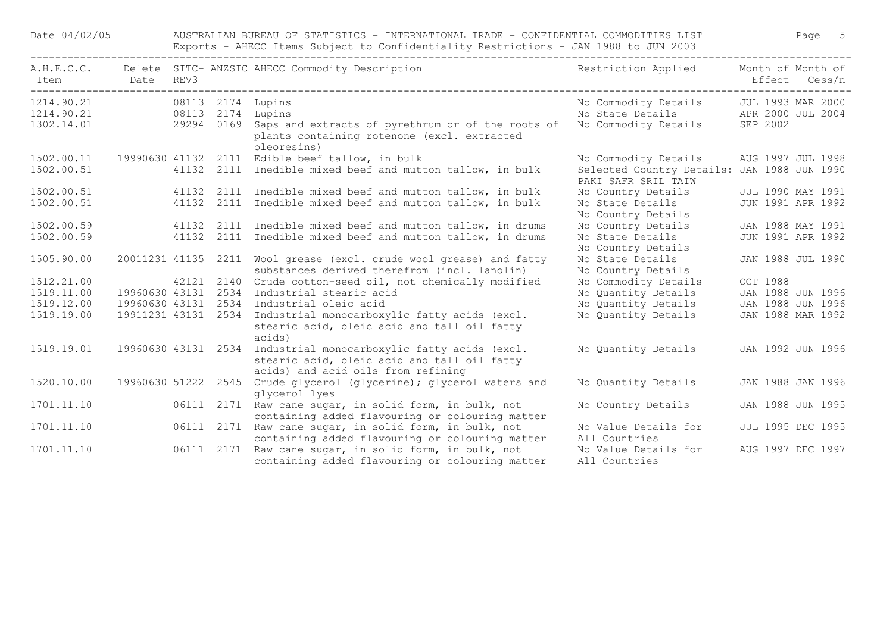| A.H.E.C.C.<br>Item | Date                | REV3 |            | Delete SITC- ANZSIC AHECC Commodity Description                                                                                   | Restriction Applied                                                | Month of Month of<br>Effect Cess/n |  |
|--------------------|---------------------|------|------------|-----------------------------------------------------------------------------------------------------------------------------------|--------------------------------------------------------------------|------------------------------------|--|
| 1214.90.21         |                     |      |            | 08113 2174 Lupins                                                                                                                 | No Commodity Details                                               | JUL 1993 MAR 2000                  |  |
| 1214.90.21         | 08113 2174 Lupins   |      |            |                                                                                                                                   | No State Details APR 2000 JUL 2004                                 |                                    |  |
| 1302.14.01         |                     |      |            | 29294 0169 Saps and extracts of pyrethrum or of the roots of<br>plants containing rotenone (excl. extracted<br>oleoresins)        | No Commodity Details                                               | SEP 2002                           |  |
| 1502.00.11         |                     |      |            | 19990630 41132 2111 Edible beef tallow, in bulk                                                                                   | No Commodity Details                                               | AUG 1997 JUL 1998                  |  |
| 1502.00.51         |                     |      |            | 41132 2111 Inedible mixed beef and mutton tallow, in bulk                                                                         | Selected Country Details: JAN 1988 JUN 1990<br>PAKI SAFR SRIL TAIW |                                    |  |
| 1502.00.51         |                     |      |            | 41132 2111 Inedible mixed beef and mutton tallow, in bulk                                                                         | No Country Details                                                 | JUL 1990 MAY 1991                  |  |
| 1502.00.51         |                     |      |            | 41132 2111 Inedible mixed beef and mutton tallow, in bulk                                                                         | No State Details<br>No Country Details                             | JUN 1991 APR 1992                  |  |
| 1502.00.59         |                     |      |            | 41132 2111 Inedible mixed beef and mutton tallow, in drums                                                                        | No Country Details                                                 | JAN 1988 MAY 1991                  |  |
| 1502.00.59         |                     |      | 41132 2111 | Inedible mixed beef and mutton tallow, in drums                                                                                   | No State Details<br>No Country Details                             | JUN 1991 APR 1992                  |  |
| 1505.90.00         | 20011231 41135 2211 |      |            | Wool grease (excl. crude wool grease) and fatty                                                                                   | No State Details                                                   | JAN 1988 JUL 1990                  |  |
|                    |                     |      |            | substances derived therefrom (incl. lanolin)                                                                                      | No Country Details                                                 |                                    |  |
| 1512.21.00         |                     |      | 42121 2140 | Crude cotton-seed oil, not chemically modified                                                                                    | No Commodity Details                                               | <b>OCT 1988</b>                    |  |
| 1519.11.00         | 19960630 43131      |      | 2534       | Industrial stearic acid                                                                                                           | No Quantity Details                                                | JAN 1988 JUN 1996                  |  |
| 1519.12.00         | 19960630 43131 2534 |      |            | Industrial oleic acid                                                                                                             | No Quantity Details                                                | JAN 1988 JUN 1996                  |  |
| 1519.19.00         | 19911231 43131 2534 |      |            | Industrial monocarboxylic fatty acids (excl.<br>stearic acid, oleic acid and tall oil fatty<br>acids)                             | No Quantity Details                                                | JAN 1988 MAR 1992                  |  |
| 1519.19.01         | 19960630 43131 2534 |      |            | Industrial monocarboxylic fatty acids (excl.<br>stearic acid, oleic acid and tall oil fatty<br>acids) and acid oils from refining | No Quantity Details                                                | JAN 1992 JUN 1996                  |  |
| 1520.10.00         | 19960630 51222 2545 |      |            | Crude glycerol (glycerine); glycerol waters and<br>glycerol lyes                                                                  | No Quantity Details                                                | JAN 1988 JAN 1996                  |  |
| 1701.11.10         |                     |      |            | 06111 2171 Raw cane sugar, in solid form, in bulk, not<br>containing added flavouring or colouring matter                         | No Country Details                                                 | JAN 1988 JUN 1995                  |  |
| 1701.11.10         |                     |      | 06111 2171 | Raw cane sugar, in solid form, in bulk, not<br>containing added flavouring or colouring matter                                    | No Value Details for<br>All Countries                              | JUL 1995 DEC 1995                  |  |
| 1701.11.10         |                     |      | 06111 2171 | Raw cane sugar, in solid form, in bulk, not<br>containing added flavouring or colouring matter                                    | No Value Details for<br>All Countries                              | AUG 1997 DEC 1997                  |  |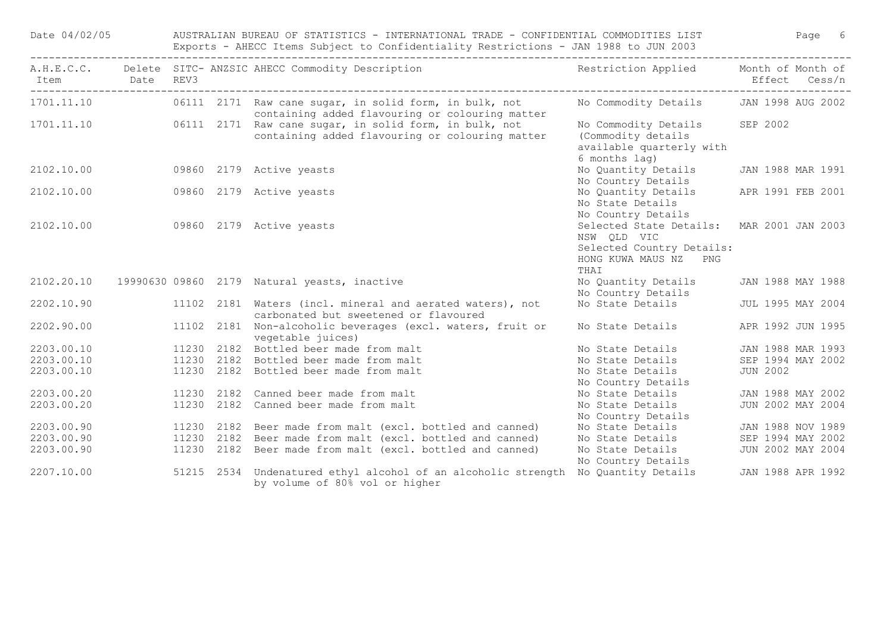| Date 04/02/05  |            |            | AUSTRALIAN BUREAU OF STATISTICS - INTERNATIONAL TRADE - CONFIDENTIAL COMMODITIES LIST<br>Exports - AHECC Items Subject to Confidentiality Restrictions - JAN 1988 to JUN 2003 |                                                                                                                        | Page 6            |
|----------------|------------|------------|-------------------------------------------------------------------------------------------------------------------------------------------------------------------------------|------------------------------------------------------------------------------------------------------------------------|-------------------|
| Item Date REV3 |            |            | A.H.E.C.C. Delete SITC-ANZSIC AHECC Commodity Description Nestriction Applied Month of Month of                                                                               |                                                                                                                        | Effect Cess/n     |
| 1701.11.10     |            |            | 06111 2171 Raw cane sugar, in solid form, in bulk, not<br>containing added flavouring or colouring matter                                                                     | No Commodity Details JAN 1998 AUG 2002                                                                                 |                   |
|                |            |            | 1701.11.10 06111 2171 Raw cane sugar, in solid form, in bulk, not<br>containing added flavouring or colouring matter                                                          | No Commodity Details SEP 2002<br>(Commodity details<br>available quarterly with<br>6 months lag)                       |                   |
| 2102.10.00     |            |            | 09860 2179 Active yeasts                                                                                                                                                      | No Quantity Details<br>No Country Details                                                                              | JAN 1988 MAR 1991 |
| 2102.10.00     |            |            | 09860 2179 Active yeasts                                                                                                                                                      | No Quantity Details APR 1991 FEB 2001<br>No State Details<br>No Country Details                                        |                   |
| 2102.10.00     |            |            | 09860 2179 Active yeasts                                                                                                                                                      | Selected State Details: MAR 2001 JAN 2003<br>NSW QLD VIC<br>Selected Country Details:<br>HONG KUWA MAUS NZ PNG<br>THAI |                   |
|                |            |            | 2102.20.10 19990630 09860 2179 Natural yeasts, inactive                                                                                                                       | No Quantity Details<br>No Country Details                                                                              | JAN 1988 MAY 1988 |
|                |            |            | 2202.10.90 11102 2181 Waters (incl. mineral and aerated waters), not<br>carbonated but sweetened or flavoured                                                                 | No State Details                                                                                                       | JUL 1995 MAY 2004 |
|                |            |            | 2202.90.00 11102 2181 Non-alcoholic beverages (excl. waters, fruit or<br>vegetable juices)                                                                                    | No State Details                                                                                                       | APR 1992 JUN 1995 |
|                |            |            |                                                                                                                                                                               | No State Details                                                                                                       | JAN 1988 MAR 1993 |
|                |            |            | 2203.00.10 11230 2182 Bottled beer made from malt<br>2203.00.10 11230 2182 Bottled beer made from malt                                                                        | No State Details                                                                                                       | SEP 1994 MAY 2002 |
| 2203.00.10     |            |            | 11230 2182 Bottled beer made from malt                                                                                                                                        | No State Details<br>No Country Details                                                                                 | <b>JUN 2002</b>   |
| 2203.00.20     |            | 11230 2182 | Canned beer made from malt                                                                                                                                                    | No State Details                                                                                                       | JAN 1988 MAY 2002 |
| 2203.00.20     |            |            | 11230 2182 Canned beer made from malt                                                                                                                                         | No State Details<br>No Country Details                                                                                 | JUN 2002 MAY 2004 |
| 2203.00.90     |            | 11230 2182 | Beer made from malt (excl. bottled and canned)                                                                                                                                | No State Details                                                                                                       | JAN 1988 NOV 1989 |
| 2203.00.90     | 11230 2182 |            | Beer made from malt (excl. bottled and canned)                                                                                                                                | No State Details                                                                                                       | SEP 1994 MAY 2002 |
| 2203.00.90     |            |            | 11230 2182 Beer made from malt (excl. bottled and canned)                                                                                                                     | No State Details<br>No Country Details                                                                                 | JUN 2002 MAY 2004 |
| 2207.10.00     |            |            | 51215 2534 Undenatured ethyl alcohol of an alcoholic strength No Quantity Details 17 JAN 1988 APR 1992<br>by volume of 80% vol or higher                                      |                                                                                                                        |                   |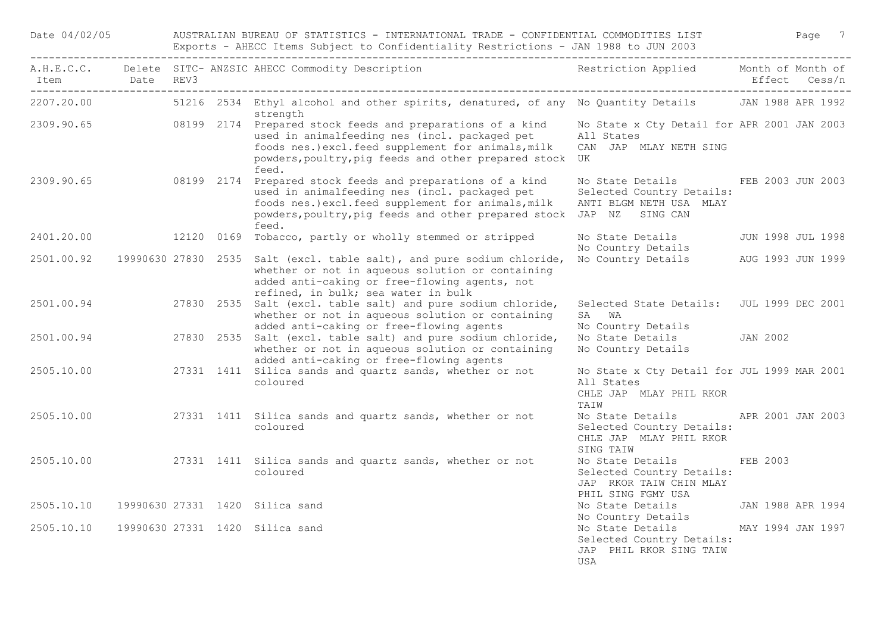| Date 04/02/05  |  | AUSTRALIAN BUREAU OF STATISTICS - INTERNATIONAL TRADE - CONFIDENTIAL COMMODITIES LIST<br>Page 7<br>Exports - AHECC Items Subject to Confidentiality Restrictions - JAN 1988 to JUN 2003 |                                                                                                                                                                                                                                                               |                                                                                                            |                   |  |  |  |  |  |
|----------------|--|-----------------------------------------------------------------------------------------------------------------------------------------------------------------------------------------|---------------------------------------------------------------------------------------------------------------------------------------------------------------------------------------------------------------------------------------------------------------|------------------------------------------------------------------------------------------------------------|-------------------|--|--|--|--|--|
| Item Date REV3 |  |                                                                                                                                                                                         | A.H.E.C.C. Delete SITC- ANZSIC AHECC Commodity Description                                                                                                                                                                                                    | Restriction Applied Month of Month of                                                                      | Effect Cess/n     |  |  |  |  |  |
| 2207.20.00     |  |                                                                                                                                                                                         | 51216 2534 Ethyl alcohol and other spirits, denatured, of any No Quantity Details 3N 1988 APR 1992<br>strength                                                                                                                                                |                                                                                                            |                   |  |  |  |  |  |
|                |  |                                                                                                                                                                                         | 2309.90.65 08199 2174 Prepared stock feeds and preparations of a kind<br>used in animalfeeding nes (incl. packaged pet<br>foods nes.) excl.feed supplement for animals, milk<br>powders, poultry, pig feeds and other prepared stock UK<br>feed.              | No State x Cty Detail for APR 2001 JAN 2003<br>All States<br>CAN JAP MLAY NETH SING                        |                   |  |  |  |  |  |
|                |  |                                                                                                                                                                                         | 2309.90.65 08199 2174 Prepared stock feeds and preparations of a kind<br>used in animalfeeding nes (incl. packaged pet<br>foods nes.) excl.feed supplement for animals, milk<br>powders, poultry, pig feeds and other prepared stock JAP NZ SING CAN<br>feed. | No State Details FEB 2003 JUN 2003<br>Selected Country Details:<br>ANTI BLGM NETH USA MLAY                 |                   |  |  |  |  |  |
| 2401,20,00     |  |                                                                                                                                                                                         | 12120 0169 Tobacco, partly or wholly stemmed or stripped                                                                                                                                                                                                      | No State Details 5 JUN 1998 JUL 1998<br>No Country Details                                                 |                   |  |  |  |  |  |
| 2501.00.92     |  |                                                                                                                                                                                         | 19990630 27830 2535 Salt (excl. table salt), and pure sodium chloride,<br>whether or not in aqueous solution or containing<br>added anti-caking or free-flowing agents, not<br>refined, in bulk; sea water in bulk                                            | No Country Details AUG 1993 JUN 1999                                                                       |                   |  |  |  |  |  |
| 2501.00.94     |  |                                                                                                                                                                                         | 27830 2535 Salt (excl. table salt) and pure sodium chloride,<br>whether or not in aqueous solution or containing<br>added anti-caking or free-flowing agents                                                                                                  | Selected State Details: JUL 1999 DEC 2001<br>SA WA<br>No Country Details                                   |                   |  |  |  |  |  |
| 2501.00.94     |  |                                                                                                                                                                                         | 27830 2535 Salt (excl. table salt) and pure sodium chloride,<br>whether or not in aqueous solution or containing<br>added anti-caking or free-flowing agents                                                                                                  | No State Details JAN 2002<br>No Country Details                                                            |                   |  |  |  |  |  |
| 2505.10.00     |  |                                                                                                                                                                                         | 27331 1411 Silica sands and quartz sands, whether or not<br>coloured                                                                                                                                                                                          | No State x Cty Detail for JUL 1999 MAR 2001<br>All States<br>CHLE JAP MLAY PHIL RKOR<br>TAIW               |                   |  |  |  |  |  |
|                |  |                                                                                                                                                                                         | 2505.10.00 27331 1411 Silica sands and quartz sands, whether or not<br>coloured                                                                                                                                                                               | No State Details 6. APR 2001 JAN 2003<br>Selected Country Details:<br>CHLE JAP MLAY PHIL RKOR<br>SING TAIW |                   |  |  |  |  |  |
|                |  |                                                                                                                                                                                         | 2505.10.00 27331 1411 Silica sands and quartz sands, whether or not<br>coloured                                                                                                                                                                               | No State Details<br>Selected Country Details:<br>JAP RKOR TAIW CHIN MLAY<br>PHIL SING FGMY USA             | FEB 2003          |  |  |  |  |  |
| 2505.10.10     |  |                                                                                                                                                                                         | 19990630 27331 1420 Silica sand                                                                                                                                                                                                                               | No State Details<br>No Country Details                                                                     | JAN 1988 APR 1994 |  |  |  |  |  |
| 2505.10.10     |  |                                                                                                                                                                                         | 19990630 27331 1420 Silica sand                                                                                                                                                                                                                               | No State Details MAY 1994 JAN 1997<br>Selected Country Details:<br>JAP PHIL RKOR SING TAIW<br>USA          |                   |  |  |  |  |  |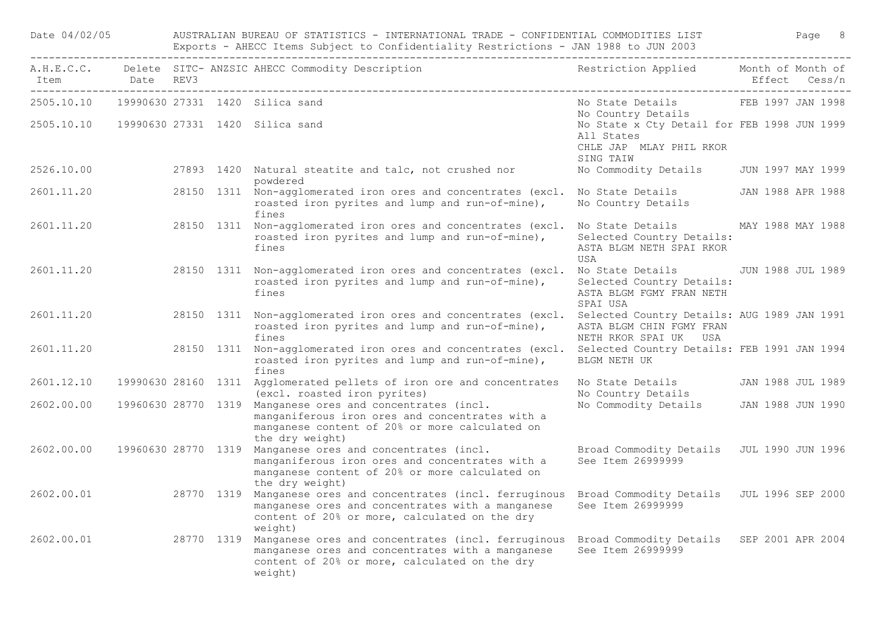| Date 04/02/05  | AUSTRALIAN BUREAU OF STATISTICS - INTERNATIONAL TRADE - CONFIDENTIAL COMMODITIES LIST<br>Page 8<br>Exports - AHECC Items Subject to Confidentiality Restrictions - JAN 1988 to JUN 2003 |  |                                                                                                                                                                                                                         |                                                                                                         |                                    |  |  |  |
|----------------|-----------------------------------------------------------------------------------------------------------------------------------------------------------------------------------------|--|-------------------------------------------------------------------------------------------------------------------------------------------------------------------------------------------------------------------------|---------------------------------------------------------------------------------------------------------|------------------------------------|--|--|--|
| Item Date REV3 |                                                                                                                                                                                         |  | A.H.E.C.C. Delete SITC- ANZSIC AHECC Commodity Description                                                                                                                                                              | Restriction Applied                                                                                     | Month of Month of<br>Effect Cess/n |  |  |  |
| 2505.10.10     |                                                                                                                                                                                         |  | 19990630 27331 1420 Silica sand                                                                                                                                                                                         | No State Details<br>No Country Details                                                                  | FEB 1997 JAN 1998                  |  |  |  |
|                |                                                                                                                                                                                         |  |                                                                                                                                                                                                                         | No State x Cty Detail for FEB 1998 JUN 1999<br>All States<br>CHLE JAP MLAY PHIL RKOR<br>SING TAIW       |                                    |  |  |  |
| 2526.10.00     |                                                                                                                                                                                         |  | 27893 1420 Natural steatite and talc, not crushed nor<br>powdered                                                                                                                                                       | No Commodity Details                                                                                    | JUN 1997 MAY 1999                  |  |  |  |
| 2601.11.20     |                                                                                                                                                                                         |  | 28150 1311 Non-agglomerated iron ores and concentrates (excl. No State Details<br>roasted iron pyrites and lump and run-of-mine),<br>fines                                                                              | No Country Details                                                                                      | JAN 1988 APR 1988                  |  |  |  |
| 2601.11.20     |                                                                                                                                                                                         |  | 28150 1311 Non-agglomerated iron ores and concentrates (excl.<br>roasted iron pyrites and lump and run-of-mine),<br>fines                                                                                               | No State Details MAY 1988 MAY 1988<br>Selected Country Details:<br>ASTA BLGM NETH SPAI RKOR<br>USA      |                                    |  |  |  |
| 2601.11.20     |                                                                                                                                                                                         |  | 28150 1311 Non-agglomerated iron ores and concentrates (excl.<br>roasted iron pyrites and lump and run-of-mine),<br>fines                                                                                               | No State Details JUN 1988 JUL 1989<br>Selected Country Details:<br>ASTA BLGM FGMY FRAN NETH<br>SPAI USA |                                    |  |  |  |
| 2601.11.20     |                                                                                                                                                                                         |  | 28150 1311 Non-agglomerated iron ores and concentrates (excl.<br>roasted iron pyrites and lump and run-of-mine),<br>fines                                                                                               | Selected Country Details: AUG 1989 JAN 1991<br>ASTA BLGM CHIN FGMY FRAN<br>NETH RKOR SPAI UK USA        |                                    |  |  |  |
| 2601.11.20     |                                                                                                                                                                                         |  | 28150 1311 Non-agglomerated iron ores and concentrates (excl.<br>roasted iron pyrites and lump and run-of-mine),<br>fines                                                                                               | Selected Country Details: FEB 1991 JAN 1994<br>BLGM NETH UK                                             |                                    |  |  |  |
| 2601.12.10     |                                                                                                                                                                                         |  | 19990630 28160 1311 Agglomerated pellets of iron ore and concentrates<br>(excl. roasted iron pyrites)                                                                                                                   | No State Details<br>No Country Details                                                                  | JAN 1988 JUL 1989                  |  |  |  |
| 2602.00.00     |                                                                                                                                                                                         |  | 19960630 28770 1319 Manganese ores and concentrates (incl.<br>manganiferous iron ores and concentrates with a<br>manganese content of 20% or more calculated on<br>the dry weight)                                      | No Commodity Details JAN 1988 JUN 1990                                                                  |                                    |  |  |  |
| 2602.00.00     |                                                                                                                                                                                         |  | 19960630 28770 1319 Manganese ores and concentrates (incl.<br>manganiferous iron ores and concentrates with a<br>manganese content of 20% or more calculated on<br>the dry weight)                                      | Broad Commodity Details JUL 1990 JUN 1996<br>See Item 26999999                                          |                                    |  |  |  |
| 2602.00.01     |                                                                                                                                                                                         |  | 28770 1319 Manganese ores and concentrates (incl. ferruginous<br>manganese ores and concentrates with a manganese<br>content of 20% or more, calculated on the dry<br>weight)                                           | Broad Commodity Details JUL 1996 SEP 2000<br>See Item 26999999                                          |                                    |  |  |  |
| 2602.00.01     |                                                                                                                                                                                         |  | 28770 1319 Manganese ores and concentrates (incl. ferruginous Broad Commodity Details SEP 2001 APR 2004<br>manganese ores and concentrates with a manganese<br>content of 20% or more, calculated on the dry<br>weight) | See Item 26999999                                                                                       |                                    |  |  |  |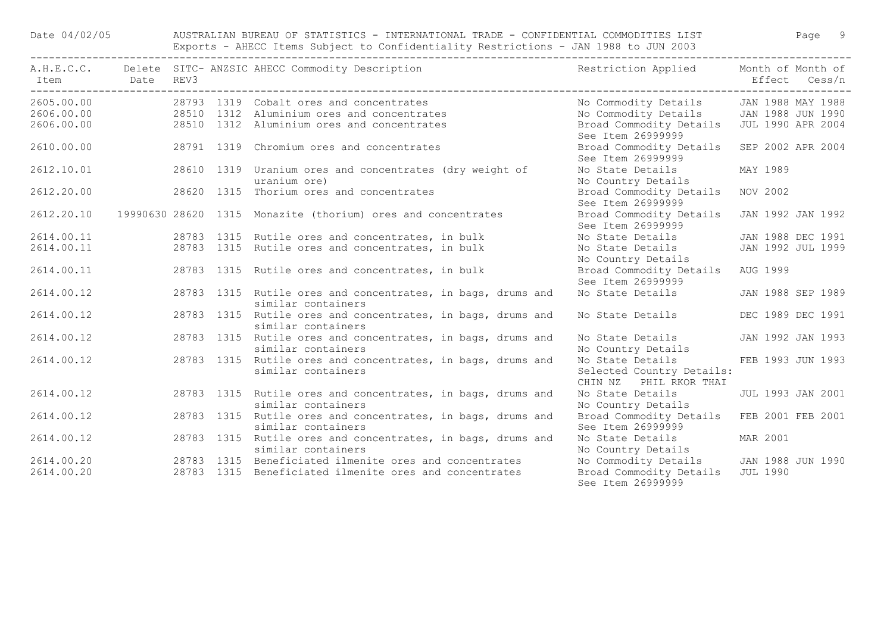Date 04/02/05 AUSTRALIAN BUREAU OF STATISTICS - INTERNATIONAL TRADE - CONFIDENTIAL COMMODITIES LIST Page 9 Exports - AHECC Items Subject to Confidentiality Restrictions - JAN 1988 to JUN 2003

|            | Item Date REV3 | A.H.E.C.C. Delete SITC-ANZSIC AHECC Commodity Description Nestriction Applied Month of Month of |                                                                         | Effect Cess/n            |
|------------|----------------|-------------------------------------------------------------------------------------------------|-------------------------------------------------------------------------|--------------------------|
|            |                | 2605.00.00 28793 1319 Cobalt ores and concentrates                                              | No Commodity Details JAN 1988 MAY 1988                                  |                          |
|            |                | 2606.00.00 28510 1312 Aluminium ores and concentrates                                           | No Commodity Details JAN 1988 JUN 1990                                  |                          |
| 2606.00.00 |                | 28510 1312 Aluminium ores and concentrates                                                      | Broad Commodity Details<br>See Item 26999999                            | <b>JUL 1990 APR 2004</b> |
| 2610.00.00 |                | 28791 1319 Chromium ores and concentrates                                                       | Broad Commodity Details<br>See Item 26999999                            | SEP 2002 APR 2004        |
| 2612.10.01 |                | 28610 1319 Uranium ores and concentrates (dry weight of<br>uranium ore)                         | No State Details<br>No Country Details                                  | MAY 1989                 |
| 2612.20.00 |                | 28620 1315 Thorium ores and concentrates                                                        | Broad Commodity Details NOV 2002<br>See Item 26999999                   |                          |
| 2612.20.10 |                | 19990630 28620 1315 Monazite (thorium) ores and concentrates                                    | Broad Commodity Details JAN 1992 JAN 1992<br>See Item 26999999          |                          |
| 2614.00.11 |                | 28783 1315 Rutile ores and concentrates, in bulk                                                | No State Details                                                        | JAN 1988 DEC 1991        |
| 2614.00.11 |                | 28783 1315 Rutile ores and concentrates, in bulk                                                | No State Details<br>No Country Details                                  | JAN 1992 JUL 1999        |
| 2614.00.11 |                | 28783 1315 Rutile ores and concentrates, in bulk                                                | Broad Commodity Details AUG 1999<br>See Item 26999999                   |                          |
| 2614.00.12 |                | 28783 1315 Rutile ores and concentrates, in bags, drums and<br>similar containers               | No State Details                                                        | JAN 1988 SEP 1989        |
| 2614.00.12 |                | 28783 1315 Rutile ores and concentrates, in bags, drums and<br>similar containers               | No State Details                                                        | DEC 1989 DEC 1991        |
| 2614.00.12 |                | 28783 1315 Rutile ores and concentrates, in bags, drums and<br>similar containers               | No State Details<br>No Country Details                                  | JAN 1992 JAN 1993        |
| 2614.00.12 |                | 28783 1315 Rutile ores and concentrates, in bags, drums and<br>similar containers               | No State Details<br>Selected Country Details:<br>CHIN NZ PHIL RKOR THAI | FEB 1993 JUN 1993        |
| 2614.00.12 |                | 28783 1315 Rutile ores and concentrates, in bags, drums and<br>similar containers               | No State Details<br>No Country Details                                  | <b>JUL 1993 JAN 2001</b> |
| 2614.00.12 |                | 28783 1315 Rutile ores and concentrates, in bags, drums and<br>similar containers               | Broad Commodity Details FEB 2001 FEB 2001<br>See Item 26999999          |                          |
| 2614.00.12 |                | 28783 1315 Rutile ores and concentrates, in bags, drums and<br>similar containers               | No State Details<br>No Country Details                                  | MAR 2001                 |
| 2614.00.20 |                | 28783 1315 Beneficiated ilmenite ores and concentrates                                          | No Commodity Details JAN 1988 JUN 1990                                  |                          |
| 2614.00.20 |                | 28783 1315 Beneficiated ilmenite ores and concentrates                                          | Broad Commodity Details JUL 1990<br>See Item 26999999                   |                          |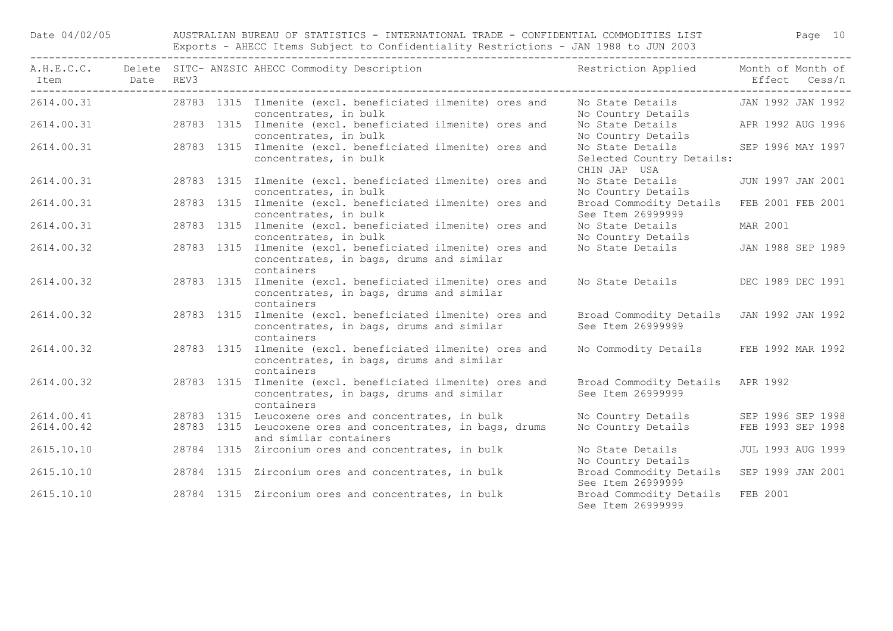Date 04/02/05 AUSTRALIAN BUREAU OF STATISTICS - INTERNATIONAL TRADE - CONFIDENTIAL COMMODITIES LIST Page 10 Exports - AHECC Items Subject to Confidentiality Restrictions - JAN 1988 to JUN 2003

| Item Date  | REV3 | A.H.E.C.C. Delete SITC- ANZSIC AHECC Commodity Description                                                           | Restriction Applied Month of Month of                          | Effect Cess/n     |
|------------|------|----------------------------------------------------------------------------------------------------------------------|----------------------------------------------------------------|-------------------|
| 2614.00.31 |      | 28783 1315 Ilmenite (excl. beneficiated ilmenite) ores and<br>concentrates, in bulk                                  | No State Details<br>No Country Details                         | JAN 1992 JAN 1992 |
| 2614.00.31 |      | 28783 1315 Ilmenite (excl. beneficiated ilmenite) ores and<br>concentrates, in bulk                                  | No State Details APR 1992 AUG 1996<br>No Country Details       |                   |
| 2614.00.31 |      | 28783 1315 Ilmenite (excl. beneficiated ilmenite) ores and<br>concentrates, in bulk                                  | No State Details<br>Selected Country Details:<br>CHIN JAP USA  | SEP 1996 MAY 1997 |
| 2614.00.31 |      | 28783 1315 Ilmenite (excl. beneficiated ilmenite) ores and<br>concentrates, in bulk                                  | No State Details<br>No Country Details                         | JUN 1997 JAN 2001 |
| 2614.00.31 |      | 28783 1315 Ilmenite (excl. beneficiated ilmenite) ores and<br>concentrates, in bulk                                  | Broad Commodity Details<br>See Item 26999999                   | FEB 2001 FEB 2001 |
| 2614.00.31 |      | 28783 1315 Ilmenite (excl. beneficiated ilmenite) ores and<br>concentrates, in bulk                                  | No State Details<br>No Country Details                         | MAR 2001          |
| 2614.00.32 |      | 28783 1315 Ilmenite (excl. beneficiated ilmenite) ores and<br>concentrates, in bags, drums and similar<br>containers | No State Details                                               | JAN 1988 SEP 1989 |
| 2614.00.32 |      | 28783 1315 Ilmenite (excl. beneficiated ilmenite) ores and<br>concentrates, in bags, drums and similar<br>containers | No State Details                                               | DEC 1989 DEC 1991 |
| 2614.00.32 |      | 28783 1315 Ilmenite (excl. beneficiated ilmenite) ores and<br>concentrates, in bags, drums and similar<br>containers | Broad Commodity Details JAN 1992 JAN 1992<br>See Item 26999999 |                   |
| 2614.00.32 |      | 28783 1315 Ilmenite (excl. beneficiated ilmenite) ores and<br>concentrates, in bags, drums and similar<br>containers | No Commodity Details                                           | FEB 1992 MAR 1992 |
| 2614.00.32 |      | 28783 1315 Ilmenite (excl. beneficiated ilmenite) ores and<br>concentrates, in bags, drums and similar<br>containers | Broad Commodity Details APR 1992<br>See Item 26999999          |                   |
| 2614.00.41 |      | 28783 1315 Leucoxene ores and concentrates, in bulk                                                                  | No Country Details SEP 1996 SEP 1998                           |                   |
| 2614.00.42 |      | 28783 1315 Leucoxene ores and concentrates, in bags, drums<br>and similar containers                                 | No Country Details                                             | FEB 1993 SEP 1998 |
| 2615.10.10 |      | 28784 1315 Zirconium ores and concentrates, in bulk                                                                  | No State Details<br>No Country Details                         | JUL 1993 AUG 1999 |
| 2615.10.10 |      | 28784 1315 Zirconium ores and concentrates, in bulk                                                                  | Broad Commodity Details<br>See Item 26999999                   | SEP 1999 JAN 2001 |
| 2615.10.10 |      | 28784 1315 Zirconium ores and concentrates, in bulk                                                                  | Broad Commodity Details<br>See Item 26999999                   | FEB 2001          |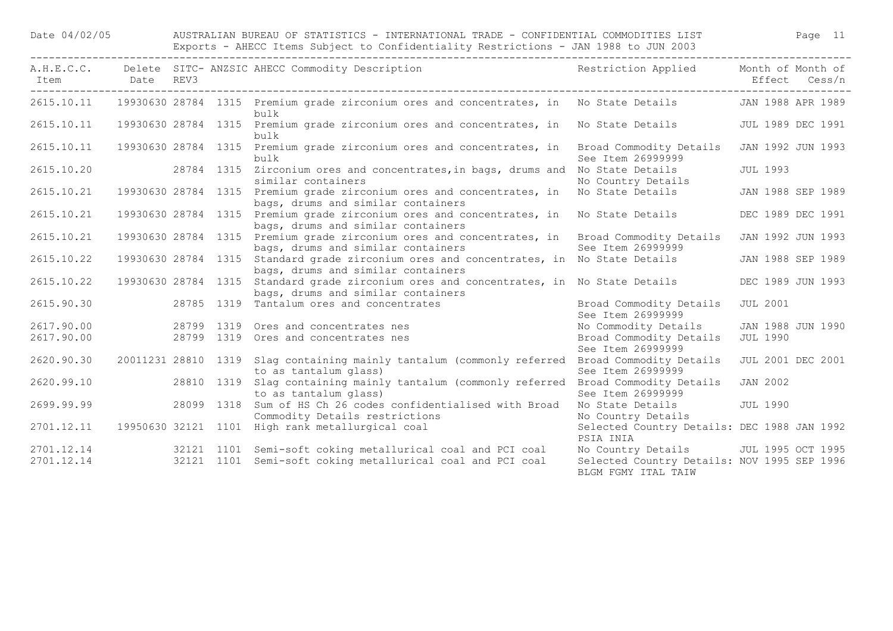| Item Date REV3 |                     |            | -------------------------------<br>A.H.E.C.C. Delete SITC- ANZSIC AHECC Commodity Description                                 | Restriction Applied Month of Month of                              |                          | Effect Cess/n |  |
|----------------|---------------------|------------|-------------------------------------------------------------------------------------------------------------------------------|--------------------------------------------------------------------|--------------------------|---------------|--|
|                |                     |            | 2615.10.11 19930630 28784 1315 Premium grade zirconium ores and concentrates, in No State Details JAN 1988 APR 1989<br>bulk   |                                                                    |                          |               |  |
| 2615.10.11     |                     |            | 19930630 28784 1315 Premium grade zirconium ores and concentrates, in<br>bulk                                                 | No State Details                                                   | JUL 1989 DEC 1991        |               |  |
| 2615.10.11     | 19930630 28784 1315 |            | Premium grade zirconium ores and concentrates, in<br>bulk                                                                     | Broad Commodity Details<br>See Item 26999999                       | JAN 1992 JUN 1993        |               |  |
| 2615.10.20     | 28784 1315          |            | Zirconium ores and concentrates, in bags, drums and<br>similar containers                                                     | No State Details<br>No Country Details                             | JUL 1993                 |               |  |
| 2615.10.21     |                     |            | 19930630 28784 1315 Premium grade zirconium ores and concentrates, in<br>bags, drums and similar containers                   | No State Details                                                   | JAN 1988 SEP 1989        |               |  |
| 2615.10.21     |                     |            | 19930630 28784 1315 Premium grade zirconium ores and concentrates, in<br>bags, drums and similar containers                   | No State Details                                                   | DEC 1989 DEC 1991        |               |  |
| 2615.10.21     | 19930630 28784 1315 |            | Premium grade zirconium ores and concentrates, in Broad Commodity Details<br>bags, drums and similar containers               | See Item 26999999                                                  | JAN 1992 JUN 1993        |               |  |
| 2615.10.22     |                     |            | 19930630 28784 1315 Standard grade zirconium ores and concentrates, in No State Details<br>bags, drums and similar containers |                                                                    | JAN 1988 SEP 1989        |               |  |
| 2615.10.22     |                     |            | 19930630 28784 1315 Standard grade zirconium ores and concentrates, in No State Details<br>bags, drums and similar containers |                                                                    | DEC 1989 JUN 1993        |               |  |
| 2615.90.30     |                     |            | 28785 1319 Tantalum ores and concentrates                                                                                     | Broad Commodity Details<br>See Item 26999999                       | <b>JUL 2001</b>          |               |  |
| 2617.90.00     |                     | 28799 1319 | Ores and concentrates nes                                                                                                     | No Commodity Details                                               | JAN 1988 JUN 1990        |               |  |
| 2617.90.00     |                     | 28799 1319 | Ores and concentrates nes                                                                                                     | Broad Commodity Details<br>See Item 26999999                       | <b>JUL 1990</b>          |               |  |
| 2620.90.30     |                     |            | 20011231 28810 1319 Slag containing mainly tantalum (commonly referred Broad Commodity Details<br>to as tantalum glass)       | See Item 26999999                                                  | <b>JUL 2001 DEC 2001</b> |               |  |
| 2620.99.10     |                     |            | 28810 1319 Slag containing mainly tantalum (commonly referred Broad Commodity Details<br>to as tantalum glass)                | See Item 26999999                                                  | <b>JAN 2002</b>          |               |  |
| 2699.99.99     |                     |            | 28099 1318 Sum of HS Ch 26 codes confidentialised with Broad<br>Commodity Details restrictions                                | No State Details<br>No Country Details                             | <b>JUL 1990</b>          |               |  |
| 2701.12.11     |                     |            | 19950630 32121 1101 High rank metallurgical coal                                                                              | Selected Country Details: DEC 1988 JAN 1992<br>PSIA INIA           |                          |               |  |
| 2701.12.14     |                     |            | 32121 1101 Semi-soft coking metallurical coal and PCI coal                                                                    | No Country Details JUL 1995 OCT 1995                               |                          |               |  |
| 2701.12.14     |                     |            | 32121 1101 Semi-soft coking metallurical coal and PCI coal                                                                    | Selected Country Details: NOV 1995 SEP 1996<br>BLGM FGMY ITAL TAIW |                          |               |  |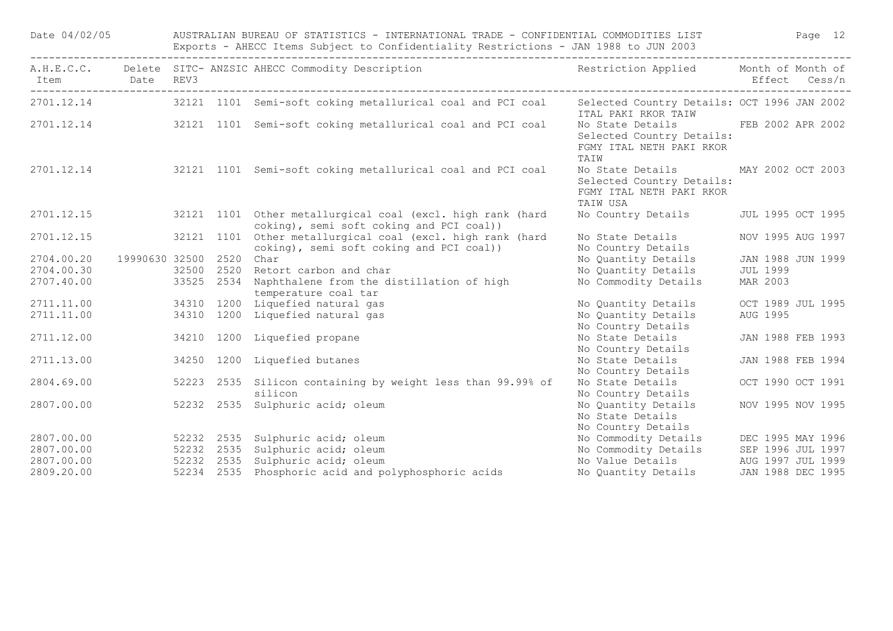| Date 04/02/05  |                     | AUSTRALIAN BUREAU OF STATISTICS - INTERNATIONAL TRADE - CONFIDENTIAL COMMODITIES LIST Page 12<br>Exports - AHECC Items Subject to Confidentiality Restrictions - JAN 1988 to JUN 2003 |                                                                                                                   |                                                                                                         |          |                   |  |  |  |
|----------------|---------------------|---------------------------------------------------------------------------------------------------------------------------------------------------------------------------------------|-------------------------------------------------------------------------------------------------------------------|---------------------------------------------------------------------------------------------------------|----------|-------------------|--|--|--|
| Item Date REV3 |                     |                                                                                                                                                                                       | A.H.E.C.C. Delete SITC-ANZSIC AHECC Commodity Description Nestriction Applied Month of Month of                   |                                                                                                         |          | Effect Cess/n     |  |  |  |
|                |                     |                                                                                                                                                                                       | 2701.12.14 32121 1101 Semi-soft coking metallurical coal and PCI coal                                             | Selected Country Details: OCT 1996 JAN 2002<br>ITAL PAKI RKOR TAIW                                      |          |                   |  |  |  |
|                |                     |                                                                                                                                                                                       | 2701.12.14 32121 1101 Semi-soft coking metallurical coal and PCI coal                                             | No State Details FEB 2002 APR 2002<br>Selected Country Details:<br>FGMY ITAL NETH PAKI RKOR<br>TAIW     |          |                   |  |  |  |
|                |                     |                                                                                                                                                                                       | 2701.12.14 32121 1101 Semi-soft coking metallurical coal and PCI coal                                             | No State Details MAY 2002 OCT 2003<br>Selected Country Details:<br>FGMY ITAL NETH PAKI RKOR<br>TAIW USA |          |                   |  |  |  |
| 2701.12.15     |                     |                                                                                                                                                                                       | 32121 1101 Other metallurgical coal (excl. high rank (hard<br>coking), semi soft coking and PCI coal))            | No Country Details JUL 1995 OCT 1995                                                                    |          |                   |  |  |  |
| 2701.12.15     |                     |                                                                                                                                                                                       | 32121 1101 Other metallurgical coal (excl. high rank (hard<br>coking), semi soft coking and PCI coal))            | No State Details<br>No Country Details                                                                  |          | NOV 1995 AUG 1997 |  |  |  |
| 2704.00.20     | 19990630 32500 2520 |                                                                                                                                                                                       | Char                                                                                                              | No Quantity Details                                                                                     |          | JAN 1988 JUN 1999 |  |  |  |
| 2704.00.30     |                     |                                                                                                                                                                                       |                                                                                                                   | No Quantity Details                                                                                     | JUL 1999 |                   |  |  |  |
| 2707.40.00     |                     |                                                                                                                                                                                       | 32500 2520 Retort carbon and char<br>33525 2534 Naphthalene from the distillation of high<br>temperature coal tar | No Commodity Details                                                                                    | MAR 2003 |                   |  |  |  |
|                |                     |                                                                                                                                                                                       | 2711.11.00 34310 1200 Liquefied natural gas                                                                       | No Quantity Details OCT 1989 JUL 1995                                                                   |          |                   |  |  |  |
| 2711.11.00     |                     |                                                                                                                                                                                       | 34310 1200 Liquefied natural gas                                                                                  | No Quantity Details<br>No Country Details                                                               | AUG 1995 |                   |  |  |  |
| 2711.12.00     |                     |                                                                                                                                                                                       | 34210 1200 Liquefied propane                                                                                      | No State Details<br>No Country Details                                                                  |          | JAN 1988 FEB 1993 |  |  |  |
| 2711.13.00     |                     |                                                                                                                                                                                       | 34250 1200 Liquefied butanes                                                                                      | No State Details<br>No Country Details                                                                  |          | JAN 1988 FEB 1994 |  |  |  |
| 2804.69.00     |                     |                                                                                                                                                                                       | 52223 2535 Silicon containing by weight less than 99.99% of<br>silicon                                            | No State Details<br>No Country Details                                                                  |          | OCT 1990 OCT 1991 |  |  |  |
| 2807.00.00     |                     |                                                                                                                                                                                       | 52232 2535 Sulphuric acid; oleum                                                                                  | No Quantity Details<br>No State Details<br>No Country Details                                           |          | NOV 1995 NOV 1995 |  |  |  |
| 2807.00.00     |                     |                                                                                                                                                                                       | 52232 2535 Sulphuric acid; oleum                                                                                  | No Commodity Details DEC 1995 MAY 1996                                                                  |          |                   |  |  |  |
| 2807.00.00     |                     |                                                                                                                                                                                       | 52232 2535 Sulphuric acid; oleum                                                                                  | No Commodity Details SEP 1996 JUL 1997                                                                  |          |                   |  |  |  |
| 2807.00.00     |                     |                                                                                                                                                                                       | 52232 2535 Sulphuric acid; oleum                                                                                  | No Value Details AUG 1997 JUL 1999                                                                      |          |                   |  |  |  |
| 2809.20.00     |                     |                                                                                                                                                                                       | 52234 2535 Phosphoric acid and polyphosphoric acids                                                               | No Quantity Details JAN 1988 DEC 1995                                                                   |          |                   |  |  |  |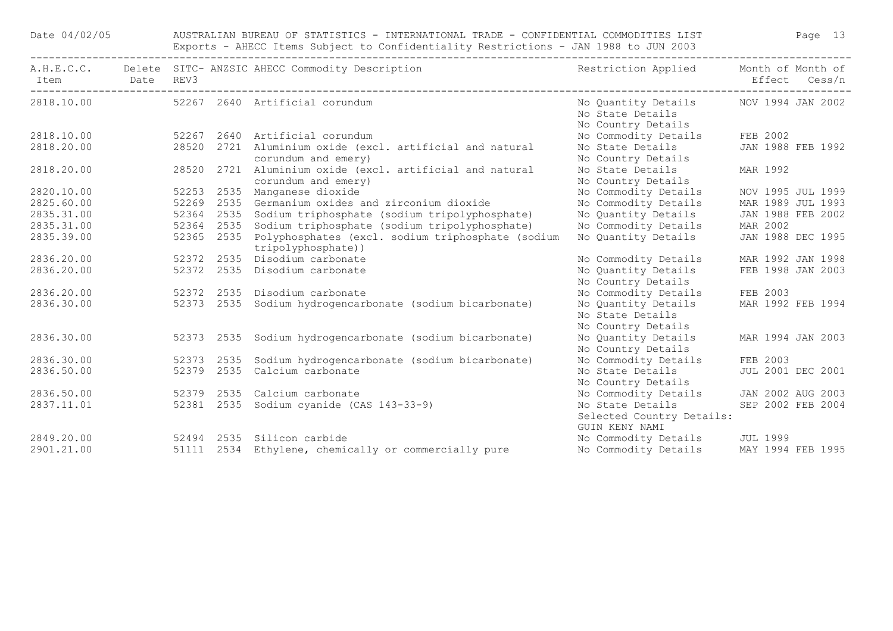| Date 04/02/05 |            |            |      | AUSTRALIAN BUREAU OF STATISTICS - INTERNATIONAL TRADE - CONFIDENTIAL COMMODITIES LIST<br>Exports - AHECC Items Subject to Confidentiality Restrictions - JAN 1988 to JUN 2003<br>---------------------------- |                                                                 | Page 13           |               |  |
|---------------|------------|------------|------|---------------------------------------------------------------------------------------------------------------------------------------------------------------------------------------------------------------|-----------------------------------------------------------------|-------------------|---------------|--|
| Item          | Date REV3  |            |      | A.H.E.C.C. Delete SITC- ANZSIC AHECC Commodity Description                                                                                                                                                    | Restriction Applied                                             | Month of Month of | Effect Cess/n |  |
|               |            |            |      | 2818.10.00 52267 2640 Artificial corundum                                                                                                                                                                     | No Quantity Details<br>No State Details<br>No Country Details   | NOV 1994 JAN 2002 |               |  |
| 2818.10.00    |            |            |      | 52267 2640 Artificial corundum                                                                                                                                                                                | No Commodity Details                                            | FEB 2002          |               |  |
| 2818.20.00    |            |            |      | 28520 2721 Aluminium oxide (excl. artificial and natural<br>corundum and emery)                                                                                                                               | No State Details<br>No Country Details                          | JAN 1988 FEB 1992 |               |  |
| 2818.20.00    |            |            |      | 28520 2721 Aluminium oxide (excl. artificial and natural<br>corundum and emery)                                                                                                                               | No State Details<br>No Country Details                          | MAR 1992          |               |  |
| 2820.10.00    |            |            |      | 52253 2535 Manganese dioxide                                                                                                                                                                                  | No Commodity Details                                            | NOV 1995 JUL 1999 |               |  |
| 2825.60.00    |            |            |      | 52269 2535 Germanium oxides and zirconium dioxide                                                                                                                                                             | No Commodity Details                                            | MAR 1989 JUL 1993 |               |  |
| 2835.31.00    |            |            |      | 52364 2535 Sodium triphosphate (sodium tripolyphosphate)                                                                                                                                                      | No Quantity Details                                             | JAN 1988 FEB 2002 |               |  |
| 2835.31.00    |            | 52364 2535 |      | Sodium triphosphate (sodium tripolyphosphate)                                                                                                                                                                 | No Commodity Details                                            | MAR 2002          |               |  |
| 2835.39.00    |            | 52365 2535 |      | Polyphosphates (excl. sodium triphosphate (sodium<br>tripolyphosphate))                                                                                                                                       | No Quantity Details                                             | JAN 1988 DEC 1995 |               |  |
| 2836.20.00    |            |            |      | 52372 2535 Disodium carbonate                                                                                                                                                                                 | No Commodity Details                                            | MAR 1992 JAN 1998 |               |  |
| 2836.20.00    |            |            |      | 52372 2535 Disodium carbonate                                                                                                                                                                                 | No Quantity Details<br>No Country Details                       | FEB 1998 JAN 2003 |               |  |
| 2836.20.00    | 52372 2535 |            |      | Disodium carbonate                                                                                                                                                                                            | No Commodity Details                                            | FEB 2003          |               |  |
| 2836.30.00    |            | 52373 2535 |      | Sodium hydrogencarbonate (sodium bicarbonate)                                                                                                                                                                 | No Quantity Details<br>No State Details<br>No Country Details   | MAR 1992 FEB 1994 |               |  |
| 2836.30.00    |            | 52373 2535 |      | Sodium hydrogencarbonate (sodium bicarbonate)                                                                                                                                                                 | No Quantity Details<br>No Country Details                       | MAR 1994 JAN 2003 |               |  |
| 2836.30.00    |            | 52373      | 2535 | Sodium hydrogencarbonate (sodium bicarbonate)                                                                                                                                                                 | No Commodity Details                                            | FEB 2003          |               |  |
| 2836.50.00    |            | 52379 2535 |      | Calcium carbonate                                                                                                                                                                                             | No State Details<br>No Country Details                          | JUL 2001 DEC 2001 |               |  |
| 2836.50.00    |            | 52379 2535 |      | Calcium carbonate                                                                                                                                                                                             | No Commodity Details                                            | JAN 2002 AUG 2003 |               |  |
| 2837.11.01    |            | 52381 2535 |      | Sodium cyanide (CAS 143-33-9)                                                                                                                                                                                 | No State Details<br>Selected Country Details:<br>GUIN KENY NAMI | SEP 2002 FEB 2004 |               |  |
|               |            |            |      | 2849.20.00 52494 2535 Silicon carbide                                                                                                                                                                         | No Commodity Details                                            | <b>JUL 1999</b>   |               |  |
| 2901.21.00    |            |            |      | 51111 2534 Ethylene, chemically or commercially pure                                                                                                                                                          | No Commodity Details MAY 1994 FEB 1995                          |                   |               |  |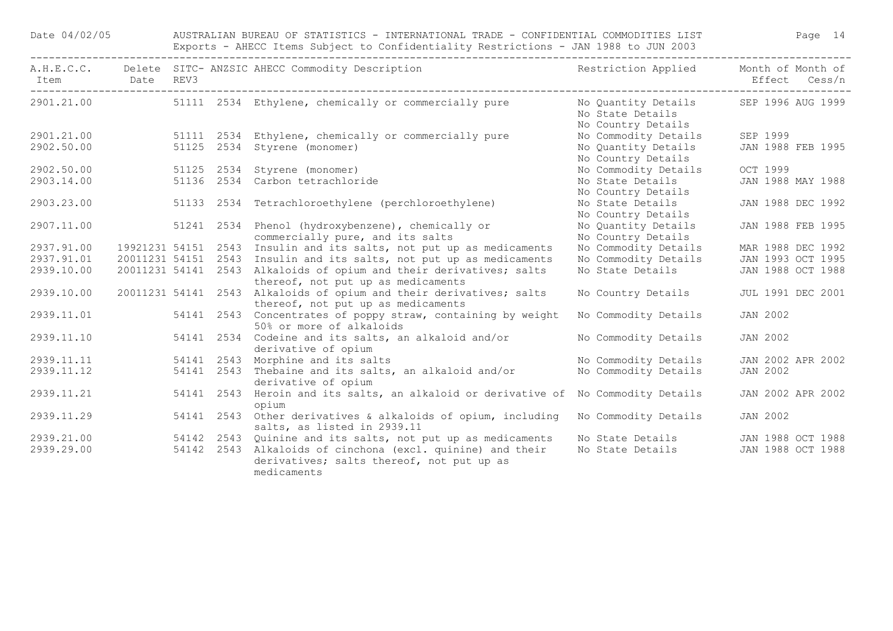| Date 04/02/05  |  |  | AUSTRALIAN BUREAU OF STATISTICS - INTERNATIONAL TRADE - CONFIDENTIAL COMMODITIES LIST<br>Exports - AHECC Items Subject to Confidentiality Restrictions - JAN 1988 to JUN 2003 | Page 14                                                                         |                                    |
|----------------|--|--|-------------------------------------------------------------------------------------------------------------------------------------------------------------------------------|---------------------------------------------------------------------------------|------------------------------------|
| Item Date REV3 |  |  | A.H.E.C.C. Delete SITC- ANZSIC AHECC Commodity Description The Sestriction Applied                                                                                            |                                                                                 | Month of Month of<br>Effect Cess/n |
| 2901.21.00     |  |  | 51111 2534 Ethylene, chemically or commercially pure                                                                                                                          | No Quantity Details SEP 1996 AUG 1999<br>No State Details<br>No Country Details |                                    |
| 2901.21.00     |  |  | 51111 2534 Ethylene, chemically or commercially pure                                                                                                                          | No Commodity Details                                                            | SEP 1999                           |
| 2902.50.00     |  |  | 51125 2534 Styrene (monomer)                                                                                                                                                  | No Quantity Details<br>No Country Details                                       | JAN 1988 FEB 1995                  |
| 2902.50.00     |  |  | 51125 2534 Styrene (monomer)                                                                                                                                                  | No Commodity Details                                                            | OCT 1999                           |
| 2903.14.00     |  |  | 51136 2534 Carbon tetrachloride                                                                                                                                               | No State Details<br>No Country Details                                          | JAN 1988 MAY 1988                  |
| 2903.23.00     |  |  | 51133 2534 Tetrachloroethylene (perchloroethylene)                                                                                                                            | No State Details<br>No Country Details                                          | JAN 1988 DEC 1992                  |
| 2907.11.00     |  |  | 51241 2534 Phenol (hydroxybenzene), chemically or<br>commercially pure, and its salts                                                                                         | No Quantity Details<br>No Country Details                                       | JAN 1988 FEB 1995                  |
| 2937.91.00     |  |  | 19921231 54151 2543 Insulin and its salts, not put up as medicaments                                                                                                          | No Commodity Details                                                            | MAR 1988 DEC 1992                  |
| 2937.91.01     |  |  | 20011231 54151 2543 Insulin and its salts, not put up as medicaments                                                                                                          | No Commodity Details                                                            | JAN 1993 OCT 1995                  |
| 2939.10.00     |  |  | 20011231 54141 2543 Alkaloids of opium and their derivatives; salts<br>thereof, not put up as medicaments                                                                     | No State Details                                                                | JAN 1988 OCT 1988                  |
| 2939.10.00     |  |  | 20011231 54141 2543 Alkaloids of opium and their derivatives; salts<br>thereof, not put up as medicaments                                                                     | No Country Details                                                              | JUL 1991 DEC 2001                  |
| 2939.11.01     |  |  | 54141 2543 Concentrates of poppy straw, containing by weight<br>50% or more of alkaloids                                                                                      | No Commodity Details                                                            | <b>JAN 2002</b>                    |
| 2939.11.10     |  |  | 54141 2534 Codeine and its salts, an alkaloid and/or<br>derivative of opium                                                                                                   | No Commodity Details                                                            | <b>JAN 2002</b>                    |
| 2939.11.11     |  |  | 54141 2543 Morphine and its salts                                                                                                                                             | No Commodity Details                                                            | JAN 2002 APR 2002                  |
| 2939.11.12     |  |  | 54141 2543 Thebaine and its salts, an alkaloid and/or<br>derivative of opium                                                                                                  | No Commodity Details                                                            | <b>JAN 2002</b>                    |
| 2939.11.21     |  |  | 54141 2543 Heroin and its salts, an alkaloid or derivative of No Commodity Details<br>opium                                                                                   |                                                                                 | JAN 2002 APR 2002                  |
| 2939.11.29     |  |  | 54141 2543 Other derivatives & alkaloids of opium, including<br>salts, as listed in 2939.11                                                                                   | No Commodity Details                                                            | <b>JAN 2002</b>                    |
| 2939.21.00     |  |  | 54142 2543 Quinine and its salts, not put up as medicaments                                                                                                                   | No State Details JAN 1988 OCT 1988                                              |                                    |
| 2939.29.00     |  |  | 54142 2543 Alkaloids of cinchona (excl. quinine) and their<br>derivatives; salts thereof, not put up as<br>medicaments                                                        | No State Details                                                                | JAN 1988 OCT 1988                  |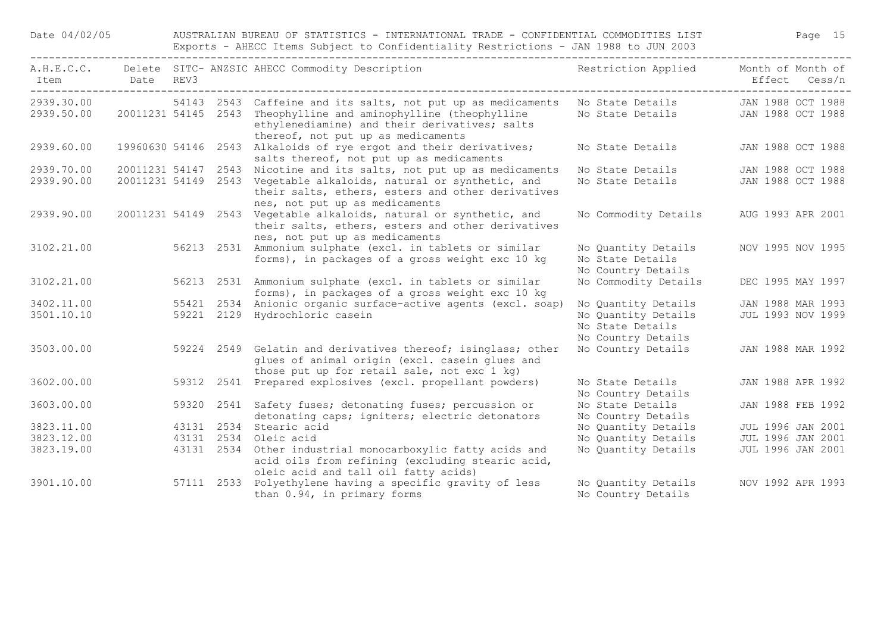Date 04/02/05 AUSTRALIAN BUREAU OF STATISTICS - INTERNATIONAL TRADE - CONFIDENTIAL COMMODITIES LIST Page 15 Exports - AHECC Items Subject to Confidentiality Restrictions - JAN 1988 to JUN 2003

| Item                     | Date                | REV3 |            | A.H.E.C.C. Delete SITC- ANZSIC AHECC Commodity Description                                                                                                                                          | Restriction Applied                                           | Month of Month of<br>Effect Cess/n     |
|--------------------------|---------------------|------|------------|-----------------------------------------------------------------------------------------------------------------------------------------------------------------------------------------------------|---------------------------------------------------------------|----------------------------------------|
|                          |                     |      |            |                                                                                                                                                                                                     |                                                               |                                        |
| 2939.30.00<br>2939.50.00 | 20011231 54145 2543 |      |            | 54143 2543 Caffeine and its salts, not put up as medicaments<br>Theophylline and aminophylline (theophylline<br>ethylenediamine) and their derivatives; salts<br>thereof, not put up as medicaments | No State Details<br>No State Details                          | JAN 1988 OCT 1988<br>JAN 1988 OCT 1988 |
| 2939.60.00               |                     |      |            | 19960630 54146 2543 Alkaloids of rye ergot and their derivatives;<br>salts thereof, not put up as medicaments                                                                                       | No State Details                                              | JAN 1988 OCT 1988                      |
| 2939.70.00               |                     |      |            | 20011231 54147 2543 Nicotine and its salts, not put up as medicaments                                                                                                                               | No State Details                                              | JAN 1988 OCT 1988                      |
| 2939.90.00               | 20011231 54149 2543 |      |            | Vegetable alkaloids, natural or synthetic, and<br>their salts, ethers, esters and other derivatives<br>nes, not put up as medicaments                                                               | No State Details                                              | JAN 1988 OCT 1988                      |
| 2939.90.00               |                     |      |            | 20011231 54149 2543 Vegetable alkaloids, natural or synthetic, and<br>their salts, ethers, esters and other derivatives<br>nes, not put up as medicaments                                           | No Commodity Details                                          | AUG 1993 APR 2001                      |
| 3102.21.00               |                     |      | 56213 2531 | Ammonium sulphate (excl. in tablets or similar<br>forms), in packages of a gross weight exc 10 kg                                                                                                   | No Quantity Details<br>No State Details<br>No Country Details | NOV 1995 NOV 1995                      |
| 3102.21.00               |                     |      |            | 56213 2531 Ammonium sulphate (excl. in tablets or similar<br>forms), in packages of a gross weight exc 10 kg                                                                                        | No Commodity Details                                          | DEC 1995 MAY 1997                      |
| 3402.11.00               |                     |      |            | 55421 2534 Anionic organic surface-active agents (excl. soap)                                                                                                                                       | No Quantity Details                                           | JAN 1988 MAR 1993                      |
| 3501.10.10               |                     |      |            | 59221 2129 Hydrochloric casein                                                                                                                                                                      | No Quantity Details<br>No State Details<br>No Country Details | JUL 1993 NOV 1999                      |
| 3503.00.00               |                     |      |            | 59224 2549 Gelatin and derivatives thereof; isinglass; other<br>glues of animal origin (excl. casein glues and<br>those put up for retail sale, not exc 1 kg)                                       | No Country Details                                            | JAN 1988 MAR 1992                      |
| 3602.00.00               |                     |      |            | 59312 2541 Prepared explosives (excl. propellant powders)                                                                                                                                           | No State Details<br>No Country Details                        | JAN 1988 APR 1992                      |
| 3603.00.00               |                     |      |            | 59320 2541 Safety fuses; detonating fuses; percussion or<br>detonating caps; igniters; electric detonators                                                                                          | No State Details<br>No Country Details                        | JAN 1988 FEB 1992                      |
| 3823.11.00               |                     |      |            | 43131 2534 Stearic acid                                                                                                                                                                             | No Quantity Details                                           | <b>JUL 1996 JAN 2001</b>               |
| 3823.12.00               |                     |      | 43131 2534 | Oleic acid                                                                                                                                                                                          | No Quantity Details                                           | <b>JUL 1996 JAN 2001</b>               |
| 3823.19.00               |                     |      | 43131 2534 | Other industrial monocarboxylic fatty acids and<br>acid oils from refining (excluding stearic acid,<br>oleic acid and tall oil fatty acids)                                                         | No Quantity Details                                           | <b>JUL 1996 JAN 2001</b>               |
| 3901.10.00               |                     |      |            | 57111 2533 Polyethylene having a specific gravity of less<br>than 0.94, in primary forms                                                                                                            | No Quantity Details<br>No Country Details                     | NOV 1992 APR 1993                      |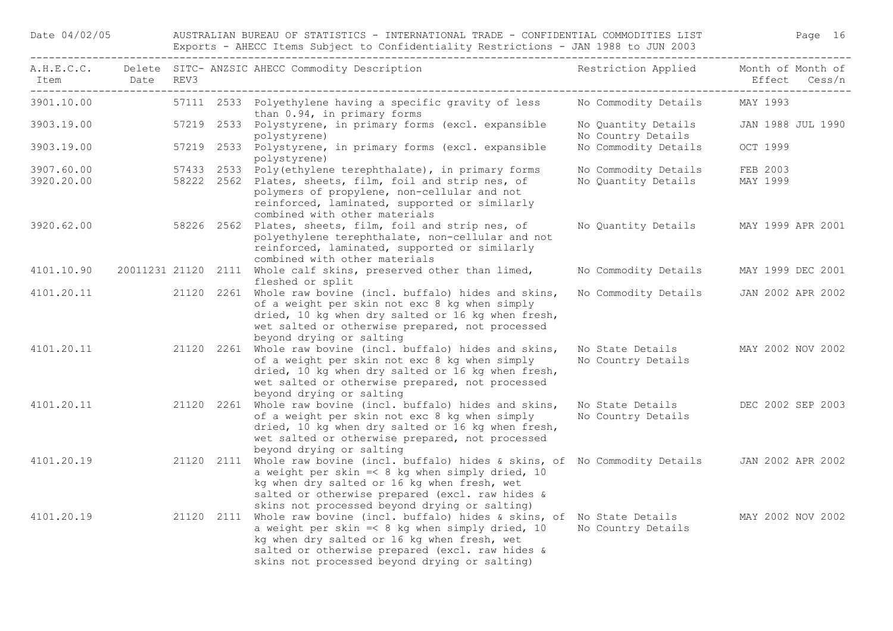Date 04/02/05 AUSTRALIAN BUREAU OF STATISTICS - INTERNATIONAL TRADE - CONFIDENTIAL COMMODITIES LIST Page 16 Exports - AHECC Items Subject to Confidentiality Restrictions - JAN 1988 to JUN 2003

| Item Date REV3 |            |  | A.H.E.C.C. Delete SITC-ANZSIC AHECC Commodity Description Nestriction Applied Month of Month of                                                                                                                                                                                                              |                                           | Effect Cess/n     |
|----------------|------------|--|--------------------------------------------------------------------------------------------------------------------------------------------------------------------------------------------------------------------------------------------------------------------------------------------------------------|-------------------------------------------|-------------------|
| 3901.10.00     |            |  | 57111 2533 Polyethylene having a specific gravity of less Mo Commodity Details<br>than 0.94, in primary forms                                                                                                                                                                                                |                                           | MAY 1993          |
| 3903.19.00     |            |  | 57219 2533 Polystyrene, in primary forms (excl. expansible<br>polystyrene)                                                                                                                                                                                                                                   | No Quantity Details<br>No Country Details | JAN 1988 JUL 1990 |
| 3903.19.00     |            |  | 57219 2533 Polystyrene, in primary forms (excl. expansible<br>polystyrene)                                                                                                                                                                                                                                   | No Commodity Details                      | OCT 1999          |
| 3907.60.00     |            |  | 57433 2533 Poly (ethylene terephthalate), in primary forms                                                                                                                                                                                                                                                   | No Commodity Details                      | FEB 2003          |
| 3920.20.00     |            |  | 58222 2562 Plates, sheets, film, foil and strip nes, of<br>polymers of propylene, non-cellular and not<br>reinforced, laminated, supported or similarly<br>combined with other materials                                                                                                                     | No Quantity Details MAY 1999              |                   |
| 3920.62.00     | 58226 2562 |  | Plates, sheets, film, foil and strip nes, of<br>polyethylene terephthalate, non-cellular and not<br>reinforced, laminated, supported or similarly<br>combined with other materials                                                                                                                           | No Quantity Details                       | MAY 1999 APR 2001 |
| 4101.10.90     |            |  | 20011231 21120 2111 Whole calf skins, preserved other than limed,<br>fleshed or split                                                                                                                                                                                                                        | No Commodity Details                      | MAY 1999 DEC 2001 |
|                |            |  | 4101.20.11 20120 2261 Whole raw bovine (incl. buffalo) hides and skins,<br>of a weight per skin not exc 8 kg when simply<br>dried, 10 kg when dry salted or 16 kg when fresh,<br>wet salted or otherwise prepared, not processed<br>beyond drying or salting                                                 | No Commodity Details                      | JAN 2002 APR 2002 |
| 4101.20.11     |            |  | 21120 2261 Whole raw bovine (incl. buffalo) hides and skins,<br>of a weight per skin not exc 8 kg when simply<br>dried, 10 kg when dry salted or 16 kg when fresh,<br>wet salted or otherwise prepared, not processed<br>beyond drying or salting                                                            | No State Details<br>No Country Details    | MAY 2002 NOV 2002 |
| 4101.20.11     |            |  | 21120 2261 Whole raw bovine (incl. buffalo) hides and skins,<br>of a weight per skin not exc 8 kg when simply<br>dried, 10 kg when dry salted or 16 kg when fresh,<br>wet salted or otherwise prepared, not processed<br>beyond drying or salting                                                            | No State Details<br>No Country Details    | DEC 2002 SEP 2003 |
| 4101.20.19     |            |  | 21120 2111 Whole raw bovine (incl. buffalo) hides & skins, of No Commodity Details JAN 2002 APR 2002<br>a weight per skin $=<$ 8 kg when simply dried, 10<br>kg when dry salted or 16 kg when fresh, wet<br>salted or otherwise prepared (excl. raw hides &<br>skins not processed beyond drying or salting) |                                           |                   |
| 4101.20.19     |            |  | 21120 2111 Whole raw bovine (incl. buffalo) hides & skins, of No State Details<br>a weight per skin =< 8 kg when simply dried, 10<br>kg when dry salted or 16 kg when fresh, wet<br>salted or otherwise prepared (excl. raw hides &<br>skins not processed beyond drying or salting)                         | No Country Details                        | MAY 2002 NOV 2002 |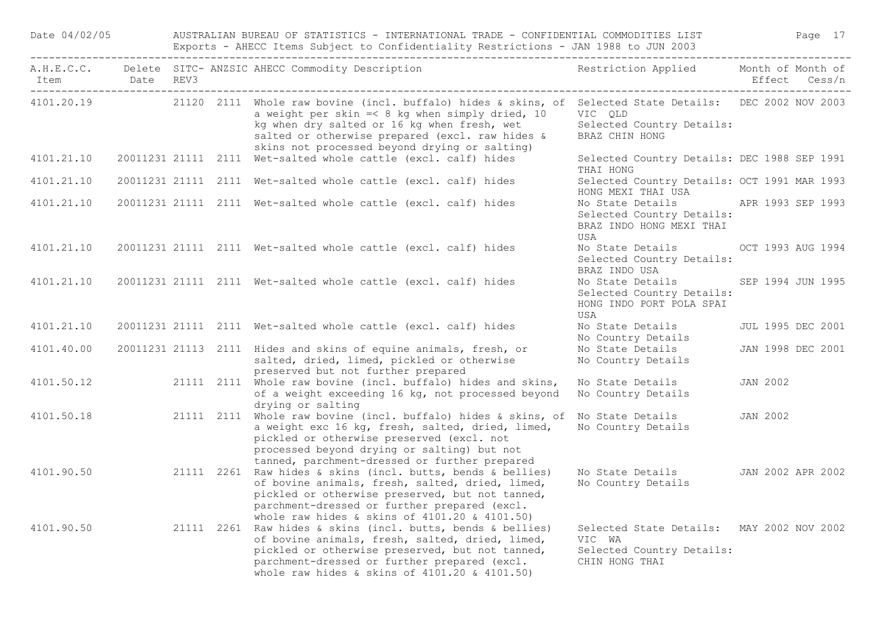| Date 04/02/05  |  |  | AUSTRALIAN BUREAU OF STATISTICS - INTERNATIONAL TRADE - CONFIDENTIAL COMMODITIES LIST                                                                                                                                                                                                                                      |                                                                                                    | Page 17           |  |
|----------------|--|--|----------------------------------------------------------------------------------------------------------------------------------------------------------------------------------------------------------------------------------------------------------------------------------------------------------------------------|----------------------------------------------------------------------------------------------------|-------------------|--|
| Item Date REV3 |  |  | A.H.E.C.C. Delete SITC- ANZSIC AHECC Commodity Description                                                                                                                                                                                                                                                                 | Restriction Applied Month of Month of                                                              | Effect Cess/n     |  |
|                |  |  | 4101.20.19 21120 2111 Whole raw bovine (incl. buffalo) hides & skins, of Selected State Details: DEC 2002 NOV 2003<br>a weight per skin $=<$ 8 kg when simply dried, 10<br>kg when dry salted or 16 kg when fresh, wet<br>salted or otherwise prepared (excl. raw hides &<br>skins not processed beyond drying or salting) | VIC QLD<br>Selected Country Details:<br>BRAZ CHIN HONG                                             |                   |  |
| 4101.21.10     |  |  | 20011231 21111 2111 Wet-salted whole cattle (excl. calf) hides                                                                                                                                                                                                                                                             | Selected Country Details: DEC 1988 SEP 1991<br>THAI HONG                                           |                   |  |
| 4101.21.10     |  |  | 20011231 21111 2111 Wet-salted whole cattle (excl. calf) hides                                                                                                                                                                                                                                                             | Selected Country Details: OCT 1991 MAR 1993<br>HONG MEXI THAI USA                                  |                   |  |
| 4101.21.10     |  |  | 20011231 21111 2111 Wet-salted whole cattle (excl. calf) hides                                                                                                                                                                                                                                                             | No State Details APR 1993 SEP 1993<br>Selected Country Details:<br>BRAZ INDO HONG MEXI THAI<br>USA |                   |  |
| 4101.21.10     |  |  | 20011231 21111 2111 Wet-salted whole cattle (excl. calf) hides                                                                                                                                                                                                                                                             | No State Details<br>Selected Country Details:<br>BRAZ INDO USA                                     | OCT 1993 AUG 1994 |  |
| 4101.21.10     |  |  | 20011231 21111 2111 Wet-salted whole cattle (excl. calf) hides                                                                                                                                                                                                                                                             | No State Details<br>Selected Country Details:<br>HONG INDO PORT POLA SPAI<br>USA                   | SEP 1994 JUN 1995 |  |
| 4101.21.10     |  |  | 20011231 21111 2111 Wet-salted whole cattle (excl. calf) hides                                                                                                                                                                                                                                                             | No State Details<br>No Country Details                                                             | JUL 1995 DEC 2001 |  |
| 4101.40.00     |  |  | 20011231 21113 2111 Hides and skins of equine animals, fresh, or<br>salted, dried, limed, pickled or otherwise<br>preserved but not further prepared                                                                                                                                                                       | No State Details<br>No Country Details                                                             | JAN 1998 DEC 2001 |  |
| 4101.50.12     |  |  | 21111 2111 Whole raw bovine (incl. buffalo) hides and skins,<br>of a weight exceeding 16 kg, not processed beyond<br>drying or salting                                                                                                                                                                                     | No State Details<br>No Country Details                                                             | JAN 2002          |  |
| 4101.50.18     |  |  | 21111 2111 Whole raw bovine (incl. buffalo) hides & skins, of<br>a weight exc 16 kg, fresh, salted, dried, limed,<br>pickled or otherwise preserved (excl. not<br>processed beyond drying or salting) but not<br>tanned, parchment-dressed or further prepared                                                             | No State Details<br>No Country Details                                                             | JAN 2002          |  |
| 4101.90.50     |  |  | 21111 2261 Raw hides & skins (incl. butts, bends & bellies)<br>of bovine animals, fresh, salted, dried, limed,<br>pickled or otherwise preserved, but not tanned,<br>parchment-dressed or further prepared (excl.<br>whole raw hides & skins of 4101.20 & 4101.50)                                                         | No State Details<br>No Country Details                                                             | JAN 2002 APR 2002 |  |
|                |  |  | 4101.90.50 21111 2261 Raw hides & skins (incl. butts, bends & bellies)<br>of bovine animals, fresh, salted, dried, limed,<br>pickled or otherwise preserved, but not tanned,<br>parchment-dressed or further prepared (excl.<br>whole raw hides & skins of 4101.20 & 4101.50)                                              | Selected State Details: MAY 2002 NOV 2002<br>VIC WA<br>Selected Country Details:<br>CHIN HONG THAI |                   |  |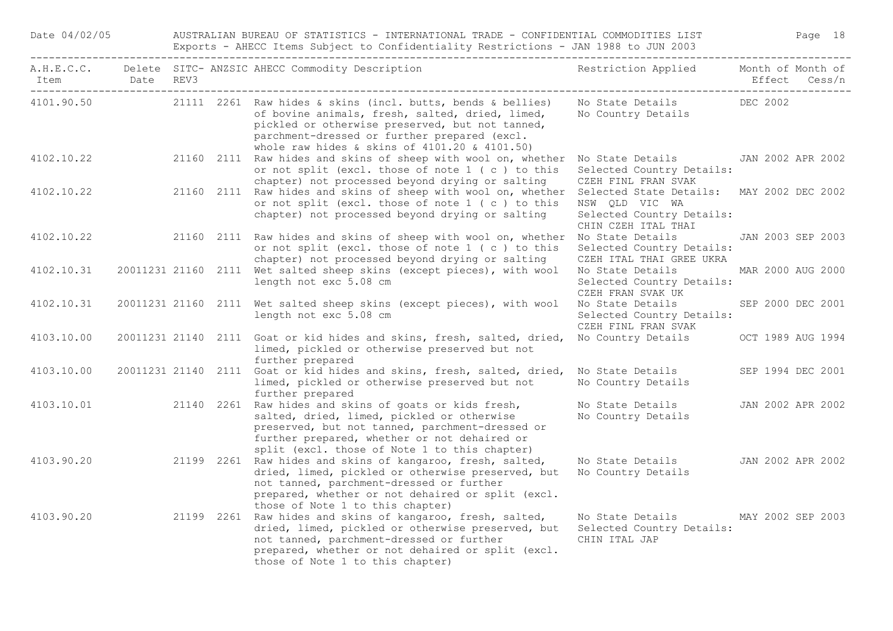| Date 04/02/05              |  | AUSTRALIAN BUREAU OF STATISTICS - INTERNATIONAL TRADE - CONFIDENTIAL COMMODITIES LIST<br>Exports - AHECC Items Subject to Confidentiality Restrictions - JAN 1988 to JUN 2003 |                                                                                                                                                                                                                                                                     |                                                                                                                 |                   |  | Page 18 |
|----------------------------|--|-------------------------------------------------------------------------------------------------------------------------------------------------------------------------------|---------------------------------------------------------------------------------------------------------------------------------------------------------------------------------------------------------------------------------------------------------------------|-----------------------------------------------------------------------------------------------------------------|-------------------|--|---------|
| Item Date REV3<br>-------- |  |                                                                                                                                                                               | A.H.E.C.C. Delete SITC- ANZSIC AHECC Commodity Description                                                                                                                                                                                                          | Restriction Applied Month of Month of                                                                           | Effect Cess/n     |  |         |
| 4101.90.50                 |  |                                                                                                                                                                               | 21111 2261 Raw hides & skins (incl. butts, bends & bellies)<br>of bovine animals, fresh, salted, dried, limed,<br>pickled or otherwise preserved, but not tanned,<br>parchment-dressed or further prepared (excl.<br>whole raw hides & skins of 4101.20 & 4101.50)  | No State Details DEC 2002<br>No Country Details                                                                 |                   |  |         |
| 4102.10.22                 |  |                                                                                                                                                                               | 21160 2111 Raw hides and skins of sheep with wool on, whether<br>or not split (excl. those of note 1 (c) to this<br>chapter) not processed beyond drying or salting                                                                                                 | No State Details<br>Selected Country Details:<br>CZEH FINL FRAN SVAK                                            | JAN 2002 APR 2002 |  |         |
| 4102.10.22                 |  |                                                                                                                                                                               | 21160 2111 Raw hides and skins of sheep with wool on, whether<br>or not split (excl. those of note 1 (c) to this<br>chapter) not processed beyond drying or salting                                                                                                 | Selected State Details: MAY 2002 DEC 2002<br>NSW QLD VIC WA<br>Selected Country Details:<br>CHIN CZEH ITAL THAI |                   |  |         |
| 4102.10.22                 |  |                                                                                                                                                                               | 21160 2111 Raw hides and skins of sheep with wool on, whether<br>or not split (excl. those of note 1 (c) to this<br>chapter) not processed beyond drying or salting                                                                                                 | No State Details<br>Selected Country Details:<br>CZEH ITAL THAI GREE UKRA                                       | JAN 2003 SEP 2003 |  |         |
| 4102.10.31                 |  |                                                                                                                                                                               | 20011231 21160 2111 Wet salted sheep skins (except pieces), with wool<br>length not exc 5.08 cm                                                                                                                                                                     | No State Details<br>Selected Country Details:<br>CZEH FRAN SVAK UK                                              | MAR 2000 AUG 2000 |  |         |
| 4102.10.31                 |  |                                                                                                                                                                               | 20011231 21160 2111 Wet salted sheep skins (except pieces), with wool<br>length not exc 5.08 cm                                                                                                                                                                     | No State Details<br>Selected Country Details:<br>CZEH FINL FRAN SVAK                                            | SEP 2000 DEC 2001 |  |         |
| 4103.10.00                 |  |                                                                                                                                                                               | 20011231 21140 2111 Goat or kid hides and skins, fresh, salted, dried,<br>limed, pickled or otherwise preserved but not<br>further prepared                                                                                                                         | No Country Details OCT 1989 AUG 1994                                                                            |                   |  |         |
| 4103.10.00                 |  |                                                                                                                                                                               | 20011231 21140 2111 Goat or kid hides and skins, fresh, salted, dried,<br>limed, pickled or otherwise preserved but not<br>further prepared                                                                                                                         | No State Details<br>No Country Details                                                                          | SEP 1994 DEC 2001 |  |         |
|                            |  |                                                                                                                                                                               | 4103.10.01 21140 2261 Raw hides and skins of goats or kids fresh,<br>salted, dried, limed, pickled or otherwise<br>preserved, but not tanned, parchment-dressed or<br>further prepared, whether or not dehaired or<br>split (excl. those of Note 1 to this chapter) | No State Details<br>No Country Details                                                                          | JAN 2002 APR 2002 |  |         |
|                            |  |                                                                                                                                                                               | 4103.90.20 21199 2261 Raw hides and skins of kangaroo, fresh, salted,<br>dried, limed, pickled or otherwise preserved, but<br>not tanned, parchment-dressed or further<br>prepared, whether or not dehaired or split (excl.<br>those of Note 1 to this chapter)     | No State Details<br>No Country Details                                                                          | JAN 2002 APR 2002 |  |         |
|                            |  |                                                                                                                                                                               | 4103.90.20 21199 2261 Raw hides and skins of kangaroo, fresh, salted,<br>dried, limed, pickled or otherwise preserved, but<br>not tanned, parchment-dressed or further<br>prepared, whether or not dehaired or split (excl.<br>those of Note 1 to this chapter)     | No State Details MAY 2002 SEP 2003<br>Selected Country Details:<br>CHIN ITAL JAP                                |                   |  |         |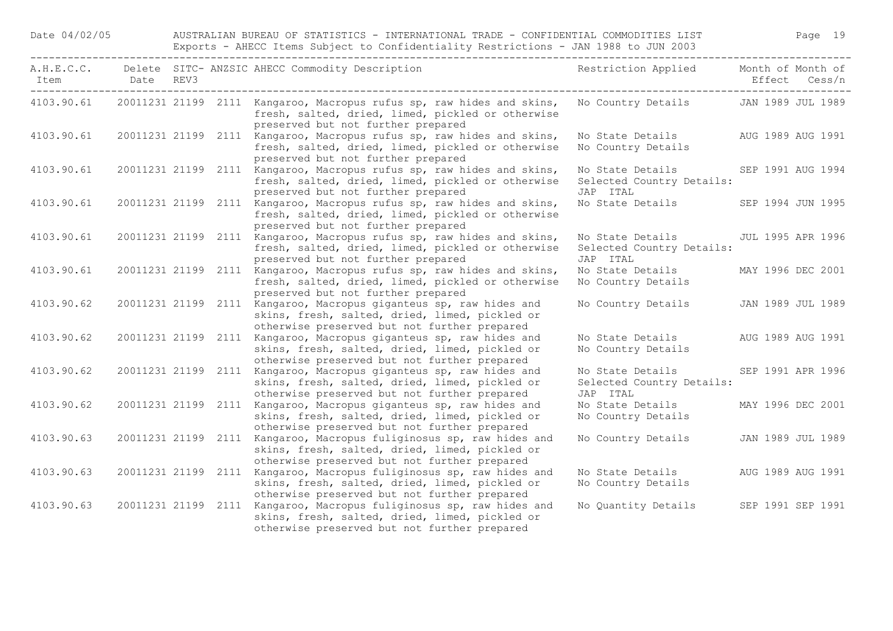| Item       | Date REV3           |  | A.H.E.C.C. Delete SITC- ANZSIC AHECC Commodity Description                                                                                                             | Restriction Applied Month of Month of                     | Effect Cess/n     |
|------------|---------------------|--|------------------------------------------------------------------------------------------------------------------------------------------------------------------------|-----------------------------------------------------------|-------------------|
| 4103.90.61 |                     |  | 20011231 21199 2111 Kangaroo, Macropus rufus sp, raw hides and skins,<br>fresh, salted, dried, limed, pickled or otherwise<br>preserved but not further prepared       | No Country Details JAN 1989 JUL 1989                      |                   |
| 4103.90.61 |                     |  | 20011231 21199 2111 Kangaroo, Macropus rufus sp, raw hides and skins,<br>fresh, salted, dried, limed, pickled or otherwise<br>preserved but not further prepared       | No State Details<br>No Country Details                    | AUG 1989 AUG 1991 |
| 4103.90.61 |                     |  | 20011231 21199 2111 Kangaroo, Macropus rufus sp, raw hides and skins,<br>fresh, salted, dried, limed, pickled or otherwise<br>preserved but not further prepared       | No State Details<br>Selected Country Details:<br>JAP ITAL | SEP 1991 AUG 1994 |
| 4103.90.61 | 20011231 21199 2111 |  | Kangaroo, Macropus rufus sp, raw hides and skins,<br>fresh, salted, dried, limed, pickled or otherwise<br>preserved but not further prepared                           | No State Details SEP 1994 JUN 1995                        |                   |
| 4103.90.61 |                     |  | 20011231 21199 2111 Kangaroo, Macropus rufus sp, raw hides and skins,<br>fresh, salted, dried, limed, pickled or otherwise<br>preserved but not further prepared       | No State Details<br>Selected Country Details:<br>JAP ITAL | JUL 1995 APR 1996 |
| 4103.90.61 |                     |  | 20011231 21199 2111 Kangaroo, Macropus rufus sp, raw hides and skins,<br>fresh, salted, dried, limed, pickled or otherwise<br>preserved but not further prepared       | No State Details<br>No Country Details                    | MAY 1996 DEC 2001 |
| 4103.90.62 |                     |  | 20011231 21199 2111 Kangaroo, Macropus giganteus sp, raw hides and<br>skins, fresh, salted, dried, limed, pickled or<br>otherwise preserved but not further prepared   | No Country Details JAN 1989 JUL 1989                      |                   |
| 4103.90.62 | 20011231 21199 2111 |  | Kangaroo, Macropus giganteus sp, raw hides and<br>skins, fresh, salted, dried, limed, pickled or<br>otherwise preserved but not further prepared                       | No State Details<br>No Country Details                    | AUG 1989 AUG 1991 |
| 4103.90.62 | 20011231 21199 2111 |  | Kangaroo, Macropus giganteus sp, raw hides and<br>skins, fresh, salted, dried, limed, pickled or<br>otherwise preserved but not further prepared                       | No State Details<br>Selected Country Details:<br>JAP ITAL | SEP 1991 APR 1996 |
| 4103.90.62 | 20011231 21199 2111 |  | Kangaroo, Macropus giganteus sp, raw hides and<br>skins, fresh, salted, dried, limed, pickled or<br>otherwise preserved but not further prepared                       | No State Details<br>No Country Details                    | MAY 1996 DEC 2001 |
| 4103.90.63 | 20011231 21199 2111 |  | Kangaroo, Macropus fuliginosus sp, raw hides and<br>skins, fresh, salted, dried, limed, pickled or<br>otherwise preserved but not further prepared                     | No Country Details JAN 1989 JUL 1989                      |                   |
| 4103.90.63 |                     |  | 20011231 21199 2111 Kangaroo, Macropus fuliginosus sp, raw hides and<br>skins, fresh, salted, dried, limed, pickled or<br>otherwise preserved but not further prepared | No State Details<br>No Country Details                    | AUG 1989 AUG 1991 |
| 4103.90.63 | 20011231 21199 2111 |  | Kangaroo, Macropus fuliginosus sp, raw hides and<br>skins, fresh, salted, dried, limed, pickled or<br>otherwise preserved but not further prepared                     | No Quantity Details SEP 1991 SEP 1991                     |                   |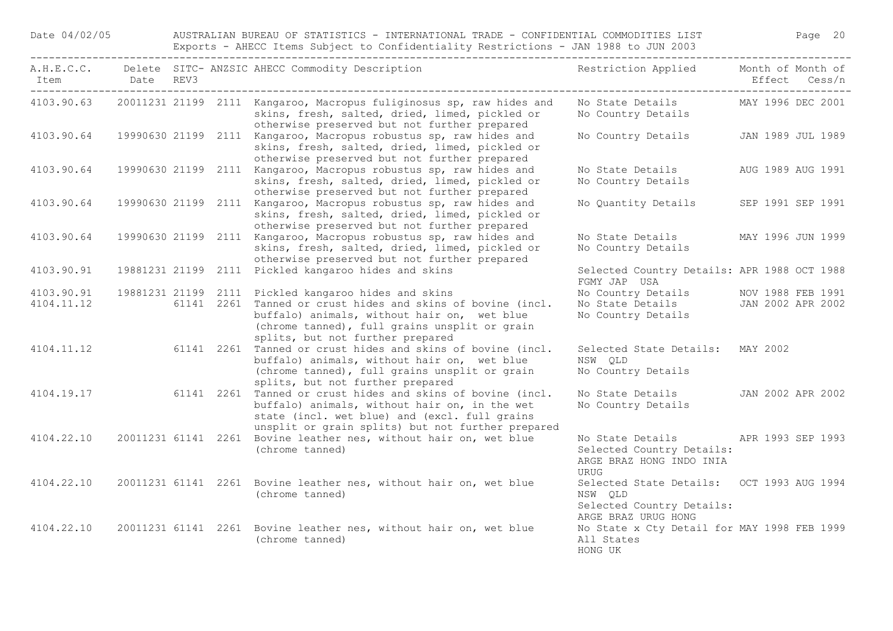Date 04/02/05 AUSTRALIAN BUREAU OF STATISTICS - INTERNATIONAL TRADE - CONFIDENTIAL COMMODITIES LIST Page 20 Exports - AHECC Items Subject to Confidentiality Restrictions - JAN 1988 to JUN 2003

| Item                     | Date REV3 | A.H.E.C.C. Delete SITC-ANZSIC AHECC Commodity Description Theory Restriction Applied                                                                                                                                |                                                                                                               | Month of Month of<br>Effect Cess/n |
|--------------------------|-----------|---------------------------------------------------------------------------------------------------------------------------------------------------------------------------------------------------------------------|---------------------------------------------------------------------------------------------------------------|------------------------------------|
| 4103.90.63               |           | 20011231 21199 2111 Kangaroo, Macropus fuliginosus sp, raw hides and<br>skins, fresh, salted, dried, limed, pickled or<br>otherwise preserved but not further prepared                                              | No State Details MAY 1996 DEC 2001<br>No Country Details                                                      |                                    |
| 4103.90.64               |           | 19990630 21199 2111 Kangaroo, Macropus robustus sp, raw hides and<br>skins, fresh, salted, dried, limed, pickled or<br>otherwise preserved but not further prepared                                                 | No Country Details JAN 1989 JUL 1989                                                                          |                                    |
| 4103.90.64               |           | 19990630 21199 2111 Kangaroo, Macropus robustus sp, raw hides and<br>skins, fresh, salted, dried, limed, pickled or<br>otherwise preserved but not further prepared                                                 | No State Details<br>No Country Details                                                                        | AUG 1989 AUG 1991                  |
| 4103.90.64               |           | 19990630 21199 2111 Kangaroo, Macropus robustus sp, raw hides and<br>skins, fresh, salted, dried, limed, pickled or<br>otherwise preserved but not further prepared                                                 | No Quantity Details SEP 1991 SEP 1991                                                                         |                                    |
| 4103.90.64               |           | 19990630 21199 2111 Kangaroo, Macropus robustus sp, raw hides and<br>skins, fresh, salted, dried, limed, pickled or<br>otherwise preserved but not further prepared                                                 | No State Details MAY 1996 JUN 1999<br>No Country Details                                                      |                                    |
| 4103.90.91               |           | 19881231 21199 2111 Pickled kangaroo hides and skins                                                                                                                                                                | Selected Country Details: APR 1988 OCT 1988<br>FGMY JAP USA                                                   |                                    |
| 4103.90.91<br>4104.11.12 |           | 19881231 21199 2111 Pickled kangaroo hides and skins<br>61141 2261 Tanned or crust hides and skins of bovine (incl.<br>buffalo) animals, without hair on, wet blue<br>(chrome tanned), full grains unsplit or grain | No Country Details MOV 1988 FEB 1991<br>No State Details JAN 2002 APR 2002<br>No Country Details              |                                    |
| 4104.11.12               |           | splits, but not further prepared<br>61141 2261 Tanned or crust hides and skins of bovine (incl.<br>buffalo) animals, without hair on, wet blue<br>(chrome tanned), full grains unsplit or grain                     | Selected State Details: MAY 2002<br>NSW QLD<br>No Country Details                                             |                                    |
| 4104.19.17               |           | splits, but not further prepared<br>61141 2261 Tanned or crust hides and skins of bovine (incl.<br>buffalo) animals, without hair on, in the wet<br>state (incl. wet blue) and (excl. full grains                   | No State Details JAN 2002 APR 2002<br>No Country Details                                                      |                                    |
| 4104.22.10               |           | unsplit or grain splits) but not further prepared<br>20011231 61141 2261 Bovine leather nes, without hair on, wet blue<br>(chrome tanned)                                                                           | No State Details 6. APR 1993 SEP 1993<br>Selected Country Details:<br>ARGE BRAZ HONG INDO INIA<br><b>URUG</b> |                                    |
| 4104.22.10               |           | 20011231 61141 2261 Bovine leather nes, without hair on, wet blue<br>(chrome tanned)                                                                                                                                | Selected State Details: OCT 1993 AUG 1994<br>NSW QLD<br>Selected Country Details:                             |                                    |
| 4104.22.10               |           | 20011231 61141 2261 Bovine leather nes, without hair on, wet blue<br>(chrome tanned)                                                                                                                                | ARGE BRAZ URUG HONG<br>No State x Cty Detail for MAY 1998 FEB 1999<br>All States<br>HONG UK                   |                                    |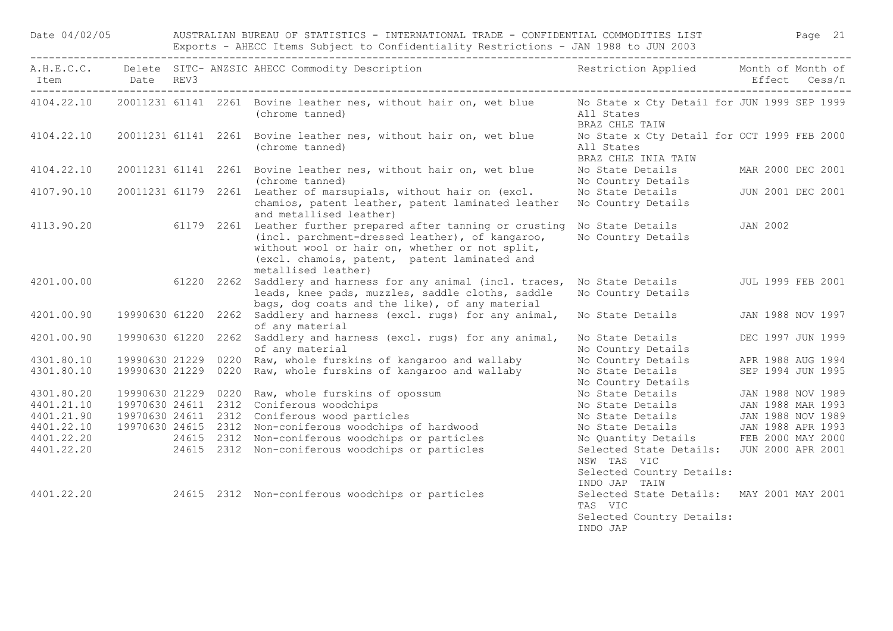|            |                     | Exports - AHECC Items Subject to Confidentiality Restrictions - JAN 1988 to JUN 2003 |  |                                                                                                                                                                                                                                           |                                                                                               |                          |               |  |  |
|------------|---------------------|--------------------------------------------------------------------------------------|--|-------------------------------------------------------------------------------------------------------------------------------------------------------------------------------------------------------------------------------------------|-----------------------------------------------------------------------------------------------|--------------------------|---------------|--|--|
| Item       | Date REV3           |                                                                                      |  | A.H.E.C.C. Delete SITC-ANZSIC AHECC Commodity Description The Sestriction Applied Month of Month of                                                                                                                                       |                                                                                               |                          | Effect Cess/n |  |  |
| 4104.22.10 |                     |                                                                                      |  | 20011231 61141 2261 Bovine leather nes, without hair on, wet blue<br>(chrome tanned)                                                                                                                                                      | No State x Cty Detail for JUN 1999 SEP 1999<br>All States<br>BRAZ CHLE TAIW                   |                          |               |  |  |
| 4104.22.10 |                     |                                                                                      |  | 20011231 61141 2261 Bovine leather nes, without hair on, wet blue<br>(chrome tanned)                                                                                                                                                      | No State x Cty Detail for OCT 1999 FEB 2000<br>All States<br>BRAZ CHLE INIA TAIW              |                          |               |  |  |
| 4104.22.10 |                     |                                                                                      |  | 20011231 61141 2261 Bovine leather nes, without hair on, wet blue<br>(chrome tanned)                                                                                                                                                      | No State Details<br>No Country Details                                                        | MAR 2000 DEC 2001        |               |  |  |
| 4107.90.10 |                     |                                                                                      |  | 20011231 61179 2261 Leather of marsupials, without hair on (excl.<br>chamios, patent leather, patent laminated leather<br>and metallised leather)                                                                                         | No State Details<br>No Country Details                                                        | JUN 2001 DEC 2001        |               |  |  |
| 4113.90.20 |                     |                                                                                      |  | 61179 2261 Leather further prepared after tanning or crusting<br>(incl. parchment-dressed leather), of kangaroo,<br>without wool or hair on, whether or not split,<br>(excl. chamois, patent, patent laminated and<br>metallised leather) | No State Details<br>No Country Details                                                        | <b>JAN 2002</b>          |               |  |  |
| 4201.00.00 |                     |                                                                                      |  | 61220 2262 Saddlery and harness for any animal (incl. traces,<br>leads, knee pads, muzzles, saddle cloths, saddle<br>bags, dog coats and the like), of any material                                                                       | No State Details<br>No Country Details                                                        | <b>JUL 1999 FEB 2001</b> |               |  |  |
| 4201.00.90 |                     |                                                                                      |  | 19990630 61220 2262 Saddlery and harness (excl. rugs) for any animal,<br>of any material                                                                                                                                                  | No State Details                                                                              | JAN 1988 NOV 1997        |               |  |  |
| 4201.00.90 | 19990630 61220 2262 |                                                                                      |  | Saddlery and harness (excl. rugs) for any animal,<br>of any material                                                                                                                                                                      | No State Details<br>No Country Details                                                        | DEC 1997 JUN 1999        |               |  |  |
| 4301.80.10 | 19990630 21229 0220 |                                                                                      |  | Raw, whole furskins of kangaroo and wallaby                                                                                                                                                                                               | No Country Details                                                                            | APR 1988 AUG 1994        |               |  |  |
| 4301.80.10 | 19990630 21229 0220 |                                                                                      |  | Raw, whole furskins of kangaroo and wallaby                                                                                                                                                                                               | No State Details<br>No Country Details                                                        | SEP 1994 JUN 1995        |               |  |  |
| 4301.80.20 |                     |                                                                                      |  | 19990630 21229 0220 Raw, whole furskins of opossum                                                                                                                                                                                        | No State Details                                                                              | JAN 1988 NOV 1989        |               |  |  |
| 4401.21.10 |                     |                                                                                      |  | 19970630 24611 2312 Coniferous woodchips                                                                                                                                                                                                  | No State Details                                                                              | JAN 1988 MAR 1993        |               |  |  |
| 4401.21.90 |                     |                                                                                      |  | 19970630 24611 2312 Coniferous wood particles                                                                                                                                                                                             | No State Details                                                                              | JAN 1988 NOV 1989        |               |  |  |
| 4401.22.10 |                     |                                                                                      |  | 19970630 24615 2312 Non-coniferous woodchips of hardwood                                                                                                                                                                                  | No State Details                                                                              | JAN 1988 APR 1993        |               |  |  |
| 4401.22.20 |                     |                                                                                      |  | 24615 2312 Non-coniferous woodchips or particles                                                                                                                                                                                          | No Quantity Details                                                                           | FEB 2000 MAY 2000        |               |  |  |
| 4401.22.20 |                     |                                                                                      |  | 24615 2312 Non-coniferous woodchips or particles                                                                                                                                                                                          | Selected State Details:<br>NSW TAS VIC<br>Selected Country Details:<br>INDO JAP TAIW          | JUN 2000 APR 2001        |               |  |  |
| 4401.22.20 |                     |                                                                                      |  | 24615 2312 Non-coniferous woodchips or particles                                                                                                                                                                                          | Selected State Details: MAY 2001 MAY 2001<br>TAS VIC<br>Selected Country Details:<br>INDO JAP |                          |               |  |  |

Date 04/02/05 AUSTRALIAN BUREAU OF STATISTICS - INTERNATIONAL TRADE - CONFIDENTIAL COMMODITIES LIST Page 21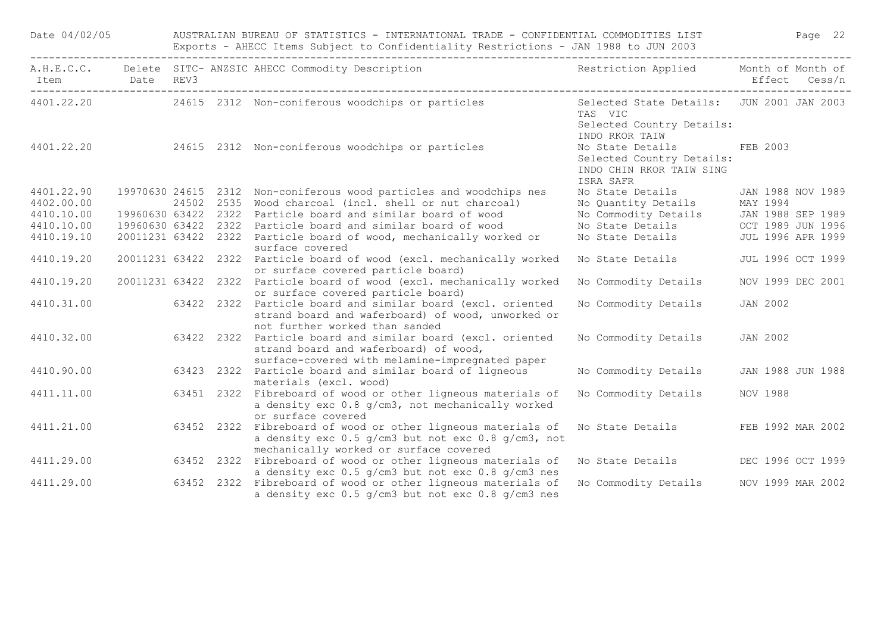| Date 04/02/05 |                     | AUSTRALIAN BUREAU OF STATISTICS - INTERNATIONAL TRADE - CONFIDENTIAL COMMODITIES LIST Page 22<br>Exports - AHECC Items Subject to Confidentiality Restrictions - JAN 1988 to JUN 2003 |                                                                                                                                                              |                                                                                                     |                   |                   |  |  |  |
|---------------|---------------------|---------------------------------------------------------------------------------------------------------------------------------------------------------------------------------------|--------------------------------------------------------------------------------------------------------------------------------------------------------------|-----------------------------------------------------------------------------------------------------|-------------------|-------------------|--|--|--|
|               |                     |                                                                                                                                                                                       | A.H.E.C.C. Delete SITC-ANZSIC AHECC Commodity Description Nestriction Applied Month of Month of                                                              |                                                                                                     |                   |                   |  |  |  |
|               |                     |                                                                                                                                                                                       | 4401.22.20 24615 2312 Non-coniferous woodchips or particles                                                                                                  | Selected State Details: JUN 2001 JAN 2003<br>TAS VIC<br>Selected Country Details:<br>INDO RKOR TAIW |                   |                   |  |  |  |
|               |                     |                                                                                                                                                                                       | 4401.22.20 24615 2312 Non-coniferous woodchips or particles                                                                                                  | No State Details FEB 2003<br>Selected Country Details:<br>INDO CHIN RKOR TAIW SING<br>ISRA SAFR     |                   |                   |  |  |  |
| 4401.22.90    |                     |                                                                                                                                                                                       | 19970630 24615 2312 Non-coniferous wood particles and woodchips nes                                                                                          | No State Details                                                                                    | JAN 1988 NOV 1989 |                   |  |  |  |
| 4402.00.00    |                     | 24502 2535                                                                                                                                                                            | Wood charcoal (incl. shell or nut charcoal)                                                                                                                  | No Quantity Details                                                                                 | MAY 1994          |                   |  |  |  |
| 4410.10.00    | 19960630 63422 2322 |                                                                                                                                                                                       | Particle board and similar board of wood                                                                                                                     | No Commodity Details<br>No State Details                                                            | JAN 1988 SEP 1989 |                   |  |  |  |
| 4410.10.00    | 19960630 63422 2322 |                                                                                                                                                                                       | Particle board and similar board of wood                                                                                                                     |                                                                                                     | OCT 1989 JUN 1996 |                   |  |  |  |
| 4410.19.10    |                     |                                                                                                                                                                                       | 20011231 63422 2322 Particle board of wood, mechanically worked or<br>surface covered                                                                        | No State Details                                                                                    |                   | JUL 1996 APR 1999 |  |  |  |
| 4410.19.20    |                     |                                                                                                                                                                                       | 20011231 63422 2322 Particle board of wood (excl. mechanically worked<br>or surface covered particle board)                                                  | No State Details                                                                                    |                   | JUL 1996 OCT 1999 |  |  |  |
| 4410.19.20    |                     |                                                                                                                                                                                       | 20011231 63422 2322 Particle board of wood (excl. mechanically worked<br>or surface covered particle board)                                                  | No Commodity Details                                                                                |                   | NOV 1999 DEC 2001 |  |  |  |
| 4410.31.00    |                     |                                                                                                                                                                                       | 63422 2322 Particle board and similar board (excl. oriented<br>strand board and waferboard) of wood, unworked or<br>not further worked than sanded           | No Commodity Details                                                                                | <b>JAN 2002</b>   |                   |  |  |  |
| 4410.32.00    |                     | 63422 2322                                                                                                                                                                            | Particle board and similar board (excl. oriented<br>strand board and waferboard) of wood,<br>surface-covered with melamine-impregnated paper                 | No Commodity Details                                                                                | <b>JAN 2002</b>   |                   |  |  |  |
| 4410.90.00    |                     |                                                                                                                                                                                       | 63423 2322 Particle board and similar board of ligneous<br>materials (excl. wood)                                                                            | No Commodity Details                                                                                |                   | JAN 1988 JUN 1988 |  |  |  |
| 4411.11.00    |                     | 63451 2322                                                                                                                                                                            | Fibreboard of wood or other ligneous materials of<br>a density exc 0.8 g/cm3, not mechanically worked<br>or surface covered                                  | No Commodity Details                                                                                | NOV 1988          |                   |  |  |  |
| 4411.21.00    |                     |                                                                                                                                                                                       | 63452 2322 Fibreboard of wood or other ligneous materials of<br>a density exc 0.5 g/cm3 but not exc 0.8 g/cm3, not<br>mechanically worked or surface covered | No State Details                                                                                    | FEB 1992 MAR 2002 |                   |  |  |  |
| 4411.29.00    |                     |                                                                                                                                                                                       | 63452 2322 Fibreboard of wood or other ligneous materials of<br>a density exc 0.5 g/cm3 but not exc 0.8 g/cm3 nes                                            | No State Details                                                                                    |                   | DEC 1996 OCT 1999 |  |  |  |
| 4411.29.00    |                     | 63452 2322                                                                                                                                                                            | Fibreboard of wood or other ligneous materials of<br>a density exc 0.5 g/cm3 but not exc 0.8 g/cm3 nes                                                       | No Commodity Details                                                                                | NOV 1999 MAR 2002 |                   |  |  |  |
|               |                     |                                                                                                                                                                                       |                                                                                                                                                              |                                                                                                     |                   |                   |  |  |  |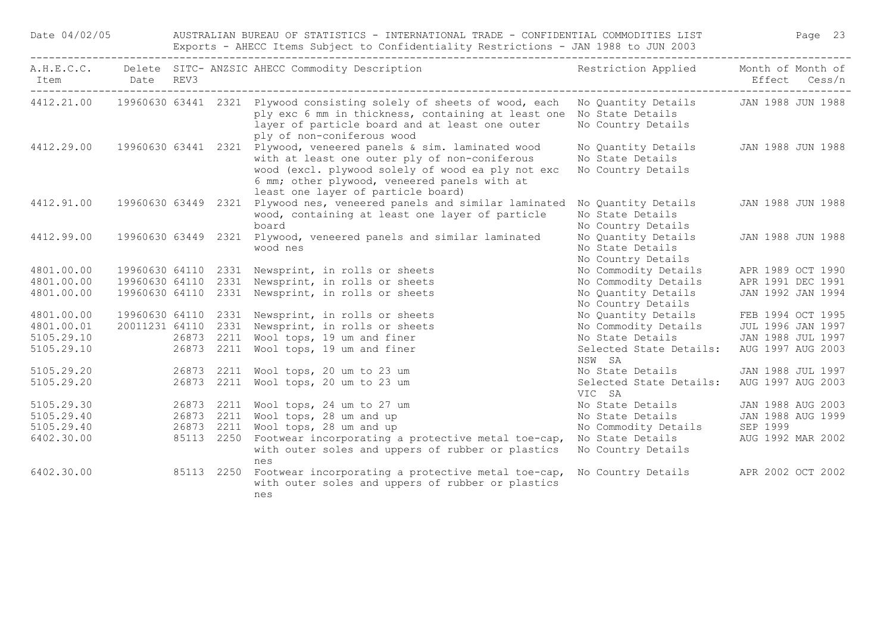| Date 04/02/05                        |                     |            | AUSTRALIAN BUREAU OF STATISTICS - INTERNATIONAL TRADE - CONFIDENTIAL COMMODITIES LIST<br>Page 23<br>Exports - AHECC Items Subject to Confidentiality Restrictions - JAN 1988 to JUN 2003 |                                                                                                                                                                                                                                                                |                                                               |                                        |  |  |  |  |
|--------------------------------------|---------------------|------------|------------------------------------------------------------------------------------------------------------------------------------------------------------------------------------------|----------------------------------------------------------------------------------------------------------------------------------------------------------------------------------------------------------------------------------------------------------------|---------------------------------------------------------------|----------------------------------------|--|--|--|--|
| Item<br>---------------------------- | Date REV3           |            |                                                                                                                                                                                          | A.H.E.C.C. Delete SITC-ANZSIC AHECC Commodity Description Nestriction Applied Month of Month of                                                                                                                                                                |                                                               | Effect Cess/n                          |  |  |  |  |
|                                      |                     |            |                                                                                                                                                                                          | 4412.21.00 19960630 63441 2321 Plywood consisting solely of sheets of wood, each No Quantity Details<br>ply exc 6 mm in thickness, containing at least one No State Details<br>layer of particle board and at least one outer<br>ply of non-coniferous wood    | No Country Details                                            | JAN 1988 JUN 1988                      |  |  |  |  |
| 4412.29.00                           |                     |            |                                                                                                                                                                                          | 19960630 63441 2321 Plywood, veneered panels & sim. laminated wood<br>with at least one outer ply of non-coniferous<br>wood (excl. plywood solely of wood ea ply not exc<br>6 mm; other plywood, veneered panels with at<br>least one layer of particle board) | No Quantity Details<br>No State Details<br>No Country Details | JAN 1988 JUN 1988                      |  |  |  |  |
| 4412.91.00                           | 19960630 63449 2321 |            |                                                                                                                                                                                          | Plywood nes, veneered panels and similar laminated<br>wood, containing at least one layer of particle<br>board                                                                                                                                                 | No Quantity Details<br>No State Details<br>No Country Details | JAN 1988 JUN 1988                      |  |  |  |  |
| 4412.99.00                           |                     |            |                                                                                                                                                                                          | 19960630 63449 2321 Plywood, veneered panels and similar laminated<br>wood nes                                                                                                                                                                                 | No Quantity Details<br>No State Details<br>No Country Details | JAN 1988 JUN 1988                      |  |  |  |  |
| 4801.00.00                           |                     |            |                                                                                                                                                                                          | 19960630 64110 2331 Newsprint, in rolls or sheets                                                                                                                                                                                                              | No Commodity Details                                          | APR 1989 OCT 1990                      |  |  |  |  |
| 4801.00.00                           |                     |            |                                                                                                                                                                                          | 19960630 64110 2331 Newsprint, in rolls or sheets                                                                                                                                                                                                              | No Commodity Details                                          | APR 1991 DEC 1991                      |  |  |  |  |
| 4801.00.00                           |                     |            |                                                                                                                                                                                          | 19960630 64110 2331 Newsprint, in rolls or sheets                                                                                                                                                                                                              | No Quantity Details<br>No Country Details                     | JAN 1992 JAN 1994                      |  |  |  |  |
| 4801.00.00                           |                     |            |                                                                                                                                                                                          | 19960630 64110 2331 Newsprint, in rolls or sheets                                                                                                                                                                                                              | No Quantity Details                                           | FEB 1994 OCT 1995                      |  |  |  |  |
| 4801.00.01                           | 20011231 64110 2331 |            |                                                                                                                                                                                          | Newsprint, in rolls or sheets                                                                                                                                                                                                                                  | No Commodity Details                                          | JUL 1996 JAN 1997                      |  |  |  |  |
| 5105.29.10<br>5105.29.10             |                     |            | 26873 2211                                                                                                                                                                               | 26873 2211 Wool tops, 19 um and finer<br>Wool tops, 19 um and finer                                                                                                                                                                                            | No State Details<br>Selected State Details:<br>NSW SA         | JAN 1988 JUL 1997<br>AUG 1997 AUG 2003 |  |  |  |  |
| 5105.29.20                           |                     |            | 26873 2211                                                                                                                                                                               | Wool tops, 20 um to 23 um                                                                                                                                                                                                                                      | No State Details                                              | JAN 1988 JUL 1997                      |  |  |  |  |
| 5105.29.20                           |                     |            | 26873 2211                                                                                                                                                                               | Wool tops, 20 um to 23 um                                                                                                                                                                                                                                      | Selected State Details:<br>VIC SA                             | AUG 1997 AUG 2003                      |  |  |  |  |
| 5105.29.30                           |                     |            | 26873 2211                                                                                                                                                                               | Wool tops, 24 um to 27 um                                                                                                                                                                                                                                      | No State Details                                              | JAN 1988 AUG 2003                      |  |  |  |  |
| 5105.29.40                           |                     |            |                                                                                                                                                                                          | 26873 2211 Wool tops, 28 um and up                                                                                                                                                                                                                             | No State Details                                              | JAN 1988 AUG 1999                      |  |  |  |  |
| 5105.29.40                           |                     | 26873 2211 |                                                                                                                                                                                          | Wool tops, 28 um and up                                                                                                                                                                                                                                        | No Commodity Details                                          | SEP 1999                               |  |  |  |  |
| 6402.30.00                           |                     |            | 85113 2250                                                                                                                                                                               | Footwear incorporating a protective metal toe-cap,<br>with outer soles and uppers of rubber or plastics<br>nes                                                                                                                                                 | No State Details<br>No Country Details                        | AUG 1992 MAR 2002                      |  |  |  |  |
| 6402.30.00                           |                     |            | 85113 2250                                                                                                                                                                               | Footwear incorporating a protective metal toe-cap,<br>with outer soles and uppers of rubber or plastics<br>nes                                                                                                                                                 | No Country Details APR 2002 OCT 2002                          |                                        |  |  |  |  |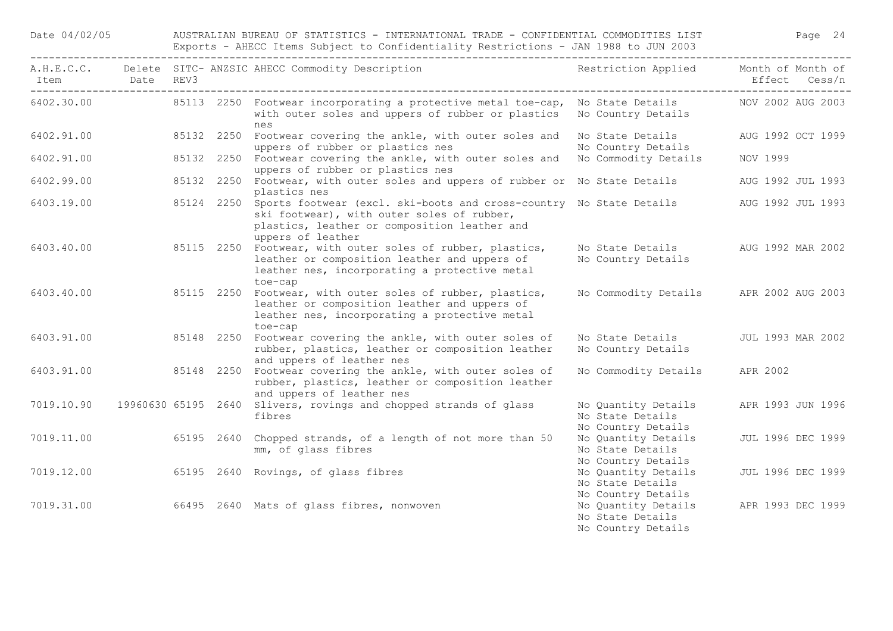| Date 04/02/05 |                          |      | AUSTRALIAN BUREAU OF STATISTICS - INTERNATIONAL TRADE - CONFIDENTIAL COMMODITIES LIST<br>Page 24<br>Exports - AHECC Items Subject to Confidentiality Restrictions - JAN 1988 to JUN 2003 |                                                                                                                                                                                                   |                                                               |                             |        |  |  |  |  |
|---------------|--------------------------|------|------------------------------------------------------------------------------------------------------------------------------------------------------------------------------------------|---------------------------------------------------------------------------------------------------------------------------------------------------------------------------------------------------|---------------------------------------------------------------|-----------------------------|--------|--|--|--|--|
| Item          | Date<br>________________ | REV3 |                                                                                                                                                                                          | A.H.E.C.C. Delete SITC- ANZSIC AHECC Commodity Description                                                                                                                                        | Restriction Applied                                           | Month of Month of<br>Effect | Cess/n |  |  |  |  |
| 6402.30.00    |                          |      |                                                                                                                                                                                          | 85113 2250 Footwear incorporating a protective metal toe-cap,<br>with outer soles and uppers of rubber or plastics<br>nes                                                                         | No State Details<br>No Country Details                        | NOV 2002 AUG 2003           |        |  |  |  |  |
| 6402.91.00    |                          |      |                                                                                                                                                                                          | 85132 2250 Footwear covering the ankle, with outer soles and<br>uppers of rubber or plastics nes                                                                                                  | No State Details<br>No Country Details                        | AUG 1992 OCT 1999           |        |  |  |  |  |
| 6402.91.00    |                          |      |                                                                                                                                                                                          | 85132 2250 Footwear covering the ankle, with outer soles and<br>uppers of rubber or plastics nes                                                                                                  | No Commodity Details                                          | NOV 1999                    |        |  |  |  |  |
| 6402.99.00    |                          |      |                                                                                                                                                                                          | 85132 2250 Footwear, with outer soles and uppers of rubber or No State Details<br>plastics nes                                                                                                    |                                                               | AUG 1992 JUL 1993           |        |  |  |  |  |
| 6403.19.00    |                          |      |                                                                                                                                                                                          | 85124 2250 Sports footwear (excl. ski-boots and cross-country No State Details<br>ski footwear), with outer soles of rubber,<br>plastics, leather or composition leather and<br>uppers of leather |                                                               | AUG 1992 JUL 1993           |        |  |  |  |  |
| 6403.40.00    |                          |      |                                                                                                                                                                                          | 85115 2250 Footwear, with outer soles of rubber, plastics,<br>leather or composition leather and uppers of<br>leather nes, incorporating a protective metal<br>toe-cap                            | No State Details<br>No Country Details                        | AUG 1992 MAR 2002           |        |  |  |  |  |
| 6403.40.00    |                          |      |                                                                                                                                                                                          | 85115 2250 Footwear, with outer soles of rubber, plastics,<br>leather or composition leather and uppers of<br>leather nes, incorporating a protective metal<br>toe-cap                            | No Commodity Details                                          | APR 2002 AUG 2003           |        |  |  |  |  |
| 6403.91.00    |                          |      |                                                                                                                                                                                          | 85148 2250 Footwear covering the ankle, with outer soles of<br>rubber, plastics, leather or composition leather<br>and uppers of leather nes                                                      | No State Details<br>No Country Details                        | JUL 1993 MAR 2002           |        |  |  |  |  |
| 6403.91.00    |                          |      |                                                                                                                                                                                          | 85148 2250 Footwear covering the ankle, with outer soles of<br>rubber, plastics, leather or composition leather<br>and uppers of leather nes                                                      | No Commodity Details                                          | APR 2002                    |        |  |  |  |  |
| 7019.10.90    |                          |      |                                                                                                                                                                                          | 19960630 65195 2640 Slivers, rovings and chopped strands of glass<br>fibres                                                                                                                       | No Quantity Details<br>No State Details<br>No Country Details | APR 1993 JUN 1996           |        |  |  |  |  |
| 7019.11.00    |                          |      |                                                                                                                                                                                          | 65195 2640 Chopped strands, of a length of not more than 50<br>mm, of glass fibres                                                                                                                | No Quantity Details<br>No State Details<br>No Country Details | JUL 1996 DEC 1999           |        |  |  |  |  |
| 7019.12.00    |                          |      |                                                                                                                                                                                          | 65195 2640 Rovings, of glass fibres                                                                                                                                                               | No Quantity Details<br>No State Details<br>No Country Details | JUL 1996 DEC 1999           |        |  |  |  |  |
| 7019.31.00    |                          |      |                                                                                                                                                                                          | 66495 2640 Mats of glass fibres, nonwoven                                                                                                                                                         | No Quantity Details<br>No State Details<br>No Country Details | APR 1993 DEC 1999           |        |  |  |  |  |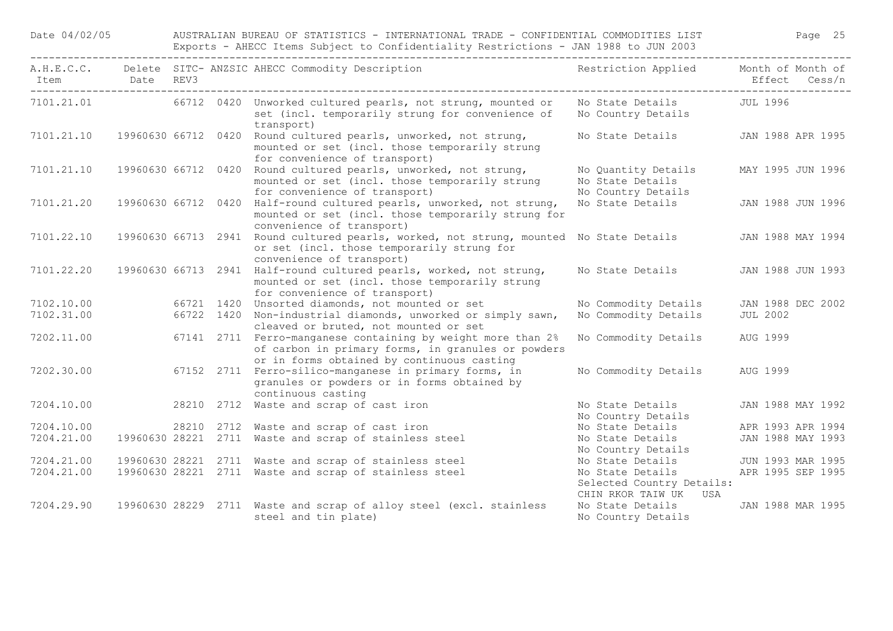Date 04/02/05 AUSTRALIAN BUREAU OF STATISTICS - INTERNATIONAL TRADE - CONFIDENTIAL COMMODITIES LIST Page 25 Exports - AHECC Items Subject to Confidentiality Restrictions - JAN 1988 to JUN 2003

| Item Date REV3 |  | A.H.E.C.C. Delete SITC-ANZSIC AHECC Commodity Description Nestriction Applied Month of Month of                                                                    |                                                                        | Effect Cess/n     |
|----------------|--|--------------------------------------------------------------------------------------------------------------------------------------------------------------------|------------------------------------------------------------------------|-------------------|
| 7101.21.01     |  | 66712 0420 Unworked cultured pearls, not strung, mounted or<br>set (incl. temporarily strung for convenience of<br>transport)                                      | No State Details JUL 1996<br>No Country Details                        |                   |
| 7101.21.10     |  | 19960630 66712 0420 Round cultured pearls, unworked, not strung,<br>mounted or set (incl. those temporarily strung<br>for convenience of transport)                | No State Details JAN 1988 APR 1995                                     |                   |
| 7101.21.10     |  | 19960630 66712 0420 Round cultured pearls, unworked, not strung,<br>mounted or set (incl. those temporarily strung<br>for convenience of transport)                | No Quantity Details<br>No State Details<br>No Country Details          | MAY 1995 JUN 1996 |
| 7101.21.20     |  | 19960630 66712 0420 Half-round cultured pearls, unworked, not strung,<br>mounted or set (incl. those temporarily strung for<br>convenience of transport)           | No State Details                                                       | JAN 1988 JUN 1996 |
| 7101.22.10     |  | 19960630 66713 2941 Round cultured pearls, worked, not strung, mounted No State Details<br>or set (incl. those temporarily strung for<br>convenience of transport) |                                                                        | JAN 1988 MAY 1994 |
| 7101.22.20     |  | 19960630 66713 2941 Half-round cultured pearls, worked, not strung,<br>mounted or set (incl. those temporarily strung<br>for convenience of transport)             | No State Details                                                       | JAN 1988 JUN 1993 |
| 7102.10.00     |  | 66721 1420 Unsorted diamonds, not mounted or set                                                                                                                   | No Commodity Details                                                   | JAN 1988 DEC 2002 |
| 7102.31.00     |  | 66722 1420 Non-industrial diamonds, unworked or simply sawn,                                                                                                       | No Commodity Details                                                   | <b>JUL 2002</b>   |
|                |  | cleaved or bruted, not mounted or set                                                                                                                              |                                                                        |                   |
| 7202.11.00     |  | 67141 2711 Ferro-manganese containing by weight more than 2%<br>of carbon in primary forms, in granules or powders<br>or in forms obtained by continuous casting   | No Commodity Details                                                   | AUG 1999          |
| 7202.30.00     |  | 67152 2711 Ferro-silico-manganese in primary forms, in<br>granules or powders or in forms obtained by<br>continuous casting                                        | No Commodity Details                                                   | AUG 1999          |
| 7204.10.00     |  | 28210 2712 Waste and scrap of cast iron                                                                                                                            | No State Details<br>No Country Details                                 | JAN 1988 MAY 1992 |
| 7204.10.00     |  | 28210 2712 Waste and scrap of cast iron                                                                                                                            | No State Details                                                       | APR 1993 APR 1994 |
| 7204.21.00     |  | 19960630 28221 2711 Waste and scrap of stainless steel                                                                                                             | No State Details                                                       | JAN 1988 MAY 1993 |
|                |  |                                                                                                                                                                    | No Country Details                                                     |                   |
| 7204.21.00     |  | 19960630 28221 2711 Waste and scrap of stainless steel                                                                                                             | No State Details                                                       | JUN 1993 MAR 1995 |
| 7204.21.00     |  | 19960630 28221 2711 Waste and scrap of stainless steel                                                                                                             | No State Details<br>Selected Country Details:<br>CHIN RKOR TAIW UK USA | APR 1995 SEP 1995 |
| 7204.29.90     |  | 19960630 28229 2711 Waste and scrap of alloy steel (excl. stainless<br>steel and tin plate)                                                                        | No State Details<br>No Country Details                                 | JAN 1988 MAR 1995 |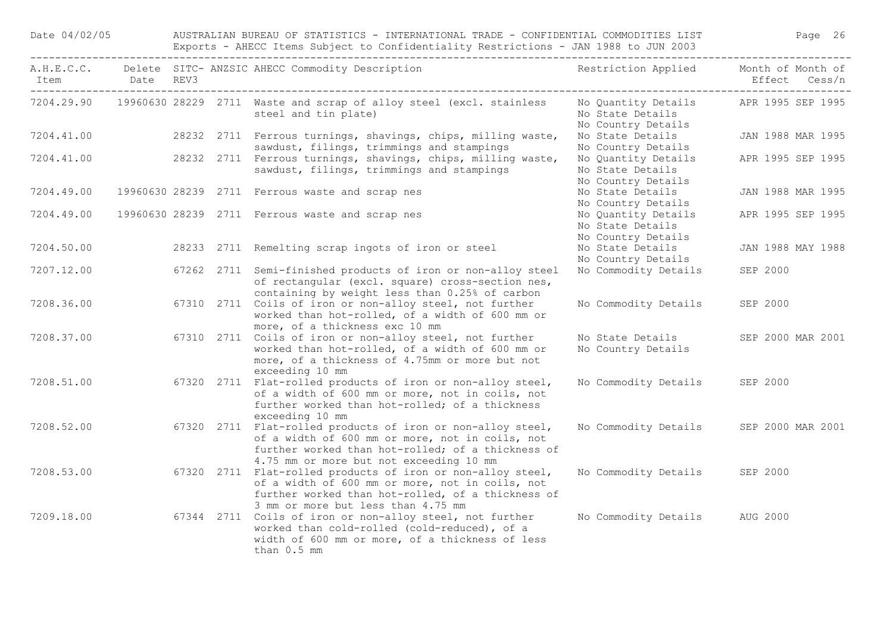|            |           | Exports - Annul Items subject to confidentiality restrictions - OAN 1900 to our 2009<br>--------------------------- |  |                                                                                                                                                                                                                |                                                               |                                    |  |  |  |  |
|------------|-----------|---------------------------------------------------------------------------------------------------------------------|--|----------------------------------------------------------------------------------------------------------------------------------------------------------------------------------------------------------------|---------------------------------------------------------------|------------------------------------|--|--|--|--|
| Item       | Date REV3 |                                                                                                                     |  | A.H.E.C.C. Delete SITC- ANZSIC AHECC Commodity Description                                                                                                                                                     | Restriction Applied                                           | Month of Month of<br>Effect Cess/n |  |  |  |  |
|            |           |                                                                                                                     |  | 7204.29.90 19960630 28229 2711 Waste and scrap of alloy steel (excl. stainless<br>steel and tin plate)                                                                                                         | No Quantity Details<br>No State Details<br>No Country Details | APR 1995 SEP 1995                  |  |  |  |  |
| 7204.41.00 |           |                                                                                                                     |  | 28232 2711 Ferrous turnings, shavings, chips, milling waste,<br>sawdust, filings, trimmings and stampings                                                                                                      | No State Details<br>No Country Details                        | JAN 1988 MAR 1995                  |  |  |  |  |
| 7204.41.00 |           |                                                                                                                     |  | 28232 2711 Ferrous turnings, shavings, chips, milling waste,<br>sawdust, filings, trimmings and stampings                                                                                                      | No Quantity Details<br>No State Details<br>No Country Details | APR 1995 SEP 1995                  |  |  |  |  |
| 7204.49.00 |           |                                                                                                                     |  | 19960630 28239 2711 Ferrous waste and scrap nes                                                                                                                                                                | No State Details<br>No Country Details                        | JAN 1988 MAR 1995                  |  |  |  |  |
| 7204.49.00 |           |                                                                                                                     |  | 19960630 28239 2711 Ferrous waste and scrap nes                                                                                                                                                                | No Quantity Details<br>No State Details<br>No Country Details | APR 1995 SEP 1995                  |  |  |  |  |
| 7204.50.00 |           |                                                                                                                     |  | 28233 2711 Remelting scrap ingots of iron or steel                                                                                                                                                             | No State Details<br>No Country Details                        | JAN 1988 MAY 1988                  |  |  |  |  |
| 7207.12.00 |           |                                                                                                                     |  | 67262 2711 Semi-finished products of iron or non-alloy steel<br>of rectangular (excl. square) cross-section nes,<br>containing by weight less than 0.25% of carbon                                             | No Commodity Details                                          | SEP 2000                           |  |  |  |  |
| 7208.36.00 |           |                                                                                                                     |  | 67310 2711 Coils of iron or non-alloy steel, not further<br>worked than hot-rolled, of a width of 600 mm or<br>more, of a thickness exc 10 mm                                                                  | No Commodity Details                                          | SEP 2000                           |  |  |  |  |
| 7208.37.00 |           |                                                                                                                     |  | 67310 2711 Coils of iron or non-alloy steel, not further<br>worked than hot-rolled, of a width of 600 mm or<br>more, of a thickness of 4.75mm or more but not<br>exceeding 10 mm                               | No State Details<br>No Country Details                        | SEP 2000 MAR 2001                  |  |  |  |  |
| 7208.51.00 |           |                                                                                                                     |  | 67320 2711 Flat-rolled products of iron or non-alloy steel,<br>of a width of 600 mm or more, not in coils, not<br>further worked than hot-rolled; of a thickness<br>exceeding 10 mm                            | No Commodity Details                                          | SEP 2000                           |  |  |  |  |
| 7208.52.00 |           |                                                                                                                     |  | 67320 2711 Flat-rolled products of iron or non-alloy steel,<br>of a width of 600 mm or more, not in coils, not<br>further worked than hot-rolled; of a thickness of<br>4.75 mm or more but not exceeding 10 mm | No Commodity Details                                          | SEP 2000 MAR 2001                  |  |  |  |  |
| 7208.53.00 |           |                                                                                                                     |  | 67320 2711 Flat-rolled products of iron or non-alloy steel,<br>of a width of 600 mm or more, not in coils, not<br>further worked than hot-rolled, of a thickness of<br>3 mm or more but less than 4.75 mm      | No Commodity Details                                          | SEP 2000                           |  |  |  |  |
| 7209.18.00 |           |                                                                                                                     |  | 67344 2711 Coils of iron or non-alloy steel, not further<br>worked than cold-rolled (cold-reduced), of a                                                                                                       | No Commodity Details                                          | AUG 2000                           |  |  |  |  |

width of 600 mm or more, of a thickness of less

than 0.5 mm

Date 04/02/05 AUSTRALIAN BUREAU OF STATISTICS - INTERNATIONAL TRADE - CONFIDENTIAL COMMODITIES LIST Page 26 Exports - AHECC Items Subject to Confidentiality Restrictions - JAN 1988 to JUN 2003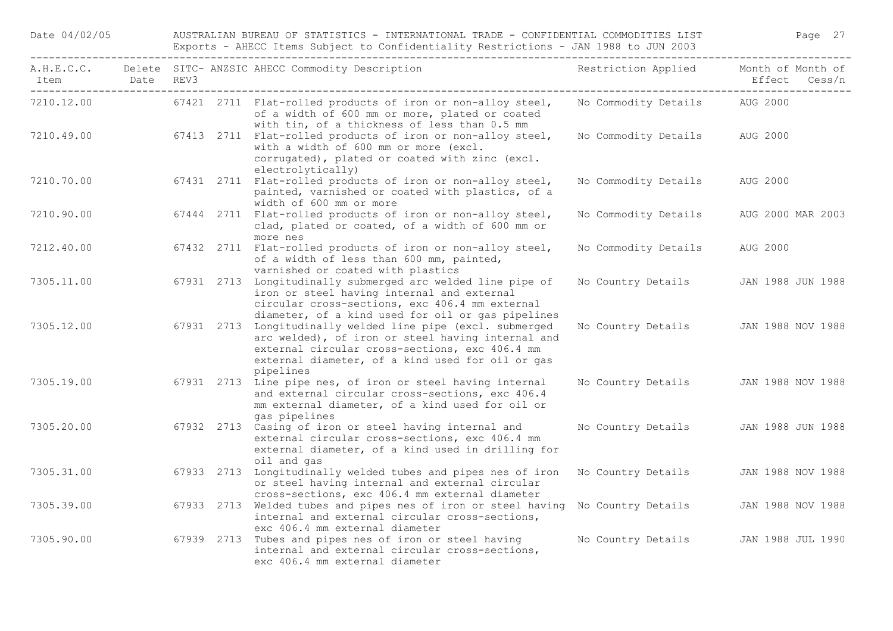| Date 04/02/05 |  |  |
|---------------|--|--|
|               |  |  |

AUSTRALIAN BUREAU OF STATISTICS - INTERNATIONAL TRADE - CONFIDENTIAL COMMODITIES LIST Page 27 Exports - AHECC Items Subject to Confidentiality Restrictions - JAN 1988 to JUN 2003

| Item Date REV3 |  | A.H.E.C.C. Delete SITC-ANZSIC AHECC Commodity Description The State of Restriction Applied                                                                                                                                          |                                      | Month of Month of<br>Effect Cess/n |
|----------------|--|-------------------------------------------------------------------------------------------------------------------------------------------------------------------------------------------------------------------------------------|--------------------------------------|------------------------------------|
| 7210.12.00     |  | 67421 2711 Flat-rolled products of iron or non-alloy steel,<br>of a width of 600 mm or more, plated or coated<br>with tin, of a thickness of less than 0.5 mm                                                                       | No Commodity Details AUG 2000        |                                    |
| 7210.49.00     |  | 67413 2711 Flat-rolled products of iron or non-alloy steel,<br>with a width of 600 mm or more (excl.<br>corrugated), plated or coated with zinc (excl.<br>electrolytically)                                                         | No Commodity Details                 | AUG 2000                           |
| 7210.70.00     |  | 67431 2711 Flat-rolled products of iron or non-alloy steel,<br>painted, varnished or coated with plastics, of a<br>width of 600 mm or more                                                                                          | No Commodity Details                 | AUG 2000                           |
| 7210.90.00     |  | 67444 2711 Flat-rolled products of iron or non-alloy steel,<br>clad, plated or coated, of a width of 600 mm or<br>more nes                                                                                                          | No Commodity Details                 | AUG 2000 MAR 2003                  |
| 7212.40.00     |  | 67432 2711 Flat-rolled products of iron or non-alloy steel,<br>of a width of less than 600 mm, painted,<br>varnished or coated with plastics                                                                                        | No Commodity Details                 | AUG 2000                           |
| 7305.11.00     |  | 67931 2713 Longitudinally submerged arc welded line pipe of<br>iron or steel having internal and external<br>circular cross-sections, exc 406.4 mm external<br>diameter, of a kind used for oil or gas pipelines                    | No Country Details JAN 1988 JUN 1988 |                                    |
| 7305.12.00     |  | 67931 2713 Longitudinally welded line pipe (excl. submerged<br>arc welded), of iron or steel having internal and<br>external circular cross-sections, exc 406.4 mm<br>external diameter, of a kind used for oil or gas<br>pipelines | No Country Details JAN 1988 NOV 1988 |                                    |
| 7305.19.00     |  | 67931 2713 Line pipe nes, of iron or steel having internal<br>and external circular cross-sections, exc 406.4<br>mm external diameter, of a kind used for oil or<br>gas pipelines                                                   | No Country Details JAN 1988 NOV 1988 |                                    |
| 7305.20.00     |  | 67932 2713 Casing of iron or steel having internal and<br>external circular cross-sections, exc 406.4 mm<br>external diameter, of a kind used in drilling for<br>oil and gas                                                        | No Country Details JAN 1988 JUN 1988 |                                    |
| 7305.31.00     |  | 67933 2713 Longitudinally welded tubes and pipes nes of iron<br>or steel having internal and external circular<br>cross-sections, exc 406.4 mm external diameter                                                                    | No Country Details                   | JAN 1988 NOV 1988                  |
| 7305.39.00     |  | 67933 2713 Welded tubes and pipes nes of iron or steel having No Country Details<br>internal and external circular cross-sections,<br>exc 406.4 mm external diameter                                                                |                                      | JAN 1988 NOV 1988                  |
| 7305.90.00     |  | 67939 2713 Tubes and pipes nes of iron or steel having<br>internal and external circular cross-sections,<br>exc 406.4 mm external diameter                                                                                          | No Country Details                   | JAN 1988 JUL 1990                  |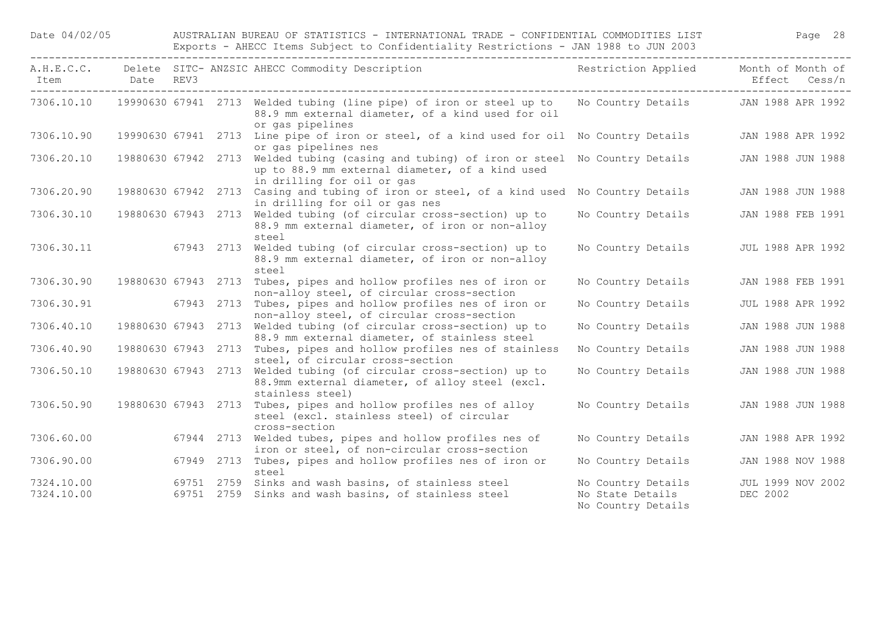| Item                     | Date REV3           |  | A.H.E.C.C. Delete SITC- ANZSIC AHECC Commodity Description                                                                                                                 | Restriction Applied Month of Month of  | Effect Cess/n                 |
|--------------------------|---------------------|--|----------------------------------------------------------------------------------------------------------------------------------------------------------------------------|----------------------------------------|-------------------------------|
| 7306.10.10               |                     |  | 19990630 67941 2713 Welded tubing (line pipe) of iron or steel up to<br>88.9 mm external diameter, of a kind used for oil<br>or gas pipelines                              | No Country Details JAN 1988 APR 1992   |                               |
| 7306.10.90               |                     |  | 19990630 67941 2713 Line pipe of iron or steel, of a kind used for oil No Country Details<br>or gas pipelines nes                                                          |                                        | JAN 1988 APR 1992             |
| 7306.20.10               |                     |  | 19880630 67942 2713 Welded tubing (casing and tubing) of iron or steel No Country Details<br>up to 88.9 mm external diameter, of a kind used<br>in drilling for oil or gas |                                        | JAN 1988 JUN 1988             |
| 7306.20.90               |                     |  | 19880630 67942 2713 Casing and tubing of iron or steel, of a kind used No Country Details<br>in drilling for oil or gas nes                                                |                                        | JAN 1988 JUN 1988             |
| 7306.30.10               |                     |  | 19880630 67943 2713 Welded tubing (of circular cross-section) up to<br>88.9 mm external diameter, of iron or non-alloy<br>steel                                            | No Country Details                     | JAN 1988 FEB 1991             |
| 7306.30.11               | 67943 2713          |  | Welded tubing (of circular cross-section) up to<br>88.9 mm external diameter, of iron or non-alloy<br>steel                                                                | No Country Details                     | <b>JUL 1988 APR 1992</b>      |
| 7306.30.90               | 19880630 67943 2713 |  | Tubes, pipes and hollow profiles nes of iron or<br>non-alloy steel, of circular cross-section                                                                              | No Country Details                     | JAN 1988 FEB 1991             |
| 7306.30.91               | 67943 2713          |  | Tubes, pipes and hollow profiles nes of iron or<br>non-alloy steel, of circular cross-section                                                                              | No Country Details                     | <b>JUL 1988 APR 1992</b>      |
| 7306.40.10               |                     |  | 19880630 67943 2713 Welded tubing (of circular cross-section) up to<br>88.9 mm external diameter, of stainless steel                                                       | No Country Details                     | JAN 1988 JUN 1988             |
| 7306.40.90               | 19880630 67943 2713 |  | Tubes, pipes and hollow profiles nes of stainless<br>steel, of circular cross-section                                                                                      | No Country Details                     | JAN 1988 JUN 1988             |
| 7306.50.10               | 19880630 67943 2713 |  | Welded tubing (of circular cross-section) up to<br>88.9mm external diameter, of alloy steel (excl.<br>stainless steel)                                                     | No Country Details                     | JAN 1988 JUN 1988             |
| 7306.50.90               |                     |  | 19880630 67943 2713 Tubes, pipes and hollow profiles nes of alloy<br>steel (excl. stainless steel) of circular<br>cross-section                                            | No Country Details                     | JAN 1988 JUN 1988             |
| 7306.60.00               |                     |  | 67944 2713 Welded tubes, pipes and hollow profiles nes of<br>iron or steel, of non-circular cross-section                                                                  | No Country Details                     | JAN 1988 APR 1992             |
| 7306.90.00               |                     |  | 67949 2713 Tubes, pipes and hollow profiles nes of iron or<br>steel                                                                                                        | No Country Details                     | JAN 1988 NOV 1988             |
| 7324.10.00<br>7324.10.00 |                     |  | 69751 2759 Sinks and wash basins, of stainless steel<br>69751 2759 Sinks and wash basins, of stainless steel                                                               | No Country Details<br>No State Details | JUL 1999 NOV 2002<br>DEC 2002 |
|                          |                     |  |                                                                                                                                                                            | No Country Details                     |                               |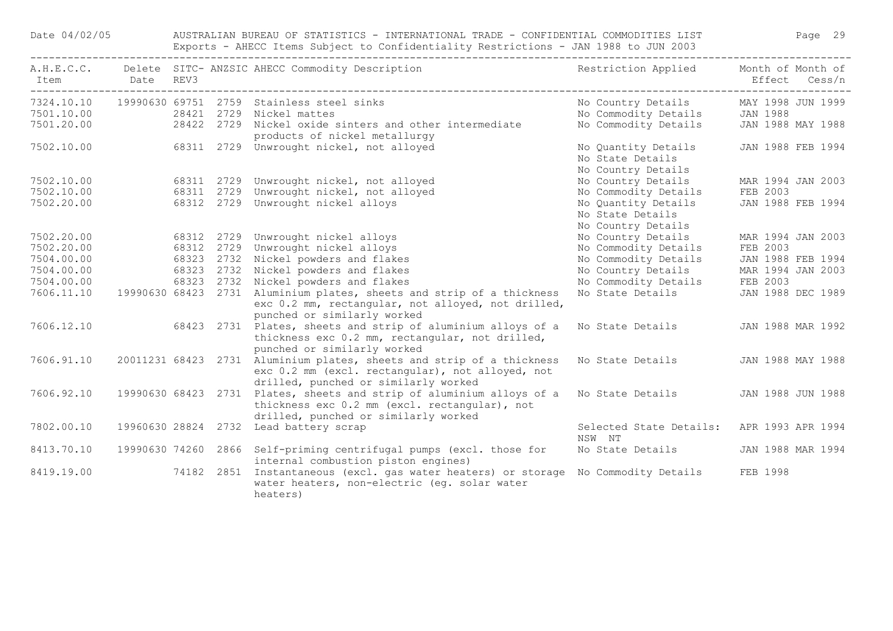Date 04/02/05 AUSTRALIAN BUREAU OF STATISTICS - INTERNATIONAL TRADE - CONFIDENTIAL COMMODITIES LIST Page 29 Exports - AHECC Items Subject to Confidentiality Restrictions - JAN 1988 to JUN 2003

| Item Date REV3 |  | A.H.E.C.C. Delete SITC- ANZSIC AHECC Commodity Description                                                                                                        | Restriction Applied Month of Month of                         | Effect Cess/n     |
|----------------|--|-------------------------------------------------------------------------------------------------------------------------------------------------------------------|---------------------------------------------------------------|-------------------|
|                |  | 7324.10.10  19990630  69751  2759  Stainless steel sinks                                                                                                          | No Country Details MAY 1998 JUN 1999                          |                   |
| 7501.10.00     |  | 28421 2729 Nickel mattes                                                                                                                                          | No Commodity Details JAN 1988                                 |                   |
|                |  | 7501.10.00 28421 2729 Nickel mattes<br>7501.20.00 28422 2729 Nickel oxide sinters and other intermediate<br>products of nickel metallurgy                         | No Commodity Details                                          | JAN 1988 MAY 1988 |
| 7502.10.00     |  | 68311 2729 Unwrought nickel, not alloyed                                                                                                                          | No Quantity Details<br>No State Details<br>No Country Details | JAN 1988 FEB 1994 |
| 7502.10.00     |  | 68311 2729 Unwrought nickel, not alloyed                                                                                                                          | No Country Details                                            | MAR 1994 JAN 2003 |
| 7502.10.00     |  | 68311 2729 Unwrought nickel, not alloyed                                                                                                                          | No Commodity Details                                          | FEB 2003          |
| 7502.20.00     |  | 68312 2729 Unwrought nickel alloys                                                                                                                                | No Quantity Details<br>No State Details                       | JAN 1988 FEB 1994 |
|                |  |                                                                                                                                                                   | No Country Details                                            |                   |
| 7502.20.00     |  | 68312 2729 Unwrought nickel alloys                                                                                                                                | No Country Details                                            | MAR 1994 JAN 2003 |
| 7502.20.00     |  | 68312 2729 Unwrought nickel alloys                                                                                                                                | No Commodity Details                                          | FEB 2003          |
| 7504.00.00     |  | 68323 2732 Nickel powders and flakes                                                                                                                              | No Commodity Details                                          | JAN 1988 FEB 1994 |
| 7504.00.00     |  | 68323 2732 Nickel powders and flakes                                                                                                                              | No Country Details                                            | MAR 1994 JAN 2003 |
| 7504.00.00     |  | 68323 2732 Nickel powders and flakes                                                                                                                              | No Commodity Details                                          | FEB 2003          |
| 7606.11.10     |  | 19990630 68423 2731 Aluminium plates, sheets and strip of a thickness<br>exc 0.2 mm, rectangular, not alloyed, not drilled,<br>punched or similarly worked        | No State Details                                              | JAN 1988 DEC 1989 |
| 7606.12.10     |  | 68423 2731 Plates, sheets and strip of aluminium alloys of a<br>thickness exc 0.2 mm, rectangular, not drilled,<br>punched or similarly worked                    | No State Details                                              | JAN 1988 MAR 1992 |
| 7606.91.10     |  | 20011231 68423 2731 Aluminium plates, sheets and strip of a thickness<br>exc 0.2 mm (excl. rectangular), not alloyed, not<br>drilled, punched or similarly worked | No State Details                                              | JAN 1988 MAY 1988 |
| 7606.92.10     |  | 19990630 68423 2731 Plates, sheets and strip of aluminium alloys of a<br>thickness exc 0.2 mm (excl. rectangular), not<br>drilled, punched or similarly worked    | No State Details                                              | JAN 1988 JUN 1988 |
| 7802.00.10     |  | 19960630 28824 2732 Lead battery scrap                                                                                                                            | Selected State Details: APR 1993 APR 1994<br>NSW NT           |                   |
| 8413.70.10     |  | 19990630 74260 2866 Self-priming centrifugal pumps (excl. those for<br>internal combustion piston engines)                                                        | No State Details                                              | JAN 1988 MAR 1994 |
| 8419.19.00     |  | 74182 2851 Instantaneous (excl. gas water heaters) or storage No Commodity Details<br>water heaters, non-electric (eg. solar water<br>heaters)                    |                                                               | FEB 1998          |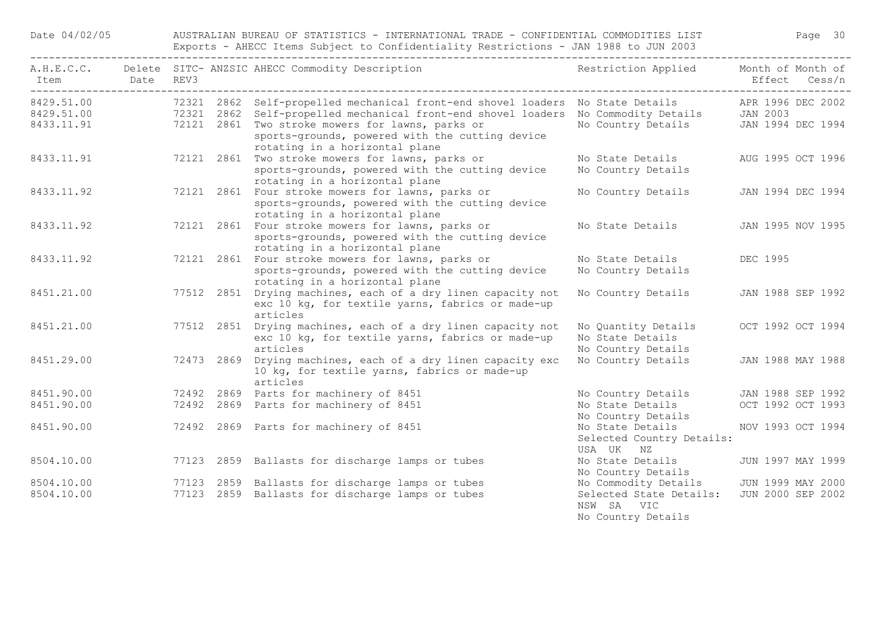Date 04/02/05 AUSTRALIAN BUREAU OF STATISTICS - INTERNATIONAL TRADE - CONFIDENTIAL COMMODITIES LIST Page 30 Exports - AHECC Items Subject to Confidentiality Restrictions - JAN 1988 to JUN 2003

| Item Date REV3           |  | A.H.E.C.C. Delete SITC-ANZSIC AHECC Commodity Description Nestriction Applied Month of Month of                                                                                                                                                                                                                                                     |                                                               | Effect Cess/n                          |  |
|--------------------------|--|-----------------------------------------------------------------------------------------------------------------------------------------------------------------------------------------------------------------------------------------------------------------------------------------------------------------------------------------------------|---------------------------------------------------------------|----------------------------------------|--|
| 8429.51.00<br>8433.11.91 |  | 72321 2862 Self-propelled mechanical front-end shovel loaders No State Details APR 1996 DEC 2002<br>8429.51.00 72321 2862 Self-propelled mechanical front-end shovel loaders No Commodity Details JAN 2003<br>72121 2861 Two stroke mowers for lawns, parks or<br>sports-grounds, powered with the cutting device<br>rotating in a horizontal plane | No Country Details JAN 1994 DEC 1994                          |                                        |  |
| 8433.11.91               |  | 72121 2861 Two stroke mowers for lawns, parks or<br>sports-grounds, powered with the cutting device<br>rotating in a horizontal plane                                                                                                                                                                                                               | No State Details<br>No Country Details                        | AUG 1995 OCT 1996                      |  |
| 8433.11.92               |  | 72121 2861 Four stroke mowers for lawns, parks or<br>sports-grounds, powered with the cutting device<br>rotating in a horizontal plane                                                                                                                                                                                                              | No Country Details                                            | JAN 1994 DEC 1994                      |  |
| 8433.11.92               |  | 72121 2861 Four stroke mowers for lawns, parks or<br>sports-grounds, powered with the cutting device<br>rotating in a horizontal plane                                                                                                                                                                                                              | No State Details                                              | JAN 1995 NOV 1995                      |  |
| 8433.11.92               |  | 72121 2861 Four stroke mowers for lawns, parks or<br>sports-grounds, powered with the cutting device<br>rotating in a horizontal plane                                                                                                                                                                                                              | No State Details<br>No Country Details                        | DEC 1995                               |  |
| 8451.21.00               |  | 77512 2851 Drying machines, each of a dry linen capacity not<br>exc 10 kg, for textile yarns, fabrics or made-up<br>articles                                                                                                                                                                                                                        | No Country Details                                            | JAN 1988 SEP 1992                      |  |
| 8451.21.00               |  | 77512 2851 Drying machines, each of a dry linen capacity not<br>exc 10 kg, for textile yarns, fabrics or made-up<br>articles                                                                                                                                                                                                                        | No Ouantity Details<br>No State Details<br>No Country Details | OCT 1992 OCT 1994                      |  |
| 8451.29.00               |  | 72473 2869 Drying machines, each of a dry linen capacity exc<br>10 kg, for textile yarns, fabrics or made-up<br>articles                                                                                                                                                                                                                            | No Country Details                                            | JAN 1988 MAY 1988                      |  |
| 8451.90.00<br>8451.90.00 |  | 72492 2869 Parts for machinery of 8451<br>72492 2869 Parts for machinery of 8451                                                                                                                                                                                                                                                                    | No Country Details<br>No State Details<br>No Country Details  | JAN 1988 SEP 1992<br>OCT 1992 OCT 1993 |  |
| 8451.90.00               |  | 72492 2869 Parts for machinery of 8451                                                                                                                                                                                                                                                                                                              | No State Details<br>Selected Country Details:<br>USA UK NZ    | NOV 1993 OCT 1994                      |  |
| 8504.10.00               |  | 77123 2859 Ballasts for discharge lamps or tubes                                                                                                                                                                                                                                                                                                    | No State Details<br>No Country Details                        | JUN 1997 MAY 1999                      |  |
| 8504.10.00               |  | 77123 2859 Ballasts for discharge lamps or tubes                                                                                                                                                                                                                                                                                                    | No Commodity Details                                          | JUN 1999 MAY 2000                      |  |
| 8504.10.00               |  | 77123 2859 Ballasts for discharge lamps or tubes                                                                                                                                                                                                                                                                                                    | Selected State Details:<br>NSW SA VIC<br>No Country Details   | JUN 2000 SEP 2002                      |  |